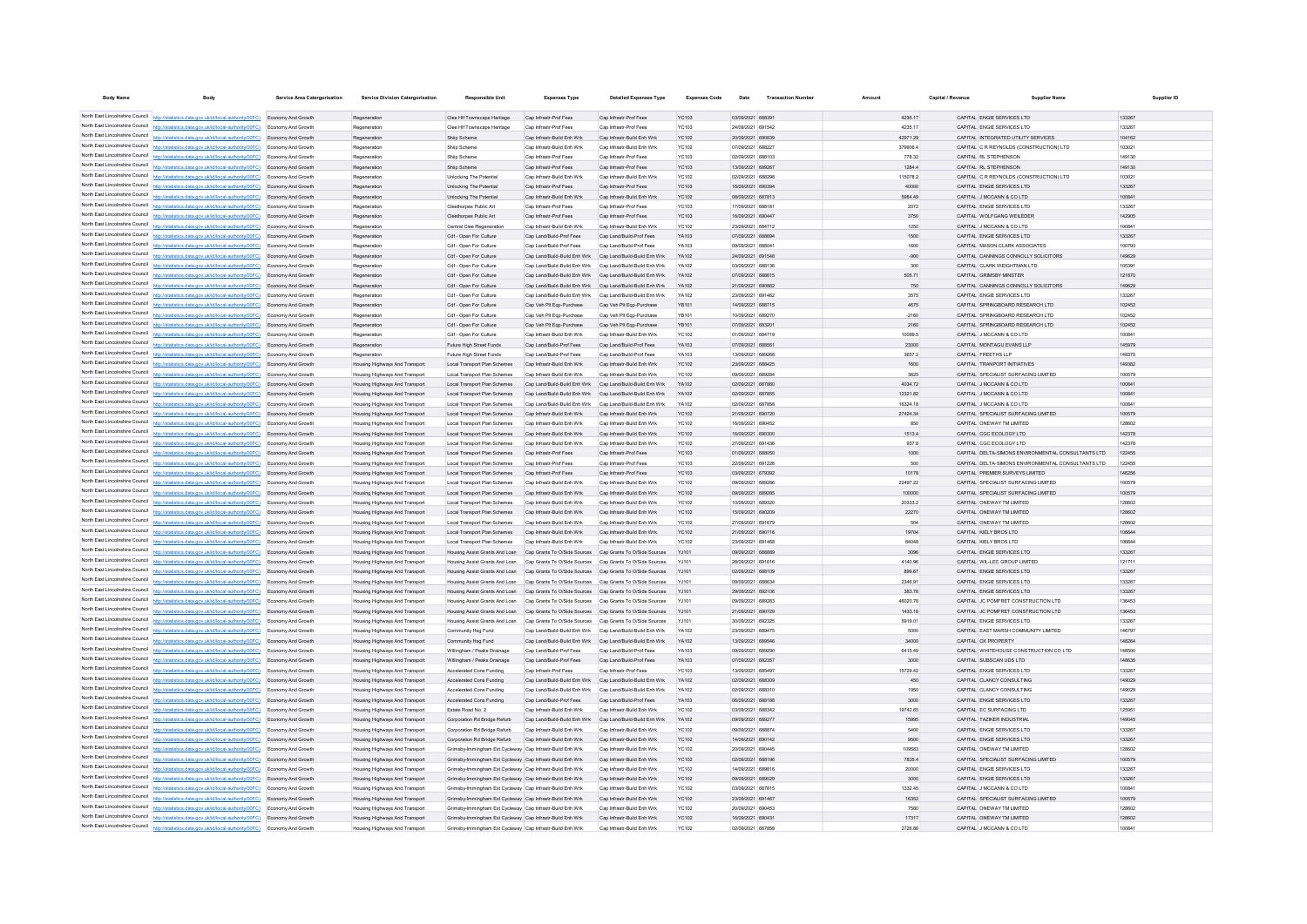| <b>Body Name</b>                | <b>Body</b>                                                                                               | Service Area Catergorisation | <b>Service Division Catergorisation</b> | Responsible Unit                                                                         | <b>Expenses Type</b>                                      | <b>Detailed Expenses Type</b>                             | <b>Expenses Code</b> | Date              | <b>Transaction Number</b> | Amount   | Capital / Revenue | <b>Supplier Name</b>                               | Supplier ID      |
|---------------------------------|-----------------------------------------------------------------------------------------------------------|------------------------------|-----------------------------------------|------------------------------------------------------------------------------------------|-----------------------------------------------------------|-----------------------------------------------------------|----------------------|-------------------|---------------------------|----------|-------------------|----------------------------------------------------|------------------|
|                                 |                                                                                                           |                              |                                         |                                                                                          |                                                           |                                                           |                      |                   |                           |          |                   |                                                    |                  |
|                                 | North East Lincolnshire Council http://statistics.data.gov.uk/id/local-authority/00FC) Economy And Growth |                              | Regeneration                            | Clee Hif Townscape Heritage Cap Infrastr-Prof Fees                                       |                                                           | Cap Infrastr-Prof Fees                                    | <b>YC103</b>         | 03/09/2021 688391 |                           | 4235.17  |                   | CAPITAL ENGIE SERVICES LTD                         | 133267           |
|                                 | North East Lincolnshire Council http://statistics.data.gov.uk/id/local-authority/00FC) Economy And Growth |                              | Regeneration                            | Clee Hif Townscape Heritage                                                              | Cap Infrastr-Prof Fees                                    | Cap Infrastr-Prof Fees                                    | <b>YC103</b>         | 24/09/2021 691542 |                           | 4235.17  |                   | CAPITAL ENGIE SERVICES LTD                         | 133267           |
|                                 | North East Lincolnshire Council http://statistics.data.gov.uk/id/local-authority/00FC) Economy And Growth |                              | Regeneration                            | Shiip Scheme                                                                             | Cap Infrastr-Build Enh Wrk                                | Cap Infrastr-Build Enh Wrk                                | <b>YC102</b>         | 20/09/2021 690839 |                           | 42971.29 |                   | CAPITAL INTEGRATED UTILITY SERVICES                | 104162           |
|                                 | North East Lincolnshire Council http://statistics.data.gov.uk/id/local-authority/00FC) Economy And Growth |                              | Regeneration                            | Shiip Scheme                                                                             | Cap Infrastr-Build Enh Wrk                                | Cap Infrastr-Build Enh Wrk                                | <b>YC102</b>         | 07/09/2021 688227 |                           | 379906.4 |                   | CAPITAL C R REYNOLDS (CONSTRUCTION) LTD            | 103021           |
|                                 | North East Lincolnshire Council http://statistics.data.gov.uk/id/local-authority/00FC) Economy And Growth |                              | Regeneration                            | Shiin Scheme                                                                             | Can Infrastr-Prof Fees                                    | Can Infrastr-Prof Fees                                    | <b>YC103</b>         | 02/09/2021 688103 |                           | 778.32   |                   | CAPITAL RL STEPHENSON                              | 149130           |
|                                 | North East Lincolnshire Council http://statistics.data.gov.uk/id/local-authority/00FC) Economy And Growth |                              | Regeneration                            | Shiin Scheme                                                                             | Can Infrastr-Prof Fees                                    | Can Infrastr-Prof Fees                                    | <b>YC103</b>         | 13/09/2021 689267 |                           | 1284.4   |                   | CAPITAL RL STEPHENSON                              | 149130           |
|                                 | North East Lincolnshire Council http://statistics.data.gov.uk/id/local-authority/00FC) Economy And Growth |                              | Regeneration                            | <b>Unlocking The Potential</b>                                                           | Can Infrastr-Build Enh Wrk                                | Can Infrastr-Build Enh Wrk                                | YC102                | 02/09/2021 688298 |                           | 115078.2 |                   | CAPITAL C R REYNOLDS (CONSTRUCTION) LTD            | 103021           |
|                                 | North East Lincolnshire Council http://statistics.data.gov.uk/id/local-authority/00FC) Economy And Growth |                              | Regeneration                            | Unlocking The Potential                                                                  | Can Infrastr-Prof Fees                                    | Can Infrastr-Prof Fees                                    | <b>YC103</b>         | 16/09/2021 690394 |                           | 40000    |                   | CAPITAL ENGIE SERVICES LTD                         | 133267           |
|                                 | North East Lincolnshire Council http://statistics.data.gov.uk/id/local-authority/00FC) Economy And Growth |                              | Regeneration                            | Unlocking The Potential                                                                  | Cap Infrastr-Build Enh Wrk                                | Cap Infrastr-Build Enh Wrk                                | <b>YC102</b>         | 08/09/2021 687813 |                           | 5984.49  |                   | CAPITAL J MCCANN & CO LTD                          | 100841           |
|                                 | North East Lincolnshire Council http://statistics.data.gov.uk/id/local-authority/00FC) Economy And Growth |                              | Regeneration                            | Cleethorpes Public Art                                                                   | Can Infrastr-Prof Fees                                    | Can Infrastr-Prof Fees                                    | <b>YC103</b>         | 17/09/2021 688181 |                           | 2072     |                   | CAPITAL ENGIF SERVICES LTD                         | 133267           |
|                                 | North East Lincolnshire Council http://statistics.data.gov.uk/id/local-authority/00FC) Economy And Growth |                              | Regeneration                            | Cleethorpes Public Art                                                                   | Cap Infrastr-Prof Fees                                    | Cap Infrastr-Prof Fees                                    | <b>YC103</b>         | 16/09/2021 690447 |                           | 3750     |                   | CAPITAL WOLFGANG WEILEDER                          | 142905           |
|                                 | North East Lincolnshire Council http://statistics.data.gov.uk/id/local-authority/00FC) Economy And Growth |                              | Regeneration                            | Central Clee Regeneration                                                                | Cap Infrastr-Build Enh Wrk                                | Cap Infrastr-Build Enh Wrk                                | <b>YC102</b>         | 23/09/2021 684712 |                           | 1250     |                   | CAPITAL J MCCANN & CO LTD                          | 100841           |
|                                 | North East Lincolnshire Council http://statistics.data.gov.uk/id/local-authority/00FC) Economy And Growth |                              | Regeneration                            | Cdf - Open For Culture                                                                   | Cap Land/Build-Prof Fees                                  | Cap Land/Build-Prof Fees                                  | YA103                | 07/09/2021 688694 |                           | 1500     |                   | CAPITAL ENGIE SERVICES LTD                         | 133267           |
|                                 | North East Lincolnshire Council http://statistics.data.gov.uk/id/local-authority/00FC) Economy And Growth |                              | Regeneration                            | Cdf - Open For Culture                                                                   | Cap Land/Build-Prof Fees                                  | Cap Land/Build-Prof Fees                                  | YA103                | 09/09/2021 688041 |                           | 1600     |                   | CAPITAL MASON CLARK ASSOCIATES                     | 100793           |
|                                 | North East Lincolnshire Council http://statistics.data.gov.uk/id/local-authority/00FC) Economy And Growth |                              | Regeneration                            | Cdf - Open For Culture                                                                   | Cap Land/Build-Build Enh Wrk                              | Cap Land/Build-Build Enh Wrk                              | YA102                | 24/09/2021 691548 |                           | $-900$   |                   | CAPITAL CANNINGS CONNOLLY SOLICITORS               | 149629           |
|                                 | North East Lincolnshire Council http://statistics.data.gov.uk/id/local-authority/00FC) Economy And Growth |                              | Regeneration                            | Cdf - Onen For Culture                                                                   | Can Land/Build-Build Fnh Wrk Can Land/Build-Build Fnh Wrk |                                                           | <b>YA102</b>         | 03/09/2021 688136 |                           | 300      |                   | CAPITAL CLARK WEIGHTMAN LTD                        | 105391           |
|                                 | North East Lincolnshire Council http://statistics.data.gov.uk/id/local-authority/00FC) Economy And Growth |                              | Regeneration                            | Cdf - Onen For Culture                                                                   | Can Land/Build-Build Enh Wrk                              | Can Land/Build-Build Enh Wrk                              | <b>YA102</b>         | 07/09/2021 688615 |                           | 505.71   |                   | CAPITAL GRIMSRY MINSTER                            | 121870           |
|                                 | North East Lincolnshire Council http://statistics.data.gov.uk/id/local-authority/00FC) Economy And Growth |                              | Regeneration                            | Cdf - Open For Culture                                                                   | Can Land/Build-Build Fnh Wrk Can Land/Build-Build Fnh Wrk |                                                           | <b>YA102</b>         | 21/09/2021 690862 |                           | 750      |                   | CAPITAL CANNINGS CONNOLLY SOLICITORS               | 149629           |
|                                 | North East Lincolnshire Council http://statistics.data.gov.uk/id/local-authority/00FC) Economy And Growth |                              | Regeneration                            | Cdf - Onen For Culture                                                                   | Can Land/Build-Build Enh Wrk                              | Can Land/Build-Build Enh Wrk                              | <b>YA102</b>         | 23/09/2021 691462 |                           | 3575     |                   | CAPITAL ENGIF SERVICES LTD                         | 133267           |
|                                 |                                                                                                           |                              |                                         |                                                                                          |                                                           |                                                           | <b>YR101</b>         | 14/09/2021 688715 |                           |          |                   | CAPITAL SPRINGBOARD RESEARCH LTD                   | 102452           |
|                                 | North East Lincolnshire Council http://statistics.data.gov.uk/id/local-authority/00FC) Economy And Growth |                              | Regeneration                            | Cdf - Open For Culture                                                                   | Cap Veh Plt Egp-Purchase                                  | Cap Veh Pit Ego-Purchase                                  |                      |                   |                           | 4675     |                   |                                                    |                  |
|                                 | North East Lincolnshire Council http://statistics.data.gov.uk/id/local-authority/00FC) Economy And Growth |                              | Regeneration                            | Cdf - Open For Culture                                                                   | Cap Veh Plt Egp-Purchase                                  | Cap Veh Pit Egp-Purchase                                  | <b>YR101</b>         | 10/09/2021 689270 |                           | $-2160$  |                   | CAPITAL SPRINGBOARD RESEARCH LTD                   | 102452           |
|                                 | North East Lincolnshire Council http://statistics.data.gov.uk/id/local-authority/00FC) Economy And Growth |                              | Regeneration                            | Cdf - Open For Culture                                                                   | Cap Veh Plt Egp-Purchase                                  | Cap Veh Pit Ego-Purchase                                  | YB101                | 07/09/2021 683201 |                           | 2160     |                   | CAPITAL SPRINGBOARD RESEARCH LTD                   | 102452           |
|                                 | North East Lincolnshire Council http://statistics.data.gov.uk/id/local-authority/00FC) Economy And Growth |                              | Regeneration                            | Cdf - Open For Culture                                                                   | Cap Infrastr-Build Enh Wrk                                | Can Infrastr-Build Enh Wrk                                | YC102                | 01/09/2021 684719 |                           | 10099.5  |                   | CAPITAL J MCCANN & CO LTD                          | 100841           |
|                                 | North East Lincolnshire Council http://statistics.data.gov.uk/id/local-authority/00FC) Economy And Growth |                              | Regeneration                            | Future High Street Funds                                                                 | Cap Land/Build-Prof Fees                                  | Cap Land/Build-Prof Fees                                  | YA103                | 07/09/2021 688561 |                           | 23000    |                   | CAPITAL MONTAGU EVANS LLP                          | 145979           |
|                                 | North East Lincolnshire Council http://statistics.data.gov.uk/id/local-authority/00FC) Economy And Growth |                              | Regeneration                            | Future High Street Funds                                                                 | Cap Land/Build-Prof Fees                                  | Cap Land/Build-Prof Fees                                  | YA103                | 13/09/2021 689268 |                           | 3657.2   |                   | CAPITAL FREETHS LLP                                | 149375           |
|                                 | North East Lincolnshire Council http://statistics.data.gov.uk/id/local-authority/00FC)                    | Economy And Growth           | Housing Highways And Transport          | Local Transport Plan Schemes                                                             | Cap Infrastr-Build Enh Wrk                                | Cap Infrastr-Build Enh Wrk                                | <b>YC102</b>         | 23/09/2021 688425 |                           | 1600     |                   | CAPITAL TRANPORT INITIATIVES                       | 149382           |
|                                 | North East Lincolnshire Council http://statistics.data.gov.uk/id/local-authority/00FC)                    | Economy And Growth           | Housing Highways And Transport          | Local Transport Plan Schemer                                                             | Cap Infrastr-Build Enh Wrk                                | Can Infrastr-Build Enh Wrk                                | <b>YC102</b>         | 09/09/2021 689284 |                           | 3625     |                   | CAPITAL SPECIALIST SURFACING LIMITED               | 100579           |
|                                 | North East Lincolnshire Council http://statistics.data.gov.uk/id/local-authority/00FC)                    | Economy And Growth           | Housing Highways And Transport          | Local Transport Plan Schemes                                                             | Cap Land/Build-Build Enh Wrk                              | Cap Land/Build-Build Enh Wrk                              | <b>YA102</b>         | 02/09/2021 687860 |                           | 4034.72  |                   | CAPITAL J MCCANN & CO LTD                          | 100841           |
|                                 | North East Lincolnshire Council http://statistics.data.gov.uk/id/local-authority/00FC)                    | Economy And Growth           | Housing Highways And Transport          | Local Transport Plan Schemes                                                             | Cap Land/Build-Build Enh Wrk                              | Cap Land/Build-Build Enh Wrk                              | <b>YA102</b>         | 02/09/2021 687855 |                           | 12321.82 |                   | CAPITAL J MCCANN & CO LTD                          | 100841           |
|                                 | North East Lincolnshire Council http://statistics.data.gov.uk/id/local-authority/00FC)                    | Economy And Growth           | Housing Highways And Transport          | Local Transport Plan Scheme                                                              | Cap Land/Build-Build Enh Wrk                              | Cap Land/Build-Build Enh Wrk                              | <b>YA102</b>         | 02/09/2021 687858 |                           | 16324.18 |                   | CAPITAL J MCCANN & CO LTD                          | 100841           |
|                                 | North East Lincolnshire Council http://statistics.data.gov.uk/id/local-authority/00FC)                    | Economy And Growth           | Housing Highways And Transport          | Local Transport Plan Schemes                                                             | Cap Infrastr-Build Enh Wrk                                | Cap Infrastr-Build Enh Wrk                                | <b>YC102</b>         | 21/09/2021 690720 |                           | 27424.34 |                   | CAPITAL SPECIALIST SURFACING LIMITED               | 100579           |
|                                 | North East Lincolnshire Council http://statistics.data.gov.uk/id/local-authority/00FC)                    | Economy And Growt            | Housing Highways And Transport          | Local Transport Plan Scheme                                                              | Cap Infrastr-Build Enh Wrk                                | Cap Infrastr-Build Enh Wrk                                | YC102                | 16/09/2021 690452 |                           | 850      |                   | CAPITAL ONEWAY TM LIMITED                          | 128602           |
|                                 | North East Lincolnshire Council   http://statistics.data.gov.uk/id/local-authority/00FC)                  | Economy And Growth           | <b>Housing Highways And Transport</b>   | Local Transport Plan Schemes                                                             | Cap Infrastr-Build Enh Wrk                                | Cap Infrastr-Build Enh Wrk                                | <b>YC102</b>         | 16/09/2021 690300 |                           | 1513.4   |                   | CAPITAL CGC ECOLOGY LTD                            | 142378           |
|                                 | North East Lincolnshire Council http://statistics.data.gov.uk/id/local-authority/00FC)                    | Economy And Growth           | Housing Highways And Transport          | Local Transport Plan Schemer                                                             | Cap Infrastr-Build Enh Wrk                                | Cap Infrastr-Build Enh Wrk                                | <b>YC102</b>         | 27/09/2021 691436 |                           | 937.8    |                   | CAPITAL CGC ECOLOGY LTD                            | 142378           |
|                                 | North East Lincolnshire Council http://statistics.data.gov.uk/id/local-authority/00FC).                   | Economy And Growth           | <b>Housing Highways And Transport</b>   | Local Transport Plan Schemes                                                             | Cap Infrastr-Prof Fees                                    | Cap Infrastr-Prof Fees                                    | <b>YC103</b>         | 01/09/2021 688050 |                           | 1000     |                   | CAPITAL DELTA-SIMONS ENVIRONMENTAL CONSULTANTS LTD | 122455           |
|                                 | North East Lincolnshire Council   http://statistics.data.gov.uk/id/local-authority/00FC)                  | Economy And Growth           | Housing Highways And Transport          | Local Transport Plan Schemes                                                             | Cap Infrastr-Prof Fees                                    | Cap Infrastr-Prof Fees                                    | YC103                | 22/09/2021 691226 |                           | 500      |                   | CAPITAL DELTA-SIMONS ENVIRONMENTAL CONSULTANTS LTD | 122455           |
|                                 | North East Lincolnshire Council http://statistics.data.gov.uk/id/local-authority/00FC).                   | Economy And Growth           | <b>Housing Highways And Transport</b>   | Local Transport Plan Schemes                                                             | Cap Infrastr-Prof Fees                                    | Cap Infrastr-Prof Fees                                    | <b>YC103</b>         | 03/09/2021 679392 |                           | 10178    |                   | CAPITAL PREMIER SURVEYS LIMITED                    | 146256           |
|                                 | North East Lincolnshire Council   http://statistics.data.gov.uk/id/local-authority/00FC)                  |                              |                                         |                                                                                          |                                                           |                                                           |                      |                   |                           |          |                   |                                                    |                  |
|                                 | North East Lincolnshire Council http://statistics.data.gov.uk/id/local-authority/00FC)                    | Economy And Growth           | Housing Highways And Transport          | Local Transport Plan Schemes                                                             | Cap Infrastr-Build Enh Wrk                                | Cap Infrastr-Build Enh Wrk                                | YC102                | 09/09/2021 689286 |                           | 22497.22 |                   | CAPITAL SPECIALIST SURFACING LIMITED               | 100579           |
|                                 |                                                                                                           | Economy And Growth           | Housing Highways And Transport          | Local Transport Plan Schemes                                                             | Cap Infrastr-Build Enh Wrk                                | Cap Infrastr-Build Enh Wrk                                | <b>YC102</b>         | 09/09/2021 689285 |                           | 100000   |                   | CAPITAL SPECIALIST SURFACING LIMITED               | 100579<br>128602 |
|                                 | North East Lincolnshire Council http://statistics.data.gov.uk/id/local-authority/00FC)                    | Economy And Growth           | Housing Highways And Transport          | Local Transport Plan Schemes                                                             | Cap Infrastr-Build Enh Wrk                                | Cap Infrastr-Build Enh Wrk                                | YC102                | 10/09/2021 689320 |                           | 20333.2  |                   | CAPITAL ONEWAY TM LIMITED                          |                  |
|                                 | North East Lincolnshire Council http://statistics.data.gov.uk/id/local-authority/00FC)                    | Economy And Growth           | Housing Highways And Transport          | Local Transport Plan Schemes                                                             | Cap Infrastr-Build Enh Wrk                                | Cap Infrastr-Build Enh Wrk                                | <b>YC102</b>         | 15/09/2021 690209 |                           | 22270    |                   | CAPITAL ONEWAY TM LIMITED                          | 128602           |
|                                 | North East Lincolnshire Council http://statistics.data.gov.uk/id/local-authority/00FC)                    | Economy And Growth           | Housing Highways And Transport          | Local Transport Plan Schemes                                                             | Cap Infrastr-Build Enh Wrk                                | Cap Infrastr-Build Enh Wrk                                | YC102                | 27/09/2021 691679 |                           | 504      |                   | CAPITAL ONEWAY TM LIMITED                          | 128602           |
|                                 | North East Lincolnshire Council http://statistics.data.gov.uk/id/local-authority/00FC)                    | Economy And Growth           | Housing Highways And Transport          | Local Transport Plan Schemes                                                             | Cap Infrastr-Build Enh Wrk                                | Cap Infrastr-Build Enh Wrk                                | <b>YC102</b>         | 21/09/2021 690716 |                           | 19704    |                   | CAPITAL KIELY BROS LTD                             | 106644           |
|                                 | North East Lincolnshire Council http://statistics.data.gov.uk/id/local-authority/00FC)                    | Economy And Growth           | Housing Highways And Transport          | Local Transport Plan Schemes                                                             | Cap Infrastr-Build Enh Wrk                                | Cap Infrastr-Build Enh Wrk                                | YC102                | 23/09/2021 691468 |                           | 84048    |                   | CAPITAL KIELY BROS LTD                             | 106644           |
|                                 | North East Lincolnshire Council http://statistics.data.gov.uk/id/local-authority/00FC)                    | Economy And Growth           | Housing Highways And Transport          | Housing Assist Grants And Loan                                                           | Cap Grants To O/Side Sources                              | Cap Grants To O/Side Sources                              | YJ101                | 09/09/2021 688889 |                           | 3096     |                   | CAPITAL ENGIE SERVICES LTD                         | 133267           |
|                                 | North East Lincolnshire Council http://statistics.data.gov.uk/id/local-authority/00FC)                    | Economy And Growth           | Housing Highways And Transport          | Housing Assist Grants And Loan                                                           | Cap Grants To O/Side Sources                              | Cap Grants To O/Side Sources                              | YJ101                | 28/09/2021 691616 |                           | 4140.96  |                   | CAPITAL WIL-LEC GROUP LIMITED                      | 121711           |
|                                 | North East Lincolnshire Council http://statistics.data.gov.uk/id/local-authority/00FC)                    | Economy And Growth           | Housing Highways And Transport          | Housing Assist Grants And Loan                                                           | Cap Grants To O/Side Sources                              | Cap Grants To O/Side Sources                              | YJ101                | 02/09/2021 688109 |                           | 899.67   |                   | CAPITAL ENGIE SERVICES LTD                         | 133267           |
|                                 | North East Lincolnshire Council http://statistics.data.gov.uk/id/local-authority/00FC)                    | Economy And Growth           | Housing Highways And Transport          | Housing Assist Grants And Loan                                                           | Cap Grants To O/Side Sources                              | Cap Grants To O/Side Sources                              | YJ101                | 09/09/2021 688634 |                           | 2346.91  |                   | CAPITAL ENGIE SERVICES LTD                         | 133267           |
|                                 | North East Lincolnshire Council http://statistics.data.gov.uk/id/local-authority/00FC)                    | Economy And Growth           | Housing Highways And Transport          | Housing Assist Grants And Loan                                                           | Cap Grants To O/Side Sources                              | Cap Grants To O/Side Sources                              | YJ101                | 29/09/2021 692106 |                           | 383.76   |                   | CAPITAL ENGIE SERVICES LTD                         | 133267           |
|                                 | North East Lincolnshire Council http://statistics.data.gov.uk/id/local-authority/00FC)                    | Economy And Growth           | Housing Highways And Transport          | Housing Assist Grants And Loan                                                           | Cap Grants To O/Side Sources                              | Cap Grants To O/Side Sources                              | <b>Y.1101</b>        | 09/09/2021 689283 |                           | 46020.78 |                   | CAPITAL JC POMFRET CONSTRUCTION LTD                | 136453           |
|                                 | North East Lincolnshire Council http://statistics.data.gov.uk/id/local-authority/00FC)                    | Economy And Growth           | Housing Highways And Transport          | Housing Assist Grants And Loan Cap Grants To O/Side Sources Cap Grants To O/Side Sources |                                                           |                                                           | YJ101                | 21/09/2021 690729 |                           | 1433.18  |                   | CAPITAL JC POMFRET CONSTRUCTION LTD                | 136453           |
|                                 | North East Lincolnshire Council http://statistics.data.gov.uk/id/local-authority/00FC)                    | Economy And Growth           | Housing Highways And Transport          | Housing Assist Grants And Loan Cap Grants To O/Side Sources Cap Grants To O/Side Sources |                                                           |                                                           | YJ101                | 30/09/2021 692325 |                           | 5919.01  |                   | CAPITAL ENGIE SERVICES LTD                         | 133267           |
|                                 | North East Lincolnshire Council http://statistics.data.gov.uk/id/local-authority/00FC)                    | Economy And Growth           | Housing Highways And Transport          | Community Hsg Fund                                                                       | Cap Land/Build-Build Enh Wrk                              | Cap Land/Build-Build Enh Wrk                              | YA102                | 23/09/2021 689475 |                           | 5000     |                   | CAPITAL EAST MARSH COMMUNITY LIMITED               | 146797           |
|                                 | North East Lincolnshire Council http://statistics.data.gov.uk/id/local-authority/00FC)                    | Economy And Growth           | Housing Highways And Transport          | Community Hsg Fund                                                                       |                                                           | Cap Land/Build-Build Enh Wrk Cap Land/Build-Build Enh Wrk | <b>YA102</b>         | 13/09/2021 689546 |                           | 34000    |                   | CAPITAL CK PROPERTY                                | 148264           |
|                                 | North East Lincolnshire Council http://statistics.data.gov.uk/id/local-authority/00FC)                    | Economy And Growth           | Housing Highways And Transport          | Willingham / Peaks Drainage                                                              | Cap Land/Build-Prof Fees                                  | Cap Land/Build-Prof Fees                                  | YA103                | 09/09/2021 689290 |                           | 6415.49  |                   | CAPITAL WHITEHOUSE CONSTRUCTION CO LTD             | 148500           |
|                                 | North East Lincolnshire Council http://statistics.data.gov.uk/id/local-authority/00FC)                    |                              |                                         |                                                                                          |                                                           | Cap Land/Build-Prof Fees                                  |                      | 07/09/2021 682357 |                           | 3000     |                   | CAPITAL SUBSCAN UDS LTD                            | 148635           |
| North East Lincolnshire Council |                                                                                                           | Economy And Growth           | Housing Highways And Transport          | Willingham / Peaks Drainage                                                              | Cap Land/Build-Prof Fees                                  |                                                           | YA103<br>YC103       |                   |                           |          |                   |                                                    | 133267           |
| North East Lincolnshire Council | http://statistics.data.gov.uk/id/local-authority/00FC)                                                    | Economy And Growth           | Housing Highways And Transport          | Accelerated Cons Funding                                                                 | Cap Infrastr-Prof Fees                                    | Cap Infrastr-Prof Fees                                    |                      | 13/09/2021 685497 |                           | 15729.42 |                   | CAPITAL ENGIE SERVICES LTD                         |                  |
| North East Lincolnshire Council | http://statistics.data.gov.uk/id/local-authority/00FC)                                                    | Economy And Growth           | Housing Highways And Transport          | Accelerated Cons Funding                                                                 | Cap Land/Build-Build Enh Wrk                              | Cap Land/Build-Build Enh Wrk                              | YA102                | 02/09/2021 688309 |                           | 450      |                   | CAPITAL CLANCY CONSULTING                          | 149029           |
| North East Lincolnshire Council | http://statistics.data.gov.uk/id/local-authority/00FC)                                                    | Economy And Growth           | Housing Highways And Transport          | Accelerated Cons Funding                                                                 | Cap Land/Build-Build Enh Wrk                              | Cap Land/Build-Build Enh Wrk                              | YA102                | 02/09/2021 688310 |                           | 1950     |                   | CAPITAL CLANCY CONSULTING                          | 149029           |
|                                 | http://statistics.data.gov.uk/id/local-authority/00FC)                                                    | Economy And Growth           | Housing Highways And Transport          | Accelerated Cons Funding                                                                 | Cap Land/Build-Prof Fees                                  | Cap Land/Build-Prof Fees                                  | YA103                | 06/09/2021 688188 |                           | 3000     |                   | CAPITAL ENGIE SERVICES LTD                         | 133267           |
| North East Lincolnshire Council | http://statistics.data.gov.uk/id/local-authority/00FC)                                                    | Economy And Growth           | Housing Highways And Transport          | Estate Road No. 2                                                                        | Cap Infrastr-Build Enh Wrk                                | Cap Infrastr-Build Enh Wrk                                | <b>YC102</b>         | 03/09/2021 688342 |                           | 19742.65 |                   | CAPITAL EC SURFACING LTD                           | 125951           |
| North East Lincolnshire Council | http://statistics.data.gov.uk/id/local-authority/00FC)                                                    | Economy And Growth           | Housing Highways And Transport          | Corporation Rd Bridge Refurb                                                             | Cap Land/Build-Build Enh Wrk                              | Cap Land/Build-Build Enh Wrk YA102                        |                      | 09/09/2021 689277 |                           | 15995    |                   | CAPITAL TAZIKER INDUSTRIAL                         | 149045           |
| North East Lincolnshire Council | http://statistics.data.gov.uk/id/local-authority/00FC)                                                    | Economy And Growth           | Housing Highways And Transport          | Corporation Rd Bridge Refurb                                                             | Cap Infrastr-Build Enh Wrk                                | Cap Infrastr-Build Enh Wrk                                | <b>YC102</b>         | 09/09/2021 688874 |                           | 5400     |                   | CAPITAL ENGIE SERVICES LTD                         | 133267           |
| North East Lincolnshire Council | http://statistics.data.gov.uk/id/local-authority/00FC)                                                    | Economy And Growth           | Housing Highways And Transport          | Corporation Rd Bridge Refurb Cap Infrastr-Build Enh Wrk                                  |                                                           | Cap Infrastr-Build Enh Wrk                                | <b>YC102</b>         | 14/09/2021 690142 |                           | 9500     |                   | CAPITAL ENGIE SERVICES LTD                         | 133267           |
| North East Lincolnshire Council | http://statistics.data.gov.uk/id/local-authority/00FC)                                                    | Economy And Growth           | Housing Highways And Transport          | Grimsby-Immingham Ext Cycleway Cap Infrastr-Build Enh Wrk                                |                                                           | Cap Infrastr-Build Enh Wrk                                | <b>YC102</b>         | 20/09/2021 690445 |                           | 109583   |                   | CAPITAL ONEWAY TM LIMITED                          | 128602           |
| North East Lincolnshire Council | http://statistics.data.gov.uk/id/local-authority/00FC)                                                    | Economy And Growth           | Housing Highways And Transport          | Grimsby-Immingham Ext Cycleway Cap Infrastr-Build Enh Wrk                                |                                                           | Cap Infrastr-Build Enh Wrk                                | <b>YC102</b>         | 02/09/2021 688196 |                           | 7835.4   |                   | CAPITAL SPECIALIST SURFACING LIMITED               | 100579           |
| North East Lincolnshire Council | http://statistics.data.gov.uk/id/local-authority/00FC)                                                    | Economy And Growth           | Housing Highways And Transport          | Grimsby-Immingham Ext Cycleway Cap Infrastr-Build Enh Wrk                                |                                                           | Cap Infrastr-Build Enh Wrk                                | YC102                | 14/09/2021 689816 |                           | 20000    |                   | CAPITAL ENGIE SERVICES LTD                         | 133267           |
| North East Lincolnshire Council | http://statistics.data.gov.uk/id/local-authority/00FC)                                                    | Economy And Growth           | Housing Highways And Transport          | Grimsby-Immingham Ext Cycleway Cap Infrastr-Build Enh Wrk                                |                                                           | Cap Infrastr-Build Enh Wrk                                | <b>YC102</b>         | 09/09/2021 689029 |                           | 3000     |                   | CAPITAL ENGIE SERVICES LTD                         | 133267           |
|                                 | North East Lincolnshire Council http://statistics.data.gov.uk/id/local-authority/00FC)                    | Economy And Growth           | Housing Highways And Transport          | Grimsby-Immingham Ext Cycleway Cap Infrastr-Build Enh Wrk                                |                                                           | Cap Infrastr-Build Enh Wrk                                | YC102                | 03/09/2021 687815 |                           | 1332.45  |                   | CAPITAL J MCCANN & CO LTD                          | 100841           |
| North East Lincolnshire Council | http://statistics.data.gov.uk/id/local-authority/00FC)                                                    | Economy And Growth           | Housing Highways And Transport          | Grimsby-Immingham Ext Cycleway Cap Infrastr-Build Enh Wrk                                |                                                           | Cap Infrastr-Build Enh Wrk                                | <b>YC102</b>         | 23/09/2021 691467 |                           | 16352    |                   | CAPITAL SPECIALIST SURFACING LIMITED               | 100579           |
|                                 | North East Lincolnshire Council http://statistics.data.gov.uk/id/local-authority/00FC)                    | Economy And Growth           | Housing Highways And Transport          | Grimsby-Immingham Ext Cycleway Cap Infrastr-Build Enh Wrk                                |                                                           | Cap Infrastr-Build Enh Wrk                                | YC102                | 20/09/2021 690453 |                           | 7580     |                   | CAPITAL ONEWAY TM LIMITED                          | 128602           |
|                                 | North East Lincolnshire Council http://statistics.data.gov.uk/id/local-authority/00FC)                    | Economy And Growth           | Housing Highways And Transport          | Grimsby-Immingham Ext Cycleway Cap Infrastr-Build Enh Wrk                                |                                                           | Cap Infrastr-Build Enh Wrk                                | <b>YC102</b>         | 16/09/2021 690431 |                           | 17317    |                   | CAPITAL ONEWAY TM LIMITED                          | 128602           |
| North East Lincolnshire Council | http://statistics.data.gov.uk/id/local-authority/00FC)                                                    | Economy And Growth           | Housing Highways And Transport          | Grimsby-Immingham Ext Cycleway Cap Infrastr-Build Enh Wrk                                |                                                           | Cap Infrastr-Build Enh Wrk                                | YC102                | 02/09/2021 687858 |                           | 2726.86  |                   | CAPITAL J MCCANN & CO LTD                          | 100841           |
|                                 |                                                                                                           |                              |                                         |                                                                                          |                                                           |                                                           |                      |                   |                           |          |                   |                                                    |                  |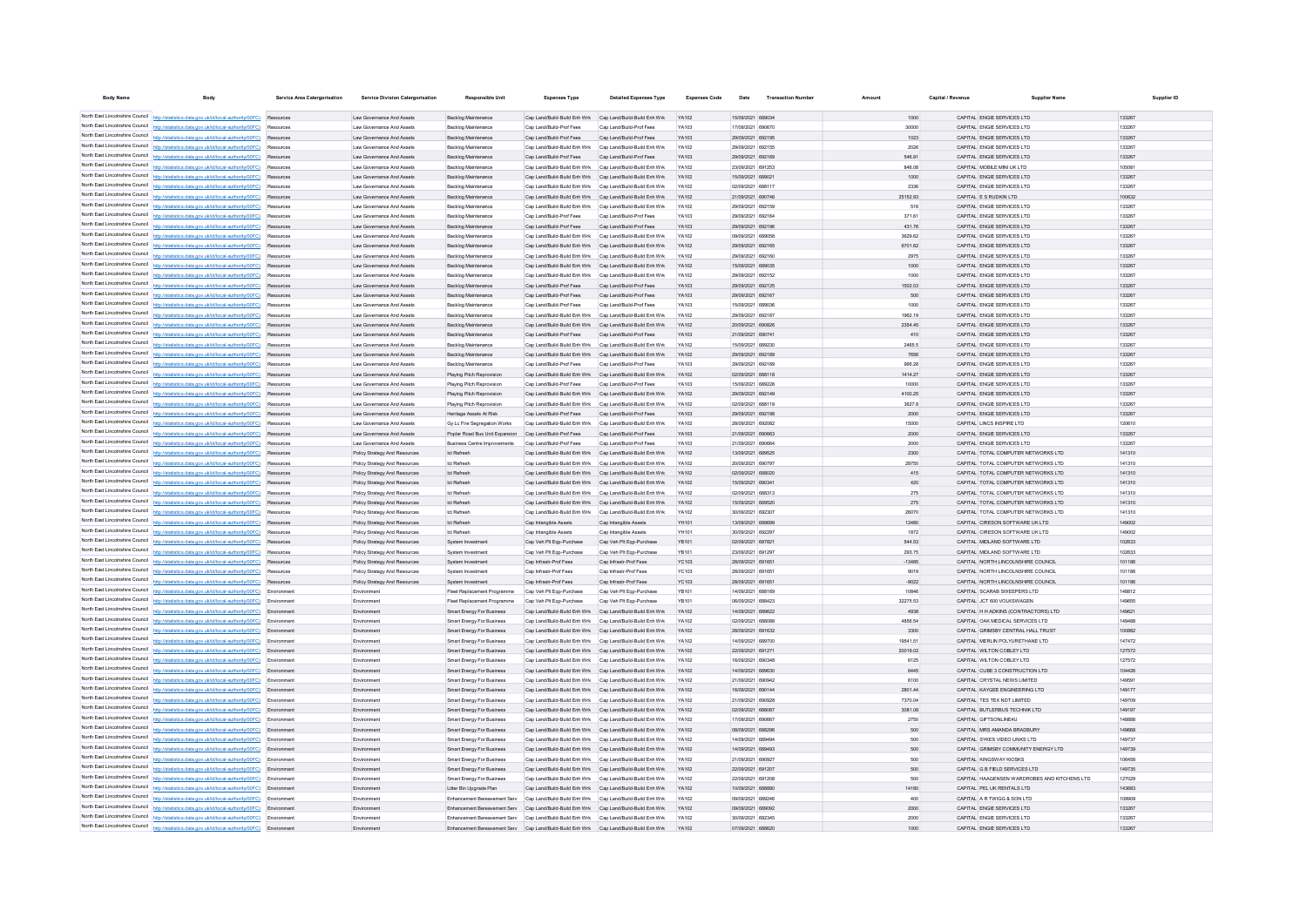| <b>Body Name</b>                |                                                                                                  | Service Area Catergorisation | <b>Service Division Catergorisation</b> | <b>Responsible Uni</b>                                                                 | <b>Expenses Type</b>                                      | <b>Detailed Expenses Type</b>                                   | <b>Expenses Code</b> |                   |          | Capital / Revenue | <b>Supplier Name</b>                         | Supplier ID |
|---------------------------------|--------------------------------------------------------------------------------------------------|------------------------------|-----------------------------------------|----------------------------------------------------------------------------------------|-----------------------------------------------------------|-----------------------------------------------------------------|----------------------|-------------------|----------|-------------------|----------------------------------------------|-------------|
|                                 |                                                                                                  |                              |                                         |                                                                                        |                                                           |                                                                 |                      |                   |          |                   |                                              |             |
|                                 | North East Lincolnshire Council http://statistics.data.gov.uk/id/local-authority/00FC) Resources |                              | Law Governance And Assets               | Backlog Maintenance                                                                    |                                                           | Cap Land/Build-Build Enh Wrk Cap Land/Build-Build Enh Wrk YA102 |                      | 15/09/2021 689034 | 1000     |                   | CAPITAL ENGIE SERVICES LTD                   | 133267      |
|                                 | North East Lincolnshire Council http://statistics.data.gov.uk/id/local-authority/00FC)           | Resources                    | Law Governance And Assets               | <b>Backlog Maintenance</b>                                                             | Cap Land/Build-Prof Fees                                  | Cap Land/Build-Prof Fees                                        | YA103                | 17/09/2021 690670 | 30000    |                   | CAPITAL ENGIE SERVICES LTD                   | 133267      |
|                                 | North East Lincolnshire Council http://statistics.data.gov.uk/id/local-authority/00FC)           | Resources                    | Law Governance And Assets               | <b>Backlog Maintenance</b>                                                             | Cap Land/Build-Prof Fees                                  | Cap Land/Build-Prof Fees                                        | YA103                | 29/09/2021 692195 | 1023     |                   | CAPITAL ENGIE SERVICES LTD                   | 133267      |
|                                 | North East Lincolnshire Council http://statistics.data.gov.uk/id/local-authority/00FC)           | Resources                    | Law Governance And Assets               | Backlog Maintenance                                                                    | Cap Land/Build-Build Enh Wrk Cap Land/Build-Build Enh Wrk |                                                                 | <b>YA102</b>         | 29/09/2021 692155 | 2026     |                   | CAPITAL ENGIE SERVICES LTD                   | 133267      |
|                                 | North East Lincolnshire Council http://statistics.data.gov.uk/id/local-authority/00FC)           | Resources                    | Law Governance And Assets               | Backlog Maintenance                                                                    | Cap Land/Build-Prof Fees                                  | Cap Land/Build-Prof Fees                                        | <b>YA103</b>         | 29/09/2021 692169 | 546.91   |                   | CAPITAL ENGIE SERVICES LTD                   | 133267      |
|                                 | North East Lincolnshire Council http://statistics.data.gov.uk/id/local-authority/00FC)           | Resources                    | Law Governance And Assets               | Backlog Maintenance                                                                    | Cap Land/Build-Build Enh Wrk Cap Land/Build-Build Enh Wrk |                                                                 | <b>YA102</b>         | 23/09/2021 691253 | 846.08   |                   | CAPITAL MOBILE MINI UK LTD                   | 105081      |
|                                 | North East Lincolnshire Council http://statistics.data.gov.uk/id/local-authority/00FC)           | Resources                    | Law Governance And Assets               | Backlog Maintenance                                                                    | Cap Land/Build-Build Enh Wrk Cap Land/Build-Build Enh Wrk |                                                                 | YA102                | 15/09/2021 689021 | 1000     |                   | CAPITAL ENGIE SERVICES LTD                   | 133267      |
| North East Lincolnshire Council | http://statistics.data.gov.uk/id/local-authority/00FC)                                           | Resources                    | Law Governance And Assets               | Backlog Maintenance                                                                    | Cap Land/Build-Build Enh Wrk Cap Land/Build-Build Enh Wrk |                                                                 | YA102                | 02/09/2021 688117 | 2336     |                   | CAPITAL ENGIE SERVICES LTD                   | 133267      |
|                                 | North East Lincolnshire Council   http://statistics.data.gov.uk/id/local-authority/00FC)         | Resources                    | Law Governance And Assets               | Backlog Maintenance                                                                    | Cap Land/Build-Build Enh Wrk Cap Land/Build-Build Enh Wrk |                                                                 | YA102                | 21/09/2021 690746 | 25152.93 |                   | CAPITAL ES RUDKIN LTD                        | 100632      |
|                                 | North East Lincolnshire Council   http://statistics.data.gov.uk/id/local-authority/00FC)         | Resources                    | Law Governance And Assets               | Backlog Maintenance                                                                    | Cap Land/Build-Build Enh Wrk Cap Land/Build-Build Enh Wrk |                                                                 | YA102                | 29/09/2021 692159 | 516      |                   | CAPITAL ENGIE SERVICES LTD                   | 133267      |
|                                 | North East Lincolnshire Council http://statistics.data.gov.uk/id/local-authority/00FC)           | Resources                    | Law Governance And Assets               | <b>Backlog Maintenance</b>                                                             | Cap Land/Build-Prof Fees                                  | Cap Land/Build-Prof Fees                                        | YA103                | 29/09/2021 692164 | 371.61   |                   | CAPITAL ENGIE SERVICES LTD                   | 133267      |
|                                 | North East Lincolnshire Council http://statistics.data.gov.uk/id/local-authority/00FC)           | Resources                    | Law Governance And Assets               | <b>Backlog Maintenance</b>                                                             | Cap Land/Build-Prof Fees                                  | Cap Land/Build-Prof Fees                                        | YA103                | 29/09/2021 692196 | 431.76   |                   | CAPITAL ENGIE SERVICES LTD                   | 133267      |
|                                 | North East Lincolnshire Council http://statistics.data.gov.uk/id/local-authority/00FC)           | Resources                    | Law Governance And Assets               | <b>Backlog Maintenance</b>                                                             | Cap Land/Build-Build Enh Wrk Cap Land/Build-Build Enh Wrk |                                                                 | <b>YA102</b>         | 09/09/2021 689058 | 3629.62  |                   | CAPITAL ENGIE SERVICES LTD                   | 133267      |
|                                 | North East Lincolnshire Council http://statistics.data.gov.uk/id/local-authority/00FC)           | Resources                    | Law Governance And Assets               | Backlog Maintenance                                                                    | Cap Land/Build-Build Enh Wrk Cap Land/Build-Build Enh Wrk |                                                                 | <b>YA102</b>         | 29/09/2021 692165 | 6701.62  |                   | CAPITAL ENGIE SERVICES LTD                   | 133267      |
|                                 | North East Lincolnshire Council http://statistics.data.gov.uk/id/local-authority/00FC)           | Resources                    | Law Governance And Assets               | Backlog Maintenance                                                                    | Cap Land/Build-Build Enh Wrk Cap Land/Build-Build Enh Wrk |                                                                 | <b>YA102</b>         | 29/09/2021 692160 | 2975     |                   | CAPITAL ENGIE SERVICES LTD                   | 133267      |
|                                 | North East Lincolnshire Council http://statistics.data.gov.uk/id/local-authority/00FC)           | Resources                    | Law Governance And Assets               | Backlog Maintenance                                                                    | Cap Land/Build-Build Enh Wrk Cap Land/Build-Build Enh Wrk |                                                                 | YA102                | 15/09/2021 689035 | 1000     |                   | CAPITAL ENGIE SERVICES LTD                   | 133267      |
|                                 | North East Lincolnshire Council http://statistics.data.gov.uk/id/local-authority/00FC)           | Resources                    | Law Governance And Assets               | Backlog Maintenance                                                                    | Cap Land/Build-Build Enh Wrk Cap Land/Build-Build Enh Wrk |                                                                 | YA102                | 29/09/2021 692152 | 1000     |                   | CAPITAL ENGIE SERVICES LTD                   | 133267      |
|                                 | North East Lincolnshire Council http://statistics.data.gov.uk/id/local-authority/00FC)           | Resources                    | Law Governance And Assets               | Backlog Maintenance                                                                    | Cap Land/Build-Prof Fees                                  | Cap Land/Build-Prof Fees                                        | <b>YA103</b>         | 29/09/2021 692125 | 1502.03  |                   | CAPITAL ENGIE SERVICES LTD                   | 133267      |
|                                 | North East Lincolnshire Council http://statistics.data.gov.uk/id/local-authority/00FC)           | Resources                    | Law Governance And Assets               | Backlog Maintenance                                                                    | Cap Land/Build-Prof Fees                                  | Cap Land/Build-Prof Fees                                        | YA103                | 29/09/2021 692167 | 500      |                   | CAPITAL ENGIE SERVICES LTD                   | 133267      |
|                                 | North East Lincolnshire Council http://statistics.data.gov.uk/id/local-authority/00FC)           | Resources                    | Law Governance And Assets               | Backlog Maintenance                                                                    | Cap Land/Build-Prof Fees                                  | Cap Land/Build-Prof Fees                                        | YA103                | 15/09/2021 689036 | 1000     |                   | CAPITAL ENGIE SERVICES LTD                   | 133267      |
|                                 | North East Lincolnshire Council http://statistics.data.gov.uk/id/local-authority/00FC)           | Resources                    | Law Governance And Assets               | Backlog Maintenance                                                                    | Cap Land/Build-Build Enh Wrk Cap Land/Build-Build Enh Wrk |                                                                 | YA102                | 29/09/2021 692187 | 1962.19  |                   | CAPITAL ENGIE SERVICES LTD                   | 133267      |
|                                 | North East Lincolnshire Council http://statistics.data.gov.uk/id/local-authority/00FC)           | Resources                    | Law Governance And Assets               | <b>Backlog Maintenance</b>                                                             | Cap Land/Build-Build Enh Wrk Cap Land/Build-Build Enh Wrk |                                                                 | YA102                | 20/09/2021 690826 | 2354.45  |                   | CAPITAL ENGIE SERVICES LTD                   | 133267      |
|                                 | North East Lincolnshire Council http://statistics.data.gov.uk/id/local-authority/00FC)           | Resources                    | Law Governance And Assets               | Backlog Maintenance                                                                    | Cap Land/Build-Prof Fees                                  | Can Land/Build-Prof Fees                                        | <b>YA103</b>         | 21/09/2021 690741 | 410      |                   | CAPITAL FNGIF SERVICES LTD                   | 133267      |
|                                 | North East Lincolnshire Council http://statistics.data.gov.uk/id/local-authority/00FC)           | Resources                    | I aw Governance And Assets              | <b>Backlon Maintenance</b>                                                             | Cap Land/Build-Build Enh Wrk Cap Land/Build-Build Enh Wrk |                                                                 | <b>YA102</b>         | 15/09/2021 689230 | 2465.5   |                   | CAPITAL ENGIE SERVICES LTD.                  | 133267      |
|                                 | North East Lincolnshire Council http://statistics.data.gov.uk/id/local-authority/00FC)           | Resources                    | Law Governance And Assets               | Backlog Maintenance                                                                    | Cap Land/Build-Build Enh Wrk Cap Land/Build-Build Enh Wrk |                                                                 | <b>YA102</b>         | 29/09/2021 692189 | 7656     |                   | CAPITAL ENGIE SERVICES LTD                   | 133267      |
|                                 |                                                                                                  |                              | I aw Governance And Assets              | Backlog Maintenance                                                                    | Cap Land/Build-Prof Fees                                  | Can Land/Build-Prof Fees                                        | <b>YA103</b>         | 29/09/2021 692189 | 995.28   |                   | CAPITAL ENGIE SERVICES LTD.                  | 133267      |
|                                 | North East Lincolnshire Council http://statistics.data.gov.uk/id/local-authority/00FC) Resources |                              |                                         |                                                                                        |                                                           |                                                                 |                      |                   |          |                   |                                              |             |
|                                 | North East Lincolnshire Council http://statistics.data.gov.uk/id/local-authority/00FC)           | Resources                    | Law Governance And Assets               | Playing Pitch Reprovision                                                              | Cap Land/Build-Build Enh Wrk                              | Cap Land/Build-Build Enh Wrk                                    | YA102                | 02/09/2021 688118 | 1414.27  |                   | CAPITAL ENGIE SERVICES LTD                   | 133267      |
|                                 | North East Lincolnshire Council http://statistics.data.gov.uk/id/local-authority/00FC)           | Resources                    | Law Governance And Assets               | Playing Pitch Reprovision                                                              | Cap Land/Build-Prof Fees                                  | Cap Land/Build-Prof Fees                                        | YA103                | 15/09/2021 689228 | 10000    |                   | CAPITAL ENGIE SERVICES LTD                   | 133267      |
|                                 | North East Lincolnshire Council http://statistics.data.gov.uk/id/local-authority/00FC)           | Resources                    | Law Governance And Assets               | Playing Pitch Reprovision                                                              | Cap Land/Build-Build Enh Wrk                              | Cap Land/Build-Build Enh Wrk                                    | YA102                | 29/09/2021 692149 | 4100.25  |                   | CAPITAL ENGIE SERVICES LTD                   | 133267      |
|                                 | North East Lincolnshire Council http://statistics.data.gov.uk/id/local-authority/00FC)           | Resources                    | Law Governance And Assets               | Playing Pitch Reprovision                                                              | Cap Land/Build-Build Enh Wrk Cap Land/Build-Build Enh Wrk |                                                                 | YA102                | 02/09/2021 688119 | 3627.8   |                   | CAPITAL ENGIE SERVICES LTD                   | 133267      |
|                                 | North East Lincolnshire Council http://statistics.data.gov.uk/id/local-authority/00FC)           |                              | Law Governance And Assets               | Heritage Assets At Risk                                                                | Cap Land/Build-Prof Fees                                  | Cap Land/Build-Prof Fees                                        | YA103                | 29/09/2021 692198 | 2000     |                   | CAPITAL ENGIE SERVICES LTD                   | 133267      |
|                                 | North East Lincolnshire Council http://statistics.data.gov.uk/id/local-authority/00FC)           |                              | Law Governance And Assets               | Gy Lc Fire Segregation Works                                                           | Cap Land/Build-Build Enh Wrk                              | Cap Land/Build-Build Enh Wrk                                    | YA102                | 28/09/2021 692082 | 15000    |                   | CAPITAL LINCS INSPIRE LTD                    | 120610      |
|                                 | North East Lincolnshire Council http://statistics.data.gov.uk/id/local-authority/00FC)           |                              | Law Governance And Assets               | Poplar Road Bus Unit Expansion                                                         | Cap Land/Build-Prof Fees                                  | Cap Land/Build-Prof Fees                                        | YA103                | 21/09/2021 690663 | 2000     |                   | CAPITAL ENGIE SERVICES LTD                   | 133267      |
|                                 | North East Lincolnshire Council http://statistics.data.gov.uk/id/local-authority/00FC)           |                              | Law Governance And Asset                | <b>Business Centre Improvements</b>                                                    | Cap Land/Build-Prof Fees                                  | Cap Land/Build-Prof Fees                                        | YA103                | 21/09/2021 690664 | 2000     |                   | CAPITAL ENGIE SERVICES LTD                   | 133267      |
|                                 | North East Lincolnshire Council http://statistics.data.gov.uk/id/local-authority/00FC)           |                              | Policy Strategy And Resources           | Ict Refresh                                                                            | Cap Land/Build-Build Enh Wrk                              | Cap Land/Build-Build Enh Wrk                                    | YA102                | 13/09/2021 689525 | 2300     |                   | CAPITAL TOTAL COMPUTER NETWORKS LTD          | 141310      |
|                                 | North East Lincolnshire Council http://statistics.data.gov.uk/id/local-authority/00FC)           |                              | Policy Strategy And Resources           | Ict Refresh                                                                            | Cap Land/Build-Build Enh Wrk Cap Land/Build-Build Enh Wrk |                                                                 | YA102                | 20/09/2021 690797 | 28750    |                   | CAPITAL TOTAL COMPUTER NETWORKS LTD          | 141310      |
|                                 | North East Lincolnshire Council http://statistics.data.gov.uk/id/local-authority/00FC)           |                              | Policy Strategy And Resources           | Ict Refresh                                                                            | Cap Land/Build-Build Enh Wrk Cap Land/Build-Build Enh Wrk |                                                                 | YA102                | 02/09/2021 688020 | 415      |                   | CAPITAL TOTAL COMPUTER NETWORKS LTD          | 141310      |
|                                 | North East Lincolnshire Council http://statistics.data.gov.uk/id/local-authority/00FC)           |                              | Policy Strategy And Resources           | Ict Refresh                                                                            | Cap Land/Build-Build Enh Wrk Cap Land/Build-Build Enh Wrk |                                                                 | YA102                | 15/09/2021 690341 | 420      |                   | CAPITAL TOTAL COMPUTER NETWORKS LTD          | 141310      |
|                                 | North East Lincolnshire Council http://statistics.data.gov.uk/id/local-authority/00FC)           | Resources                    | Policy Strategy And Resources           | <b>Ict Refresh</b>                                                                     | Cap Land/Build-Build Enh Wrk Cap Land/Build-Build Enh Wrk |                                                                 | YA102                | 02/09/2021 688313 | 275      |                   | CAPITAL TOTAL COMPUTER NETWORKS LTD          | 141310      |
|                                 | North East Lincolnshire Council http://statistics.data.gov.uk/id/local-authority/00FC)           | Resources                    | Policy Strategy And Resources           | <b>Ict Refresh</b>                                                                     | Cap Land/Build-Build Enh Wrk Cap Land/Build-Build Enh Wrk |                                                                 | YA102                | 15/09/2021 689520 | 275      |                   | CAPITAL TOTAL COMPUTER NETWORKS LTD          | 141310      |
|                                 | North East Lincolnshire Council http://statistics.data.gov.uk/id/local-authority/00FC)           | Resources                    | Policy Strategy And Resources           | <b>Ict Refresh</b>                                                                     | Cap Land/Build-Build Enh Wrk Cap Land/Build-Build Enh Wrk |                                                                 | YA102                | 30/09/2021 692307 | 26070    |                   | CAPITAL TOTAL COMPUTER NETWORKS LTD          | 141310      |
|                                 | North East Lincolnshire Council http://statistics.data.gov.uk/id/local-authority/00FC)           |                              | Policy Strategy And Resources           | Ict Refresh                                                                            | Cap Intangible Assets                                     | Cap Intangible Assets                                           | YH101                | 13/09/2021 689699 | 12480    |                   | CAPITAL CIRESON SOFTWARE UK LTD              | 149002      |
|                                 | North East Lincolnshire Council http://statistics.data.gov.uk/id/local-authority/00FC)           | Resources                    | Policy Strategy And Resources           | <b>Ict Refresh</b>                                                                     | Cap Intangible Assets                                     | Cap Intangible Assets                                           | <b>YH101</b>         | 30/09/2021 692297 | 1872     |                   | CAPITAL CIRESON SOFTWARE UK LTD              | 149002      |
|                                 | North East Lincolnshire Council http://statistics.data.gov.uk/id/local-authority/00FC)           |                              | Policy Strategy And Resources           | System Investment                                                                      | Cap Veh Plt Eqp-Purchase                                  | Cap Veh Pit Eqp-Purchase                                        | YB101                | 02/09/2021 687821 | 544.53   |                   | CAPITAL MIDLAND SOFTWARE LTD                 | 102633      |
|                                 | North East Lincolnshire Council http://statistics.data.gov.uk/id/local-authority/00FC)           |                              | Policy Strategy And Resources           | System Investment                                                                      | Cap Veh Plt Eqp-Purchase                                  | Cap Veh Pit Eqp-Purchase                                        | <b>YR101</b>         | 23/09/2021 691297 | 293.75   |                   | CAPITAL MIDLAND SOFTWARE LTD                 | 102633      |
|                                 | North East Lincolnshire Council http://statistics.data.gov.uk/id/local-authority/00FC)           |                              | Policy Strategy And Resources           | System Investment                                                                      | Cap Infrastr-Prof Fees                                    | Cap Infrastr-Prof Fees                                          | <b>YC103</b>         | 28/09/2021 691651 | $-13485$ |                   | CAPITAL NORTH LINCOLNSHIRE COUNCI            | 101186      |
|                                 | North East Lincolnshire Council http://statistics.data.gov.uk/id/local-authority/00FC)           |                              | Policy Strategy And Resources           | System Investmen                                                                       | Cap Infrastr-Prof Fees                                    | Cap Infrastr-Prof Fees                                          | YC103                | 28/09/2021 691651 | 9019     |                   | CAPITAL NORTH LINCOLNSHIRE COUNCI            | 101186      |
|                                 | North East Lincolnshire Council http://statistics.data.gov.uk/id/local-authority/00FC)           |                              | Policy Strategy And Resources           | System Investment                                                                      | Cap Infrastr-Prof Fees                                    | Cap Infrastr-Prof Fees                                          | YC103                | 28/09/2021 691651 | $-9022$  |                   | CAPITAL NORTH LINCOLNSHIRE COUNCIL           | 101186      |
|                                 | North East Lincolnshire Council http://statistics.data.gov.uk/id/local-authority/00FC)           |                              | Environmen                              | Fleet Replacement Programme                                                            | Cap Veh Plt Eqp-Purchase                                  | Cap Veh Pit Eqp-Purchase                                        | YB101                | 14/09/2021 688169 | 10846    |                   | CAPITAL SCARAB SWEEPERS LTD                  | 148812      |
|                                 | North East Lincolnshire Council http://statistics.data.gov.uk/id/local-authority/00FC)           |                              | Environmen                              | Fleet Replacement Programme                                                            | Cap Veh Plt Eqp-Purchase                                  | Cap Veh Plt Eqp-Purchase                                        | YB101                | 06/09/2021 688423 | 32275.53 |                   | CAPITAL JCT 600 VOLKSWAGEN                   | 149655      |
|                                 | North East Lincolnshire Council http://statistics.data.gov.uk/id/local-authority/00FC)           |                              | Environmen                              | Smart Energy For Business                                                              | Cap Land/Build-Build Enh Wrk                              | Cap Land/Build-Build Enh Wrk                                    | YA102                | 14/09/2021 689622 | 4938     |                   | CAPITAL H H ADKINS (CONTRACTORS) LTD         | 149621      |
|                                 | North East Lincolnshire Council http://statistics.data.gov.uk/id/local-authority/00FC)           |                              | Environmen                              | Smart Energy For Business                                                              | Cap Land/Build-Build Enh Wrk                              | Cap Land/Build-Build Enh Wrk                                    | <b>YA102</b>         | 02/09/2021 688088 | 4856.54  |                   | CAPITAL OAK MEDICAL SERVICES LTD             | 149488      |
|                                 | North East Lincolnshire Council http://statistics.data.gov.uk/id/local-authority/00FC)           |                              | Environmen                              |                                                                                        | Cap Land/Build-Build Enh Wrk                              | Cap Land/Build-Build Enh Wrk                                    | <b>YA102</b>         | 28/09/2021 691632 | 3300     |                   | CAPITAL GRIMSBY CENTRAL HALL TRUST           | 100882      |
|                                 | North East Lincolnshire Council http://statistics.data.gov.uk/id/local-authority/00FC)           |                              |                                         | <b>Smart Energy For Business</b>                                                       | Cap Land/Build-Build Enh Wrk                              | Cap Land/Build-Build Enh Wrk                                    | YA102                | 4/09/2021 689700  | 19541.51 |                   | CAPITAL MERLIN POLYURETHANE LTD              | 147472      |
|                                 |                                                                                                  |                              | Environmen                              | Smart Energy For Business                                                              |                                                           |                                                                 |                      |                   |          |                   |                                              |             |
|                                 | North East Lincolnshire Council http://statistics.data.gov.uk/id/local-authority/00FC)           | Environment                  | Environmen                              | <b>Smart Energy For Business</b>                                                       | Cap Land/Build-Build Enh Wrk                              | Cap Land/Build-Build Enh Wrk                                    | <b>YA102</b>         | 22/09/2021 691271 | 20019.02 |                   | CAPITAL WILTON COBLEY LTD                    | 127572      |
|                                 | North East Lincolnshire Council http://statistics.data.gov.uk/id/local-authority/00FC)           | Environmen                   | Environmen                              | <b>Smart Energy For Business</b>                                                       | Cap Land/Build-Build Enh Wrk                              | Cap Land/Build-Build Enh Wrk                                    | YA102                | 6/09/2021 690348  | 6125     |                   | CAPITAL WILTON COBLEY LTD                    | 127572      |
|                                 | North East Lincolnshire Council http://statistics.data.gov.uk/id/local-authority/00FC)           | Environment                  | Environmen                              | <b>Smart Energy For Business</b>                                                       | Cap Land/Build-Build Enh Wrk Cap Land/Build-Build Enh Wrk |                                                                 | <b>YA102</b>         | 14/09/2021 689630 | 6445     |                   | CAPITAL CUBE 3 CONSTRUCTION LTD              | 104426      |
|                                 | North East Lincolnshire Council http://statistics.data.gov.uk/id/local-authority/00FC)           | Environmen                   | Environmen                              | <b>Smart Energy For Business</b>                                                       | Cap Land/Build-Build Enh Wrk Cap Land/Build-Build Enh Wrk |                                                                 | YA102                | 21/09/2021 690942 | 6100     |                   | CAPITAL CRYSTAL NEWS LIMITED                 | 149591      |
|                                 | North East Lincolnshire Council http://statistics.data.gov.uk/id/local-authority/00FC)           | Environment                  | Environmen                              | <b>Smart Energy For Business</b>                                                       |                                                           | Cap Land/Build-Build Enh Wrk Cap Land/Build-Build Enh Wrk YA102 |                      | 16/09/2021 690144 | 2801.44  |                   | CAPITAL KAYGEE ENGINEERING LTD               | 149177      |
| North East Lincolnshire Council | http://statistics.data.gov.uk/id/local-authority/00FC)                                           | Environment                  | Environmen                              | <b>Smart Energy For Business</b>                                                       | Cap Land/Build-Build Enh Wrk Cap Land/Build-Build Enh Wrk |                                                                 | YA102                | 21/09/2021 690928 | 7370.04  |                   | CAPITAL TES TEX NDT LIMITED                  | 149709      |
|                                 | North East Lincolnshire Council http://statistics.data.gov.uk/id/local-authority/00FC)           | Environment                  | Environmen                              | <b>Smart Energy For Business</b>                                                       |                                                           | Cap Land/Build-Build Enh Wrk Cap Land/Build-Build Enh Wrk YA102 |                      | 02/09/2021 688087 | 3081.08  |                   | CAPITAL BUTLERBUS TECHNIK LTD                | 149197      |
| North East Lincolnshire Council | http://statistics.data.gov.uk/id/local-authority/00FC)                                           | Environment                  | Environmen                              | <b>Smart Energy For Business</b>                                                       | Cap Land/Build-Build Enh Wrk Cap Land/Build-Build Enh Wrk |                                                                 | <b>YA102</b>         | 17/09/2021 69066  | 2750     |                   | CAPITAL GIFTSONLINE4U                        | 148888      |
| North East Lincolnshire Council | http://statistics.data.gov.uk/id/local-authority/00FC)                                           | Environment                  | Environmen                              | Smart Energy For Business                                                              |                                                           | Cap Land/Build-Build Enh Wrk Cap Land/Build-Build Enh Wrk YA102 |                      | 08/09/2021 688296 | 500      |                   | CAPITAL MRS AMANDA BRADBURY                  | 149668      |
| North East Lincolnshire Council | http://statistics.data.gov.uk/id/local-authority/00FC)                                           | Environment                  | Environmen                              | Smart Energy For Business                                                              | Cap Land/Build-Build Enh Wrk Cap Land/Build-Build Enh Wrk |                                                                 | <b>YA102</b>         | 14/09/2021 689494 | 500      |                   | CAPITAL SYKES VIDEO LINKS LTD                | 149737      |
| North East Lincolnshire Council | http://statistics.data.gov.uk/id/local-authority/00FC)                                           | Environment                  | Environmen                              | Smart Energy For Business                                                              |                                                           | Cap Land/Build-Build Enh Wrk Cap Land/Build-Build Enh Wrk YA102 |                      | 14/09/2021 689493 | 500      |                   | CAPITAL GRIMSBY COMMUNITY ENERGY LTD         | 149739      |
| North East Lincolnshire Council | http://statistics.data.gov.uk/id/local-authority/00FC)                                           | Environment                  | Environmen                              | Smart Energy For Business                                                              | Cap Land/Build-Build Enh Wrk Cap Land/Build-Build Enh Wrk |                                                                 | YA102                | 21/09/2021 690927 | 500      |                   | CAPITAL KINGSWAY KIOSKS                      | 106458      |
| North East Lincolnshire Council | http://statistics.data.gov.uk/id/local-authority/00FC)                                           | Environment                  | Environmen                              | Smart Energy For Business                                                              |                                                           | Cap Land/Build-Build Enh Wrk Cap Land/Build-Build Enh Wrk YA102 |                      | 22/09/2021 691207 | 500      |                   | CAPITAL G B FIELD SERVICES LTD               | 149735      |
|                                 | North East Lincolnshire Council http://statistics.data.gov.uk/id/local-authority/00FC)           | Environmen                   | Environmen                              | <b>Smart Energy For Business</b>                                                       | Cap Land/Build-Build Enh Wrk Cap Land/Build-Build Enh Wrk |                                                                 | YA102                | 22/09/2021 691208 | 500      |                   | CAPITAL HAAGENSEN WARDROBES AND KITCHENS LTD | 127029      |
|                                 | North East Lincolnshire Council http://statistics.data.gov.uk/id/local-authority/00FC)           | Environment                  | Environmen                              | Litter Bin Upgrade Plan                                                                | Cap Land/Build-Build Enh Wrk Cap Land/Build-Build Enh Wrk |                                                                 | <b>YA102</b>         | 10/09/2021 688880 | 14180    |                   | CAPITAL PEL UK RENTALS LTD                   | 143683      |
|                                 | North East Lincolnshire Council http://statistics.data.gov.uk/id/local-authority/00FC)           | Environmen                   | Environmen                              | Enhancement Bereavement Serv                                                           | Cap Land/Build-Build Enh Wrk Cap Land/Build-Build Enh Wrk |                                                                 | YA102                | 09/09/2021 689246 | 400      |                   | CAPITAL A R TWIGG & SON LTD                  | 109909      |
|                                 | North East Lincolnshire Council http://statistics.data.gov.uk/id/local-authority/00FC)           | Environment                  | Environmen                              | Enhancement Bereavement Serv Cap Land/Build-Build Enh Wrk Cap Land/Build-Build Enh Wrk |                                                           |                                                                 | <b>YA102</b>         | 09/09/2021 689092 | 2000     |                   | CAPITAL ENGIE SERVICES LTD                   | 133267      |
|                                 | North East Lincolnshire Council http://statistics.data.gov.uk/id/local-authority/00FC)           | Environment                  | Environmen                              | Enhancement Bereavement Serv Cap Land/Build-Build Enh Wrk Cap Land/Build-Build Enh Wrk |                                                           |                                                                 | <b>YA102</b>         | 30/09/2021 692345 | 2000     |                   | CAPITAL ENGIE SERVICES LTD                   | 133267      |
| North East Lincolnshire Council | http://statistics.data.gov.uk/id/local-authority/00FC)                                           | Environment                  | Environmen                              | Enhancement Bereavement Serv Cap Land/Build-Build Enh Wrk Cap Land/Build-Build Enh Wrk |                                                           |                                                                 | <b>YA102</b>         | 07/09/2021 688620 | 1000     |                   | CAPITAL ENGIE SERVICES LTD                   | 133267      |
|                                 |                                                                                                  |                              |                                         |                                                                                        |                                                           |                                                                 |                      |                   |          |                   |                                              |             |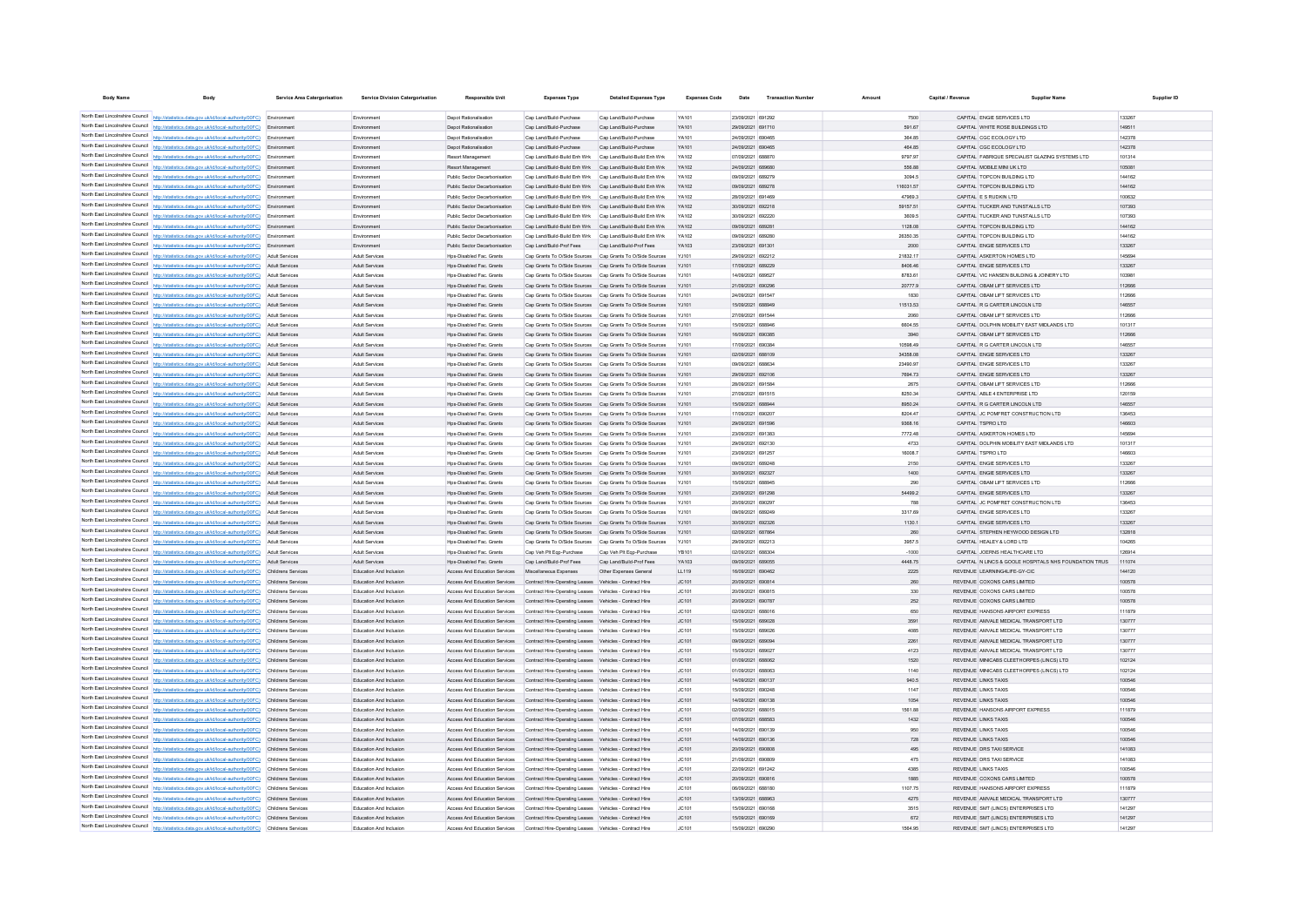| <b>Body Name</b>                | <b>Body</b>                                                                                           | Service Area Catergorisation | <b>Service Division Catergorisation</b> | <b>Responsible Unit</b>                                                                 | <b>Expenses Type</b>                                      | <b>Detailed Expenses Type</b>                                    | <b>Expenses Code</b> | Date              | <b>Transaction Number</b> |           | Capital / Revenue | <b>Supplier Name</b>                                  |        | Supplier ID |
|---------------------------------|-------------------------------------------------------------------------------------------------------|------------------------------|-----------------------------------------|-----------------------------------------------------------------------------------------|-----------------------------------------------------------|------------------------------------------------------------------|----------------------|-------------------|---------------------------|-----------|-------------------|-------------------------------------------------------|--------|-------------|
|                                 |                                                                                                       |                              |                                         |                                                                                         |                                                           |                                                                  |                      |                   |                           |           |                   |                                                       |        |             |
|                                 | North East Lincolnshire Council http://statistics.data.gov.uk/id/local-authority/00FC) Environment    |                              | Environment                             | Depot Rationalisation                                                                   | Cap Land/Build-Purchase                                   | Cap Land/Build-Purchase                                          | YA101                | 23/09/2021 691292 |                           | 7500      |                   | CAPITAL ENGIE SERVICES LTD                            | 133267 |             |
|                                 | North East Lincolnshire Council http://statistics.data.gov.uk/id/local-authority/00FC)                | Environment                  | Environment                             | Depot Rationalisation                                                                   | Cap Land/Build-Purchase                                   | Cap Land/Build-Purchase                                          | <b>YA101</b>         | 29/09/2021 691710 |                           | 591.67    |                   | CAPITAL WHITE ROSE BUILDINGS LTD                      | 149511 |             |
|                                 | North East Lincolnshire Council http://statistics.data.gov.uk/id/local-authority/00FC) Environment    |                              | Environment                             | Depot Rationalisation                                                                   | Cap Land/Build-Purchase                                   | Cap Land/Build-Purchase                                          | YA101                | 24/09/2021 690465 |                           | 364.85    |                   | CAPITAL CGC ECOLOGY LTD                               | 142378 |             |
|                                 | North East Lincolnshire Council http://statistics.data.gov.uk/id/local-authority/00FC) Environment    |                              | Environment                             | Depot Rationalisation                                                                   | Cap Land/Build-Purchase                                   | Cap Land/Build-Purchase                                          | <b>YA101</b>         | 24/09/2021 690465 |                           | 464.85    |                   | CAPITAL CGC ECOLOGY LTD                               | 142378 |             |
|                                 | North East Lincolnshire Council http://statistics.data.gov.uk/id/local-authority/00FC) Environment    |                              | Environment                             | Resort Management                                                                       | Can Land/Build-Build Fnh Wrk Can Land/Build-Build Fnh Wrk |                                                                  | <b>YA102</b>         | 07/09/2021 688870 |                           | 9797 97   |                   | CAPITAL FARRIOUF SPECIALIST GLAZING SYSTEMS LTD.      | 101314 |             |
|                                 | North East Lincolnshire Council http://statistics.data.gov.uk/id/local-authority/00FC) Environment    |                              | Environment                             | Resort Management                                                                       |                                                           | Can Land/Build-Build Fnh Wrk Can Land/Build-Build Fnh Wrk YA102  |                      | 24/09/2021 689680 |                           | 556.88    |                   | CAPITAL MOBILE MINI UK LTD                            | 105081 |             |
|                                 | North East Lincolnshire Council http://statistics.data.gov.uk/id/local-authority/00FC) Environment    |                              | Environment                             | Public Sector Decarbonisation                                                           |                                                           | Can Land/Build-Build Fnh Wrk Can Land/Build-Build Fnh Wrk YA102  |                      | 09/09/2021 689279 |                           | 3094.5    |                   | CAPITAL TOPCON BUILDING LTD                           | 144162 |             |
|                                 | North East Lincolnshire Council http://statistics.data.gov.uk/id/local-authority/00FC) Environment    |                              | Environment                             | Public Sector Decarbonisation                                                           |                                                           | Cap Land/Build-Build Enh Wrk Cap Land/Build-Build Enh Wrk YA102  |                      | 09/09/2021 689278 |                           | 116031.57 |                   | CAPITAL TOPCON BUILDING LTD                           | 144162 |             |
|                                 | North East Lincolnshire Council http://statistics.data.gov.uk/id/local-authority/00FC) Environment    |                              | Environment                             | Public Sector Decarbonisation                                                           |                                                           | Cap Land/Build-Build Enh Wrk Cap Land/Build-Build Enh Wrk YA102  |                      | 28/09/2021 691469 |                           | 47969.3   |                   | CAPITAL E S RUDKIN LTD                                | 100632 |             |
|                                 | North East Lincolnshire Council http://statistics.data.gov.uk/id/local-authority/00FC) Environment    |                              | Environment                             | Public Sector Decarbonisation                                                           |                                                           | Cap Land/Build-Build Enh Wrk Cap Land/Build-Build Enh Wrk YA102  |                      | 30/09/2021 692218 |                           | 59157.51  |                   | CAPITAL TUCKER AND TUNSTALLS LTD                      | 107393 |             |
|                                 | North East Lincolnshire Council http://statistics.data.gov.uk/id/local-authority/00FC) Environment    |                              | Environment                             | Public Sector Decarbonisation                                                           |                                                           | Cap Land/Build-Build Enh Wrk Cap Land/Build-Build Enh Wrk YA102  |                      | 30/09/2021 692220 |                           | 3609.5    |                   | CAPITAL TUCKER AND TUNSTALLS LTD                      | 107393 |             |
|                                 | North East Lincolnshire Council http://statistics.data.gov.uk/id/local-authority/00FC) Environment    |                              | Environment                             | Public Sector Decarbonisation                                                           |                                                           | Cap Land/Build-Build Enh Wrk Cap Land/Build-Build Enh Wrk YA102  |                      | 09/09/2021 689281 |                           | 1128.08   |                   | CAPITAL TOPCON BUILDING LTD                           | 144162 |             |
|                                 | North East Lincolnshire Council http://statistics.data.gov.uk/id/local-authority/00FC) Environment    |                              | Environment                             | Public Sector Decarbonisation                                                           | Cap Land/Build-Build Enh Wrk Cap Land/Build-Build Enh Wrk |                                                                  | <b>YA102</b>         | 09/09/2021 689280 |                           | 26350.35  |                   | CAPITAL TOPCON BUILDING LTD                           | 144162 |             |
|                                 | North East Lincolnshire Council http://statistics.data.gov.uk/id/local-authority/00FC) Environment    |                              | Environment                             | Public Sector Decarbonisation                                                           | Cap Land/Build-Prof Fees Cap Land/Build-Prof Fees         |                                                                  | <b>YA103</b>         | 23/09/2021 691301 |                           | 2000      |                   | CAPITAL ENGIE SERVICES LTD                            | 133267 |             |
|                                 | North East Lincolnshire Council http://statistics.data.gov.uk/id/local-authority/00FC) Adult Services |                              | <b>Adult Services</b>                   | Hos-Disabled Fac. Grants                                                                |                                                           | Cap Grants To O/Side Sources Cap Grants To O/Side Sources        | YJ101                | 29/09/2021 692212 |                           | 21832.17  |                   | CAPITAL ASKERTON HOMES LTD                            | 145694 |             |
|                                 | North East Lincolnshire Council http://statistics.data.gov.uk/id/local-authority/00FC) Adult Services |                              | <b>Adult Services</b>                   | Hns-Disabled Fac Grants                                                                 |                                                           | Can Grants To O/Side Sources Can Grants To O/Side Sources Y.1101 |                      | 17/09/2021 689229 |                           | 8406.46   |                   | CAPITAL FNGIF SERVICES LTD                            | 133267 |             |
|                                 | North East Lincolnshire Council http://statistics.data.gov.uk/id/local-authority/00FC) Adult Services |                              | <b>Adult Services</b>                   | <b>Hos-Disabled Fac Grants</b>                                                          |                                                           | Can Grants To O/Side Sources Can Grants To O/Side Sources Y.1101 |                      | 14/09/2021 689527 |                           | 8783.61   |                   | CAPITAL VIC HANSEN BUILDING & JOINERY LTD             | 103981 |             |
|                                 | North East Lincolnshire Council http://statistics.data.gov.uk/id/local-authority/00FC) Adult Services |                              | <b>Adult Services</b>                   | <b>Hos-Disabled Fac Grants</b>                                                          |                                                           | Can Grants To O/Side Sources Can Grants To O/Side Sources Y.1101 |                      | 21/09/2021 690296 |                           | 20777.9   |                   | CAPITAL ORAM LIFT SERVICES LTD                        | 112666 |             |
|                                 | North East Lincolnshire Council http://statistics.data.gov.uk/id/local-authority/00FC) Adult Services |                              | <b>Adult Services</b>                   | <b>Hos-Disabled Fac Grants</b>                                                          |                                                           | Can Grants To O/Side Sources Can Grants To O/Side Sources Y.1101 |                      | 24/09/2021 691547 |                           | 1830      |                   | CAPITAL ORAM LIFT SERVICES LTD.                       | 112666 |             |
|                                 |                                                                                                       |                              | <b>Adult Services</b>                   |                                                                                         |                                                           |                                                                  |                      | 15/09/2021 688949 |                           |           |                   |                                                       | 146557 |             |
|                                 | North East Lincolnshire Council http://statistics.data.gov.uk/id/local-authority/00FC) Adult Services |                              |                                         | Hos-Disabled Fac. Grants                                                                |                                                           | Cap Grants To O/Side Sources Cap Grants To O/Side Sources YJ101  |                      |                   |                           | 11513.53  |                   | CAPITAL R G CARTER LINCOLN LTD                        |        |             |
|                                 | North East Lincolnshire Council http://statistics.data.gov.uk/id/local-authority/00FC) Adult Services |                              | <b>Adult Services</b>                   | Hos-Disabled Fac. Grants                                                                |                                                           | Cap Grants To O/Side Sources Cap Grants To O/Side Sources YJ101  |                      | 27/09/2021 691544 |                           | 2060      |                   | CAPITAL ORAM LIFT SERVICES LTD.                       | 112666 |             |
|                                 | North East Lincolnshire Council http://statistics.data.gov.uk/id/local-authority/00FC) Adult Services |                              | <b>Adult Services</b>                   | <b>Hos-Disabled Fac Grants</b>                                                          |                                                           | Cap Grants To O/Side Sources Cap Grants To O/Side Sources YJ101  |                      | 15/09/2021 688946 |                           | 6604.55   |                   | CAPITAL DOLPHIN MOBILITY EAST MIDLANDS LTD            | 101317 |             |
|                                 | North East Lincolnshire Council http://statistics.data.gov.uk/id/local-authority/00FC) Adult Services |                              | Adult Services                          | Hps-Disabled Fac. Grants                                                                |                                                           | Cap Grants To O/Side Sources Cap Grants To O/Side Sources YJ101  |                      | 16/09/2021 690385 |                           | 3940      |                   | CAPITAL OBAM LIFT SERVICES LTD                        | 112666 |             |
|                                 | North East Lincolnshire Council http://statistics.data.gov.uk/id/local-authority/00FC) Adult Services |                              | Adult Services                          | Hos-Disabled Fac. Grants                                                                |                                                           | Cap Grants To O/Side Sources Cap Grants To O/Side Sources YJ101  |                      | 17/09/2021 690384 |                           | 10598.49  |                   | CAPITAL R G CARTER LINCOLN LTD                        | 146557 |             |
|                                 | North East Lincolnshire Council http://statistics.data.gov.uk/id/local-authority/00FC) Adult Services |                              | Adult Services                          | Hps-Disabled Fac. Grants                                                                |                                                           | Cap Grants To O/Side Sources Cap Grants To O/Side Sources YJ101  |                      | 02/09/2021 688109 |                           | 34358.08  |                   | CAPITAL ENGIE SERVICES LTD                            | 133267 |             |
|                                 | North East Lincolnshire Council http://statistics.data.gov.uk/id/local-authority/00FC) Adult Services |                              | Adult Services                          | Hos-Disabled Fac. Grants                                                                |                                                           | Cap Grants To O/Side Sources Cap Grants To O/Side Sources        | V 1101               | 09/09/2021 688634 |                           | 23490.97  |                   | CAPITAL ENGIE SERVICES LTD                            | 133267 |             |
|                                 | North East Lincolnshire Council http://statistics.data.gov.uk/id/local-authority/00FC)                | <b>Adult Services</b>        | Adult Services                          | Hps-Disabled Fac. Grants                                                                |                                                           | Cap Grants To O/Side Sources Cap Grants To O/Side Sources        | YJ101                | 29/09/2021 692106 |                           | 7694.73   |                   | CAPITAL ENGIE SERVICES LTD                            | 133267 |             |
|                                 | North East Lincolnshire Council http://statistics.data.gov.uk/id/local-authority/00FC) Adult Services |                              | Adult Services                          | Hos-Disabled Fac. Grants                                                                |                                                           | Cap Grants To O/Side Sources Cap Grants To O/Side Sources        | Y.1101               | 28/09/2021 691584 |                           | 2675      |                   | CAPITAL OBAM LIFT SERVICES LTD                        | 112666 |             |
|                                 | North East Lincolnshire Council http://statistics.data.gov.uk/id/local-authority/00FC)                | Adult Services               | Adult Services                          | Hps-Disabled Fac. Grants                                                                |                                                           | Cap Grants To O/Side Sources Cap Grants To O/Side Sources        | YJ101                | 27/09/2021 691515 |                           | 8250.34   |                   | CAPITAL ABLE 4 ENTERPRISE LTD                         | 120159 |             |
|                                 | North East Lincolnshire Council http://statistics.data.gov.uk/id/local-authority/00FC)                | Adult Services               | Adult Services                          | Hps-Disabled Fac. Grants                                                                |                                                           | Cap Grants To O/Side Sources Cap Grants To O/Side Sources        | YJ101                | 15/09/2021 688944 |                           | 8950.24   |                   | CAPITAL R G CARTER LINCOLN LTD                        | 146557 |             |
|                                 | North East Lincolnshire Council http://statistics.data.gov.uk/id/local-authority/00FC)                | Adult Services               | Adult Services                          | Hps-Disabled Fac. Grants                                                                | Cap Grants To O/Side Sources Cap Grants To O/Side Sources |                                                                  | YJ101                | 17/09/2021 690207 |                           | 8204.47   |                   | CAPITAL JC POMFRET CONSTRUCTION LTD                   | 136453 |             |
|                                 | North East Lincolnshire Council http://statistics.data.gov.uk/id/local-authority/00FC)                | Adult Services               | Adult Services                          | Hps-Disabled Fac. Grants                                                                |                                                           | Cap Grants To O/Side Sources Cap Grants To O/Side Sources        | YJ101                | 29/09/2021 691596 |                           | 9368.16   |                   | CAPITAL TSPRO LTD                                     | 146603 |             |
|                                 | North East Lincolnshire Council http://statistics.data.gov.uk/id/local-authority/00FC)                | Adult Services               | Adult Services                          | Hps-Disabled Fac. Grants                                                                |                                                           | Cap Grants To O/Side Sources Cap Grants To O/Side Sources        | YJ101                | 23/09/2021 691383 |                           | 7772.48   |                   | CAPITAL ASKERTON HOMES LTD                            | 145694 |             |
|                                 | North East Lincolnshire Council http://statistics.data.gov.uk/id/local-authority/00FC) Adult Services |                              | Adult Services                          | Hps-Disabled Fac. Grants                                                                |                                                           | Cap Grants To O/Side Sources Cap Grants To O/Side Sources        | YJ101                | 29/09/2021 692130 |                           | 4733      |                   | CAPITAL DOLPHIN MOBILITY EAST MIDLANDS LTD            | 101317 |             |
|                                 | North East Lincolnshire Council http://statistics.data.gov.uk/id/local-authority/00FC).               | Adult Services               | Adult Services                          | Hps-Disabled Fac. Grants                                                                |                                                           | Cap Grants To O/Side Sources Cap Grants To O/Side Sources        | YJ101                | 23/09/2021 691257 |                           | 16008.7   |                   | CAPITAL TSPRO LTD                                     | 146603 |             |
|                                 | North East Lincolnshire Council http://statistics.data.gov.uk/id/local-authority/00FC)                | Adult Services               | Adult Services                          | Hps-Disabled Fac. Grants                                                                |                                                           | Cap Grants To O/Side Sources Cap Grants To O/Side Sources        |                      | 09/09/2021 689248 |                           | 2150      |                   | CAPITAL ENGIE SERVICES LTD                            | 133267 |             |
|                                 | North East Lincolnshire Council http://statistics.data.gov.uk/id/local-authority/00FC).               | <b>Adult Services</b>        | <b>Adult Services</b>                   | Hps-Disabled Fac. Grants                                                                |                                                           | Cap Grants To O/Side Sources Cap Grants To O/Side Sources        | YJ101                | 30/09/2021 692327 |                           | 1400      |                   | CAPITAL ENGIE SERVICES LTD                            | 133267 |             |
|                                 | North East Lincolnshire Council http://statistics.data.gov.uk/id/local-authority/00FC)                |                              | Adult Services                          | Hps-Disabled Fac. Grants                                                                |                                                           | Cap Grants To O/Side Sources Cap Grants To O/Side Sources        |                      | 15/09/2021 688945 |                           | 290       |                   | CAPITAL OBAM LIFT SERVICES LTD                        | 112666 |             |
|                                 | North East Lincolnshire Council http://statistics.data.gov.uk/id/local-authority/00FC)                | <b>Adult Services</b>        | Adult Services                          | Hps-Disabled Fac. Grants                                                                |                                                           | Cap Grants To O/Side Sources Cap Grants To O/Side Sources        | YJ101                | 23/09/2021 691298 |                           |           |                   | CAPITAL ENGIE SERVICES LTD                            | 133267 |             |
|                                 |                                                                                                       |                              | Adult Services                          | Hos-Disabled Fac. Grants                                                                |                                                           |                                                                  | Y.1101               | 20/09/2021 690297 |                           | 54499.2   |                   | CAPITAL JC POMFRET CONSTRUCTION LTD                   | 136453 |             |
|                                 | North East Lincolnshire Council http://statistics.data.gov.uk/id/local-authority/00FC) Adult Services |                              |                                         |                                                                                         | Cap Grants To O/Side Sources Cap Grants To O/Side Sources |                                                                  |                      |                   |                           | 788       |                   |                                                       |        |             |
|                                 | North East Lincolnshire Council http://statistics.data.gov.uk/id/local-authority/00FC)                | <b>Adult Services</b>        | Adult Services                          | Hos-Disabled Fac. Grants                                                                | Cap Grants To O/Side Sources Cap Grants To O/Side Sources |                                                                  | YJ101                | 09/09/2021 689249 |                           | 3317.69   |                   | CAPITAL ENGIE SERVICES LTD                            | 133267 |             |
|                                 | North East Lincolnshire Council http://statistics.data.gov.uk/id/local-authority/00FC)                | Adult Services               | Adult Services                          | Hps-Disabled Fac. Grants                                                                | Cap Grants To O/Side Sources Cap Grants To O/Side Sources |                                                                  | YJ101                | 30/09/2021 692326 |                           | 1130.1    |                   | CAPITAL ENGIE SERVICES LTD                            | 133267 |             |
|                                 | North East Lincolnshire Council http://statistics.data.gov.uk/id/local-authority/00FC)                | <b>Adult Services</b>        | Adult Services                          | Hps-Disabled Fac. Grants                                                                | Cap Grants To O/Side Sources Cap Grants To O/Side Sources |                                                                  | YJ101                | 02/09/2021 687864 |                           | 260       |                   | CAPITAL STEPHEN HEYWOOD DESIGN LTD                    | 132818 |             |
|                                 | North East Lincolnshire Council http://statistics.data.gov.uk/id/local-authority/00FC)                | Adult Services               | Adult Services                          | Hps-Disabled Fac. Grants                                                                | Cap Grants To O/Side Sources Cap Grants To O/Side Sources |                                                                  | YJ101                | 29/09/2021 692213 |                           | 3957.5    |                   | CAPITAL HEALEY & LORD LTD                             | 104265 |             |
|                                 | North East Lincolnshire Council http://statistics.data.gov.uk/id/local-authority/00FC)                | Adult Services               | Adult Services                          | Hps-Disabled Fac. Grants                                                                | Cap Veh Plt Eqp-Purchase                                  | Cap Veh Plt Eqp-Purchase                                         | YB101                | 02/09/2021 688304 |                           | $-1000$   |                   | CAPITAL JOERNS HEALTHCARE LTD                         | 126914 |             |
|                                 | North East Lincolnshire Council http://statistics.data.gov.uk/id/local-authority/00FC)                | Adult Services               | <b>Adult Services</b>                   | Hps-Disabled Fac. Grants                                                                | Cap Land/Build-Prof Fees                                  | Cap Land/Build-Prof Fees                                         | <b>YA103</b>         | 09/09/2021 689055 |                           | 4448.75   |                   | CAPITAL N LINCS & GOOLE HOSPITALS NHS FOUNDATION TRUS | 111074 |             |
|                                 | North East Lincolnshire Council http://statistics.data.gov.uk/id/local-authority/00FC)                | Childrens Services           | Education And Inclusio                  | Access And Education Services                                                           | Miscellaneous Expenses                                    | Other Expenses General                                           | LL119                | 16/09/2021 690462 |                           | 2225      |                   | REVENUE LEARNING4LIFE-GY-CIC                          | 144120 |             |
|                                 | North East Lincolnshire Council http://statistics.data.gov.uk/id/local-authority/00FC)                | Childrens Services           | Education And Inclusion                 | Access And Education Services                                                           | Contract Hire-Operating Leases Vehicles - Contract Hire   |                                                                  | JC101                | 20/09/2021 690814 |                           | 260       |                   | REVENUE COXONS CARS LIMITED                           | 100578 |             |
|                                 | North East Lincolnshire Council http://statistics.data.gov.uk/id/local-authority/00FC)                | Childrens Service            | Education And Inclusio                  | Access And Education Services                                                           | Contract Hire-Operating Leases Vehicles - Contract Hire   |                                                                  | JC101                | 20/09/2021 690815 |                           | 330       |                   | REVENUE COXONS CARS LIMITED                           | 100578 |             |
|                                 | North East Lincolnshire Council http://statistics.data.gov.uk/id/local-authority/00FC)                | <b>Childrens Services</b>    | Education And Inclusion                 | Access And Education Services                                                           | Contract Hire-Operating Leases Vehicles - Contract Hire   |                                                                  | JC101                | 20/09/2021 690787 |                           | 252       |                   | REVENUE COXONS CARS LIMITED                           | 100578 |             |
|                                 | North East Lincolnshire Council http://statistics.data.gov.uk/id/local-authority/00FC)                | Childrens Service            | Education And Inclusio                  | Access And Education Services                                                           | Contract Hire-Operating Leases Vehicles - Contract Hire   |                                                                  | JC101                | 02/09/2021 688016 |                           | 650       |                   | REVENUE HANSONS AIRPORT EXPRESS                       | 111879 |             |
|                                 | North East Lincolnshire Council http://statistics.data.gov.uk/id/local-authority/00FC)                | <b>Childrens Services</b>    | Education And Inclusion                 | Access And Education Services                                                           | Contract Hire-Operating Leases Vehicles - Contract Hire   |                                                                  | JC101                | 15/09/2021 689028 |                           | 3591      |                   | REVENUE AMVALE MEDICAL TRANSPORT LTD                  | 130777 |             |
|                                 | North East Lincolnshire Council http://statistics.data.gov.uk/id/local-authority/00FC)                | Childrens Service            | Education And Inclusion                 | Access And Education Services                                                           | Contract Hire-Operating Leases Vehicles - Contract Hire   |                                                                  | JC101                | 15/09/2021 689026 |                           | 4085      |                   | REVENUE AMVALE MEDICAL TRANSPORT LTD                  | 130777 |             |
|                                 | North East Lincolnshire Council http://statistics.data.gov.uk/id/local-authority/00FC)                | <b>Childrens Services</b>    | Education And Inclusion                 | Access And Education Services                                                           | Contract Hire-Operating Leases Vehicles - Contract Hire   |                                                                  | JC101                | 09/09/2021 689094 |                           | 2261      |                   | REVENUE AMVALE MEDICAL TRANSPORT LTD                  | 130777 |             |
|                                 | North East Lincolnshire Council http://statistics.data.gov.uk/id/local-authority/00FC)                | Childrens Service            | Education And Inclusion                 | Access And Education Services                                                           | Contract Hire-Operating Leases Vehicles - Contract Hire   |                                                                  | JC101                | 15/09/2021 689027 |                           | 4123      |                   | REVENUE AMVALE MEDICAL TRANSPORT LTD                  | 130777 |             |
|                                 | North East Lincolnshire Council http://statistics.data.gov.uk/id/local-authority/00FC)                | Childrens Services           | Education And Inclusion                 | Access And Education Services                                                           | Contract Hire-Operating Leases Vehicles - Contract Hire   |                                                                  | JC101                | 01/09/2021 688062 |                           | 1520      |                   | REVENUE MINICABS CLEETHORPES (LINCS) LTD              | 102124 |             |
|                                 | North East Lincolnshire Council http://statistics.data.gov.uk/id/local-authority/00FC)                | Childrens Services           | Education And Inclusion                 | Access And Education Services                                                           | Contract Hire-Operating Leases Vehicles - Contract Hire   |                                                                  | JC101                | 01/09/2021 688063 |                           | 1140      |                   | REVENUE MINICABS CLEETHORPES (LINCS) LTD              | 102124 |             |
|                                 | North East Lincolnshire Council http://statistics.data.gov.uk/id/local-authority/00FC)                |                              |                                         |                                                                                         |                                                           |                                                                  |                      |                   |                           |           |                   |                                                       | 100546 |             |
| North East Lincolnshire Council |                                                                                                       | Childrens Services           | Education And Inclusion                 | Access And Education Services                                                           | Contract Hire-Operating Leases Vehicles - Contract Hire   |                                                                  | JC101                | 14/09/2021 690137 |                           | 940.5     |                   | <b>REVENUE LINKS TAXIS</b>                            |        |             |
| North East Lincolnshire Council | http://statistics.data.gov.uk/id/local-authority/00FC)                                                | Childrens Services           | Education And Inclusion                 | Access And Education Services                                                           | Contract Hire-Operating Leases Vehicles - Contract Hire   |                                                                  | JC101                | 15/09/2021 690248 |                           | 1147      |                   | REVENUE LINKS TAXIS                                   | 100546 |             |
| North East Lincolnshire Council | http://statistics.data.gov.uk/id/local-authority/00FC)                                                | Childrens Services           | Education And Inclusion                 | Access And Education Services                                                           | Contract Hire-Operating Leases Vehicles - Contract Hire   |                                                                  | JC101                | 14/09/2021 690138 |                           | 1054      |                   | REVENUE LINKS TAXIS                                   | 100546 |             |
| North East Lincolnshire Council | http://statistics.data.gov.uk/id/local-authority/00FC)                                                | Childrens Services           | Education And Inclusion                 | Access And Education Services                                                           | Contract Hire-Operating Leases Vehicles - Contract Hire   |                                                                  | 10101                | 02/09/2021 688015 |                           | 1561.88   |                   | REVENUE HANSONS AIRPORT EXPRESS                       | 111879 |             |
|                                 | http://statistics.data.gov.uk/id/local-authority/00FC)                                                | <b>Childrens Services</b>    | Education And Inclusion                 | Access And Education Services Contract Hire-Operating Leases Vehicles - Contract Hire   |                                                           |                                                                  | JC101                | 07/09/2021 688583 |                           | 1432      |                   | <b>REVENUE LINKS TAXIS</b>                            | 100546 |             |
| North East Lincolnshire Council | http://statistics.data.gov.uk/id/local-authority/00FC)                                                | Childrens Services           | Education And Inclusion                 | Access And Education Services                                                           | Contract Hire-Operating Leases Vehicles - Contract Hire   |                                                                  | JC101                | 14/09/2021 690139 |                           | 950       |                   | <b>REVENUE LINKS TAXIS</b>                            | 100546 |             |
| North East Lincolnshire Council | http://statistics.data.gov.uk/id/local-authority/00FC)                                                | <b>Childrens Services</b>    | Education And Inclusion                 | Access And Education Services Contract Hire-Operating Leases Vehicles - Contract Hire   |                                                           |                                                                  | JC101                | 14/09/2021 690136 |                           | 728       |                   | <b>REVENUE LINKS TAXIS</b>                            | 100546 |             |
| North East Lincolnshire Council | http://statistics.data.gov.uk/id/local-authority/00FC)                                                | <b>Childrens Services</b>    | Education And Inclusion                 | Access And Education Services Contract Hire-Operating Leases Vehicles - Contract Hire   |                                                           |                                                                  | JC101                | 20/09/2021 690808 |                           | 495       |                   | REVENUE DRS TAXI SERVICE                              | 141083 |             |
| North East Lincolnshire Council | http://statistics.data.gov.uk/id/local-authority/00FC) Childrens Services                             |                              | Education And Inclusion                 | Access And Education Services  Contract Hire-Operating Leases  Vehicles - Contract Hire |                                                           |                                                                  | JC101                | 21/09/2021 690809 |                           | 475       |                   | REVENUE DRS TAXI SERVICE                              | 141083 |             |
| North East Lincolnshire Council | http://statistics.data.gov.uk/id/local-authority/00FC)                                                | Childrens Services           | Education And Inclusion                 | Access And Education Services                                                           | Contract Hire-Operating Leases Vehicles - Contract Hire   |                                                                  | JC101                | 22/09/2021 691242 |                           | 4385      |                   | <b>REVENUE LINKS TAXIS</b>                            | 100546 |             |
|                                 | North East Lincolnshire Council http://statistics.data.gov.uk/id/local-authority/00FC)                | <b>Childrens Services</b>    | Education And Inclusion                 | Access And Education Services Contract Hire-Operating Leases Vehicles - Contract Hire   |                                                           |                                                                  | JC101                | 20/09/2021 690816 |                           | 1885      |                   | REVENUE COXONS CARS LIMITED                           | 100578 |             |
|                                 | North East Lincolnshire Council http://statistics.data.gov.uk/id/local-authority/00FC)                | Childrens Services           | Education And Inclusion                 | Access And Education Services                                                           | Contract Hire-Operating Leases Vehicles - Contract Hire   |                                                                  | JC101                | 06/09/2021 688180 |                           | 1107.75   |                   | REVENUE HANSONS AIRPORT EXPRESS                       | 111879 |             |
|                                 | North East Lincolnshire Council http://statistics.data.gov.uk/id/local-authority/00FC)                | <b>Childrens Services</b>    | Education And Inclusion                 | Access And Education Services Contract Hire-Operating Leases Vehicles - Contract Hire   |                                                           |                                                                  | JC101                | 13/09/2021 688963 |                           | 4275      |                   | REVENUE AMVALE MEDICAL TRANSPORT LTD                  | 130777 |             |
|                                 | North East Lincolnshire Council http://statistics.data.gov.uk/id/local-authority/00FC)                | Childrens Services           | Education And Inclusion                 | Access And Education Services Contract Hire-Operating Leases Vehicles - Contract Hire   |                                                           |                                                                  | 10101                | 15/09/2021 690168 |                           | 3515      |                   | REVENUE SMT (LINCS) ENTERPRISES LTD                   | 141297 |             |
|                                 | North East Lincolnshire Council http://statistics.data.gov.uk/id/local-authority/00FC)                | Childrens Services           | Education And Inclusion                 | Access And Education Services Contract Hire-Operating Leases Vehicles - Contract Hire   |                                                           |                                                                  | JC101                | 15/09/2021 690169 |                           | 672       |                   | REVENUE SMT (LINCS) ENTERPRISES LTD                   | 141297 |             |
| North East Lincolnshire Council | http://statistics.data.gov.uk/id/local-authority/00FC)                                                | Childrens Services           | Education And Inclusion                 | Access And Education Services Contract Hire-Operating Leases Vehicles - Contract Hire   |                                                           |                                                                  | JC101                | 15/09/2021 690290 |                           | 1564 95   |                   | REVENUE SMT (LINCS) ENTERPRISES LTD                   | 141297 |             |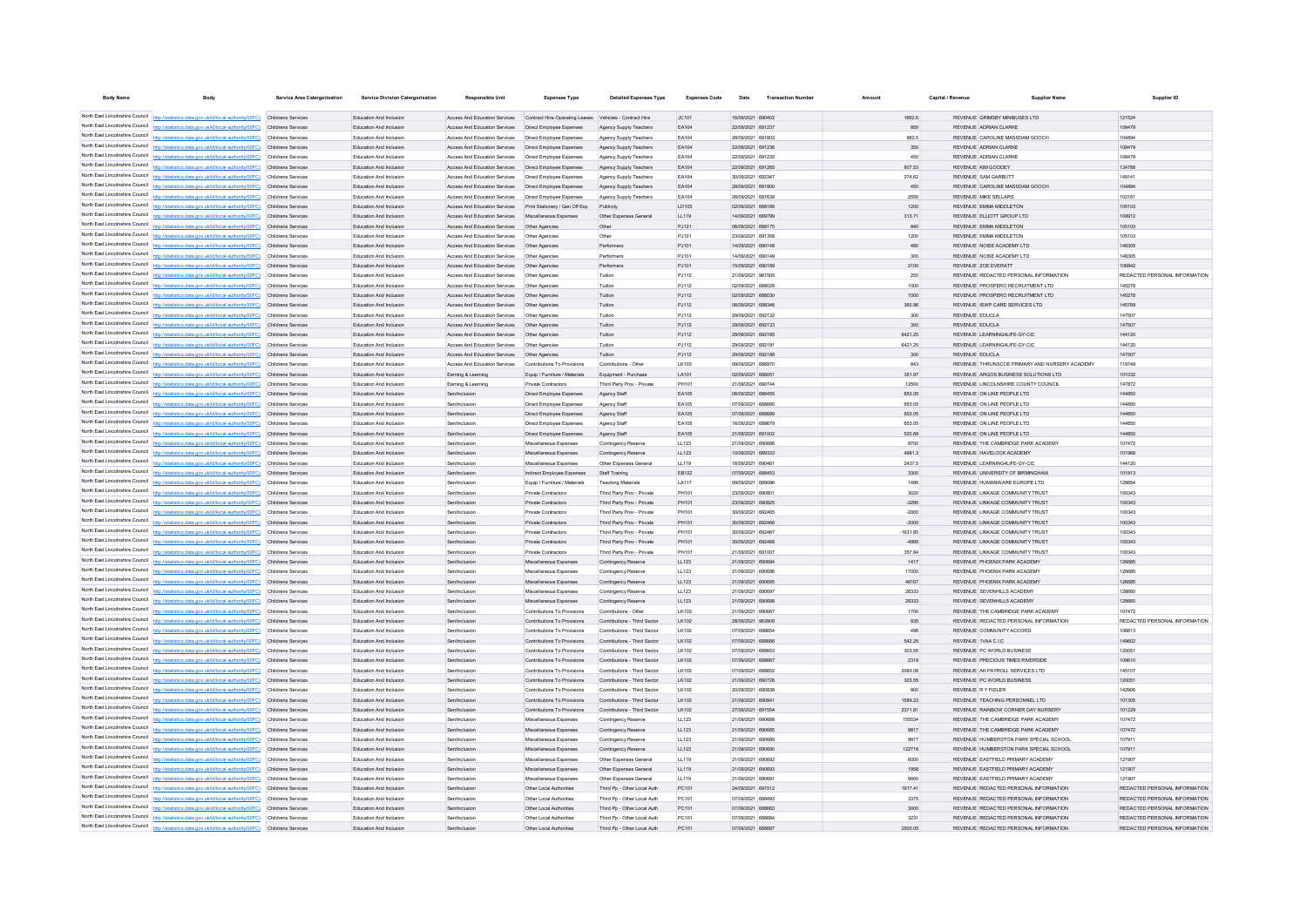| <b>Body Name</b>                | Body                                                                                                      | Service Area Catergorisation             | <b>Service Division Catergorisation</b>            | <b>Responsible Unit</b>                                                               | <b>Expenses Type</b>                               | <b>Detailed Expenses Type</b> | <b>Expenses Code</b> | Date                                  | <b>Transaction Number</b> | Amount | Capital / Revenue |                    | <b>Supplier Name</b>                          | Supplier ID                                                    |
|---------------------------------|-----------------------------------------------------------------------------------------------------------|------------------------------------------|----------------------------------------------------|---------------------------------------------------------------------------------------|----------------------------------------------------|-------------------------------|----------------------|---------------------------------------|---------------------------|--------|-------------------|--------------------|-----------------------------------------------|----------------------------------------------------------------|
|                                 |                                                                                                           |                                          |                                                    |                                                                                       |                                                    |                               |                      |                                       |                           |        |                   |                    |                                               |                                                                |
|                                 | North East Lincolnshire Council http://statistics.data.gov.uk/id/local-authority/00FC) Childrens Services |                                          | Education And Inclusion                            | Access And Education Services Contract Hire-Operating Leases Vehicles - Contract Hire |                                                    |                               | JC101                | 16/09/2021 690402                     |                           |        | 1662.6            |                    | REVENUE GRIMSBY MINIBUSES LTD                 | 121524                                                         |
|                                 | North East Lincolnshire Council http://statistics.data.gov.uk/id/local-authority/00FC) Childrens Services |                                          | Education And Inclusion                            | Access And Education Services  Direct Employee Expenses                               |                                                    | Agency Supply Teachers        | EA104                | 22/09/2021 691237                     |                           |        | 850               |                    | REVENUE ADRIAN CLARKE                         | 108479                                                         |
|                                 | North East Lincolnshire Council http://statistics.data.gov.uk/id/local-authority/00FC) Childrens Services |                                          | Education And Inclusion                            |                                                                                       |                                                    | Agency Supply Teachers        | EA104                | 28/09/2021 691803                     |                           |        | 962.5             |                    | REVENUE CAROLINE MASSDAM GOOCH                | 104894                                                         |
|                                 | North East Lincolnshire Council http://statistics.data.gov.uk/id/local-authority/00FC) Childrens Services |                                          | Education And Inclusion                            |                                                                                       |                                                    | Agency Supply Teachers        | EA104                | 22/09/2021 691236                     |                           |        | 350               |                    | REVENUE ADRIAN CLARKE                         | 108479                                                         |
|                                 | North East Lincolnshire Council http://statistics.data.gov.uk/id/local-authority/00FC) Childrens Services |                                          | Education And Inclusion                            | Access And Education Services                                                         | Direct Employee Expenses                           | Agency Supply Teachers        | <b>FA104</b>         | 22/09/2021 691235                     |                           |        | 450               |                    | REVENUE ADRIAN CLARKE                         | 108479                                                         |
|                                 | North East Lincolnshire Council http://statistics.data.gov.uk/id/local-authority/00FC) Childrens Services |                                          | Education And Inclusion                            | Access And Education Services Direct Employee Expenses                                |                                                    | Agency Supply Teachers        | EA104                | 22/09/2021 691265                     |                           |        | 807.53            | REVENUE KIM GOODEY |                                               | 134788                                                         |
|                                 | North East Lincolnshire Council http://statistics.data.gov.uk/id/local-authority/00FC) Childrens Services |                                          | Education And Inclusion                            | Access And Education Services                                                         | Direct Employee Expenses                           | Agency Supply Teachers        | <b>FA104</b>         | 30/09/2021 692347                     |                           |        | 274.62            |                    | REVENUE SAM GARBUTT                           | 149141                                                         |
|                                 | North East Lincolnshire Council http://statistics.data.gov.uk/id/local-authority/00FC) Childrens Services |                                          | Education And Inclusion                            | Access And Education Services Direct Employee Expenses                                |                                                    | Agency Supply Teachers        | EA104                | 28/09/2021 691800                     |                           |        | 450               |                    | REVENUE CAROLINE MASSDAM GOOCH                | 104894                                                         |
|                                 | North East Lincolnshire Council http://statistics.data.gov.uk/id/local-authority/00FC) Childrens Services |                                          | Education And Inclusion                            | Access And Education Services                                                         | Direct Employee Expenses                           | Agency Supply Teachers        | <b>FA104</b>         | 28/09/2021 691639                     |                           |        | 2550              |                    | REVENUE MIKE SELLARS                          | 102161                                                         |
|                                 | North East Lincolnshire Council http://statistics.data.gov.uk/id/local-authority/00FC) Childrens Services |                                          | Education And Inclusion                            | <b>Access And Education Services</b>                                                  | Print Stationery / Gen Off Exp                     | Publicity                     | LD105                | 02/09/2021 688168                     |                           |        | 1200              |                    | REVENUE FMMA MIDDLETON                        | 105103                                                         |
|                                 | North East Lincolnshire Council http://statistics.data.gov.uk/id/local-authority/00FC) Childrens Services |                                          | Education And Inclusion                            | Access And Education Services Miscellaneous Expenses                                  |                                                    | Other Expenses General        | LL119                | 14/09/2021 689799                     |                           |        | 313.71            |                    | REVENUE ELLIOTT GROUP LTD                     | 109912                                                         |
|                                 | North East Lincolnshire Council http://statistics.data.gov.uk/id/local-authority/00FC) Childrens Services |                                          | Education And Inclusion                            | Access And Education Services   Other Agencies                                        |                                                    | Other                         | PJ121                | 06/09/2021 688175                     |                           |        | 840               |                    | REVENUE EMMA MIDDLETON                        | 105103                                                         |
|                                 | North East Lincolnshire Council http://statistics.data.gov.uk/id/local-authority/00FC) Childrens Services |                                          | Education And Inclusion                            | Access And Education Services                                                         | Other Agencies                                     | Other                         | PJ121                | 23/09/2021 691358                     |                           |        | 1200              |                    | REVENUE EMMA MIDDLETON                        | 105103                                                         |
|                                 | North East Lincolnshire Council http://statistics.data.gov.uk/id/local-authority/00FC) Childrens Services |                                          | Education And Inclusion                            | Access And Education Services   Other Agencies                                        |                                                    | Performers                    | PJ101                | 14/09/2021 690148                     |                           |        | 480               |                    | REVENUE NOISE ACADEMY LTD                     | 148305                                                         |
|                                 | North East Lincolnshire Council http://statistics.data.gov.uk/id/local-authority/00FC) Childrens Services |                                          | Education And Inclusion                            | Access And Education Services                                                         | Other Agencies                                     | Performers                    | PJ101                | 14/09/2021 690149                     |                           |        | 300               |                    | REVENUE NOISE ACADEMY LTD                     | 148305                                                         |
|                                 | North East Lincolnshire Council http://statistics.data.gov.uk/id/local-authority/00FC) Childrens Services |                                          | Education And Inclusion                            | Access And Education Services Other Agencies                                          |                                                    | Performers                    | P.1101               | 15/09/2021 690189                     |                           |        | 2100              |                    | REVENUE ZOE EVERATT                           | 106842                                                         |
|                                 | North East Lincolnshire Council http://statistics.data.gov.uk/id/local-authority/00FC) Childrens Services |                                          | Education And Inclusion                            | <b>Access And Education Services</b>                                                  | Other Agencies                                     | Tultion                       | P.I112               | 21/09/2021 961505                     |                           |        | 250               |                    | REVENUE REDACTED PERSONAL INFORMATION         | REDACTED PERSONAL INFORMATION                                  |
|                                 | North East Lincolnshire Council http://statistics.data.gov.uk/id/local-authority/00FC) Childrens Services |                                          | Education And Inclusion                            | <b>Access And Education Services</b>                                                  | Other Agencies                                     | Tultion                       | P.I112               | 02/09/2021 688029                     |                           |        | 1000              |                    | REVENUE PROSPERO RECRUITMENT LTD              | 145278                                                         |
|                                 | North East Lincolnshire Council http://statistics.data.gov.uk/id/local-authority/00FC) Childrens Services |                                          | Education And Inclusion                            | Access And Education Services                                                         | Other Agencie                                      | Tuition                       | PJ112                | 02/09/2021 688030                     |                           |        | 1000              |                    | REVENUE PROSPERO RECRUITMENT LTD.             | 145278                                                         |
|                                 | North East Lincolnshire Council http://statistics.data.gov.uk/id/local-authority/00FC) Childrens Services |                                          | Education And Inclusion                            | Access And Education Services                                                         | Other Agencies                                     | Tuition                       | PJ112                | 06/09/2021 688346                     |                           |        | 360.96            |                    | REVENUE ISWP CARE SERVICES LTD.               | 145769                                                         |
|                                 | North East Lincolnshire Council http://statistics.data.gov.uk/id/local-authority/00FC) Childrens Services |                                          | Education And Inclusion                            | <b>Access And Education Services</b>                                                  | Other Agencies                                     | Tultion                       | P.I112               | 29/09/2021 692132                     |                           |        | 300               | REVENUE EDUCLA     |                                               | 147507                                                         |
|                                 | North East Lincolnshire Council http://statistics.data.gov.uk/id/local-authority/00FC) Childrens Services |                                          | Education And Inclusion                            | Access And Education Services                                                         | Other Agencie                                      | Tultion                       | PJ112                | 29/09/2021 692133                     |                           |        | 300               | REVENUE EDUCLA     |                                               | 147507                                                         |
|                                 | North East Lincolnshire Council http://statistics.data.gov.uk/id/local-authority/00FC) Childrens Services |                                          | Education And Inclusion                            | Access And Education Services                                                         | Other Agencies                                     | Tultion                       | PJ112                | 29/09/2021 692185                     |                           |        | 6421.25           |                    | REVENUE LEARNING4LIFE-GY-CIC                  | 144120                                                         |
|                                 | North East Lincolnshire Council http://statistics.data.gov.uk/id/local-authority/00FC) Childrens Services |                                          | Education And Inclusion                            | Access And Education Services                                                         | Other Agencie                                      | Tultion                       | PJ112                | 29/09/2021 692191                     |                           |        | 6421.25           |                    | REVENUE LEARNING4LIFE-GY-CIC                  | 144120                                                         |
|                                 | North East Lincolnshire Council http://statistics.data.gov.uk/id/local-authority/00FC) Childrens Services |                                          | Education And Inclusion                            | Access And Education Services                                                         | Other Agencie                                      | Tuition                       | PJ112                | 29/09/2021 692188                     |                           |        | 300               | REVENUE EDUCLA     |                                               | 147507                                                         |
|                                 | North East Lincolnshire Council http://statistics.data.gov.uk/id/local-authority/00FC) Childrens Services |                                          | Education And Inclusion                            | Access And Education Services                                                         | Contributions To Provisions                        | Contributions - Other         | LK103                | 09/09/2021 688970                     |                           |        | 843               |                    | REVENUE THRUNSCOE PRIMARY AND NURSERY ACADEMY | 118749                                                         |
|                                 | North East Lincolnshire Council http://statistics.data.gov.uk/id/local-authority/00FC)                    | Childrens Services                       | Education And Inclusion                            | Earning & Learning                                                                    | Equip / Furniture / Materials                      | Equipment - Purchase          | LA101                | 02/09/2021 688051                     |                           |        | 351.97            |                    | REVENUE ARGOS BUSINESS SOLUTIONS LTD          | 101032                                                         |
|                                 | North East Lincolnshire Council http://statistics.data.gov.uk/id/local-authority/00FC)                    | Childrens Service                        | Education And Inclusion                            | Earning & Learning                                                                    | Private Contractors                                | Third Party Prov - Private    | PH101                | 21/09/2021 690744                     |                           |        | 12500             |                    | REVENUE LINCOLNSHIRE COUNTY COUNCIL           | 147872                                                         |
|                                 | North East Lincolnshire Council http://statistics.data.gov.uk/id/local-authority/00FC)                    | Childrens Service                        | Education And Inclusion                            | Sen/Inclusion                                                                         | Direct Employee Expenses                           | Agency Staff                  | EA105                | 06/09/2021 686455                     |                           |        | 653.05            |                    | REVENUE ON LINE PEOPLE LTD                    | 144850                                                         |
|                                 | North East Lincolnshire Council http://statistics.data.gov.uk/id/local-authority/00FC)                    | Childrens Service                        | Education And Inclusio                             | Sen/Inclusio                                                                          | Direct Employee Expenses                           | Agency Staff                  | EA105                | 07/09/2021 688685                     |                           |        | 653.05            |                    | REVENUE ON LINE PEOPLE LTD                    | 144850                                                         |
|                                 | North East Lincolnshire Council http://statistics.data.gov.uk/id/local-authority/00FC)                    | Childrens Service                        | Education And Inclusion                            | Sen/Inclusio                                                                          | Direct Employee Expenses                           | Agency Staff                  | EA105                | 07/09/2021 688689                     |                           |        | 653.05            |                    | REVENUE ON LINE PEOPLE LTD                    | 144850                                                         |
|                                 | North East Lincolnshire Council http://statistics.data.gov.uk/id/local-authority/00FC)                    | Childrens Services                       | Education And Inclusio                             | Sen/Inclusio                                                                          | Direct Employee Expenses                           | Agency Staff                  | EA105                | 6/09/2021 688679                      |                           |        | 653.05            |                    | REVENUE ON LINE PEOPLE LTD                    | 144850                                                         |
|                                 | North East Lincolnshire Council http://statistics.data.gov.uk/id/local-authority/00FC)                    | Childrens Services                       | Education And Inclusion                            | Sen/Inclusio                                                                          | Direct Employee Expenses                           | Agency Staff                  | EA105                | 21/09/2021 691002                     |                           |        | 520.68            |                    | REVENUE ON LINE PEOPLE LTD                    | 144850                                                         |
|                                 | North East Lincolnshire Council http://statistics.data.gov.uk/id/local-authority/00FC) Childrens Services |                                          | Education And Inclusio                             | Sen/Inclusio                                                                          | Miscellaneous Expenser                             | Contingency Reserve           | LL123                | 21/09/2021 690686                     |                           |        | 8700              |                    | REVENUE THE CAMBRIDGE PARK ACADEMY            | 107472                                                         |
|                                 | North East Lincolnshire Council http://statistics.data.gov.uk/id/local-authority/00FC) Childrens Services |                                          | Education And Inclusion                            | Sen/Inclusio                                                                          | Miscellaneous Expenses                             | Contingency Reserve           | LL123                | 009/2021 689333                       |                           |        | 4981.3            |                    | REVENUE HAVELOCK ACADEMY                      | 101968                                                         |
|                                 | North East Lincolnshire Council http://statistics.data.gov.uk/id/local-authority/00FC).                   | Childrens Service                        | Education And Inclusio                             | Sen/Inclusio                                                                          | Miscellaneous Expenses                             | Other Expenses Genera         | LL119                | 6/09/2021 69046                       |                           |        | 2437.5            |                    | REVENUE LEARNING4LIFE-GY-CIC                  | 144120                                                         |
|                                 | North East Lincolnshire Council http://statistics.data.gov.uk/id/local-authority/00FC).                   | Childrens Services                       | Education And Inclusion                            | Sen/Inclusio                                                                          | Indirect Employee Expenses                         | Staff Training                | EB122                | 07/09/2021 688453                     |                           |        | 3300              |                    | REVENUE UNIVERSITY OF BIRMINGHAM              | 101913                                                         |
|                                 | North East Lincolnshire Council   http://statistics.data.gov.uk/id/local-authority/00FC)                  | Childrens Services                       | Education And Inclusion                            | Sen/Inclusio                                                                          | Equip / Furniture / Materials                      | <b>Teaching Materials</b>     | LA117                | 09/09/2021 689096                     |                           |        | 1495              |                    | REVENUE HUMANWARE EUROPE LTD                  | 128854                                                         |
|                                 | North East Lincolnshire Council http://statistics.data.gov.uk/id/local-authority/00FC) Childrens Services |                                          | Education And Inclusion                            | Senfindusion                                                                          | Private Contractors                                | Third Party Prov - Private    | PH101                | 23/09/2021 690801                     |                           |        | 3020              |                    | REVENUE LINKAGE COMMUNITY TRUST               | 100343                                                         |
|                                 | North East Lincolnshire Council   http://statistics.data.gov.uk/id/local-authority/00FC)                  | Childrens Service                        | Education And Inclusion                            | Sen/Inclusio                                                                          | <b>Private Contractors</b>                         | Third Party Prov - Private    | PH101                | 23/09/2021 690825                     |                           |        | $-2295$           |                    | REVENUE LINKAGE COMMUNITY TRUST               | 100343                                                         |
|                                 | North East Lincolnshire Council http://statistics.data.gov.uk/id/local-authority/00FC)                    | Childrens Service                        | Education And Inclusion                            | Senfindusion                                                                          | Private Contractors                                | Third Party Prov - Private    | PH101                | 30/09/2021 692465                     |                           |        | $-2000$           |                    | REVENUE LINKAGE COMMUNITY TRUST               | 100343                                                         |
|                                 | North East Lincolnshire Council   http://statistics.data.gov.uk/id/local-authority/00FC)                  | Childrens Service                        | Education And Inclusion                            | Sen/Inclusio                                                                          | Private Contractors                                | Third Party Prov - Private    | PH101                | 30/09/2021 692466                     |                           |        | $-2000$           |                    | REVENUE LINKAGE COMMUNITY TRUST               | 100343                                                         |
|                                 | North East Lincolnshire Council http://statistics.data.gov.uk/id/local-authority/00FC)                    | Childrens Service                        | Education And Inclusio                             | Senfindusio                                                                           | Private Contractors                                | Third Party Prov - Private    | PH101                | 30/09/2021 692467                     |                           |        | $-1631.85$        |                    | REVENUE LINKAGE COMMUNITY TRUST               | 100343                                                         |
|                                 | North East Lincolnshire Council http://statistics.data.gov.uk/id/local-authority/00FC)                    | Childrens Services                       | Education And Inclusion                            | Sen/Inclusio                                                                          | Private Contractors                                | Third Party Prov - Private    | PH101                | 30/09/2021 692468                     |                           |        | $-4995$           |                    | REVENUE LINKAGE COMMUNITY TRUST               | 100343                                                         |
|                                 | North East Lincolnshire Council http://statistics.data.gov.uk/id/local-authority/00FC)                    | Childrens Service                        | Education And Inclusio                             | Sen/Inclusio                                                                          | Private Contractors                                | Third Party Prov - Private    | PH101                | 21/09/2021 691007                     |                           |        | 357.84            |                    | REVENUE LINKAGE COMMUNITY TRUST               | 100343                                                         |
|                                 | North East Lincolnshire Council http://statistics.data.gov.uk/id/local-authority/00FC)                    | Childrens Services                       | Education And Inclusion                            | Sen/Inclusio                                                                          | Miscellaneous Expenses                             | Contingency Reserve           | LL123                | 21/09/2021 690694                     |                           |        | 1417              |                    | REVENUE PHOENIX PARK ACADEMY                  | 126685                                                         |
|                                 | North East Lincolnshire Council http://statistics.data.gov.uk/id/local-authority/00FC)                    | Childrens Service                        | Education And Inclusio                             | Sen/Inclusio                                                                          | Miscellaneous Expense                              | Contingency Reserve           | LL123                | 21/09/2021 690696                     |                           |        | 17000             |                    | REVENUE PHOENIX PARK ACADEMY                  | 126685                                                         |
|                                 | North East Lincolnshire Council http://statistics.data.gov.uk/id/local-authority/00FC)                    | Childrens Services                       | Education And Inclusion                            | Sen/Inclusion                                                                         | Miscellaneous Expenses                             | Contingency Reserve           | LL123                | 21/09/2021 690695                     |                           |        | 48167             |                    | REVENUE PHOENIX PARK ACADEMY                  | 126685                                                         |
|                                 | North East Lincolnshire Council http://statistics.data.gov.uk/id/local-authority/00FC)                    | Childrens Services                       | Education And Inclusio                             | Sen/Inclusio                                                                          | Miscellaneous Expense                              | Contingency Reserve           | LL123                | 21/09/2021 69069                      |                           |        | 28333             |                    | REVENUE SEVENHILLS ACADEMY                    | 128660                                                         |
|                                 | North East Lincolnshire Council http://statistics.data.gov.uk/id/local-authority/00FC)                    | Childrens Services                       | Education And Inclusion                            | Sen/Inclusion                                                                         | Miscellaneous Expenses                             | Contingency Reserve           | LL123                | 21/09/2021 690698                     |                           |        | 28333             |                    | REVENUE SEVENHILLS ACADEMY                    | 128660                                                         |
|                                 | North East Lincolnshire Council http://statistics.data.gov.uk/id/local-authority/00FC)                    | Childrens Service                        | Education And Inclusio                             | Sen/Inclusio                                                                          | Contributions To Provisions                        | Contributions - Othe          | LK103                | 21/09/2021 69068                      |                           |        | 1700              |                    | REVENUE THE CAMBRIDGE PARK ACADEMY            | 107472                                                         |
|                                 | North East Lincolnshire Council http://statistics.data.gov.uk/id/local-authority/00FC)                    | Childrens Services                       | Education And Inclusion                            | Sen/Inclusion                                                                         | Contributions To Provisions                        | Contributions - Third Sector  | LK102                | 28/09/2021 963909                     |                           |        | 935               |                    | REVENUE REDACTED PERSONAL INFORMATION         | REDACTED PERSONAL INFORMATION                                  |
|                                 | North East Lincolnshire Council http://statistics.data.gov.uk/id/local-authority/00FC)                    | Childrens Service                        | Education And Inclusio                             | Sen/Inclusio                                                                          | Contributions To Provisions                        | Contributions - Third Sector  | LK102                | 07/09/2021 68865                      |                           |        | 498               |                    | REVENUE COMMUNITY ACCORD                      | 106613                                                         |
|                                 | North East Lincolnshire Council http://statistics.data.gov.uk/id/local-authority/00FC)                    | Childrens Services                       | Education And Inclusion                            | Sen/Inclusion                                                                         | Contributions To Provisions                        | Contributions - Third Sector  | LK102                | 07/09/2021 688666                     |                           |        | 542.25            | REVENUE 1VAA C.LC  |                                               | 149602                                                         |
|                                 | North East Lincolnshire Council http://statistics.data.gov.uk/id/local-authority/00FC)                    | Childrens Service                        | Education And Inclusio                             | Sen/Inclusion                                                                         | Contributions To Provisions                        | Contributions - Third Sector  | LK102                | 07/09/2021 688653                     |                           |        | 303.55            |                    | REVENUE PC WORLD BUSINESS                     | 120051                                                         |
|                                 | North East Lincolnshire Council http://statistics.data.gov.uk/id/local-authority/00FC)                    | Childrens Services                       | Education And Inclusion                            | Sen/Inclusion                                                                         | Contributions To Provisions                        | Contributions - Third Sector  | LK102                | 07/09/2021 688667                     |                           |        | 2319              |                    | REVENUE PRECIOUS TIMES RIVERSIDE              | 109610                                                         |
|                                 | North East Lincolnshire Council http://statistics.data.gov.uk/id/local-authority/00FC)                    | Childrens Services                       | Education And Inclusion                            | Sen/Inclusion                                                                         | Contributions To Provisions                        | Contributions - Third Sector  | LK102                | 07/09/2021 688652                     |                           |        | 2093.08           |                    | REVENUE AK PAYROLL SERVICES LTD               | 145107                                                         |
| North East Lincolnshire Council | http://statistics.data.gov.uk/id/local-authority/00FC)                                                    | Childrens Services                       |                                                    | Sen/Inclusion                                                                         | Contributions To Provisions                        | Contributions - Third Sector  | LK102                | 21/09/2021 690728                     |                           |        | 303.55            |                    | REVENUE PC WORLD BUSINESS                     | 120051                                                         |
| North East Lincolnshire Council | http://statistics.data.gov.uk/id/local-authority/00FC)                                                    |                                          | Education And Inclusion                            | Sen/Inclusion                                                                         | Contributions To Provisions                        | Contributions - Third Sector  | LK102                | 20/09/2021 690838                     |                           |        | 900               | REVENUE RY FIDLER  |                                               | 142906                                                         |
| North East Lincolnshire Council |                                                                                                           | Childrens Services                       | Education And Inclusion                            |                                                                                       |                                                    |                               |                      |                                       |                           |        |                   |                    |                                               | 101305                                                         |
| North East Lincolnshire Council | http://statistics.data.gov.uk/id/local-authority/00FC)                                                    | Childrens Services                       | Education And Inclusion                            | Sen/Inclusion                                                                         | Contributions To Provisions                        | Contributions - Third Sector  | LK102                | 21/09/2021 69084                      |                           |        | 1589.23           |                    | REVENUE TEACHING PERSONNEL LTD                |                                                                |
| North East Lincolnshire Council | http://statistics.data.gov.uk/id/local-authority/00FC)                                                    | Childrens Services                       | Education And Inclusion                            | Sen/Inclusion                                                                         | Contributions To Provisions                        | Contributions - Third Sector  | LK102                | 27/09/2021 691554                     |                           |        | 2371.81           |                    | REVENUE RAINBOW CORNER DAY NURSERY            | 101229<br>107472                                               |
| North East Lincolnshire Council | http://statistics.data.gov.uk/id/local-authority/00FC)                                                    | Childrens Services                       | Education And Inclusion                            | Sen/Inclusion                                                                         | Miscellaneous Expenses                             | Contingency Reserve           | LL123                | 21/09/2021 690688                     |                           |        | 155534            |                    | REVENUE THE CAMBRIDGE PARK ACADEMY            |                                                                |
| North East Lincolnshire Council | http://statistics.data.gov.uk/id/local-authority/00FC)                                                    | <b>Childrens Services</b>                | Education And Inclusion                            | Sen/Inclusion                                                                         | Miscellaneous Expenses                             | Contingency Reserve           | LL123                | 21/09/2021 690685                     |                           |        | 9817              |                    | REVENUE THE CAMBRIDGE PARK ACADEMY            | 107472                                                         |
| North East Lincolnshire Council | http://statistics.data.gov.uk/id/local-authority/00FC)                                                    | Childrens Services                       | Education And Inclusion                            | Sen/Inclusion                                                                         | Miscellaneous Expenses                             | Contingency Reserve           | LL123                | 21/09/2021 690689                     |                           |        | 9817              |                    | REVENUE HUMBERSTON PARK SPECIAL SCHOOL        | 107911                                                         |
| North East Lincolnshire Council | http://statistics.data.gov.uk/id/local-authority/00FC)                                                    | <b>Childrens Services</b>                | Education And Inclusion                            | Sen/Inclusion                                                                         | Miscellaneous Expenses                             | Contingency Reserve           | LL123                | 21/09/2021 690690                     |                           |        | 122718            |                    | REVENUE HUMBERSTON PARK SPECIAL SCHOOL        | 107911                                                         |
| North East Lincolnshire Council | http://statistics.data.gov.uk/id/local-authority/00FC)                                                    | Childrens Services                       | Education And Inclusion                            | Sen/Inclusion                                                                         | Miscellaneous Expenses                             | Other Expenses General        | LL119                | 21/09/2021 690692                     |                           |        | 6000              |                    | REVENUE EASTFIELD PRIMARY ACADEMY             | 121907                                                         |
|                                 | http://statistics.data.gov.uk/id/local-authority/00FC)                                                    | Childrens Services                       | Education And Inclusion                            | Sen/Inclusion                                                                         | Miscellaneous Expenses                             | Other Expenses General        | LL119                | 21/09/2021 690693<br>21/09/2021 69069 |                           |        | 1958<br>9000      |                    | REVENUE EASTFIELD PRIMARY ACADEMY             | 121907<br>121907                                               |
|                                 | North East Lincolnshire Council http://statistics.data.gov.uk/id/local-authority/00FC)                    | Childrens Service                        | Education And Inclusio                             | Sen/Inclusio                                                                          | Miscellaneous Expenser                             | Other Expenses Genera         | LL119                |                                       |                           |        |                   |                    | REVENUE EASTFIELD PRIMARY ACADEMY             |                                                                |
|                                 | North East Lincolnshire Council http://statistics.data.gov.uk/id/local-authority/00FC)                    | Childrens Services                       | Education And Inclusion                            | Sen/Inclusion                                                                         | Other Local Authorities                            | Third Pp - Other Local Auth   | PC101                | 24/09/2021 691512                     |                           |        | 1917.41           |                    | REVENUE REDACTED PERSONAL INFORMATION         | REDACTED PERSONAL INFORMATION                                  |
|                                 | North East Lincolnshire Council http://statistics.data.gov.uk/id/local-authority/00FC)                    | Childrens Service                        | Education And Inclusio                             | Sen/Inclusio                                                                          | Other Local Authorities                            | Third Pp - Other Local Auth   | PC101                | 07/09/2021 688493                     |                           |        | 3375              |                    | REVENUE REDACTED PERSONAL INFORMATION         | REDACTED PERSONAL INFORMATION                                  |
|                                 | North East Lincolnshire Council http://statistics.data.gov.uk/id/local-authority/00FC)                    | Childrens Services<br>Childrens Services | Education And Inclusion<br>Education And Inclusion | Sen/Inclusion<br>Senfindusio                                                          | Other Local Authorities<br>Other Local Authorities | Third Pp - Other Local Auth   | PC101<br>PC101       | 07/09/2021 688683<br>07/09/2021 68868 |                           |        | 3000<br>3231      |                    | REVENUE REDACTED PERSONAL INFORMATION         | REDACTED PERSONAL INFORMATION<br>REDACTED PERSONAL INFORMATION |
| North East Lincolnshire Council | North East Lincolnshire Council http://statistics.data.gov.uk/id/local-authority/00FC)                    |                                          |                                                    |                                                                                       |                                                    | Third Pp - Other Local Auth   |                      |                                       |                           |        |                   |                    | REVENUE REDACTED PERSONAL INFORMATION         |                                                                |
|                                 | http://statistics.data.gov.uk/id/local-authority/00FC)                                                    | Childrens Services                       | Education And Inclusion                            | Sen/Inclusio                                                                          | Other Local Authorities                            | Third Po - Other Local Auth   | PC101                | 07/09/2021 688687                     |                           |        | 2500.05           |                    | REVENUE REDACTED PERSONAL INFORMATION         | REDACTED PERSONAL INFORMATION                                  |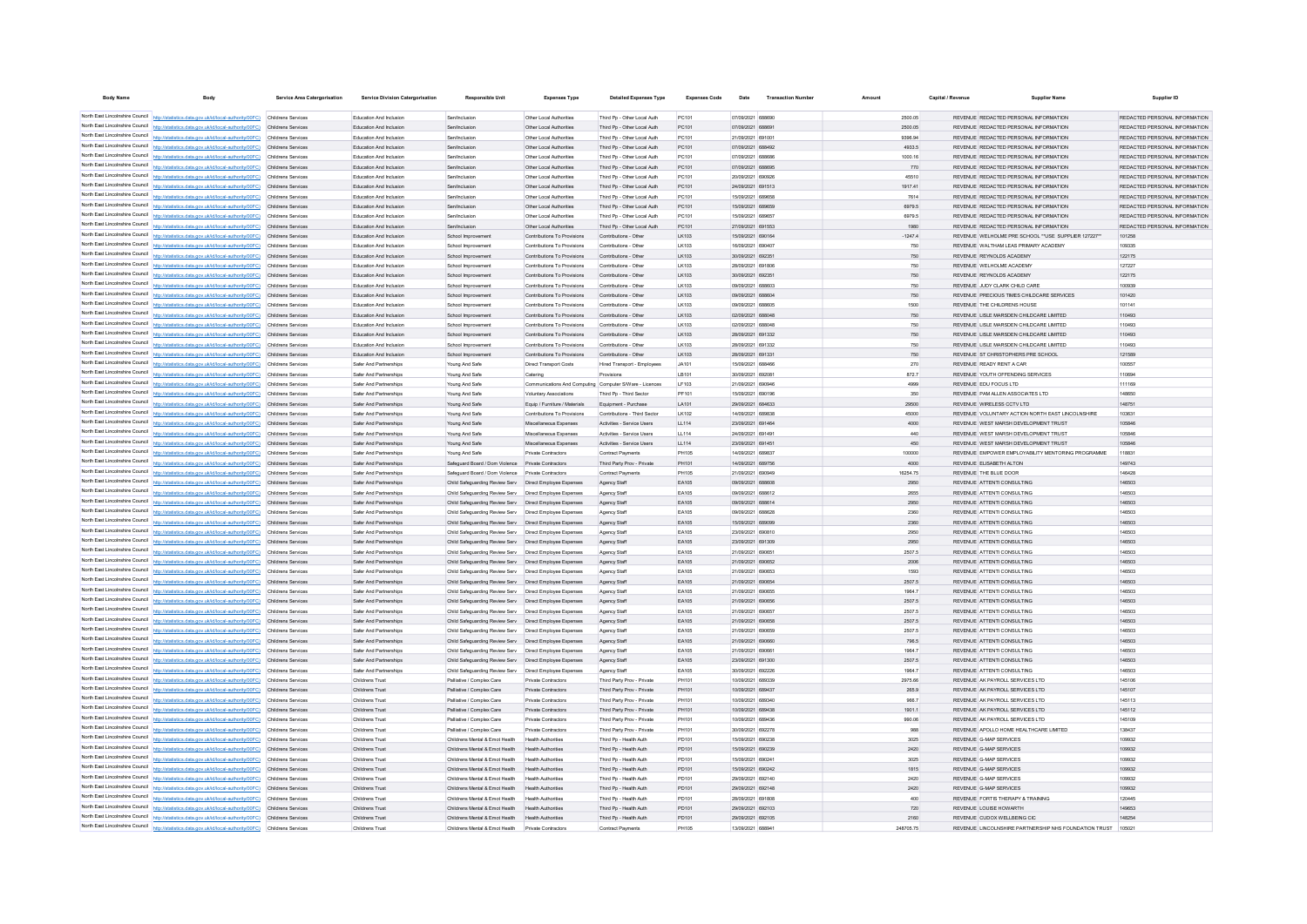| <b>Body Name</b>                |                                                                                                           | <b>Service Area Catergorisation</b> | <b>Service Division Catergorisation</b> | <b>Responsible Unit</b>                                   | <b>Expenses Type</b>                                    | <b>Detailed Expenses Type</b> | <b>Expenses Code</b> |                   |           | Capital / Revenue | <b>Supplier Nam</b>                                   | <b>Supplier ID</b>            |
|---------------------------------|-----------------------------------------------------------------------------------------------------------|-------------------------------------|-----------------------------------------|-----------------------------------------------------------|---------------------------------------------------------|-------------------------------|----------------------|-------------------|-----------|-------------------|-------------------------------------------------------|-------------------------------|
|                                 |                                                                                                           |                                     |                                         |                                                           |                                                         |                               |                      |                   |           |                   |                                                       |                               |
|                                 | North East Lincolnshire Council http://statistics.data.gov.uk/id/local-authority/00FC) Childrens Services |                                     | Education And Inclusion                 | Sen/Inclusion                                             | Other Local Authorities                                 | Third Pp - Other Local Auth   | PC101                | 07/09/2021 688690 | 2500.05   |                   | REVENUE REDACTED PERSONAL INFORMATION                 | REDACTED PERSONAL INFORMATION |
|                                 | North East Lincolnshire Council http://statistics.data.gov.uk/id/local-authority/00FC)                    | Childrens Services                  | Education And Inclusion                 | Sen/Inclusion                                             | Other Local Authorities                                 | Third Pp - Other Local Auth   | PC101                | 07/09/2021 688691 | 2500.05   |                   | REVENUE REDACTED PERSONAL INFORMATION                 | REDACTED PERSONAL INFORMATION |
|                                 | North East Lincolnshire Council http://statistics.data.gov.uk/id/local-authority/00FC) Childrens Services |                                     | Education And Inclusion                 | Sen/Inclusion                                             | Other Local Authorities                                 | Third Pp - Other Local Auth   | PC101                | 21/09/2021 691001 | 9396.94   |                   | REVENUE REDACTED PERSONAL INFORMATION                 | REDACTED PERSONAL INFORMATION |
|                                 | North East Lincolnshire Council http://statistics.data.gov.uk/id/local-authority/00FC) Childrens Services |                                     | Education And Inclusion                 | Senfindusion                                              | Other Local Authorities                                 | Third Pp - Other Local Auth   | PC101                | 07/09/2021 688492 | 4933.5    |                   | REVENUE REDACTED PERSONAL INFORMATION                 | REDACTED PERSONAL INFORMATION |
|                                 | North East Lincolnshire Council http://statistics.data.gov.uk/id/local-authority/00FC) Childrens Services |                                     | Education And Inclusion                 | Sen/Inclusion                                             | Other Local Authorities                                 | Third Pp - Other Local Auth   | PC101                | 07/09/2021 688686 | 1000.16   |                   | REVENUE REDACTED PERSONAL INFORMATION                 | REDACTED PERSONAL INFORMATION |
| North East Lincolnshire Council | http://statistics.data.gov.uk/id/local-authority/00FC) Childrens Services                                 |                                     | Education And Inclusion                 | Sen/Inclusion                                             | Other Local Authorities                                 | Third Pp - Other Local Auth   | PC101                | 07/09/2021 688695 | 770       |                   | REVENUE REDACTED PERSONAL INFORMATION                 | REDACTED PERSONAL INFORMATION |
| North East Lincolnshire Council | http://statistics.data.gov.uk/id/local-authority/00FC) Childrens Services                                 |                                     | Education And Inclusion                 | Sen/Inclusion                                             | Other Local Authorities                                 | Third Po - Other Local Auth   | PC101                | 20/09/2021 690926 | 45510     |                   | REVENUE REDACTED PERSONAL INFORMATION                 | REDACTED PERSONAL INFORMATION |
| North East Lincolnshire Council | http://statistics.data.gov.uk/id/local-authority/00FC) Childrens Services                                 |                                     | Education And Inclusion                 | Sen/Inclusion                                             | Other Local Authorities                                 | Third Po - Other Local Auth   | PC101                | 24/09/2021 691513 | 1917.41   |                   | REVENUE REDACTED PERSONAL INFORMATION                 | REDACTED PERSONAL INFORMATION |
|                                 | North East Lincolnshire Council http://statistics.data.gov.uk/id/local-authority/00FC) Childrens Services |                                     | Education And Inclusion                 | Sen/Inclusion                                             | Other Local Authorities                                 | Third Po - Other Local Auth   | PC101                | 15/09/2021 689658 | 7614      |                   | REVENUE REDACTED PERSONAL INFORMATION                 | REDACTED PERSONAL INFORMATION |
|                                 | North East Lincolnshire Council http://statistics.data.gov.uk/id/local-authority/00FC).                   | Childrens Services                  | Education And Inclusion                 | Sen/Inclusion                                             | Other Local Authorities                                 | Third Po - Other Local Auth   | PC101                | 15/09/2021 689659 | 6979.5    |                   | REVENUE REDACTED PERSONAL INFORMATION                 | REDACTED PERSONAL INFORMATION |
|                                 | North East Lincolnshire Council http://statistics.data.gov.uk/id/local-authority/00FC) Childrens Services |                                     | Education And Inclusion                 | Sen/Inclusion                                             | Other Local Authorities                                 | Third Pp - Other Local Auth   | PC101                | 15/09/2021 689657 | 6979.5    |                   | REVENUE REDACTED PERSONAL INFORMATION                 | REDACTED PERSONAL INFORMATION |
|                                 | North East Lincolnshire Council http://statistics.data.gov.uk/id/local-authority/00FC)                    | Childrens Services                  | Education And Inclusion                 | Sen/Inclusion                                             | Other Local Authorities                                 | Third Pp - Other Local Auth   | PC101                | 27/09/2021 691553 | 1980      |                   | REVENUE REDACTED PERSONAL INFORMATION                 | REDACTED PERSONAL INFORMATION |
|                                 | North East Lincolnshire Council http://statistics.data.gov.uk/id/local-authority/00FC)                    | Childrens Services                  | Education And Inclusion                 | School Improvement                                        | Contributions To Provisions                             | Contributions - Other         | LK103                | 15/09/2021 690164 | $-1247.4$ |                   | REVENUE WELHOLME PRE SCHOOL "USE SUPPLIER 127227"     | 101258                        |
|                                 | North East Lincolnshire Council http://statistics.data.gov.uk/id/local-authority/00FC)                    | Childrens Services                  | Education And Inclusion                 | School Improvement                                        | Contributions To Provisions                             | Contributions - Other         | LK103                | 16/09/2021 690407 | 750       |                   | REVENUE WALTHAM LEAS PRIMARY ACADEMY                  | 109335                        |
|                                 | North East Lincolnshire Council http://statistics.data.gov.uk/id/local-authority/00FC)                    | Childrens Services                  | Education And Inclusion                 |                                                           | Contributions To Provisions                             | Contributions - Other         | LK103                | 30/09/2021 692351 | 750       |                   | REVENUE REYNOLDS ACADEMY                              | 122175                        |
|                                 |                                                                                                           | Childrens Services                  | Education And Inclusion                 | School Improvement                                        | Contributions To Provisions                             | Contributions - Other         | LK103                | 28/09/2021 691806 |           |                   |                                                       | 127227                        |
|                                 | North East Lincolnshire Council http://statistics.data.gov.uk/id/local-authority/00FC)                    |                                     |                                         | School Improvement                                        |                                                         |                               |                      |                   | 750       |                   | REVENUE WELHOLME ACADEMY                              |                               |
|                                 | North East Lincolnshire Council http://statistics.data.gov.uk/id/local-authority/00FC)                    | Childrens Services                  | Education And Inclusion                 | School Improvement                                        | Contributions To Provisions                             | Contributions - Other         | LK103                | 30/09/2021 692351 | 750       |                   | REVENUE REYNOLDS ACADEMY                              | 122175                        |
|                                 | North East Lincolnshire Council http://statistics.data.gov.uk/id/local-authority/00FC)                    | Childrens Services                  | Education And Inclusion                 | School Improvement                                        | Contributions To Provisions                             | Contributions - Other         | LK103                | 09/09/2021 688603 | 750       |                   | REVENUE JUDY CLARK CHILD CARE                         | 100939                        |
|                                 | North East Lincolnshire Council http://statistics.data.gov.uk/id/local-authority/00FC)                    | <b>Childrens Services</b>           | Education And Inclusion                 | School Improvement                                        | Contributions To Provisions                             | Contributions - Other         | LK103                | 09/09/2021 688604 | 750       |                   | REVENUE PRECIOUS TIMES CHILDCARE SERVICES             | 101420                        |
|                                 | North East Lincolnshire Council http://statistics.data.gov.uk/id/local-authority/00FC)                    | Childrens Services                  | Education And Inclusion                 | School Improvement                                        | Contributions To Provisions                             | Contributions - Other         | LK103                | 09/09/2021 688605 | 1500      |                   | REVENUE THE CHILDRENS HOUSE                           | 101141                        |
|                                 | North East Lincolnshire Council http://statistics.data.gov.uk/id/local-authority/00FC)                    | <b>Childrens Services</b>           | Education And Inclusion                 | School Improvement                                        | Contributions To Provisions                             | Contributions - Other         | LK103                | 02/09/2021 688048 | 750       |                   | REVENUE LISLE MARSDEN CHILDCARE LIMITED               | 110493                        |
|                                 | North East Lincolnshire Council http://statistics.data.gov.uk/id/local-authority/00FC)                    | Childrens Services                  | Education And Inclusion                 | School Improvement                                        | Contributions To Provisions                             | Contributions - Other         | LK103                | 02/09/2021 688048 | 750       |                   | REVENUE LISLE MARSDEN CHILDCARE LIMITED               | 110493                        |
|                                 | North East Lincolnshire Council http://statistics.data.gov.uk/id/local-authority/00FC)                    | <b>Childrens Services</b>           | Education And Inclusion                 | School Improvement                                        | Contributions To Provisions                             | Contributions - Other         | LK103                | 28/09/2021 691332 | 750       |                   | REVENUE LISLE MARSDEN CHILDCARE LIMITED               | 110493                        |
|                                 | North East Lincolnshire Council http://statistics.data.gov.uk/id/local-authority/00FC) Childrens Services |                                     | Education And Inclusion                 | School Improvement                                        | Contributions To Provisions                             | Contributions - Other         | LK103                | 28/09/2021 691332 | 750       |                   | REVENUE LISLE MARSDEN CHILDCARE LIMITED               | 110493                        |
|                                 | North East Lincolnshire Council http://statistics.data.gov.uk/id/local-authority/00FC)                    | <b>Childrens Services</b>           | Education And Inclusion                 | School Improvement                                        | Contributions To Provisions                             | Contributions - Other         | LK103                | 28/09/2021 691331 | 750       |                   | REVENUE ST CHRISTOPHERS PRE SCHOOL                    | 121589                        |
|                                 |                                                                                                           |                                     |                                         |                                                           |                                                         |                               |                      |                   |           |                   |                                                       |                               |
|                                 | North East Lincolnshire Council http://statistics.data.gov.uk/id/local-authority/00FC) Childrens Services |                                     | Safer And Partnershine                  | Young And Safe                                            | Direct Transport Costs                                  | Hired Transport - Employees   | <b>JA101</b>         | 15/09/2021 688466 | 270       |                   | REVENUE READY RENT A CAR                              | 100557                        |
|                                 | North East Lincolnshire Council http://statistics.data.gov.uk/id/local-authority/00FC) Childrens Services |                                     | Safer And Partnershine                  | Young And Safe                                            | Catering                                                | Provisions                    | I R101               | 30/09/2021 692081 | 872.7     |                   | REVENUE YOUTH OFFENDING SERVICES.                     | 110694                        |
|                                 | North East Lincolnshire Council http://statistics.data.gov.uk/id/local-authority/00FC) Childrens Services |                                     | Safer And Partnershine                  | Young And Safe                                            | Communications And Computing Computer S/Ware - Licences |                               | LF103                | 21/09/2021 690946 | 4999      |                   | REVENUE EDU FOCUS LTD                                 | 111169                        |
|                                 | North East Lincolnshire Council http://statistics.data.gov.uk/id/local-authority/00FC) Childrens Services |                                     | Safer And Partnershine                  | Young And Safe                                            | Voluntary Associations                                  | Third Po - Third Sector       | PF101                | 15/09/2021 690196 | 350       |                   | REVENUE PAM ALLEN ASSOCIATES LTD.                     | 148650                        |
|                                 | North East Lincolnshire Council http://statistics.data.gov.uk/id/local-authority/00FC) Childrens Services |                                     | Safer And Partnershine                  | Young And Safe                                            | Equip / Furniture / Materials                           | Foujoment - Purchase          | LA101                | 29/09/2021 684633 | 29500     |                   | REVENUE WIRELESS CCTV LTD                             | 148751                        |
|                                 | North East Lincolnshire Council http://statistics.data.gov.uk/id/local-authority/00FC) Childrens Services |                                     | Safer And Partnershine                  | Young And Safe                                            | Contributions To Provisions                             | Contributions - Third Sector  | 1 K102               | 14/09/2021 689838 | 45000     |                   | REVENUE VOLUNTARY ACTION NORTH FAST UNCOLNSHIRE       | 103631                        |
|                                 | North East Lincolnshire Council http://statistics.data.gov.uk/id/local-authority/00FC) Childrens Services |                                     | Safer And Partnerships                  | Young And Safe                                            | Miscellaneous Expenses                                  | Activities - Service Users    | LL114                | 23/09/2021 691464 | 4000      |                   | REVENUE WEST MARSH DEVELOPMENT TRUST                  | 105846                        |
|                                 | North East Lincolnshire Council http://statistics.data.gov.uk/id/local-authority/00FC) Childrens Services |                                     | Safer And Partnershins                  | Young And Safe                                            | Miscellaneous Expenses                                  | Activities - Service Lisers   | LL114                | 24/09/2021 691491 | 440       |                   | REVENUE WEST MARSH DEVELOPMENT TRUST                  | 105846                        |
|                                 | North East Lincolnshire Council http://statistics.data.gov.uk/id/local-authority/00FC) Childrens Services |                                     | Safer And Partnerships                  | Young And Safe                                            | Miscellaneous Expenses                                  | Activities - Service Users    | LL114                | 23/09/2021 691451 | 450       |                   | REVENUE WEST MARSH DEVELOPMENT TRUST                  | 105846                        |
|                                 | North East Lincolnshire Council http://statistics.data.gov.uk/id/local-authority/00FC) Childrens Services |                                     | Safer And Partnerships                  | Young And Safe                                            | Private Contractors                                     | Contract Payments             | PH105                | 14/09/2021 689837 | 100000    |                   | REVENUE EMPOWER EMPLOYABILITY MENTORING PROGRAMME     | 118831                        |
|                                 | North East Lincolnshire Council http://statistics.data.gov.uk/id/local-authority/00FC) Childrens Services |                                     |                                         |                                                           |                                                         |                               |                      |                   |           |                   |                                                       |                               |
|                                 |                                                                                                           |                                     | Safer And Partnerships                  | Safeguard Board / Dom Violence Private Contractors        |                                                         | Third Party Prov - Private    | PH101                | 14/09/2021 689756 | 4000      |                   | REVENUE ELISABETH ALTON                               | 149743                        |
|                                 | North East Lincolnshire Council http://statistics.data.gov.uk/id/local-authority/00FC) Childrens Services |                                     | Safer And Partnerships                  | Safequard Board / Dom Violence Private Contractors        |                                                         | Contract Payment              | PH105                | 21/09/2021 690949 | 16254.75  |                   | REVENUE THE BLUE DOOR                                 | 146428                        |
|                                 | North East Lincolnshire Council http://statistics.data.gov.uk/id/local-authority/00FC) Childrens Services |                                     | Safer And Partnershins                  | Child Safequarding Review Serv  Direct Employee Expenses  |                                                         | Agency Staff                  | EA105                | 09/09/2021 688608 | 2950      |                   | REVENUE ATTENTICONSULTING                             | 146503                        |
|                                 | North East Lincolnshire Council http://statistics.data.gov.uk/id/local-authority/00FC) Childrens Services |                                     | Safer And Partnershine                  | Child Safeguarding Review Serv Direct Employee Expenses   |                                                         | Agency Staff                  | FA105                | 09/09/2021 688612 | 2655      |                   | REVENUE ATTENTICONSULTING                             | 146503                        |
|                                 | North East Lincolnshire Council http://statistics.data.gov.uk/id/local-authority/00FC) Childrens Services |                                     | Safer And Partnershine                  | Child Safequarding Review Serv  Direct Employee Expenses  |                                                         | Agency Staff                  | EA105                | 09/09/2021 688614 | 2950      |                   | REVENUE ATTENTICONSULTING                             | 146503                        |
|                                 | North East Lincolnshire Council http://statistics.data.gov.uk/id/local-authority/00FC) Childrens Services |                                     | Safer And Partnershine                  | Child Safeguarding Review Serv Direct Employee Expenses   |                                                         | Agency Staff                  | FA105                | 09/09/2021 688628 | 2360      |                   | REVENUE ATTENTICONSULTING                             | 146503                        |
|                                 | North East Lincolnshire Council http://statistics.data.gov.uk/id/local-authority/00FC) Childrens Services |                                     | Safer And Partnershine                  | Child Safequarding Review Serv  Direct Employee Expenses  |                                                         | Agency Staff                  | EA105                | 15/09/2021 689099 | 2360      |                   | REVENUE ATTENTICONSULTING                             | 146503                        |
|                                 | North East Lincolnshire Council http://statistics.data.gov.uk/id/local-authority/00FC) Childrens Services |                                     | Safer And Partnershine                  | Child Safeguarding Review Serv Direct Employee Expenses   |                                                         | Agency Staff                  | FA105                | 23/09/2021 690810 | 2950      |                   | REVENUE ATTENTICONSULTING                             | 146503                        |
|                                 | North East Lincolnshire Council http://statistics.data.gov.uk/id/local-authority/00FC) Childrens Services |                                     | Safer And Partnershins                  | Child Safeguarding Review Serv   Direct Employee Expenses |                                                         | Agency Staff                  | EA105                | 23/09/2021 691309 | 2950      |                   | REVENUE ATTENTI CONSULTING                            | 146503                        |
|                                 | North East Lincolnshire Council http://statistics.data.gov.uk/id/local-authority/00FC) Childrens Services |                                     | Safer And Partnershins                  | Child Safeguarding Review Serv  Direct Employee Expenses  |                                                         | Agency Staff                  | EA105                | 21/09/2021 690651 | 2507.5    |                   | REVENUE ATTENTICONSULTING                             | 146503                        |
|                                 | North East Lincolnshire Council http://statistics.data.gov.uk/id/local-authority/00FC) Childrens Services |                                     | Safer And Partnerships                  | Child Safeguarding Review Serv  Direct Employee Expenses  |                                                         | Agency Staff                  | EA105                | 21/09/2021 690652 | 2006      |                   | REVENUE ATTENTI CONSULTING                            | 146503                        |
|                                 | North East Lincolnshire Council http://statistics.data.gov.uk/id/local-authority/00FC) Childrens Services |                                     | Safer And Partnerships                  |                                                           |                                                         | Agency Staff                  | EA105                | 21/09/2021 690653 | 1593      |                   | REVENUE ATTENTI CONSULTING                            | 146503                        |
|                                 | North East Lincolnshire Council http://statistics.data.gov.uk/id/local-authority/00FC) Childrens Services |                                     | Safer And Partnershins                  |                                                           |                                                         |                               |                      | 21/09/2021 690654 |           |                   | REVENUE ATTENTICONSULTING                             | 146503                        |
|                                 |                                                                                                           |                                     |                                         | Child Safeguarding Review Serv   Direct Employee Expenses |                                                         | Agency Staff                  | EA105                |                   | 2507.5    |                   |                                                       |                               |
|                                 | North East Lincolnshire Council http://statistics.data.gov.uk/id/local-authority/00FC) Childrens Services |                                     | Safer And Partnershine                  | Child Safeguarding Review Serv  Direct Employee Expenses  |                                                         | Agency Staff                  | EA105                | 21/09/2021 690655 | 1964.7    |                   | REVENUE ATTENTICONSULTING                             | 146503                        |
|                                 | North East Lincolnshire Council http://statistics.data.gov.uk/id/local-authority/00FC) Childrens Services |                                     | Safer And Partnerships                  | Child Safeguarding Review Serv   Direct Employee Expenses |                                                         | Agency Staff                  | EA105                | 21/09/2021 690656 | 2507.5    |                   | REVENUE ATTENTI CONSULTING                            | 146503                        |
|                                 | North East Lincolnshire Council http://statistics.data.gov.uk/id/local-authority/00FC)                    | Childrens Services                  | Safer And Partnerships                  | Child Safeguarding Review Serv                            | Direct Employee Expenses                                | Agency Staff                  | EA105                | 21/09/2021 690657 | 2507.5    |                   | REVENUE ATTENTI CONSULTING                            | 146503                        |
|                                 | North East Lincolnshire Council http://statistics.data.gov.uk/id/local-authority/00FC) Childrens Services |                                     | Safer And Partnerships                  | Child Safeguarding Review Serv   Direct Employee Expenses |                                                         | Agency Staff                  | EA105                | 21/09/2021 690658 | 2507.5    |                   | REVENUE ATTENTI CONSULTING                            | 146503                        |
|                                 | North East Lincolnshire Council http://statistics.data.gov.uk/id/local-authority/00FC)                    | Childrens Services                  | Safer And Partnerships                  | Child Safeguarding Review Serv                            | Direct Employee Expenses                                | Agency Staff                  | EA105                | 21/09/2021 690659 | 2507.5    |                   | REVENUE ATTENTI CONSULTING                            | 146503                        |
|                                 | North East Lincolnshire Council http://statistics.data.gov.uk/id/local-authority/00FC)                    | Childrens Services                  | Safer And Partnerships                  | Child Safeguarding Review Serv                            | Direct Employee Expenses                                | Agency Staff                  | EA105                | 21/09/2021 690660 | 796.5     |                   | REVENUE ATTENTI CONSULTING                            | 146503                        |
|                                 | North East Lincolnshire Council http://statistics.data.gov.uk/id/local-authority/00FC)                    | Childrens Services                  | Safer And Partnerships                  | Child Safeguarding Review Serv                            | Direct Employee Expenses                                | Agency Staf                   | EA105                | 21/09/2021 69066  | 1964.7    |                   | REVENUE ATTENTI CONSULTING                            | 146503                        |
|                                 | North East Lincolnshire Council http://statistics.data.gov.uk/id/local-authority/00FC)                    | Childrens Services                  | Safer And Partnerships                  | Child Safeguarding Review Serv   Direct Employee Expenses |                                                         | Agency Staff                  | EA105                | 23/09/2021 691300 | 2507.5    |                   | REVENUE ATTENTI CONSULTING                            | 146503                        |
|                                 | North East Lincolnshire Council http://statistics.data.gov.uk/id/local-authority/00FC)                    | Childrens Services                  | Safer And Partnerships                  | Child Safeguarding Review Serv                            | Direct Employee Expenses                                | Agency Staff                  | EA105                | 30/09/2021 692226 | 1964.7    |                   | REVENUE ATTENTI CONSULTING                            | 146503                        |
|                                 | North East Lincolnshire Council http://statistics.data.gov.uk/id/local-authority/00FC)                    | Childrens Services                  | Childrens Trust                         | Palliative / Complex Care                                 | Private Contractor                                      | Third Party Prov - Private    | PH101                | 009/2021 689339   | 2975.66   |                   | REVENUE AK PAYROLL SERVICES LTD                       | 145106                        |
|                                 | North East Lincolnshire Council http://statistics.data.gov.uk/id/local-authority/00FC)                    | Childrens Services                  | Childrens Trust                         | Palliative / Complex Care                                 | Private Contractors                                     | Third Party Prov - Private    | PH101                | 10/09/2021 689437 | 265.9     |                   | REVENUE AK PAYROLL SERVICES LTD                       | 145107                        |
|                                 |                                                                                                           |                                     |                                         |                                                           |                                                         |                               |                      |                   |           |                   |                                                       |                               |
|                                 | North East Lincolnshire Council http://statistics.data.gov.uk/id/local-authority/00FC)                    | Childrens Services                  | Childrens Trust                         | Palliative / Complex Care                                 | Private Contractor                                      | Third Party Prov - Private    | PH101                | 009/2021 689340   | 966.7     |                   | REVENUE AK PAYROLL SERVICES LTD                       | 145113                        |
|                                 | North East Lincolnshire Council http://statistics.data.gov.uk/id/local-authority/00FC)                    | Childrens Services                  | Childrens Trust                         | Palliative / Complex Care                                 | Private Contractors                                     | Third Party Prov - Private    | PH101                | 10/09/2021 689438 | 1901.1    |                   | REVENUE AK PAYROLL SERVICES LTD                       | 145112                        |
|                                 | North East Lincolnshire Council http://statistics.data.gov.uk/id/local-authority/00FC)                    | Childrens Services                  | Childrens Trust                         | Palliative / Complex Care                                 | Private Contractors                                     | Third Party Prov - Private    | PH101                | 10/09/2021 689436 | 990.06    |                   | REVENUE AK PAYROLL SERVICES LTD                       | 145109                        |
|                                 | North East Lincolnshire Council http://statistics.data.gov.uk/id/local-authority/00FC)                    | Childrens Services                  | Childrens Trust                         | Palliative / Complex Care                                 | Private Contractors                                     | Third Party Prov - Private    | PH101                | 30/09/2021 692278 | 988       |                   | REVENUE APOLLO HOME HEALTHCARE LIMITED                | 138437                        |
|                                 | North East Lincolnshire Council http://statistics.data.gov.uk/id/local-authority/00FC)                    | Childrens Services                  | Childrens Trust                         | Childrens Mental & Emot Health                            | <b>Health Authoritie</b>                                | Third Pp - Health Auth        | PD101                | 5/09/2021 690238  | 3025      |                   | REVENUE G-MAP SERVICES                                | 109932                        |
|                                 | North East Lincolnshire Council http://statistics.data.gov.uk/id/local-authority/00FC)                    | Childrens Services                  | Childrens Trust                         | Childrens Mental & Emot Health                            | <b>Health Authorities</b>                               | Third Pp - Health Auth        | PD101                | 15/09/2021 690239 | 2420      |                   | REVENUE G-MAP SERVICES                                | 109932                        |
|                                 | North East Lincolnshire Council http://statistics.data.gov.uk/id/local-authority/00FC)                    | Childrens Services                  | Childrens Trust                         | Childrens Mental & Emot Health                            | <b>Health Authoritie</b>                                | Third Pp - Health Auth        | PD101                | 5/09/2021 69024   | 3025      |                   | REVENUE G-MAP SERVICES                                | 109932                        |
|                                 | North East Lincolnshire Council http://statistics.data.gov.uk/id/local-authority/00FC)                    | Childrens Services                  | Childrens Trust                         | Childrens Mental & Emot Health Health Authorities         |                                                         | Third Pp - Health Auth        | PD101                | 15/09/2021 690242 | 1815      |                   | REVENUE G-MAP SERVICES                                | 109932                        |
|                                 | North East Lincolnshire Council http://statistics.data.gov.uk/id/local-authority/00FC)                    | Childrens Service                   | Childrens Trust                         | Childrens Mental & Emot Health                            |                                                         | Third Pp - Health Auth        | PD101                | 29/09/2021 692140 | 2420      |                   | REVENUE G-MAP SERVICES                                | 109932                        |
|                                 | North East Lincolnshire Council http://statistics.data.gov.uk/id/local-authority/00FC)                    | Childrens Services                  | Childrens Trust                         | Childrens Mental & Emot Health Health Authoritie          |                                                         | Third Pp - Health Auth        | PD101                | 29/09/2021 692148 | 2420      |                   | REVENUE G-MAP SERVICES                                | 109932                        |
|                                 | North East Lincolnshire Council http://statistics.data.gov.uk/id/local-authority/00FC)                    | Childrens Service                   | Childrens Trust                         | Childrens Mental & Emot Health                            |                                                         | Third Pp - Health Auth        | PD101                | 28/09/2021 69180  | 400       |                   | REVENUE FORTIS THERAPY & TRAINING                     | 120445                        |
|                                 | North East Lincolnshire Council http://statistics.data.gov.uk/id/local-authority/00FC)                    |                                     | Childrens Trust                         | Childrens Mental & Emot Health                            |                                                         | Third Po - Health Auth        | PD101                | 29/09/2021 692103 | 720       |                   | REVENUE LOUISE HOWARTH                                | 149653                        |
|                                 | North East Lincolnshire Council http://statistics.data.gov.uk/id/local-authority/00FC)                    | Childrens Services                  | Childrens Trust                         | Childrens Mental & Emot Health Health Authorities         |                                                         | Third Po - Health Auth        | PD101                | 29/09/2021 692105 | 2160      |                   | REVENUE CUDOX WELLBEING CIC                           | 148254                        |
|                                 |                                                                                                           |                                     |                                         |                                                           |                                                         |                               |                      |                   |           |                   |                                                       |                               |
|                                 | North East Lincolnshire Council   http://statistics.data.gov.uk/id/local-authority/00FC)                  |                                     | Childrens Trust                         | Childrens Mental & Emot Health                            |                                                         | Contract Payments             | PH105                | 13/09/2021 68894  | 248705.75 |                   | REVENUE LINCOLNSHIRE PARTNERSHIP NHS FOUNDATION TRUST | 105021                        |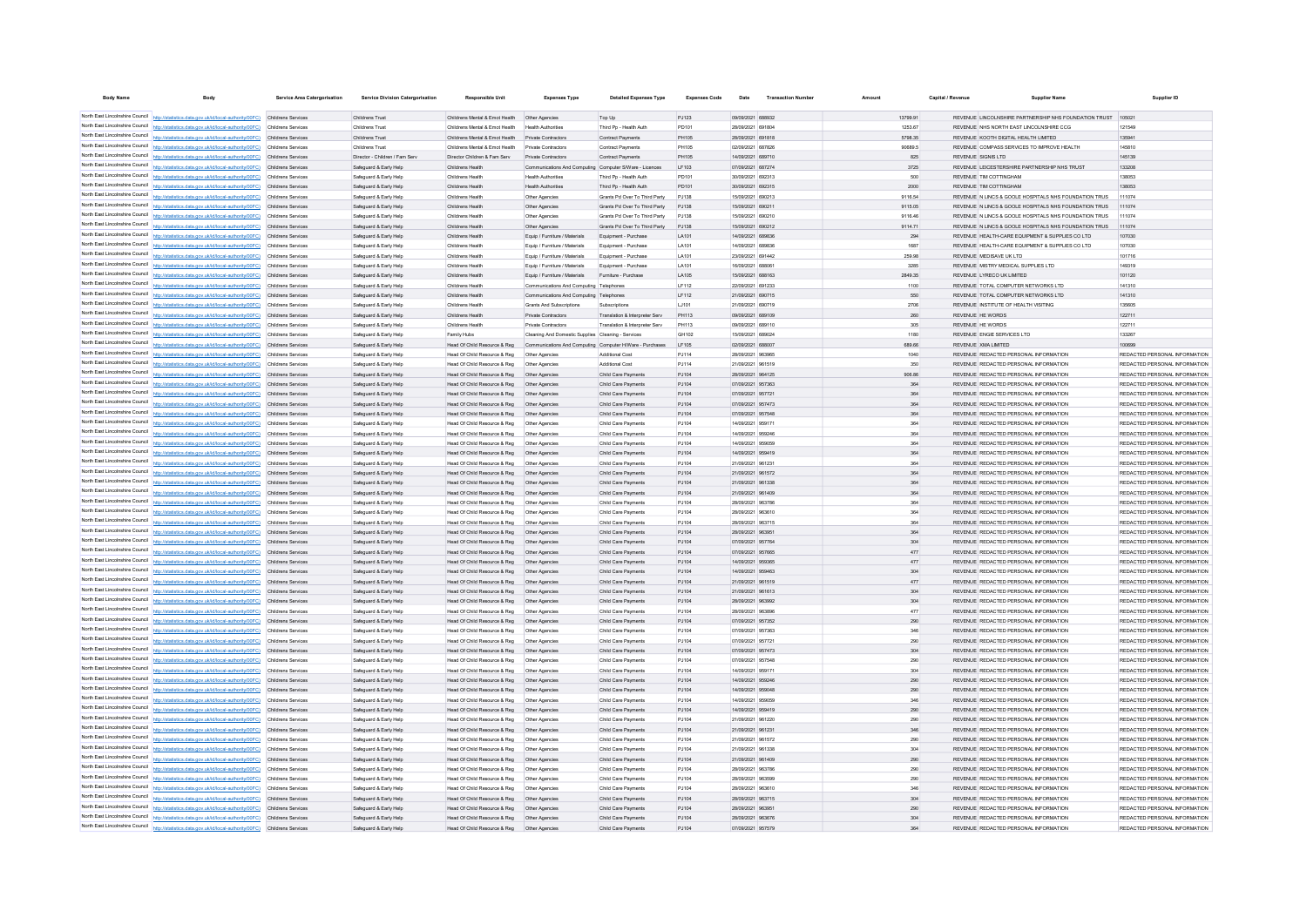| <b>Body Name</b>                |                                                                                                                                                                                                                        | <b>Service Area Catergorisation</b>      | <b>Service Division Catergorisation</b>          | <b>Responsible Uni</b>                                       | <b>Expenses Type</b>                                           | <b>Detailed Expenses Type</b>                                  | <b>Expenses Code</b> |                                        |                | Capital / Revenue |                                                                                | Supplier ID                                                    |
|---------------------------------|------------------------------------------------------------------------------------------------------------------------------------------------------------------------------------------------------------------------|------------------------------------------|--------------------------------------------------|--------------------------------------------------------------|----------------------------------------------------------------|----------------------------------------------------------------|----------------------|----------------------------------------|----------------|-------------------|--------------------------------------------------------------------------------|----------------------------------------------------------------|
|                                 | North East Lincolnshire Council http://statistics.data.gov.uk/id/local-authority/00FC) Childrens Services                                                                                                              |                                          | Childrens Trust                                  | Childrens Mental & Emot Health Other Agencies                |                                                                | Top Up                                                         | PJ123                | 09/09/2021 688932                      | 13799.91       |                   | REVENUE LINCOLNSHIRE PARTNERSHIP NHS FOUNDATION TRUST 105021                   |                                                                |
|                                 | North East Lincolnshire Council http://statistics.data.gov.uk/id/local-authority/00FC)                                                                                                                                 | Childrens Services                       | Childrens Trust                                  | Childrens Mental & Emot Health                               | <b>Health Authorities</b>                                      | Third Pp - Health Auth                                         | PD101                | 28/09/2021 691804                      | 1253.67        |                   | REVENUE NHS NORTH EAST LINCOLNSHIRE CCG                                        | 121549                                                         |
|                                 | North East Lincolnshire Council http://statistics.data.gov.uk/id/local-authority/00FC)                                                                                                                                 | Childrens Services                       | Childrens Trust                                  | Childrens Mental & Emot Health                               | Private Contractors                                            | Contract Payments                                              | PH105                | 28/09/2021 691818                      | 5798.35        |                   | REVENUE KOOTH DIGITAL HEALTH LIMITED                                           | 135941                                                         |
|                                 | North East Lincolnshire Council http://statistics.data.gov.uk/id/local-authority/00FC) Childrens Services                                                                                                              |                                          | Childrens Trust                                  | Childrens Mental & Emot Health                               | Private Contractors                                            | Contract Payments                                              | PH105                | 02/09/2021 687826                      | 90689.5        |                   | REVENUE COMPASS SERVICES TO IMPROVE HEALTH                                     | 145810                                                         |
|                                 | North East Lincolnshire Council http://statistics.data.gov.uk/id/local-authority/00FC).                                                                                                                                | Childrens Services                       | Director - Children / Fam Serv                   | Director Children & Fam Serv                                 | Private Contractors                                            | Contract Payments                                              | PH105                | 14/09/2021 689710                      | 825            |                   | REVENUE SIGNIS LTD                                                             | 145139                                                         |
|                                 | North East Lincolnshire Council http://statistics.data.gov.uk/id/local-authority/00FC).                                                                                                                                | Childrens Services                       | Safequard & Early Help                           | Childrens Health                                             | Communications And Computing Computer S/Ware - Licences        |                                                                | LF103                | 07/09/2021 687274                      | 3725           |                   | REVENUE LEICESTERSHIRE PARTNERSHIP NHS TRUST                                   | 133208                                                         |
|                                 | North East Lincolnshire Council http://statistics.data.gov.uk/id/local-authority/00FC) Childrens Services                                                                                                              |                                          | Safequard & Early Help                           | Childrens Health                                             | <b>Health Authorities</b>                                      | Third Po - Health Auth                                         | PD101                | 30/09/2021 692313                      | 500            |                   | REVENUE TIM COTTINGHAM                                                         | 138053                                                         |
|                                 | North East Lincolnshire Council http://statistics.data.gov.uk/id/local-authority/00FC) Childrens Services                                                                                                              |                                          | Safeguard & Early Help                           | Childrens Health                                             | <b>Health Authorities</b>                                      | Third Pp - Health Auth                                         | PD101                | 30/09/2021 692315                      | 2000           |                   | REVENUE TIM COTTINGHAM                                                         | 138053                                                         |
|                                 | North East Lincolnshire Council http://statistics.data.gov.uk/id/local-authority/00FC) Childrens Services                                                                                                              |                                          | Safeguard & Early Help                           | Childrens Health                                             | Other Agencies                                                 | Grants Pd Over To Third Party                                  | PJ138                | 15/09/2021 690213                      | 9116.54        |                   | REVENUE IN LINCS & GOOLE HOSPITALS NHS FOUNDATION TRUS                         | 111074                                                         |
|                                 | North East Lincolnshire Council http://statistics.data.gov.uk/id/local-authority/00FC).                                                                                                                                | <b>Childrens Services</b>                | Safequard & Early Help                           | Childrens Health                                             | Other Agencies                                                 | Grants Pd Over To Third Party PJ138                            |                      | 15/09/2021 690211                      | 9115.05        |                   | REVENUE IN LINCS & GOOLE HOSPITALS NHS FOUNDATION TRUS                         | 111074                                                         |
|                                 | North East Lincolnshire Council http://statistics.data.gov.uk/id/local-authority/00FC)                                                                                                                                 | Childrens Services                       | Safeguard & Early Help                           | Childrens Health                                             | Other Agencies                                                 | Grants Pd Over To Third Party                                  | PJ138                | 15/09/2021 690210                      | 9116.46        |                   | REVENUE IN LINCS & GOOLE HOSPITALS NHS FOUNDATION TRUS                         | 111074                                                         |
|                                 | North East Lincolnshire Council http://statistics.data.gov.uk/id/local-authority/00FC)                                                                                                                                 | Childrens Services                       | Safeguard & Early Help                           | Childrens Health                                             | Other Agencies                                                 | Grants Pd Over To Third Party PJ138                            |                      | 15/09/2021 690212                      | 9114.71        |                   | REVENUE N LINCS & GOOLE HOSPITALS NHS FOUNDATION TRUS                          | 111074                                                         |
|                                 | North East Lincolnshire Council http://statistics.data.gov.uk/id/local-authority/00FC)                                                                                                                                 | Childrens Services                       | Safeguard & Early Help                           | Childrens Health                                             | Equip / Furniture / Materials                                  | Equipment - Purchase                                           | LA101                | 14/09/2021 689836                      | 294            |                   | REVENUE HEALTH-CARE EQUIPMENT & SUPPLIES CO LTD                                | 107030                                                         |
|                                 | North East Lincolnshire Council http://statistics.data.gov.uk/id/local-authority/00FC)<br>North East Lincolnshire Council http://statistics.data.gov.uk/id/local-authority/00FC)                                       | Childrens Services<br>Childrens Services | Safequard & Early Help                           | Childrens Health<br>Childrens Health                         | Equip / Furniture / Materials<br>Equip / Furniture / Materials | Equipment - Purchase<br>Equipment - Purchase                   | LA101<br>LA101       | 14/09/2021 689836<br>23/09/2021 691442 | 1687<br>259.98 |                   | REVENUE HEALTH-CARE EQUIPMENT & SUPPLIES CO LTD<br>REVENUE MEDISAVE UK LTD     | 107030<br>101716                                               |
|                                 | North East Lincolnshire Council http://statistics.data.gov.uk/id/local-authority/00FC)                                                                                                                                 | Childrens Services                       | Safeguard & Early Help<br>Safeguard & Early Help | Childrens Health                                             | Equip / Furniture / Materials                                  | Equipment - Purchase                                           | LA101                | 16/09/2021 688061                      | 3285           |                   | REVENUE MISTRY MEDICAL SUPPLIES LTD                                            | 149319                                                         |
|                                 | North East Lincolnshire Council http://statistics.data.gov.uk/id/local-authority/00FC)                                                                                                                                 | <b>Childrens Services</b>                | Safeguard & Early Help                           | Childrens Health                                             | Equip / Furniture / Materials                                  | Furniture - Purchase                                           | LA105                | 15/09/2021 688163                      | 2849.35        |                   | REVENUE LYRECO UK LIMITED                                                      | 101120                                                         |
|                                 | North East Lincolnshire Council http://statistics.data.gov.uk/id/local-authority/00FC)                                                                                                                                 | Childrens Services                       | Safeguard & Early Help                           | Childrens Health                                             | Communications And Computing Telephones                        |                                                                | LF112                | 22/09/2021 691233                      | 1100           |                   | REVENUE TOTAL COMPUTER NETWORKS LTD                                            | 141310                                                         |
|                                 | North East Lincolnshire Council http://statistics.data.gov.uk/id/local-authority/00FC)                                                                                                                                 | <b>Childrens Services</b>                | Safeguard & Early Help                           | Childrens Health                                             | Communications And Computing Telephones                        |                                                                | LF112                | 21/09/2021 690715                      | 550            |                   | REVENUE TOTAL COMPUTER NETWORKS LTD                                            | 141310                                                         |
|                                 | North East Lincolnshire Council http://statistics.data.gov.uk/id/local-authority/00FC)                                                                                                                                 | Childrens Services                       | Safequard & Early Help                           | Childrens Health                                             | Grants And Subscriptions                                       | Subscriptions                                                  | LJ101                | 21/09/2021 690719                      | 2706           |                   | REVENUE INSTITUTE OF HEALTH VISITING                                           | 135605                                                         |
|                                 | North East Lincolnshire Council http://statistics.data.gov.uk/id/local-authority/00FC)                                                                                                                                 | <b>Childrens Services</b>                | Safeguard & Early Help                           | Childrens Health                                             | <b>Private Contractors</b>                                     | Translation & Interpreter Serv                                 | PH113                | 09/09/2021 689109                      | 260            |                   | REVENUE HE WORDS                                                               | 122711                                                         |
|                                 | North East Lincolnshire Council http://statistics.data.gov.uk/id/local-authority/00FC)                                                                                                                                 | Childrens Services                       | Safeguard & Early Help                           | Childrens Health                                             | <b>Private Contractors</b>                                     | Translation & Interpreter Serv                                 | PH113                | 09/09/2021 689110                      | 305            |                   | REVENUE HE WORDS                                                               | 122711                                                         |
|                                 | North East Lincolnshire Council http://statistics.data.gov.uk/id/local-authority/00FC) Childrens Services                                                                                                              |                                          | Safeguard & Early Help                           | Family Hubs                                                  | Cleaning And Domestic Sunnlies Cleaning - Services             |                                                                | GH102                | 15/09/2021 689024                      | 1180           |                   | REVENUE ENGIE SERVICES LTD                                                     | 133267                                                         |
|                                 | North East Lincolnshire Council http://statistics.data.gov.uk/id/local-authority/00FC) Childrens Services                                                                                                              |                                          | Safequard & Early Help                           | Head Of Child Resource & Reg                                 |                                                                | Communications And Computing Computer H/Ware - Purchases LF105 |                      | 02/09/2021 688007                      | 689.66         |                   | REVENUE XMA UMITED                                                             | 100699                                                         |
|                                 | North East Lincolnshire Council http://statistics.data.gov.uk/id/local-authority/00FC) Childrens Services                                                                                                              |                                          | Safequard & Early Help                           | Head Of Child Resource & Reg.                                | Other Agencies                                                 | Additional Cost                                                | P.1114               | 28/09/2021 963965                      | 1040           |                   | REVENUE REDACTED PERSONAL INFORMATION                                          | REDACTED PERSONAL INFORMATION                                  |
|                                 | North East Lincolnshire Council http://statistics.data.gov.uk/id/local-authority/00FC) Childrens Services                                                                                                              |                                          | Safeguard & Early Help                           | Head Of Child Resource & Reg.                                | Other Agencie                                                  | Additional Cost                                                | P.1114               | 21/09/2021 961519                      | 350            |                   | REVENUE REDACTED PERSONAL INFORMATION                                          | REDACTED PERSONAL INFORMATION                                  |
|                                 | North East Lincolnshire Council http://statistics.data.gov.uk/id/local-authority/00FC) Childrens Services                                                                                                              |                                          | Safeguard & Early Help                           | Head Of Child Resource & Reg                                 | Other Agencie                                                  | Child Care Payments                                            | PJ104                | 28/09/2021 964125                      | 906.86         |                   | REVENUE REDACTED PERSONAL INFORMATION                                          | REDACTED PERSONAL INFORMATION                                  |
|                                 | North East Lincolnshire Council http://statistics.data.gov.uk/id/local-authority/00FC) Childrens Services                                                                                                              |                                          | Safeguard & Early Help                           | Head Of Child Resource & Reg                                 | Other Agencie                                                  | Child Care Payments                                            | PJ104                | 07/09/2021 957363                      | 364            |                   | REVENUE REDACTED PERSONAL INFORMATION                                          | REDACTED PERSONAL INFORMATION                                  |
|                                 | North East Lincolnshire Council http://statistics.data.gov.uk/id/local-authority/00FC) Childrens Services                                                                                                              |                                          | Safeguard & Early Help                           | Head Of Child Resource & Reg                                 | Other Agencie                                                  | Child Care Payments                                            | PJ104                | 07/09/2021 957721                      | 364            |                   | REVENUE REDACTED PERSONAL INFORMATION                                          | REDACTED PERSONAL INFORMATION                                  |
|                                 | North East Lincolnshire Council http://statistics.data.gov.uk/id/local-authority/00FC) Childrens Services                                                                                                              |                                          | Safeguard & Early Help                           | Head Of Child Resource & Reg                                 | Other Agencie                                                  | Child Care Payments                                            | PJ104                | 07/09/2021 957473                      | $364\,$        |                   | REVENUE REDACTED PERSONAL INFORMATION                                          | REDACTED PERSONAL INFORMATION                                  |
|                                 | North East Lincolnshire Council http://statistics.data.gov.uk/id/local-authority/00FC) Childrens Services                                                                                                              |                                          | Safeguard & Early Help                           | Head Of Child Resource & Reg                                 | Other Agencie                                                  | Child Care Payments                                            | PJ104                | 07/09/2021 957548                      | 364            |                   | REVENUE REDACTED PERSONAL INFORMATION                                          | REDACTED PERSONAL INFORMATION                                  |
|                                 | North East Lincolnshire Council http://statistics.data.gov.uk/id/local-authority/00FC) Childrens Services<br>North East Lincolnshire Council http://statistics.data.gov.uk/id/local-authority/00FC) Childrens Services |                                          | Safeguard & Early Help<br>Safeguard & Early Help | Head Of Child Resource & Reg<br>Head Of Child Resource & Reg | Other Agencie<br>Other Agencie                                 | Child Care Payments<br>Child Care Payments                     | PJ104<br>PJ104       | 14/09/2021 959171<br>14/09/2021 959246 | 364<br>364     |                   | REVENUE REDACTED PERSONAL INFORMATION<br>REVENUE REDACTED PERSONAL INFORMATION | REDACTED PERSONAL INFORMATION<br>REDACTED PERSONAL INFORMATION |
|                                 | North East Lincolnshire Council http://statistics.data.gov.uk/id/local-authority/00FC) Childrens Services                                                                                                              |                                          | Safeguard & Early Help                           | Head Of Child Resource & Reg                                 | Other Agencie                                                  | Child Care Payment                                             | PJ104                | 14/09/2021 959059                      | 364            |                   | REVENUE REDACTED PERSONAL INFORMATION                                          | REDACTED PERSONAL INFORMATION                                  |
|                                 | North East Lincolnshire Council http://statistics.data.gov.uk/id/local-authority/00FC) Childrens Services                                                                                                              |                                          | Safeguard & Early Help                           | Head Of Child Resource & Reg                                 | Other Agencie                                                  | Child Care Payments                                            | PJ104                | 14/09/2021 959419                      | 364            |                   | REVENUE REDACTED PERSONAL INFORMATION                                          | REDACTED PERSONAL INFORMATION                                  |
|                                 | North East Lincolnshire Council http://statistics.data.gov.uk/id/local-authority/00FC) Childrens Services                                                                                                              |                                          | Safeguard & Early Help                           | Head Of Child Resource & Reg                                 | Other Agencie                                                  | Child Care Payment                                             | PJ104                | 21/09/2021 96123                       | 364            |                   | REVENUE REDACTED PERSONAL INFORMATION                                          | REDACTED PERSONAL INFORMATION                                  |
|                                 | North East Lincolnshire Council http://statistics.data.gov.uk/id/local-authority/00FC) Childrens Services                                                                                                              |                                          | Safeguard & Early Help                           | Head Of Child Resource & Reg                                 | Other Agencie                                                  | Child Care Payment                                             | PJ104                | 21/09/2021 961572                      | 364            |                   | REVENUE REDACTED PERSONAL INFORMATION                                          | REDACTED PERSONAL INFORMATION                                  |
|                                 | North East Lincolnshire Council http://statistics.data.gov.uk/id/local-authority/00FC) Childrens Services                                                                                                              |                                          | Safeguard & Early Help                           | Head Of Child Resource & Reg                                 | Other Agencie                                                  | Child Care Payment                                             | PJ104                | 21/09/2021 961338                      | 364            |                   | REVENUE REDACTED PERSONAL INFORMATION                                          | REDACTED PERSONAL INFORMATION                                  |
|                                 | North East Lincolnshire Council http://statistics.data.gov.uk/id/local-authority/00FC) Childrens Services                                                                                                              |                                          | Safeguard & Early Help                           | Head Of Child Resource & Reg                                 | Other Agencie                                                  | Child Care Payments                                            | PJ104                | 21/09/2021 961409                      | 364            |                   | REVENUE REDACTED PERSONAL INFORMATION                                          | REDACTED PERSONAL INFORMATION                                  |
|                                 | North East Lincolnshire Council http://statistics.data.gov.uk/id/local-authority/00FC) Childrens Services                                                                                                              |                                          | Safeguard & Early Help                           | Head Of Child Resource & Reg                                 | Other Agencie                                                  | Child Care Payments                                            | PJ104                | 28/09/2021 963786                      | 364            |                   | REVENUE REDACTED PERSONAL INFORMATION                                          | REDACTED PERSONAL INFORMATION                                  |
|                                 | North East Lincolnshire Council http://statistics.data.gov.uk/id/local-authority/00FC) Childrens Services                                                                                                              |                                          | Safeguard & Early Help                           | Head Of Child Resource & Reg                                 | Other Agencie                                                  | Child Care Payments                                            | PJ104                | 28/09/2021 963610                      | $364\,$        |                   | REVENUE REDACTED PERSONAL INFORMATION                                          | REDACTED PERSONAL INFORMATION                                  |
|                                 | North East Lincolnshire Council http://statistics.data.gov.uk/id/local-authority/00FC) Childrens Services                                                                                                              |                                          | Safeguard & Early Help                           | Head Of Child Resource & Reg                                 | Other Agencie                                                  | Child Care Payment                                             | P.1104               | 28/09/2021 963715                      | 364            |                   | REVENUE REDACTED PERSONAL INFORMATION                                          | REDACTED PERSONAL INFORMATION                                  |
|                                 | North East Lincolnshire Council http://statistics.data.gov.uk/id/local-authority/00FC)                                                                                                                                 | Childrens Services                       | Safeguard & Early Help                           | Head Of Child Resource & Reg                                 | Other Agencie                                                  | Child Care Payment                                             | PJ104                | 28/09/2021 963951                      | $364\,$        |                   | REVENUE REDACTED PERSONAL INFORMATION                                          | REDACTED PERSONAL INFORMATION                                  |
|                                 | North East Lincolnshire Council http://statistics.data.gov.uk/id/local-authority/00FC) Childrens Services                                                                                                              |                                          | Safeguard & Early Help                           | Head Of Child Resource & Reg                                 | Other Agencie                                                  | Child Care Payment                                             | PJ104                | 07/09/2021 957764                      | 304            |                   | REVENUE REDACTED PERSONAL INFORMATION                                          | REDACTED PERSONAL INFORMATION                                  |
|                                 | North East Lincolnshire Council http://statistics.data.gov.uk/id/local-authority/00FC)<br>North East Lincolnshire Council http://statistics.data.gov.uk/id/local-authority/00FC)                                       | Childrens Services                       | Safeguard & Early Help                           | Head Of Child Resource & Reg                                 | Other Agencie                                                  | Child Care Payment                                             | PJ104                | 07/09/2021 957665                      | 477            |                   | REVENUE REDACTED PERSONAL INFORMATION                                          | REDACTED PERSONAL INFORMATION                                  |
|                                 | North East Lincolnshire Council http://statistics.data.gov.uk/id/local-authority/00FC)                                                                                                                                 | Childrens Services<br>Childrens Services | Safeguard & Early Help<br>Safeguard & Early Help | Head Of Child Resource & Reg<br>Head Of Child Resource & Reg | Other Agencie<br>Other Agencie                                 | Child Care Payment<br>Child Care Payment                       | PJ104<br>PJ104       | 14/09/2021 959365<br>14/09/2021 959463 | 477<br>304     |                   | REVENUE REDACTED PERSONAL INFORMATION<br>REVENUE REDACTED PERSONAL INFORMATION | REDACTED PERSONAL INFORMATION<br>REDACTED PERSONAL INFORMATION |
|                                 | North East Lincolnshire Council http://statistics.data.gov.uk/id/local-authority/00FC)                                                                                                                                 | Childrens Service                        | Safeguard & Early Help                           | Head Of Child Resource & Reg                                 | Other Agencie                                                  | Child Care Payment                                             | PJ104                | 21/09/2021 961519                      | 477            |                   | REVENUE REDACTED PERSONAL INFORMATION                                          | REDACTED PERSONAL INFORMATION                                  |
|                                 | North East Lincolnshire Council http://statistics.data.gov.uk/id/local-authority/00FC)                                                                                                                                 | Childrens Service                        | Safeguard & Early Help                           | Head Of Child Resource & Reg                                 | Other Agencie                                                  | Child Care Payment                                             | PJ104                | 21/09/2021 961613                      | 304            |                   | REVENUE REDACTED PERSONAL INFORMATION                                          | REDACTED PERSONAL INFORMATION                                  |
|                                 | North East Lincolnshire Council http://statistics.data.gov.uk/id/local-authority/00FC)                                                                                                                                 |                                          | Safeguard & Early Help                           | Head Of Child Resource & Reg                                 | Other Agencie                                                  | Child Care Payment                                             | PJ104                | 28/09/2021 963992                      | 304            |                   | REVENUE REDACTED PERSONAL INFORMATION                                          | REDACTED PERSONAL INFORMATION                                  |
|                                 | North East Lincolnshire Council http://statistics.data.gov.uk/id/local-authority/00FC)                                                                                                                                 | Childrens Service                        | Safeguard & Early Help                           | Head Of Child Resource & Reg                                 | Other Agencie                                                  | Child Care Payment                                             | PJ104                | 28/09/2021 96389                       | 477            |                   | REVENUE REDACTED PERSONAL INFORMATION                                          | REDACTED PERSONAL INFORMATION                                  |
|                                 | North East Lincolnshire Council http://statistics.data.gov.uk/id/local-authority/00FC)                                                                                                                                 | Childrens Services                       | Safeguard & Early Help                           | Head Of Child Resource & Reg                                 | Other Agencie                                                  | Child Care Payment                                             | PJ104                | 07/09/2021 957352                      | 290            |                   | REVENUE REDACTED PERSONAL INFORMATION                                          | REDACTED PERSONAL INFORMATION                                  |
|                                 | North East Lincolnshire Council http://statistics.data.gov.uk/id/local-authority/00FC)                                                                                                                                 | Childrens Services                       | Safeguard & Early Held                           | Head Of Child Resource & Reg                                 | Other Agencie                                                  | Child Care Payment                                             | PJ104                | 07/09/2021 957363                      | 346            |                   | REVENUE REDACTED PERSONAL INFORMATION                                          | REDACTED PERSONAL INFORMATION                                  |
|                                 | North East Lincolnshire Council http://statistics.data.gov.uk/id/local-authority/00FC)                                                                                                                                 | Childrens Services                       | Safeguard & Early Held                           | Head Of Child Resource & Reg                                 | Other Agencie                                                  | Child Care Payment                                             | PJ104                | 07/09/2021 95772                       | 290            |                   | REVENUE REDACTED PERSONAL INFORMATION                                          | REDACTED PERSONAL INFORMATION                                  |
|                                 | North East Lincolnshire Council http://statistics.data.gov.uk/id/local-authority/00FC)                                                                                                                                 | Childrens Services                       | Safeguard & Early Help                           | Head Of Child Resource & Reg                                 | Other Agencie                                                  | Child Care Payments                                            | PJ104                | 07/09/2021 957473                      | 304            |                   | REVENUE REDACTED PERSONAL INFORMATION                                          | REDACTED PERSONAL INFORMATION                                  |
|                                 | North East Lincolnshire Council http://statistics.data.gov.uk/id/local-authority/00FC)                                                                                                                                 | Childrens Services                       | Safeguard & Early Help                           | Head Of Child Resource & Reg                                 | Other Agencie                                                  | Child Care Payments                                            | PJ104                | 07/09/2021 957548                      | 290            |                   | REVENUE REDACTED PERSONAL INFORMATION                                          | REDACTED PERSONAL INFORMATION                                  |
|                                 | North East Lincolnshire Council http://statistics.data.gov.uk/id/local-authority/00FC)                                                                                                                                 | Childrens Services                       | Safeguard & Early Help                           | Head Of Child Resource & Reg                                 | Other Agencie                                                  | Child Care Payments                                            | PJ104                | 4/09/2021 95917                        | 304            |                   | REVENUE REDACTED PERSONAL INFORMATION                                          | REDACTED PERSONAL INFORMATION                                  |
| North East Lincolnshire Council | http://statistics.data.gov.uk/id/local-authority/00FC)                                                                                                                                                                 | Childrens Services                       | Safeguard & Early Help                           | Head Of Child Resource & Reg                                 | Other Agencie                                                  | Child Care Payments                                            | PJ104                | 14/09/2021 959246                      | 290            |                   | REVENUE REDACTED PERSONAL INFORMATION                                          | REDACTED PERSONAL INFORMATION                                  |
| North East Lincolnshire Council | North East Lincolnshire Council http://statistics.data.gov.uk/id/local-authority/00FC)                                                                                                                                 | Childrens Services                       | Safeguard & Early Help                           | Head Of Child Resource & Reg                                 | Other Agencie                                                  | Child Care Payments                                            | PJ104                | 14/09/2021 959048                      | 290            |                   | REVENUE REDACTED PERSONAL INFORMATION                                          | REDACTED PERSONAL INFORMATION                                  |
| North East Lincolnshire Council | http://statistics.data.gov.uk/id/local-authority/00FC)                                                                                                                                                                 | Childrens Services                       | Safeguard & Early Help                           | Head Of Child Resource & Reg                                 | Other Agencie                                                  | Child Care Payments                                            | PJ104                | 14/09/2021 959059                      | 346            |                   | REVENUE REDACTED PERSONAL INFORMATION                                          | REDACTED PERSONAL INFORMATION                                  |
| North East Lincolnshire Council | http://statistics.data.gov.uk/id/local-authority/00FC)                                                                                                                                                                 | Childrens Services                       | Safeguard & Early Help                           | Head Of Child Resource & Reg                                 | Other Agencie                                                  | Child Care Payments                                            | PJ104<br>P.1104      | 14/09/2021 959419                      | 290            |                   | REVENUE REDACTED PERSONAL INFORMATION                                          | REDACTED PERSONAL INFORMATION                                  |
| North East Lincolnshire Council | http://statistics.data.gov.uk/id/local-authority/00FC)<br>http://statistics.data.gov.uk/id/local-authority/00FC)                                                                                                       | Childrens Services<br>Childrens Services | Safeguard & Early Help<br>Safequard & Early Help | Head Of Child Resource & Reg<br>Head Of Child Resource & Reg | Other Agencie<br>Other Agencie                                 | Child Care Payments<br>Child Care Payments                     | PJ104                | 21/09/2021 961220<br>21/09/2021 961231 | 290<br>346     |                   | REVENUE REDACTED PERSONAL INFORMATION<br>REVENUE REDACTED PERSONAL INFORMATION | REDACTED PERSONAL INFORMATION<br>REDACTED PERSONAL INFORMATION |
| North East Lincolnshire Council | http://statistics.data.gov.uk/id/local-authority/00FC)                                                                                                                                                                 | Childrens Services                       | Safequard & Early Help                           | Head Of Child Resource & Reg                                 | Other Agencie                                                  | Child Care Payments                                            | PJ104                | 21/09/2021 961572                      | 290            |                   | REVENUE REDACTED PERSONAL INFORMATION                                          | REDACTED PERSONAL INFORMATION                                  |
| North East Lincolnshire Council | http://statistics.data.gov.uk/id/local-authority/00FC)                                                                                                                                                                 | Childrens Services                       | Safeguard & Early Help                           | Head Of Child Resource & Reg                                 | Other Agencie                                                  | Child Care Payments                                            | PJ104                | 21/09/2021 961338                      | 304            |                   | REVENUE REDACTED PERSONAL INFORMATION                                          | REDACTED PERSONAL INFORMATION                                  |
| North East Lincolnshire Council | http://statistics.data.gov.uk/id/local-authority/00FC)                                                                                                                                                                 | <b>Childrens Services</b>                | Safeguard & Early Help                           | Head Of Child Resource & Reg                                 | Other Agencie                                                  | Child Care Payments                                            | PJ104                | 21/09/2021 961409                      | 290            |                   | REVENUE REDACTED PERSONAL INFORMATION                                          | REDACTED PERSONAL INFORMATION                                  |
|                                 | North East Lincolnshire Council http://statistics.data.gov.uk/id/local-authority/00FC)                                                                                                                                 | Childrens Services                       | Safeguard & Early Help                           | Head Of Child Resource & Reg                                 | Other Agencies                                                 | Child Care Payments                                            | PJ104                | 28/09/2021 963786                      | 290            |                   | REVENUE REDACTED PERSONAL INFORMATION                                          | REDACTED PERSONAL INFORMATION                                  |
|                                 | North East Lincolnshire Council http://statistics.data.gov.uk/id/local-authority/00FC)                                                                                                                                 | Childrens Services                       | Safeguard & Early Help                           | Head Of Child Resource & Reg                                 | Other Agencie                                                  | Child Care Payments                                            | PJ104                | 28/09/2021 963599                      | 290            |                   | REVENUE REDACTED PERSONAL INFORMATION                                          | REDACTED PERSONAL INFORMATION                                  |
|                                 | North East Lincolnshire Council http://statistics.data.gov.uk/id/local-authority/00FC)                                                                                                                                 | Childrens Services                       | Safeguard & Early Help                           | Head Of Child Resource & Reg                                 | Other Agencie                                                  | Child Care Payments                                            | PJ104                | 28/09/2021 963610                      | 346            |                   | REVENUE REDACTED PERSONAL INFORMATION                                          | REDACTED PERSONAL INFORMATION                                  |
|                                 | North East Lincolnshire Council http://statistics.data.gov.uk/id/local-authority/00FC)                                                                                                                                 | Childrens Services                       | Safeguard & Early Help                           | Head Of Child Resource & Reg                                 | Other Agencie                                                  | Child Care Payments                                            | PJ104                | 28/09/2021 963715                      | 304            |                   | REVENUE REDACTED PERSONAL INFORMATION                                          | REDACTED PERSONAL INFORMATION                                  |
|                                 | North East Lincolnshire Council http://statistics.data.gov.uk/id/local-authority/00FC)                                                                                                                                 | Childrens Services                       | Safeguard & Early Help                           | Head Of Child Resource & Reg                                 | Other Agencie                                                  | Child Care Payments                                            | P.1104               | 28/09/2021 96395                       | 290            |                   | REVENUE REDACTED PERSONAL INFORMATION                                          | REDACTED PERSONAL INFORMATION                                  |
|                                 | North East Lincolnshire Council http://statistics.data.gov.uk/id/local-authority/00FC)                                                                                                                                 | Childrens Services                       | Safeguard & Early Help                           | Head Of Child Resource & Reg   Other Agencies                |                                                                | Child Care Payments                                            | P.1104               | 28/09/2021 963676                      | 304            |                   | REVENUE REDACTED PERSONAL INFORMATION                                          | REDACTED PERSONAL INFORMATION                                  |
| North East Lincolnshire Council | http://statistics.data.gov.uk/id/local-authority/00FC)                                                                                                                                                                 | Childrens Services                       | Safeguard & Early Held                           | Head Of Child Resource & Reg                                 | Other Agencie                                                  | Child Care Payments                                            | P.1104               | 07/09/2021 957579                      |                |                   | REVENUE REDACTED PERSONAL INFORMATION                                          | REDACTED PERSONAL INFORMATION                                  |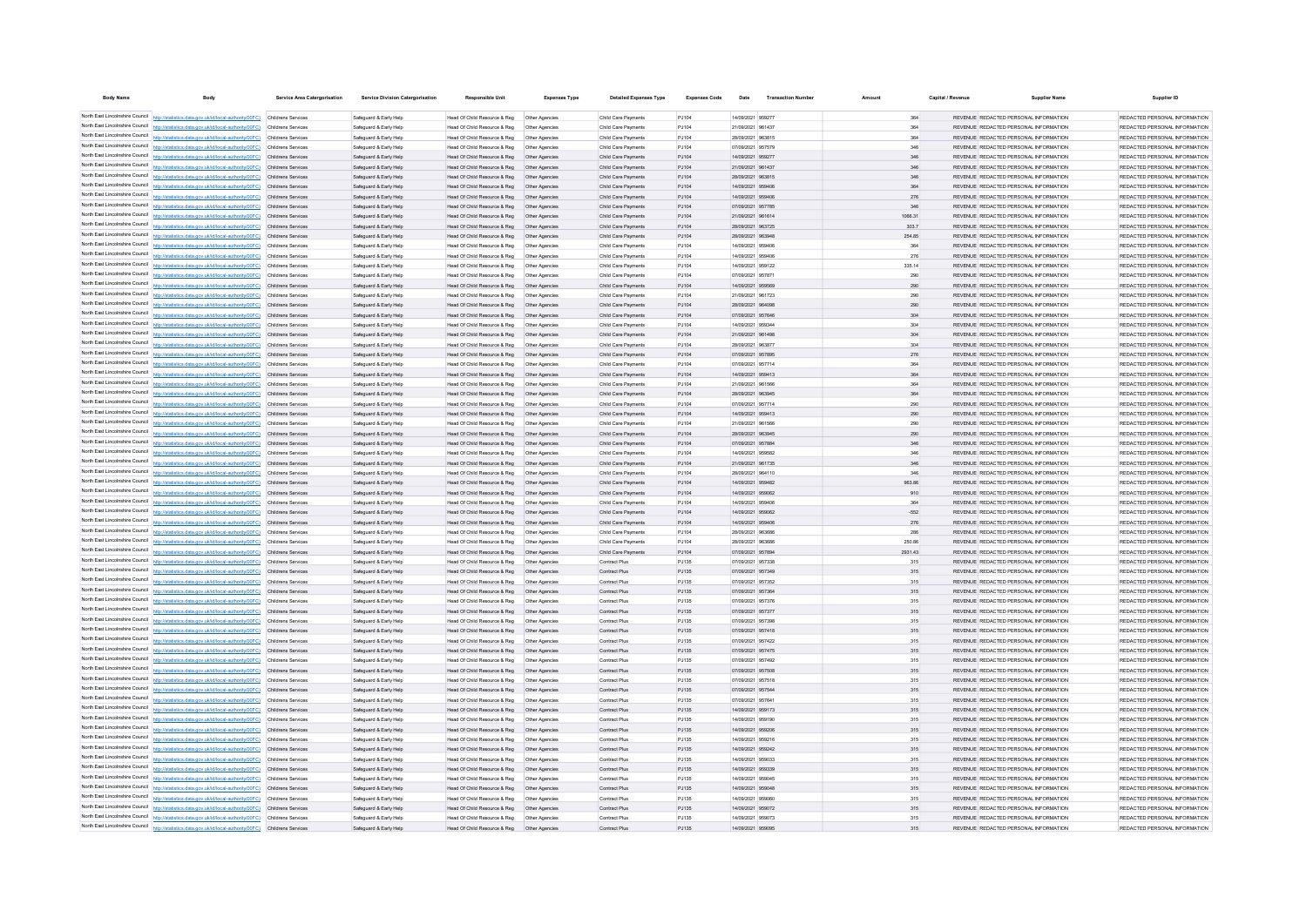| <b>Body Name</b>                |                                                                                                           | <b>Service Area Catergorisation</b> | <b>Service Division Catergorisation</b> | <b>Responsible Unit</b>                        | <b>Expenses Type</b> | <b>Detailed Expenses Type</b> | <b>Expenses Code</b> | Date              | <b>Transaction Number</b> |         | Capital / Revenue | <b>Supplier Name</b>                  | Supplier ID                   |
|---------------------------------|-----------------------------------------------------------------------------------------------------------|-------------------------------------|-----------------------------------------|------------------------------------------------|----------------------|-------------------------------|----------------------|-------------------|---------------------------|---------|-------------------|---------------------------------------|-------------------------------|
|                                 |                                                                                                           |                                     |                                         |                                                |                      |                               |                      |                   |                           |         |                   |                                       |                               |
|                                 | North East Lincolnshire Council http://statistics.data.gov.uk/id/local-authority/00FC) Childrens Services |                                     | Safequard & Early Help                  | Head Of Child Resource & Reg   Other Agencies  |                      | Child Care Payments           | PJ104                | 14/09/2021 959277 |                           |         | 364               | REVENUE REDACTED PERSONAL INFORMATION | REDACTED PERSONAL INFORMATION |
|                                 | North East Lincolnshire Council http://statistics.data.gov.uk/id/local-authority/00FC) Childrens Services |                                     | Safeguard & Early Help                  | Head Of Child Resource & Reg    Qther Agencies |                      | Child Care Payments           | PJ104                | 21/09/2021 961437 |                           |         | 364               | REVENUE REDACTED PERSONAL INFORMATION | REDACTED PERSONAL INFORMATION |
|                                 | North East Lincolnshire Council http://statistics.data.gov.uk/id/local-authority/00FC) Childrens Services |                                     | Safeguard & Early Help                  | Head Of Child Resource & Reg                   | Other Agencies       | Child Care Payments           | PJ104                | 28/09/2021 963815 |                           |         | 364               | REVENUE REDACTED PERSONAL INFORMATION | REDACTED PERSONAL INFORMATION |
|                                 | North East Lincolnshire Council http://statistics.data.gov.uk/id/local-authority/00FC) Childrens Services |                                     | Safeguard & Early Help                  | Head Of Child Resource & Reg                   | Other Agencies       | Child Care Payments           | P.1104               | 07/09/2021 957579 |                           |         | 346               | REVENUE REDACTED PERSONAL INFORMATION | REDACTED PERSONAL INFORMATION |
|                                 | North East Lincolnshire Council http://statistics.data.gov.uk/id/local-authority/00FC) Childrens Services |                                     | Safeguard & Early Help                  | Head Of Child Resource & Reg                   | Other Agencies       | Child Care Payments           | PJ104                | 14/09/2021 959277 |                           |         | 346               | REVENUE REDACTED PERSONAL INFORMATION | REDACTED PERSONAL INFORMATION |
|                                 | North East Lincolnshire Council http://statistics.data.gov.uk/id/local-authority/00FC) Childrens Services |                                     | Safeguard & Early Help                  | Head Of Child Resource & Reg                   | Other Agencies       | Child Care Payments           | PJ104                | 21/09/2021 961437 |                           |         | 346               | REVENUE REDACTED PERSONAL INFORMATION | REDACTED PERSONAL INFORMATION |
|                                 | North East Lincolnshire Council http://statistics.data.gov.uk/id/local-authority/00FC) Childrens Services |                                     | Safeguard & Early Help                  | Head Of Child Resource & Reg                   | Other Agencies       | Child Care Payments           | PJ104                | 28/09/2021 963815 |                           |         | 346               | REVENUE REDACTED PERSONAL INFORMATION | REDACTED PERSONAL INFORMATION |
|                                 | North East Lincolnshire Council http://statistics.data.gov.uk/id/local-authority/00FC) Childrens Services |                                     | Safeguard & Early Help                  | Head Of Child Resource & Reg                   | Other Agencies       | Child Care Payments           | PJ104                | 14/09/2021 959406 |                           |         | 364               | REVENUE REDACTED PERSONAL INFORMATION | REDACTED PERSONAL INFORMATION |
|                                 | North East Lincolnshire Council http://statistics.data.gov.uk/id/local-authority/00FC) Childrens Services |                                     | Safeguard & Early Help                  | Head Of Child Resource & Reg                   | Other Agencies       | Child Care Payments           | PJ104                | 14/09/2021 959406 |                           |         | 276               | REVENUE REDACTED PERSONAL INFORMATION | REDACTED PERSONAL INFORMATION |
|                                 | North East Lincolnshire Council http://statistics.data.gov.uk/id/local-authority/00FC) Childrens Services |                                     | Safeguard & Early Help                  | Head Of Child Resource & Reg                   | Other Agencies       | Child Care Payments           | PJ104                | 07/09/2021 957785 |                           |         | 346               | REVENUE REDACTED PERSONAL INFORMATION | REDACTED PERSONAL INFORMATION |
|                                 | North East Lincolnshire Council http://statistics.data.gov.uk/id/local-authority/00FC) Childrens Services |                                     | Safeguard & Early Help                  | Head Of Child Resource & Reg                   | Other Agencies       | Child Care Payments           | PJ104                | 21/09/2021 961614 |                           | 1066.31 |                   | REVENUE REDACTED PERSONAL INFORMATION | REDACTED PERSONAL INFORMATION |
|                                 | North East Lincolnshire Council http://statistics.data.gov.uk/id/local-authority/00FC) Childrens Services |                                     | Safeguard & Early Help                  | Head Of Child Resource & Reg   Other Agencies  |                      | Child Care Payments           | PJ104                | 28/09/2021 963725 |                           | 303.7   |                   | REVENUE REDACTED PERSONAL INFORMATION | REDACTED PERSONAL INFORMATION |
|                                 | North East Lincolnshire Council http://statistics.data.gov.uk/id/local-authority/00FC) Childrens Services |                                     | Safeguard & Early Help                  | Head Of Child Resource & Reg   Other Agencies  |                      | Child Care Payments           | PJ104                | 28/09/2021 963948 |                           | 254.85  |                   | REVENUE REDACTED PERSONAL INFORMATION | REDACTED PERSONAL INFORMATION |
|                                 | North East Lincolnshire Council http://statistics.data.gov.uk/id/local-authority/00FC) Childrens Services |                                     | Safeguard & Early Help                  |                                                |                      | Child Care Payments           | P.1104               | 14/09/2021 959406 |                           |         | 364               | REVENUE REDACTED PERSONAL INFORMATION | REDACTED PERSONAL INFORMATION |
|                                 | North East Lincolnshire Council http://statistics.data.gov.uk/id/local-authority/00FC) Childrens Services |                                     | Safeguard & Early Help                  | Head Of Child Resource & Reg   Other Agencies  |                      | Child Care Payments           | PJ104                | 14/09/2021 959406 |                           |         | 276               | REVENUE REDACTED PERSONAL INFORMATION | REDACTED PERSONAL INFORMATION |
|                                 | North East Lincolnshire Council http://statistics.data.gov.uk/id/local-authority/00FC) Childrens Services |                                     | Safeguard & Early Help                  | Head Of Child Resource & Reg   Other Agencies  |                      | Child Care Payments           | PJ104                | 14/09/2021 959122 |                           | 335.14  |                   | REVENUE REDACTED PERSONAL INFORMATION | REDACTED PERSONAL INFORMATION |
|                                 | North East Lincolnshire Council http://statistics.data.gov.uk/id/local-authority/00FC) Childrens Services |                                     |                                         |                                                |                      |                               |                      | 07/09/2021 957871 |                           |         |                   |                                       | REDACTED PERSONAL INFORMATION |
|                                 |                                                                                                           |                                     | Safeguard & Early Help                  | Head Of Child Resource & Reg                   | Other Agencies       | Child Care Payments           | PJ104                |                   |                           |         | 290               | REVENUE REDACTED PERSONAL INFORMATION |                               |
|                                 | North East Lincolnshire Council http://statistics.data.gov.uk/id/local-authority/00FC) Childrens Services |                                     | Safeguard & Early Help                  | Head Of Child Resource & Reg   Other Agencies  |                      | Child Care Payments           | PJ104                | 14/09/2021 959569 |                           |         | 290               | REVENUE REDACTED PERSONAL INFORMATION | REDACTED PERSONAL INFORMATION |
|                                 | North East Lincolnshire Council http://statistics.data.gov.uk/id/local-authority/00FC) Childrens Services |                                     | Safeguard & Early Help                  | Head Of Child Resource & Reg                   | Other Agencies       | Child Care Payments           | PJ104                | 21/09/2021 961723 |                           |         | 290               | REVENUE REDACTED PERSONAL INFORMATION | REDACTED PERSONAL INFORMATION |
|                                 | North East Lincolnshire Council http://statistics.data.gov.uk/id/local-authority/00FC) Childrens Services |                                     | Safeguard & Early Help                  | Head Of Child Resource & Reg   Other Agencies  |                      | Child Care Payments           | PJ104                | 28/09/2021 964096 |                           |         | 290               | REVENUE REDACTED PERSONAL INFORMATION | REDACTED PERSONAL INFORMATION |
|                                 | North East Lincolnshire Council http://statistics.data.gov.uk/id/local-authority/00FC) Childrens Services |                                     | Safeguard & Early Help                  | Head Of Child Resource & Reg                   | Other Agencies       | Child Care Payments           | PJ104                | 07/09/2021 957646 |                           |         | 304               | REVENUE REDACTED PERSONAL INFORMATION | REDACTED PERSONAL INFORMATION |
|                                 | North East Lincolnshire Council http://statistics.data.gov.uk/id/local-authority/00FC) Childrens Services |                                     | Safeguard & Early Help                  | Head Of Child Resource & Reg                   | Other Agencie        | Child Care Payments           | PJ104                | 14/09/2021 959344 |                           |         | 304               | REVENUE REDACTED PERSONAL INFORMATION | REDACTED PERSONAL INFORMATION |
|                                 | North East Lincolnshire Council http://statistics.data.gov.uk/id/local-authority/00FC) Childrens Services |                                     | Safeguard & Early Help                  | Head Of Child Resource & Reg                   | Other Agencies       | Child Care Payments           | PJ104                | 21/09/2021 961498 |                           |         | 304               | REVENUE REDACTED PERSONAL INFORMATION | REDACTED PERSONAL INFORMATION |
|                                 | North East Lincolnshire Council http://statistics.data.gov.uk/id/local-authority/00FC) Childrens Services |                                     | Safeguard & Early Help                  | Head Of Child Resource & Reg                   | Other Agencie        | Child Care Payments           | PJ104                | 28/09/2021 963877 |                           |         | 304               | REVENUE REDACTED PERSONAL INFORMATION | REDACTED PERSONAL INFORMATION |
|                                 | North East Lincolnshire Council http://statistics.data.gov.uk/id/local-authority/00FC) Childrens Services |                                     | Safeguard & Early Help                  | Head Of Child Resource & Reg                   | Other Agencie        | Child Care Payments           | PJ104                | 07/09/2021 957895 |                           |         | 276               | REVENUE REDACTED PERSONAL INFORMATION | REDACTED PERSONAL INFORMATION |
|                                 | North East Lincolnshire Council http://statistics.data.gov.uk/id/local-authority/00FC)                    | Childrens Service                   | Safeguard & Early Help                  | Head Of Child Resource & Reg                   | Other Agencie        | Child Care Payments           | PJ104                | 07/09/2021 957714 |                           |         | 364               | REVENUE REDACTED PERSONAL INFORMATION | REDACTED PERSONAL INFORMATION |
|                                 | North East Lincolnshire Council http://statistics.data.gov.uk/id/local-authority/00FC)                    | Childrens Service                   | Safeguard & Early Help                  | Head Of Child Resource & Reg                   | Other Agencie        | Child Care Payments           | PJ104                | 14/09/2021 959413 |                           |         | 364               | REVENUE REDACTED PERSONAL INFORMATION | REDACTED PERSONAL INFORMATION |
|                                 | North East Lincolnshire Council http://statistics.data.gov.uk/id/local-authority/00FC)                    | Childrens Service                   | Safeguard & Early Help                  | Head Of Child Resource & Reg                   | Other Agencie        | Child Care Payments           | PJ104                | 21/09/2021 961566 |                           |         | 364               | REVENUE REDACTED PERSONAL INFORMATION | REDACTED PERSONAL INFORMATION |
|                                 | North East Lincolnshire Council http://statistics.data.gov.uk/id/local-authority/00FC)                    | Childrens Service                   | Safeguard & Early Help                  | Head Of Child Resource & Reg                   | Other Agencies       | Child Care Payments           | PJ104                | 28/09/2021 963945 |                           |         | 364               | REVENUE REDACTED PERSONAL INFORMATION | REDACTED PERSONAL INFORMATION |
|                                 | North East Lincolnshire Council http://statistics.data.gov.uk/id/local-authority/00FC)                    | Childrens Service                   | Safeguard & Early Help                  | Head Of Child Resource & Reg                   | Other Agencie        | Child Care Payment            | PJ104                | 07/09/2021 957714 |                           |         | 290               | REVENUE REDACTED PERSONAL INFORMATION | REDACTED PERSONAL INFORMATION |
|                                 | North East Lincolnshire Council http://statistics.data.gov.uk/id/local-authority/00FC)                    |                                     | Safeguard & Early Help                  | Head Of Child Resource & Reg                   | Other Agencies       | Child Care Payments           | PJ104                | 14/09/2021 959413 |                           |         | 290               | REVENUE REDACTED PERSONAL INFORMATION | REDACTED PERSONAL INFORMATION |
|                                 | North East Lincolnshire Council http://statistics.data.gov.uk/id/local-authority/00FC)                    | Childrens Service                   | Safeguard & Early Help                  | Head Of Child Resource & Reg                   | Other Agencie        | Child Care Payment            | PJ104                | 21/09/2021 961566 |                           |         | 290               | REVENUE REDACTED PERSONAL INFORMATION | REDACTED PERSONAL INFORMATION |
|                                 | North East Lincolnshire Council http://statistics.data.gov.uk/id/local-authority/00FC)                    | Childrens Services                  | Safeguard & Early Help                  | Head Of Child Resource & Reg                   | Other Agencies       | Child Care Payments           | PJ104                | 28/09/2021 963945 |                           |         | 290               | REVENUE REDACTED PERSONAL INFORMATION | REDACTED PERSONAL INFORMATION |
|                                 | North East Lincolnshire Council http://statistics.data.gov.uk/id/local-authority/00FC)                    | Childrens Service                   | Safeguard & Early Help                  | Head Of Child Resource & Reg                   | Other Agencies       | Child Care Payments           | PJ104                | 07/09/2021 957884 |                           |         | 346               | REVENUE REDACTED PERSONAL INFORMATION | REDACTED PERSONAL INFORMATION |
|                                 | North East Lincolnshire Council http://statistics.data.gov.uk/id/local-authority/00FC)                    |                                     |                                         |                                                |                      |                               |                      |                   |                           |         |                   |                                       |                               |
|                                 |                                                                                                           | Childrens Service                   | Safeguard & Early Help                  | Head Of Child Resource & Reg                   | Other Agencie        | Child Care Payment            | PJ104                | 4/09/2021 959582  |                           |         | 346               | REVENUE REDACTED PERSONAL INFORMATION | REDACTED PERSONAL INFORMATION |
|                                 | North East Lincolnshire Council http://statistics.data.gov.uk/id/local-authority/00FC)                    | Childrens Service                   | Safeguard & Early Help                  | Head Of Child Resource & Reg                   | Other Agencies       | Child Care Payments           | PJ104                | 21/09/2021 961735 |                           |         | 346               | REVENUE REDACTED PERSONAL INFORMATION | REDACTED PERSONAL INFORMATION |
|                                 | North East Lincolnshire Council http://statistics.data.gov.uk/id/local-authority/00FC)                    | Childrens Service                   | Safeguard & Early Help                  | Head Of Child Resource & Reg                   | Other Agencie        | Child Care Payment            | PJ104                | 28/09/2021 964110 |                           |         | 346               | REVENUE REDACTED PERSONAL INFORMATION | REDACTED PERSONAL INFORMATION |
|                                 | North East Lincolnshire Council http://statistics.data.gov.uk/id/local-authority/00FC)                    | Childrens Service                   | Safeguard & Early Help                  | Head Of Child Resource & Reg                   | Other Agencies       | Child Care Payments           | PJ104                | 14/09/2021 959482 |                           | 963.86  |                   | REVENUE REDACTED PERSONAL INFORMATION | REDACTED PERSONAL INFORMATION |
|                                 | North East Lincolnshire Council http://statistics.data.gov.uk/id/local-authority/00FC)                    | Childrens Services                  | Safeguard & Early Help                  | Head Of Child Resource & Reg                   | Other Agencie        | Child Care Payments           | PJ104                | 14/09/2021 959062 |                           |         | 910               | REVENUE REDACTED PERSONAL INFORMATION | REDACTED PERSONAL INFORMATION |
|                                 | North East Lincolnshire Council http://statistics.data.gov.uk/id/local-authority/00FC)                    | Childrens Service                   | Safeguard & Early Help                  | Head Of Child Resource & Reg                   | Other Agencie        | Child Care Payment            | PJ104                | 14/09/2021 959406 |                           |         | 364               | REVENUE REDACTED PERSONAL INFORMATION | REDACTED PERSONAL INFORMATION |
|                                 | North East Lincolnshire Council http://statistics.data.gov.uk/id/local-authority/00FC)                    | Childrens Service                   | Safeguard & Early Help                  | Head Of Child Resource & Reg                   | Other Agencie        | Child Care Payment            | PJ104                | 14/09/2021 959062 |                           |         | $-552$            | REVENUE REDACTED PERSONAL INFORMATION | REDACTED PERSONAL INFORMATION |
|                                 | North East Lincolnshire Council http://statistics.data.gov.uk/id/local-authority/00FC)                    | Childrens Services                  | Safeguard & Early Help                  | Head Of Child Resource & Reg                   | Other Agencie        | Child Care Payments           | PJ104                | 14/09/2021 959406 |                           |         | 276               | REVENUE REDACTED PERSONAL INFORMATION | REDACTED PERSONAL INFORMATION |
|                                 | North East Lincolnshire Council http://statistics.data.gov.uk/id/local-authority/00FC)                    | Childrens Service                   | Safeguard & Early Help                  | Head Of Child Resource & Reg                   | Other Agencie        | Child Care Payment            | PJ104                | 28/09/2021 963686 |                           |         | 286               | REVENUE REDACTED PERSONAL INFORMATION | REDACTED PERSONAL INFORMATION |
|                                 | North East Lincolnshire Council http://statistics.data.gov.uk/id/local-authority/00FC)                    | Childrens Service                   | Safeguard & Early Help                  | Head Of Child Resource & Reg                   | Other Agencie        | Child Care Payment            | PJ104                | 28/09/2021 96368  |                           | 250.86  |                   | REVENUE REDACTED PERSONAL INFORMATION | REDACTED PERSONAL INFORMATION |
|                                 | North East Lincolnshire Council http://statistics.data.gov.uk/id/local-authority/00FC)                    | Childrens Service                   | Safeguard & Early Help                  | Head Of Child Resource & Reg                   | Other Agencies       | Child Care Payment            | PJ104                | 07/09/2021 957894 |                           | 2931.43 |                   | REVENUE REDACTED PERSONAL INFORMATION | REDACTED PERSONAL INFORMATION |
|                                 | North East Lincolnshire Council http://statistics.data.gov.uk/id/local-authority/00FC)                    | Childrens Service                   | Safeguard & Early Help                  | Head Of Child Resource & Reg                   | Other Agencie        | Contract Plus                 | PJ135                | 07/09/2021 95733  |                           |         | 315               | REVENUE REDACTED PERSONAL INFORMATION | REDACTED PERSONAL INFORMATION |
|                                 | North East Lincolnshire Council http://statistics.data.gov.uk/id/local-authority/00FC)                    | Childrens Service                   | Safeguard & Early Help                  | Head Of Child Resource & Reg                   | Other Agencies       | Contract Plus                 | PJ135                | 07/09/2021 957349 |                           |         | 315               | REVENUE REDACTED PERSONAL INFORMATION | REDACTED PERSONAL INFORMATION |
|                                 | North East Lincolnshire Council http://statistics.data.gov.uk/id/local-authority/00FC)                    | Childrens Service                   | Safeguard & Early Help                  | Head Of Child Resource & Reg                   | Other Agencie        | Contract Plus                 | PJ135                | 07/09/2021 957352 |                           |         | 315               | REVENUE REDACTED PERSONAL INFORMATION | REDACTED PERSONAL INFORMATION |
|                                 | North East Lincolnshire Council http://statistics.data.gov.uk/id/local-authority/00FC)                    | Childrens Service                   | Safeguard & Early Help                  | Head Of Child Resource & Reg                   | Other Agencies       | Contract Plus                 | PJ135                | 07/09/2021 957364 |                           |         | 315               | REVENUE REDACTED PERSONAL INFORMATION | REDACTED PERSONAL INFORMATION |
|                                 | North East Lincolnshire Council http://statistics.data.gov.uk/id/local-authority/00FC)                    | Childrens Service                   | Safeguard & Early Help                  | Head Of Child Resource & Reg                   | Other Agencie        | Contract Plus                 | PJ135                | 07/09/2021 957376 |                           |         | 315               | REVENUE REDACTED PERSONAL INFORMATION | REDACTED PERSONAL INFORMATION |
|                                 | North East Lincolnshire Council http://statistics.data.gov.uk/id/local-authority/00FC)                    | Childrens Service                   | Safeguard & Early Help                  | Head Of Child Resource & Reg                   | Other Agencies       | Contract Plus                 | PJ135                | 07/09/2021 957377 |                           |         | 315               | REVENUE REDACTED PERSONAL INFORMATION | REDACTED PERSONAL INFORMATION |
|                                 | North East Lincolnshire Council http://statistics.data.gov.uk/id/local-authority/00FC)                    | Childrens Service                   | Safeguard & Early Help                  | Head Of Child Resource & Reg                   | Other Agencies       | Contract Plus                 | PJ135                | 07/09/2021 957398 |                           |         | 315               | REVENUE REDACTED PERSONAL INFORMATION | REDACTED PERSONAL INFORMATION |
|                                 | North East Lincolnshire Council http://statistics.data.gov.uk/id/local-authority/00FC)                    | Childrens Service                   | Safeguard & Early Help                  | Head Of Child Resource & Reg                   | Other Agencies       | Contract Plus                 | PJ135                | 07/09/2021 957418 |                           |         | 315               | REVENUE REDACTED PERSONAL INFORMATION | REDACTED PERSONAL INFORMATION |
|                                 | North East Lincolnshire Council http://statistics.data.gov.uk/id/local-authority/00FC)                    |                                     |                                         |                                                |                      |                               |                      |                   |                           |         |                   |                                       |                               |
|                                 |                                                                                                           | Childrens Service                   | Safeguard & Early Help                  | Head Of Child Resource & Reg                   | Other Agencies       | Contract Plus                 | PJ135                | 07/09/2021 957422 |                           |         | 315               | REVENUE REDACTED PERSONAL INFORMATION | REDACTED PERSONAL INFORMATION |
| North East Lincolnshire Council | North East Lincolnshire Council http://statistics.data.gov.uk/id/local-authority/00FC)                    | Childrens Service                   | Safeguard & Early Help                  | Head Of Child Resource & Reg                   | Other Agencies       | Contract Plus                 | PJ135                | 07/09/2021 957475 |                           |         | 315               | REVENUE REDACTED PERSONAL INFORMATION | REDACTED PERSONAL INFORMATION |
| North East Lincolnshire Council | http://statistics.data.gov.uk/id/local-authority/00FC)                                                    | Childrens Service                   | Safeguard & Early Help                  | Head Of Child Resource & Reg                   | Other Agencies       | Contract Plus                 | PJ135                | 07/09/2021 957492 |                           |         | 315               | REVENUE REDACTED PERSONAL INFORMATION | REDACTED PERSONAL INFORMATION |
|                                 | http://statistics.data.gov.uk/id/local-authority/00FC)                                                    | Childrens Service                   | Safeguard & Early Help                  | Head Of Child Resource & Reg                   | Other Agencies       | Contract Plus                 | PJ135                | 07/09/2021 957508 |                           |         | 315               | REVENUE REDACTED PERSONAL INFORMATION | REDACTED PERSONAL INFORMATION |
| North East Lincolnshire Council | http://statistics.data.gov.uk/id/local-authority/00FC)                                                    | Childrens Service                   | Safeguard & Early Help                  | Head Of Child Resource & Reg                   | Other Agencies       | Contract Plus                 | PJ135                | 07/09/2021 957518 |                           |         | 315               | REVENUE REDACTED PERSONAL INFORMATION | REDACTED PERSONAL INFORMATION |
| North East Lincolnshire Council | http://statistics.data.gov.uk/id/local-authority/00FC)                                                    | Childrens Service                   | Safeguard & Early Help                  | Head Of Child Resource & Reg                   | Other Agencies       | Contract Plus                 | PJ135                | 07/09/2021 957544 |                           |         | 315               | REVENUE REDACTED PERSONAL INFORMATION | REDACTED PERSONAL INFORMATION |
| North East Lincolnshire Council | http://statistics.data.gov.uk/id/local-authority/00FC)                                                    | Childrens Service                   | Safeguard & Early Help                  | Head Of Child Resource & Reg                   | Other Agencies       | Contract Plus                 | PJ135                | 07/09/2021 957641 |                           |         | 315               | REVENUE REDACTED PERSONAL INFORMATION | REDACTED PERSONAL INFORMATION |
| North East Lincolnshire Council | http://statistics.data.gov.uk/id/local-authority/00FC)                                                    | Childrens Service                   | Safeguard & Early Help                  | Head Of Child Resource & Reg                   | Other Agencies       | Contract Plus                 | PJ135                | 14/09/2021 959173 |                           |         | 315               | REVENUE REDACTED PERSONAL INFORMATION | REDACTED PERSONAL INFORMATION |
| North East Lincolnshire Council | http://statistics.data.gov.uk/id/local-authority/00FC)                                                    | Childrens Service                   | Safeguard & Early Help                  | Head Of Child Resource & Reg                   | Other Agencies       | Contract Plus                 | PJ135                | 14/09/2021 959190 |                           |         | 315               | REVENUE REDACTED PERSONAL INFORMATION | REDACTED PERSONAL INFORMATION |
| North East Lincolnshire Council | http://statistics.data.gov.uk/id/local-authority/DDEC)                                                    | Childrens Service                   | Safeguard & Early Help                  | Head Of Child Resource & Reg                   | Other Agencies       | Contract Plus                 | P.1135               | 14/09/2021 959206 |                           |         | 315               | REVENUE REDACTED PERSONAL INFORMATION | REDACTED PERSONAL INFORMATION |
| North East Lincolnshire Council | http://statistics.data.gov.uk/id/local-authority/00FC) Childrens Services                                 |                                     | Safeguard & Early Help                  | Head Of Child Resource & Reg                   | Other Agencies       | Contract Plus                 | P.1135               | 14/09/2021 959216 |                           |         | 315               | REVENUE REDACTED PERSONAL INFORMATION | REDACTED PERSONAL INFORMATION |
| North East Lincolnshire Council | http://statistics.data.gov.uk/id/local-authority/DDEC)                                                    | Childrens Service                   | Safeguard & Early Help                  | Head Of Child Resource & Reg                   | Other Agencies       | Contract Plus                 | PJ135                | 14/09/2021 959242 |                           |         | 315               | REVENUE REDACTED PERSONAL INFORMATION | REDACTED PERSONAL INFORMATION |
|                                 | North East Lincolnshire Council http://statistics.data.gov.uk/id/local-authority/00FC) Childrens Services |                                     | Safeguard & Early Help                  | Head Of Child Resource & Reg                   | Other Agencies       | Contract Plus                 | PJ135                | 14/09/2021 959033 |                           |         | 315               | REVENUE REDACTED PERSONAL INFORMATION | REDACTED PERSONAL INFORMATION |
| North East Lincolnshire Council | http://statistics.data.gov.uk/id/local-authority/00FC)                                                    | Childrens Service                   | Safeguard & Early Help                  | Head Of Child Resource & Reg                   | Other Agencies       | Contract Plus                 | PJ135                | 14/09/2021 959339 |                           |         | 315               | REVENUE REDACTED PERSONAL INFORMATION | REDACTED PERSONAL INFORMATION |
|                                 | North East Lincolnshire Council http://statistics.data.gov.uk/id/local-authority/00FC)                    | Childrens Service                   | Safeguard & Early Help                  | Head Of Child Resource & Reg                   | Other Agencies       | Contract Plus                 | PJ135                | 14/09/2021 959045 |                           |         | 315               | REVENUE REDACTED PERSONAL INFORMATION | REDACTED PERSONAL INFORMATION |
|                                 | North East Lincolnshire Council http://statistics.data.gov.uk/id/local-authority/00FC)                    | Childrens Service                   | Safeguard & Early Help                  | Head Of Child Resource & Reg   Other Agencies  |                      | Contract Plus                 | PJ135                | 14/09/2021 959048 |                           |         | 315               | REVENUE REDACTED PERSONAL INFORMATION | REDACTED PERSONAL INFORMATION |
|                                 | North East Lincolnshire Council http://statistics.data.gov.uk/id/local-authority/00FC)                    | Childrens Service                   | Safeguard & Early Help                  |                                                |                      | Contract Plus                 | PJ135                | 14/09/2021 959060 |                           |         | 315               | REVENUE REDACTED PERSONAL INFORMATION | REDACTED PERSONAL INFORMATION |
|                                 | North East Lincolnshire Council http://statistics.data.gov.uk/id/local-authority/00FC)                    | Childrens Service                   |                                         |                                                |                      | Contract Plus                 | PJ135                | 14/09/2021 959072 |                           |         |                   | REVENUE REDACTED PERSONAL INFORMATION | REDACTED PERSONAL INFORMATION |
|                                 |                                                                                                           |                                     | Safeguard & Early Help                  | Head Of Child Resource & Reg   Other Agencies  |                      |                               |                      |                   |                           |         | 315               |                                       |                               |
| North East Lincolnshire Council | North East Lincolnshire Council http://statistics.data.gov.uk/id/local-authority/00FC) Childrens Services |                                     | Safeguard & Early Help                  |                                                |                      | Contract Plus                 | P.1135               | 14/09/2021 959073 |                           |         | 315               | REVENUE REDACTED PERSONAL INFORMATION | REDACTED PERSONAL INFORMATION |
|                                 | http://statistics.data.gov.uk/id/local-authority/00FC)                                                    | Childrens Service                   | Safeguard & Early Help                  | Head Of Child Resource & Reg   Other Agencies  |                      | Contract Plus                 | P.1135               | 14/09/2021 959095 |                           |         | 315               | REVENUE REDACTED PERSONAL INFORMATION | REDACTED PERSONAL INFORMATION |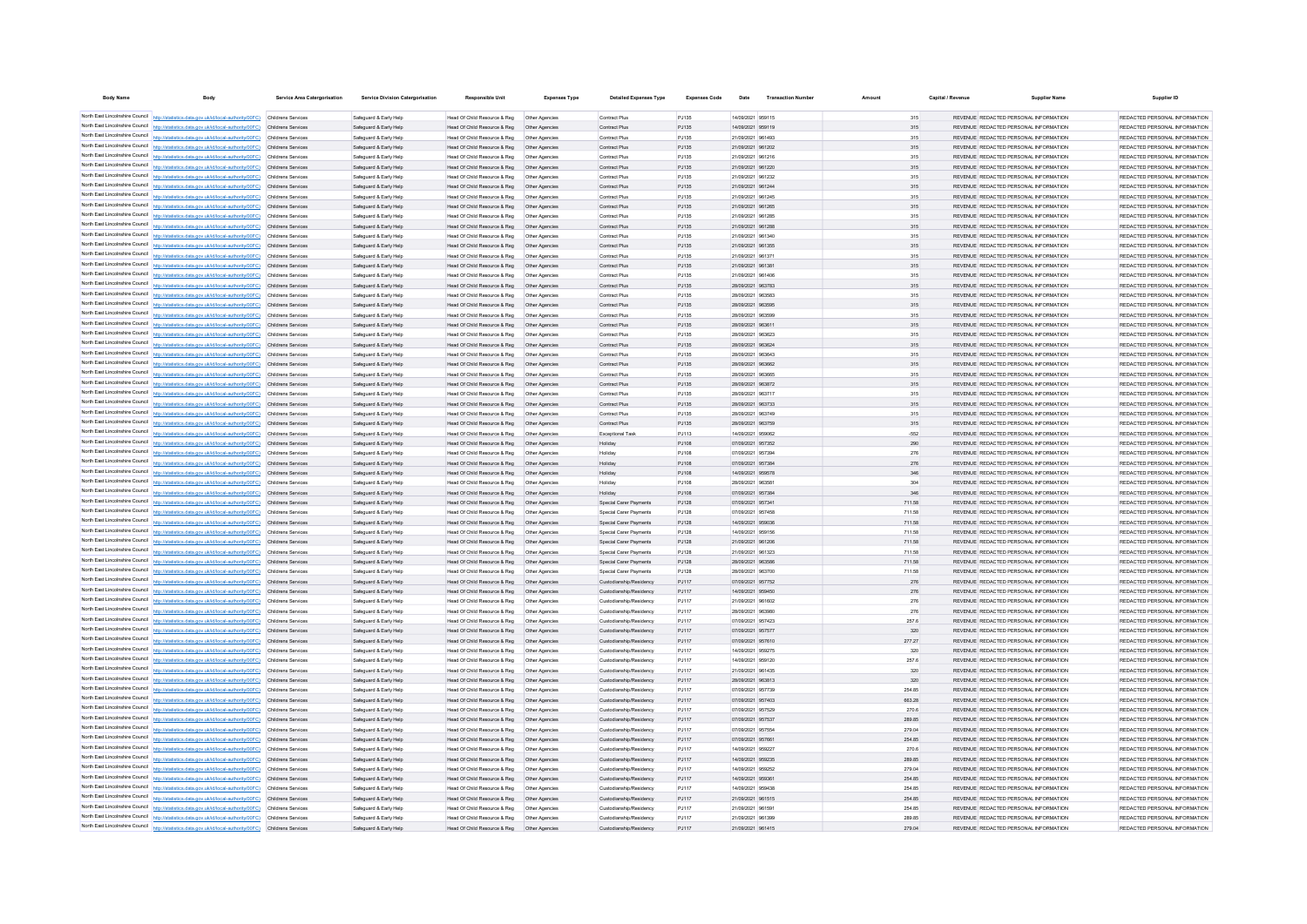| <b>Body Name</b>                |                                                                                                               | <b>Service Area Catergorisation</b> | <b>Service Division Catergorisation</b> | <b>Responsible Unit</b>                       | <b>Expenses Type</b> | <b>Detailed Expenses Type</b> | <b>Expenses Code</b> | Date              | <b>Transaction Number</b> | Capital / Revenue | <b>Supplier Name</b>                  | Supplier ID                   |
|---------------------------------|---------------------------------------------------------------------------------------------------------------|-------------------------------------|-----------------------------------------|-----------------------------------------------|----------------------|-------------------------------|----------------------|-------------------|---------------------------|-------------------|---------------------------------------|-------------------------------|
|                                 |                                                                                                               |                                     |                                         |                                               |                      |                               |                      |                   |                           |                   |                                       |                               |
|                                 | North East Lincolnshire Council http://statistics.data.gov.uk/id/local-authority/00FC) Childrens Services     |                                     | Safeguard & Early Help                  | Head Of Child Resource & Reg   Other Agencies |                      | Contract Plus                 | PJ135                | 14/09/2021 959115 |                           | 315               | REVENUE REDACTED PERSONAL INFORMATION | REDACTED PERSONAL INFORMATION |
|                                 | North East Lincolnshire Council http://statistics.data.gov.uk/id/local-authority/00FC) Childrens Services     |                                     | Safeguard & Early Help                  | Head Of Child Resource & Reg   Other Agencies |                      | Contract Plus                 | PJ135                | 14/09/2021 959119 |                           | 315               | REVENUE REDACTED PERSONAL INFORMATION | REDACTED PERSONAL INFORMATION |
|                                 | North East Lincolnshire Council http://statistics.data.gov.uk/id/local-authority/00FC) Childrens Services     |                                     | Safeguard & Early Help                  |                                               |                      | Contract Plus                 | PJ135                | 21/09/2021 961493 |                           | 315               | REVENUE REDACTED PERSONAL INFORMATION | REDACTED PERSONAL INFORMATION |
|                                 | North East Lincolnshire Council http://statistics.data.gov.uk/id/local-authority/00FC) Childrens Services     |                                     | Safeguard & Early Help                  | Head Of Child Resource & Reg   Other Agencies |                      | Contract Plus                 | P.1135               | 21/09/2021 961202 |                           | 315               | REVENUE REDACTED PERSONAL INFORMATION | REDACTED PERSONAL INFORMATION |
|                                 | North East Lincolnshire Council http://statistics.data.gov.uk/id/local-authority/00FC) Childrens Services     |                                     | Safeguard & Early Help                  |                                               |                      | Contract Plus                 | P.1135               | 21/09/2021 961216 |                           | 315               | REVENUE REDACTED PERSONAL INFORMATION | REDACTED PERSONAL INFORMATION |
|                                 | North East Lincolnshire Council http://statistics.data.gov.uk/id/local-authority/00FC) Childrens Services     |                                     | Safeguard & Early Help                  | Head Of Child Resource & Reg   Other Agencies |                      | Contract Plus                 | PJ135                | 21/09/2021 961220 |                           | 315               | REVENUE REDACTED PERSONAL INFORMATION | REDACTED PERSONAL INFORMATION |
|                                 | North East Lincolnshire Council http://statistics.data.gov.uk/id/local-authority/00FC) Childrens Services     |                                     | Safeguard & Early Help                  | Head Of Child Resource & Reg                  | Other Agencies       | Contract Plus                 | PJ135                | 21/09/2021 961232 |                           | 315               | REVENUE REDACTED PERSONAL INFORMATION | REDACTED PERSONAL INFORMATION |
|                                 | North East Lincolnshire Council http://statistics.data.gov.uk/id/local-authority/00FC) Childrens Services     |                                     | Safeguard & Early Help                  | Head Of Child Resource & Reg   Other Agencies |                      | Contract Plus                 | PJ135                | 21/09/2021 961244 |                           | 315               | REVENUE REDACTED PERSONAL INFORMATION | REDACTED PERSONAL INFORMATION |
|                                 | North East Lincolnshire Council   http://statistics.data.gov.uk/id/local-authority/00FC)   Childrens Services |                                     | Safeguard & Early Help                  | Head Of Child Resource & Reg                  | Other Agencies       | Contract Plus                 | PJ135                | 21/09/2021 961245 |                           | 315               | REVENUE REDACTED PERSONAL INFORMATION | REDACTED PERSONAL INFORMATION |
|                                 | North East Lincolnshire Council http://statistics.data.gov.uk/id/local-authority/00FC) Childrens Services     |                                     | Safeguard & Early Help                  | Head Of Child Resource & Reg                  | Other Agencies       | Contract Plus                 | PJ135                | 21/09/2021 961265 |                           | 315               | REVENUE REDACTED PERSONAL INFORMATION | REDACTED PERSONAL INFORMATION |
|                                 | North East Lincolnshire Council http://statistics.data.gov.uk/id/local-authority/00FC) Childrens Services     |                                     | Safeguard & Early Help                  | Head Of Child Resource & Reg                  | Other Agencies       | Contract Plus                 | PJ135                | 21/09/2021 961285 |                           | 315               | REVENUE REDACTED PERSONAL INFORMATION | REDACTED PERSONAL INFORMATION |
|                                 | North East Lincolnshire Council http://statistics.data.gov.uk/id/local-authority/00FC) Childrens Services     |                                     | Safeguard & Early Help                  | Head Of Child Resource & Reg   Other Agencies |                      | Contract Plus                 | PJ135                | 21/09/2021 961288 |                           | 315               | REVENUE REDACTED PERSONAL INFORMATION | REDACTED PERSONAL INFORMATION |
|                                 | North East Lincolnshire Council http://statistics.data.gov.uk/id/local-authority/00FC) Childrens Services     |                                     | Safeguard & Early Help                  | Head Of Child Resource & Reg                  | Other Agencies       | Contract Plus                 | PJ135                | 21/09/2021 961340 |                           | 315               | REVENUE REDACTED PERSONAL INFORMATION | REDACTED PERSONAL INFORMATION |
|                                 | North East Lincolnshire Council http://statistics.data.gov.uk/id/local-authority/00FC) Childrens Services     |                                     | Safeguard & Early Help                  | Head Of Child Resource & Reg   Other Agencies |                      | Contract Plus                 | P.1135               | 21/09/2021 961355 |                           | 315               | REVENUE REDACTED PERSONAL INFORMATION | REDACTED PERSONAL INFORMATION |
|                                 | North East Lincolnshire Council http://statistics.data.gov.uk/id/local-authority/00FC) Childrens Services     |                                     | Safeguard & Early Help                  | Head Of Child Resource & Reg                  | Other Agencies       | Contract Plus                 | P.1135               | 21/09/2021 961371 |                           | 315               | REVENUE REDACTED PERSONAL INFORMATION | REDACTED PERSONAL INFORMATION |
|                                 | North East Lincolnshire Council http://statistics.data.gov.uk/id/local-authority/00FC) Childrens Services     |                                     | Safeguard & Early Help                  | Head Of Child Resource & Reg   Other Agencies |                      | Contract Plus                 | PJ135                | 21/09/2021 961381 |                           | 315               | REVENUE REDACTED PERSONAL INFORMATION | REDACTED PERSONAL INFORMATION |
|                                 | North East Lincolnshire Council http://statistics.data.gov.uk/id/local-authority/00FC) Childrens Services     |                                     |                                         |                                               |                      | Contract Plus                 |                      | 21/09/2021 961406 |                           |                   | REVENUE REDACTED PERSONAL INFORMATION | REDACTED PERSONAL INFORMATION |
|                                 |                                                                                                               |                                     | Safeguard & Early Help                  | Head Of Child Resource & Reg                  | Other Agencies       |                               | PJ135                |                   |                           | 315               |                                       |                               |
|                                 | North East Lincolnshire Council http://statistics.data.gov.uk/id/local-authority/00FC) Childrens Services     |                                     | Safeguard & Early Help                  | Head Of Child Resource & Reg   Other Agencies |                      | Contract Plus                 | PJ135                | 28/09/2021 963783 |                           | 315               | REVENUE REDACTED PERSONAL INFORMATION | REDACTED PERSONAL INFORMATION |
|                                 | North East Lincolnshire Council http://statistics.data.gov.uk/id/local-authority/00FC) Childrens Services     |                                     | Safeguard & Early Help                  | Head Of Child Resource & Reg                  | Other Agencies       | Contract Plus                 | PJ135                | 28/09/2021 963583 |                           | 315               | REVENUE REDACTED PERSONAL INFORMATION | REDACTED PERSONAL INFORMATION |
|                                 | North East Lincolnshire Council http://statistics.data.gov.uk/id/local-authority/00FC) Childrens Services     |                                     | Safeguard & Early Help                  | Head Of Child Resource & Reg                  | Other Agencies       | Contract Plus                 | PJ135                | 28/09/2021 963595 |                           | 315               | REVENUE REDACTED PERSONAL INFORMATION | REDACTED PERSONAL INFORMATION |
|                                 | North East Lincolnshire Council http://statistics.data.gov.uk/id/local-authority/00FC) Childrens Services     |                                     | Safeguard & Early Help                  | Head Of Child Resource & Reg                  | Other Agencies       | Contract Plus                 | PJ135                | 28/09/2021 963599 |                           | 315               | REVENUE REDACTED PERSONAL INFORMATION | REDACTED PERSONAL INFORMATION |
|                                 | North East Lincolnshire Council http://statistics.data.gov.uk/id/local-authority/00FC) Childrens Services     |                                     | Safeguard & Early Help                  | Head Of Child Resource & Reg                  | Other Agencies       | Contract Plus                 | PJ135                | 28/09/2021 963611 |                           | 315               | REVENUE REDACTED PERSONAL INFORMATION | REDACTED PERSONAL INFORMATION |
|                                 | North East Lincolnshire Council http://statistics.data.gov.uk/id/local-authority/00FC) Childrens Services     |                                     | Safeguard & Early Help                  | Head Of Child Resource & Reg                  | Other Agencies       | Contract Plus                 | PJ135                | 28/09/2021 963623 |                           | 315               | REVENUE REDACTED PERSONAL INFORMATION | REDACTED PERSONAL INFORMATION |
|                                 | North East Lincolnshire Council http://statistics.data.gov.uk/id/local-authority/00FC)                        | Childrens Service                   | Safeguard & Early Help                  | Head Of Child Resource & Reg                  | Other Agencies       | Contract Plus                 | PJ135                | 28/09/2021 963624 |                           | 315               | REVENUE REDACTED PERSONAL INFORMATION | REDACTED PERSONAL INFORMATION |
|                                 | North East Lincolnshire Council http://statistics.data.gov.uk/id/local-authority/00FC) Childrens Services     |                                     | Safeguard & Early Help                  | Head Of Child Resource & Reg                  | Other Agencie        | Contract Plus                 | PJ135                | 28/09/2021 963643 |                           | 315               | REVENUE REDACTED PERSONAL INFORMATION | REDACTED PERSONAL INFORMATION |
|                                 | North East Lincolnshire Council http://statistics.data.gov.uk/id/local-authority/00FC)                        | Childrens Service                   | Safeguard & Early Help                  | Head Of Child Resource & Reg                  | Other Agencies       | Contract Plus                 | PJ135                | 28/09/2021 963662 |                           | 315               | REVENUE REDACTED PERSONAL INFORMATION | REDACTED PERSONAL INFORMATION |
|                                 | North East Lincolnshire Council http://statistics.data.gov.uk/id/local-authority/00FC)                        | Childrens Service                   | Safeguard & Early Help                  | Head Of Child Resource & Reg                  | Other Agencie        | Contract Plus                 | PJ135                | 28/09/2021 963665 |                           | 315               | REVENUE REDACTED PERSONAL INFORMATION | REDACTED PERSONAL INFORMATION |
|                                 | North East Lincolnshire Council http://statistics.data.gov.uk/id/local-authority/00FC)                        | Childrens Service                   | Safeguard & Early Help                  | Head Of Child Resource & Reg                  | Other Agencie        | Contract Plus                 | PJ135                | 28/09/2021 963872 |                           | 315               | REVENUE REDACTED PERSONAL INFORMATION | REDACTED PERSONAL INFORMATION |
|                                 | North East Lincolnshire Council http://statistics.data.gov.uk/id/local-authority/00FC)                        | Childrens Service                   | Safeguard & Early Hel                   | Head Of Child Resource & Reg                  | Other Agencie        | Contract Plus                 | PJ135                | 28/09/2021 963717 |                           | 315               | REVENUE REDACTED PERSONAL INFORMATION | REDACTED PERSONAL INFORMATION |
|                                 | North East Lincolnshire Council http://statistics.data.gov.uk/id/local-authority/00FC)                        |                                     | Safeguard & Early Help                  | Head Of Child Resource & Reg                  | Other Agencies       | Contract Plus                 | PJ135                | 28/09/2021 963733 |                           | 315               | REVENUE REDACTED PERSONAL INFORMATION | REDACTED PERSONAL INFORMATION |
|                                 | North East Lincolnshire Council http://statistics.data.gov.uk/id/local-authority/00FC)                        | Childrens Service                   | Safeguard & Early Help                  | Head Of Child Resource & Reg                  | Other Agencie        | Contract Plus                 | PJ135                | 28/09/2021 963749 |                           | 315               | REVENUE REDACTED PERSONAL INFORMATION | REDACTED PERSONAL INFORMATION |
|                                 | North East Lincolnshire Council http://statistics.data.gov.uk/id/local-authority/00FC)                        | Childrens Services                  | Safeguard & Early Help                  | Head Of Child Resource & Reg                  | Other Agencies       | Contract Plus                 | PJ135                | 28/09/2021 963759 |                           | 315               | REVENUE REDACTED PERSONAL INFORMATION | REDACTED PERSONAL INFORMATION |
|                                 | North East Lincolnshire Council http://statistics.data.gov.uk/id/local-authority/00FC)                        | Childrens Service                   | Safeguard & Early Help                  | Head Of Child Resource & Reg                  | Other Agencie        | <b>Exceptional Task</b>       | PJ113                | 14/09/2021 959062 |                           | $-552$            | REVENUE REDACTED PERSONAL INFORMATION | REDACTED PERSONAL INFORMATION |
|                                 | North East Lincolnshire Council   http://statistics.data.gov.uk/id/local-authority/00FC)                      | Childrens Service                   | Safeguard & Early Help                  | Head Of Child Resource & Reg                  | Other Agencies       | Holiday                       | PJ108                | 07/09/2021 957352 |                           | 290               | REVENUE REDACTED PERSONAL INFORMATION | REDACTED PERSONAL INFORMATION |
|                                 | North East Lincolnshire Council http://statistics.data.gov.uk/id/local-authority/00FC)                        |                                     |                                         |                                               |                      |                               |                      |                   |                           |                   |                                       |                               |
|                                 |                                                                                                               | Childrens Service                   | Safeguard & Early Help                  | Head Of Child Resource & Reg                  | Other Agencie        | Holiday                       | PJ108                | 07/09/2021 95739  |                           | 276               | REVENUE REDACTED PERSONAL INFORMATION | REDACTED PERSONAL INFORMATION |
|                                 | North East Lincolnshire Council http://statistics.data.gov.uk/id/local-authority/00FC)                        | Childrens Service                   | Safeguard & Early Help                  | Head Of Child Resource & Reg                  | Other Agencies       | Holiday                       | PJ108                | 07/09/2021 957384 |                           | 276               | REVENUE REDACTED PERSONAL INFORMATION | REDACTED PERSONAL INFORMATION |
|                                 | North East Lincolnshire Council http://statistics.data.gov.uk/id/local-authority/00FC)                        | Childrens Service                   | Safeguard & Early Help                  | Head Of Child Resource & Reg                  | Other Agencies       | Holiday                       | PJ108                | 14/09/2021 959578 |                           | 346               | REVENUE REDACTED PERSONAL INFORMATION | REDACTED PERSONAL INFORMATION |
|                                 | North East Lincolnshire Council http://statistics.data.gov.uk/id/local-authority/00FC)                        | Childrens Service                   | Safeguard & Early Help                  | Head Of Child Resource & Reg                  | Other Agencies       | Holiday                       | PJ108                | 28/09/2021 96358  |                           | 304               | REVENUE REDACTED PERSONAL INFORMATION | REDACTED PERSONAL INFORMATION |
|                                 | North East Lincolnshire Council http://statistics.data.gov.uk/id/local-authority/00FC)                        | Childrens Service                   | Safeguard & Early Help                  | Head Of Child Resource & Reg                  | Other Agencie        | Holiday                       | PJ108                | 07/09/2021 957384 |                           | 346               | REVENUE REDACTED PERSONAL INFORMATION | REDACTED PERSONAL INFORMATION |
|                                 | North East Lincolnshire Council http://statistics.data.gov.uk/id/local-authority/00FC)                        | Childrens Services                  | Safeguard & Early Help                  | Head Of Child Resource & Reg                  | Other Agencie        | Special Carer Payments        | PJ128                | 07/09/2021 957341 |                           | 711.58            | REVENUE REDACTED PERSONAL INFORMATION | REDACTED PERSONAL INFORMATION |
|                                 | North East Lincolnshire Council http://statistics.data.gov.uk/id/local-authority/00FC)                        | Childrens Service                   | Safeguard & Early Help                  | Head Of Child Resource & Reg                  | Other Agencie        | Special Carer Payments        | PJ128                | 07/09/2021 957458 |                           | 711.58            | REVENUE REDACTED PERSONAL INFORMATION | REDACTED PERSONAL INFORMATION |
|                                 | North East Lincolnshire Council http://statistics.data.gov.uk/id/local-authority/00FC)                        | Childrens Services                  | Safeguard & Early Help                  | Head Of Child Resource & Reg                  | Other Agencie        | Special Carer Payments        | PJ128                | 14/09/2021 959036 |                           | 711.58            | REVENUE REDACTED PERSONAL INFORMATION | REDACTED PERSONAL INFORMATION |
|                                 | North East Lincolnshire Council http://statistics.data.gov.uk/id/local-authority/00FC)                        | Childrens Service                   | Safeguard & Early Help                  | Head Of Child Resource & Reg                  | Other Agencie        | Special Carer Payments        | PJ128                | 14/09/2021 959156 |                           | 711.58            | REVENUE REDACTED PERSONAL INFORMATION | REDACTED PERSONAL INFORMATION |
|                                 | North East Lincolnshire Council http://statistics.data.gov.uk/id/local-authority/00FC)                        | Childrens Service                   | Safeguard & Early Help                  | Head Of Child Resource & Reg                  | Other Agencies       | Special Carer Payments        | PJ128                | 21/09/2021 961206 |                           | 711.58            | REVENUE REDACTED PERSONAL INFORMATION | REDACTED PERSONAL INFORMATION |
|                                 | North East Lincolnshire Council http://statistics.data.gov.uk/id/local-authority/00FC)                        | Childrens Service                   | Safeguard & Early Help                  | Head Of Child Resource & Reg                  | Other Agencie        | Special Carer Payments        | PJ128                | 21/09/2021 961323 |                           | 711.58            | REVENUE REDACTED PERSONAL INFORMATION | REDACTED PERSONAL INFORMATION |
|                                 | North East Lincolnshire Council http://statistics.data.gov.uk/id/local-authority/00FC)                        | Childrens Service                   | Safeguard & Early Help                  | Head Of Child Resource & Reg                  | Other Agencies       | Special Carer Payments        | PJ128                | 28/09/2021 963586 |                           | 711.58            | REVENUE REDACTED PERSONAL INFORMATION | REDACTED PERSONAL INFORMATION |
|                                 | North East Lincolnshire Council http://statistics.data.gov.uk/id/local-authority/00FC)                        | Childrens Service                   | Safeguard & Early Help                  | Head Of Child Resource & Reg                  | Other Agencies       | Special Carer Payments        | PJ128                | 28/09/2021 963700 |                           | 711.58            | REVENUE REDACTED PERSONAL INFORMATION | REDACTED PERSONAL INFORMATION |
|                                 | North East Lincolnshire Council http://statistics.data.gov.uk/id/local-authority/00FC)                        | Childrens Service                   | Safeguard & Early Help                  | Head Of Child Resource & Reg                  | Other Agencie        | Custodianship/Residency       | PJ117                | 07/09/2021 957752 |                           | 276               | REVENUE REDACTED PERSONAL INFORMATION | REDACTED PERSONAL INFORMATION |
|                                 | North East Lincolnshire Council http://statistics.data.gov.uk/id/local-authority/00FC)                        | Childrens Service                   | Safeguard & Early Help                  | Head Of Child Resource & Reg                  | Other Agencies       | Custodianship/Residency       | PJ117                | 14/09/2021 959450 |                           | 276               | REVENUE REDACTED PERSONAL INFORMATION | REDACTED PERSONAL INFORMATION |
|                                 | North East Lincolnshire Council http://statistics.data.gov.uk/id/local-authority/00FC)                        | Childrens Service                   | Safeguard & Early Help                  | Head Of Child Resource & Reg                  | Other Agencies       | Custodianship/Residency       | PJ117                | 21/09/2021 961602 |                           | 276               | REVENUE REDACTED PERSONAL INFORMATION | REDACTED PERSONAL INFORMATION |
|                                 | North East Lincolnshire Council http://statistics.data.gov.uk/id/local-authority/00FC)                        | Childrens Service                   | Safeguard & Early Help                  | Head Of Child Resource & Reg                  | Other Agencies       | Custodianship/Residency       | PJ117                | 28/09/2021 963980 |                           | 276               | REVENUE REDACTED PERSONAL INFORMATION | REDACTED PERSONAL INFORMATION |
|                                 | North East Lincolnshire Council http://statistics.data.gov.uk/id/local-authority/00FC)                        | Childrens Service                   | Safeguard & Early Help                  | Head Of Child Resource & Reg                  | Other Agencies       | Custodianship/Residency       | PJ117                | 07/09/2021 957423 |                           | 257.6             | REVENUE REDACTED PERSONAL INFORMATION | REDACTED PERSONAL INFORMATION |
|                                 | North East Lincolnshire Council http://statistics.data.gov.uk/id/local-authority/00FC)                        | Childrens Service                   | Safeguard & Early Help                  | Head Of Child Resource & Reg                  | Other Agencies       | Custodianship/Residency       | PJ117                | 07/09/2021 957577 |                           | 320               | REVENUE REDACTED PERSONAL INFORMATION | REDACTED PERSONAL INFORMATION |
| North East Lincolnshire Council |                                                                                                               |                                     |                                         |                                               |                      |                               |                      |                   |                           |                   |                                       |                               |
| North East Lincolnshire Council | http://statistics.data.gov.uk/id/local-authority/00FC)                                                        | Childrens Service                   | Safeguard & Early Help                  | Head Of Child Resource & Reg                  | Other Agencies       | Custodianship/Residency       | PJ117                | 07/09/2021 957610 |                           | 277.27            | REVENUE REDACTED PERSONAL INFORMATION | REDACTED PERSONAL INFORMATION |
| North East Lincolnshire Council | http://statistics.data.gov.uk/id/local-authority/00FC)                                                        | Childrens Service                   | Safeguard & Early Help                  | Head Of Child Resource & Reg                  | Other Agencies       | Custodianship/Residency       | PJ117                | 14/09/2021 959279 |                           | 320               | REVENUE REDACTED PERSONAL INFORMATION | REDACTED PERSONAL INFORMATION |
| North East Lincolnshire Council | http://statistics.data.gov.uk/id/local-authority/00FC)                                                        | Childrens Service                   | Safeguard & Early Help                  | Head Of Child Resource & Reg                  | Other Agencies       | Custodianship/Residency       | PJ117                | 14/09/2021 959120 |                           | 257.6             | REVENUE REDACTED PERSONAL INFORMATION | REDACTED PERSONAL INFORMATION |
|                                 | http://statistics.data.gov.uk/id/local-authority/00FC)                                                        | Childrens Service                   | Safeguard & Early Help                  | Head Of Child Resource & Reg                  | Other Agencie        | Custodianship/Residency       | PJ117                | 21/09/2021 961435 |                           | 320               | REVENUE REDACTED PERSONAL INFORMATION | REDACTED PERSONAL INFORMATION |
| North East Lincolnshire Council | http://statistics.data.gov.uk/id/local-authority/00FC)                                                        | Childrens Services                  | Safeguard & Early Help                  | Head Of Child Resource & Reg                  | Other Agencies       | Custodianship/Residency       | PJ117                | 28/09/2021 963813 |                           | 320               | REVENUE REDACTED PERSONAL INFORMATION | REDACTED PERSONAL INFORMATION |
| North East Lincolnshire Council | http://statistics.data.gov.uk/id/local-authority/00FC)                                                        | Childrens Service                   | Safeguard & Early Help                  | Head Of Child Resource & Reg                  | Other Agencies       | Custodianship/Residency       | PJ117                | 07/09/2021 957739 |                           | 254.85            | REVENUE REDACTED PERSONAL INFORMATION | REDACTED PERSONAL INFORMATION |
| North East Lincolnshire Council | http://statistics.data.gov.uk/id/local-authority/00FC)                                                        | Childrens Service                   | Safeguard & Early Help                  | Head Of Child Resource & Reg                  | Other Agencies       | Custodianship/Residency       | PJ117                | 07/09/2021 957403 |                           | 663.28            | REVENUE REDACTED PERSONAL INFORMATION | REDACTED PERSONAL INFORMATION |
| North East Lincolnshire Council | http://statistics.data.gov.uk/id/local-authority/00FC)                                                        | Childrens Service                   | Safeguard & Early Help                  | Head Of Child Resource & Reg                  | Other Agencies       | Custodianship/Residency       | PJ117                | 07/09/2021 957529 |                           | 270.6             | REVENUE REDACTED PERSONAL INFORMATION | REDACTED PERSONAL INFORMATION |
| North East Lincolnshire Council | http://statistics.data.gov.uk/id/local-authority/00FC)                                                        | Childrens Service                   | Safeguard & Early Help                  | Head Of Child Resource & Reg                  | Other Agencies       | Custodianship/Residency       | PJ117                | 07/09/2021 957537 |                           | 289.85            | REVENUE REDACTED PERSONAL INFORMATION | REDACTED PERSONAL INFORMATION |
| North East Lincolnshire Council | http://statistics.data.gov.uk/id/local-authority/00EC)                                                        | Childrens Service                   | Safeguard & Early Help                  | Head Of Child Resource & Reg                  | Other Agencies       | Custodianship/Residency       | P.I117               | 07/09/2021 957554 |                           | 279.04            | REVENUE REDACTED PERSONAL INFORMATION | REDACTED PERSONAL INFORMATION |
| North East Lincolnshire Council | http://statistics.data.gov.uk/id/local-authority/DDEC)                                                        | Childrens Service                   | Safeguard & Early Help                  | Head Of Child Resource & Reg                  | Other Agencies       | Custodianship/Residency       | PJ117                | 07/09/2021 957661 |                           | 254.85            | REVENUE REDACTED PERSONAL INFORMATION | REDACTED PERSONAL INFORMATION |
| North East Lincolnshire Council | http://statistics.data.gov.uk/id/local-authority/00EC) Childrens Service                                      |                                     | Safeguard & Early Help                  | Head Of Child Resource & Reg                  | Other Agencies       | Custodianship/Residency       | P.I117               | 14/09/2021 959227 |                           | 270.6             | REVENUE REDACTED PERSONAL INFORMATION | REDACTED PERSONAL INFORMATION |
| North East Lincolnshire Council | http://statistics.data.gov.uk/id/local-authority/DDEC)                                                        | Childrens Service                   | Safeguard & Early Help                  | Head Of Child Resource & Reg                  | Other Agencies       | Custodianship/Residency       | PJ117                | 14/09/2021 959235 |                           | 289.85            | REVENUE REDACTED PERSONAL INFORMATION | REDACTED PERSONAL INFORMATION |
| North East Lincolnshire Council | http://statistics.data.gov.uk/id/local-authority/00FC) Childrens Services                                     |                                     | Safeguard & Early Help                  | Head Of Child Resource & Reg                  | Other Agencies       | Custodianship/Residency       | PJ117                | 14/09/2021 959252 |                           | 279.04            | REVENUE REDACTED PERSONAL INFORMATION | REDACTED PERSONAL INFORMATION |
|                                 | North East Lincolnshire Council http://statistics.data.gov.uk/id/local-authority/00FC)                        | Childrens Services                  | Safeguard & Early Help                  | Head Of Child Resource & Reg                  | Other Agencies       | Custodianship/Residency       | PJ117                | 14/09/2021 959361 |                           | 254.85            | REVENUE REDACTED PERSONAL INFORMATION | REDACTED PERSONAL INFORMATION |
|                                 | North East Lincolnshire Council http://statistics.data.gov.uk/id/local-authority/00FC)                        | Childrens Service                   | Safeguard & Early Help                  | Head Of Child Resource & Reg                  | Other Agencies       | Custodianship/Residency       | PJ117                | 14/09/2021 959438 |                           | 254.85            | REVENUE REDACTED PERSONAL INFORMATION | REDACTED PERSONAL INFORMATION |
|                                 | North East Lincolnshire Council http://statistics.data.gov.uk/id/local-authority/00FC)                        | Childrens Service                   | Safeguard & Early Help                  | Head Of Child Resource & Reg   Other Agencies |                      | Custodianship/Residency       | PJ117                | 21/09/2021 961515 |                           | 254.85            | REVENUE REDACTED PERSONAL INFORMATION | REDACTED PERSONAL INFORMATION |
|                                 | North East Lincolnshire Council http://statistics.data.gov.uk/id/local-authority/00FC)                        | Childrens Service                   |                                         |                                               |                      | Custodianship/Residency       | PJ117                | 21/09/2021 961591 |                           | 254.85            | REVENUE REDACTED PERSONAL INFORMATION | REDACTED PERSONAL INFORMATION |
|                                 |                                                                                                               |                                     | Safeguard & Early Help                  |                                               |                      |                               |                      |                   |                           |                   |                                       | REDACTED PERSONAL INFORMATION |
| North East Lincolnshire Council | North East Lincolnshire Council http://statistics.data.gov.uk/id/local-authority/00FC) Childrens Services     |                                     | Safeguard & Early Help                  |                                               |                      | Custodianship/Residency       | P.I117               | 21/09/2021 961399 |                           | <b>289.85</b>     | REVENUE REDACTED PERSONAL INFORMATION |                               |
|                                 | http://statistics.data.gov.uk/id/local-authority/00FC)                                                        | Childrens Service                   | Safeguard & Early Help                  | Head Of Child Resource & Reg   Other Agencies |                      | Custodianship/Residency       | P.I117               | 21/09/2021 961415 |                           | 279 04            | REVENUE REDACTED PERSONAL INFORMATION | REDACTED PERSONAL INFORMATION |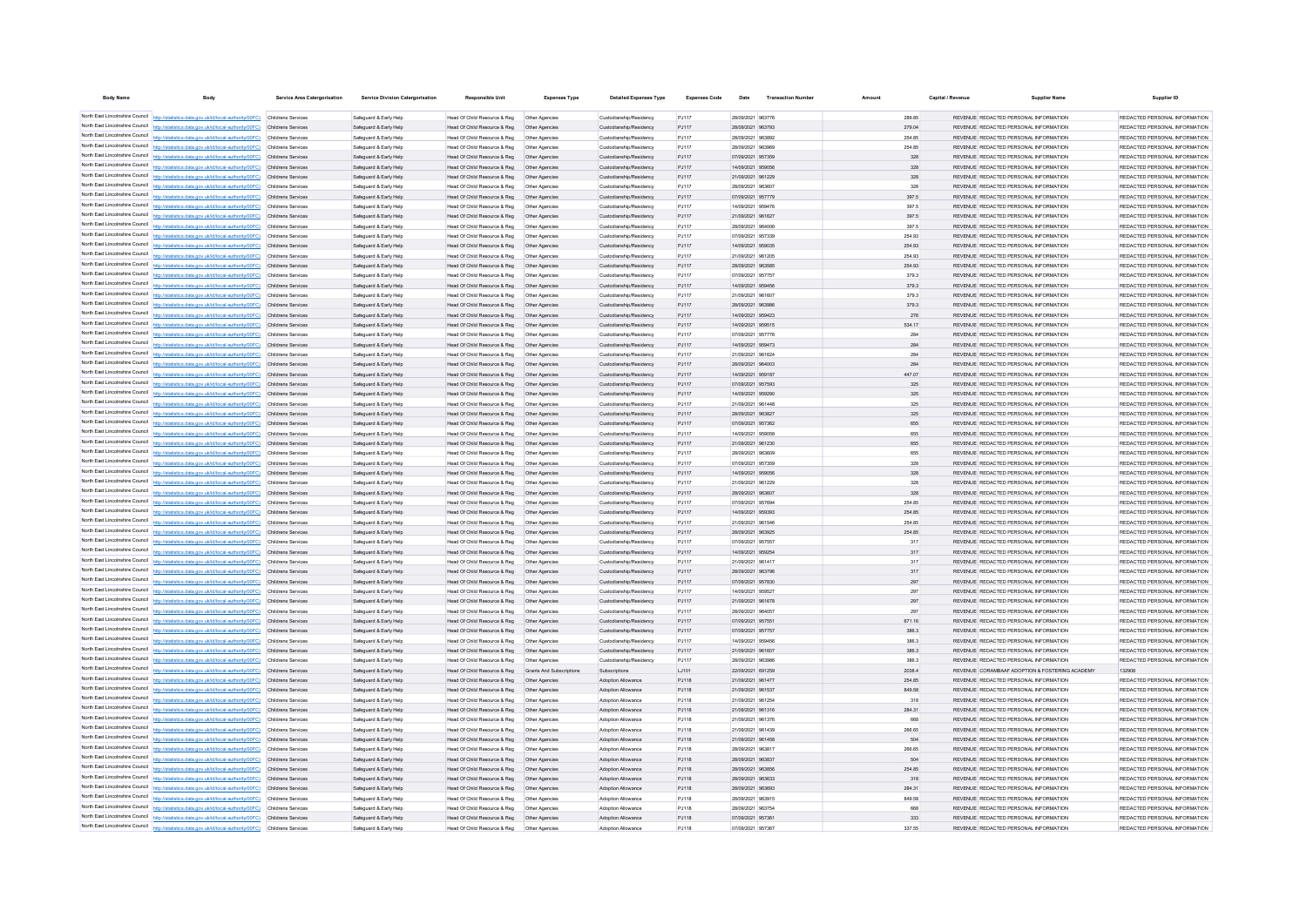| <b>Body Name</b>                |                                                                                                                                                                                                                        | <b>Service Area Catergorisation</b>             | <b>Service Division Catergorisation</b>          | <b>Responsible Unit</b>                                                       | <b>Expenses Type</b>             | <b>Detailed Expenses Type</b>                      | <b>Expenses Code</b> |                                        |                  | <b>Supplier Name</b>                                                           | Supplier ID                                                    |
|---------------------------------|------------------------------------------------------------------------------------------------------------------------------------------------------------------------------------------------------------------------|-------------------------------------------------|--------------------------------------------------|-------------------------------------------------------------------------------|----------------------------------|----------------------------------------------------|----------------------|----------------------------------------|------------------|--------------------------------------------------------------------------------|----------------------------------------------------------------|
|                                 | North East Lincolnshire Council http://statistics.data.gov.uk/id/local-authority/00FC) Childrens Services                                                                                                              |                                                 | Safeguard & Early Help                           |                                                                               |                                  | Custodianship/Residency                            | PJ117                | 28/09/2021 963776                      | 289.85           | REVENUE REDACTED PERSONAL INFORMATION                                          | REDACTED PERSONAL INFORMATION                                  |
|                                 | North East Lincolnshire Council http://statistics.data.gov.uk/id/local-authority/00FC)                                                                                                                                 | Childrens Services                              | Safeguard & Early Help                           | Head Of Child Resource & Reg                                                  | Other Agencies                   | Custodianship/Residency                            | PJ117                | 28/09/2021 963793                      | 279.04           | REVENUE REDACTED PERSONAL INFORMATION                                          | REDACTED PERSONAL INFORMATION                                  |
|                                 | North East Lincolnshire Council http://statistics.data.gov.uk/id/local-authority/00FC) Childrens Services                                                                                                              |                                                 | Safeguard & Early Help                           | Head Of Child Resource & Reg                                                  | Other Agencies                   | Custodianship/Residency                            | PJ117                | 28/09/2021 963892                      | 254.85           | REVENUE REDACTED PERSONAL INFORMATION                                          | REDACTED PERSONAL INFORMATION                                  |
|                                 | North East Lincolnshire Council http://statistics.data.gov.uk/id/local-authority/00FC) Childrens Services                                                                                                              |                                                 | Safequard & Early Help                           | Head Of Child Resource & Reg                                                  | Other Agencies                   | Custodianship/Residency                            | PJ117                | 28/09/2021 963969                      | 254.85           | REVENUE REDACTED PERSONAL INFORMATION                                          | REDACTED PERSONAL INFORMATION                                  |
|                                 | North East Lincolnshire Council http://statistics.data.gov.uk/id/local-authority/00FC) Childrens Services                                                                                                              |                                                 | Safeguard & Early Help                           | Head Of Child Resource & Reg                                                  | Other Agencies                   | Custodianship/Residency                            | PJ117                | 07/09/2021 957359                      | 328              | REVENUE REDACTED PERSONAL INFORMATION                                          | REDACTED PERSONAL INFORMATION                                  |
|                                 | North East Lincolnshire Council http://statistics.data.gov.uk/id/local-authority/00FC) Childrens Services                                                                                                              |                                                 | Safeguard & Early Help                           | Head Of Child Resource & Reg                                                  | Other Agencies                   | Custodianship/Residency                            | PJ117                | 14/09/2021 959056                      | 328              | REVENUE REDACTED PERSONAL INFORMATION                                          | REDACTED PERSONAL INFORMATION                                  |
|                                 | North East Lincolnshire Council http://statistics.data.gov.uk/id/local-authority/00FC) Childrens Services                                                                                                              |                                                 | Safeguard & Early Help                           | Head Of Child Resource & Reg                                                  | Other Agencies                   | Custodianship/Residency                            | PJ117                | 21/09/2021 961229                      | 328              | REVENUE REDACTED PERSONAL INFORMATION                                          | REDACTED PERSONAL INFORMATION                                  |
|                                 | North East Lincolnshire Council http://statistics.data.gov.uk/id/local-authority/00FC) Childrens Services<br>North East Lincolnshire Council http://statistics.data.gov.uk/id/local-authority/00FC) Childrens Services |                                                 | Safeguard & Early Help                           | Head Of Child Resource & Reg<br>Head Of Child Resource & Reg                  | Other Agencies                   | Custodianship/Residency<br>Custodianship/Residency | PJ117<br>PJ117       | 28/09/2021 963607<br>07/09/2021 957779 | 328<br>397.5     | REVENUE REDACTED PERSONAL INFORMATION<br>REVENUE REDACTED PERSONAL INFORMATION | REDACTED PERSONAL INFORMATION                                  |
|                                 | North East Lincolnshire Council http://statistics.data.gov.uk/id/local-authority/00FC) Childrens Services                                                                                                              |                                                 | Safeguard & Early Help<br>Safeguard & Early Help | Head Of Child Resource & Reg                                                  | Other Agencies<br>Other Agencies | Custodianship/Residency                            | PJ117                | 14/09/2021 959476                      | 397.5            | REVENUE REDACTED PERSONAL INFORMATION                                          | REDACTED PERSONAL INFORMATION<br>REDACTED PERSONAL INFORMATION |
|                                 | North East Lincolnshire Council http://statistics.data.gov.uk/id/local-authority/00FC)                                                                                                                                 | Childrens Services                              | Safeguard & Early Help                           | Head Of Child Resource & Reg   Other Agencies                                 |                                  | Custodianship/Residency                            | PJ117                | 21/09/2021 961627                      | 397.5            | REVENUE REDACTED PERSONAL INFORMATION                                          | REDACTED PERSONAL INFORMATION                                  |
|                                 | North East Lincolnshire Council http://statistics.data.gov.uk/id/local-authority/00FC)                                                                                                                                 | Childrens Services                              | Safeguard & Early Help                           | Head Of Child Resource & Reg                                                  | Other Agencies                   | Custodianship/Residency                            | PJ117                | 28/09/2021 964006                      | 397.5            | REVENUE REDACTED PERSONAL INFORMATION                                          | REDACTED PERSONAL INFORMATION                                  |
|                                 | North East Lincolnshire Council http://statistics.data.gov.uk/id/local-authority/00FC)                                                                                                                                 | Childrens Services                              | Safeguard & Early Help                           | Head Of Child Resource & Reg                                                  | Other Agencies                   | Custodianship/Residency                            | PJ117                | 07/09/2021 957339                      | 254.93           | REVENUE REDACTED PERSONAL INFORMATION                                          | REDACTED PERSONAL INFORMATION                                  |
|                                 | North East Lincolnshire Council http://statistics.data.gov.uk/id/local-authority/00FC)                                                                                                                                 | Childrens Services                              | Safeguard & Early Held                           | Head Of Child Resource & Reg                                                  | Other Agencies                   | Custodianship/Residency                            | PJ117                | 14/09/2021 959035                      | 254.93           | REVENUE REDACTED PERSONAL INFORMATION                                          | REDACTED PERSONAL INFORMATION                                  |
|                                 | North East Lincolnshire Council http://statistics.data.gov.uk/id/local-authority/00FC)                                                                                                                                 | Childrens Services                              | Safeguard & Early Held                           | Head Of Child Resource & Reg                                                  | Other Agencies                   | Custodianship/Residency                            | PJ117                | 21/09/2021 961205                      | 254.93           | REVENUE REDACTED PERSONAL INFORMATION                                          | REDACTED PERSONAL INFORMATION                                  |
|                                 | North East Lincolnshire Council http://statistics.data.gov.uk/id/local-authority/00FC)                                                                                                                                 | <b>Childrens Services</b>                       | Safeguard & Early Help                           | Head Of Child Resource & Reg                                                  | Other Agencies                   | Custodianship/Residency                            | PJ117                | 28/09/2021 963585                      | 254.93           | REVENUE REDACTED PERSONAL INFORMATION                                          | REDACTED PERSONAL INFORMATION                                  |
|                                 | North East Lincolnshire Council http://statistics.data.gov.uk/id/local-authority/00FC)                                                                                                                                 | Childrens Services                              | Safeguard & Early Help                           | Head Of Child Resource & Reg                                                  | Other Agencies                   | Custodianship/Residency                            | PJ117                | 07/09/2021 957757                      | 379.3            | REVENUE REDACTED PERSONAL INFORMATION                                          | REDACTED PERSONAL INFORMATION                                  |
|                                 | North East Lincolnshire Council http://statistics.data.gov.uk/id/local-authority/00FC)<br>North East Lincolnshire Council http://statistics.data.gov.uk/id/local-authority/00FC)                                       | <b>Childrens Services</b><br>Childrens Services | Safeguard & Early Help<br>Safeguard & Early Held | Head Of Child Resource & Reg<br>Head Of Child Resource & Reg                  | Other Agencies<br>Other Agencies | Custodianship/Residency<br>Custodianship/Residency | PJ117<br>PJ117       | 14/09/2021 959456<br>21/09/2021 961607 | 379.3<br>379.3   | REVENUE REDACTED PERSONAL INFORMATION<br>REVENUE REDACTED PERSONAL INFORMATION | REDACTED PERSONAL INFORMATION<br>REDACTED PERSONAL INFORMATION |
|                                 | North East Lincolnshire Council http://statistics.data.gov.uk/id/local-authority/00FC)                                                                                                                                 | Childrens Services                              | Safeguard & Early Help                           | Head Of Child Resource & Reg                                                  | Other Agencies                   | Custodianship/Residency                            | PJ117                | 28/09/2021 963986                      | 379.3            | REVENUE REDACTED PERSONAL INFORMATION                                          | REDACTED PERSONAL INFORMATION                                  |
|                                 | North East Lincolnshire Council http://statistics.data.gov.uk/id/local-authority/00FC)                                                                                                                                 | Childrens Services                              | Safeguard & Early Help                           | Head Of Child Resource & Reg                                                  | Other Agencies                   | Custodianship/Residency                            | PJ117                | 14/09/2021 959423                      | 276              | REVENUE REDACTED PERSONAL INFORMATION                                          | REDACTED PERSONAL INFORMATION                                  |
|                                 | North East Lincolnshire Council http://statistics.data.gov.uk/id/local-authority/00FC)                                                                                                                                 | Childrens Services                              | Safeguard & Early Help                           | Head Of Child Resource & Reg                                                  | Other Agencies                   | Custodianship/Residency                            | PJ117                | 14/09/2021 959515                      | 534.17           | REVENUE REDACTED PERSONAL INFORMATION                                          | REDACTED PERSONAL INFORMATION                                  |
|                                 | North East Lincolnshire Council http://statistics.data.gov.uk/id/local-authority/00FC) Childrens Services                                                                                                              |                                                 | Safeguard & Early Held                           | Head Of Child Resource & Reg.                                                 | Other Agencies                   | Custodianship/Residency                            | P.1117               | 07/09/2021 957776                      | <b>284</b>       | REVENUE REDACTED PERSONAL INFORMATION                                          | REDACTED PERSONAL INFORMATION                                  |
|                                 | North East Lincolnshire Council http://statistics.data.gov.uk/id/local-authority/00FC) Childrens Services                                                                                                              |                                                 | Safeguard & Early Help                           | Head Of Child Resource & Reg                                                  | Other Agencies                   | Custodianship/Residency                            | PJ117                | 14/09/2021 959473                      | 284              | REVENUE REDACTED PERSONAL INFORMATION                                          | REDACTED PERSONAL INFORMATION                                  |
|                                 | North East Lincolnshire Council http://statistics.data.gov.uk/id/local-authority/00FC) Childrens Services                                                                                                              |                                                 | Safeguard & Early Held                           | Head Of Child Resource & Reg                                                  | Other Agencies                   | Custodianship/Residency                            | PJ117                | 21/09/2021 961624                      | 284              | REVENUE REDACTED PERSONAL INFORMATION                                          | REDACTED PERSONAL INFORMATION                                  |
|                                 | North East Lincolnshire Council http://statistics.data.gov.uk/id/local-authority/00FC) Childrens Services                                                                                                              |                                                 | Safeguard & Early Help                           | Head Of Child Resource & Reg                                                  | Other Agencies                   | Custodianship/Residency                            | PJ117                | 28/09/2021 964003                      | 284              | REVENUE REDACTED PERSONAL INFORMATION                                          | REDACTED PERSONAL INFORMATION                                  |
|                                 | North East Lincolnshire Council http://statistics.data.gov.uk/id/local-authority/00FC) Childrens Services                                                                                                              |                                                 | Safeguard & Early Held                           | Head Of Child Resource & Reg                                                  | Other Agencies                   | Custodianship/Residency                            | PJ117                | 14/09/2021 959187                      | 447.07           | REVENUE REDACTED PERSONAL INFORMATION                                          | REDACTED PERSONAL INFORMATION                                  |
|                                 | North East Lincolnshire Council http://statistics.data.gov.uk/id/local-authority/00FC) Childrens Services                                                                                                              |                                                 | Safeguard & Early Help                           | Head Of Child Resource & Reg                                                  | Other Agencies                   | Custodianship/Residency                            | PJ117                | 07/09/2021 957593                      | 325              | REVENUE REDACTED PERSONAL INFORMATION                                          | REDACTED PERSONAL INFORMATION                                  |
|                                 | North East Lincolnshire Council http://statistics.data.gov.uk/id/local-authority/00FC) Childrens Services                                                                                                              |                                                 | Safeguard & Early Help                           | Head Of Child Resource & Reg                                                  | Other Agencies                   | Custodianship/Residency                            | PJ117                | 14/09/2021 959290                      | 325              | REVENUE REDACTED PERSONAL INFORMATION                                          | REDACTED PERSONAL INFORMATION                                  |
|                                 | North East Lincolnshire Council http://statistics.data.gov.uk/id/local-authority/00FC) Childrens Services<br>North East Lincolnshire Council http://statistics.data.gov.uk/id/local-authority/00FC) Childrens Services |                                                 | Safeguard & Early Help                           | Head Of Child Resource & Reg<br>Head Of Child Resource & Reg                  | Other Agencies                   | Custodianship/Residency<br>Custodianship/Residency | PJ117<br>PJ117       | 21/09/2021 961448<br>28/09/2021 963827 | 325              | REVENUE REDACTED PERSONAL INFORMATION                                          | REDACTED PERSONAL INFORMATION<br>REDACTED PERSONAL INFORMATION |
|                                 | North East Lincolnshire Council http://statistics.data.gov.uk/id/local-authority/00FC) Childrens Services                                                                                                              |                                                 | Safeguard & Early Help<br>Safeguard & Early Help | Head Of Child Resource & Reg                                                  | Other Agencies<br>Other Agencies | Custodianship/Residency                            | PJ117                | 07/09/2021 957362                      | 325<br>655       | REVENUE REDACTED PERSONAL INFORMATION<br>REVENUE REDACTED PERSONAL INFORMATION | REDACTED PERSONAL INFORMATION                                  |
|                                 | North East Lincolnshire Council http://statistics.data.gov.uk/id/local-authority/00FC) Childrens Services                                                                                                              |                                                 | Safeguard & Early Help                           | Head Of Child Resource & Reg                                                  | Other Agencie                    | Custodianship/Residency                            | PJ117                | 14/09/2021 959058                      | 655              | REVENUE REDACTED PERSONAL INFORMATION                                          | REDACTED PERSONAL INFORMATION                                  |
|                                 | North East Lincolnshire Council http://statistics.data.gov.uk/id/local-authority/00FC) Childrens Services                                                                                                              |                                                 | Safeguard & Early Help                           | Head Of Child Resource & Reg                                                  | Other Agencies                   | Custodianship/Residency                            | PJ117                | 21/09/2021 961230                      | 655              | REVENUE REDACTED PERSONAL INFORMATION                                          | REDACTED PERSONAL INFORMATION                                  |
|                                 | North East Lincolnshire Council http://statistics.data.gov.uk/id/local-authority/00FC) Childrens Services                                                                                                              |                                                 | Safeguard & Early Help                           | Head Of Child Resource & Reg                                                  | Other Agencies                   | Custodianship/Residency                            | PJ117                | 28/09/2021 963609                      | 655              | REVENUE REDACTED PERSONAL INFORMATION                                          | REDACTED PERSONAL INFORMATION                                  |
|                                 | North East Lincolnshire Council http://statistics.data.gov.uk/id/local-authority/00FC) Childrens Services                                                                                                              |                                                 | Safeguard & Early Help                           | Head Of Child Resource & Reg                                                  | Other Agencie                    | Custodianship/Residency                            | PJ117                | 07/09/2021 957359                      | 328              | REVENUE REDACTED PERSONAL INFORMATION                                          | REDACTED PERSONAL INFORMATION                                  |
|                                 | North East Lincolnshire Council http://statistics.data.gov.uk/id/local-authority/00FC) Childrens Services                                                                                                              |                                                 | Safeguard & Early Help                           | Head Of Child Resource & Reg                                                  | Other Agencies                   | Custodianship/Residency                            | PJ117                | 14/09/2021 959056                      | 328              | REVENUE REDACTED PERSONAL INFORMATION                                          | REDACTED PERSONAL INFORMATION                                  |
|                                 | North East Lincolnshire Council http://statistics.data.gov.uk/id/local-authority/00FC) Childrens Services                                                                                                              |                                                 | Safeguard & Early Help                           | Head Of Child Resource & Reg                                                  | Other Agencie                    | Custodianship/Residency                            | PJ117                | 21/09/2021 961229                      | 328              | REVENUE REDACTED PERSONAL INFORMATION                                          | REDACTED PERSONAL INFORMATION                                  |
|                                 | North East Lincolnshire Council http://statistics.data.gov.uk/id/local-authority/00FC) Childrens Services                                                                                                              |                                                 | Safeguard & Early Help                           |                                                                               |                                  | Custodianship/Residency                            | PJ117                | 28/09/2021 963607                      | 328              | REVENUE REDACTED PERSONAL INFORMATION                                          | REDACTED PERSONAL INFORMATION                                  |
|                                 | North East Lincolnshire Council http://statistics.data.gov.uk/id/local-authority/00FC) Childrens Services                                                                                                              |                                                 | Safeguard & Early Help                           | Head Of Child Resource & Reg                                                  | Other Agencies                   | Custodianship/Residency                            | PJ117                | 07/09/2021 957694                      | 254.85           | REVENUE REDACTED PERSONAL INFORMATION                                          | REDACTED PERSONAL INFORMATION                                  |
|                                 | North East Lincolnshire Council http://statistics.data.gov.uk/id/local-authority/00FC) Childrens Services<br>North East Lincolnshire Council http://statistics.data.gov.uk/id/local-authority/00FC) Childrens Services |                                                 | Safeguard & Early Help                           | Head Of Child Resource & Reg   Other Agencies<br>Head Of Child Resource & Reg |                                  | Custodianship/Residency<br>Custodianship/Residency | PJ117<br>PJ117       | 14/09/2021 959393<br>21/09/2021 961546 | 254.85<br>254.85 | REVENUE REDACTED PERSONAL INFORMATION<br>REVENUE REDACTED PERSONAL INFORMATION | REDACTED PERSONAL INFORMATION<br>REDACTED PERSONAL INFORMATION |
|                                 | North East Lincolnshire Council   http://statistics.data.gov.uk/id/local-authority/00FC)                                                                                                                               | Childrens Service                               | Safeguard & Early Help<br>Safeguard & Early Help | Head Of Child Resource & Reg   Other Agencies                                 | Other Agencie                    | Custodianship/Residency                            | PJ117                | 28/09/2021 963925                      | 254.85           | REVENUE REDACTED PERSONAL INFORMATION                                          | REDACTED PERSONAL INFORMATION                                  |
|                                 | North East Lincolnshire Council http://statistics.data.gov.uk/id/local-authority/00FC)                                                                                                                                 | Childrens Service                               | Safeguard & Early Hel                            | Head Of Child Resource & Reg                                                  | Other Agencie                    | Custodianship/Residency                            | PJ117                | 07/09/2021 957557                      | 317              | REVENUE REDACTED PERSONAL INFORMATION                                          | REDACTED PERSONAL INFORMATION                                  |
|                                 | North East Lincolnshire Council http://statistics.data.gov.uk/id/local-authority/00FC)                                                                                                                                 | Childrens Service                               | Safeguard & Early Help                           | Head Of Child Resource & Reg                                                  | Other Agencies                   | Custodianship/Residency                            | PJ117                | 14/09/2021 959254                      | 317              | REVENUE REDACTED PERSONAL INFORMATION                                          | REDACTED PERSONAL INFORMATION                                  |
|                                 | North East Lincolnshire Council http://statistics.data.gov.uk/id/local-authority/00FC)                                                                                                                                 | Childrens Service                               | Safeguard & Early Hel                            | Head Of Child Resource & Reg                                                  | Other Agencie                    | Custodianship/Residency                            | PJ117                | 21/09/2021 961417                      | 317              | REVENUE REDACTED PERSONAL INFORMATION                                          | REDACTED PERSONAL INFORMATION                                  |
|                                 | North East Lincolnshire Council   http://statistics.data.gov.uk/id/local-authority/00FC)                                                                                                                               | Childrens Service                               | Safeguard & Early Help                           | Head Of Child Resource & Reg                                                  | Other Agencie                    | Custodianship/Residency                            | PJ117                | 28/09/2021 963796                      | 317              | REVENUE REDACTED PERSONAL INFORMATION                                          | REDACTED PERSONAL INFORMATION                                  |
|                                 | North East Lincolnshire Council http://statistics.data.gov.uk/id/local-authority/00FC)                                                                                                                                 | Childrens Services                              | Safeguard & Early Help                           | Head Of Child Resource & Reg                                                  | Other Agencies                   | Custodianship/Residency                            | PJ117                | 07/09/2021 957830                      | 297              | REVENUE REDACTED PERSONAL INFORMATION                                          | REDACTED PERSONAL INFORMATION                                  |
|                                 | North East Lincolnshire Council http://statistics.data.gov.uk/id/local-authority/00FC)                                                                                                                                 | Childrens Service                               | Safeguard & Early Help                           | Head Of Child Resource & Reg                                                  | Other Agencie                    | Custodianship/Residency                            | PJ117                | 14/09/2021 959527                      | 297              | REVENUE REDACTED PERSONAL INFORMATION                                          | REDACTED PERSONAL INFORMATION                                  |
|                                 | North East Lincolnshire Council http://statistics.data.gov.uk/id/local-authority/00FC)                                                                                                                                 |                                                 | Safeguard & Early Help                           | Head Of Child Resource & Reg                                                  | Other Agencies                   | Custodianship/Residency                            | PJ117                | 21/09/2021 961678                      | 297              | REVENUE REDACTED PERSONAL INFORMATION                                          | REDACTED PERSONAL INFORMATION                                  |
|                                 | North East Lincolnshire Council http://statistics.data.gov.uk/id/local-authority/00FC)                                                                                                                                 |                                                 | Safeguard & Early Help                           | Head Of Child Resource & Reg                                                  | Other Agencie                    | Custodianship/Residency                            | PJ117                | 28/09/2021 96405                       | 297              | REVENUE REDACTED PERSONAL INFORMATION                                          | REDACTED PERSONAL INFORMATION                                  |
|                                 | North East Lincolnshire Council http://statistics.data.gov.uk/id/local-authority/00FC)<br>North East Lincolnshire Council http://statistics.data.gov.uk/id/local-authority/00FC)                                       | Childrens Services                              | Safeguard & Early Help                           | Head Of Child Resource & Reg<br>Head Of Child Resource & Reg                  | Other Agencie<br>Other Agencies  | Custodianship/Residency<br>Custodianship/Residency | PJ117<br>PJ117       | 07/09/2021 957551<br>07/09/2021 957757 | 671.16<br>386.3  | REVENUE REDACTED PERSONAL INFORMATION<br>REVENUE REDACTED PERSONAL INFORMATION | REDACTED PERSONAL INFORMATION<br>REDACTED PERSONAL INFORMATION |
|                                 | North East Lincolnshire Council http://statistics.data.gov.uk/id/local-authority/00FC)                                                                                                                                 | Childrens Service<br>Childrens Service          | Safeguard & Early Help<br>Safeguard & Early Help | Head Of Child Resource & Reg                                                  | Other Agencie                    | Custodianship/Residency                            | PJ117                | 14/09/2021 959456                      | 386.3            | REVENUE REDACTED PERSONAL INFORMATION                                          | REDACTED PERSONAL INFORMATION                                  |
|                                 | North East Lincolnshire Council http://statistics.data.gov.uk/id/local-authority/00FC)                                                                                                                                 | Childrens Service                               | Safeguard & Early Help                           | Head Of Child Resource & Reg                                                  | Other Agencies                   | Custodianship/Residency                            | PJ117                | 21/09/2021 961607                      | 386.3            | REVENUE REDACTED PERSONAL INFORMATION                                          | REDACTED PERSONAL INFORMATION                                  |
|                                 | North East Lincolnshire Council http://statistics.data.gov.uk/id/local-authority/00FC)                                                                                                                                 | Childrens Service                               | Safeguard & Early Help                           | Head Of Child Resource & Reg                                                  | Other Agencie                    | Custodianship/Residency                            | PJ117                | 28/09/2021 96398                       | 386.3            | REVENUE REDACTED PERSONAL INFORMATION                                          | REDACTED PERSONAL INFORMATION                                  |
|                                 | North East Lincolnshire Council http://statistics.data.gov.uk/id/local-authority/00FC)                                                                                                                                 | Childrens Service                               | Safeguard & Early Help                           | Head Of Child Resource & Reg                                                  | Grants And Subscriptions         | Subscriptions                                      | LJ101                | 22/09/2021 691259                      | 2038.4           | REVENUE CORAMBAAF ADOPTION & FOSTERING ACADEMY                                 | 132908                                                         |
|                                 | North East Lincolnshire Council http://statistics.data.gov.uk/id/local-authority/00FC)                                                                                                                                 | Childrens Service                               | Safeguard & Early Help                           | Head Of Child Resource & Reg                                                  | Other Agencies                   | Adoption Allowance                                 | PJ118                | 21/09/2021 961477                      | 254.85           | REVENUE REDACTED PERSONAL INFORMATION                                          | REDACTED PERSONAL INFORMATION                                  |
|                                 | North East Lincolnshire Council http://statistics.data.gov.uk/id/local-authority/00FC)                                                                                                                                 | Childrens Service                               | Safeguard & Early Help                           | Head Of Child Resource & Reg                                                  | Other Agencies                   | Adoption Allowance                                 | PJ118                | 21/09/2021 961537                      | 849.58           | REVENUE REDACTED PERSONAL INFORMATION                                          | REDACTED PERSONAL INFORMATION                                  |
|                                 | North East Lincolnshire Council http://statistics.data.gov.uk/id/local-authority/00FC)                                                                                                                                 | Childrens Service                               | Safeguard & Early Help                           | Head Of Child Resource & Reg                                                  | Other Agencie                    | Adoption Allowance                                 | PJ118                | 21/09/2021 961254                      | 318              | REVENUE REDACTED PERSONAL INFORMATION                                          | REDACTED PERSONAL INFORMATION                                  |
| North East Lincolnshire Council | http://statistics.data.gov.uk/id/local-authority/00FC)                                                                                                                                                                 | Childrens Service                               | Safeguard & Early Help                           | Head Of Child Resource & Reg                                                  | Other Agencies                   | Adoption Allowance                                 | PJ118                | 21/09/2021 961316                      | 284.31           | REVENUE REDACTED PERSONAL INFORMATION                                          | REDACTED PERSONAL INFORMATION                                  |
| North East Lincolnshire Council | North East Lincolnshire Council http://statistics.data.gov.uk/id/local-authority/00FC)                                                                                                                                 | Childrens Services                              | Safeguard & Early Help                           | Head Of Child Resource & Reg                                                  | Other Agencies                   | Adoption Allowance                                 | PJ118                | 21/09/2021 961376                      | 668              | REVENUE REDACTED PERSONAL INFORMATION                                          | REDACTED PERSONAL INFORMATION                                  |
| North East Lincolnshire Council | http://statistics.data.gov.uk/id/local-authority/00FC)                                                                                                                                                                 | Childrens Service                               | Safeguard & Early Held                           | Head Of Child Resource & Reg                                                  | Other Agencie                    | Adoption Allowance                                 | PJ118                | 21/09/2021 961439                      | 266.65           | REVENUE REDACTED PERSONAL INFORMATION                                          | REDACTED PERSONAL INFORMATION                                  |
|                                 | http://statistics.data.gov.uk/id/local-authority/00FC)<br>North East Lincolnshire Council http://statistics.data.gov.uk/id/local-authority/00FC)                                                                       | Childrens Services                              | Safeguard & Early Held                           | Head Of Child Resource & Reg   Other Agencies                                 |                                  | Adoption Allowance                                 | PJ118                | 21/09/2021 961458                      | 504              | REVENUE REDACTED PERSONAL INFORMATION                                          | REDACTED PERSONAL INFORMATION                                  |
|                                 | North East Lincolnshire Council http://statistics.data.gov.uk/id/local-authority/00FC).                                                                                                                                | Childrens Service<br>Childrens Services         | Safeguard & Early Help<br>Safeguard & Early Help | Head Of Child Resource & Reg<br>Head Of Child Resource & Reg   Other Agencies | Other Agencie                    | Adoption Allowance<br>Adoption Allowance           | PJ118<br>PJ118       | 28/09/2021 963817<br>28/09/2021 963837 | 266.65<br>504    | REVENUE REDACTED PERSONAL INFORMATION<br>REVENUE REDACTED PERSONAL INFORMATION | REDACTED PERSONAL INFORMATION<br>REDACTED PERSONAL INFORMATION |
|                                 | North East Lincolnshire Council http://statistics.data.gov.uk/id/local-authority/00FC)                                                                                                                                 | Childrens Services                              | Safeguard & Early Help                           | Head Of Child Resource & Reg                                                  | Other Agencies                   | Adoption Allowance                                 | PJ118                | 28/09/2021 963856                      | 254.85           | REVENUE REDACTED PERSONAL INFORMATION                                          | REDACTED PERSONAL INFORMATION                                  |
|                                 | North East Lincolnshire Council http://statistics.data.gov.uk/id/local-authority/00FC)                                                                                                                                 | Childrens Service                               | Safeguard & Early Help                           | Head Of Child Resource & Reg                                                  | Other Agencies                   | Adoption Allowance                                 | PJ118                | 28/09/2021 963633                      | 318              | REVENUE REDACTED PERSONAL INFORMATION                                          | REDACTED PERSONAL INFORMATION                                  |
|                                 | North East Lincolnshire Council http://statistics.data.gov.uk/id/local-authority/00FC)                                                                                                                                 | <b>Childrens Services</b>                       | Safeguard & Early Help                           |                                                                               |                                  | Adoption Allowance                                 | PJ118                | 28/09/2021 963693                      | 284.31           | REVENUE REDACTED PERSONAL INFORMATION                                          | REDACTED PERSONAL INFORMATION                                  |
|                                 | North East Lincolnshire Council http://statistics.data.gov.uk/id/local-authority/00FC)                                                                                                                                 | Childrens Service                               | Safeguard & Early Help                           |                                                                               |                                  | Adoption Allowance                                 | PJ118                | 28/09/2021 963915                      | 849.58           | REVENUE REDACTED PERSONAL INFORMATION                                          | REDACTED PERSONAL INFORMATION                                  |
|                                 | North East Lincolnshire Council http://statistics.data.gov.uk/id/local-authority/00FC)                                                                                                                                 | Childrens Service                               | Safeguard & Early Help                           |                                                                               |                                  | Adoption Allowance                                 | P.I118               | 28/09/2021 963754                      | 668              | REVENUE REDACTED PERSONAL INFORMATION                                          | REDACTED PERSONAL INFORMATION                                  |
|                                 | North East Lincolnshire Council http://statistics.data.gov.uk/id/local-authority/00FC)                                                                                                                                 | Childrens Services                              | Safeguard & Early Held                           | Head Of Child Resource & Reg   Other Agencies                                 |                                  | Adoption Allowance                                 | PJ118                | 07/09/2021 957361                      | 333              | REVENUE REDACTED PERSONAL INFORMATION                                          | REDACTED PERSONAL INFORMATION                                  |
| North East Lincolnshire Council | http://statistics.data.gov.uk/id/local-authority/00FC)                                                                                                                                                                 | Childrens Service                               | Safeguard & Early Help                           |                                                                               |                                  | Adoption Allowano                                  | P.I118               | 07/09/2021 957367                      | 337.55           | REVENUE REDACTED PERSONAL INFORMATION                                          | REDACTED PERSONAL INFORMATION                                  |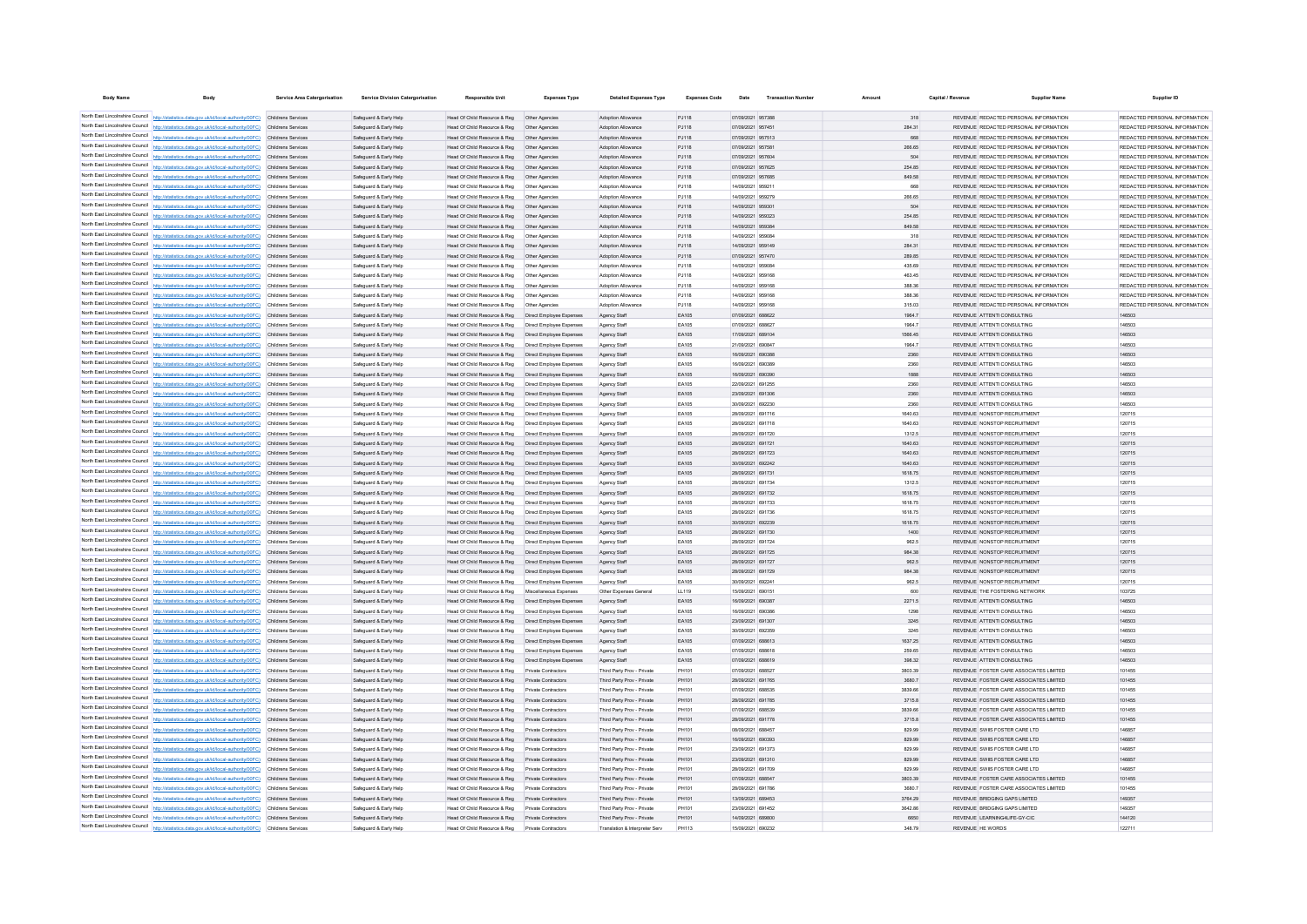| North East Lincolnshire Council http://statistics.data.gov.uk/id/local-authority/00FC) Childrens Services<br>Safeguard & Early Help<br>Head Of Child Resource & Reg   Other Agencies<br>Adoption Allowance<br>PJ118<br>07/09/2021 957388<br>318<br>REVENUE REDACTED PERSONAL INFORMATION<br>REDACTED PERSONAL INFORMATION<br>North East Lincolnshire Council http://statistics.data.gov.uk/id/local-authority/00FC)<br>Head Of Child Resource & Reg<br>Adoption Allowance<br>07/09/2021 957451<br>284.31<br>REVENUE REDACTED PERSONAL INFORMATION<br>REDACTED PERSONAL INFORMATION<br>Childrens Services<br>Safeguard & Early Help<br>Other Agencies<br>PJ118<br>North East Lincolnshire Council http://statistics.data.gov.uk/id/local-authority/00FC)<br>07/09/2021 957513<br>Childrens Services<br>Safeguard & Early Help<br>Head Of Child Resource & Reg<br>Other Agencies<br>Adoption Allowance<br>PJ118<br>REVENUE REDACTED PERSONAL INFORMATION<br>668<br>North East Lincolnshire Council http://statistics.data.gov.uk/id/local-authority/00FC).<br>Childrens Services<br>Head Of Child Resource & Reg<br>Other Agencies<br>Adoption Allowance<br>PJ118<br>07/09/2021 957581<br>266.65<br>REVENUE REDACTED PERSONAL INFORMATION<br>Safeguard & Early Help<br>North East Lincolnshire Council<br>http://statistics.data.gov.uk/id/local-authority/00FC) Childrens Services<br>Head Of Child Resource & Reg<br>Adoption Allowance<br>07/09/2021 957604<br>504<br>REVENUE REDACTED PERSONAL INFORMATION<br>Safeguard & Early Help<br>Other Agencies<br>PJ118<br>North East Lincolnshire Council<br>http://statistics.data.gov.uk/id/local-authority/00FC) Childrens Services<br>Head Of Child Resource & Reg<br>Adoption Allowance<br>07/09/2021 957625<br>254.85<br>REVENUE REDACTED PERSONAL INFORMATION<br>Safeguard & Early Help<br>Other Agencies<br>PJ118<br>North East Lincolnshire Council<br>http://statistics.data.gov.uk/id/local-authority/00FC) Childrens Services<br>Head Of Child Resource & Reg<br>849.58<br>REVENUE REDACTED PERSONAL INFORMATION<br>Other Agencies<br>Adoption Allowance<br>PJ118<br>07/09/2021 957685<br>Safeguard & Early Help<br>North East Lincolnshire Council<br>http://statistics.data.gov.uk/id/local-authority/00FC) Childrens Services<br>REVENUE REDACTED PERSONAL INFORMATION<br>Head Of Child Resource & Reg<br>Adoption Allowance<br>PJ118<br>14/09/2021 959211<br>668<br>Safeguard & Early Help<br>Other Agencies<br>North East Lincolnshire Council<br>http://statistics.data.gov.uk/id/local-authority/00FC) Childrens Services<br>266.65<br>Head Of Child Resource & Reg<br>Adoption Allowance<br>PJ118<br>14/09/2021 959279<br>REVENUE REDACTED PERSONAL INFORMATION<br>Safeguard & Early Help<br>Other Agencies<br>North East Lincolnshire Council<br>http://statistics.data.gov.uk/id/local-authority/00FC)<br>REVENUE REDACTED PERSONAL INFORMATION<br>Head Of Child Resource & Reg<br>Adoption Allowance<br>PJ118<br>14/09/2021 959301<br>504<br>Childrens Services<br>Safeguard & Early Help<br>Other Agencies<br>North East Lincolnshire Council http://statistics.data.gov.uk/id/local-authority/00FC)<br>Head Of Child Resource & Reg<br>Adoption Allowance<br>14/09/2021 959323<br>254.85<br>REVENUE REDACTED PERSONAL INFORMATION<br>Childrens Services<br>Safeguard & Early Help<br>Other Agencies<br>PJ118<br>North East Lincolnshire Council http://statistics.data.gov.uk/id/local-authority/00FC)<br>Adoption Allowance<br>REVENUE REDACTED PERSONAL INFORMATION<br>Childrens Services<br>Head Of Child Resource & Reg<br>Other Agencies<br>PJ118<br>14/09/2021 959384<br>849.58<br>Safeguard & Early Help<br>North East Lincolnshire Council http://statistics.data.gov.uk/id/local-authority/00FC)<br>Head Of Child Resource & Reg<br>Adoption Allowance<br>14/09/2021 959084<br>REVENUE REDACTED PERSONAL INFORMATION<br>Childrens Services<br>Safeguard & Early Help<br>Other Agencies<br>PJ118<br>318<br>North East Lincolnshire Council http://statistics.data.gov.uk/id/local-authority/00FC)<br>Head Of Child Resource & Reg<br>14/09/2021 959149<br>284.31<br>REVENUE REDACTED PERSONAL INFORMATION<br>Childrens Services<br>Other Agencies<br>Adoption Allowance<br>PJ118<br>Safeguard & Early Help<br>North East Lincolnshire Council http://statistics.data.gov.uk/id/local-authority/00FC)<br>REVENUE REDACTED PERSONAL INFORMATION<br>Head Of Child Resource & Reg<br>Adoption Allowance<br>07/09/2021 957470<br>289.85<br>Childrens Services<br>Safeguard & Early Help<br>Other Agencies<br>PJ118<br>North East Lincolnshire Council http://statistics.data.gov.uk/id/local-authority/00FC)<br>Head Of Child Resource & Reg<br>Adoption Allowance<br>14/09/2021 959084<br>435.69<br>REVENUE REDACTED PERSONAL INFORMATION<br>Childrens Services<br>Other Agencies<br>PJ118<br>Safeguard & Early Help<br>North East Lincolnshire Council http://statistics.data.gov.uk/id/local-authority/00FC)<br>Head Of Child Resource & Reg<br>Adoption Allowance<br>14/09/2021 959168<br>463.45<br>REVENUE REDACTED PERSONAL INFORMATION<br>REDACTED PERSONAL INFORMATION<br>Childrens Services<br>Safeguard & Early Help<br>Other Agencies<br>PJ118<br>North East Lincolnshire Council http://statistics.data.gov.uk/id/local-authority/00FC)<br>Head Of Child Resource & Reg<br>388.36<br>REVENUE REDACTED PERSONAL INFORMATION<br>REDACTED PERSONAL INFORMATION<br>Adoption Allowance<br>PJ118<br>14/09/2021 959168<br>Childrens Services<br>Safeguard & Early Help<br>Other Agencies<br>North East Lincolnshire Council http://statistics.data.gov.uk/id/local-authority/00FC)<br>REVENUE REDACTED PERSONAL INFORMATION<br>REDACTED PERSONAL INFORMATION<br>Head Of Child Resource & Reg<br>Adoption Allowance<br>PJ118<br>14/09/2021 959168<br>388.36<br>Childrens Services<br>Safeguard & Early Help<br>Other Agencies<br>North East Lincolnshire Council http://statistics.data.gov.uk/id/local-authority/00FC)<br>REVENUE REDACTED PERSONAL INFORMATION<br>REDACTED PERSONAL INFORMATION<br>Head Of Child Resource & Reg<br>Adoption Allowance<br>PJ118<br>14/09/2021 959168<br>315.03<br>Childrens Services<br>Safeguard & Early Help<br>Other Agencies<br>North East Lincolnshire Council http://statistics.data.gov.uk/id/local-authority/00FC)<br>Head Of Child Resource & Reg<br>07/09/2021 688622<br>1964.7<br>REVENUE ATTENTI CONSULTING<br><b>Childrens Services</b><br>Safeguard & Early Help<br>Direct Employee Expenses<br>Agency Staff<br>EA105<br>146503<br>North East Lincolnshire Council http://statistics.data.gov.uk/id/local-authority/00FC)<br>Head Of Child Resource & Reg<br>07/09/2021 688627<br>1964.7<br>REVENUE ATTENTI CONSULTING<br>146503<br>Childrens Services<br>Safeguard & Early Help<br>Direct Employee Expenses<br>Agency Staff<br>EA105<br>North East Lincolnshire Council http://statistics.data.gov.uk/id/local-authority/00FC)<br>17/09/2021 689104<br>1566.45<br>REVENUE ATTENTI CONSULTING<br>146503<br><b>Childrens Services</b><br>Safeguard & Early Help<br>Head Of Child Resource & Reg<br>Direct Employee Expenses<br>Agency Staff<br>EA105<br>North East Lincolnshire Council http://statistics.data.gov.uk/id/local-authority/00FC)<br>21/09/2021 690847<br>1964.7<br>REVENUE ATTENTI CONSULTING<br>146503<br>Childrens Services<br>Safeguard & Early Help<br>Head Of Child Resource & Reg<br>Direct Employee Expenses<br>Agency Staff<br>EA105<br>North East Lincolnshire Council http://statistics.data.gov.uk/id/local-authority/00FC)<br>2360<br><b>Childrens Services</b><br>Safeguard & Early Help<br>Head Of Child Resource & Reg<br>Direct Employee Expenses<br>Agency Staff<br>EA105<br>16/09/2021 690388<br>REVENUE ATTENTI CONSULTING<br>146503<br>North East Lincolnshire Council http://statistics.data.gov.uk/id/local-authority/00FC) Childrens Services<br>16/09/2021 690389<br>REVENUE ATTENTICONSULTING<br>Safeguard & Early Help<br>Head Of Child Resource & Reg.<br>Direct Employee Expenses<br>Anency Staff<br><b>FA105</b><br>2360<br>146503<br>North East Lincolnshire Council http://statistics.data.gov.uk/id/local-authority/00FC) Childrens Services<br>Safeguard & Early Help<br>Head Of Child Resource & Reg.<br>Direct Employee Expenses<br>Agency Staff<br>EA105<br>16/09/2021 690390<br>1888<br>REVENUE ATTENTI CONSULTING<br>146503<br>North East Lincolnshire Council http://statistics.data.gov.uk/id/local-authority/00FC) Childrens Services<br>Safeguard & Early Help<br>Head Of Child Resource & Reg.<br>Direct Employee Expenses<br>Anency Staff<br>EA105<br>22/09/2021 691255<br>2360<br>REVENUE ATTENTICONSULTING<br>146503<br>North East Lincolnshire Council http://statistics.data.gov.uk/id/local-authority/00FC) Childrens Services<br>Safeguard & Early Help<br>Head Of Child Resource & Reg<br>Direct Employee Expenses<br>Agency Staff<br>EA105<br>23/09/2021 691306<br>2360<br>REVENUE ATTENTI CONSULTING<br>146503<br>North East Lincolnshire Council http://statistics.data.gov.uk/id/local-authority/00FC) Childrens Services<br>Safeguard & Early Help<br>Head Of Child Resource & Reg<br>Direct Employee Expenses<br>Agency Staff<br>EA105<br>30/09/2021 692230<br>2360<br>REVENUE ATTENTI CONSULTING<br>146503<br>North East Lincolnshire Council http://statistics.data.gov.uk/id/local-authority/00FC) Childrens Services<br>Safeguard & Early Help<br>Head Of Child Resource & Reg<br>Direct Employee Expenses<br>Anency Staff<br>EA105<br>28/09/2021 691716<br>1640.63<br>REVENUE NONSTOP RECRUITMENT<br>120715<br>North East Lincolnshire Council http://statistics.data.gov.uk/id/local-authority/00FC) Childrens Services<br>Safeguard & Early Help<br>Head Of Child Resource & Reg<br>Direct Employee Expenses<br>Agency Staff<br>EA105<br>28/09/2021 691718<br>1640.63<br>REVENUE NONSTOP RECRUITMENT<br>120715<br>North East Lincolnshire Council http://statistics.data.gov.uk/id/local-authority/00FC) Childrens Services<br>Safeguard & Early Help<br>Head Of Child Resource & Reg<br>Direct Employee Expenses<br>Agency Staff<br>EA105<br>28/09/2021 691720<br>1312.5<br>REVENUE NONSTOP RECRUITMENT<br>120715<br>North East Lincolnshire Council http://statistics.data.gov.uk/id/local-authority/00FC) Childrens Services<br>Safeguard & Early Help<br>Head Of Child Resource & Reg<br>Direct Employee Expenses<br>Agency Staff<br>EA105<br>28/09/2021 691721<br>1640.63<br>REVENUE NONSTOP RECRUITMENT<br>120715<br>North East Lincolnshire Council http://statistics.data.gov.uk/id/local-authority/00FC) Childrens Services<br>Head Of Child Resource & Reg<br>Direct Employee Expenses<br>Agency Staff<br>EA105<br>28/09/2021 691723<br>1640.63<br>REVENUE NONSTOP RECRUITMENT<br>120715<br>Safeguard & Early Help<br>North East Lincolnshire Council http://statistics.data.gov.uk/id/local-authority/00FC) Childrens Services<br>Head Of Child Resource & Reg<br>Agency Staff<br>EA105<br>30/09/2021 692242<br>1640.63<br>REVENUE NONSTOP RECRUITMENT<br>120715<br>Safeguard & Early Help<br>Direct Employee Expenses<br>North East Lincolnshire Council http://statistics.data.gov.uk/id/local-authority/00FC) Childrens Services<br>28/09/2021 691731<br>1618.75<br>REVENUE NONSTOP RECRUITMENT<br>Safeguard & Early Help<br>Head Of Child Resource & Reg<br>Direct Employee Expenses<br>Agency Staff<br>EA105<br>120715<br>North East Lincolnshire Council http://statistics.data.gov.uk/id/local-authority/00FC) Childrens Services<br>Head Of Child Resource & Reg<br>EA105<br>28/09/2021 691734<br>1312.5<br>REVENUE NONSTOP RECRUITMENT<br>120715<br>Safeguard & Early Help<br>Direct Employee Expenses<br>Anency Staff<br>North East Lincolnshire Council http://statistics.data.gov.uk/id/local-authority/00FC) Childrens Services<br>Safeguard & Early Help<br>Head Of Child Resource & Reg Direct Employee Expenses<br>Agency Staff<br>EA105<br>28/09/2021 691732<br>1618.75<br>REVENUE NONSTOP RECRUITMENT<br>120715<br>North East Lincolnshire Council http://statistics.data.gov.uk/id/local-authority/00FC) Childrens Services<br>Safeguard & Early Help<br>Head Of Child Resource & Reg<br>Direct Employee Expenses<br>Agency Staff<br>EA105<br>28/09/2021 691733<br>1618.75<br>REVENUE NONSTOP RECRUITMENT<br>120715<br>North East Lincolnshire Council http://statistics.data.gov.uk/id/local-authority/00FC) Childrens Services<br>Safeguard & Early Help<br>Head Of Child Resource & Reg<br>Direct Employee Expenses<br>Agency Staff<br><b>FA105</b><br>28/09/2021 691736<br>161875<br>REVENUE NONSTOP RECRUITMENT<br>120715<br>North East Lincolnshire Council http://statistics.data.gov.uk/id/local-authority/00FC) Childrens Services<br>Safeguard & Early Help<br>Head Of Child Resource & Reg<br>Direct Employee Expenses<br>Agency Staff<br>EA105<br>30/09/2021 692239<br>1618.75<br>REVENUE NONSTOP RECRUITMENT<br>120715<br>North East Lincolnshire Council http://statistics.data.gov.uk/id/local-authority/00FC) Childrens Services<br>Safeguard & Early Help<br>Head Of Child Resource & Reg<br>Direct Employee Expenses<br>Agency Staff<br>EA105<br>28/09/2021 691730<br>1400<br>REVENUE NONSTOP RECRUITMENT<br>120715<br>North East Lincolnshire Council http://statistics.data.gov.uk/id/local-authority/00FC) Childrens Services<br>Safeguard & Early Help<br>Head Of Child Resource & Reg<br>Direct Employee Expenses<br>Agency Staff<br>EA105<br>28/09/2021 691724<br>962.5<br>REVENUE NONSTOP RECRUITMENT<br>120715<br>North East Lincolnshire Council http://statistics.data.gov.uk/id/local-authority/00FC) Childrens Services<br>Safeguard & Early Help<br>Head Of Child Resource & Reg<br>Direct Employee Expenses<br>Agency Staff<br>EA105<br>28/09/2021 691725<br>984.38<br>REVENUE NONSTOP RECRUITMENT<br>120715<br>North East Lincolnshire Council http://statistics.data.gov.uk/id/local-authority/00FC) Childrens Services<br>Head Of Child Resource & Reg<br>Direct Employee Expenses<br>EA105<br>28/09/2021 691727<br>962.5<br>REVENUE NONSTOP RECRUITMENT<br>120715<br>Safeguard & Early Help<br>Agency Staff<br>North East Lincolnshire Council http://statistics.data.gov.uk/id/local-authority/00FC) Childrens Services<br>Head Of Child Resource & Reg<br>Direct Employee Expenses<br>EA105<br>28/09/2021 691729<br>984.38<br>REVENUE NONSTOP RECRUITMENT<br>120715<br>Safeguard & Early Help<br>Agency Staff<br>North East Lincolnshire Council http://statistics.data.gov.uk/id/local-authority/00FC)<br>Head Of Child Resource & Reg<br>EA105<br>30/09/2021 692241<br>962.5<br>REVENUE NONSTOP RECRUITMENT<br>Childrens Services<br>Safeguard & Early Help<br>Direct Employee Expenses<br>Agency Staff<br>120715<br>North East Lincolnshire Council http://statistics.data.gov.uk/id/local-authority/00FC) Childrens Services<br>Head Of Child Resource & Reg<br>LL119<br>15/09/2021 690151<br>$600\,$<br>REVENUE THE FOSTERING NETWORK<br>103725<br>Safeguard & Early Help<br>Miscellaneous Expenses<br>Other Expenses General<br>North East Lincolnshire Council http://statistics.data.gov.uk/id/local-authority/00FC)<br>EA105<br>16/09/2021 690387<br>2271.5<br>REVENUE ATTENTI CONSULTING<br><b>Childrens Services</b><br>Safeguard & Early Help<br>Head Of Child Resource & Reg<br>Direct Employee Expenses<br>Agency Staff<br>146503<br>North East Lincolnshire Council http://statistics.data.gov.uk/id/local-authority/00FC)<br>EA105<br>16/09/2021 690386<br>REVENUE ATTENTI CONSULTING<br>146503<br>Childrens Services<br>Safeguard & Early Help<br>Head Of Child Resource & Reg<br>Direct Employee Expenses<br>Agency Staff<br>1298<br>North East Lincolnshire Council http://statistics.data.gov.uk/id/local-authority/00FC)<br>23/09/2021 691307<br>3245<br><b>Childrens Services</b><br>Safeguard & Early Help<br>Head Of Child Resource & Reg<br>Direct Employee Expenses<br>Agency Staff<br>EA105<br>REVENUE ATTENTI CONSULTING<br>146503<br>North East Lincolnshire Council http://statistics.data.gov.uk/id/local-authority/00FC)<br>30/09/2021 692359<br>3245<br>146503<br>Childrens Services<br>Safeguard & Early Help<br>Head Of Child Resource & Reg<br>Direct Employee Expenses<br>Agency Staff<br>EA105<br><b>REVENUE ATTENTI CONSULTING</b><br>North East Lincolnshire Council http://statistics.data.gov.uk/id/local-authority/00FC)<br><b>Childrens Services</b><br>Safeguard & Early Help<br>Head Of Child Resource & Reg<br>Direct Employee Expenses<br>Agency Staff<br>EA105<br>07/09/2021 688613<br>1637.25<br>REVENUE ATTENTI CONSULTING<br>146503<br>North East Lincolnshire Council http://statistics.data.gov.uk/id/local-authority/00FC)<br>Childrens Service<br>Safeguard & Early Help<br>Head Of Child Resource & Reg<br>Direct Employee Expenses<br>Agency Staf<br>EA105<br>07/09/2021 688618<br>259.65<br>REVENUE ATTENTI CONSULTING<br>146503<br>North East Lincolnshire Council http://statistics.data.gov.uk/id/local-authority/00FC)<br>Safeguard & Early Help<br>Head Of Child Resource & Reg<br>Direct Employee Expenses<br>Agency Staff<br>EA105<br>07/09/2021 688619<br>398.32<br>REVENUE ATTENTI CONSULTING<br>146503<br>North East Lincolnshire Council http://statistics.data.gov.uk/id/local-authority/00FC)<br>Childrens Service<br>Safeguard & Early Help<br>Head Of Child Resource & Reg<br>Private Contractors<br>Third Party Prov - Private<br>PH101<br>07/09/2021 688527<br>3803.39<br>REVENUE FOSTER CARE ASSOCIATES LIMITED<br>101455<br>North East Lincolnshire Council http://statistics.data.gov.uk/id/local-authority/00FC)<br>Childrens Services<br>Safeguard & Early Help<br>Head Of Child Resource & Reg<br>Private Contractors<br>Third Party Prov - Private<br>PH101<br>28/09/2021 691765<br>3680.7<br>REVENUE FOSTER CARE ASSOCIATES LIMITED<br>101455<br>North East Lincolnshire Council http://statistics.data.gov.uk/id/local-authority/00FC)<br>Childrens Service<br>Safeguard & Early Help<br>Head Of Child Resource & Reg<br>Private Contractors<br>Third Party Prov - Private<br>PH101<br>07/09/2021 688535<br>3839.66<br>REVENUE FOSTER CARE ASSOCIATES LIMITED<br>101455<br>North East Lincolnshire Council http://statistics.data.gov.uk/id/local-authority/00FC)<br>Childrens Services<br>Safeguard & Early Help<br>Head Of Child Resource & Reg<br>Private Contractors<br>Third Party Prov - Private<br>PH101<br>28/09/2021 691785<br>3715.8<br>REVENUE FOSTER CARE ASSOCIATES LIMITED<br>101455<br>North East Lincolnshire Council http://statistics.data.gov.uk/id/local-authority/00FC)<br>Safeguard & Early Help<br>Head Of Child Resource & Reg<br>Third Party Prov - Private<br>PH101<br>07/09/2021 688539<br>3839.66<br>REVENUE FOSTER CARE ASSOCIATES LIMITED<br>101455<br>Childrens Services<br>Private Contractors<br>North East Lincolnshire Council http://statistics.data.gov.uk/id/local-authority/00FC)<br>Safeguard & Early Help<br>Head Of Child Resource & Reg<br>Third Party Prov - Private<br>PH101<br>28/09/2021 691778<br>3715.8<br>REVENUE FOSTER CARE ASSOCIATES LIMITED<br>101455<br>Childrens Services<br>Private Contractors<br>North East Lincolnshire Council http://statistics.data.gov.uk/id/local-authority/00FC)<br>Head Of Child Resource & Reg<br>Third Party Prov - Private<br>PH101<br>08/09/2021 68845<br>829.99<br>REVENUE SWIIS FOSTER CARE LTD<br>146857<br>Childrens Service<br>Safeguard & Early Help<br>Private Contractors<br>North East Lincolnshire Council http://statistics.data.gov.uk/id/local-authority/00FC)<br>Safeguard & Early Help<br>Head Of Child Resource & Reg<br>Third Party Prov - Private<br>PH101<br>16/09/2021 690393<br>829.99<br>REVENUE SWIIS FOSTER CARE LTD<br>146857<br>Childrens Services<br>Private Contractors<br>North East Lincolnshire Council http://statistics.data.gov.uk/id/local-authority/00FC)<br>PH101<br>23/09/2021 691373<br>829.99<br>REVENUE SWIIS FOSTER CARE LTD<br>146857<br>Childrens Services<br>Safeguard & Early Help<br>Head Of Child Resource & Reg<br>Private Contractors<br>Third Party Prov - Private<br>North East Lincolnshire Council http://statistics.data.gov.uk/id/local-authority/00FC)<br>PH101<br>23/09/2021 691310<br>829.99<br>REVENUE SWIIS FOSTER CARE LTD<br>146857<br>Childrens Services<br>Safeguard & Early Help<br>Head Of Child Resource & Reg<br>Third Party Prov - Private<br>Private Contractors<br>North East Lincolnshire Council<br>http://statistics.data.gov.uk/id/local-authority/00FC)<br>PH101<br>28/09/2021 691709<br>829.99<br>146857<br>Childrens Services<br>Safeguard & Early Help<br>Head Of Child Resource & Reg<br>Third Party Prov - Private<br>REVENUE SWIIS FOSTER CARE LTD<br>Private Contractors<br>North East Lincolnshire Council http://statistics.data.gov.uk/id/local-authority/00FC)<br>Childrens Services<br>Safeguard & Early Help<br>Head Of Child Resource & Reg<br>Private Contractors<br>Third Party Prov - Private<br>PH101<br>07/09/2021 688547<br>3803.39<br>REVENUE FOSTER CARE ASSOCIATES LIMITED<br>101455<br>North East Lincolnshire Council http://statistics.data.gov.uk/id/local-authority/00FC)<br>Safeguard & Early Help<br>Head Of Child Resource & Reg<br>Private Contractor<br>Third Party Prov - Private<br>PH101<br>28/09/2021 691786<br>3680.7<br>REVENUE FOSTER CARE ASSOCIATES LIMITED<br>101455<br>North East Lincolnshire Council http://statistics.data.gov.uk/id/local-authority/00FC)<br>Safeguard & Early Help<br>Head Of Child Resource & Reg<br>Third Party Prov - Private<br>PH101<br>13/09/2021 689453<br>3764.29<br>REVENUE BRIDGING GAPS LIMITED<br>149357<br>Childrens Services<br>Private Contractors<br>North East Lincolnshire Council http://statistics.data.gov.uk/id/local-authority/00FC)<br>Safeguard & Early Help<br>Head Of Child Resource & Reg<br>Private Contractor<br>Third Party Prov - Privat<br>PH101<br>23/09/2021 691452<br>3642.86<br>REVENUE BRIDGING GAPS LIMITED<br>149357<br>North East Lincolnshire Council http://statistics.data.gov.uk/id/local-authority/00FC)<br>Childrens Services<br>Safeguard & Early Help<br>Head Of Child Resource & Reg Private Contractors<br>Third Party Prov - Private<br>PH101<br>14/09/2021 689800<br>6650<br>REVENUE LEARNING4LIFE-GY-CIC<br>144120<br>North East Lincolnshire Council http://statistics.data.gov.uk/id/local-authority/00FC)<br>Safeguard & Early Help<br>Head Of Child Resource & Reg<br>Private Contractors<br>Translation & Interpreter Serv<br>PH113<br>15/09/2021 690232<br>348.79<br>REVENUE HE WORDS<br>122711 | <b>Body Name</b> | <b>Service Area Catergorisation</b> | <b>Service Division Catergorisation</b> | <b>Responsible Uni</b> | <b>Expenses Type</b> | <b>Detailed Expenses Type</b> | <b>Expenses Code</b> |  | Capital / Revenue | <b>Supplier Nam</b> | Supplier ID                   |
|-------------------------------------------------------------------------------------------------------------------------------------------------------------------------------------------------------------------------------------------------------------------------------------------------------------------------------------------------------------------------------------------------------------------------------------------------------------------------------------------------------------------------------------------------------------------------------------------------------------------------------------------------------------------------------------------------------------------------------------------------------------------------------------------------------------------------------------------------------------------------------------------------------------------------------------------------------------------------------------------------------------------------------------------------------------------------------------------------------------------------------------------------------------------------------------------------------------------------------------------------------------------------------------------------------------------------------------------------------------------------------------------------------------------------------------------------------------------------------------------------------------------------------------------------------------------------------------------------------------------------------------------------------------------------------------------------------------------------------------------------------------------------------------------------------------------------------------------------------------------------------------------------------------------------------------------------------------------------------------------------------------------------------------------------------------------------------------------------------------------------------------------------------------------------------------------------------------------------------------------------------------------------------------------------------------------------------------------------------------------------------------------------------------------------------------------------------------------------------------------------------------------------------------------------------------------------------------------------------------------------------------------------------------------------------------------------------------------------------------------------------------------------------------------------------------------------------------------------------------------------------------------------------------------------------------------------------------------------------------------------------------------------------------------------------------------------------------------------------------------------------------------------------------------------------------------------------------------------------------------------------------------------------------------------------------------------------------------------------------------------------------------------------------------------------------------------------------------------------------------------------------------------------------------------------------------------------------------------------------------------------------------------------------------------------------------------------------------------------------------------------------------------------------------------------------------------------------------------------------------------------------------------------------------------------------------------------------------------------------------------------------------------------------------------------------------------------------------------------------------------------------------------------------------------------------------------------------------------------------------------------------------------------------------------------------------------------------------------------------------------------------------------------------------------------------------------------------------------------------------------------------------------------------------------------------------------------------------------------------------------------------------------------------------------------------------------------------------------------------------------------------------------------------------------------------------------------------------------------------------------------------------------------------------------------------------------------------------------------------------------------------------------------------------------------------------------------------------------------------------------------------------------------------------------------------------------------------------------------------------------------------------------------------------------------------------------------------------------------------------------------------------------------------------------------------------------------------------------------------------------------------------------------------------------------------------------------------------------------------------------------------------------------------------------------------------------------------------------------------------------------------------------------------------------------------------------------------------------------------------------------------------------------------------------------------------------------------------------------------------------------------------------------------------------------------------------------------------------------------------------------------------------------------------------------------------------------------------------------------------------------------------------------------------------------------------------------------------------------------------------------------------------------------------------------------------------------------------------------------------------------------------------------------------------------------------------------------------------------------------------------------------------------------------------------------------------------------------------------------------------------------------------------------------------------------------------------------------------------------------------------------------------------------------------------------------------------------------------------------------------------------------------------------------------------------------------------------------------------------------------------------------------------------------------------------------------------------------------------------------------------------------------------------------------------------------------------------------------------------------------------------------------------------------------------------------------------------------------------------------------------------------------------------------------------------------------------------------------------------------------------------------------------------------------------------------------------------------------------------------------------------------------------------------------------------------------------------------------------------------------------------------------------------------------------------------------------------------------------------------------------------------------------------------------------------------------------------------------------------------------------------------------------------------------------------------------------------------------------------------------------------------------------------------------------------------------------------------------------------------------------------------------------------------------------------------------------------------------------------------------------------------------------------------------------------------------------------------------------------------------------------------------------------------------------------------------------------------------------------------------------------------------------------------------------------------------------------------------------------------------------------------------------------------------------------------------------------------------------------------------------------------------------------------------------------------------------------------------------------------------------------------------------------------------------------------------------------------------------------------------------------------------------------------------------------------------------------------------------------------------------------------------------------------------------------------------------------------------------------------------------------------------------------------------------------------------------------------------------------------------------------------------------------------------------------------------------------------------------------------------------------------------------------------------------------------------------------------------------------------------------------------------------------------------------------------------------------------------------------------------------------------------------------------------------------------------------------------------------------------------------------------------------------------------------------------------------------------------------------------------------------------------------------------------------------------------------------------------------------------------------------------------------------------------------------------------------------------------------------------------------------------------------------------------------------------------------------------------------------------------------------------------------------------------------------------------------------------------------------------------------------------------------------------------------------------------------------------------------------------------------------------------------------------------------------------------------------------------------------------------------------------------------------------------------------------------------------------------------------------------------------------------------------------------------------------------------------------------------------------------------------------------------------------------------------------------------------------------------------------------------------------------------------------------------------------------------------------------------------------------------------------------------------------------------------------------------------------------------------------------------------------------------------------------------------------------------------------------------------------------------------------------------------------------------------------------------------------------------------------------------------------------------------------------------------------------------------------------------------------------------------------------------------------------------------------------------------------------------------------------------------------------------------------------------------------------------------------------------------------------------------------------------------------------------------------------------------------------------------------------------------------------------------------------------------------------------------------------------------------------------------------------------------------------------------------------------------------------------------------------------------------------------------------------------------------------------------------------------------------------------------------------------------------------------------------------------------------------------------------------------------------------------------------------------------------------------------------------------------------------------------------------------------------------------------------------------------------------------------------------------------------------------------------------------------------------------------------------------------------------------------------------------------------------------------------------------------------------------------------------------------------------------------------------------------------------------------------------------------------------------------------------------------------------------------------------------------------------------------------------------------------------------------------------------------------------------------------------------------------------------------------------------------------------------------------------------------------------------------------------------------------------------------------------------------------------------------------------------------------------------------------------------------------------------------------------------------------------------------------------------------------------------------------------------------------------------------------------------------------------------------------------------------------------------------------------------------------------------------------------------------------------------------------------------------------------------------------------------------------------------------------------------------------------------------------------------------------------------------------------------------------------------------------------------------------------------------------------------------------------------------------------------------------------------------------------------------------------------------------------------------------------------------------------------------------------------------------------------------------------------------------------------------------------------------------------------------------------------------------------------------------------------------------------------------------------------------------------------------------------------------------------------------------------------------------------------------------------------------------------------------------------------------------------------------------------------------------------------------------------------------------------------------------------------------------------------------------------------------------------------------------------------------------------------------------------------------------------------------------------------------------------------------------------------------------------------------------------------------------------------------------------------------------------------------------------------------------------------------------------------------------------------------------------------------------------------------------------------------------------------------------------------------------------------------------------------------------------------------------------------------------------------------------------------------------------------------------------------------------------------------------------------------------------------------------------------------------------------------------------------------------------------------------------------------------------------------------------------------------------------------------------------------------------------------------------------------------------------------------------------------------------------------------------------------------------------------------------------------------------------------------------------------------------------------------------------------------------------------------------------------------------------------------------------------------------------------------------------------------------------------------------------------------------------------------------------------------------------------------------------------------------------------------------------------------------------------------------------------------------------------------------------------------------------------------------------------------------------------------------------------------------------------------------------------------------------------------------------------------------------------------------------------------------------------------------------------------------------------------------------------------------------------------------------------------------------------------------------------------------------------------------------------------------------------------------------------------------------------------------------------------------------------------------------------------------------------------------------------------------------------------------------------------------------------------------------------------------------------------------------------------------------------------------------------------------------------------------------------------------------------------------------------------------------------------------------------------------------------------------------------------------------------------------------------------------------------------------------------------------------------------------------------------------------------------------------------------------------------------------------------------------------------------------------------------------------------------------------------------------------------------------------------------------------------------------------------------------------------------------------------------------------------------------------------------------------------------------------------------------------------------------------------------------------------------------------------------------------------------------------------------------------------------------------------------------------------------------------------------------------------------------------------------------------------------------------------------------------------------------------------------------------------------------------------------------------------------------------------------------------------------------------------------------------------------------------------------------------------------------------------------------------------------------------------------------------------------------------------------------------------------------------------------------------------------------------------------------------------------------------------------------------------------------------------------------------------------------------------------------------------------------------------------------------------------------------------------------------------------------------------------------------------------------------------------------------------------------------------------------------------------------------------------------------------------------------------------------------------------------------------------------------------------------------------------------------------------------------------------------------------------------------------------------------------------------------------------------------------------------------------------------------------------------------------------------------------------------------------------------------------------------------------------------------------------------------------------------------------------------------------------------------------------------------------------------------------------------------------------------------------------------------------------------------------------------------------------------------------------------------------------------------------------------------------------------------------------------------------------------------------------------------------------------------------------------------------------------------------------------------------------------------------------------------------------------------------------------------------------------------------------------------------------------------------------------------------------------------------------------------------------------------------------------------------------------------------------------------------------------------------------------------------------------------------------------------------------------------------------------------------------------------------------------------------------------------------------------------------------------------------------------------------------------------------------------------------------------------------------------------------------------------------------------------------------------------------------------------------------------------------------------------------------------------------------------------------------------------------------------------------------------------------------------------------------------------------------------------------------------------------------------------------------|------------------|-------------------------------------|-----------------------------------------|------------------------|----------------------|-------------------------------|----------------------|--|-------------------|---------------------|-------------------------------|
|                                                                                                                                                                                                                                                                                                                                                                                                                                                                                                                                                                                                                                                                                                                                                                                                                                                                                                                                                                                                                                                                                                                                                                                                                                                                                                                                                                                                                                                                                                                                                                                                                                                                                                                                                                                                                                                                                                                                                                                                                                                                                                                                                                                                                                                                                                                                                                                                                                                                                                                                                                                                                                                                                                                                                                                                                                                                                                                                                                                                                                                                                                                                                                                                                                                                                                                                                                                                                                                                                                                                                                                                                                                                                                                                                                                                                                                                                                                                                                                                                                                                                                                                                                                                                                                                                                                                                                                                                                                                                                                                                                                                                                                                                                                                                                                                                                                                                                                                                                                                                                                                                                                                                                                                                                                                                                                                                                                                                                                                                                                                                                                                                                                                                                                                                                                                                                                                                                                                                                                                                                                                                                                                                                                                                                                                                                                                                                                                                                                                                                                                                                                                                                                                                                                                                                                                                                                                                                                                                                                                                                                                                                                                                                                                                                                                                                                                                                                                                                                                                                                                                                                                                                                                                                                                                                                                                                                                                                                                                                                                                                                                                                                                                                                                                                                                                                                                                                                                                                                                                                                                                                                                                                                                                                                                                                                                                                                                                                                                                                                                                                                                                                                                                                                                                                                                                                                                                                                                                                                                                                                                                                                                                                                                                                                                                                                                                                                                                                                                                                                                                                                                                                                                                                                                                                                                                                                                                                                                                                                                                                                                                                                                                                                                                                                                                                                                                                                                                                                                                                                                                                                                                                                                                                                                                                                                                                                                                                                                                                                                                                                                                                                                                                                                                                                                                                                                                                                                                                                                                                                                                                                                                                                                                                                                                                                                                                                                                                                                                                                                                                                                                                                                                                                                                                                                                                                                                                                                                                                                                                                                                                                                                                                                                                                                                                                                                                                                                                                                                                                                                                                                                                                                                                                                                                                                                                                                                                                                                                                                                                                                                                                                                                                                                                                                                                                                                                                                                                                                                                                                                                                                                                                                                                                                                                                                                                                                                                                                                                                                                                                                                                                                                                                                                                                                                                                                                                                                                                                                                                                                                                                                                                                                                                                                                                                                                                                                                                                                                                                                                                                                                                                                                                                                                                                                                                                                                                                                                                                                                                                                                                                                                                                                                                                                                                                                                                                                                                                                                                                                                                                                                                                                                                                                                                                                                                                                                                                                                                                                                                                                                                                                                                                                                                                                                                                                                                                                                                                                                                                                                                                                                                                                                                                                                                                                                                                                                                                                                                                                                                                                                                                                                                                                                                                                                                                                                                                                                                                                                                                                                                                                                                                                                                                                                                                                                                                                                                                                                                                                                                                                                                                                                                                                                                                                                                                                                                                                                                                                                                                                                                                                                                                                                                                                                                                                                                                                                                                                                                                                                                                                                                                                                                                                                                                                                                                                                                                                                                                                                                                                                                                                                                                                                                                                                                                                                                                                                                                                                                                                                                                                                                                                                                                                                                                                                                                                                                                                                                                                                                                                                                                                                                                                                                                                                                                                                                                                                                                                                                                                                                                                                                                                                                                                                                                                   |                  |                                     |                                         |                        |                      |                               |                      |  |                   |                     |                               |
|                                                                                                                                                                                                                                                                                                                                                                                                                                                                                                                                                                                                                                                                                                                                                                                                                                                                                                                                                                                                                                                                                                                                                                                                                                                                                                                                                                                                                                                                                                                                                                                                                                                                                                                                                                                                                                                                                                                                                                                                                                                                                                                                                                                                                                                                                                                                                                                                                                                                                                                                                                                                                                                                                                                                                                                                                                                                                                                                                                                                                                                                                                                                                                                                                                                                                                                                                                                                                                                                                                                                                                                                                                                                                                                                                                                                                                                                                                                                                                                                                                                                                                                                                                                                                                                                                                                                                                                                                                                                                                                                                                                                                                                                                                                                                                                                                                                                                                                                                                                                                                                                                                                                                                                                                                                                                                                                                                                                                                                                                                                                                                                                                                                                                                                                                                                                                                                                                                                                                                                                                                                                                                                                                                                                                                                                                                                                                                                                                                                                                                                                                                                                                                                                                                                                                                                                                                                                                                                                                                                                                                                                                                                                                                                                                                                                                                                                                                                                                                                                                                                                                                                                                                                                                                                                                                                                                                                                                                                                                                                                                                                                                                                                                                                                                                                                                                                                                                                                                                                                                                                                                                                                                                                                                                                                                                                                                                                                                                                                                                                                                                                                                                                                                                                                                                                                                                                                                                                                                                                                                                                                                                                                                                                                                                                                                                                                                                                                                                                                                                                                                                                                                                                                                                                                                                                                                                                                                                                                                                                                                                                                                                                                                                                                                                                                                                                                                                                                                                                                                                                                                                                                                                                                                                                                                                                                                                                                                                                                                                                                                                                                                                                                                                                                                                                                                                                                                                                                                                                                                                                                                                                                                                                                                                                                                                                                                                                                                                                                                                                                                                                                                                                                                                                                                                                                                                                                                                                                                                                                                                                                                                                                                                                                                                                                                                                                                                                                                                                                                                                                                                                                                                                                                                                                                                                                                                                                                                                                                                                                                                                                                                                                                                                                                                                                                                                                                                                                                                                                                                                                                                                                                                                                                                                                                                                                                                                                                                                                                                                                                                                                                                                                                                                                                                                                                                                                                                                                                                                                                                                                                                                                                                                                                                                                                                                                                                                                                                                                                                                                                                                                                                                                                                                                                                                                                                                                                                                                                                                                                                                                                                                                                                                                                                                                                                                                                                                                                                                                                                                                                                                                                                                                                                                                                                                                                                                                                                                                                                                                                                                                                                                                                                                                                                                                                                                                                                                                                                                                                                                                                                                                                                                                                                                                                                                                                                                                                                                                                                                                                                                                                                                                                                                                                                                                                                                                                                                                                                                                                                                                                                                                                                                                                                                                                                                                                                                                                                                                                                                                                                                                                                                                                                                                                                                                                                                                                                                                                                                                                                                                                                                                                                                                                                                                                                                                                                                                                                                                                                                                                                                                                                                                                                                                                                                                                                                                                                                                                                                                                                                                                                                                                                                                                                                                                                                                                                                                                                                                                                                                                                                                                                                                                                                                                                                                                                                                                                                                                                                                                                                                                                                                                                                                                                                                                                                                                                                                                                                                                                                                                                                                                                                                                                                                                                                                   |                  |                                     |                                         |                        |                      |                               |                      |  |                   |                     |                               |
|                                                                                                                                                                                                                                                                                                                                                                                                                                                                                                                                                                                                                                                                                                                                                                                                                                                                                                                                                                                                                                                                                                                                                                                                                                                                                                                                                                                                                                                                                                                                                                                                                                                                                                                                                                                                                                                                                                                                                                                                                                                                                                                                                                                                                                                                                                                                                                                                                                                                                                                                                                                                                                                                                                                                                                                                                                                                                                                                                                                                                                                                                                                                                                                                                                                                                                                                                                                                                                                                                                                                                                                                                                                                                                                                                                                                                                                                                                                                                                                                                                                                                                                                                                                                                                                                                                                                                                                                                                                                                                                                                                                                                                                                                                                                                                                                                                                                                                                                                                                                                                                                                                                                                                                                                                                                                                                                                                                                                                                                                                                                                                                                                                                                                                                                                                                                                                                                                                                                                                                                                                                                                                                                                                                                                                                                                                                                                                                                                                                                                                                                                                                                                                                                                                                                                                                                                                                                                                                                                                                                                                                                                                                                                                                                                                                                                                                                                                                                                                                                                                                                                                                                                                                                                                                                                                                                                                                                                                                                                                                                                                                                                                                                                                                                                                                                                                                                                                                                                                                                                                                                                                                                                                                                                                                                                                                                                                                                                                                                                                                                                                                                                                                                                                                                                                                                                                                                                                                                                                                                                                                                                                                                                                                                                                                                                                                                                                                                                                                                                                                                                                                                                                                                                                                                                                                                                                                                                                                                                                                                                                                                                                                                                                                                                                                                                                                                                                                                                                                                                                                                                                                                                                                                                                                                                                                                                                                                                                                                                                                                                                                                                                                                                                                                                                                                                                                                                                                                                                                                                                                                                                                                                                                                                                                                                                                                                                                                                                                                                                                                                                                                                                                                                                                                                                                                                                                                                                                                                                                                                                                                                                                                                                                                                                                                                                                                                                                                                                                                                                                                                                                                                                                                                                                                                                                                                                                                                                                                                                                                                                                                                                                                                                                                                                                                                                                                                                                                                                                                                                                                                                                                                                                                                                                                                                                                                                                                                                                                                                                                                                                                                                                                                                                                                                                                                                                                                                                                                                                                                                                                                                                                                                                                                                                                                                                                                                                                                                                                                                                                                                                                                                                                                                                                                                                                                                                                                                                                                                                                                                                                                                                                                                                                                                                                                                                                                                                                                                                                                                                                                                                                                                                                                                                                                                                                                                                                                                                                                                                                                                                                                                                                                                                                                                                                                                                                                                                                                                                                                                                                                                                                                                                                                                                                                                                                                                                                                                                                                                                                                                                                                                                                                                                                                                                                                                                                                                                                                                                                                                                                                                                                                                                                                                                                                                                                                                                                                                                                                                                                                                                                                                                                                                                                                                                                                                                                                                                                                                                                                                                                                                                                                                                                                                                                                                                                                                                                                                                                                                                                                                                                                                                                                                                                                                                                                                                                                                                                                                                                                                                                                                                                                                                                                                                                                                                                                                                                                                                                                                                                                                                                                                                                                                                                                                                                                                                                                                                                                                                                                                                                                                                                                                                                                                                                                                                                                                                                                                                                                                                                                                                                                                                                                                                                                                                                   |                  |                                     |                                         |                        |                      |                               |                      |  |                   |                     | REDACTED PERSONAL INFORMATION |
|                                                                                                                                                                                                                                                                                                                                                                                                                                                                                                                                                                                                                                                                                                                                                                                                                                                                                                                                                                                                                                                                                                                                                                                                                                                                                                                                                                                                                                                                                                                                                                                                                                                                                                                                                                                                                                                                                                                                                                                                                                                                                                                                                                                                                                                                                                                                                                                                                                                                                                                                                                                                                                                                                                                                                                                                                                                                                                                                                                                                                                                                                                                                                                                                                                                                                                                                                                                                                                                                                                                                                                                                                                                                                                                                                                                                                                                                                                                                                                                                                                                                                                                                                                                                                                                                                                                                                                                                                                                                                                                                                                                                                                                                                                                                                                                                                                                                                                                                                                                                                                                                                                                                                                                                                                                                                                                                                                                                                                                                                                                                                                                                                                                                                                                                                                                                                                                                                                                                                                                                                                                                                                                                                                                                                                                                                                                                                                                                                                                                                                                                                                                                                                                                                                                                                                                                                                                                                                                                                                                                                                                                                                                                                                                                                                                                                                                                                                                                                                                                                                                                                                                                                                                                                                                                                                                                                                                                                                                                                                                                                                                                                                                                                                                                                                                                                                                                                                                                                                                                                                                                                                                                                                                                                                                                                                                                                                                                                                                                                                                                                                                                                                                                                                                                                                                                                                                                                                                                                                                                                                                                                                                                                                                                                                                                                                                                                                                                                                                                                                                                                                                                                                                                                                                                                                                                                                                                                                                                                                                                                                                                                                                                                                                                                                                                                                                                                                                                                                                                                                                                                                                                                                                                                                                                                                                                                                                                                                                                                                                                                                                                                                                                                                                                                                                                                                                                                                                                                                                                                                                                                                                                                                                                                                                                                                                                                                                                                                                                                                                                                                                                                                                                                                                                                                                                                                                                                                                                                                                                                                                                                                                                                                                                                                                                                                                                                                                                                                                                                                                                                                                                                                                                                                                                                                                                                                                                                                                                                                                                                                                                                                                                                                                                                                                                                                                                                                                                                                                                                                                                                                                                                                                                                                                                                                                                                                                                                                                                                                                                                                                                                                                                                                                                                                                                                                                                                                                                                                                                                                                                                                                                                                                                                                                                                                                                                                                                                                                                                                                                                                                                                                                                                                                                                                                                                                                                                                                                                                                                                                                                                                                                                                                                                                                                                                                                                                                                                                                                                                                                                                                                                                                                                                                                                                                                                                                                                                                                                                                                                                                                                                                                                                                                                                                                                                                                                                                                                                                                                                                                                                                                                                                                                                                                                                                                                                                                                                                                                                                                                                                                                                                                                                                                                                                                                                                                                                                                                                                                                                                                                                                                                                                                                                                                                                                                                                                                                                                                                                                                                                                                                                                                                                                                                                                                                                                                                                                                                                                                                                                                                                                                                                                                                                                                                                                                                                                                                                                                                                                                                                                                                                                                                                                                                                                                                                                                                                                                                                                                                                                                                                                                                                                                                                                                                                                                                                                                                                                                                                                                                                                                                                                                                                                                                                                                                                                                                                                                                                                                                                                                                                                                                                                                                                                                                                                                                                                                                                                                                                                                                                                                                                                                                                                                                                                                   |                  |                                     |                                         |                        |                      |                               |                      |  |                   |                     | REDACTED PERSONAL INFORMATION |
|                                                                                                                                                                                                                                                                                                                                                                                                                                                                                                                                                                                                                                                                                                                                                                                                                                                                                                                                                                                                                                                                                                                                                                                                                                                                                                                                                                                                                                                                                                                                                                                                                                                                                                                                                                                                                                                                                                                                                                                                                                                                                                                                                                                                                                                                                                                                                                                                                                                                                                                                                                                                                                                                                                                                                                                                                                                                                                                                                                                                                                                                                                                                                                                                                                                                                                                                                                                                                                                                                                                                                                                                                                                                                                                                                                                                                                                                                                                                                                                                                                                                                                                                                                                                                                                                                                                                                                                                                                                                                                                                                                                                                                                                                                                                                                                                                                                                                                                                                                                                                                                                                                                                                                                                                                                                                                                                                                                                                                                                                                                                                                                                                                                                                                                                                                                                                                                                                                                                                                                                                                                                                                                                                                                                                                                                                                                                                                                                                                                                                                                                                                                                                                                                                                                                                                                                                                                                                                                                                                                                                                                                                                                                                                                                                                                                                                                                                                                                                                                                                                                                                                                                                                                                                                                                                                                                                                                                                                                                                                                                                                                                                                                                                                                                                                                                                                                                                                                                                                                                                                                                                                                                                                                                                                                                                                                                                                                                                                                                                                                                                                                                                                                                                                                                                                                                                                                                                                                                                                                                                                                                                                                                                                                                                                                                                                                                                                                                                                                                                                                                                                                                                                                                                                                                                                                                                                                                                                                                                                                                                                                                                                                                                                                                                                                                                                                                                                                                                                                                                                                                                                                                                                                                                                                                                                                                                                                                                                                                                                                                                                                                                                                                                                                                                                                                                                                                                                                                                                                                                                                                                                                                                                                                                                                                                                                                                                                                                                                                                                                                                                                                                                                                                                                                                                                                                                                                                                                                                                                                                                                                                                                                                                                                                                                                                                                                                                                                                                                                                                                                                                                                                                                                                                                                                                                                                                                                                                                                                                                                                                                                                                                                                                                                                                                                                                                                                                                                                                                                                                                                                                                                                                                                                                                                                                                                                                                                                                                                                                                                                                                                                                                                                                                                                                                                                                                                                                                                                                                                                                                                                                                                                                                                                                                                                                                                                                                                                                                                                                                                                                                                                                                                                                                                                                                                                                                                                                                                                                                                                                                                                                                                                                                                                                                                                                                                                                                                                                                                                                                                                                                                                                                                                                                                                                                                                                                                                                                                                                                                                                                                                                                                                                                                                                                                                                                                                                                                                                                                                                                                                                                                                                                                                                                                                                                                                                                                                                                                                                                                                                                                                                                                                                                                                                                                                                                                                                                                                                                                                                                                                                                                                                                                                                                                                                                                                                                                                                                                                                                                                                                                                                                                                                                                                                                                                                                                                                                                                                                                                                                                                                                                                                                                                                                                                                                                                                                                                                                                                                                                                                                                                                                                                                                                                                                                                                                                                                                                                                                                                                                                                                                                                                                                                                                                                                                                                                                                                                                                                                                                                                                                                                                                                                                                                                                                                                                                                                                                                                                                                                                                                                                                                                                                                                                                                                                                                                                                                                                                                                                                                                                                                                                                                                                                                                                                   |                  |                                     |                                         |                        |                      |                               |                      |  |                   |                     | REDACTED PERSONAL INFORMATION |
|                                                                                                                                                                                                                                                                                                                                                                                                                                                                                                                                                                                                                                                                                                                                                                                                                                                                                                                                                                                                                                                                                                                                                                                                                                                                                                                                                                                                                                                                                                                                                                                                                                                                                                                                                                                                                                                                                                                                                                                                                                                                                                                                                                                                                                                                                                                                                                                                                                                                                                                                                                                                                                                                                                                                                                                                                                                                                                                                                                                                                                                                                                                                                                                                                                                                                                                                                                                                                                                                                                                                                                                                                                                                                                                                                                                                                                                                                                                                                                                                                                                                                                                                                                                                                                                                                                                                                                                                                                                                                                                                                                                                                                                                                                                                                                                                                                                                                                                                                                                                                                                                                                                                                                                                                                                                                                                                                                                                                                                                                                                                                                                                                                                                                                                                                                                                                                                                                                                                                                                                                                                                                                                                                                                                                                                                                                                                                                                                                                                                                                                                                                                                                                                                                                                                                                                                                                                                                                                                                                                                                                                                                                                                                                                                                                                                                                                                                                                                                                                                                                                                                                                                                                                                                                                                                                                                                                                                                                                                                                                                                                                                                                                                                                                                                                                                                                                                                                                                                                                                                                                                                                                                                                                                                                                                                                                                                                                                                                                                                                                                                                                                                                                                                                                                                                                                                                                                                                                                                                                                                                                                                                                                                                                                                                                                                                                                                                                                                                                                                                                                                                                                                                                                                                                                                                                                                                                                                                                                                                                                                                                                                                                                                                                                                                                                                                                                                                                                                                                                                                                                                                                                                                                                                                                                                                                                                                                                                                                                                                                                                                                                                                                                                                                                                                                                                                                                                                                                                                                                                                                                                                                                                                                                                                                                                                                                                                                                                                                                                                                                                                                                                                                                                                                                                                                                                                                                                                                                                                                                                                                                                                                                                                                                                                                                                                                                                                                                                                                                                                                                                                                                                                                                                                                                                                                                                                                                                                                                                                                                                                                                                                                                                                                                                                                                                                                                                                                                                                                                                                                                                                                                                                                                                                                                                                                                                                                                                                                                                                                                                                                                                                                                                                                                                                                                                                                                                                                                                                                                                                                                                                                                                                                                                                                                                                                                                                                                                                                                                                                                                                                                                                                                                                                                                                                                                                                                                                                                                                                                                                                                                                                                                                                                                                                                                                                                                                                                                                                                                                                                                                                                                                                                                                                                                                                                                                                                                                                                                                                                                                                                                                                                                                                                                                                                                                                                                                                                                                                                                                                                                                                                                                                                                                                                                                                                                                                                                                                                                                                                                                                                                                                                                                                                                                                                                                                                                                                                                                                                                                                                                                                                                                                                                                                                                                                                                                                                                                                                                                                                                                                                                                                                                                                                                                                                                                                                                                                                                                                                                                                                                                                                                                                                                                                                                                                                                                                                                                                                                                                                                                                                                                                                                                                                                                                                                                                                                                                                                                                                                                                                                                                                                                                                                                                                                                                                                                                                                                                                                                                                                                                                                                                                                                                                                                                                                                                                                                                                                                                                                                                                                                                                                                                                                                                                                                                                                                                                                                                                                                                                                                                                                                                                                                                                                                                                   |                  |                                     |                                         |                        |                      |                               |                      |  |                   |                     | REDACTED PERSONAL INFORMATION |
|                                                                                                                                                                                                                                                                                                                                                                                                                                                                                                                                                                                                                                                                                                                                                                                                                                                                                                                                                                                                                                                                                                                                                                                                                                                                                                                                                                                                                                                                                                                                                                                                                                                                                                                                                                                                                                                                                                                                                                                                                                                                                                                                                                                                                                                                                                                                                                                                                                                                                                                                                                                                                                                                                                                                                                                                                                                                                                                                                                                                                                                                                                                                                                                                                                                                                                                                                                                                                                                                                                                                                                                                                                                                                                                                                                                                                                                                                                                                                                                                                                                                                                                                                                                                                                                                                                                                                                                                                                                                                                                                                                                                                                                                                                                                                                                                                                                                                                                                                                                                                                                                                                                                                                                                                                                                                                                                                                                                                                                                                                                                                                                                                                                                                                                                                                                                                                                                                                                                                                                                                                                                                                                                                                                                                                                                                                                                                                                                                                                                                                                                                                                                                                                                                                                                                                                                                                                                                                                                                                                                                                                                                                                                                                                                                                                                                                                                                                                                                                                                                                                                                                                                                                                                                                                                                                                                                                                                                                                                                                                                                                                                                                                                                                                                                                                                                                                                                                                                                                                                                                                                                                                                                                                                                                                                                                                                                                                                                                                                                                                                                                                                                                                                                                                                                                                                                                                                                                                                                                                                                                                                                                                                                                                                                                                                                                                                                                                                                                                                                                                                                                                                                                                                                                                                                                                                                                                                                                                                                                                                                                                                                                                                                                                                                                                                                                                                                                                                                                                                                                                                                                                                                                                                                                                                                                                                                                                                                                                                                                                                                                                                                                                                                                                                                                                                                                                                                                                                                                                                                                                                                                                                                                                                                                                                                                                                                                                                                                                                                                                                                                                                                                                                                                                                                                                                                                                                                                                                                                                                                                                                                                                                                                                                                                                                                                                                                                                                                                                                                                                                                                                                                                                                                                                                                                                                                                                                                                                                                                                                                                                                                                                                                                                                                                                                                                                                                                                                                                                                                                                                                                                                                                                                                                                                                                                                                                                                                                                                                                                                                                                                                                                                                                                                                                                                                                                                                                                                                                                                                                                                                                                                                                                                                                                                                                                                                                                                                                                                                                                                                                                                                                                                                                                                                                                                                                                                                                                                                                                                                                                                                                                                                                                                                                                                                                                                                                                                                                                                                                                                                                                                                                                                                                                                                                                                                                                                                                                                                                                                                                                                                                                                                                                                                                                                                                                                                                                                                                                                                                                                                                                                                                                                                                                                                                                                                                                                                                                                                                                                                                                                                                                                                                                                                                                                                                                                                                                                                                                                                                                                                                                                                                                                                                                                                                                                                                                                                                                                                                                                                                                                                                                                                                                                                                                                                                                                                                                                                                                                                                                                                                                                                                                                                                                                                                                                                                                                                                                                                                                                                                                                                                                                                                                                                                                                                                                                                                                                                                                                                                                                                                                                                                                                                                                                                                                                                                                                                                                                                                                                                                                                                                                                                                                                                                                                                                                                                                                                                                                                                                                                                                                                                                                                                                                                                                                                                                                                                                                                                                                                                                                                                                                                                                                                                                                                   |                  |                                     |                                         |                        |                      |                               |                      |  |                   |                     | REDACTED PERSONAL INFORMATION |
|                                                                                                                                                                                                                                                                                                                                                                                                                                                                                                                                                                                                                                                                                                                                                                                                                                                                                                                                                                                                                                                                                                                                                                                                                                                                                                                                                                                                                                                                                                                                                                                                                                                                                                                                                                                                                                                                                                                                                                                                                                                                                                                                                                                                                                                                                                                                                                                                                                                                                                                                                                                                                                                                                                                                                                                                                                                                                                                                                                                                                                                                                                                                                                                                                                                                                                                                                                                                                                                                                                                                                                                                                                                                                                                                                                                                                                                                                                                                                                                                                                                                                                                                                                                                                                                                                                                                                                                                                                                                                                                                                                                                                                                                                                                                                                                                                                                                                                                                                                                                                                                                                                                                                                                                                                                                                                                                                                                                                                                                                                                                                                                                                                                                                                                                                                                                                                                                                                                                                                                                                                                                                                                                                                                                                                                                                                                                                                                                                                                                                                                                                                                                                                                                                                                                                                                                                                                                                                                                                                                                                                                                                                                                                                                                                                                                                                                                                                                                                                                                                                                                                                                                                                                                                                                                                                                                                                                                                                                                                                                                                                                                                                                                                                                                                                                                                                                                                                                                                                                                                                                                                                                                                                                                                                                                                                                                                                                                                                                                                                                                                                                                                                                                                                                                                                                                                                                                                                                                                                                                                                                                                                                                                                                                                                                                                                                                                                                                                                                                                                                                                                                                                                                                                                                                                                                                                                                                                                                                                                                                                                                                                                                                                                                                                                                                                                                                                                                                                                                                                                                                                                                                                                                                                                                                                                                                                                                                                                                                                                                                                                                                                                                                                                                                                                                                                                                                                                                                                                                                                                                                                                                                                                                                                                                                                                                                                                                                                                                                                                                                                                                                                                                                                                                                                                                                                                                                                                                                                                                                                                                                                                                                                                                                                                                                                                                                                                                                                                                                                                                                                                                                                                                                                                                                                                                                                                                                                                                                                                                                                                                                                                                                                                                                                                                                                                                                                                                                                                                                                                                                                                                                                                                                                                                                                                                                                                                                                                                                                                                                                                                                                                                                                                                                                                                                                                                                                                                                                                                                                                                                                                                                                                                                                                                                                                                                                                                                                                                                                                                                                                                                                                                                                                                                                                                                                                                                                                                                                                                                                                                                                                                                                                                                                                                                                                                                                                                                                                                                                                                                                                                                                                                                                                                                                                                                                                                                                                                                                                                                                                                                                                                                                                                                                                                                                                                                                                                                                                                                                                                                                                                                                                                                                                                                                                                                                                                                                                                                                                                                                                                                                                                                                                                                                                                                                                                                                                                                                                                                                                                                                                                                                                                                                                                                                                                                                                                                                                                                                                                                                                                                                                                                                                                                                                                                                                                                                                                                                                                                                                                                                                                                                                                                                                                                                                                                                                                                                                                                                                                                                                                                                                                                                                                                                                                                                                                                                                                                                                                                                                                                                                                                                                                                                                                                                                                                                                                                                                                                                                                                                                                                                                                                                                                                                                                                                                                                                                                                                                                                                                                                                                                                                                                                                                                                                                                                                                                                                                                                                                                                                                                                                                                                                                                                                                                                   |                  |                                     |                                         |                        |                      |                               |                      |  |                   |                     | REDACTED PERSONAL INFORMATION |
|                                                                                                                                                                                                                                                                                                                                                                                                                                                                                                                                                                                                                                                                                                                                                                                                                                                                                                                                                                                                                                                                                                                                                                                                                                                                                                                                                                                                                                                                                                                                                                                                                                                                                                                                                                                                                                                                                                                                                                                                                                                                                                                                                                                                                                                                                                                                                                                                                                                                                                                                                                                                                                                                                                                                                                                                                                                                                                                                                                                                                                                                                                                                                                                                                                                                                                                                                                                                                                                                                                                                                                                                                                                                                                                                                                                                                                                                                                                                                                                                                                                                                                                                                                                                                                                                                                                                                                                                                                                                                                                                                                                                                                                                                                                                                                                                                                                                                                                                                                                                                                                                                                                                                                                                                                                                                                                                                                                                                                                                                                                                                                                                                                                                                                                                                                                                                                                                                                                                                                                                                                                                                                                                                                                                                                                                                                                                                                                                                                                                                                                                                                                                                                                                                                                                                                                                                                                                                                                                                                                                                                                                                                                                                                                                                                                                                                                                                                                                                                                                                                                                                                                                                                                                                                                                                                                                                                                                                                                                                                                                                                                                                                                                                                                                                                                                                                                                                                                                                                                                                                                                                                                                                                                                                                                                                                                                                                                                                                                                                                                                                                                                                                                                                                                                                                                                                                                                                                                                                                                                                                                                                                                                                                                                                                                                                                                                                                                                                                                                                                                                                                                                                                                                                                                                                                                                                                                                                                                                                                                                                                                                                                                                                                                                                                                                                                                                                                                                                                                                                                                                                                                                                                                                                                                                                                                                                                                                                                                                                                                                                                                                                                                                                                                                                                                                                                                                                                                                                                                                                                                                                                                                                                                                                                                                                                                                                                                                                                                                                                                                                                                                                                                                                                                                                                                                                                                                                                                                                                                                                                                                                                                                                                                                                                                                                                                                                                                                                                                                                                                                                                                                                                                                                                                                                                                                                                                                                                                                                                                                                                                                                                                                                                                                                                                                                                                                                                                                                                                                                                                                                                                                                                                                                                                                                                                                                                                                                                                                                                                                                                                                                                                                                                                                                                                                                                                                                                                                                                                                                                                                                                                                                                                                                                                                                                                                                                                                                                                                                                                                                                                                                                                                                                                                                                                                                                                                                                                                                                                                                                                                                                                                                                                                                                                                                                                                                                                                                                                                                                                                                                                                                                                                                                                                                                                                                                                                                                                                                                                                                                                                                                                                                                                                                                                                                                                                                                                                                                                                                                                                                                                                                                                                                                                                                                                                                                                                                                                                                                                                                                                                                                                                                                                                                                                                                                                                                                                                                                                                                                                                                                                                                                                                                                                                                                                                                                                                                                                                                                                                                                                                                                                                                                                                                                                                                                                                                                                                                                                                                                                                                                                                                                                                                                                                                                                                                                                                                                                                                                                                                                                                                                                                                                                                                                                                                                                                                                                                                                                                                                                                                                                                                                                                                                                                                                                                                                                                                                                                                                                                                                                                                                                                                                                                                                                                                                                                                                                                                                                                                                                                                                                                                                                                                                                                                                                                                                                                                                                                                                                                                                                                                                                                                                                                                                                                   |                  |                                     |                                         |                        |                      |                               |                      |  |                   |                     | REDACTED PERSONAL INFORMATION |
|                                                                                                                                                                                                                                                                                                                                                                                                                                                                                                                                                                                                                                                                                                                                                                                                                                                                                                                                                                                                                                                                                                                                                                                                                                                                                                                                                                                                                                                                                                                                                                                                                                                                                                                                                                                                                                                                                                                                                                                                                                                                                                                                                                                                                                                                                                                                                                                                                                                                                                                                                                                                                                                                                                                                                                                                                                                                                                                                                                                                                                                                                                                                                                                                                                                                                                                                                                                                                                                                                                                                                                                                                                                                                                                                                                                                                                                                                                                                                                                                                                                                                                                                                                                                                                                                                                                                                                                                                                                                                                                                                                                                                                                                                                                                                                                                                                                                                                                                                                                                                                                                                                                                                                                                                                                                                                                                                                                                                                                                                                                                                                                                                                                                                                                                                                                                                                                                                                                                                                                                                                                                                                                                                                                                                                                                                                                                                                                                                                                                                                                                                                                                                                                                                                                                                                                                                                                                                                                                                                                                                                                                                                                                                                                                                                                                                                                                                                                                                                                                                                                                                                                                                                                                                                                                                                                                                                                                                                                                                                                                                                                                                                                                                                                                                                                                                                                                                                                                                                                                                                                                                                                                                                                                                                                                                                                                                                                                                                                                                                                                                                                                                                                                                                                                                                                                                                                                                                                                                                                                                                                                                                                                                                                                                                                                                                                                                                                                                                                                                                                                                                                                                                                                                                                                                                                                                                                                                                                                                                                                                                                                                                                                                                                                                                                                                                                                                                                                                                                                                                                                                                                                                                                                                                                                                                                                                                                                                                                                                                                                                                                                                                                                                                                                                                                                                                                                                                                                                                                                                                                                                                                                                                                                                                                                                                                                                                                                                                                                                                                                                                                                                                                                                                                                                                                                                                                                                                                                                                                                                                                                                                                                                                                                                                                                                                                                                                                                                                                                                                                                                                                                                                                                                                                                                                                                                                                                                                                                                                                                                                                                                                                                                                                                                                                                                                                                                                                                                                                                                                                                                                                                                                                                                                                                                                                                                                                                                                                                                                                                                                                                                                                                                                                                                                                                                                                                                                                                                                                                                                                                                                                                                                                                                                                                                                                                                                                                                                                                                                                                                                                                                                                                                                                                                                                                                                                                                                                                                                                                                                                                                                                                                                                                                                                                                                                                                                                                                                                                                                                                                                                                                                                                                                                                                                                                                                                                                                                                                                                                                                                                                                                                                                                                                                                                                                                                                                                                                                                                                                                                                                                                                                                                                                                                                                                                                                                                                                                                                                                                                                                                                                                                                                                                                                                                                                                                                                                                                                                                                                                                                                                                                                                                                                                                                                                                                                                                                                                                                                                                                                                                                                                                                                                                                                                                                                                                                                                                                                                                                                                                                                                                                                                                                                                                                                                                                                                                                                                                                                                                                                                                                                                                                                                                                                                                                                                                                                                                                                                                                                                                                                                                                                                                                                                                                                                                                                                                                                                                                                                                                                                                                                                                                                                                                                                                                                                                                                                                                                                                                                                                                                                                                                                                                                                                                                                                                                                                                                                                                                                                                                                                                                                                                                                                                                                                   |                  |                                     |                                         |                        |                      |                               |                      |  |                   |                     | REDACTED PERSONAL INFORMATION |
|                                                                                                                                                                                                                                                                                                                                                                                                                                                                                                                                                                                                                                                                                                                                                                                                                                                                                                                                                                                                                                                                                                                                                                                                                                                                                                                                                                                                                                                                                                                                                                                                                                                                                                                                                                                                                                                                                                                                                                                                                                                                                                                                                                                                                                                                                                                                                                                                                                                                                                                                                                                                                                                                                                                                                                                                                                                                                                                                                                                                                                                                                                                                                                                                                                                                                                                                                                                                                                                                                                                                                                                                                                                                                                                                                                                                                                                                                                                                                                                                                                                                                                                                                                                                                                                                                                                                                                                                                                                                                                                                                                                                                                                                                                                                                                                                                                                                                                                                                                                                                                                                                                                                                                                                                                                                                                                                                                                                                                                                                                                                                                                                                                                                                                                                                                                                                                                                                                                                                                                                                                                                                                                                                                                                                                                                                                                                                                                                                                                                                                                                                                                                                                                                                                                                                                                                                                                                                                                                                                                                                                                                                                                                                                                                                                                                                                                                                                                                                                                                                                                                                                                                                                                                                                                                                                                                                                                                                                                                                                                                                                                                                                                                                                                                                                                                                                                                                                                                                                                                                                                                                                                                                                                                                                                                                                                                                                                                                                                                                                                                                                                                                                                                                                                                                                                                                                                                                                                                                                                                                                                                                                                                                                                                                                                                                                                                                                                                                                                                                                                                                                                                                                                                                                                                                                                                                                                                                                                                                                                                                                                                                                                                                                                                                                                                                                                                                                                                                                                                                                                                                                                                                                                                                                                                                                                                                                                                                                                                                                                                                                                                                                                                                                                                                                                                                                                                                                                                                                                                                                                                                                                                                                                                                                                                                                                                                                                                                                                                                                                                                                                                                                                                                                                                                                                                                                                                                                                                                                                                                                                                                                                                                                                                                                                                                                                                                                                                                                                                                                                                                                                                                                                                                                                                                                                                                                                                                                                                                                                                                                                                                                                                                                                                                                                                                                                                                                                                                                                                                                                                                                                                                                                                                                                                                                                                                                                                                                                                                                                                                                                                                                                                                                                                                                                                                                                                                                                                                                                                                                                                                                                                                                                                                                                                                                                                                                                                                                                                                                                                                                                                                                                                                                                                                                                                                                                                                                                                                                                                                                                                                                                                                                                                                                                                                                                                                                                                                                                                                                                                                                                                                                                                                                                                                                                                                                                                                                                                                                                                                                                                                                                                                                                                                                                                                                                                                                                                                                                                                                                                                                                                                                                                                                                                                                                                                                                                                                                                                                                                                                                                                                                                                                                                                                                                                                                                                                                                                                                                                                                                                                                                                                                                                                                                                                                                                                                                                                                                                                                                                                                                                                                                                                                                                                                                                                                                                                                                                                                                                                                                                                                                                                                                                                                                                                                                                                                                                                                                                                                                                                                                                                                                                                                                                                                                                                                                                                                                                                                                                                                                                                                                                                                                                                                                                                                                                                                                                                                                                                                                                                                                                                                                                                                                                                                                                                                                                                                                                                                                                                                                                                                                                                                                                                                                                                                                                                                                                                                                                                                                                                                                                                                                                                                                                                                                   |                  |                                     |                                         |                        |                      |                               |                      |  |                   |                     | REDACTED PERSONAL INFORMATION |
|                                                                                                                                                                                                                                                                                                                                                                                                                                                                                                                                                                                                                                                                                                                                                                                                                                                                                                                                                                                                                                                                                                                                                                                                                                                                                                                                                                                                                                                                                                                                                                                                                                                                                                                                                                                                                                                                                                                                                                                                                                                                                                                                                                                                                                                                                                                                                                                                                                                                                                                                                                                                                                                                                                                                                                                                                                                                                                                                                                                                                                                                                                                                                                                                                                                                                                                                                                                                                                                                                                                                                                                                                                                                                                                                                                                                                                                                                                                                                                                                                                                                                                                                                                                                                                                                                                                                                                                                                                                                                                                                                                                                                                                                                                                                                                                                                                                                                                                                                                                                                                                                                                                                                                                                                                                                                                                                                                                                                                                                                                                                                                                                                                                                                                                                                                                                                                                                                                                                                                                                                                                                                                                                                                                                                                                                                                                                                                                                                                                                                                                                                                                                                                                                                                                                                                                                                                                                                                                                                                                                                                                                                                                                                                                                                                                                                                                                                                                                                                                                                                                                                                                                                                                                                                                                                                                                                                                                                                                                                                                                                                                                                                                                                                                                                                                                                                                                                                                                                                                                                                                                                                                                                                                                                                                                                                                                                                                                                                                                                                                                                                                                                                                                                                                                                                                                                                                                                                                                                                                                                                                                                                                                                                                                                                                                                                                                                                                                                                                                                                                                                                                                                                                                                                                                                                                                                                                                                                                                                                                                                                                                                                                                                                                                                                                                                                                                                                                                                                                                                                                                                                                                                                                                                                                                                                                                                                                                                                                                                                                                                                                                                                                                                                                                                                                                                                                                                                                                                                                                                                                                                                                                                                                                                                                                                                                                                                                                                                                                                                                                                                                                                                                                                                                                                                                                                                                                                                                                                                                                                                                                                                                                                                                                                                                                                                                                                                                                                                                                                                                                                                                                                                                                                                                                                                                                                                                                                                                                                                                                                                                                                                                                                                                                                                                                                                                                                                                                                                                                                                                                                                                                                                                                                                                                                                                                                                                                                                                                                                                                                                                                                                                                                                                                                                                                                                                                                                                                                                                                                                                                                                                                                                                                                                                                                                                                                                                                                                                                                                                                                                                                                                                                                                                                                                                                                                                                                                                                                                                                                                                                                                                                                                                                                                                                                                                                                                                                                                                                                                                                                                                                                                                                                                                                                                                                                                                                                                                                                                                                                                                                                                                                                                                                                                                                                                                                                                                                                                                                                                                                                                                                                                                                                                                                                                                                                                                                                                                                                                                                                                                                                                                                                                                                                                                                                                                                                                                                                                                                                                                                                                                                                                                                                                                                                                                                                                                                                                                                                                                                                                                                                                                                                                                                                                                                                                                                                                                                                                                                                                                                                                                                                                                                                                                                                                                                                                                                                                                                                                                                                                                                                                                                                                                                                                                                                                                                                                                                                                                                                                                                                                                                                                                                                                                                                                                                                                                                                                                                                                                                                                                                                                                                                                                                                                                                                                                                                                                                                                                                                                                                                                                                                                                                                                                                                                                                                                                                                                                                                                                                                                                                                                                                                                                                                                                                   |                  |                                     |                                         |                        |                      |                               |                      |  |                   |                     | REDACTED PERSONAL INFORMATION |
|                                                                                                                                                                                                                                                                                                                                                                                                                                                                                                                                                                                                                                                                                                                                                                                                                                                                                                                                                                                                                                                                                                                                                                                                                                                                                                                                                                                                                                                                                                                                                                                                                                                                                                                                                                                                                                                                                                                                                                                                                                                                                                                                                                                                                                                                                                                                                                                                                                                                                                                                                                                                                                                                                                                                                                                                                                                                                                                                                                                                                                                                                                                                                                                                                                                                                                                                                                                                                                                                                                                                                                                                                                                                                                                                                                                                                                                                                                                                                                                                                                                                                                                                                                                                                                                                                                                                                                                                                                                                                                                                                                                                                                                                                                                                                                                                                                                                                                                                                                                                                                                                                                                                                                                                                                                                                                                                                                                                                                                                                                                                                                                                                                                                                                                                                                                                                                                                                                                                                                                                                                                                                                                                                                                                                                                                                                                                                                                                                                                                                                                                                                                                                                                                                                                                                                                                                                                                                                                                                                                                                                                                                                                                                                                                                                                                                                                                                                                                                                                                                                                                                                                                                                                                                                                                                                                                                                                                                                                                                                                                                                                                                                                                                                                                                                                                                                                                                                                                                                                                                                                                                                                                                                                                                                                                                                                                                                                                                                                                                                                                                                                                                                                                                                                                                                                                                                                                                                                                                                                                                                                                                                                                                                                                                                                                                                                                                                                                                                                                                                                                                                                                                                                                                                                                                                                                                                                                                                                                                                                                                                                                                                                                                                                                                                                                                                                                                                                                                                                                                                                                                                                                                                                                                                                                                                                                                                                                                                                                                                                                                                                                                                                                                                                                                                                                                                                                                                                                                                                                                                                                                                                                                                                                                                                                                                                                                                                                                                                                                                                                                                                                                                                                                                                                                                                                                                                                                                                                                                                                                                                                                                                                                                                                                                                                                                                                                                                                                                                                                                                                                                                                                                                                                                                                                                                                                                                                                                                                                                                                                                                                                                                                                                                                                                                                                                                                                                                                                                                                                                                                                                                                                                                                                                                                                                                                                                                                                                                                                                                                                                                                                                                                                                                                                                                                                                                                                                                                                                                                                                                                                                                                                                                                                                                                                                                                                                                                                                                                                                                                                                                                                                                                                                                                                                                                                                                                                                                                                                                                                                                                                                                                                                                                                                                                                                                                                                                                                                                                                                                                                                                                                                                                                                                                                                                                                                                                                                                                                                                                                                                                                                                                                                                                                                                                                                                                                                                                                                                                                                                                                                                                                                                                                                                                                                                                                                                                                                                                                                                                                                                                                                                                                                                                                                                                                                                                                                                                                                                                                                                                                                                                                                                                                                                                                                                                                                                                                                                                                                                                                                                                                                                                                                                                                                                                                                                                                                                                                                                                                                                                                                                                                                                                                                                                                                                                                                                                                                                                                                                                                                                                                                                                                                                                                                                                                                                                                                                                                                                                                                                                                                                                                                                                                                                                                                                                                                                                                                                                                                                                                                                                                                                                                                                                                                                                                                                                                                                                                                                                                                                                                                                                                                                                                                                                                                                                                                                                                                                                                                                                                                                                                                                                                                                                                                                                   |                  |                                     |                                         |                        |                      |                               |                      |  |                   |                     | REDACTED PERSONAL INFORMATION |
|                                                                                                                                                                                                                                                                                                                                                                                                                                                                                                                                                                                                                                                                                                                                                                                                                                                                                                                                                                                                                                                                                                                                                                                                                                                                                                                                                                                                                                                                                                                                                                                                                                                                                                                                                                                                                                                                                                                                                                                                                                                                                                                                                                                                                                                                                                                                                                                                                                                                                                                                                                                                                                                                                                                                                                                                                                                                                                                                                                                                                                                                                                                                                                                                                                                                                                                                                                                                                                                                                                                                                                                                                                                                                                                                                                                                                                                                                                                                                                                                                                                                                                                                                                                                                                                                                                                                                                                                                                                                                                                                                                                                                                                                                                                                                                                                                                                                                                                                                                                                                                                                                                                                                                                                                                                                                                                                                                                                                                                                                                                                                                                                                                                                                                                                                                                                                                                                                                                                                                                                                                                                                                                                                                                                                                                                                                                                                                                                                                                                                                                                                                                                                                                                                                                                                                                                                                                                                                                                                                                                                                                                                                                                                                                                                                                                                                                                                                                                                                                                                                                                                                                                                                                                                                                                                                                                                                                                                                                                                                                                                                                                                                                                                                                                                                                                                                                                                                                                                                                                                                                                                                                                                                                                                                                                                                                                                                                                                                                                                                                                                                                                                                                                                                                                                                                                                                                                                                                                                                                                                                                                                                                                                                                                                                                                                                                                                                                                                                                                                                                                                                                                                                                                                                                                                                                                                                                                                                                                                                                                                                                                                                                                                                                                                                                                                                                                                                                                                                                                                                                                                                                                                                                                                                                                                                                                                                                                                                                                                                                                                                                                                                                                                                                                                                                                                                                                                                                                                                                                                                                                                                                                                                                                                                                                                                                                                                                                                                                                                                                                                                                                                                                                                                                                                                                                                                                                                                                                                                                                                                                                                                                                                                                                                                                                                                                                                                                                                                                                                                                                                                                                                                                                                                                                                                                                                                                                                                                                                                                                                                                                                                                                                                                                                                                                                                                                                                                                                                                                                                                                                                                                                                                                                                                                                                                                                                                                                                                                                                                                                                                                                                                                                                                                                                                                                                                                                                                                                                                                                                                                                                                                                                                                                                                                                                                                                                                                                                                                                                                                                                                                                                                                                                                                                                                                                                                                                                                                                                                                                                                                                                                                                                                                                                                                                                                                                                                                                                                                                                                                                                                                                                                                                                                                                                                                                                                                                                                                                                                                                                                                                                                                                                                                                                                                                                                                                                                                                                                                                                                                                                                                                                                                                                                                                                                                                                                                                                                                                                                                                                                                                                                                                                                                                                                                                                                                                                                                                                                                                                                                                                                                                                                                                                                                                                                                                                                                                                                                                                                                                                                                                                                                                                                                                                                                                                                                                                                                                                                                                                                                                                                                                                                                                                                                                                                                                                                                                                                                                                                                                                                                                                                                                                                                                                                                                                                                                                                                                                                                                                                                                                                                                                                                                                                                                                                                                                                                                                                                                                                                                                                                                                                                                                                                                                                                                                                                                                                                                                                                                                                                                                                                                                                                                                                                                                                                                                                                                                                                                                                                                                                                                                                                                                                                                                                                   |                  |                                     |                                         |                        |                      |                               |                      |  |                   |                     | REDACTED PERSONAL INFORMATION |
|                                                                                                                                                                                                                                                                                                                                                                                                                                                                                                                                                                                                                                                                                                                                                                                                                                                                                                                                                                                                                                                                                                                                                                                                                                                                                                                                                                                                                                                                                                                                                                                                                                                                                                                                                                                                                                                                                                                                                                                                                                                                                                                                                                                                                                                                                                                                                                                                                                                                                                                                                                                                                                                                                                                                                                                                                                                                                                                                                                                                                                                                                                                                                                                                                                                                                                                                                                                                                                                                                                                                                                                                                                                                                                                                                                                                                                                                                                                                                                                                                                                                                                                                                                                                                                                                                                                                                                                                                                                                                                                                                                                                                                                                                                                                                                                                                                                                                                                                                                                                                                                                                                                                                                                                                                                                                                                                                                                                                                                                                                                                                                                                                                                                                                                                                                                                                                                                                                                                                                                                                                                                                                                                                                                                                                                                                                                                                                                                                                                                                                                                                                                                                                                                                                                                                                                                                                                                                                                                                                                                                                                                                                                                                                                                                                                                                                                                                                                                                                                                                                                                                                                                                                                                                                                                                                                                                                                                                                                                                                                                                                                                                                                                                                                                                                                                                                                                                                                                                                                                                                                                                                                                                                                                                                                                                                                                                                                                                                                                                                                                                                                                                                                                                                                                                                                                                                                                                                                                                                                                                                                                                                                                                                                                                                                                                                                                                                                                                                                                                                                                                                                                                                                                                                                                                                                                                                                                                                                                                                                                                                                                                                                                                                                                                                                                                                                                                                                                                                                                                                                                                                                                                                                                                                                                                                                                                                                                                                                                                                                                                                                                                                                                                                                                                                                                                                                                                                                                                                                                                                                                                                                                                                                                                                                                                                                                                                                                                                                                                                                                                                                                                                                                                                                                                                                                                                                                                                                                                                                                                                                                                                                                                                                                                                                                                                                                                                                                                                                                                                                                                                                                                                                                                                                                                                                                                                                                                                                                                                                                                                                                                                                                                                                                                                                                                                                                                                                                                                                                                                                                                                                                                                                                                                                                                                                                                                                                                                                                                                                                                                                                                                                                                                                                                                                                                                                                                                                                                                                                                                                                                                                                                                                                                                                                                                                                                                                                                                                                                                                                                                                                                                                                                                                                                                                                                                                                                                                                                                                                                                                                                                                                                                                                                                                                                                                                                                                                                                                                                                                                                                                                                                                                                                                                                                                                                                                                                                                                                                                                                                                                                                                                                                                                                                                                                                                                                                                                                                                                                                                                                                                                                                                                                                                                                                                                                                                                                                                                                                                                                                                                                                                                                                                                                                                                                                                                                                                                                                                                                                                                                                                                                                                                                                                                                                                                                                                                                                                                                                                                                                                                                                                                                                                                                                                                                                                                                                                                                                                                                                                                                                                                                                                                                                                                                                                                                                                                                                                                                                                                                                                                                                                                                                                                                                                                                                                                                                                                                                                                                                                                                                                                                                                                                                                                                                                                                                                                                                                                                                                                                                                                                                                                                                                                                                                                                                                                                                                                                                                                                                                                                                                                                                                                                                                                                                                                                                                                                                                                                                                                                                                                                                                                                                                                                                                                   |                  |                                     |                                         |                        |                      |                               |                      |  |                   |                     | REDACTED PERSONAL INFORMATION |
|                                                                                                                                                                                                                                                                                                                                                                                                                                                                                                                                                                                                                                                                                                                                                                                                                                                                                                                                                                                                                                                                                                                                                                                                                                                                                                                                                                                                                                                                                                                                                                                                                                                                                                                                                                                                                                                                                                                                                                                                                                                                                                                                                                                                                                                                                                                                                                                                                                                                                                                                                                                                                                                                                                                                                                                                                                                                                                                                                                                                                                                                                                                                                                                                                                                                                                                                                                                                                                                                                                                                                                                                                                                                                                                                                                                                                                                                                                                                                                                                                                                                                                                                                                                                                                                                                                                                                                                                                                                                                                                                                                                                                                                                                                                                                                                                                                                                                                                                                                                                                                                                                                                                                                                                                                                                                                                                                                                                                                                                                                                                                                                                                                                                                                                                                                                                                                                                                                                                                                                                                                                                                                                                                                                                                                                                                                                                                                                                                                                                                                                                                                                                                                                                                                                                                                                                                                                                                                                                                                                                                                                                                                                                                                                                                                                                                                                                                                                                                                                                                                                                                                                                                                                                                                                                                                                                                                                                                                                                                                                                                                                                                                                                                                                                                                                                                                                                                                                                                                                                                                                                                                                                                                                                                                                                                                                                                                                                                                                                                                                                                                                                                                                                                                                                                                                                                                                                                                                                                                                                                                                                                                                                                                                                                                                                                                                                                                                                                                                                                                                                                                                                                                                                                                                                                                                                                                                                                                                                                                                                                                                                                                                                                                                                                                                                                                                                                                                                                                                                                                                                                                                                                                                                                                                                                                                                                                                                                                                                                                                                                                                                                                                                                                                                                                                                                                                                                                                                                                                                                                                                                                                                                                                                                                                                                                                                                                                                                                                                                                                                                                                                                                                                                                                                                                                                                                                                                                                                                                                                                                                                                                                                                                                                                                                                                                                                                                                                                                                                                                                                                                                                                                                                                                                                                                                                                                                                                                                                                                                                                                                                                                                                                                                                                                                                                                                                                                                                                                                                                                                                                                                                                                                                                                                                                                                                                                                                                                                                                                                                                                                                                                                                                                                                                                                                                                                                                                                                                                                                                                                                                                                                                                                                                                                                                                                                                                                                                                                                                                                                                                                                                                                                                                                                                                                                                                                                                                                                                                                                                                                                                                                                                                                                                                                                                                                                                                                                                                                                                                                                                                                                                                                                                                                                                                                                                                                                                                                                                                                                                                                                                                                                                                                                                                                                                                                                                                                                                                                                                                                                                                                                                                                                                                                                                                                                                                                                                                                                                                                                                                                                                                                                                                                                                                                                                                                                                                                                                                                                                                                                                                                                                                                                                                                                                                                                                                                                                                                                                                                                                                                                                                                                                                                                                                                                                                                                                                                                                                                                                                                                                                                                                                                                                                                                                                                                                                                                                                                                                                                                                                                                                                                                                                                                                                                                                                                                                                                                                                                                                                                                                                                                                                                                                                                                                                                                                                                                                                                                                                                                                                                                                                                                                                                                                                                                                                                                                                                                                                                                                                                                                                                                                                                                                                                                                                                                                                                                                                                                                                                                                                                                                                                                                                                                                                                                   |                  |                                     |                                         |                        |                      |                               |                      |  |                   |                     | REDACTED PERSONAL INFORMATION |
|                                                                                                                                                                                                                                                                                                                                                                                                                                                                                                                                                                                                                                                                                                                                                                                                                                                                                                                                                                                                                                                                                                                                                                                                                                                                                                                                                                                                                                                                                                                                                                                                                                                                                                                                                                                                                                                                                                                                                                                                                                                                                                                                                                                                                                                                                                                                                                                                                                                                                                                                                                                                                                                                                                                                                                                                                                                                                                                                                                                                                                                                                                                                                                                                                                                                                                                                                                                                                                                                                                                                                                                                                                                                                                                                                                                                                                                                                                                                                                                                                                                                                                                                                                                                                                                                                                                                                                                                                                                                                                                                                                                                                                                                                                                                                                                                                                                                                                                                                                                                                                                                                                                                                                                                                                                                                                                                                                                                                                                                                                                                                                                                                                                                                                                                                                                                                                                                                                                                                                                                                                                                                                                                                                                                                                                                                                                                                                                                                                                                                                                                                                                                                                                                                                                                                                                                                                                                                                                                                                                                                                                                                                                                                                                                                                                                                                                                                                                                                                                                                                                                                                                                                                                                                                                                                                                                                                                                                                                                                                                                                                                                                                                                                                                                                                                                                                                                                                                                                                                                                                                                                                                                                                                                                                                                                                                                                                                                                                                                                                                                                                                                                                                                                                                                                                                                                                                                                                                                                                                                                                                                                                                                                                                                                                                                                                                                                                                                                                                                                                                                                                                                                                                                                                                                                                                                                                                                                                                                                                                                                                                                                                                                                                                                                                                                                                                                                                                                                                                                                                                                                                                                                                                                                                                                                                                                                                                                                                                                                                                                                                                                                                                                                                                                                                                                                                                                                                                                                                                                                                                                                                                                                                                                                                                                                                                                                                                                                                                                                                                                                                                                                                                                                                                                                                                                                                                                                                                                                                                                                                                                                                                                                                                                                                                                                                                                                                                                                                                                                                                                                                                                                                                                                                                                                                                                                                                                                                                                                                                                                                                                                                                                                                                                                                                                                                                                                                                                                                                                                                                                                                                                                                                                                                                                                                                                                                                                                                                                                                                                                                                                                                                                                                                                                                                                                                                                                                                                                                                                                                                                                                                                                                                                                                                                                                                                                                                                                                                                                                                                                                                                                                                                                                                                                                                                                                                                                                                                                                                                                                                                                                                                                                                                                                                                                                                                                                                                                                                                                                                                                                                                                                                                                                                                                                                                                                                                                                                                                                                                                                                                                                                                                                                                                                                                                                                                                                                                                                                                                                                                                                                                                                                                                                                                                                                                                                                                                                                                                                                                                                                                                                                                                                                                                                                                                                                                                                                                                                                                                                                                                                                                                                                                                                                                                                                                                                                                                                                                                                                                                                                                                                                                                                                                                                                                                                                                                                                                                                                                                                                                                                                                                                                                                                                                                                                                                                                                                                                                                                                                                                                                                                                                                                                                                                                                                                                                                                                                                                                                                                                                                                                                                                                                                                                                                                                                                                                                                                                                                                                                                                                                                                                                                                                                                                                                                                                                                                                                                                                                                                                                                                                                                                                                                                                                                                                                                                                                                                                                                                                                                                                                                                                                                                                                                                                                   |                  |                                     |                                         |                        |                      |                               |                      |  |                   |                     |                               |
|                                                                                                                                                                                                                                                                                                                                                                                                                                                                                                                                                                                                                                                                                                                                                                                                                                                                                                                                                                                                                                                                                                                                                                                                                                                                                                                                                                                                                                                                                                                                                                                                                                                                                                                                                                                                                                                                                                                                                                                                                                                                                                                                                                                                                                                                                                                                                                                                                                                                                                                                                                                                                                                                                                                                                                                                                                                                                                                                                                                                                                                                                                                                                                                                                                                                                                                                                                                                                                                                                                                                                                                                                                                                                                                                                                                                                                                                                                                                                                                                                                                                                                                                                                                                                                                                                                                                                                                                                                                                                                                                                                                                                                                                                                                                                                                                                                                                                                                                                                                                                                                                                                                                                                                                                                                                                                                                                                                                                                                                                                                                                                                                                                                                                                                                                                                                                                                                                                                                                                                                                                                                                                                                                                                                                                                                                                                                                                                                                                                                                                                                                                                                                                                                                                                                                                                                                                                                                                                                                                                                                                                                                                                                                                                                                                                                                                                                                                                                                                                                                                                                                                                                                                                                                                                                                                                                                                                                                                                                                                                                                                                                                                                                                                                                                                                                                                                                                                                                                                                                                                                                                                                                                                                                                                                                                                                                                                                                                                                                                                                                                                                                                                                                                                                                                                                                                                                                                                                                                                                                                                                                                                                                                                                                                                                                                                                                                                                                                                                                                                                                                                                                                                                                                                                                                                                                                                                                                                                                                                                                                                                                                                                                                                                                                                                                                                                                                                                                                                                                                                                                                                                                                                                                                                                                                                                                                                                                                                                                                                                                                                                                                                                                                                                                                                                                                                                                                                                                                                                                                                                                                                                                                                                                                                                                                                                                                                                                                                                                                                                                                                                                                                                                                                                                                                                                                                                                                                                                                                                                                                                                                                                                                                                                                                                                                                                                                                                                                                                                                                                                                                                                                                                                                                                                                                                                                                                                                                                                                                                                                                                                                                                                                                                                                                                                                                                                                                                                                                                                                                                                                                                                                                                                                                                                                                                                                                                                                                                                                                                                                                                                                                                                                                                                                                                                                                                                                                                                                                                                                                                                                                                                                                                                                                                                                                                                                                                                                                                                                                                                                                                                                                                                                                                                                                                                                                                                                                                                                                                                                                                                                                                                                                                                                                                                                                                                                                                                                                                                                                                                                                                                                                                                                                                                                                                                                                                                                                                                                                                                                                                                                                                                                                                                                                                                                                                                                                                                                                                                                                                                                                                                                                                                                                                                                                                                                                                                                                                                                                                                                                                                                                                                                                                                                                                                                                                                                                                                                                                                                                                                                                                                                                                                                                                                                                                                                                                                                                                                                                                                                                                                                                                                                                                                                                                                                                                                                                                                                                                                                                                                                                                                                                                                                                                                                                                                                                                                                                                                                                                                                                                                                                                                                                                                                                                                                                                                                                                                                                                                                                                                                                                                                                                                                                                                                                                                                                                                                                                                                                                                                                                                                                                                                                                                                                                                                                                                                                                                                                                                                                                                                                                                                                                                                                                                                                                                                                                                                                                                                                                                                                                                                                                                                                                                                                                                   |                  |                                     |                                         |                        |                      |                               |                      |  |                   |                     |                               |
|                                                                                                                                                                                                                                                                                                                                                                                                                                                                                                                                                                                                                                                                                                                                                                                                                                                                                                                                                                                                                                                                                                                                                                                                                                                                                                                                                                                                                                                                                                                                                                                                                                                                                                                                                                                                                                                                                                                                                                                                                                                                                                                                                                                                                                                                                                                                                                                                                                                                                                                                                                                                                                                                                                                                                                                                                                                                                                                                                                                                                                                                                                                                                                                                                                                                                                                                                                                                                                                                                                                                                                                                                                                                                                                                                                                                                                                                                                                                                                                                                                                                                                                                                                                                                                                                                                                                                                                                                                                                                                                                                                                                                                                                                                                                                                                                                                                                                                                                                                                                                                                                                                                                                                                                                                                                                                                                                                                                                                                                                                                                                                                                                                                                                                                                                                                                                                                                                                                                                                                                                                                                                                                                                                                                                                                                                                                                                                                                                                                                                                                                                                                                                                                                                                                                                                                                                                                                                                                                                                                                                                                                                                                                                                                                                                                                                                                                                                                                                                                                                                                                                                                                                                                                                                                                                                                                                                                                                                                                                                                                                                                                                                                                                                                                                                                                                                                                                                                                                                                                                                                                                                                                                                                                                                                                                                                                                                                                                                                                                                                                                                                                                                                                                                                                                                                                                                                                                                                                                                                                                                                                                                                                                                                                                                                                                                                                                                                                                                                                                                                                                                                                                                                                                                                                                                                                                                                                                                                                                                                                                                                                                                                                                                                                                                                                                                                                                                                                                                                                                                                                                                                                                                                                                                                                                                                                                                                                                                                                                                                                                                                                                                                                                                                                                                                                                                                                                                                                                                                                                                                                                                                                                                                                                                                                                                                                                                                                                                                                                                                                                                                                                                                                                                                                                                                                                                                                                                                                                                                                                                                                                                                                                                                                                                                                                                                                                                                                                                                                                                                                                                                                                                                                                                                                                                                                                                                                                                                                                                                                                                                                                                                                                                                                                                                                                                                                                                                                                                                                                                                                                                                                                                                                                                                                                                                                                                                                                                                                                                                                                                                                                                                                                                                                                                                                                                                                                                                                                                                                                                                                                                                                                                                                                                                                                                                                                                                                                                                                                                                                                                                                                                                                                                                                                                                                                                                                                                                                                                                                                                                                                                                                                                                                                                                                                                                                                                                                                                                                                                                                                                                                                                                                                                                                                                                                                                                                                                                                                                                                                                                                                                                                                                                                                                                                                                                                                                                                                                                                                                                                                                                                                                                                                                                                                                                                                                                                                                                                                                                                                                                                                                                                                                                                                                                                                                                                                                                                                                                                                                                                                                                                                                                                                                                                                                                                                                                                                                                                                                                                                                                                                                                                                                                                                                                                                                                                                                                                                                                                                                                                                                                                                                                                                                                                                                                                                                                                                                                                                                                                                                                                                                                                                                                                                                                                                                                                                                                                                                                                                                                                                                                                                                                                                                                                                                                                                                                                                                                                                                                                                                                                                                                                                                                                                                                                                                                                                                                                                                                                                                                                                                                                                                                                                                                                                                                                                                                                                                                                                                                                                                                                                                                                                                                                                                                                   |                  |                                     |                                         |                        |                      |                               |                      |  |                   |                     |                               |
|                                                                                                                                                                                                                                                                                                                                                                                                                                                                                                                                                                                                                                                                                                                                                                                                                                                                                                                                                                                                                                                                                                                                                                                                                                                                                                                                                                                                                                                                                                                                                                                                                                                                                                                                                                                                                                                                                                                                                                                                                                                                                                                                                                                                                                                                                                                                                                                                                                                                                                                                                                                                                                                                                                                                                                                                                                                                                                                                                                                                                                                                                                                                                                                                                                                                                                                                                                                                                                                                                                                                                                                                                                                                                                                                                                                                                                                                                                                                                                                                                                                                                                                                                                                                                                                                                                                                                                                                                                                                                                                                                                                                                                                                                                                                                                                                                                                                                                                                                                                                                                                                                                                                                                                                                                                                                                                                                                                                                                                                                                                                                                                                                                                                                                                                                                                                                                                                                                                                                                                                                                                                                                                                                                                                                                                                                                                                                                                                                                                                                                                                                                                                                                                                                                                                                                                                                                                                                                                                                                                                                                                                                                                                                                                                                                                                                                                                                                                                                                                                                                                                                                                                                                                                                                                                                                                                                                                                                                                                                                                                                                                                                                                                                                                                                                                                                                                                                                                                                                                                                                                                                                                                                                                                                                                                                                                                                                                                                                                                                                                                                                                                                                                                                                                                                                                                                                                                                                                                                                                                                                                                                                                                                                                                                                                                                                                                                                                                                                                                                                                                                                                                                                                                                                                                                                                                                                                                                                                                                                                                                                                                                                                                                                                                                                                                                                                                                                                                                                                                                                                                                                                                                                                                                                                                                                                                                                                                                                                                                                                                                                                                                                                                                                                                                                                                                                                                                                                                                                                                                                                                                                                                                                                                                                                                                                                                                                                                                                                                                                                                                                                                                                                                                                                                                                                                                                                                                                                                                                                                                                                                                                                                                                                                                                                                                                                                                                                                                                                                                                                                                                                                                                                                                                                                                                                                                                                                                                                                                                                                                                                                                                                                                                                                                                                                                                                                                                                                                                                                                                                                                                                                                                                                                                                                                                                                                                                                                                                                                                                                                                                                                                                                                                                                                                                                                                                                                                                                                                                                                                                                                                                                                                                                                                                                                                                                                                                                                                                                                                                                                                                                                                                                                                                                                                                                                                                                                                                                                                                                                                                                                                                                                                                                                                                                                                                                                                                                                                                                                                                                                                                                                                                                                                                                                                                                                                                                                                                                                                                                                                                                                                                                                                                                                                                                                                                                                                                                                                                                                                                                                                                                                                                                                                                                                                                                                                                                                                                                                                                                                                                                                                                                                                                                                                                                                                                                                                                                                                                                                                                                                                                                                                                                                                                                                                                                                                                                                                                                                                                                                                                                                                                                                                                                                                                                                                                                                                                                                                                                                                                                                                                                                                                                                                                                                                                                                                                                                                                                                                                                                                                                                                                                                                                                                                                                                                                                                                                                                                                                                                                                                                                                                                                                                                                                                                                                                                                                                                                                                                                                                                                                                                                                                                                                                                                                                                                                                                                                                                                                                                                                                                                                                                                                                                                                                                                                                                                                                                                                                                                                                                                                                                                                                                                                                                                                   |                  |                                     |                                         |                        |                      |                               |                      |  |                   |                     |                               |
|                                                                                                                                                                                                                                                                                                                                                                                                                                                                                                                                                                                                                                                                                                                                                                                                                                                                                                                                                                                                                                                                                                                                                                                                                                                                                                                                                                                                                                                                                                                                                                                                                                                                                                                                                                                                                                                                                                                                                                                                                                                                                                                                                                                                                                                                                                                                                                                                                                                                                                                                                                                                                                                                                                                                                                                                                                                                                                                                                                                                                                                                                                                                                                                                                                                                                                                                                                                                                                                                                                                                                                                                                                                                                                                                                                                                                                                                                                                                                                                                                                                                                                                                                                                                                                                                                                                                                                                                                                                                                                                                                                                                                                                                                                                                                                                                                                                                                                                                                                                                                                                                                                                                                                                                                                                                                                                                                                                                                                                                                                                                                                                                                                                                                                                                                                                                                                                                                                                                                                                                                                                                                                                                                                                                                                                                                                                                                                                                                                                                                                                                                                                                                                                                                                                                                                                                                                                                                                                                                                                                                                                                                                                                                                                                                                                                                                                                                                                                                                                                                                                                                                                                                                                                                                                                                                                                                                                                                                                                                                                                                                                                                                                                                                                                                                                                                                                                                                                                                                                                                                                                                                                                                                                                                                                                                                                                                                                                                                                                                                                                                                                                                                                                                                                                                                                                                                                                                                                                                                                                                                                                                                                                                                                                                                                                                                                                                                                                                                                                                                                                                                                                                                                                                                                                                                                                                                                                                                                                                                                                                                                                                                                                                                                                                                                                                                                                                                                                                                                                                                                                                                                                                                                                                                                                                                                                                                                                                                                                                                                                                                                                                                                                                                                                                                                                                                                                                                                                                                                                                                                                                                                                                                                                                                                                                                                                                                                                                                                                                                                                                                                                                                                                                                                                                                                                                                                                                                                                                                                                                                                                                                                                                                                                                                                                                                                                                                                                                                                                                                                                                                                                                                                                                                                                                                                                                                                                                                                                                                                                                                                                                                                                                                                                                                                                                                                                                                                                                                                                                                                                                                                                                                                                                                                                                                                                                                                                                                                                                                                                                                                                                                                                                                                                                                                                                                                                                                                                                                                                                                                                                                                                                                                                                                                                                                                                                                                                                                                                                                                                                                                                                                                                                                                                                                                                                                                                                                                                                                                                                                                                                                                                                                                                                                                                                                                                                                                                                                                                                                                                                                                                                                                                                                                                                                                                                                                                                                                                                                                                                                                                                                                                                                                                                                                                                                                                                                                                                                                                                                                                                                                                                                                                                                                                                                                                                                                                                                                                                                                                                                                                                                                                                                                                                                                                                                                                                                                                                                                                                                                                                                                                                                                                                                                                                                                                                                                                                                                                                                                                                                                                                                                                                                                                                                                                                                                                                                                                                                                                                                                                                                                                                                                                                                                                                                                                                                                                                                                                                                                                                                                                                                                                                                                                                                                                                                                                                                                                                                                                                                                                                                                                                                                                                                                                                                                                                                                                                                                                                                                                                                                                                                                                                                                                                                                                                                                                                                                                                                                                                                                                                                                                                                                                                                                                                                                                                                                                                                                                                                                                                                                                                                                                                                                                                                                                   |                  |                                     |                                         |                        |                      |                               |                      |  |                   |                     |                               |
|                                                                                                                                                                                                                                                                                                                                                                                                                                                                                                                                                                                                                                                                                                                                                                                                                                                                                                                                                                                                                                                                                                                                                                                                                                                                                                                                                                                                                                                                                                                                                                                                                                                                                                                                                                                                                                                                                                                                                                                                                                                                                                                                                                                                                                                                                                                                                                                                                                                                                                                                                                                                                                                                                                                                                                                                                                                                                                                                                                                                                                                                                                                                                                                                                                                                                                                                                                                                                                                                                                                                                                                                                                                                                                                                                                                                                                                                                                                                                                                                                                                                                                                                                                                                                                                                                                                                                                                                                                                                                                                                                                                                                                                                                                                                                                                                                                                                                                                                                                                                                                                                                                                                                                                                                                                                                                                                                                                                                                                                                                                                                                                                                                                                                                                                                                                                                                                                                                                                                                                                                                                                                                                                                                                                                                                                                                                                                                                                                                                                                                                                                                                                                                                                                                                                                                                                                                                                                                                                                                                                                                                                                                                                                                                                                                                                                                                                                                                                                                                                                                                                                                                                                                                                                                                                                                                                                                                                                                                                                                                                                                                                                                                                                                                                                                                                                                                                                                                                                                                                                                                                                                                                                                                                                                                                                                                                                                                                                                                                                                                                                                                                                                                                                                                                                                                                                                                                                                                                                                                                                                                                                                                                                                                                                                                                                                                                                                                                                                                                                                                                                                                                                                                                                                                                                                                                                                                                                                                                                                                                                                                                                                                                                                                                                                                                                                                                                                                                                                                                                                                                                                                                                                                                                                                                                                                                                                                                                                                                                                                                                                                                                                                                                                                                                                                                                                                                                                                                                                                                                                                                                                                                                                                                                                                                                                                                                                                                                                                                                                                                                                                                                                                                                                                                                                                                                                                                                                                                                                                                                                                                                                                                                                                                                                                                                                                                                                                                                                                                                                                                                                                                                                                                                                                                                                                                                                                                                                                                                                                                                                                                                                                                                                                                                                                                                                                                                                                                                                                                                                                                                                                                                                                                                                                                                                                                                                                                                                                                                                                                                                                                                                                                                                                                                                                                                                                                                                                                                                                                                                                                                                                                                                                                                                                                                                                                                                                                                                                                                                                                                                                                                                                                                                                                                                                                                                                                                                                                                                                                                                                                                                                                                                                                                                                                                                                                                                                                                                                                                                                                                                                                                                                                                                                                                                                                                                                                                                                                                                                                                                                                                                                                                                                                                                                                                                                                                                                                                                                                                                                                                                                                                                                                                                                                                                                                                                                                                                                                                                                                                                                                                                                                                                                                                                                                                                                                                                                                                                                                                                                                                                                                                                                                                                                                                                                                                                                                                                                                                                                                                                                                                                                                                                                                                                                                                                                                                                                                                                                                                                                                                                                                                                                                                                                                                                                                                                                                                                                                                                                                                                                                                                                                                                                                                                                                                                                                                                                                                                                                                                                                                                                                                                                                                                                                                                                                                                                                                                                                                                                                                                                                                                                                                                                                                                                                                                                                                                                                                                                                                                                                                                                                                                                                                                                                                                                                                                                                                                                                                                                                                                                                                                                                                                                                                                                                   |                  |                                     |                                         |                        |                      |                               |                      |  |                   |                     |                               |
|                                                                                                                                                                                                                                                                                                                                                                                                                                                                                                                                                                                                                                                                                                                                                                                                                                                                                                                                                                                                                                                                                                                                                                                                                                                                                                                                                                                                                                                                                                                                                                                                                                                                                                                                                                                                                                                                                                                                                                                                                                                                                                                                                                                                                                                                                                                                                                                                                                                                                                                                                                                                                                                                                                                                                                                                                                                                                                                                                                                                                                                                                                                                                                                                                                                                                                                                                                                                                                                                                                                                                                                                                                                                                                                                                                                                                                                                                                                                                                                                                                                                                                                                                                                                                                                                                                                                                                                                                                                                                                                                                                                                                                                                                                                                                                                                                                                                                                                                                                                                                                                                                                                                                                                                                                                                                                                                                                                                                                                                                                                                                                                                                                                                                                                                                                                                                                                                                                                                                                                                                                                                                                                                                                                                                                                                                                                                                                                                                                                                                                                                                                                                                                                                                                                                                                                                                                                                                                                                                                                                                                                                                                                                                                                                                                                                                                                                                                                                                                                                                                                                                                                                                                                                                                                                                                                                                                                                                                                                                                                                                                                                                                                                                                                                                                                                                                                                                                                                                                                                                                                                                                                                                                                                                                                                                                                                                                                                                                                                                                                                                                                                                                                                                                                                                                                                                                                                                                                                                                                                                                                                                                                                                                                                                                                                                                                                                                                                                                                                                                                                                                                                                                                                                                                                                                                                                                                                                                                                                                                                                                                                                                                                                                                                                                                                                                                                                                                                                                                                                                                                                                                                                                                                                                                                                                                                                                                                                                                                                                                                                                                                                                                                                                                                                                                                                                                                                                                                                                                                                                                                                                                                                                                                                                                                                                                                                                                                                                                                                                                                                                                                                                                                                                                                                                                                                                                                                                                                                                                                                                                                                                                                                                                                                                                                                                                                                                                                                                                                                                                                                                                                                                                                                                                                                                                                                                                                                                                                                                                                                                                                                                                                                                                                                                                                                                                                                                                                                                                                                                                                                                                                                                                                                                                                                                                                                                                                                                                                                                                                                                                                                                                                                                                                                                                                                                                                                                                                                                                                                                                                                                                                                                                                                                                                                                                                                                                                                                                                                                                                                                                                                                                                                                                                                                                                                                                                                                                                                                                                                                                                                                                                                                                                                                                                                                                                                                                                                                                                                                                                                                                                                                                                                                                                                                                                                                                                                                                                                                                                                                                                                                                                                                                                                                                                                                                                                                                                                                                                                                                                                                                                                                                                                                                                                                                                                                                                                                                                                                                                                                                                                                                                                                                                                                                                                                                                                                                                                                                                                                                                                                                                                                                                                                                                                                                                                                                                                                                                                                                                                                                                                                                                                                                                                                                                                                                                                                                                                                                                                                                                                                                                                                                                                                                                                                                                                                                                                                                                                                                                                                                                                                                                                                                                                                                                                                                                                                                                                                                                                                                                                                                                                                                                                                                                                                                                                                                                                                                                                                                                                                                                                                                                                                                                                                                                                                                                                                                                                                                                                                                                                                                                                                                                                                                                                                                                                                                                                                                                                                                                                                                                                                                                                                                                                                                                   |                  |                                     |                                         |                        |                      |                               |                      |  |                   |                     |                               |
|                                                                                                                                                                                                                                                                                                                                                                                                                                                                                                                                                                                                                                                                                                                                                                                                                                                                                                                                                                                                                                                                                                                                                                                                                                                                                                                                                                                                                                                                                                                                                                                                                                                                                                                                                                                                                                                                                                                                                                                                                                                                                                                                                                                                                                                                                                                                                                                                                                                                                                                                                                                                                                                                                                                                                                                                                                                                                                                                                                                                                                                                                                                                                                                                                                                                                                                                                                                                                                                                                                                                                                                                                                                                                                                                                                                                                                                                                                                                                                                                                                                                                                                                                                                                                                                                                                                                                                                                                                                                                                                                                                                                                                                                                                                                                                                                                                                                                                                                                                                                                                                                                                                                                                                                                                                                                                                                                                                                                                                                                                                                                                                                                                                                                                                                                                                                                                                                                                                                                                                                                                                                                                                                                                                                                                                                                                                                                                                                                                                                                                                                                                                                                                                                                                                                                                                                                                                                                                                                                                                                                                                                                                                                                                                                                                                                                                                                                                                                                                                                                                                                                                                                                                                                                                                                                                                                                                                                                                                                                                                                                                                                                                                                                                                                                                                                                                                                                                                                                                                                                                                                                                                                                                                                                                                                                                                                                                                                                                                                                                                                                                                                                                                                                                                                                                                                                                                                                                                                                                                                                                                                                                                                                                                                                                                                                                                                                                                                                                                                                                                                                                                                                                                                                                                                                                                                                                                                                                                                                                                                                                                                                                                                                                                                                                                                                                                                                                                                                                                                                                                                                                                                                                                                                                                                                                                                                                                                                                                                                                                                                                                                                                                                                                                                                                                                                                                                                                                                                                                                                                                                                                                                                                                                                                                                                                                                                                                                                                                                                                                                                                                                                                                                                                                                                                                                                                                                                                                                                                                                                                                                                                                                                                                                                                                                                                                                                                                                                                                                                                                                                                                                                                                                                                                                                                                                                                                                                                                                                                                                                                                                                                                                                                                                                                                                                                                                                                                                                                                                                                                                                                                                                                                                                                                                                                                                                                                                                                                                                                                                                                                                                                                                                                                                                                                                                                                                                                                                                                                                                                                                                                                                                                                                                                                                                                                                                                                                                                                                                                                                                                                                                                                                                                                                                                                                                                                                                                                                                                                                                                                                                                                                                                                                                                                                                                                                                                                                                                                                                                                                                                                                                                                                                                                                                                                                                                                                                                                                                                                                                                                                                                                                                                                                                                                                                                                                                                                                                                                                                                                                                                                                                                                                                                                                                                                                                                                                                                                                                                                                                                                                                                                                                                                                                                                                                                                                                                                                                                                                                                                                                                                                                                                                                                                                                                                                                                                                                                                                                                                                                                                                                                                                                                                                                                                                                                                                                                                                                                                                                                                                                                                                                                                                                                                                                                                                                                                                                                                                                                                                                                                                                                                                                                                                                                                                                                                                                                                                                                                                                                                                                                                                                                                                                                                                                                                                                                                                                                                                                                                                                                                                                                                                                                                                                                                                                                                                                                                                                                                                                                                                                                                                                                                                                                                                                                                                                                                                                                                                                                                                                                                                                                                                                                                                                                                                   |                  |                                     |                                         |                        |                      |                               |                      |  |                   |                     |                               |
|                                                                                                                                                                                                                                                                                                                                                                                                                                                                                                                                                                                                                                                                                                                                                                                                                                                                                                                                                                                                                                                                                                                                                                                                                                                                                                                                                                                                                                                                                                                                                                                                                                                                                                                                                                                                                                                                                                                                                                                                                                                                                                                                                                                                                                                                                                                                                                                                                                                                                                                                                                                                                                                                                                                                                                                                                                                                                                                                                                                                                                                                                                                                                                                                                                                                                                                                                                                                                                                                                                                                                                                                                                                                                                                                                                                                                                                                                                                                                                                                                                                                                                                                                                                                                                                                                                                                                                                                                                                                                                                                                                                                                                                                                                                                                                                                                                                                                                                                                                                                                                                                                                                                                                                                                                                                                                                                                                                                                                                                                                                                                                                                                                                                                                                                                                                                                                                                                                                                                                                                                                                                                                                                                                                                                                                                                                                                                                                                                                                                                                                                                                                                                                                                                                                                                                                                                                                                                                                                                                                                                                                                                                                                                                                                                                                                                                                                                                                                                                                                                                                                                                                                                                                                                                                                                                                                                                                                                                                                                                                                                                                                                                                                                                                                                                                                                                                                                                                                                                                                                                                                                                                                                                                                                                                                                                                                                                                                                                                                                                                                                                                                                                                                                                                                                                                                                                                                                                                                                                                                                                                                                                                                                                                                                                                                                                                                                                                                                                                                                                                                                                                                                                                                                                                                                                                                                                                                                                                                                                                                                                                                                                                                                                                                                                                                                                                                                                                                                                                                                                                                                                                                                                                                                                                                                                                                                                                                                                                                                                                                                                                                                                                                                                                                                                                                                                                                                                                                                                                                                                                                                                                                                                                                                                                                                                                                                                                                                                                                                                                                                                                                                                                                                                                                                                                                                                                                                                                                                                                                                                                                                                                                                                                                                                                                                                                                                                                                                                                                                                                                                                                                                                                                                                                                                                                                                                                                                                                                                                                                                                                                                                                                                                                                                                                                                                                                                                                                                                                                                                                                                                                                                                                                                                                                                                                                                                                                                                                                                                                                                                                                                                                                                                                                                                                                                                                                                                                                                                                                                                                                                                                                                                                                                                                                                                                                                                                                                                                                                                                                                                                                                                                                                                                                                                                                                                                                                                                                                                                                                                                                                                                                                                                                                                                                                                                                                                                                                                                                                                                                                                                                                                                                                                                                                                                                                                                                                                                                                                                                                                                                                                                                                                                                                                                                                                                                                                                                                                                                                                                                                                                                                                                                                                                                                                                                                                                                                                                                                                                                                                                                                                                                                                                                                                                                                                                                                                                                                                                                                                                                                                                                                                                                                                                                                                                                                                                                                                                                                                                                                                                                                                                                                                                                                                                                                                                                                                                                                                                                                                                                                                                                                                                                                                                                                                                                                                                                                                                                                                                                                                                                                                                                                                                                                                                                                                                                                                                                                                                                                                                                                                                                                                                                                                                                                                                                                                                                                                                                                                                                                                                                                                                                                                                                                                                                                                                                                                                                                                                                                                                                                                                                                                                                                                                                                                                                                                                                                                                                                                                                                                                                                                                                                                                                                                                                   |                  |                                     |                                         |                        |                      |                               |                      |  |                   |                     |                               |
|                                                                                                                                                                                                                                                                                                                                                                                                                                                                                                                                                                                                                                                                                                                                                                                                                                                                                                                                                                                                                                                                                                                                                                                                                                                                                                                                                                                                                                                                                                                                                                                                                                                                                                                                                                                                                                                                                                                                                                                                                                                                                                                                                                                                                                                                                                                                                                                                                                                                                                                                                                                                                                                                                                                                                                                                                                                                                                                                                                                                                                                                                                                                                                                                                                                                                                                                                                                                                                                                                                                                                                                                                                                                                                                                                                                                                                                                                                                                                                                                                                                                                                                                                                                                                                                                                                                                                                                                                                                                                                                                                                                                                                                                                                                                                                                                                                                                                                                                                                                                                                                                                                                                                                                                                                                                                                                                                                                                                                                                                                                                                                                                                                                                                                                                                                                                                                                                                                                                                                                                                                                                                                                                                                                                                                                                                                                                                                                                                                                                                                                                                                                                                                                                                                                                                                                                                                                                                                                                                                                                                                                                                                                                                                                                                                                                                                                                                                                                                                                                                                                                                                                                                                                                                                                                                                                                                                                                                                                                                                                                                                                                                                                                                                                                                                                                                                                                                                                                                                                                                                                                                                                                                                                                                                                                                                                                                                                                                                                                                                                                                                                                                                                                                                                                                                                                                                                                                                                                                                                                                                                                                                                                                                                                                                                                                                                                                                                                                                                                                                                                                                                                                                                                                                                                                                                                                                                                                                                                                                                                                                                                                                                                                                                                                                                                                                                                                                                                                                                                                                                                                                                                                                                                                                                                                                                                                                                                                                                                                                                                                                                                                                                                                                                                                                                                                                                                                                                                                                                                                                                                                                                                                                                                                                                                                                                                                                                                                                                                                                                                                                                                                                                                                                                                                                                                                                                                                                                                                                                                                                                                                                                                                                                                                                                                                                                                                                                                                                                                                                                                                                                                                                                                                                                                                                                                                                                                                                                                                                                                                                                                                                                                                                                                                                                                                                                                                                                                                                                                                                                                                                                                                                                                                                                                                                                                                                                                                                                                                                                                                                                                                                                                                                                                                                                                                                                                                                                                                                                                                                                                                                                                                                                                                                                                                                                                                                                                                                                                                                                                                                                                                                                                                                                                                                                                                                                                                                                                                                                                                                                                                                                                                                                                                                                                                                                                                                                                                                                                                                                                                                                                                                                                                                                                                                                                                                                                                                                                                                                                                                                                                                                                                                                                                                                                                                                                                                                                                                                                                                                                                                                                                                                                                                                                                                                                                                                                                                                                                                                                                                                                                                                                                                                                                                                                                                                                                                                                                                                                                                                                                                                                                                                                                                                                                                                                                                                                                                                                                                                                                                                                                                                                                                                                                                                                                                                                                                                                                                                                                                                                                                                                                                                                                                                                                                                                                                                                                                                                                                                                                                                                                                                                                                                                                                                                                                                                                                                                                                                                                                                                                                                                                                                                                                                                                                                                                                                                                                                                                                                                                                                                                                                                                                                                                                                                                                                                                                                                                                                                                                                                                                                                                                                                                                                                                                                                                                                                                                                                                                                                                                                                                                                                                                                                                                                                   |                  |                                     |                                         |                        |                      |                               |                      |  |                   |                     |                               |
|                                                                                                                                                                                                                                                                                                                                                                                                                                                                                                                                                                                                                                                                                                                                                                                                                                                                                                                                                                                                                                                                                                                                                                                                                                                                                                                                                                                                                                                                                                                                                                                                                                                                                                                                                                                                                                                                                                                                                                                                                                                                                                                                                                                                                                                                                                                                                                                                                                                                                                                                                                                                                                                                                                                                                                                                                                                                                                                                                                                                                                                                                                                                                                                                                                                                                                                                                                                                                                                                                                                                                                                                                                                                                                                                                                                                                                                                                                                                                                                                                                                                                                                                                                                                                                                                                                                                                                                                                                                                                                                                                                                                                                                                                                                                                                                                                                                                                                                                                                                                                                                                                                                                                                                                                                                                                                                                                                                                                                                                                                                                                                                                                                                                                                                                                                                                                                                                                                                                                                                                                                                                                                                                                                                                                                                                                                                                                                                                                                                                                                                                                                                                                                                                                                                                                                                                                                                                                                                                                                                                                                                                                                                                                                                                                                                                                                                                                                                                                                                                                                                                                                                                                                                                                                                                                                                                                                                                                                                                                                                                                                                                                                                                                                                                                                                                                                                                                                                                                                                                                                                                                                                                                                                                                                                                                                                                                                                                                                                                                                                                                                                                                                                                                                                                                                                                                                                                                                                                                                                                                                                                                                                                                                                                                                                                                                                                                                                                                                                                                                                                                                                                                                                                                                                                                                                                                                                                                                                                                                                                                                                                                                                                                                                                                                                                                                                                                                                                                                                                                                                                                                                                                                                                                                                                                                                                                                                                                                                                                                                                                                                                                                                                                                                                                                                                                                                                                                                                                                                                                                                                                                                                                                                                                                                                                                                                                                                                                                                                                                                                                                                                                                                                                                                                                                                                                                                                                                                                                                                                                                                                                                                                                                                                                                                                                                                                                                                                                                                                                                                                                                                                                                                                                                                                                                                                                                                                                                                                                                                                                                                                                                                                                                                                                                                                                                                                                                                                                                                                                                                                                                                                                                                                                                                                                                                                                                                                                                                                                                                                                                                                                                                                                                                                                                                                                                                                                                                                                                                                                                                                                                                                                                                                                                                                                                                                                                                                                                                                                                                                                                                                                                                                                                                                                                                                                                                                                                                                                                                                                                                                                                                                                                                                                                                                                                                                                                                                                                                                                                                                                                                                                                                                                                                                                                                                                                                                                                                                                                                                                                                                                                                                                                                                                                                                                                                                                                                                                                                                                                                                                                                                                                                                                                                                                                                                                                                                                                                                                                                                                                                                                                                                                                                                                                                                                                                                                                                                                                                                                                                                                                                                                                                                                                                                                                                                                                                                                                                                                                                                                                                                                                                                                                                                                                                                                                                                                                                                                                                                                                                                                                                                                                                                                                                                                                                                                                                                                                                                                                                                                                                                                                                                                                                                                                                                                                                                                                                                                                                                                                                                                                                                                                                                                                                                                                                                                                                                                                                                                                                                                                                                                                                                                                                                                                                                                                                                                                                                                                                                                                                                                                                                                                                                                                                                                                                                                                                                                                                                                                                                                                                                                                                                                                                                                                                                   |                  |                                     |                                         |                        |                      |                               |                      |  |                   |                     |                               |
|                                                                                                                                                                                                                                                                                                                                                                                                                                                                                                                                                                                                                                                                                                                                                                                                                                                                                                                                                                                                                                                                                                                                                                                                                                                                                                                                                                                                                                                                                                                                                                                                                                                                                                                                                                                                                                                                                                                                                                                                                                                                                                                                                                                                                                                                                                                                                                                                                                                                                                                                                                                                                                                                                                                                                                                                                                                                                                                                                                                                                                                                                                                                                                                                                                                                                                                                                                                                                                                                                                                                                                                                                                                                                                                                                                                                                                                                                                                                                                                                                                                                                                                                                                                                                                                                                                                                                                                                                                                                                                                                                                                                                                                                                                                                                                                                                                                                                                                                                                                                                                                                                                                                                                                                                                                                                                                                                                                                                                                                                                                                                                                                                                                                                                                                                                                                                                                                                                                                                                                                                                                                                                                                                                                                                                                                                                                                                                                                                                                                                                                                                                                                                                                                                                                                                                                                                                                                                                                                                                                                                                                                                                                                                                                                                                                                                                                                                                                                                                                                                                                                                                                                                                                                                                                                                                                                                                                                                                                                                                                                                                                                                                                                                                                                                                                                                                                                                                                                                                                                                                                                                                                                                                                                                                                                                                                                                                                                                                                                                                                                                                                                                                                                                                                                                                                                                                                                                                                                                                                                                                                                                                                                                                                                                                                                                                                                                                                                                                                                                                                                                                                                                                                                                                                                                                                                                                                                                                                                                                                                                                                                                                                                                                                                                                                                                                                                                                                                                                                                                                                                                                                                                                                                                                                                                                                                                                                                                                                                                                                                                                                                                                                                                                                                                                                                                                                                                                                                                                                                                                                                                                                                                                                                                                                                                                                                                                                                                                                                                                                                                                                                                                                                                                                                                                                                                                                                                                                                                                                                                                                                                                                                                                                                                                                                                                                                                                                                                                                                                                                                                                                                                                                                                                                                                                                                                                                                                                                                                                                                                                                                                                                                                                                                                                                                                                                                                                                                                                                                                                                                                                                                                                                                                                                                                                                                                                                                                                                                                                                                                                                                                                                                                                                                                                                                                                                                                                                                                                                                                                                                                                                                                                                                                                                                                                                                                                                                                                                                                                                                                                                                                                                                                                                                                                                                                                                                                                                                                                                                                                                                                                                                                                                                                                                                                                                                                                                                                                                                                                                                                                                                                                                                                                                                                                                                                                                                                                                                                                                                                                                                                                                                                                                                                                                                                                                                                                                                                                                                                                                                                                                                                                                                                                                                                                                                                                                                                                                                                                                                                                                                                                                                                                                                                                                                                                                                                                                                                                                                                                                                                                                                                                                                                                                                                                                                                                                                                                                                                                                                                                                                                                                                                                                                                                                                                                                                                                                                                                                                                                                                                                                                                                                                                                                                                                                                                                                                                                                                                                                                                                                                                                                                                                                                                                                                                                                                                                                                                                                                                                                                                                                                                                                                                                                                                                                                                                                                                                                                                                                                                                                                                                                                                                                                                                                                                                                                                                                                                                                                                                                                                                                                                                                                                                                                                                                                                                                                                                                                                                                                                                                                                                                                                                                                                                                                   |                  |                                     |                                         |                        |                      |                               |                      |  |                   |                     |                               |
|                                                                                                                                                                                                                                                                                                                                                                                                                                                                                                                                                                                                                                                                                                                                                                                                                                                                                                                                                                                                                                                                                                                                                                                                                                                                                                                                                                                                                                                                                                                                                                                                                                                                                                                                                                                                                                                                                                                                                                                                                                                                                                                                                                                                                                                                                                                                                                                                                                                                                                                                                                                                                                                                                                                                                                                                                                                                                                                                                                                                                                                                                                                                                                                                                                                                                                                                                                                                                                                                                                                                                                                                                                                                                                                                                                                                                                                                                                                                                                                                                                                                                                                                                                                                                                                                                                                                                                                                                                                                                                                                                                                                                                                                                                                                                                                                                                                                                                                                                                                                                                                                                                                                                                                                                                                                                                                                                                                                                                                                                                                                                                                                                                                                                                                                                                                                                                                                                                                                                                                                                                                                                                                                                                                                                                                                                                                                                                                                                                                                                                                                                                                                                                                                                                                                                                                                                                                                                                                                                                                                                                                                                                                                                                                                                                                                                                                                                                                                                                                                                                                                                                                                                                                                                                                                                                                                                                                                                                                                                                                                                                                                                                                                                                                                                                                                                                                                                                                                                                                                                                                                                                                                                                                                                                                                                                                                                                                                                                                                                                                                                                                                                                                                                                                                                                                                                                                                                                                                                                                                                                                                                                                                                                                                                                                                                                                                                                                                                                                                                                                                                                                                                                                                                                                                                                                                                                                                                                                                                                                                                                                                                                                                                                                                                                                                                                                                                                                                                                                                                                                                                                                                                                                                                                                                                                                                                                                                                                                                                                                                                                                                                                                                                                                                                                                                                                                                                                                                                                                                                                                                                                                                                                                                                                                                                                                                                                                                                                                                                                                                                                                                                                                                                                                                                                                                                                                                                                                                                                                                                                                                                                                                                                                                                                                                                                                                                                                                                                                                                                                                                                                                                                                                                                                                                                                                                                                                                                                                                                                                                                                                                                                                                                                                                                                                                                                                                                                                                                                                                                                                                                                                                                                                                                                                                                                                                                                                                                                                                                                                                                                                                                                                                                                                                                                                                                                                                                                                                                                                                                                                                                                                                                                                                                                                                                                                                                                                                                                                                                                                                                                                                                                                                                                                                                                                                                                                                                                                                                                                                                                                                                                                                                                                                                                                                                                                                                                                                                                                                                                                                                                                                                                                                                                                                                                                                                                                                                                                                                                                                                                                                                                                                                                                                                                                                                                                                                                                                                                                                                                                                                                                                                                                                                                                                                                                                                                                                                                                                                                                                                                                                                                                                                                                                                                                                                                                                                                                                                                                                                                                                                                                                                                                                                                                                                                                                                                                                                                                                                                                                                                                                                                                                                                                                                                                                                                                                                                                                                                                                                                                                                                                                                                                                                                                                                                                                                                                                                                                                                                                                                                                                                                                                                                                                                                                                                                                                                                                                                                                                                                                                                                                                                                                                                                                                                                                                                                                                                                                                                                                                                                                                                                                                                                                                                                                                                                                                                                                                                                                                                                                                                                                                                                                                                                                                                                                                                                                                                                                                                                                                                                                                                                                                                                                                                                                   |                  |                                     |                                         |                        |                      |                               |                      |  |                   |                     |                               |
|                                                                                                                                                                                                                                                                                                                                                                                                                                                                                                                                                                                                                                                                                                                                                                                                                                                                                                                                                                                                                                                                                                                                                                                                                                                                                                                                                                                                                                                                                                                                                                                                                                                                                                                                                                                                                                                                                                                                                                                                                                                                                                                                                                                                                                                                                                                                                                                                                                                                                                                                                                                                                                                                                                                                                                                                                                                                                                                                                                                                                                                                                                                                                                                                                                                                                                                                                                                                                                                                                                                                                                                                                                                                                                                                                                                                                                                                                                                                                                                                                                                                                                                                                                                                                                                                                                                                                                                                                                                                                                                                                                                                                                                                                                                                                                                                                                                                                                                                                                                                                                                                                                                                                                                                                                                                                                                                                                                                                                                                                                                                                                                                                                                                                                                                                                                                                                                                                                                                                                                                                                                                                                                                                                                                                                                                                                                                                                                                                                                                                                                                                                                                                                                                                                                                                                                                                                                                                                                                                                                                                                                                                                                                                                                                                                                                                                                                                                                                                                                                                                                                                                                                                                                                                                                                                                                                                                                                                                                                                                                                                                                                                                                                                                                                                                                                                                                                                                                                                                                                                                                                                                                                                                                                                                                                                                                                                                                                                                                                                                                                                                                                                                                                                                                                                                                                                                                                                                                                                                                                                                                                                                                                                                                                                                                                                                                                                                                                                                                                                                                                                                                                                                                                                                                                                                                                                                                                                                                                                                                                                                                                                                                                                                                                                                                                                                                                                                                                                                                                                                                                                                                                                                                                                                                                                                                                                                                                                                                                                                                                                                                                                                                                                                                                                                                                                                                                                                                                                                                                                                                                                                                                                                                                                                                                                                                                                                                                                                                                                                                                                                                                                                                                                                                                                                                                                                                                                                                                                                                                                                                                                                                                                                                                                                                                                                                                                                                                                                                                                                                                                                                                                                                                                                                                                                                                                                                                                                                                                                                                                                                                                                                                                                                                                                                                                                                                                                                                                                                                                                                                                                                                                                                                                                                                                                                                                                                                                                                                                                                                                                                                                                                                                                                                                                                                                                                                                                                                                                                                                                                                                                                                                                                                                                                                                                                                                                                                                                                                                                                                                                                                                                                                                                                                                                                                                                                                                                                                                                                                                                                                                                                                                                                                                                                                                                                                                                                                                                                                                                                                                                                                                                                                                                                                                                                                                                                                                                                                                                                                                                                                                                                                                                                                                                                                                                                                                                                                                                                                                                                                                                                                                                                                                                                                                                                                                                                                                                                                                                                                                                                                                                                                                                                                                                                                                                                                                                                                                                                                                                                                                                                                                                                                                                                                                                                                                                                                                                                                                                                                                                                                                                                                                                                                                                                                                                                                                                                                                                                                                                                                                                                                                                                                                                                                                                                                                                                                                                                                                                                                                                                                                                                                                                                                                                                                                                                                                                                                                                                                                                                                                                                                                                                                                                                                                                                                                                                                                                                                                                                                                                                                                                                                                                                                                                                                                                                                                                                                                                                                                                                                                                                                                                                                                                                                                                                                                                                                                                                                                                                                                                                                                                                                                                                                                                                                   |                  |                                     |                                         |                        |                      |                               |                      |  |                   |                     |                               |
|                                                                                                                                                                                                                                                                                                                                                                                                                                                                                                                                                                                                                                                                                                                                                                                                                                                                                                                                                                                                                                                                                                                                                                                                                                                                                                                                                                                                                                                                                                                                                                                                                                                                                                                                                                                                                                                                                                                                                                                                                                                                                                                                                                                                                                                                                                                                                                                                                                                                                                                                                                                                                                                                                                                                                                                                                                                                                                                                                                                                                                                                                                                                                                                                                                                                                                                                                                                                                                                                                                                                                                                                                                                                                                                                                                                                                                                                                                                                                                                                                                                                                                                                                                                                                                                                                                                                                                                                                                                                                                                                                                                                                                                                                                                                                                                                                                                                                                                                                                                                                                                                                                                                                                                                                                                                                                                                                                                                                                                                                                                                                                                                                                                                                                                                                                                                                                                                                                                                                                                                                                                                                                                                                                                                                                                                                                                                                                                                                                                                                                                                                                                                                                                                                                                                                                                                                                                                                                                                                                                                                                                                                                                                                                                                                                                                                                                                                                                                                                                                                                                                                                                                                                                                                                                                                                                                                                                                                                                                                                                                                                                                                                                                                                                                                                                                                                                                                                                                                                                                                                                                                                                                                                                                                                                                                                                                                                                                                                                                                                                                                                                                                                                                                                                                                                                                                                                                                                                                                                                                                                                                                                                                                                                                                                                                                                                                                                                                                                                                                                                                                                                                                                                                                                                                                                                                                                                                                                                                                                                                                                                                                                                                                                                                                                                                                                                                                                                                                                                                                                                                                                                                                                                                                                                                                                                                                                                                                                                                                                                                                                                                                                                                                                                                                                                                                                                                                                                                                                                                                                                                                                                                                                                                                                                                                                                                                                                                                                                                                                                                                                                                                                                                                                                                                                                                                                                                                                                                                                                                                                                                                                                                                                                                                                                                                                                                                                                                                                                                                                                                                                                                                                                                                                                                                                                                                                                                                                                                                                                                                                                                                                                                                                                                                                                                                                                                                                                                                                                                                                                                                                                                                                                                                                                                                                                                                                                                                                                                                                                                                                                                                                                                                                                                                                                                                                                                                                                                                                                                                                                                                                                                                                                                                                                                                                                                                                                                                                                                                                                                                                                                                                                                                                                                                                                                                                                                                                                                                                                                                                                                                                                                                                                                                                                                                                                                                                                                                                                                                                                                                                                                                                                                                                                                                                                                                                                                                                                                                                                                                                                                                                                                                                                                                                                                                                                                                                                                                                                                                                                                                                                                                                                                                                                                                                                                                                                                                                                                                                                                                                                                                                                                                                                                                                                                                                                                                                                                                                                                                                                                                                                                                                                                                                                                                                                                                                                                                                                                                                                                                                                                                                                                                                                                                                                                                                                                                                                                                                                                                                                                                                                                                                                                                                                                                                                                                                                                                                                                                                                                                                                                                                                                                                                                                                                                                                                                                                                                                                                                                                                                                                                                                                                                                                                                                                                                                                                                                                                                                                                                                                                                                                                                                                                                                                                                                                                                                                                                                                                                                                                                                                                                                                                                                                                                                                                                                                                                                                                                                                                                                                                                                                                                                                                                                                                                   |                  |                                     |                                         |                        |                      |                               |                      |  |                   |                     |                               |
|                                                                                                                                                                                                                                                                                                                                                                                                                                                                                                                                                                                                                                                                                                                                                                                                                                                                                                                                                                                                                                                                                                                                                                                                                                                                                                                                                                                                                                                                                                                                                                                                                                                                                                                                                                                                                                                                                                                                                                                                                                                                                                                                                                                                                                                                                                                                                                                                                                                                                                                                                                                                                                                                                                                                                                                                                                                                                                                                                                                                                                                                                                                                                                                                                                                                                                                                                                                                                                                                                                                                                                                                                                                                                                                                                                                                                                                                                                                                                                                                                                                                                                                                                                                                                                                                                                                                                                                                                                                                                                                                                                                                                                                                                                                                                                                                                                                                                                                                                                                                                                                                                                                                                                                                                                                                                                                                                                                                                                                                                                                                                                                                                                                                                                                                                                                                                                                                                                                                                                                                                                                                                                                                                                                                                                                                                                                                                                                                                                                                                                                                                                                                                                                                                                                                                                                                                                                                                                                                                                                                                                                                                                                                                                                                                                                                                                                                                                                                                                                                                                                                                                                                                                                                                                                                                                                                                                                                                                                                                                                                                                                                                                                                                                                                                                                                                                                                                                                                                                                                                                                                                                                                                                                                                                                                                                                                                                                                                                                                                                                                                                                                                                                                                                                                                                                                                                                                                                                                                                                                                                                                                                                                                                                                                                                                                                                                                                                                                                                                                                                                                                                                                                                                                                                                                                                                                                                                                                                                                                                                                                                                                                                                                                                                                                                                                                                                                                                                                                                                                                                                                                                                                                                                                                                                                                                                                                                                                                                                                                                                                                                                                                                                                                                                                                                                                                                                                                                                                                                                                                                                                                                                                                                                                                                                                                                                                                                                                                                                                                                                                                                                                                                                                                                                                                                                                                                                                                                                                                                                                                                                                                                                                                                                                                                                                                                                                                                                                                                                                                                                                                                                                                                                                                                                                                                                                                                                                                                                                                                                                                                                                                                                                                                                                                                                                                                                                                                                                                                                                                                                                                                                                                                                                                                                                                                                                                                                                                                                                                                                                                                                                                                                                                                                                                                                                                                                                                                                                                                                                                                                                                                                                                                                                                                                                                                                                                                                                                                                                                                                                                                                                                                                                                                                                                                                                                                                                                                                                                                                                                                                                                                                                                                                                                                                                                                                                                                                                                                                                                                                                                                                                                                                                                                                                                                                                                                                                                                                                                                                                                                                                                                                                                                                                                                                                                                                                                                                                                                                                                                                                                                                                                                                                                                                                                                                                                                                                                                                                                                                                                                                                                                                                                                                                                                                                                                                                                                                                                                                                                                                                                                                                                                                                                                                                                                                                                                                                                                                                                                                                                                                                                                                                                                                                                                                                                                                                                                                                                                                                                                                                                                                                                                                                                                                                                                                                                                                                                                                                                                                                                                                                                                                                                                                                                                                                                                                                                                                                                                                                                                                                                                                                                                                                                                                                                                                                                                                                                                                                                                                                                                                                                                                                                                                                                                                                                                                                                                                                                                                                                                                                                                                                                                                                                                                                                                                                                                                                                                                                                                                                                                                                                                                                                                                                                                                   |                  |                                     |                                         |                        |                      |                               |                      |  |                   |                     |                               |
|                                                                                                                                                                                                                                                                                                                                                                                                                                                                                                                                                                                                                                                                                                                                                                                                                                                                                                                                                                                                                                                                                                                                                                                                                                                                                                                                                                                                                                                                                                                                                                                                                                                                                                                                                                                                                                                                                                                                                                                                                                                                                                                                                                                                                                                                                                                                                                                                                                                                                                                                                                                                                                                                                                                                                                                                                                                                                                                                                                                                                                                                                                                                                                                                                                                                                                                                                                                                                                                                                                                                                                                                                                                                                                                                                                                                                                                                                                                                                                                                                                                                                                                                                                                                                                                                                                                                                                                                                                                                                                                                                                                                                                                                                                                                                                                                                                                                                                                                                                                                                                                                                                                                                                                                                                                                                                                                                                                                                                                                                                                                                                                                                                                                                                                                                                                                                                                                                                                                                                                                                                                                                                                                                                                                                                                                                                                                                                                                                                                                                                                                                                                                                                                                                                                                                                                                                                                                                                                                                                                                                                                                                                                                                                                                                                                                                                                                                                                                                                                                                                                                                                                                                                                                                                                                                                                                                                                                                                                                                                                                                                                                                                                                                                                                                                                                                                                                                                                                                                                                                                                                                                                                                                                                                                                                                                                                                                                                                                                                                                                                                                                                                                                                                                                                                                                                                                                                                                                                                                                                                                                                                                                                                                                                                                                                                                                                                                                                                                                                                                                                                                                                                                                                                                                                                                                                                                                                                                                                                                                                                                                                                                                                                                                                                                                                                                                                                                                                                                                                                                                                                                                                                                                                                                                                                                                                                                                                                                                                                                                                                                                                                                                                                                                                                                                                                                                                                                                                                                                                                                                                                                                                                                                                                                                                                                                                                                                                                                                                                                                                                                                                                                                                                                                                                                                                                                                                                                                                                                                                                                                                                                                                                                                                                                                                                                                                                                                                                                                                                                                                                                                                                                                                                                                                                                                                                                                                                                                                                                                                                                                                                                                                                                                                                                                                                                                                                                                                                                                                                                                                                                                                                                                                                                                                                                                                                                                                                                                                                                                                                                                                                                                                                                                                                                                                                                                                                                                                                                                                                                                                                                                                                                                                                                                                                                                                                                                                                                                                                                                                                                                                                                                                                                                                                                                                                                                                                                                                                                                                                                                                                                                                                                                                                                                                                                                                                                                                                                                                                                                                                                                                                                                                                                                                                                                                                                                                                                                                                                                                                                                                                                                                                                                                                                                                                                                                                                                                                                                                                                                                                                                                                                                                                                                                                                                                                                                                                                                                                                                                                                                                                                                                                                                                                                                                                                                                                                                                                                                                                                                                                                                                                                                                                                                                                                                                                                                                                                                                                                                                                                                                                                                                                                                                                                                                                                                                                                                                                                                                                                                                                                                                                                                                                                                                                                                                                                                                                                                                                                                                                                                                                                                                                                                                                                                                                                                                                                                                                                                                                                                                                                                                                                                                                                                                                                                                                                                                                                                                                                                                                                                                                                                                                                                                                                                                                                                                                                                                                                                                                                                                                                                                                                                                                                                                                                                                                                                                                                                                                                                                                                                                                                                                                                                                                                                                   |                  |                                     |                                         |                        |                      |                               |                      |  |                   |                     |                               |
|                                                                                                                                                                                                                                                                                                                                                                                                                                                                                                                                                                                                                                                                                                                                                                                                                                                                                                                                                                                                                                                                                                                                                                                                                                                                                                                                                                                                                                                                                                                                                                                                                                                                                                                                                                                                                                                                                                                                                                                                                                                                                                                                                                                                                                                                                                                                                                                                                                                                                                                                                                                                                                                                                                                                                                                                                                                                                                                                                                                                                                                                                                                                                                                                                                                                                                                                                                                                                                                                                                                                                                                                                                                                                                                                                                                                                                                                                                                                                                                                                                                                                                                                                                                                                                                                                                                                                                                                                                                                                                                                                                                                                                                                                                                                                                                                                                                                                                                                                                                                                                                                                                                                                                                                                                                                                                                                                                                                                                                                                                                                                                                                                                                                                                                                                                                                                                                                                                                                                                                                                                                                                                                                                                                                                                                                                                                                                                                                                                                                                                                                                                                                                                                                                                                                                                                                                                                                                                                                                                                                                                                                                                                                                                                                                                                                                                                                                                                                                                                                                                                                                                                                                                                                                                                                                                                                                                                                                                                                                                                                                                                                                                                                                                                                                                                                                                                                                                                                                                                                                                                                                                                                                                                                                                                                                                                                                                                                                                                                                                                                                                                                                                                                                                                                                                                                                                                                                                                                                                                                                                                                                                                                                                                                                                                                                                                                                                                                                                                                                                                                                                                                                                                                                                                                                                                                                                                                                                                                                                                                                                                                                                                                                                                                                                                                                                                                                                                                                                                                                                                                                                                                                                                                                                                                                                                                                                                                                                                                                                                                                                                                                                                                                                                                                                                                                                                                                                                                                                                                                                                                                                                                                                                                                                                                                                                                                                                                                                                                                                                                                                                                                                                                                                                                                                                                                                                                                                                                                                                                                                                                                                                                                                                                                                                                                                                                                                                                                                                                                                                                                                                                                                                                                                                                                                                                                                                                                                                                                                                                                                                                                                                                                                                                                                                                                                                                                                                                                                                                                                                                                                                                                                                                                                                                                                                                                                                                                                                                                                                                                                                                                                                                                                                                                                                                                                                                                                                                                                                                                                                                                                                                                                                                                                                                                                                                                                                                                                                                                                                                                                                                                                                                                                                                                                                                                                                                                                                                                                                                                                                                                                                                                                                                                                                                                                                                                                                                                                                                                                                                                                                                                                                                                                                                                                                                                                                                                                                                                                                                                                                                                                                                                                                                                                                                                                                                                                                                                                                                                                                                                                                                                                                                                                                                                                                                                                                                                                                                                                                                                                                                                                                                                                                                                                                                                                                                                                                                                                                                                                                                                                                                                                                                                                                                                                                                                                                                                                                                                                                                                                                                                                                                                                                                                                                                                                                                                                                                                                                                                                                                                                                                                                                                                                                                                                                                                                                                                                                                                                                                                                                                                                                                                                                                                                                                                                                                                                                                                                                                                                                                                                                                                                                                                                                                                                                                                                                                                                                                                                                                                                                                                                                                                                                                                                                                                                                                                                                                                                                                                                                                                                                                                                                                                                                                                                                                                                                                                                                                                                                                                                                                                                                                                                                                                                                                   |                  |                                     |                                         |                        |                      |                               |                      |  |                   |                     |                               |
|                                                                                                                                                                                                                                                                                                                                                                                                                                                                                                                                                                                                                                                                                                                                                                                                                                                                                                                                                                                                                                                                                                                                                                                                                                                                                                                                                                                                                                                                                                                                                                                                                                                                                                                                                                                                                                                                                                                                                                                                                                                                                                                                                                                                                                                                                                                                                                                                                                                                                                                                                                                                                                                                                                                                                                                                                                                                                                                                                                                                                                                                                                                                                                                                                                                                                                                                                                                                                                                                                                                                                                                                                                                                                                                                                                                                                                                                                                                                                                                                                                                                                                                                                                                                                                                                                                                                                                                                                                                                                                                                                                                                                                                                                                                                                                                                                                                                                                                                                                                                                                                                                                                                                                                                                                                                                                                                                                                                                                                                                                                                                                                                                                                                                                                                                                                                                                                                                                                                                                                                                                                                                                                                                                                                                                                                                                                                                                                                                                                                                                                                                                                                                                                                                                                                                                                                                                                                                                                                                                                                                                                                                                                                                                                                                                                                                                                                                                                                                                                                                                                                                                                                                                                                                                                                                                                                                                                                                                                                                                                                                                                                                                                                                                                                                                                                                                                                                                                                                                                                                                                                                                                                                                                                                                                                                                                                                                                                                                                                                                                                                                                                                                                                                                                                                                                                                                                                                                                                                                                                                                                                                                                                                                                                                                                                                                                                                                                                                                                                                                                                                                                                                                                                                                                                                                                                                                                                                                                                                                                                                                                                                                                                                                                                                                                                                                                                                                                                                                                                                                                                                                                                                                                                                                                                                                                                                                                                                                                                                                                                                                                                                                                                                                                                                                                                                                                                                                                                                                                                                                                                                                                                                                                                                                                                                                                                                                                                                                                                                                                                                                                                                                                                                                                                                                                                                                                                                                                                                                                                                                                                                                                                                                                                                                                                                                                                                                                                                                                                                                                                                                                                                                                                                                                                                                                                                                                                                                                                                                                                                                                                                                                                                                                                                                                                                                                                                                                                                                                                                                                                                                                                                                                                                                                                                                                                                                                                                                                                                                                                                                                                                                                                                                                                                                                                                                                                                                                                                                                                                                                                                                                                                                                                                                                                                                                                                                                                                                                                                                                                                                                                                                                                                                                                                                                                                                                                                                                                                                                                                                                                                                                                                                                                                                                                                                                                                                                                                                                                                                                                                                                                                                                                                                                                                                                                                                                                                                                                                                                                                                                                                                                                                                                                                                                                                                                                                                                                                                                                                                                                                                                                                                                                                                                                                                                                                                                                                                                                                                                                                                                                                                                                                                                                                                                                                                                                                                                                                                                                                                                                                                                                                                                                                                                                                                                                                                                                                                                                                                                                                                                                                                                                                                                                                                                                                                                                                                                                                                                                                                                                                                                                                                                                                                                                                                                                                                                                                                                                                                                                                                                                                                                                                                                                                                                                                                                                                                                                                                                                                                                                                                                                                                                                                                                                                                                                                                                                                                                                                                                                                                                                                                                                                                                                                                                                                                                                                                                                                                                                                                                                                                                                                                                                                                                                                                                                                                                                                                                                                                                                                                                                                                                                                                                                                                                                   |                  |                                     |                                         |                        |                      |                               |                      |  |                   |                     |                               |
|                                                                                                                                                                                                                                                                                                                                                                                                                                                                                                                                                                                                                                                                                                                                                                                                                                                                                                                                                                                                                                                                                                                                                                                                                                                                                                                                                                                                                                                                                                                                                                                                                                                                                                                                                                                                                                                                                                                                                                                                                                                                                                                                                                                                                                                                                                                                                                                                                                                                                                                                                                                                                                                                                                                                                                                                                                                                                                                                                                                                                                                                                                                                                                                                                                                                                                                                                                                                                                                                                                                                                                                                                                                                                                                                                                                                                                                                                                                                                                                                                                                                                                                                                                                                                                                                                                                                                                                                                                                                                                                                                                                                                                                                                                                                                                                                                                                                                                                                                                                                                                                                                                                                                                                                                                                                                                                                                                                                                                                                                                                                                                                                                                                                                                                                                                                                                                                                                                                                                                                                                                                                                                                                                                                                                                                                                                                                                                                                                                                                                                                                                                                                                                                                                                                                                                                                                                                                                                                                                                                                                                                                                                                                                                                                                                                                                                                                                                                                                                                                                                                                                                                                                                                                                                                                                                                                                                                                                                                                                                                                                                                                                                                                                                                                                                                                                                                                                                                                                                                                                                                                                                                                                                                                                                                                                                                                                                                                                                                                                                                                                                                                                                                                                                                                                                                                                                                                                                                                                                                                                                                                                                                                                                                                                                                                                                                                                                                                                                                                                                                                                                                                                                                                                                                                                                                                                                                                                                                                                                                                                                                                                                                                                                                                                                                                                                                                                                                                                                                                                                                                                                                                                                                                                                                                                                                                                                                                                                                                                                                                                                                                                                                                                                                                                                                                                                                                                                                                                                                                                                                                                                                                                                                                                                                                                                                                                                                                                                                                                                                                                                                                                                                                                                                                                                                                                                                                                                                                                                                                                                                                                                                                                                                                                                                                                                                                                                                                                                                                                                                                                                                                                                                                                                                                                                                                                                                                                                                                                                                                                                                                                                                                                                                                                                                                                                                                                                                                                                                                                                                                                                                                                                                                                                                                                                                                                                                                                                                                                                                                                                                                                                                                                                                                                                                                                                                                                                                                                                                                                                                                                                                                                                                                                                                                                                                                                                                                                                                                                                                                                                                                                                                                                                                                                                                                                                                                                                                                                                                                                                                                                                                                                                                                                                                                                                                                                                                                                                                                                                                                                                                                                                                                                                                                                                                                                                                                                                                                                                                                                                                                                                                                                                                                                                                                                                                                                                                                                                                                                                                                                                                                                                                                                                                                                                                                                                                                                                                                                                                                                                                                                                                                                                                                                                                                                                                                                                                                                                                                                                                                                                                                                                                                                                                                                                                                                                                                                                                                                                                                                                                                                                                                                                                                                                                                                                                                                                                                                                                                                                                                                                                                                                                                                                                                                                                                                                                                                                                                                                                                                                                                                                                                                                                                                                                                                                                                                                                                                                                                                                                                                                                                                                                                                                                                                                                                                                                                                                                                                                                                                                                                                                                                                                                                                                                                                                                                                                                                                                                                                                                                                                                                                                                                                                                                                                                                                                                                                                                                                                                                                                                                                                                                                                                                                                                                   |                  |                                     |                                         |                        |                      |                               |                      |  |                   |                     |                               |
|                                                                                                                                                                                                                                                                                                                                                                                                                                                                                                                                                                                                                                                                                                                                                                                                                                                                                                                                                                                                                                                                                                                                                                                                                                                                                                                                                                                                                                                                                                                                                                                                                                                                                                                                                                                                                                                                                                                                                                                                                                                                                                                                                                                                                                                                                                                                                                                                                                                                                                                                                                                                                                                                                                                                                                                                                                                                                                                                                                                                                                                                                                                                                                                                                                                                                                                                                                                                                                                                                                                                                                                                                                                                                                                                                                                                                                                                                                                                                                                                                                                                                                                                                                                                                                                                                                                                                                                                                                                                                                                                                                                                                                                                                                                                                                                                                                                                                                                                                                                                                                                                                                                                                                                                                                                                                                                                                                                                                                                                                                                                                                                                                                                                                                                                                                                                                                                                                                                                                                                                                                                                                                                                                                                                                                                                                                                                                                                                                                                                                                                                                                                                                                                                                                                                                                                                                                                                                                                                                                                                                                                                                                                                                                                                                                                                                                                                                                                                                                                                                                                                                                                                                                                                                                                                                                                                                                                                                                                                                                                                                                                                                                                                                                                                                                                                                                                                                                                                                                                                                                                                                                                                                                                                                                                                                                                                                                                                                                                                                                                                                                                                                                                                                                                                                                                                                                                                                                                                                                                                                                                                                                                                                                                                                                                                                                                                                                                                                                                                                                                                                                                                                                                                                                                                                                                                                                                                                                                                                                                                                                                                                                                                                                                                                                                                                                                                                                                                                                                                                                                                                                                                                                                                                                                                                                                                                                                                                                                                                                                                                                                                                                                                                                                                                                                                                                                                                                                                                                                                                                                                                                                                                                                                                                                                                                                                                                                                                                                                                                                                                                                                                                                                                                                                                                                                                                                                                                                                                                                                                                                                                                                                                                                                                                                                                                                                                                                                                                                                                                                                                                                                                                                                                                                                                                                                                                                                                                                                                                                                                                                                                                                                                                                                                                                                                                                                                                                                                                                                                                                                                                                                                                                                                                                                                                                                                                                                                                                                                                                                                                                                                                                                                                                                                                                                                                                                                                                                                                                                                                                                                                                                                                                                                                                                                                                                                                                                                                                                                                                                                                                                                                                                                                                                                                                                                                                                                                                                                                                                                                                                                                                                                                                                                                                                                                                                                                                                                                                                                                                                                                                                                                                                                                                                                                                                                                                                                                                                                                                                                                                                                                                                                                                                                                                                                                                                                                                                                                                                                                                                                                                                                                                                                                                                                                                                                                                                                                                                                                                                                                                                                                                                                                                                                                                                                                                                                                                                                                                                                                                                                                                                                                                                                                                                                                                                                                                                                                                                                                                                                                                                                                                                                                                                                                                                                                                                                                                                                                                                                                                                                                                                                                                                                                                                                                                                                                                                                                                                                                                                                                                                                                                                                                                                                                                                                                                                                                                                                                                                                                                                                                                                                                                                                                                                                                                                                                                                                                                                                                                                                                                                                                                                                                                                                                                                                                                                                                                                                                                                                                                                                                                                                                                                                                                                                                                                                                                                                                                                                                                                                                                                                                                                                                                                                                                                   |                  |                                     |                                         |                        |                      |                               |                      |  |                   |                     |                               |
|                                                                                                                                                                                                                                                                                                                                                                                                                                                                                                                                                                                                                                                                                                                                                                                                                                                                                                                                                                                                                                                                                                                                                                                                                                                                                                                                                                                                                                                                                                                                                                                                                                                                                                                                                                                                                                                                                                                                                                                                                                                                                                                                                                                                                                                                                                                                                                                                                                                                                                                                                                                                                                                                                                                                                                                                                                                                                                                                                                                                                                                                                                                                                                                                                                                                                                                                                                                                                                                                                                                                                                                                                                                                                                                                                                                                                                                                                                                                                                                                                                                                                                                                                                                                                                                                                                                                                                                                                                                                                                                                                                                                                                                                                                                                                                                                                                                                                                                                                                                                                                                                                                                                                                                                                                                                                                                                                                                                                                                                                                                                                                                                                                                                                                                                                                                                                                                                                                                                                                                                                                                                                                                                                                                                                                                                                                                                                                                                                                                                                                                                                                                                                                                                                                                                                                                                                                                                                                                                                                                                                                                                                                                                                                                                                                                                                                                                                                                                                                                                                                                                                                                                                                                                                                                                                                                                                                                                                                                                                                                                                                                                                                                                                                                                                                                                                                                                                                                                                                                                                                                                                                                                                                                                                                                                                                                                                                                                                                                                                                                                                                                                                                                                                                                                                                                                                                                                                                                                                                                                                                                                                                                                                                                                                                                                                                                                                                                                                                                                                                                                                                                                                                                                                                                                                                                                                                                                                                                                                                                                                                                                                                                                                                                                                                                                                                                                                                                                                                                                                                                                                                                                                                                                                                                                                                                                                                                                                                                                                                                                                                                                                                                                                                                                                                                                                                                                                                                                                                                                                                                                                                                                                                                                                                                                                                                                                                                                                                                                                                                                                                                                                                                                                                                                                                                                                                                                                                                                                                                                                                                                                                                                                                                                                                                                                                                                                                                                                                                                                                                                                                                                                                                                                                                                                                                                                                                                                                                                                                                                                                                                                                                                                                                                                                                                                                                                                                                                                                                                                                                                                                                                                                                                                                                                                                                                                                                                                                                                                                                                                                                                                                                                                                                                                                                                                                                                                                                                                                                                                                                                                                                                                                                                                                                                                                                                                                                                                                                                                                                                                                                                                                                                                                                                                                                                                                                                                                                                                                                                                                                                                                                                                                                                                                                                                                                                                                                                                                                                                                                                                                                                                                                                                                                                                                                                                                                                                                                                                                                                                                                                                                                                                                                                                                                                                                                                                                                                                                                                                                                                                                                                                                                                                                                                                                                                                                                                                                                                                                                                                                                                                                                                                                                                                                                                                                                                                                                                                                                                                                                                                                                                                                                                                                                                                                                                                                                                                                                                                                                                                                                                                                                                                                                                                                                                                                                                                                                                                                                                                                                                                                                                                                                                                                                                                                                                                                                                                                                                                                                                                                                                                                                                                                                                                                                                                                                                                                                                                                                                                                                                                                                                                                                                                                                                                                                                                                                                                                                                                                                                                                                                                                                                                                                                                                                                                                                                                                                                                                                                                                                                                                                                                                                                                                                                                                                                                                                                                                                                                                                                                                                                                                                                                                                                                                                                   |                  |                                     |                                         |                        |                      |                               |                      |  |                   |                     |                               |
|                                                                                                                                                                                                                                                                                                                                                                                                                                                                                                                                                                                                                                                                                                                                                                                                                                                                                                                                                                                                                                                                                                                                                                                                                                                                                                                                                                                                                                                                                                                                                                                                                                                                                                                                                                                                                                                                                                                                                                                                                                                                                                                                                                                                                                                                                                                                                                                                                                                                                                                                                                                                                                                                                                                                                                                                                                                                                                                                                                                                                                                                                                                                                                                                                                                                                                                                                                                                                                                                                                                                                                                                                                                                                                                                                                                                                                                                                                                                                                                                                                                                                                                                                                                                                                                                                                                                                                                                                                                                                                                                                                                                                                                                                                                                                                                                                                                                                                                                                                                                                                                                                                                                                                                                                                                                                                                                                                                                                                                                                                                                                                                                                                                                                                                                                                                                                                                                                                                                                                                                                                                                                                                                                                                                                                                                                                                                                                                                                                                                                                                                                                                                                                                                                                                                                                                                                                                                                                                                                                                                                                                                                                                                                                                                                                                                                                                                                                                                                                                                                                                                                                                                                                                                                                                                                                                                                                                                                                                                                                                                                                                                                                                                                                                                                                                                                                                                                                                                                                                                                                                                                                                                                                                                                                                                                                                                                                                                                                                                                                                                                                                                                                                                                                                                                                                                                                                                                                                                                                                                                                                                                                                                                                                                                                                                                                                                                                                                                                                                                                                                                                                                                                                                                                                                                                                                                                                                                                                                                                                                                                                                                                                                                                                                                                                                                                                                                                                                                                                                                                                                                                                                                                                                                                                                                                                                                                                                                                                                                                                                                                                                                                                                                                                                                                                                                                                                                                                                                                                                                                                                                                                                                                                                                                                                                                                                                                                                                                                                                                                                                                                                                                                                                                                                                                                                                                                                                                                                                                                                                                                                                                                                                                                                                                                                                                                                                                                                                                                                                                                                                                                                                                                                                                                                                                                                                                                                                                                                                                                                                                                                                                                                                                                                                                                                                                                                                                                                                                                                                                                                                                                                                                                                                                                                                                                                                                                                                                                                                                                                                                                                                                                                                                                                                                                                                                                                                                                                                                                                                                                                                                                                                                                                                                                                                                                                                                                                                                                                                                                                                                                                                                                                                                                                                                                                                                                                                                                                                                                                                                                                                                                                                                                                                                                                                                                                                                                                                                                                                                                                                                                                                                                                                                                                                                                                                                                                                                                                                                                                                                                                                                                                                                                                                                                                                                                                                                                                                                                                                                                                                                                                                                                                                                                                                                                                                                                                                                                                                                                                                                                                                                                                                                                                                                                                                                                                                                                                                                                                                                                                                                                                                                                                                                                                                                                                                                                                                                                                                                                                                                                                                                                                                                                                                                                                                                                                                                                                                                                                                                                                                                                                                                                                                                                                                                                                                                                                                                                                                                                                                                                                                                                                                                                                                                                                                                                                                                                                                                                                                                                                                                                                                                                                                                                                                                                                                                                                                                                                                                                                                                                                                                                                                                                                                                                                                                                                                                                                                                                                                                                                                                                                                                                                                                                                                                                                                                                                                                                                                                                                                                                                                                                                                                                                                                                                   |                  |                                     |                                         |                        |                      |                               |                      |  |                   |                     |                               |
|                                                                                                                                                                                                                                                                                                                                                                                                                                                                                                                                                                                                                                                                                                                                                                                                                                                                                                                                                                                                                                                                                                                                                                                                                                                                                                                                                                                                                                                                                                                                                                                                                                                                                                                                                                                                                                                                                                                                                                                                                                                                                                                                                                                                                                                                                                                                                                                                                                                                                                                                                                                                                                                                                                                                                                                                                                                                                                                                                                                                                                                                                                                                                                                                                                                                                                                                                                                                                                                                                                                                                                                                                                                                                                                                                                                                                                                                                                                                                                                                                                                                                                                                                                                                                                                                                                                                                                                                                                                                                                                                                                                                                                                                                                                                                                                                                                                                                                                                                                                                                                                                                                                                                                                                                                                                                                                                                                                                                                                                                                                                                                                                                                                                                                                                                                                                                                                                                                                                                                                                                                                                                                                                                                                                                                                                                                                                                                                                                                                                                                                                                                                                                                                                                                                                                                                                                                                                                                                                                                                                                                                                                                                                                                                                                                                                                                                                                                                                                                                                                                                                                                                                                                                                                                                                                                                                                                                                                                                                                                                                                                                                                                                                                                                                                                                                                                                                                                                                                                                                                                                                                                                                                                                                                                                                                                                                                                                                                                                                                                                                                                                                                                                                                                                                                                                                                                                                                                                                                                                                                                                                                                                                                                                                                                                                                                                                                                                                                                                                                                                                                                                                                                                                                                                                                                                                                                                                                                                                                                                                                                                                                                                                                                                                                                                                                                                                                                                                                                                                                                                                                                                                                                                                                                                                                                                                                                                                                                                                                                                                                                                                                                                                                                                                                                                                                                                                                                                                                                                                                                                                                                                                                                                                                                                                                                                                                                                                                                                                                                                                                                                                                                                                                                                                                                                                                                                                                                                                                                                                                                                                                                                                                                                                                                                                                                                                                                                                                                                                                                                                                                                                                                                                                                                                                                                                                                                                                                                                                                                                                                                                                                                                                                                                                                                                                                                                                                                                                                                                                                                                                                                                                                                                                                                                                                                                                                                                                                                                                                                                                                                                                                                                                                                                                                                                                                                                                                                                                                                                                                                                                                                                                                                                                                                                                                                                                                                                                                                                                                                                                                                                                                                                                                                                                                                                                                                                                                                                                                                                                                                                                                                                                                                                                                                                                                                                                                                                                                                                                                                                                                                                                                                                                                                                                                                                                                                                                                                                                                                                                                                                                                                                                                                                                                                                                                                                                                                                                                                                                                                                                                                                                                                                                                                                                                                                                                                                                                                                                                                                                                                                                                                                                                                                                                                                                                                                                                                                                                                                                                                                                                                                                                                                                                                                                                                                                                                                                                                                                                                                                                                                                                                                                                                                                                                                                                                                                                                                                                                                                                                                                                                                                                                                                                                                                                                                                                                                                                                                                                                                                                                                                                                                                                                                                                                                                                                                                                                                                                                                                                                                                                                                                                                                                                                                                                                                                                                                                                                                                                                                                                                                                                                                                                                                                                                                                                                                                                                                                                                                                                                                                                                                                                                                                                                                                                                                                                                                                                                                                                                                                                                                                                                                                                                                                                                                   |                  |                                     |                                         |                        |                      |                               |                      |  |                   |                     |                               |
|                                                                                                                                                                                                                                                                                                                                                                                                                                                                                                                                                                                                                                                                                                                                                                                                                                                                                                                                                                                                                                                                                                                                                                                                                                                                                                                                                                                                                                                                                                                                                                                                                                                                                                                                                                                                                                                                                                                                                                                                                                                                                                                                                                                                                                                                                                                                                                                                                                                                                                                                                                                                                                                                                                                                                                                                                                                                                                                                                                                                                                                                                                                                                                                                                                                                                                                                                                                                                                                                                                                                                                                                                                                                                                                                                                                                                                                                                                                                                                                                                                                                                                                                                                                                                                                                                                                                                                                                                                                                                                                                                                                                                                                                                                                                                                                                                                                                                                                                                                                                                                                                                                                                                                                                                                                                                                                                                                                                                                                                                                                                                                                                                                                                                                                                                                                                                                                                                                                                                                                                                                                                                                                                                                                                                                                                                                                                                                                                                                                                                                                                                                                                                                                                                                                                                                                                                                                                                                                                                                                                                                                                                                                                                                                                                                                                                                                                                                                                                                                                                                                                                                                                                                                                                                                                                                                                                                                                                                                                                                                                                                                                                                                                                                                                                                                                                                                                                                                                                                                                                                                                                                                                                                                                                                                                                                                                                                                                                                                                                                                                                                                                                                                                                                                                                                                                                                                                                                                                                                                                                                                                                                                                                                                                                                                                                                                                                                                                                                                                                                                                                                                                                                                                                                                                                                                                                                                                                                                                                                                                                                                                                                                                                                                                                                                                                                                                                                                                                                                                                                                                                                                                                                                                                                                                                                                                                                                                                                                                                                                                                                                                                                                                                                                                                                                                                                                                                                                                                                                                                                                                                                                                                                                                                                                                                                                                                                                                                                                                                                                                                                                                                                                                                                                                                                                                                                                                                                                                                                                                                                                                                                                                                                                                                                                                                                                                                                                                                                                                                                                                                                                                                                                                                                                                                                                                                                                                                                                                                                                                                                                                                                                                                                                                                                                                                                                                                                                                                                                                                                                                                                                                                                                                                                                                                                                                                                                                                                                                                                                                                                                                                                                                                                                                                                                                                                                                                                                                                                                                                                                                                                                                                                                                                                                                                                                                                                                                                                                                                                                                                                                                                                                                                                                                                                                                                                                                                                                                                                                                                                                                                                                                                                                                                                                                                                                                                                                                                                                                                                                                                                                                                                                                                                                                                                                                                                                                                                                                                                                                                                                                                                                                                                                                                                                                                                                                                                                                                                                                                                                                                                                                                                                                                                                                                                                                                                                                                                                                                                                                                                                                                                                                                                                                                                                                                                                                                                                                                                                                                                                                                                                                                                                                                                                                                                                                                                                                                                                                                                                                                                                                                                                                                                                                                                                                                                                                                                                                                                                                                                                                                                                                                                                                                                                                                                                                                                                                                                                                                                                                                                                                                                                                                                                                                                                                                                                                                                                                                                                                                                                                                                                                                                                                                                                                                                                                                                                                                                                                                                                                                                                                                                                                                                                                                                                                                                                                                                                                                                                                                                                                                                                                                                                                                                                                                                                                                                                                                                                                                                                                                                                                                                                                                                                                                                                                   |                  |                                     |                                         |                        |                      |                               |                      |  |                   |                     |                               |
|                                                                                                                                                                                                                                                                                                                                                                                                                                                                                                                                                                                                                                                                                                                                                                                                                                                                                                                                                                                                                                                                                                                                                                                                                                                                                                                                                                                                                                                                                                                                                                                                                                                                                                                                                                                                                                                                                                                                                                                                                                                                                                                                                                                                                                                                                                                                                                                                                                                                                                                                                                                                                                                                                                                                                                                                                                                                                                                                                                                                                                                                                                                                                                                                                                                                                                                                                                                                                                                                                                                                                                                                                                                                                                                                                                                                                                                                                                                                                                                                                                                                                                                                                                                                                                                                                                                                                                                                                                                                                                                                                                                                                                                                                                                                                                                                                                                                                                                                                                                                                                                                                                                                                                                                                                                                                                                                                                                                                                                                                                                                                                                                                                                                                                                                                                                                                                                                                                                                                                                                                                                                                                                                                                                                                                                                                                                                                                                                                                                                                                                                                                                                                                                                                                                                                                                                                                                                                                                                                                                                                                                                                                                                                                                                                                                                                                                                                                                                                                                                                                                                                                                                                                                                                                                                                                                                                                                                                                                                                                                                                                                                                                                                                                                                                                                                                                                                                                                                                                                                                                                                                                                                                                                                                                                                                                                                                                                                                                                                                                                                                                                                                                                                                                                                                                                                                                                                                                                                                                                                                                                                                                                                                                                                                                                                                                                                                                                                                                                                                                                                                                                                                                                                                                                                                                                                                                                                                                                                                                                                                                                                                                                                                                                                                                                                                                                                                                                                                                                                                                                                                                                                                                                                                                                                                                                                                                                                                                                                                                                                                                                                                                                                                                                                                                                                                                                                                                                                                                                                                                                                                                                                                                                                                                                                                                                                                                                                                                                                                                                                                                                                                                                                                                                                                                                                                                                                                                                                                                                                                                                                                                                                                                                                                                                                                                                                                                                                                                                                                                                                                                                                                                                                                                                                                                                                                                                                                                                                                                                                                                                                                                                                                                                                                                                                                                                                                                                                                                                                                                                                                                                                                                                                                                                                                                                                                                                                                                                                                                                                                                                                                                                                                                                                                                                                                                                                                                                                                                                                                                                                                                                                                                                                                                                                                                                                                                                                                                                                                                                                                                                                                                                                                                                                                                                                                                                                                                                                                                                                                                                                                                                                                                                                                                                                                                                                                                                                                                                                                                                                                                                                                                                                                                                                                                                                                                                                                                                                                                                                                                                                                                                                                                                                                                                                                                                                                                                                                                                                                                                                                                                                                                                                                                                                                                                                                                                                                                                                                                                                                                                                                                                                                                                                                                                                                                                                                                                                                                                                                                                                                                                                                                                                                                                                                                                                                                                                                                                                                                                                                                                                                                                                                                                                                                                                                                                                                                                                                                                                                                                                                                                                                                                                                                                                                                                                                                                                                                                                                                                                                                                                                                                                                                                                                                                                                                                                                                                                                                                                                                                                                                                                                                                                                                                                                                                                                                                                                                                                                                                                                                                                                                                                                                                                                                                                                                                                                                                                                                                                                                                                                                                                                                                                                                                                                                                                                                                                                                                                                                                                                                                                                                                                                                                                                                                                   |                  |                                     |                                         |                        |                      |                               |                      |  |                   |                     |                               |
|                                                                                                                                                                                                                                                                                                                                                                                                                                                                                                                                                                                                                                                                                                                                                                                                                                                                                                                                                                                                                                                                                                                                                                                                                                                                                                                                                                                                                                                                                                                                                                                                                                                                                                                                                                                                                                                                                                                                                                                                                                                                                                                                                                                                                                                                                                                                                                                                                                                                                                                                                                                                                                                                                                                                                                                                                                                                                                                                                                                                                                                                                                                                                                                                                                                                                                                                                                                                                                                                                                                                                                                                                                                                                                                                                                                                                                                                                                                                                                                                                                                                                                                                                                                                                                                                                                                                                                                                                                                                                                                                                                                                                                                                                                                                                                                                                                                                                                                                                                                                                                                                                                                                                                                                                                                                                                                                                                                                                                                                                                                                                                                                                                                                                                                                                                                                                                                                                                                                                                                                                                                                                                                                                                                                                                                                                                                                                                                                                                                                                                                                                                                                                                                                                                                                                                                                                                                                                                                                                                                                                                                                                                                                                                                                                                                                                                                                                                                                                                                                                                                                                                                                                                                                                                                                                                                                                                                                                                                                                                                                                                                                                                                                                                                                                                                                                                                                                                                                                                                                                                                                                                                                                                                                                                                                                                                                                                                                                                                                                                                                                                                                                                                                                                                                                                                                                                                                                                                                                                                                                                                                                                                                                                                                                                                                                                                                                                                                                                                                                                                                                                                                                                                                                                                                                                                                                                                                                                                                                                                                                                                                                                                                                                                                                                                                                                                                                                                                                                                                                                                                                                                                                                                                                                                                                                                                                                                                                                                                                                                                                                                                                                                                                                                                                                                                                                                                                                                                                                                                                                                                                                                                                                                                                                                                                                                                                                                                                                                                                                                                                                                                                                                                                                                                                                                                                                                                                                                                                                                                                                                                                                                                                                                                                                                                                                                                                                                                                                                                                                                                                                                                                                                                                                                                                                                                                                                                                                                                                                                                                                                                                                                                                                                                                                                                                                                                                                                                                                                                                                                                                                                                                                                                                                                                                                                                                                                                                                                                                                                                                                                                                                                                                                                                                                                                                                                                                                                                                                                                                                                                                                                                                                                                                                                                                                                                                                                                                                                                                                                                                                                                                                                                                                                                                                                                                                                                                                                                                                                                                                                                                                                                                                                                                                                                                                                                                                                                                                                                                                                                                                                                                                                                                                                                                                                                                                                                                                                                                                                                                                                                                                                                                                                                                                                                                                                                                                                                                                                                                                                                                                                                                                                                                                                                                                                                                                                                                                                                                                                                                                                                                                                                                                                                                                                                                                                                                                                                                                                                                                                                                                                                                                                                                                                                                                                                                                                                                                                                                                                                                                                                                                                                                                                                                                                                                                                                                                                                                                                                                                                                                                                                                                                                                                                                                                                                                                                                                                                                                                                                                                                                                                                                                                                                                                                                                                                                                                                                                                                                                                                                                                                                                                                                                                                                                                                                                                                                                                                                                                                                                                                                                                                                                                                                                                                                                                                                                                                                                                                                                                                                                                                                                                                                                                                                                                                                                                                                                                                                                                                                                                                                                                                                                                                                                                                                   |                  |                                     |                                         |                        |                      |                               |                      |  |                   |                     |                               |
|                                                                                                                                                                                                                                                                                                                                                                                                                                                                                                                                                                                                                                                                                                                                                                                                                                                                                                                                                                                                                                                                                                                                                                                                                                                                                                                                                                                                                                                                                                                                                                                                                                                                                                                                                                                                                                                                                                                                                                                                                                                                                                                                                                                                                                                                                                                                                                                                                                                                                                                                                                                                                                                                                                                                                                                                                                                                                                                                                                                                                                                                                                                                                                                                                                                                                                                                                                                                                                                                                                                                                                                                                                                                                                                                                                                                                                                                                                                                                                                                                                                                                                                                                                                                                                                                                                                                                                                                                                                                                                                                                                                                                                                                                                                                                                                                                                                                                                                                                                                                                                                                                                                                                                                                                                                                                                                                                                                                                                                                                                                                                                                                                                                                                                                                                                                                                                                                                                                                                                                                                                                                                                                                                                                                                                                                                                                                                                                                                                                                                                                                                                                                                                                                                                                                                                                                                                                                                                                                                                                                                                                                                                                                                                                                                                                                                                                                                                                                                                                                                                                                                                                                                                                                                                                                                                                                                                                                                                                                                                                                                                                                                                                                                                                                                                                                                                                                                                                                                                                                                                                                                                                                                                                                                                                                                                                                                                                                                                                                                                                                                                                                                                                                                                                                                                                                                                                                                                                                                                                                                                                                                                                                                                                                                                                                                                                                                                                                                                                                                                                                                                                                                                                                                                                                                                                                                                                                                                                                                                                                                                                                                                                                                                                                                                                                                                                                                                                                                                                                                                                                                                                                                                                                                                                                                                                                                                                                                                                                                                                                                                                                                                                                                                                                                                                                                                                                                                                                                                                                                                                                                                                                                                                                                                                                                                                                                                                                                                                                                                                                                                                                                                                                                                                                                                                                                                                                                                                                                                                                                                                                                                                                                                                                                                                                                                                                                                                                                                                                                                                                                                                                                                                                                                                                                                                                                                                                                                                                                                                                                                                                                                                                                                                                                                                                                                                                                                                                                                                                                                                                                                                                                                                                                                                                                                                                                                                                                                                                                                                                                                                                                                                                                                                                                                                                                                                                                                                                                                                                                                                                                                                                                                                                                                                                                                                                                                                                                                                                                                                                                                                                                                                                                                                                                                                                                                                                                                                                                                                                                                                                                                                                                                                                                                                                                                                                                                                                                                                                                                                                                                                                                                                                                                                                                                                                                                                                                                                                                                                                                                                                                                                                                                                                                                                                                                                                                                                                                                                                                                                                                                                                                                                                                                                                                                                                                                                                                                                                                                                                                                                                                                                                                                                                                                                                                                                                                                                                                                                                                                                                                                                                                                                                                                                                                                                                                                                                                                                                                                                                                                                                                                                                                                                                                                                                                                                                                                                                                                                                                                                                                                                                                                                                                                                                                                                                                                                                                                                                                                                                                                                                                                                                                                                                                                                                                                                                                                                                                                                                                                                                                                                                                                                                                                                                                                                                                                                                                                                                                                                                                                                                                                                                                                                                                                                                                                                                                                                                                                                                                                                                                                                                                                                                                                                                                                                                                                                                                                                                                                                                                                                                                                                                                                                                                                                                   |                  |                                     |                                         |                        |                      |                               |                      |  |                   |                     |                               |
|                                                                                                                                                                                                                                                                                                                                                                                                                                                                                                                                                                                                                                                                                                                                                                                                                                                                                                                                                                                                                                                                                                                                                                                                                                                                                                                                                                                                                                                                                                                                                                                                                                                                                                                                                                                                                                                                                                                                                                                                                                                                                                                                                                                                                                                                                                                                                                                                                                                                                                                                                                                                                                                                                                                                                                                                                                                                                                                                                                                                                                                                                                                                                                                                                                                                                                                                                                                                                                                                                                                                                                                                                                                                                                                                                                                                                                                                                                                                                                                                                                                                                                                                                                                                                                                                                                                                                                                                                                                                                                                                                                                                                                                                                                                                                                                                                                                                                                                                                                                                                                                                                                                                                                                                                                                                                                                                                                                                                                                                                                                                                                                                                                                                                                                                                                                                                                                                                                                                                                                                                                                                                                                                                                                                                                                                                                                                                                                                                                                                                                                                                                                                                                                                                                                                                                                                                                                                                                                                                                                                                                                                                                                                                                                                                                                                                                                                                                                                                                                                                                                                                                                                                                                                                                                                                                                                                                                                                                                                                                                                                                                                                                                                                                                                                                                                                                                                                                                                                                                                                                                                                                                                                                                                                                                                                                                                                                                                                                                                                                                                                                                                                                                                                                                                                                                                                                                                                                                                                                                                                                                                                                                                                                                                                                                                                                                                                                                                                                                                                                                                                                                                                                                                                                                                                                                                                                                                                                                                                                                                                                                                                                                                                                                                                                                                                                                                                                                                                                                                                                                                                                                                                                                                                                                                                                                                                                                                                                                                                                                                                                                                                                                                                                                                                                                                                                                                                                                                                                                                                                                                                                                                                                                                                                                                                                                                                                                                                                                                                                                                                                                                                                                                                                                                                                                                                                                                                                                                                                                                                                                                                                                                                                                                                                                                                                                                                                                                                                                                                                                                                                                                                                                                                                                                                                                                                                                                                                                                                                                                                                                                                                                                                                                                                                                                                                                                                                                                                                                                                                                                                                                                                                                                                                                                                                                                                                                                                                                                                                                                                                                                                                                                                                                                                                                                                                                                                                                                                                                                                                                                                                                                                                                                                                                                                                                                                                                                                                                                                                                                                                                                                                                                                                                                                                                                                                                                                                                                                                                                                                                                                                                                                                                                                                                                                                                                                                                                                                                                                                                                                                                                                                                                                                                                                                                                                                                                                                                                                                                                                                                                                                                                                                                                                                                                                                                                                                                                                                                                                                                                                                                                                                                                                                                                                                                                                                                                                                                                                                                                                                                                                                                                                                                                                                                                                                                                                                                                                                                                                                                                                                                                                                                                                                                                                                                                                                                                                                                                                                                                                                                                                                                                                                                                                                                                                                                                                                                                                                                                                                                                                                                                                                                                                                                                                                                                                                                                                                                                                                                                                                                                                                                                                                                                                                                                                                                                                                                                                                                                                                                                                                                                                                                                                                                                                                                                                                                                                                                                                                                                                                                                                                                                                                                                                                                                                                                                                                                                                                                                                                                                                                                                                                                                                                                                                                                                                                                                                                                                                                                                                                                                                                                                                                                                                                                                   |                  |                                     |                                         |                        |                      |                               |                      |  |                   |                     |                               |
|                                                                                                                                                                                                                                                                                                                                                                                                                                                                                                                                                                                                                                                                                                                                                                                                                                                                                                                                                                                                                                                                                                                                                                                                                                                                                                                                                                                                                                                                                                                                                                                                                                                                                                                                                                                                                                                                                                                                                                                                                                                                                                                                                                                                                                                                                                                                                                                                                                                                                                                                                                                                                                                                                                                                                                                                                                                                                                                                                                                                                                                                                                                                                                                                                                                                                                                                                                                                                                                                                                                                                                                                                                                                                                                                                                                                                                                                                                                                                                                                                                                                                                                                                                                                                                                                                                                                                                                                                                                                                                                                                                                                                                                                                                                                                                                                                                                                                                                                                                                                                                                                                                                                                                                                                                                                                                                                                                                                                                                                                                                                                                                                                                                                                                                                                                                                                                                                                                                                                                                                                                                                                                                                                                                                                                                                                                                                                                                                                                                                                                                                                                                                                                                                                                                                                                                                                                                                                                                                                                                                                                                                                                                                                                                                                                                                                                                                                                                                                                                                                                                                                                                                                                                                                                                                                                                                                                                                                                                                                                                                                                                                                                                                                                                                                                                                                                                                                                                                                                                                                                                                                                                                                                                                                                                                                                                                                                                                                                                                                                                                                                                                                                                                                                                                                                                                                                                                                                                                                                                                                                                                                                                                                                                                                                                                                                                                                                                                                                                                                                                                                                                                                                                                                                                                                                                                                                                                                                                                                                                                                                                                                                                                                                                                                                                                                                                                                                                                                                                                                                                                                                                                                                                                                                                                                                                                                                                                                                                                                                                                                                                                                                                                                                                                                                                                                                                                                                                                                                                                                                                                                                                                                                                                                                                                                                                                                                                                                                                                                                                                                                                                                                                                                                                                                                                                                                                                                                                                                                                                                                                                                                                                                                                                                                                                                                                                                                                                                                                                                                                                                                                                                                                                                                                                                                                                                                                                                                                                                                                                                                                                                                                                                                                                                                                                                                                                                                                                                                                                                                                                                                                                                                                                                                                                                                                                                                                                                                                                                                                                                                                                                                                                                                                                                                                                                                                                                                                                                                                                                                                                                                                                                                                                                                                                                                                                                                                                                                                                                                                                                                                                                                                                                                                                                                                                                                                                                                                                                                                                                                                                                                                                                                                                                                                                                                                                                                                                                                                                                                                                                                                                                                                                                                                                                                                                                                                                                                                                                                                                                                                                                                                                                                                                                                                                                                                                                                                                                                                                                                                                                                                                                                                                                                                                                                                                                                                                                                                                                                                                                                                                                                                                                                                                                                                                                                                                                                                                                                                                                                                                                                                                                                                                                                                                                                                                                                                                                                                                                                                                                                                                                                                                                                                                                                                                                                                                                                                                                                                                                                                                                                                                                                                                                                                                                                                                                                                                                                                                                                                                                                                                                                                                                                                                                                                                                                                                                                                                                                                                                                                                                                                                                                                                                                                                                                                                                                                                                                                                                                                                                                                                                                                                                                                                                                                                                                                                                                                                                                                                                                                                                                                                                                                                                                                                                                                                                                                                                                                                                                                                                                                                                                                                                                                                                                                                   |                  |                                     |                                         |                        |                      |                               |                      |  |                   |                     |                               |
|                                                                                                                                                                                                                                                                                                                                                                                                                                                                                                                                                                                                                                                                                                                                                                                                                                                                                                                                                                                                                                                                                                                                                                                                                                                                                                                                                                                                                                                                                                                                                                                                                                                                                                                                                                                                                                                                                                                                                                                                                                                                                                                                                                                                                                                                                                                                                                                                                                                                                                                                                                                                                                                                                                                                                                                                                                                                                                                                                                                                                                                                                                                                                                                                                                                                                                                                                                                                                                                                                                                                                                                                                                                                                                                                                                                                                                                                                                                                                                                                                                                                                                                                                                                                                                                                                                                                                                                                                                                                                                                                                                                                                                                                                                                                                                                                                                                                                                                                                                                                                                                                                                                                                                                                                                                                                                                                                                                                                                                                                                                                                                                                                                                                                                                                                                                                                                                                                                                                                                                                                                                                                                                                                                                                                                                                                                                                                                                                                                                                                                                                                                                                                                                                                                                                                                                                                                                                                                                                                                                                                                                                                                                                                                                                                                                                                                                                                                                                                                                                                                                                                                                                                                                                                                                                                                                                                                                                                                                                                                                                                                                                                                                                                                                                                                                                                                                                                                                                                                                                                                                                                                                                                                                                                                                                                                                                                                                                                                                                                                                                                                                                                                                                                                                                                                                                                                                                                                                                                                                                                                                                                                                                                                                                                                                                                                                                                                                                                                                                                                                                                                                                                                                                                                                                                                                                                                                                                                                                                                                                                                                                                                                                                                                                                                                                                                                                                                                                                                                                                                                                                                                                                                                                                                                                                                                                                                                                                                                                                                                                                                                                                                                                                                                                                                                                                                                                                                                                                                                                                                                                                                                                                                                                                                                                                                                                                                                                                                                                                                                                                                                                                                                                                                                                                                                                                                                                                                                                                                                                                                                                                                                                                                                                                                                                                                                                                                                                                                                                                                                                                                                                                                                                                                                                                                                                                                                                                                                                                                                                                                                                                                                                                                                                                                                                                                                                                                                                                                                                                                                                                                                                                                                                                                                                                                                                                                                                                                                                                                                                                                                                                                                                                                                                                                                                                                                                                                                                                                                                                                                                                                                                                                                                                                                                                                                                                                                                                                                                                                                                                                                                                                                                                                                                                                                                                                                                                                                                                                                                                                                                                                                                                                                                                                                                                                                                                                                                                                                                                                                                                                                                                                                                                                                                                                                                                                                                                                                                                                                                                                                                                                                                                                                                                                                                                                                                                                                                                                                                                                                                                                                                                                                                                                                                                                                                                                                                                                                                                                                                                                                                                                                                                                                                                                                                                                                                                                                                                                                                                                                                                                                                                                                                                                                                                                                                                                                                                                                                                                                                                                                                                                                                                                                                                                                                                                                                                                                                                                                                                                                                                                                                                                                                                                                                                                                                                                                                                                                                                                                                                                                                                                                                                                                                                                                                                                                                                                                                                                                                                                                                                                                                                                                                                                                                                                                                                                                                                                                                                                                                                                                                                                                                                                                                                                                                                                                                                                                                                                                                                                                                                                                                                                                                                                                                                                                                                                                                                                                                                                                                                                                                                                                                                                                                                                                                   |                  |                                     |                                         |                        |                      |                               |                      |  |                   |                     |                               |
|                                                                                                                                                                                                                                                                                                                                                                                                                                                                                                                                                                                                                                                                                                                                                                                                                                                                                                                                                                                                                                                                                                                                                                                                                                                                                                                                                                                                                                                                                                                                                                                                                                                                                                                                                                                                                                                                                                                                                                                                                                                                                                                                                                                                                                                                                                                                                                                                                                                                                                                                                                                                                                                                                                                                                                                                                                                                                                                                                                                                                                                                                                                                                                                                                                                                                                                                                                                                                                                                                                                                                                                                                                                                                                                                                                                                                                                                                                                                                                                                                                                                                                                                                                                                                                                                                                                                                                                                                                                                                                                                                                                                                                                                                                                                                                                                                                                                                                                                                                                                                                                                                                                                                                                                                                                                                                                                                                                                                                                                                                                                                                                                                                                                                                                                                                                                                                                                                                                                                                                                                                                                                                                                                                                                                                                                                                                                                                                                                                                                                                                                                                                                                                                                                                                                                                                                                                                                                                                                                                                                                                                                                                                                                                                                                                                                                                                                                                                                                                                                                                                                                                                                                                                                                                                                                                                                                                                                                                                                                                                                                                                                                                                                                                                                                                                                                                                                                                                                                                                                                                                                                                                                                                                                                                                                                                                                                                                                                                                                                                                                                                                                                                                                                                                                                                                                                                                                                                                                                                                                                                                                                                                                                                                                                                                                                                                                                                                                                                                                                                                                                                                                                                                                                                                                                                                                                                                                                                                                                                                                                                                                                                                                                                                                                                                                                                                                                                                                                                                                                                                                                                                                                                                                                                                                                                                                                                                                                                                                                                                                                                                                                                                                                                                                                                                                                                                                                                                                                                                                                                                                                                                                                                                                                                                                                                                                                                                                                                                                                                                                                                                                                                                                                                                                                                                                                                                                                                                                                                                                                                                                                                                                                                                                                                                                                                                                                                                                                                                                                                                                                                                                                                                                                                                                                                                                                                                                                                                                                                                                                                                                                                                                                                                                                                                                                                                                                                                                                                                                                                                                                                                                                                                                                                                                                                                                                                                                                                                                                                                                                                                                                                                                                                                                                                                                                                                                                                                                                                                                                                                                                                                                                                                                                                                                                                                                                                                                                                                                                                                                                                                                                                                                                                                                                                                                                                                                                                                                                                                                                                                                                                                                                                                                                                                                                                                                                                                                                                                                                                                                                                                                                                                                                                                                                                                                                                                                                                                                                                                                                                                                                                                                                                                                                                                                                                                                                                                                                                                                                                                                                                                                                                                                                                                                                                                                                                                                                                                                                                                                                                                                                                                                                                                                                                                                                                                                                                                                                                                                                                                                                                                                                                                                                                                                                                                                                                                                                                                                                                                                                                                                                                                                                                                                                                                                                                                                                                                                                                                                                                                                                                                                                                                                                                                                                                                                                                                                                                                                                                                                                                                                                                                                                                                                                                                                                                                                                                                                                                                                                                                                                                                                                                                                                                                                                                                                                                                                                                                                                                                                                                                                                                                                                                                                                                                                                                                                                                                                                                                                                                                                                                                                                                                                                                                                                                                                                                                                                                                                                                                                                                                                                                                                                                                                                                                                   |                  |                                     |                                         |                        |                      |                               |                      |  |                   |                     |                               |
|                                                                                                                                                                                                                                                                                                                                                                                                                                                                                                                                                                                                                                                                                                                                                                                                                                                                                                                                                                                                                                                                                                                                                                                                                                                                                                                                                                                                                                                                                                                                                                                                                                                                                                                                                                                                                                                                                                                                                                                                                                                                                                                                                                                                                                                                                                                                                                                                                                                                                                                                                                                                                                                                                                                                                                                                                                                                                                                                                                                                                                                                                                                                                                                                                                                                                                                                                                                                                                                                                                                                                                                                                                                                                                                                                                                                                                                                                                                                                                                                                                                                                                                                                                                                                                                                                                                                                                                                                                                                                                                                                                                                                                                                                                                                                                                                                                                                                                                                                                                                                                                                                                                                                                                                                                                                                                                                                                                                                                                                                                                                                                                                                                                                                                                                                                                                                                                                                                                                                                                                                                                                                                                                                                                                                                                                                                                                                                                                                                                                                                                                                                                                                                                                                                                                                                                                                                                                                                                                                                                                                                                                                                                                                                                                                                                                                                                                                                                                                                                                                                                                                                                                                                                                                                                                                                                                                                                                                                                                                                                                                                                                                                                                                                                                                                                                                                                                                                                                                                                                                                                                                                                                                                                                                                                                                                                                                                                                                                                                                                                                                                                                                                                                                                                                                                                                                                                                                                                                                                                                                                                                                                                                                                                                                                                                                                                                                                                                                                                                                                                                                                                                                                                                                                                                                                                                                                                                                                                                                                                                                                                                                                                                                                                                                                                                                                                                                                                                                                                                                                                                                                                                                                                                                                                                                                                                                                                                                                                                                                                                                                                                                                                                                                                                                                                                                                                                                                                                                                                                                                                                                                                                                                                                                                                                                                                                                                                                                                                                                                                                                                                                                                                                                                                                                                                                                                                                                                                                                                                                                                                                                                                                                                                                                                                                                                                                                                                                                                                                                                                                                                                                                                                                                                                                                                                                                                                                                                                                                                                                                                                                                                                                                                                                                                                                                                                                                                                                                                                                                                                                                                                                                                                                                                                                                                                                                                                                                                                                                                                                                                                                                                                                                                                                                                                                                                                                                                                                                                                                                                                                                                                                                                                                                                                                                                                                                                                                                                                                                                                                                                                                                                                                                                                                                                                                                                                                                                                                                                                                                                                                                                                                                                                                                                                                                                                                                                                                                                                                                                                                                                                                                                                                                                                                                                                                                                                                                                                                                                                                                                                                                                                                                                                                                                                                                                                                                                                                                                                                                                                                                                                                                                                                                                                                                                                                                                                                                                                                                                                                                                                                                                                                                                                                                                                                                                                                                                                                                                                                                                                                                                                                                                                                                                                                                                                                                                                                                                                                                                                                                                                                                                                                                                                                                                                                                                                                                                                                                                                                                                                                                                                                                                                                                                                                                                                                                                                                                                                                                                                                                                                                                                                                                                                                                                                                                                                                                                                                                                                                                                                                                                                                                                                                                                                                                                                                                                                                                                                                                                                                                                                                                                                                                                                                                                                                                                                                                                                                                                                                                                                                                                                                                                                                                                                                                                                                                                                                                                                                                                                                                                                                                                                                                                                                                                                                   |                  |                                     |                                         |                        |                      |                               |                      |  |                   |                     |                               |
|                                                                                                                                                                                                                                                                                                                                                                                                                                                                                                                                                                                                                                                                                                                                                                                                                                                                                                                                                                                                                                                                                                                                                                                                                                                                                                                                                                                                                                                                                                                                                                                                                                                                                                                                                                                                                                                                                                                                                                                                                                                                                                                                                                                                                                                                                                                                                                                                                                                                                                                                                                                                                                                                                                                                                                                                                                                                                                                                                                                                                                                                                                                                                                                                                                                                                                                                                                                                                                                                                                                                                                                                                                                                                                                                                                                                                                                                                                                                                                                                                                                                                                                                                                                                                                                                                                                                                                                                                                                                                                                                                                                                                                                                                                                                                                                                                                                                                                                                                                                                                                                                                                                                                                                                                                                                                                                                                                                                                                                                                                                                                                                                                                                                                                                                                                                                                                                                                                                                                                                                                                                                                                                                                                                                                                                                                                                                                                                                                                                                                                                                                                                                                                                                                                                                                                                                                                                                                                                                                                                                                                                                                                                                                                                                                                                                                                                                                                                                                                                                                                                                                                                                                                                                                                                                                                                                                                                                                                                                                                                                                                                                                                                                                                                                                                                                                                                                                                                                                                                                                                                                                                                                                                                                                                                                                                                                                                                                                                                                                                                                                                                                                                                                                                                                                                                                                                                                                                                                                                                                                                                                                                                                                                                                                                                                                                                                                                                                                                                                                                                                                                                                                                                                                                                                                                                                                                                                                                                                                                                                                                                                                                                                                                                                                                                                                                                                                                                                                                                                                                                                                                                                                                                                                                                                                                                                                                                                                                                                                                                                                                                                                                                                                                                                                                                                                                                                                                                                                                                                                                                                                                                                                                                                                                                                                                                                                                                                                                                                                                                                                                                                                                                                                                                                                                                                                                                                                                                                                                                                                                                                                                                                                                                                                                                                                                                                                                                                                                                                                                                                                                                                                                                                                                                                                                                                                                                                                                                                                                                                                                                                                                                                                                                                                                                                                                                                                                                                                                                                                                                                                                                                                                                                                                                                                                                                                                                                                                                                                                                                                                                                                                                                                                                                                                                                                                                                                                                                                                                                                                                                                                                                                                                                                                                                                                                                                                                                                                                                                                                                                                                                                                                                                                                                                                                                                                                                                                                                                                                                                                                                                                                                                                                                                                                                                                                                                                                                                                                                                                                                                                                                                                                                                                                                                                                                                                                                                                                                                                                                                                                                                                                                                                                                                                                                                                                                                                                                                                                                                                                                                                                                                                                                                                                                                                                                                                                                                                                                                                                                                                                                                                                                                                                                                                                                                                                                                                                                                                                                                                                                                                                                                                                                                                                                                                                                                                                                                                                                                                                                                                                                                                                                                                                                                                                                                                                                                                                                                                                                                                                                                                                                                                                                                                                                                                                                                                                                                                                                                                                                                                                                                                                                                                                                                                                                                                                                                                                                                                                                                                                                                                                                                                                                                                                                                                                                                                                                                                                                                                                                                                                                                                                                                                                                                                                                                                                                                                                                                                                                                                                                                                                                                                                                                                                                                                                                                                                                                                                                                                                                                                                                                                                                                                                                                                                                   |                  |                                     |                                         |                        |                      |                               |                      |  |                   |                     |                               |
|                                                                                                                                                                                                                                                                                                                                                                                                                                                                                                                                                                                                                                                                                                                                                                                                                                                                                                                                                                                                                                                                                                                                                                                                                                                                                                                                                                                                                                                                                                                                                                                                                                                                                                                                                                                                                                                                                                                                                                                                                                                                                                                                                                                                                                                                                                                                                                                                                                                                                                                                                                                                                                                                                                                                                                                                                                                                                                                                                                                                                                                                                                                                                                                                                                                                                                                                                                                                                                                                                                                                                                                                                                                                                                                                                                                                                                                                                                                                                                                                                                                                                                                                                                                                                                                                                                                                                                                                                                                                                                                                                                                                                                                                                                                                                                                                                                                                                                                                                                                                                                                                                                                                                                                                                                                                                                                                                                                                                                                                                                                                                                                                                                                                                                                                                                                                                                                                                                                                                                                                                                                                                                                                                                                                                                                                                                                                                                                                                                                                                                                                                                                                                                                                                                                                                                                                                                                                                                                                                                                                                                                                                                                                                                                                                                                                                                                                                                                                                                                                                                                                                                                                                                                                                                                                                                                                                                                                                                                                                                                                                                                                                                                                                                                                                                                                                                                                                                                                                                                                                                                                                                                                                                                                                                                                                                                                                                                                                                                                                                                                                                                                                                                                                                                                                                                                                                                                                                                                                                                                                                                                                                                                                                                                                                                                                                                                                                                                                                                                                                                                                                                                                                                                                                                                                                                                                                                                                                                                                                                                                                                                                                                                                                                                                                                                                                                                                                                                                                                                                                                                                                                                                                                                                                                                                                                                                                                                                                                                                                                                                                                                                                                                                                                                                                                                                                                                                                                                                                                                                                                                                                                                                                                                                                                                                                                                                                                                                                                                                                                                                                                                                                                                                                                                                                                                                                                                                                                                                                                                                                                                                                                                                                                                                                                                                                                                                                                                                                                                                                                                                                                                                                                                                                                                                                                                                                                                                                                                                                                                                                                                                                                                                                                                                                                                                                                                                                                                                                                                                                                                                                                                                                                                                                                                                                                                                                                                                                                                                                                                                                                                                                                                                                                                                                                                                                                                                                                                                                                                                                                                                                                                                                                                                                                                                                                                                                                                                                                                                                                                                                                                                                                                                                                                                                                                                                                                                                                                                                                                                                                                                                                                                                                                                                                                                                                                                                                                                                                                                                                                                                                                                                                                                                                                                                                                                                                                                                                                                                                                                                                                                                                                                                                                                                                                                                                                                                                                                                                                                                                                                                                                                                                                                                                                                                                                                                                                                                                                                                                                                                                                                                                                                                                                                                                                                                                                                                                                                                                                                                                                                                                                                                                                                                                                                                                                                                                                                                                                                                                                                                                                                                                                                                                                                                                                                                                                                                                                                                                                                                                                                                                                                                                                                                                                                                                                                                                                                                                                                                                                                                                                                                                                                                                                                                                                                                                                                                                                                                                                                                                                                                                                                                                                                                                                                                                                                                                                                                                                                                                                                                                                                                                                                                                                                                                                                                                                                                                                                                                                                                                                                                                                                                                                                                                                                                                                                                                                                                                                                                                                                                                                                                                                                                                                                                                                   |                  |                                     |                                         |                        |                      |                               |                      |  |                   |                     |                               |
|                                                                                                                                                                                                                                                                                                                                                                                                                                                                                                                                                                                                                                                                                                                                                                                                                                                                                                                                                                                                                                                                                                                                                                                                                                                                                                                                                                                                                                                                                                                                                                                                                                                                                                                                                                                                                                                                                                                                                                                                                                                                                                                                                                                                                                                                                                                                                                                                                                                                                                                                                                                                                                                                                                                                                                                                                                                                                                                                                                                                                                                                                                                                                                                                                                                                                                                                                                                                                                                                                                                                                                                                                                                                                                                                                                                                                                                                                                                                                                                                                                                                                                                                                                                                                                                                                                                                                                                                                                                                                                                                                                                                                                                                                                                                                                                                                                                                                                                                                                                                                                                                                                                                                                                                                                                                                                                                                                                                                                                                                                                                                                                                                                                                                                                                                                                                                                                                                                                                                                                                                                                                                                                                                                                                                                                                                                                                                                                                                                                                                                                                                                                                                                                                                                                                                                                                                                                                                                                                                                                                                                                                                                                                                                                                                                                                                                                                                                                                                                                                                                                                                                                                                                                                                                                                                                                                                                                                                                                                                                                                                                                                                                                                                                                                                                                                                                                                                                                                                                                                                                                                                                                                                                                                                                                                                                                                                                                                                                                                                                                                                                                                                                                                                                                                                                                                                                                                                                                                                                                                                                                                                                                                                                                                                                                                                                                                                                                                                                                                                                                                                                                                                                                                                                                                                                                                                                                                                                                                                                                                                                                                                                                                                                                                                                                                                                                                                                                                                                                                                                                                                                                                                                                                                                                                                                                                                                                                                                                                                                                                                                                                                                                                                                                                                                                                                                                                                                                                                                                                                                                                                                                                                                                                                                                                                                                                                                                                                                                                                                                                                                                                                                                                                                                                                                                                                                                                                                                                                                                                                                                                                                                                                                                                                                                                                                                                                                                                                                                                                                                                                                                                                                                                                                                                                                                                                                                                                                                                                                                                                                                                                                                                                                                                                                                                                                                                                                                                                                                                                                                                                                                                                                                                                                                                                                                                                                                                                                                                                                                                                                                                                                                                                                                                                                                                                                                                                                                                                                                                                                                                                                                                                                                                                                                                                                                                                                                                                                                                                                                                                                                                                                                                                                                                                                                                                                                                                                                                                                                                                                                                                                                                                                                                                                                                                                                                                                                                                                                                                                                                                                                                                                                                                                                                                                                                                                                                                                                                                                                                                                                                                                                                                                                                                                                                                                                                                                                                                                                                                                                                                                                                                                                                                                                                                                                                                                                                                                                                                                                                                                                                                                                                                                                                                                                                                                                                                                                                                                                                                                                                                                                                                                                                                                                                                                                                                                                                                                                                                                                                                                                                                                                                                                                                                                                                                                                                                                                                                                                                                                                                                                                                                                                                                                                                                                                                                                                                                                                                                                                                                                                                                                                                                                                                                                                                                                                                                                                                                                                                                                                                                                                                                                                                                                                                                                                                                                                                                                                                                                                                                                                                                                                                                                                                                                                                                                                                                                                                                                                                                                                                                                                                                                                                                                                                                                                                                                                                                                                                                                                                                                                                                                                                                                                                                                                                   |                  |                                     |                                         |                        |                      |                               |                      |  |                   |                     |                               |
|                                                                                                                                                                                                                                                                                                                                                                                                                                                                                                                                                                                                                                                                                                                                                                                                                                                                                                                                                                                                                                                                                                                                                                                                                                                                                                                                                                                                                                                                                                                                                                                                                                                                                                                                                                                                                                                                                                                                                                                                                                                                                                                                                                                                                                                                                                                                                                                                                                                                                                                                                                                                                                                                                                                                                                                                                                                                                                                                                                                                                                                                                                                                                                                                                                                                                                                                                                                                                                                                                                                                                                                                                                                                                                                                                                                                                                                                                                                                                                                                                                                                                                                                                                                                                                                                                                                                                                                                                                                                                                                                                                                                                                                                                                                                                                                                                                                                                                                                                                                                                                                                                                                                                                                                                                                                                                                                                                                                                                                                                                                                                                                                                                                                                                                                                                                                                                                                                                                                                                                                                                                                                                                                                                                                                                                                                                                                                                                                                                                                                                                                                                                                                                                                                                                                                                                                                                                                                                                                                                                                                                                                                                                                                                                                                                                                                                                                                                                                                                                                                                                                                                                                                                                                                                                                                                                                                                                                                                                                                                                                                                                                                                                                                                                                                                                                                                                                                                                                                                                                                                                                                                                                                                                                                                                                                                                                                                                                                                                                                                                                                                                                                                                                                                                                                                                                                                                                                                                                                                                                                                                                                                                                                                                                                                                                                                                                                                                                                                                                                                                                                                                                                                                                                                                                                                                                                                                                                                                                                                                                                                                                                                                                                                                                                                                                                                                                                                                                                                                                                                                                                                                                                                                                                                                                                                                                                                                                                                                                                                                                                                                                                                                                                                                                                                                                                                                                                                                                                                                                                                                                                                                                                                                                                                                                                                                                                                                                                                                                                                                                                                                                                                                                                                                                                                                                                                                                                                                                                                                                                                                                                                                                                                                                                                                                                                                                                                                                                                                                                                                                                                                                                                                                                                                                                                                                                                                                                                                                                                                                                                                                                                                                                                                                                                                                                                                                                                                                                                                                                                                                                                                                                                                                                                                                                                                                                                                                                                                                                                                                                                                                                                                                                                                                                                                                                                                                                                                                                                                                                                                                                                                                                                                                                                                                                                                                                                                                                                                                                                                                                                                                                                                                                                                                                                                                                                                                                                                                                                                                                                                                                                                                                                                                                                                                                                                                                                                                                                                                                                                                                                                                                                                                                                                                                                                                                                                                                                                                                                                                                                                                                                                                                                                                                                                                                                                                                                                                                                                                                                                                                                                                                                                                                                                                                                                                                                                                                                                                                                                                                                                                                                                                                                                                                                                                                                                                                                                                                                                                                                                                                                                                                                                                                                                                                                                                                                                                                                                                                                                                                                                                                                                                                                                                                                                                                                                                                                                                                                                                                                                                                                                                                                                                                                                                                                                                                                                                                                                                                                                                                                                                                                                                                                                                                                                                                                                                                                                                                                                                                                                                                                                                                                                                                                                                                                                                                                                                                                                                                                                                                                                                                                                                                                                                                                                                                                                                                                                                                                                                                                                                                                                                                                                                                                                                                                                                                                                                                                                                                                                                                                                                                                                                                                                                                                                                   |                  |                                     |                                         |                        |                      |                               |                      |  |                   |                     |                               |
|                                                                                                                                                                                                                                                                                                                                                                                                                                                                                                                                                                                                                                                                                                                                                                                                                                                                                                                                                                                                                                                                                                                                                                                                                                                                                                                                                                                                                                                                                                                                                                                                                                                                                                                                                                                                                                                                                                                                                                                                                                                                                                                                                                                                                                                                                                                                                                                                                                                                                                                                                                                                                                                                                                                                                                                                                                                                                                                                                                                                                                                                                                                                                                                                                                                                                                                                                                                                                                                                                                                                                                                                                                                                                                                                                                                                                                                                                                                                                                                                                                                                                                                                                                                                                                                                                                                                                                                                                                                                                                                                                                                                                                                                                                                                                                                                                                                                                                                                                                                                                                                                                                                                                                                                                                                                                                                                                                                                                                                                                                                                                                                                                                                                                                                                                                                                                                                                                                                                                                                                                                                                                                                                                                                                                                                                                                                                                                                                                                                                                                                                                                                                                                                                                                                                                                                                                                                                                                                                                                                                                                                                                                                                                                                                                                                                                                                                                                                                                                                                                                                                                                                                                                                                                                                                                                                                                                                                                                                                                                                                                                                                                                                                                                                                                                                                                                                                                                                                                                                                                                                                                                                                                                                                                                                                                                                                                                                                                                                                                                                                                                                                                                                                                                                                                                                                                                                                                                                                                                                                                                                                                                                                                                                                                                                                                                                                                                                                                                                                                                                                                                                                                                                                                                                                                                                                                                                                                                                                                                                                                                                                                                                                                                                                                                                                                                                                                                                                                                                                                                                                                                                                                                                                                                                                                                                                                                                                                                                                                                                                                                                                                                                                                                                                                                                                                                                                                                                                                                                                                                                                                                                                                                                                                                                                                                                                                                                                                                                                                                                                                                                                                                                                                                                                                                                                                                                                                                                                                                                                                                                                                                                                                                                                                                                                                                                                                                                                                                                                                                                                                                                                                                                                                                                                                                                                                                                                                                                                                                                                                                                                                                                                                                                                                                                                                                                                                                                                                                                                                                                                                                                                                                                                                                                                                                                                                                                                                                                                                                                                                                                                                                                                                                                                                                                                                                                                                                                                                                                                                                                                                                                                                                                                                                                                                                                                                                                                                                                                                                                                                                                                                                                                                                                                                                                                                                                                                                                                                                                                                                                                                                                                                                                                                                                                                                                                                                                                                                                                                                                                                                                                                                                                                                                                                                                                                                                                                                                                                                                                                                                                                                                                                                                                                                                                                                                                                                                                                                                                                                                                                                                                                                                                                                                                                                                                                                                                                                                                                                                                                                                                                                                                                                                                                                                                                                                                                                                                                                                                                                                                                                                                                                                                                                                                                                                                                                                                                                                                                                                                                                                                                                                                                                                                                                                                                                                                                                                                                                                                                                                                                                                                                                                                                                                                                                                                                                                                                                                                                                                                                                                                                                                                                                                                                                                                                                                                                                                                                                                                                                                                                                                                                                                                                                                                                                                                                                                                                                                                                                                                                                                                                                                                                                                                                                                                                                                                                                                                                                                                                                                                                                                                                                                                                                                                                                                                                                                                                                                                                                                                                                                                                                                                                                                                                                                                   |                  |                                     |                                         |                        |                      |                               |                      |  |                   |                     |                               |
|                                                                                                                                                                                                                                                                                                                                                                                                                                                                                                                                                                                                                                                                                                                                                                                                                                                                                                                                                                                                                                                                                                                                                                                                                                                                                                                                                                                                                                                                                                                                                                                                                                                                                                                                                                                                                                                                                                                                                                                                                                                                                                                                                                                                                                                                                                                                                                                                                                                                                                                                                                                                                                                                                                                                                                                                                                                                                                                                                                                                                                                                                                                                                                                                                                                                                                                                                                                                                                                                                                                                                                                                                                                                                                                                                                                                                                                                                                                                                                                                                                                                                                                                                                                                                                                                                                                                                                                                                                                                                                                                                                                                                                                                                                                                                                                                                                                                                                                                                                                                                                                                                                                                                                                                                                                                                                                                                                                                                                                                                                                                                                                                                                                                                                                                                                                                                                                                                                                                                                                                                                                                                                                                                                                                                                                                                                                                                                                                                                                                                                                                                                                                                                                                                                                                                                                                                                                                                                                                                                                                                                                                                                                                                                                                                                                                                                                                                                                                                                                                                                                                                                                                                                                                                                                                                                                                                                                                                                                                                                                                                                                                                                                                                                                                                                                                                                                                                                                                                                                                                                                                                                                                                                                                                                                                                                                                                                                                                                                                                                                                                                                                                                                                                                                                                                                                                                                                                                                                                                                                                                                                                                                                                                                                                                                                                                                                                                                                                                                                                                                                                                                                                                                                                                                                                                                                                                                                                                                                                                                                                                                                                                                                                                                                                                                                                                                                                                                                                                                                                                                                                                                                                                                                                                                                                                                                                                                                                                                                                                                                                                                                                                                                                                                                                                                                                                                                                                                                                                                                                                                                                                                                                                                                                                                                                                                                                                                                                                                                                                                                                                                                                                                                                                                                                                                                                                                                                                                                                                                                                                                                                                                                                                                                                                                                                                                                                                                                                                                                                                                                                                                                                                                                                                                                                                                                                                                                                                                                                                                                                                                                                                                                                                                                                                                                                                                                                                                                                                                                                                                                                                                                                                                                                                                                                                                                                                                                                                                                                                                                                                                                                                                                                                                                                                                                                                                                                                                                                                                                                                                                                                                                                                                                                                                                                                                                                                                                                                                                                                                                                                                                                                                                                                                                                                                                                                                                                                                                                                                                                                                                                                                                                                                                                                                                                                                                                                                                                                                                                                                                                                                                                                                                                                                                                                                                                                                                                                                                                                                                                                                                                                                                                                                                                                                                                                                                                                                                                                                                                                                                                                                                                                                                                                                                                                                                                                                                                                                                                                                                                                                                                                                                                                                                                                                                                                                                                                                                                                                                                                                                                                                                                                                                                                                                                                                                                                                                                                                                                                                                                                                                                                                                                                                                                                                                                                                                                                                                                                                                                                                                                                                                                                                                                                                                                                                                                                                                                                                                                                                                                                                                                                                                                                                                                                                                                                                                                                                                                                                                                                                                                                                                                                                                                                                                                                                                                                                                                                                                                                                                                                                                                                                                                                                                                                                                                                                                                                                                                                                                                                                                                                                                                                                                                                                                                                                                                                                                                                                                                                                                                                                                                                                                                                                                                                                                   |                  |                                     |                                         |                        |                      |                               |                      |  |                   |                     |                               |
|                                                                                                                                                                                                                                                                                                                                                                                                                                                                                                                                                                                                                                                                                                                                                                                                                                                                                                                                                                                                                                                                                                                                                                                                                                                                                                                                                                                                                                                                                                                                                                                                                                                                                                                                                                                                                                                                                                                                                                                                                                                                                                                                                                                                                                                                                                                                                                                                                                                                                                                                                                                                                                                                                                                                                                                                                                                                                                                                                                                                                                                                                                                                                                                                                                                                                                                                                                                                                                                                                                                                                                                                                                                                                                                                                                                                                                                                                                                                                                                                                                                                                                                                                                                                                                                                                                                                                                                                                                                                                                                                                                                                                                                                                                                                                                                                                                                                                                                                                                                                                                                                                                                                                                                                                                                                                                                                                                                                                                                                                                                                                                                                                                                                                                                                                                                                                                                                                                                                                                                                                                                                                                                                                                                                                                                                                                                                                                                                                                                                                                                                                                                                                                                                                                                                                                                                                                                                                                                                                                                                                                                                                                                                                                                                                                                                                                                                                                                                                                                                                                                                                                                                                                                                                                                                                                                                                                                                                                                                                                                                                                                                                                                                                                                                                                                                                                                                                                                                                                                                                                                                                                                                                                                                                                                                                                                                                                                                                                                                                                                                                                                                                                                                                                                                                                                                                                                                                                                                                                                                                                                                                                                                                                                                                                                                                                                                                                                                                                                                                                                                                                                                                                                                                                                                                                                                                                                                                                                                                                                                                                                                                                                                                                                                                                                                                                                                                                                                                                                                                                                                                                                                                                                                                                                                                                                                                                                                                                                                                                                                                                                                                                                                                                                                                                                                                                                                                                                                                                                                                                                                                                                                                                                                                                                                                                                                                                                                                                                                                                                                                                                                                                                                                                                                                                                                                                                                                                                                                                                                                                                                                                                                                                                                                                                                                                                                                                                                                                                                                                                                                                                                                                                                                                                                                                                                                                                                                                                                                                                                                                                                                                                                                                                                                                                                                                                                                                                                                                                                                                                                                                                                                                                                                                                                                                                                                                                                                                                                                                                                                                                                                                                                                                                                                                                                                                                                                                                                                                                                                                                                                                                                                                                                                                                                                                                                                                                                                                                                                                                                                                                                                                                                                                                                                                                                                                                                                                                                                                                                                                                                                                                                                                                                                                                                                                                                                                                                                                                                                                                                                                                                                                                                                                                                                                                                                                                                                                                                                                                                                                                                                                                                                                                                                                                                                                                                                                                                                                                                                                                                                                                                                                                                                                                                                                                                                                                                                                                                                                                                                                                                                                                                                                                                                                                                                                                                                                                                                                                                                                                                                                                                                                                                                                                                                                                                                                                                                                                                                                                                                                                                                                                                                                                                                                                                                                                                                                                                                                                                                                                                                                                                                                                                                                                                                                                                                                                                                                                                                                                                                                                                                                                                                                                                                                                                                                                                                                                                                                                                                                                                                                                                                                                                                                                                                                                                                                                                                                                                                                                                                                                                                                                                                                                                                                                                                                                                                                                                                                                                                                                                                                                                                                                                                                                                                                                                                                                                                                                                                                                                                                                                                                                                                                                                                                                                   |                  |                                     |                                         |                        |                      |                               |                      |  |                   |                     |                               |
|                                                                                                                                                                                                                                                                                                                                                                                                                                                                                                                                                                                                                                                                                                                                                                                                                                                                                                                                                                                                                                                                                                                                                                                                                                                                                                                                                                                                                                                                                                                                                                                                                                                                                                                                                                                                                                                                                                                                                                                                                                                                                                                                                                                                                                                                                                                                                                                                                                                                                                                                                                                                                                                                                                                                                                                                                                                                                                                                                                                                                                                                                                                                                                                                                                                                                                                                                                                                                                                                                                                                                                                                                                                                                                                                                                                                                                                                                                                                                                                                                                                                                                                                                                                                                                                                                                                                                                                                                                                                                                                                                                                                                                                                                                                                                                                                                                                                                                                                                                                                                                                                                                                                                                                                                                                                                                                                                                                                                                                                                                                                                                                                                                                                                                                                                                                                                                                                                                                                                                                                                                                                                                                                                                                                                                                                                                                                                                                                                                                                                                                                                                                                                                                                                                                                                                                                                                                                                                                                                                                                                                                                                                                                                                                                                                                                                                                                                                                                                                                                                                                                                                                                                                                                                                                                                                                                                                                                                                                                                                                                                                                                                                                                                                                                                                                                                                                                                                                                                                                                                                                                                                                                                                                                                                                                                                                                                                                                                                                                                                                                                                                                                                                                                                                                                                                                                                                                                                                                                                                                                                                                                                                                                                                                                                                                                                                                                                                                                                                                                                                                                                                                                                                                                                                                                                                                                                                                                                                                                                                                                                                                                                                                                                                                                                                                                                                                                                                                                                                                                                                                                                                                                                                                                                                                                                                                                                                                                                                                                                                                                                                                                                                                                                                                                                                                                                                                                                                                                                                                                                                                                                                                                                                                                                                                                                                                                                                                                                                                                                                                                                                                                                                                                                                                                                                                                                                                                                                                                                                                                                                                                                                                                                                                                                                                                                                                                                                                                                                                                                                                                                                                                                                                                                                                                                                                                                                                                                                                                                                                                                                                                                                                                                                                                                                                                                                                                                                                                                                                                                                                                                                                                                                                                                                                                                                                                                                                                                                                                                                                                                                                                                                                                                                                                                                                                                                                                                                                                                                                                                                                                                                                                                                                                                                                                                                                                                                                                                                                                                                                                                                                                                                                                                                                                                                                                                                                                                                                                                                                                                                                                                                                                                                                                                                                                                                                                                                                                                                                                                                                                                                                                                                                                                                                                                                                                                                                                                                                                                                                                                                                                                                                                                                                                                                                                                                                                                                                                                                                                                                                                                                                                                                                                                                                                                                                                                                                                                                                                                                                                                                                                                                                                                                                                                                                                                                                                                                                                                                                                                                                                                                                                                                                                                                                                                                                                                                                                                                                                                                                                                                                                                                                                                                                                                                                                                                                                                                                                                                                                                                                                                                                                                                                                                                                                                                                                                                                                                                                                                                                                                                                                                                                                                                                                                                                                                                                                                                                                                                                                                                                                                                                                                                                                                                                                                                                                                                                                                                                                                                                                                                                                                                                                                                                                                                                                                                                                                                                                                                                                                                                                                                                                                                                                                                                                                                                                                                                                                                                                                                                                                                                                                                                                                                                                                                                   |                  |                                     |                                         |                        |                      |                               |                      |  |                   |                     |                               |
|                                                                                                                                                                                                                                                                                                                                                                                                                                                                                                                                                                                                                                                                                                                                                                                                                                                                                                                                                                                                                                                                                                                                                                                                                                                                                                                                                                                                                                                                                                                                                                                                                                                                                                                                                                                                                                                                                                                                                                                                                                                                                                                                                                                                                                                                                                                                                                                                                                                                                                                                                                                                                                                                                                                                                                                                                                                                                                                                                                                                                                                                                                                                                                                                                                                                                                                                                                                                                                                                                                                                                                                                                                                                                                                                                                                                                                                                                                                                                                                                                                                                                                                                                                                                                                                                                                                                                                                                                                                                                                                                                                                                                                                                                                                                                                                                                                                                                                                                                                                                                                                                                                                                                                                                                                                                                                                                                                                                                                                                                                                                                                                                                                                                                                                                                                                                                                                                                                                                                                                                                                                                                                                                                                                                                                                                                                                                                                                                                                                                                                                                                                                                                                                                                                                                                                                                                                                                                                                                                                                                                                                                                                                                                                                                                                                                                                                                                                                                                                                                                                                                                                                                                                                                                                                                                                                                                                                                                                                                                                                                                                                                                                                                                                                                                                                                                                                                                                                                                                                                                                                                                                                                                                                                                                                                                                                                                                                                                                                                                                                                                                                                                                                                                                                                                                                                                                                                                                                                                                                                                                                                                                                                                                                                                                                                                                                                                                                                                                                                                                                                                                                                                                                                                                                                                                                                                                                                                                                                                                                                                                                                                                                                                                                                                                                                                                                                                                                                                                                                                                                                                                                                                                                                                                                                                                                                                                                                                                                                                                                                                                                                                                                                                                                                                                                                                                                                                                                                                                                                                                                                                                                                                                                                                                                                                                                                                                                                                                                                                                                                                                                                                                                                                                                                                                                                                                                                                                                                                                                                                                                                                                                                                                                                                                                                                                                                                                                                                                                                                                                                                                                                                                                                                                                                                                                                                                                                                                                                                                                                                                                                                                                                                                                                                                                                                                                                                                                                                                                                                                                                                                                                                                                                                                                                                                                                                                                                                                                                                                                                                                                                                                                                                                                                                                                                                                                                                                                                                                                                                                                                                                                                                                                                                                                                                                                                                                                                                                                                                                                                                                                                                                                                                                                                                                                                                                                                                                                                                                                                                                                                                                                                                                                                                                                                                                                                                                                                                                                                                                                                                                                                                                                                                                                                                                                                                                                                                                                                                                                                                                                                                                                                                                                                                                                                                                                                                                                                                                                                                                                                                                                                                                                                                                                                                                                                                                                                                                                                                                                                                                                                                                                                                                                                                                                                                                                                                                                                                                                                                                                                                                                                                                                                                                                                                                                                                                                                                                                                                                                                                                                                                                                                                                                                                                                                                                                                                                                                                                                                                                                                                                                                                                                                                                                                                                                                                                                                                                                                                                                                                                                                                                                                                                                                                                                                                                                                                                                                                                                                                                                                                                                                                                                                                                                                                                                                                                                                                                                                                                                                                                                                                                                                                                                                                                                                                                                                                                                                                                                                                                                                                                                                                                                                                                                                                                                                                                                                                                                                                                                                                                                                                                                                                                                                                                                                   |                  |                                     |                                         |                        |                      |                               |                      |  |                   |                     |                               |
|                                                                                                                                                                                                                                                                                                                                                                                                                                                                                                                                                                                                                                                                                                                                                                                                                                                                                                                                                                                                                                                                                                                                                                                                                                                                                                                                                                                                                                                                                                                                                                                                                                                                                                                                                                                                                                                                                                                                                                                                                                                                                                                                                                                                                                                                                                                                                                                                                                                                                                                                                                                                                                                                                                                                                                                                                                                                                                                                                                                                                                                                                                                                                                                                                                                                                                                                                                                                                                                                                                                                                                                                                                                                                                                                                                                                                                                                                                                                                                                                                                                                                                                                                                                                                                                                                                                                                                                                                                                                                                                                                                                                                                                                                                                                                                                                                                                                                                                                                                                                                                                                                                                                                                                                                                                                                                                                                                                                                                                                                                                                                                                                                                                                                                                                                                                                                                                                                                                                                                                                                                                                                                                                                                                                                                                                                                                                                                                                                                                                                                                                                                                                                                                                                                                                                                                                                                                                                                                                                                                                                                                                                                                                                                                                                                                                                                                                                                                                                                                                                                                                                                                                                                                                                                                                                                                                                                                                                                                                                                                                                                                                                                                                                                                                                                                                                                                                                                                                                                                                                                                                                                                                                                                                                                                                                                                                                                                                                                                                                                                                                                                                                                                                                                                                                                                                                                                                                                                                                                                                                                                                                                                                                                                                                                                                                                                                                                                                                                                                                                                                                                                                                                                                                                                                                                                                                                                                                                                                                                                                                                                                                                                                                                                                                                                                                                                                                                                                                                                                                                                                                                                                                                                                                                                                                                                                                                                                                                                                                                                                                                                                                                                                                                                                                                                                                                                                                                                                                                                                                                                                                                                                                                                                                                                                                                                                                                                                                                                                                                                                                                                                                                                                                                                                                                                                                                                                                                                                                                                                                                                                                                                                                                                                                                                                                                                                                                                                                                                                                                                                                                                                                                                                                                                                                                                                                                                                                                                                                                                                                                                                                                                                                                                                                                                                                                                                                                                                                                                                                                                                                                                                                                                                                                                                                                                                                                                                                                                                                                                                                                                                                                                                                                                                                                                                                                                                                                                                                                                                                                                                                                                                                                                                                                                                                                                                                                                                                                                                                                                                                                                                                                                                                                                                                                                                                                                                                                                                                                                                                                                                                                                                                                                                                                                                                                                                                                                                                                                                                                                                                                                                                                                                                                                                                                                                                                                                                                                                                                                                                                                                                                                                                                                                                                                                                                                                                                                                                                                                                                                                                                                                                                                                                                                                                                                                                                                                                                                                                                                                                                                                                                                                                                                                                                                                                                                                                                                                                                                                                                                                                                                                                                                                                                                                                                                                                                                                                                                                                                                                                                                                                                                                                                                                                                                                                                                                                                                                                                                                                                                                                                                                                                                                                                                                                                                                                                                                                                                                                                                                                                                                                                                                                                                                                                                                                                                                                                                                                                                                                                                                                                                                                                                                                                                                                                                                                                                                                                                                                                                                                                                                                                                                                                                                                                                                                                                                                                                                                                                                                                                                                                                                                                                                                                                                                                                                                                                                                                                                                                                                                                                                                                                                                                                                                                                                   |                  |                                     |                                         |                        |                      |                               |                      |  |                   |                     |                               |
|                                                                                                                                                                                                                                                                                                                                                                                                                                                                                                                                                                                                                                                                                                                                                                                                                                                                                                                                                                                                                                                                                                                                                                                                                                                                                                                                                                                                                                                                                                                                                                                                                                                                                                                                                                                                                                                                                                                                                                                                                                                                                                                                                                                                                                                                                                                                                                                                                                                                                                                                                                                                                                                                                                                                                                                                                                                                                                                                                                                                                                                                                                                                                                                                                                                                                                                                                                                                                                                                                                                                                                                                                                                                                                                                                                                                                                                                                                                                                                                                                                                                                                                                                                                                                                                                                                                                                                                                                                                                                                                                                                                                                                                                                                                                                                                                                                                                                                                                                                                                                                                                                                                                                                                                                                                                                                                                                                                                                                                                                                                                                                                                                                                                                                                                                                                                                                                                                                                                                                                                                                                                                                                                                                                                                                                                                                                                                                                                                                                                                                                                                                                                                                                                                                                                                                                                                                                                                                                                                                                                                                                                                                                                                                                                                                                                                                                                                                                                                                                                                                                                                                                                                                                                                                                                                                                                                                                                                                                                                                                                                                                                                                                                                                                                                                                                                                                                                                                                                                                                                                                                                                                                                                                                                                                                                                                                                                                                                                                                                                                                                                                                                                                                                                                                                                                                                                                                                                                                                                                                                                                                                                                                                                                                                                                                                                                                                                                                                                                                                                                                                                                                                                                                                                                                                                                                                                                                                                                                                                                                                                                                                                                                                                                                                                                                                                                                                                                                                                                                                                                                                                                                                                                                                                                                                                                                                                                                                                                                                                                                                                                                                                                                                                                                                                                                                                                                                                                                                                                                                                                                                                                                                                                                                                                                                                                                                                                                                                                                                                                                                                                                                                                                                                                                                                                                                                                                                                                                                                                                                                                                                                                                                                                                                                                                                                                                                                                                                                                                                                                                                                                                                                                                                                                                                                                                                                                                                                                                                                                                                                                                                                                                                                                                                                                                                                                                                                                                                                                                                                                                                                                                                                                                                                                                                                                                                                                                                                                                                                                                                                                                                                                                                                                                                                                                                                                                                                                                                                                                                                                                                                                                                                                                                                                                                                                                                                                                                                                                                                                                                                                                                                                                                                                                                                                                                                                                                                                                                                                                                                                                                                                                                                                                                                                                                                                                                                                                                                                                                                                                                                                                                                                                                                                                                                                                                                                                                                                                                                                                                                                                                                                                                                                                                                                                                                                                                                                                                                                                                                                                                                                                                                                                                                                                                                                                                                                                                                                                                                                                                                                                                                                                                                                                                                                                                                                                                                                                                                                                                                                                                                                                                                                                                                                                                                                                                                                                                                                                                                                                                                                                                                                                                                                                                                                                                                                                                                                                                                                                                                                                                                                                                                                                                                                                                                                                                                                                                                                                                                                                                                                                                                                                                                                                                                                                                                                                                                                                                                                                                                                                                                                                                                                                                                                                                                                                                                                                                                                                                                                                                                                                                                                                                                                                                                                                                                                                                                                                                                                                                                                                                                                                                                                                                                                                                                                                                                                                                                                                                                                                                                                                                                                                                                                                                                                                   |                  |                                     |                                         |                        |                      |                               |                      |  |                   |                     |                               |
|                                                                                                                                                                                                                                                                                                                                                                                                                                                                                                                                                                                                                                                                                                                                                                                                                                                                                                                                                                                                                                                                                                                                                                                                                                                                                                                                                                                                                                                                                                                                                                                                                                                                                                                                                                                                                                                                                                                                                                                                                                                                                                                                                                                                                                                                                                                                                                                                                                                                                                                                                                                                                                                                                                                                                                                                                                                                                                                                                                                                                                                                                                                                                                                                                                                                                                                                                                                                                                                                                                                                                                                                                                                                                                                                                                                                                                                                                                                                                                                                                                                                                                                                                                                                                                                                                                                                                                                                                                                                                                                                                                                                                                                                                                                                                                                                                                                                                                                                                                                                                                                                                                                                                                                                                                                                                                                                                                                                                                                                                                                                                                                                                                                                                                                                                                                                                                                                                                                                                                                                                                                                                                                                                                                                                                                                                                                                                                                                                                                                                                                                                                                                                                                                                                                                                                                                                                                                                                                                                                                                                                                                                                                                                                                                                                                                                                                                                                                                                                                                                                                                                                                                                                                                                                                                                                                                                                                                                                                                                                                                                                                                                                                                                                                                                                                                                                                                                                                                                                                                                                                                                                                                                                                                                                                                                                                                                                                                                                                                                                                                                                                                                                                                                                                                                                                                                                                                                                                                                                                                                                                                                                                                                                                                                                                                                                                                                                                                                                                                                                                                                                                                                                                                                                                                                                                                                                                                                                                                                                                                                                                                                                                                                                                                                                                                                                                                                                                                                                                                                                                                                                                                                                                                                                                                                                                                                                                                                                                                                                                                                                                                                                                                                                                                                                                                                                                                                                                                                                                                                                                                                                                                                                                                                                                                                                                                                                                                                                                                                                                                                                                                                                                                                                                                                                                                                                                                                                                                                                                                                                                                                                                                                                                                                                                                                                                                                                                                                                                                                                                                                                                                                                                                                                                                                                                                                                                                                                                                                                                                                                                                                                                                                                                                                                                                                                                                                                                                                                                                                                                                                                                                                                                                                                                                                                                                                                                                                                                                                                                                                                                                                                                                                                                                                                                                                                                                                                                                                                                                                                                                                                                                                                                                                                                                                                                                                                                                                                                                                                                                                                                                                                                                                                                                                                                                                                                                                                                                                                                                                                                                                                                                                                                                                                                                                                                                                                                                                                                                                                                                                                                                                                                                                                                                                                                                                                                                                                                                                                                                                                                                                                                                                                                                                                                                                                                                                                                                                                                                                                                                                                                                                                                                                                                                                                                                                                                                                                                                                                                                                                                                                                                                                                                                                                                                                                                                                                                                                                                                                                                                                                                                                                                                                                                                                                                                                                                                                                                                                                                                                                                                                                                                                                                                                                                                                                                                                                                                                                                                                                                                                                                                                                                                                                                                                                                                                                                                                                                                                                                                                                                                                                                                                                                                                                                                                                                                                                                                                                                                                                                                                                                                                                                                                                                                                                                                                                                                                                                                                                                                                                                                                                                                                                                                                                                                                                                                                                                                                                                                                                                                                                                                                                                                                                                                                                                                                                                                                                                                                                                                                                                                                                                                                                                                                                                                   |                  |                                     |                                         |                        |                      |                               |                      |  |                   |                     |                               |
|                                                                                                                                                                                                                                                                                                                                                                                                                                                                                                                                                                                                                                                                                                                                                                                                                                                                                                                                                                                                                                                                                                                                                                                                                                                                                                                                                                                                                                                                                                                                                                                                                                                                                                                                                                                                                                                                                                                                                                                                                                                                                                                                                                                                                                                                                                                                                                                                                                                                                                                                                                                                                                                                                                                                                                                                                                                                                                                                                                                                                                                                                                                                                                                                                                                                                                                                                                                                                                                                                                                                                                                                                                                                                                                                                                                                                                                                                                                                                                                                                                                                                                                                                                                                                                                                                                                                                                                                                                                                                                                                                                                                                                                                                                                                                                                                                                                                                                                                                                                                                                                                                                                                                                                                                                                                                                                                                                                                                                                                                                                                                                                                                                                                                                                                                                                                                                                                                                                                                                                                                                                                                                                                                                                                                                                                                                                                                                                                                                                                                                                                                                                                                                                                                                                                                                                                                                                                                                                                                                                                                                                                                                                                                                                                                                                                                                                                                                                                                                                                                                                                                                                                                                                                                                                                                                                                                                                                                                                                                                                                                                                                                                                                                                                                                                                                                                                                                                                                                                                                                                                                                                                                                                                                                                                                                                                                                                                                                                                                                                                                                                                                                                                                                                                                                                                                                                                                                                                                                                                                                                                                                                                                                                                                                                                                                                                                                                                                                                                                                                                                                                                                                                                                                                                                                                                                                                                                                                                                                                                                                                                                                                                                                                                                                                                                                                                                                                                                                                                                                                                                                                                                                                                                                                                                                                                                                                                                                                                                                                                                                                                                                                                                                                                                                                                                                                                                                                                                                                                                                                                                                                                                                                                                                                                                                                                                                                                                                                                                                                                                                                                                                                                                                                                                                                                                                                                                                                                                                                                                                                                                                                                                                                                                                                                                                                                                                                                                                                                                                                                                                                                                                                                                                                                                                                                                                                                                                                                                                                                                                                                                                                                                                                                                                                                                                                                                                                                                                                                                                                                                                                                                                                                                                                                                                                                                                                                                                                                                                                                                                                                                                                                                                                                                                                                                                                                                                                                                                                                                                                                                                                                                                                                                                                                                                                                                                                                                                                                                                                                                                                                                                                                                                                                                                                                                                                                                                                                                                                                                                                                                                                                                                                                                                                                                                                                                                                                                                                                                                                                                                                                                                                                                                                                                                                                                                                                                                                                                                                                                                                                                                                                                                                                                                                                                                                                                                                                                                                                                                                                                                                                                                                                                                                                                                                                                                                                                                                                                                                                                                                                                                                                                                                                                                                                                                                                                                                                                                                                                                                                                                                                                                                                                                                                                                                                                                                                                                                                                                                                                                                                                                                                                                                                                                                                                                                                                                                                                                                                                                                                                                                                                                                                                                                                                                                                                                                                                                                                                                                                                                                                                                                                                                                                                                                                                                                                                                                                                                                                                                                                                                                                                                                                                                                                                                                                                                                                                                                                                                                                                                                                                                                                                                                                                                                                                                                                                                                                                                                                                                                                                                                                                                                                                                                                                                                                                                                                                                                                                                                                                                                                                                                                                                                                                                                                                   |                  |                                     |                                         |                        |                      |                               |                      |  |                   |                     |                               |
|                                                                                                                                                                                                                                                                                                                                                                                                                                                                                                                                                                                                                                                                                                                                                                                                                                                                                                                                                                                                                                                                                                                                                                                                                                                                                                                                                                                                                                                                                                                                                                                                                                                                                                                                                                                                                                                                                                                                                                                                                                                                                                                                                                                                                                                                                                                                                                                                                                                                                                                                                                                                                                                                                                                                                                                                                                                                                                                                                                                                                                                                                                                                                                                                                                                                                                                                                                                                                                                                                                                                                                                                                                                                                                                                                                                                                                                                                                                                                                                                                                                                                                                                                                                                                                                                                                                                                                                                                                                                                                                                                                                                                                                                                                                                                                                                                                                                                                                                                                                                                                                                                                                                                                                                                                                                                                                                                                                                                                                                                                                                                                                                                                                                                                                                                                                                                                                                                                                                                                                                                                                                                                                                                                                                                                                                                                                                                                                                                                                                                                                                                                                                                                                                                                                                                                                                                                                                                                                                                                                                                                                                                                                                                                                                                                                                                                                                                                                                                                                                                                                                                                                                                                                                                                                                                                                                                                                                                                                                                                                                                                                                                                                                                                                                                                                                                                                                                                                                                                                                                                                                                                                                                                                                                                                                                                                                                                                                                                                                                                                                                                                                                                                                                                                                                                                                                                                                                                                                                                                                                                                                                                                                                                                                                                                                                                                                                                                                                                                                                                                                                                                                                                                                                                                                                                                                                                                                                                                                                                                                                                                                                                                                                                                                                                                                                                                                                                                                                                                                                                                                                                                                                                                                                                                                                                                                                                                                                                                                                                                                                                                                                                                                                                                                                                                                                                                                                                                                                                                                                                                                                                                                                                                                                                                                                                                                                                                                                                                                                                                                                                                                                                                                                                                                                                                                                                                                                                                                                                                                                                                                                                                                                                                                                                                                                                                                                                                                                                                                                                                                                                                                                                                                                                                                                                                                                                                                                                                                                                                                                                                                                                                                                                                                                                                                                                                                                                                                                                                                                                                                                                                                                                                                                                                                                                                                                                                                                                                                                                                                                                                                                                                                                                                                                                                                                                                                                                                                                                                                                                                                                                                                                                                                                                                                                                                                                                                                                                                                                                                                                                                                                                                                                                                                                                                                                                                                                                                                                                                                                                                                                                                                                                                                                                                                                                                                                                                                                                                                                                                                                                                                                                                                                                                                                                                                                                                                                                                                                                                                                                                                                                                                                                                                                                                                                                                                                                                                                                                                                                                                                                                                                                                                                                                                                                                                                                                                                                                                                                                                                                                                                                                                                                                                                                                                                                                                                                                                                                                                                                                                                                                                                                                                                                                                                                                                                                                                                                                                                                                                                                                                                                                                                                                                                                                                                                                                                                                                                                                                                                                                                                                                                                                                                                                                                                                                                                                                                                                                                                                                                                                                                                                                                                                                                                                                                                                                                                                                                                                                                                                                                                                                                                                                                                                                                                                                                                                                                                                                                                                                                                                                                                                                                                                                                                                                                                                                                                                                                                                                                                                                                                                                                                                                                                                                                                                                                                                                                                                                                                                                                                                                                                                                                                                                                                                                   |                  |                                     |                                         |                        |                      |                               |                      |  |                   |                     |                               |
|                                                                                                                                                                                                                                                                                                                                                                                                                                                                                                                                                                                                                                                                                                                                                                                                                                                                                                                                                                                                                                                                                                                                                                                                                                                                                                                                                                                                                                                                                                                                                                                                                                                                                                                                                                                                                                                                                                                                                                                                                                                                                                                                                                                                                                                                                                                                                                                                                                                                                                                                                                                                                                                                                                                                                                                                                                                                                                                                                                                                                                                                                                                                                                                                                                                                                                                                                                                                                                                                                                                                                                                                                                                                                                                                                                                                                                                                                                                                                                                                                                                                                                                                                                                                                                                                                                                                                                                                                                                                                                                                                                                                                                                                                                                                                                                                                                                                                                                                                                                                                                                                                                                                                                                                                                                                                                                                                                                                                                                                                                                                                                                                                                                                                                                                                                                                                                                                                                                                                                                                                                                                                                                                                                                                                                                                                                                                                                                                                                                                                                                                                                                                                                                                                                                                                                                                                                                                                                                                                                                                                                                                                                                                                                                                                                                                                                                                                                                                                                                                                                                                                                                                                                                                                                                                                                                                                                                                                                                                                                                                                                                                                                                                                                                                                                                                                                                                                                                                                                                                                                                                                                                                                                                                                                                                                                                                                                                                                                                                                                                                                                                                                                                                                                                                                                                                                                                                                                                                                                                                                                                                                                                                                                                                                                                                                                                                                                                                                                                                                                                                                                                                                                                                                                                                                                                                                                                                                                                                                                                                                                                                                                                                                                                                                                                                                                                                                                                                                                                                                                                                                                                                                                                                                                                                                                                                                                                                                                                                                                                                                                                                                                                                                                                                                                                                                                                                                                                                                                                                                                                                                                                                                                                                                                                                                                                                                                                                                                                                                                                                                                                                                                                                                                                                                                                                                                                                                                                                                                                                                                                                                                                                                                                                                                                                                                                                                                                                                                                                                                                                                                                                                                                                                                                                                                                                                                                                                                                                                                                                                                                                                                                                                                                                                                                                                                                                                                                                                                                                                                                                                                                                                                                                                                                                                                                                                                                                                                                                                                                                                                                                                                                                                                                                                                                                                                                                                                                                                                                                                                                                                                                                                                                                                                                                                                                                                                                                                                                                                                                                                                                                                                                                                                                                                                                                                                                                                                                                                                                                                                                                                                                                                                                                                                                                                                                                                                                                                                                                                                                                                                                                                                                                                                                                                                                                                                                                                                                                                                                                                                                                                                                                                                                                                                                                                                                                                                                                                                                                                                                                                                                                                                                                                                                                                                                                                                                                                                                                                                                                                                                                                                                                                                                                                                                                                                                                                                                                                                                                                                                                                                                                                                                                                                                                                                                                                                                                                                                                                                                                                                                                                                                                                                                                                                                                                                                                                                                                                                                                                                                                                                                                                                                                                                                                                                                                                                                                                                                                                                                                                                                                                                                                                                                                                                                                                                                                                                                                                                                                                                                                                                                                                                                                                                                                                                                                                                                                                                                                                                                                                                                                                                                                                                                                                                                                                                                                                                                                                                                                                                                                                                                                                                                                                                                                                                                                                                                                                                                                                                                                                                                                                                                                                                                                                                                                   |                  |                                     |                                         |                        |                      |                               |                      |  |                   |                     |                               |
|                                                                                                                                                                                                                                                                                                                                                                                                                                                                                                                                                                                                                                                                                                                                                                                                                                                                                                                                                                                                                                                                                                                                                                                                                                                                                                                                                                                                                                                                                                                                                                                                                                                                                                                                                                                                                                                                                                                                                                                                                                                                                                                                                                                                                                                                                                                                                                                                                                                                                                                                                                                                                                                                                                                                                                                                                                                                                                                                                                                                                                                                                                                                                                                                                                                                                                                                                                                                                                                                                                                                                                                                                                                                                                                                                                                                                                                                                                                                                                                                                                                                                                                                                                                                                                                                                                                                                                                                                                                                                                                                                                                                                                                                                                                                                                                                                                                                                                                                                                                                                                                                                                                                                                                                                                                                                                                                                                                                                                                                                                                                                                                                                                                                                                                                                                                                                                                                                                                                                                                                                                                                                                                                                                                                                                                                                                                                                                                                                                                                                                                                                                                                                                                                                                                                                                                                                                                                                                                                                                                                                                                                                                                                                                                                                                                                                                                                                                                                                                                                                                                                                                                                                                                                                                                                                                                                                                                                                                                                                                                                                                                                                                                                                                                                                                                                                                                                                                                                                                                                                                                                                                                                                                                                                                                                                                                                                                                                                                                                                                                                                                                                                                                                                                                                                                                                                                                                                                                                                                                                                                                                                                                                                                                                                                                                                                                                                                                                                                                                                                                                                                                                                                                                                                                                                                                                                                                                                                                                                                                                                                                                                                                                                                                                                                                                                                                                                                                                                                                                                                                                                                                                                                                                                                                                                                                                                                                                                                                                                                                                                                                                                                                                                                                                                                                                                                                                                                                                                                                                                                                                                                                                                                                                                                                                                                                                                                                                                                                                                                                                                                                                                                                                                                                                                                                                                                                                                                                                                                                                                                                                                                                                                                                                                                                                                                                                                                                                                                                                                                                                                                                                                                                                                                                                                                                                                                                                                                                                                                                                                                                                                                                                                                                                                                                                                                                                                                                                                                                                                                                                                                                                                                                                                                                                                                                                                                                                                                                                                                                                                                                                                                                                                                                                                                                                                                                                                                                                                                                                                                                                                                                                                                                                                                                                                                                                                                                                                                                                                                                                                                                                                                                                                                                                                                                                                                                                                                                                                                                                                                                                                                                                                                                                                                                                                                                                                                                                                                                                                                                                                                                                                                                                                                                                                                                                                                                                                                                                                                                                                                                                                                                                                                                                                                                                                                                                                                                                                                                                                                                                                                                                                                                                                                                                                                                                                                                                                                                                                                                                                                                                                                                                                                                                                                                                                                                                                                                                                                                                                                                                                                                                                                                                                                                                                                                                                                                                                                                                                                                                                                                                                                                                                                                                                                                                                                                                                                                                                                                                                                                                                                                                                                                                                                                                                                                                                                                                                                                                                                                                                                                                                                                                                                                                                                                                                                                                                                                                                                                                                                                                                                                                                                                                                                                                                                                                                                                                                                                                                                                                                                                                                                                                                                                                                                                                                                                                                                                                                                                                                                                                                                                                                                                                                                                                                                                                                                                                                                                                                                                                                                                                                                                                                                                                                                                                   |                  |                                     |                                         |                        |                      |                               |                      |  |                   |                     |                               |
|                                                                                                                                                                                                                                                                                                                                                                                                                                                                                                                                                                                                                                                                                                                                                                                                                                                                                                                                                                                                                                                                                                                                                                                                                                                                                                                                                                                                                                                                                                                                                                                                                                                                                                                                                                                                                                                                                                                                                                                                                                                                                                                                                                                                                                                                                                                                                                                                                                                                                                                                                                                                                                                                                                                                                                                                                                                                                                                                                                                                                                                                                                                                                                                                                                                                                                                                                                                                                                                                                                                                                                                                                                                                                                                                                                                                                                                                                                                                                                                                                                                                                                                                                                                                                                                                                                                                                                                                                                                                                                                                                                                                                                                                                                                                                                                                                                                                                                                                                                                                                                                                                                                                                                                                                                                                                                                                                                                                                                                                                                                                                                                                                                                                                                                                                                                                                                                                                                                                                                                                                                                                                                                                                                                                                                                                                                                                                                                                                                                                                                                                                                                                                                                                                                                                                                                                                                                                                                                                                                                                                                                                                                                                                                                                                                                                                                                                                                                                                                                                                                                                                                                                                                                                                                                                                                                                                                                                                                                                                                                                                                                                                                                                                                                                                                                                                                                                                                                                                                                                                                                                                                                                                                                                                                                                                                                                                                                                                                                                                                                                                                                                                                                                                                                                                                                                                                                                                                                                                                                                                                                                                                                                                                                                                                                                                                                                                                                                                                                                                                                                                                                                                                                                                                                                                                                                                                                                                                                                                                                                                                                                                                                                                                                                                                                                                                                                                                                                                                                                                                                                                                                                                                                                                                                                                                                                                                                                                                                                                                                                                                                                                                                                                                                                                                                                                                                                                                                                                                                                                                                                                                                                                                                                                                                                                                                                                                                                                                                                                                                                                                                                                                                                                                                                                                                                                                                                                                                                                                                                                                                                                                                                                                                                                                                                                                                                                                                                                                                                                                                                                                                                                                                                                                                                                                                                                                                                                                                                                                                                                                                                                                                                                                                                                                                                                                                                                                                                                                                                                                                                                                                                                                                                                                                                                                                                                                                                                                                                                                                                                                                                                                                                                                                                                                                                                                                                                                                                                                                                                                                                                                                                                                                                                                                                                                                                                                                                                                                                                                                                                                                                                                                                                                                                                                                                                                                                                                                                                                                                                                                                                                                                                                                                                                                                                                                                                                                                                                                                                                                                                                                                                                                                                                                                                                                                                                                                                                                                                                                                                                                                                                                                                                                                                                                                                                                                                                                                                                                                                                                                                                                                                                                                                                                                                                                                                                                                                                                                                                                                                                                                                                                                                                                                                                                                                                                                                                                                                                                                                                                                                                                                                                                                                                                                                                                                                                                                                                                                                                                                                                                                                                                                                                                                                                                                                                                                                                                                                                                                                                                                                                                                                                                                                                                                                                                                                                                                                                                                                                                                                                                                                                                                                                                                                                                                                                                                                                                                                                                                                                                                                                                                                                                                                                                                                                                                                                                                                                                                                                                                                                                                                                                                                                                                                                                                                                                                                                                                                                                                                                                                                                                                                                                                                                                                                                                                                                                                                                                                                                                                                                                                                                                                                                                                                                                                   |                  |                                     |                                         |                        |                      |                               |                      |  |                   |                     |                               |
|                                                                                                                                                                                                                                                                                                                                                                                                                                                                                                                                                                                                                                                                                                                                                                                                                                                                                                                                                                                                                                                                                                                                                                                                                                                                                                                                                                                                                                                                                                                                                                                                                                                                                                                                                                                                                                                                                                                                                                                                                                                                                                                                                                                                                                                                                                                                                                                                                                                                                                                                                                                                                                                                                                                                                                                                                                                                                                                                                                                                                                                                                                                                                                                                                                                                                                                                                                                                                                                                                                                                                                                                                                                                                                                                                                                                                                                                                                                                                                                                                                                                                                                                                                                                                                                                                                                                                                                                                                                                                                                                                                                                                                                                                                                                                                                                                                                                                                                                                                                                                                                                                                                                                                                                                                                                                                                                                                                                                                                                                                                                                                                                                                                                                                                                                                                                                                                                                                                                                                                                                                                                                                                                                                                                                                                                                                                                                                                                                                                                                                                                                                                                                                                                                                                                                                                                                                                                                                                                                                                                                                                                                                                                                                                                                                                                                                                                                                                                                                                                                                                                                                                                                                                                                                                                                                                                                                                                                                                                                                                                                                                                                                                                                                                                                                                                                                                                                                                                                                                                                                                                                                                                                                                                                                                                                                                                                                                                                                                                                                                                                                                                                                                                                                                                                                                                                                                                                                                                                                                                                                                                                                                                                                                                                                                                                                                                                                                                                                                                                                                                                                                                                                                                                                                                                                                                                                                                                                                                                                                                                                                                                                                                                                                                                                                                                                                                                                                                                                                                                                                                                                                                                                                                                                                                                                                                                                                                                                                                                                                                                                                                                                                                                                                                                                                                                                                                                                                                                                                                                                                                                                                                                                                                                                                                                                                                                                                                                                                                                                                                                                                                                                                                                                                                                                                                                                                                                                                                                                                                                                                                                                                                                                                                                                                                                                                                                                                                                                                                                                                                                                                                                                                                                                                                                                                                                                                                                                                                                                                                                                                                                                                                                                                                                                                                                                                                                                                                                                                                                                                                                                                                                                                                                                                                                                                                                                                                                                                                                                                                                                                                                                                                                                                                                                                                                                                                                                                                                                                                                                                                                                                                                                                                                                                                                                                                                                                                                                                                                                                                                                                                                                                                                                                                                                                                                                                                                                                                                                                                                                                                                                                                                                                                                                                                                                                                                                                                                                                                                                                                                                                                                                                                                                                                                                                                                                                                                                                                                                                                                                                                                                                                                                                                                                                                                                                                                                                                                                                                                                                                                                                                                                                                                                                                                                                                                                                                                                                                                                                                                                                                                                                                                                                                                                                                                                                                                                                                                                                                                                                                                                                                                                                                                                                                                                                                                                                                                                                                                                                                                                                                                                                                                                                                                                                                                                                                                                                                                                                                                                                                                                                                                                                                                                                                                                                                                                                                                                                                                                                                                                                                                                                                                                                                                                                                                                                                                                                                                                                                                                                                                                                                                                                                                                                                                                                                                                                                                                                                                                                                                                                                                                                                                                                                                                                                                                                                                                                                                                                                                                                                                                                                                                                                                                                                                                                                                                                                                                                                                                                                                                                                                                                                                                                                                                                                   |                  |                                     |                                         |                        |                      |                               |                      |  |                   |                     |                               |
|                                                                                                                                                                                                                                                                                                                                                                                                                                                                                                                                                                                                                                                                                                                                                                                                                                                                                                                                                                                                                                                                                                                                                                                                                                                                                                                                                                                                                                                                                                                                                                                                                                                                                                                                                                                                                                                                                                                                                                                                                                                                                                                                                                                                                                                                                                                                                                                                                                                                                                                                                                                                                                                                                                                                                                                                                                                                                                                                                                                                                                                                                                                                                                                                                                                                                                                                                                                                                                                                                                                                                                                                                                                                                                                                                                                                                                                                                                                                                                                                                                                                                                                                                                                                                                                                                                                                                                                                                                                                                                                                                                                                                                                                                                                                                                                                                                                                                                                                                                                                                                                                                                                                                                                                                                                                                                                                                                                                                                                                                                                                                                                                                                                                                                                                                                                                                                                                                                                                                                                                                                                                                                                                                                                                                                                                                                                                                                                                                                                                                                                                                                                                                                                                                                                                                                                                                                                                                                                                                                                                                                                                                                                                                                                                                                                                                                                                                                                                                                                                                                                                                                                                                                                                                                                                                                                                                                                                                                                                                                                                                                                                                                                                                                                                                                                                                                                                                                                                                                                                                                                                                                                                                                                                                                                                                                                                                                                                                                                                                                                                                                                                                                                                                                                                                                                                                                                                                                                                                                                                                                                                                                                                                                                                                                                                                                                                                                                                                                                                                                                                                                                                                                                                                                                                                                                                                                                                                                                                                                                                                                                                                                                                                                                                                                                                                                                                                                                                                                                                                                                                                                                                                                                                                                                                                                                                                                                                                                                                                                                                                                                                                                                                                                                                                                                                                                                                                                                                                                                                                                                                                                                                                                                                                                                                                                                                                                                                                                                                                                                                                                                                                                                                                                                                                                                                                                                                                                                                                                                                                                                                                                                                                                                                                                                                                                                                                                                                                                                                                                                                                                                                                                                                                                                                                                                                                                                                                                                                                                                                                                                                                                                                                                                                                                                                                                                                                                                                                                                                                                                                                                                                                                                                                                                                                                                                                                                                                                                                                                                                                                                                                                                                                                                                                                                                                                                                                                                                                                                                                                                                                                                                                                                                                                                                                                                                                                                                                                                                                                                                                                                                                                                                                                                                                                                                                                                                                                                                                                                                                                                                                                                                                                                                                                                                                                                                                                                                                                                                                                                                                                                                                                                                                                                                                                                                                                                                                                                                                                                                                                                                                                                                                                                                                                                                                                                                                                                                                                                                                                                                                                                                                                                                                                                                                                                                                                                                                                                                                                                                                                                                                                                                                                                                                                                                                                                                                                                                                                                                                                                                                                                                                                                                                                                                                                                                                                                                                                                                                                                                                                                                                                                                                                                                                                                                                                                                                                                                                                                                                                                                                                                                                                                                                                                                                                                                                                                                                                                                                                                                                                                                                                                                                                                                                                                                                                                                                                                                                                                                                                                                                                                                                                                                                                                                                                                                                                                                                                                                                                                                                                                                                                                                                                                                                                                                                                                                                                                                                                                                                                                                                                                                                                                                                                                                                                                                                                                                                                                                                                                                                                                                                                                                                                                                                                                                   |                  |                                     |                                         |                        |                      |                               |                      |  |                   |                     |                               |
|                                                                                                                                                                                                                                                                                                                                                                                                                                                                                                                                                                                                                                                                                                                                                                                                                                                                                                                                                                                                                                                                                                                                                                                                                                                                                                                                                                                                                                                                                                                                                                                                                                                                                                                                                                                                                                                                                                                                                                                                                                                                                                                                                                                                                                                                                                                                                                                                                                                                                                                                                                                                                                                                                                                                                                                                                                                                                                                                                                                                                                                                                                                                                                                                                                                                                                                                                                                                                                                                                                                                                                                                                                                                                                                                                                                                                                                                                                                                                                                                                                                                                                                                                                                                                                                                                                                                                                                                                                                                                                                                                                                                                                                                                                                                                                                                                                                                                                                                                                                                                                                                                                                                                                                                                                                                                                                                                                                                                                                                                                                                                                                                                                                                                                                                                                                                                                                                                                                                                                                                                                                                                                                                                                                                                                                                                                                                                                                                                                                                                                                                                                                                                                                                                                                                                                                                                                                                                                                                                                                                                                                                                                                                                                                                                                                                                                                                                                                                                                                                                                                                                                                                                                                                                                                                                                                                                                                                                                                                                                                                                                                                                                                                                                                                                                                                                                                                                                                                                                                                                                                                                                                                                                                                                                                                                                                                                                                                                                                                                                                                                                                                                                                                                                                                                                                                                                                                                                                                                                                                                                                                                                                                                                                                                                                                                                                                                                                                                                                                                                                                                                                                                                                                                                                                                                                                                                                                                                                                                                                                                                                                                                                                                                                                                                                                                                                                                                                                                                                                                                                                                                                                                                                                                                                                                                                                                                                                                                                                                                                                                                                                                                                                                                                                                                                                                                                                                                                                                                                                                                                                                                                                                                                                                                                                                                                                                                                                                                                                                                                                                                                                                                                                                                                                                                                                                                                                                                                                                                                                                                                                                                                                                                                                                                                                                                                                                                                                                                                                                                                                                                                                                                                                                                                                                                                                                                                                                                                                                                                                                                                                                                                                                                                                                                                                                                                                                                                                                                                                                                                                                                                                                                                                                                                                                                                                                                                                                                                                                                                                                                                                                                                                                                                                                                                                                                                                                                                                                                                                                                                                                                                                                                                                                                                                                                                                                                                                                                                                                                                                                                                                                                                                                                                                                                                                                                                                                                                                                                                                                                                                                                                                                                                                                                                                                                                                                                                                                                                                                                                                                                                                                                                                                                                                                                                                                                                                                                                                                                                                                                                                                                                                                                                                                                                                                                                                                                                                                                                                                                                                                                                                                                                                                                                                                                                                                                                                                                                                                                                                                                                                                                                                                                                                                                                                                                                                                                                                                                                                                                                                                                                                                                                                                                                                                                                                                                                                                                                                                                                                                                                                                                                                                                                                                                                                                                                                                                                                                                                                                                                                                                                                                                                                                                                                                                                                                                                                                                                                                                                                                                                                                                                                                                                                                                                                                                                                                                                                                                                                                                                                                                                                                                                                                                                                                                                                                                                                                                                                                                                                                                                                                                                                                                                                                                                                                                                                                                                                                                                                                                                                                                                                                                                                                                                                                                                                                                                                                                                                                                                                                                                                                                                                                                                                                                                                   |                  |                                     |                                         |                        |                      |                               |                      |  |                   |                     |                               |
|                                                                                                                                                                                                                                                                                                                                                                                                                                                                                                                                                                                                                                                                                                                                                                                                                                                                                                                                                                                                                                                                                                                                                                                                                                                                                                                                                                                                                                                                                                                                                                                                                                                                                                                                                                                                                                                                                                                                                                                                                                                                                                                                                                                                                                                                                                                                                                                                                                                                                                                                                                                                                                                                                                                                                                                                                                                                                                                                                                                                                                                                                                                                                                                                                                                                                                                                                                                                                                                                                                                                                                                                                                                                                                                                                                                                                                                                                                                                                                                                                                                                                                                                                                                                                                                                                                                                                                                                                                                                                                                                                                                                                                                                                                                                                                                                                                                                                                                                                                                                                                                                                                                                                                                                                                                                                                                                                                                                                                                                                                                                                                                                                                                                                                                                                                                                                                                                                                                                                                                                                                                                                                                                                                                                                                                                                                                                                                                                                                                                                                                                                                                                                                                                                                                                                                                                                                                                                                                                                                                                                                                                                                                                                                                                                                                                                                                                                                                                                                                                                                                                                                                                                                                                                                                                                                                                                                                                                                                                                                                                                                                                                                                                                                                                                                                                                                                                                                                                                                                                                                                                                                                                                                                                                                                                                                                                                                                                                                                                                                                                                                                                                                                                                                                                                                                                                                                                                                                                                                                                                                                                                                                                                                                                                                                                                                                                                                                                                                                                                                                                                                                                                                                                                                                                                                                                                                                                                                                                                                                                                                                                                                                                                                                                                                                                                                                                                                                                                                                                                                                                                                                                                                                                                                                                                                                                                                                                                                                                                                                                                                                                                                                                                                                                                                                                                                                                                                                                                                                                                                                                                                                                                                                                                                                                                                                                                                                                                                                                                                                                                                                                                                                                                                                                                                                                                                                                                                                                                                                                                                                                                                                                                                                                                                                                                                                                                                                                                                                                                                                                                                                                                                                                                                                                                                                                                                                                                                                                                                                                                                                                                                                                                                                                                                                                                                                                                                                                                                                                                                                                                                                                                                                                                                                                                                                                                                                                                                                                                                                                                                                                                                                                                                                                                                                                                                                                                                                                                                                                                                                                                                                                                                                                                                                                                                                                                                                                                                                                                                                                                                                                                                                                                                                                                                                                                                                                                                                                                                                                                                                                                                                                                                                                                                                                                                                                                                                                                                                                                                                                                                                                                                                                                                                                                                                                                                                                                                                                                                                                                                                                                                                                                                                                                                                                                                                                                                                                                                                                                                                                                                                                                                                                                                                                                                                                                                                                                                                                                                                                                                                                                                                                                                                                                                                                                                                                                                                                                                                                                                                                                                                                                                                                                                                                                                                                                                                                                                                                                                                                                                                                                                                                                                                                                                                                                                                                                                                                                                                                                                                                                                                                                                                                                                                                                                                                                                                                                                                                                                                                                                                                                                                                                                                                                                                                                                                                                                                                                                                                                                                                                                                                                                                                                                                                                                                                                                                                                                                                                                                                                                                                                                                                                                                                                                                                                                                                                                                                                                                                                                                                                                                                                                                                                                                                                                                                                                                                                                                                                                                                                                                                                                                                                                                                                                                                   |                  |                                     |                                         |                        |                      |                               |                      |  |                   |                     |                               |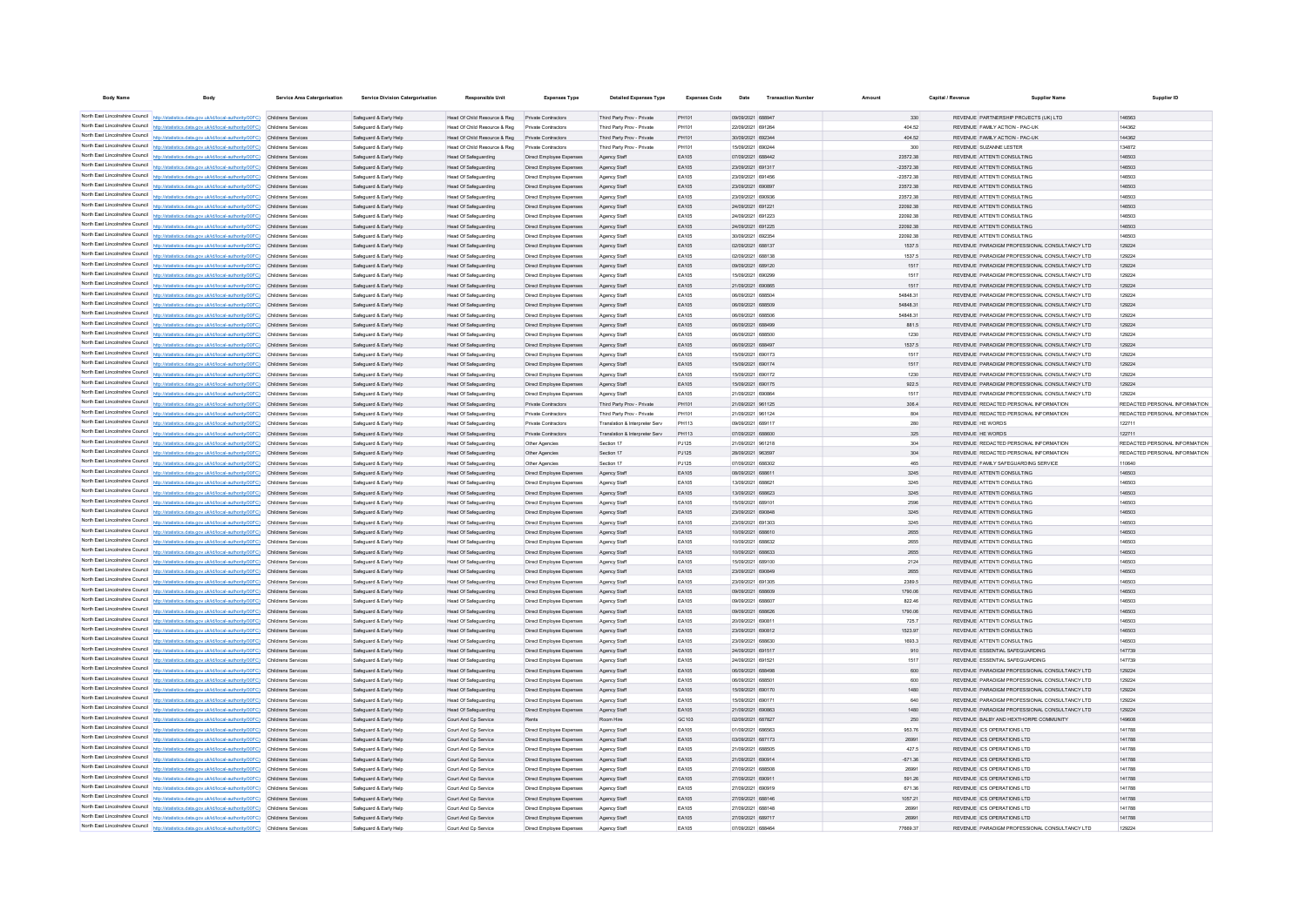| <b>Body Name</b>                |                                                                                                                                                                                                                        | <b>Service Area Catergorisation</b>             | <b>Service Division Catergorisation</b>          | <b>Responsible Uni</b>                           | <b>Expenses Type</b>                                 | <b>Detailed Expenses Type</b>  | <b>Expenses Code</b>  |                                        |                  | Capital / Revenue | <b>Supplier Name</b>                                                                           | Supplier ID                             |
|---------------------------------|------------------------------------------------------------------------------------------------------------------------------------------------------------------------------------------------------------------------|-------------------------------------------------|--------------------------------------------------|--------------------------------------------------|------------------------------------------------------|--------------------------------|-----------------------|----------------------------------------|------------------|-------------------|------------------------------------------------------------------------------------------------|-----------------------------------------|
|                                 | North East Lincolnshire Council http://statistics.data.gov.uk/id/local-authority/00FC) Childrens Services                                                                                                              |                                                 | Safeguard & Early Help                           | Head Of Child Resource & Reg Private Contractors |                                                      | Third Party Prov - Private     | PH101                 | 09/09/2021 688947                      | 330              |                   | REVENUE PARTNERSHIP PROJECTS (UK) LTD                                                          | 146563                                  |
|                                 | North East Lincolnshire Council http://statistics.data.gov.uk/id/local-authority/00FC)                                                                                                                                 | Childrens Services                              | Safeguard & Early Help                           | Head Of Child Resource & Reg                     | Private Contractors                                  | Third Party Prov - Private     | PH101                 | 22/09/2021 691264                      | 404.52           |                   | REVENUE FAMILY ACTION - PAC-UK                                                                 | 144362                                  |
|                                 | North East Lincolnshire Council http://statistics.data.gov.uk/id/local-authority/00FC)                                                                                                                                 | Childrens Services                              | Safeguard & Early Help                           | Head Of Child Resource & Reg                     | Private Contractors                                  | Third Party Prov - Private     | PH101                 | 30/09/2021 692344                      | 404.52           |                   | REVENUE FAMILY ACTION - PAC-UK                                                                 | 144362                                  |
|                                 | North East Lincolnshire Council http://statistics.data.gov.uk/id/local-authority/00FC)                                                                                                                                 | Childrens Services                              | Safeguard & Early Help                           | Head Of Child Resource & Reg                     | Private Contractors                                  | Third Party Prov - Private     | PH101                 | 15/09/2021 690244                      | 300              |                   | REVENUE SUZANNE LESTER                                                                         | 134872                                  |
|                                 | North East Lincolnshire Council http://statistics.data.gov.uk/id/local-authority/00FC).                                                                                                                                | Childrens Services                              | Safeguard & Early Help                           | Head Of Safeguarding                             | Direct Employee Expenses                             | Agency Staff                   | EA105                 | 07/09/2021 688442                      | 23572.38         |                   | REVENUE ATTENTI CONSULTING                                                                     | 146503                                  |
|                                 | North East Lincolnshire Council http://statistics.data.gov.uk/id/local-authority/00FC)                                                                                                                                 | Childrens Services                              | Safeguard & Early Help                           | Head Of Safeguarding                             | Direct Employee Expenses                             | Agency Staff                   | EA105                 | 23/09/2021 691317                      | $-23572.38$      |                   | REVENUE ATTENTI CONSULTING                                                                     | 146503                                  |
| North East Lincolnshire Council | http://statistics.data.gov.uk/id/local-authority/00FC) Childrens Services                                                                                                                                              |                                                 | Safeguard & Early Help                           | Head Of Safeguarding                             | Direct Employee Expenses                             | Agency Staff                   | EA105                 | 23/09/2021 691456                      | $-23572.38$      |                   | REVENUE ATTENTI CONSULTING                                                                     | 146503                                  |
|                                 | North East Lincolnshire Council http://statistics.data.gov.uk/id/local-authority/00FC)                                                                                                                                 | <b>Childrens Services</b>                       | Safeguard & Early Help                           | Head Of Safeguarding                             | Direct Employee Expenses                             | Agency Staff                   | EA105                 | 23/09/2021 690897                      | 23572.38         |                   | REVENUE ATTENTI CONSULTING                                                                     | 146503                                  |
|                                 | North East Lincolnshire Council http://statistics.data.gov.uk/id/local-authority/00FC) Childrens Services                                                                                                              |                                                 | Safeguard & Early Help                           | Head Of Safeguarding                             | Direct Employee Expenses                             | Agency Staff                   | EA105                 | 23/09/2021 690936                      | 23572.38         |                   | REVENUE ATTENTI CONSULTING                                                                     | 146503                                  |
|                                 | North East Lincolnshire Council http://statistics.data.gov.uk/id/local-authority/00FC)                                                                                                                                 | Childrens Services                              | Safeguard & Early Help                           | Head Of Safeguarding                             | Direct Employee Expenses                             | Agency Staff                   | EA105                 | 24/09/2021 691221                      | 22092.38         |                   | REVENUE ATTENTI CONSULTING                                                                     | 146503                                  |
|                                 | North East Lincolnshire Council http://statistics.data.gov.uk/id/local-authority/00FC)                                                                                                                                 | Childrens Services                              | Safeguard & Early Help                           | Head Of Safeguarding                             | Direct Employee Expenses                             | Agency Staff                   | EA105                 | 24/09/2021 691223                      | 22092.38         |                   | REVENUE ATTENTI CONSULTING                                                                     | 146503                                  |
|                                 | North East Lincolnshire Council http://statistics.data.gov.uk/id/local-authority/00FC)                                                                                                                                 | Childrens Services                              | Safeguard & Early Help                           | Head Of Safeguarding                             | Direct Employee Expenses                             | Agency Staff                   | EA105                 | 24/09/2021 691225                      | 22092.38         |                   | REVENUE ATTENTI CONSULTING                                                                     | 146503                                  |
|                                 | North East Lincolnshire Council http://statistics.data.gov.uk/id/local-authority/00FC)                                                                                                                                 | Childrens Services                              | Safeguard & Early Help                           | Head Of Safeguarding                             | Direct Employee Expenses                             | Agency Staff                   | <b>FA105</b>          | 30/09/2021 692354                      | 22092.38         |                   | REVENUE ATTENTICONSULTING                                                                      | 146503                                  |
|                                 | North East Lincolnshire Council http://statistics.data.gov.uk/id/local-authority/00FC)                                                                                                                                 | Childrens Services                              | Safeguard & Early Help                           | Head Of Safeguarding                             | Direct Employee Expenses                             | Agency Staff                   | EA105                 | 02/09/2021 688137                      | 1537.5           |                   | REVENUE PARADIGM PROFESSIONAL CONSULTANCY LTD                                                  | 129224                                  |
|                                 | North East Lincolnshire Council http://statistics.data.gov.uk/id/local-authority/00FC)<br>North East Lincolnshire Council http://statistics.data.gov.uk/id/local-authority/00FC)                                       | Childrens Services                              | Safeguard & Early Held                           | Head Of Safeguarding                             | Direct Employee Expenses                             | Agency Staff                   | EA105                 | 02/09/2021 688138                      | 1537.5           |                   | REVENUE PARADIGM PROFESSIONAL CONSULTANCY LTD                                                  | 129224                                  |
|                                 | North East Lincolnshire Council http://statistics.data.gov.uk/id/local-authority/00FC)                                                                                                                                 | <b>Childrens Services</b><br>Childrens Services | Safeguard & Early Help<br>Safeguard & Early Help | Head Of Safeguarding<br>Head Of Safeguarding     | Direct Employee Expenses<br>Direct Employee Expenses | Agency Staff<br>Agency Staff   | EA105<br>EA105        | 09/09/2021 689120<br>15/09/2021 690299 | 1517<br>1517     |                   | REVENUE PARADIGM PROFESSIONAL CONSULTANCY LTD<br>REVENUE PARADIGM PROFESSIONAL CONSULTANCY LTD | 129224<br>129224                        |
|                                 | North East Lincolnshire Council http://statistics.data.gov.uk/id/local-authority/00FC)                                                                                                                                 | <b>Childrens Services</b>                       | Safeguard & Early Help                           | Head Of Safeguarding                             | Direct Employee Expenses                             | Agency Staff                   | EA105                 | 21/09/2021 690865                      | 1517             |                   | REVENUE PARADIGM PROFESSIONAL CONSULTANCY LTD                                                  | 129224                                  |
|                                 | North East Lincolnshire Council http://statistics.data.gov.uk/id/local-authority/00FC)                                                                                                                                 | Childrens Services                              | Safeguard & Early Held                           | Head Of Safeguarding                             | Direct Employee Expenses                             | Agency Staff                   | EA105                 | 06/09/2021 688504                      | 54848.31         |                   | REVENUE PARADIGM PROFESSIONAL CONSULTANCY LTD                                                  | 129224                                  |
|                                 | North East Lincolnshire Council http://statistics.data.gov.uk/id/local-authority/00FC)                                                                                                                                 | <b>Childrens Services</b>                       | Safeguard & Early Help                           | Head Of Safeguarding                             | Direct Employee Expenses                             | Agency Staff                   | EA105                 | 06/09/2021 688509                      | 54848.31         |                   | REVENUE PARADIGM PROFESSIONAL CONSULTANCY LTD                                                  | 129224                                  |
|                                 | North East Lincolnshire Council http://statistics.data.gov.uk/id/local-authority/00FC)                                                                                                                                 | Childrens Services                              | Safeguard & Early Held                           | Head Of Safeguarding                             | Direct Employee Expenses                             | Agency Staff                   | EA105                 | 06/09/2021 688506                      | 54848.31         |                   | REVENUE PARADIGM PROFESSIONAL CONSULTANCY LTD                                                  | 129224                                  |
|                                 | North East Lincolnshire Council http://statistics.data.gov.uk/id/local-authority/00FC)                                                                                                                                 | Childrens Services                              | Safeguard & Early Help                           | Head Of Safeguarding                             | Direct Employee Expenses                             | Agency Staff                   | EA105                 | 06/09/2021 688499                      | 881.5            |                   | REVENUE PARADIGM PROFESSIONAL CONSULTANCY LTD                                                  | 129224                                  |
|                                 | North East Lincolnshire Council http://statistics.data.gov.uk/id/local-authority/00FC) Childrens Services                                                                                                              |                                                 | Safequard & Early Held                           | Head Of Safeguarding                             | Direct Employee Expenses                             | Anency Staff                   | <b>FA105</b>          | 06/09/2021 688500                      | 1230             |                   | REVENUE PARADIGM PROFESSIONAL CONSULTANCY LTD.                                                 | 129224                                  |
|                                 | North East Lincolnshire Council http://statistics.data.gov.uk/id/local-authority/00FC)                                                                                                                                 | Childrens Services                              | Safeguard & Early Held                           | Head Of Safeguarding                             | Direct Employee Expenses                             | Agency Staff                   | EA105                 | 06/09/2021 688497                      | 1537.5           |                   | REVENUE PARADIGM PROFESSIONAL CONSULTANCY LTD.                                                 | 129224                                  |
|                                 | North East Lincolnshire Council http://statistics.data.gov.uk/id/local-authority/00FC) Childrens Services                                                                                                              |                                                 | Safeguard & Early Held                           | Head Of Safeguarding                             | Direct Employee Expenses                             | Anency Staff                   | <b>FA105</b>          | 15/09/2021 690173                      | 1517             |                   | REVENUE PARADIGM PROFESSIONAL CONSULTANCY LTD.                                                 | 129224                                  |
|                                 | North East Lincolnshire Council http://statistics.data.gov.uk/id/local-authority/00FC) Childrens Services                                                                                                              |                                                 | Safeguard & Early Help                           | Head Of Safeguarding                             | Direct Employee Expenses                             | Agency Staff                   | EA105                 | 15/09/2021 690174                      | 1517             |                   | REVENUE PARADIGM PROFESSIONAL CONSULTANCY LTD.                                                 | 129224                                  |
|                                 | North East Lincolnshire Council http://statistics.data.gov.uk/id/local-authority/00FC) Childrens Services                                                                                                              |                                                 | Safeguard & Early Held                           | <b>Head Of Safeguarding</b>                      | Direct Employee Expenses                             | Agency Staff                   | EA105                 | 15/09/2021 690172                      | 1230             |                   | REVENUE PARADISM PROFESSIONAL CONSULTANCY LTD                                                  | 129224                                  |
|                                 | North East Lincolnshire Council http://statistics.data.gov.uk/id/local-authority/00FC) Childrens Services                                                                                                              |                                                 | Safeguard & Early Help                           | Head Of Safeguarding                             | Direct Employee Expenses                             | Agency Staff                   | EA105                 | 15/09/2021 690175                      | 922.5            |                   | REVENUE PARADIGM PROFESSIONAL CONSULTANCY LTD                                                  | 129224                                  |
|                                 | North East Lincolnshire Council http://statistics.data.gov.uk/id/local-authority/00FC) Childrens Services                                                                                                              |                                                 | Safeguard & Early Help                           | Head Of Safeguarding                             | Direct Employee Expenses                             | Agency Staff                   | EA105                 | 21/09/2021 690864                      | 1517             |                   | REVENUE PARADIGM PROFESSIONAL CONSULTANCY LTD                                                  | 129224                                  |
|                                 | North East Lincolnshire Council http://statistics.data.gov.uk/id/local-authority/00FC) Childrens Services                                                                                                              |                                                 | Safeguard & Early Help                           | <b>Head Of Safeguarding</b>                      | Private Contractors                                  | Third Party Prov - Private     | PH101                 | 21/09/2021 961125                      | 306.4            |                   | REVENUE REDACTED PERSONAL INFORMATION                                                          | REDACTED PERSONAL INFORMATION           |
|                                 | North East Lincolnshire Council http://statistics.data.gov.uk/id/local-authority/00FC) Childrens Services                                                                                                              |                                                 | Safeguard & Early Help                           | <b>Head Of Safeguarding</b>                      | Private Contractors                                  | Third Party Prov - Private     | PH101                 | 21/09/2021 961124                      | 804              |                   | REVENUE REDACTED PERSONAL INFORMATION                                                          | REDACTED PERSONAL INFORMATION           |
|                                 | North East Lincolnshire Council http://statistics.data.gov.uk/id/local-authority/00FC) Childrens Services                                                                                                              |                                                 | Safeguard & Early Help                           | <b>Head Of Safeguarding</b>                      | Private Contractors                                  | Translation & Interpreter Serv | PH113                 | 09/09/2021 689117                      | 280              |                   | <b>REVENUE HE WORDS</b>                                                                        | 122711                                  |
|                                 | North East Lincolnshire Council http://statistics.data.gov.uk/id/local-authority/00FC)                                                                                                                                 | Childrens Service                               | Safeguard & Early Help                           | Head Of Safeguarding                             | Private Contractors                                  | Translation & Interpreter Serv | PH113                 | 07/09/2021 688600                      | 325              |                   | <b>REVENUE HE WORDS</b>                                                                        | 122711                                  |
|                                 | North East Lincolnshire Council http://statistics.data.gov.uk/id/local-authority/00FC) Childrens Services<br>North East Lincolnshire Council http://statistics.data.gov.uk/id/local-authority/00FC) Childrens Services |                                                 | Safeguard & Early Help                           | Head Of Safeguarding                             | Other Agencie                                        | Section 17                     | PJ125                 | 21/09/2021 961218                      | 304              |                   | REVENUE REDACTED PERSONAL INFORMATION                                                          | REDACTED PERSONAL INFORMATION           |
|                                 | North East Lincolnshire Council http://statistics.data.gov.uk/id/local-authority/00FC) Childrens Services                                                                                                              |                                                 | Safeguard & Early Help                           | Head Of Safeguarding                             | Other Agencies                                       | Section 17                     | PJ125                 | 28/09/2021 963597<br>07/09/2021 688302 | 304              |                   | REVENUE REDACTED PERSONAL INFORMATION                                                          | REDACTED PERSONAL INFORMATION<br>110640 |
|                                 | North East Lincolnshire Council http://statistics.data.gov.uk/id/local-authority/00FC) Childrens Services                                                                                                              |                                                 | Safeguard & Early Help<br>Safeguard & Early Help | Head Of Safeguarding<br>Head Of Safeguarding     | Other Agencies<br>Direct Employee Expenses           | Section 17<br>Agency Staff     | PJ125<br>EA105        | 08/09/2021 688611                      | 465<br>3245      |                   | REVENUE FAMILY SAFEGUARDING SERVICE<br>REVENUE ATTENTI CONSULTING                              | 146503                                  |
|                                 | North East Lincolnshire Council http://statistics.data.gov.uk/id/local-authority/00FC) Childrens Services                                                                                                              |                                                 | Safeguard & Early Help                           | Head Of Safeguarding                             | Direct Employee Expenses                             | Agency Staff                   | EA105                 | 13/09/2021 688621                      | 3245             |                   | REVENUE ATTENTI CONSULTING                                                                     | 146503                                  |
|                                 | North East Lincolnshire Council http://statistics.data.gov.uk/id/local-authority/00FC) Childrens Services                                                                                                              |                                                 | Safeguard & Early Help                           | <b>Head Of Safeguarding</b>                      | Direct Employee Expenses                             | Agency Staff                   | EA105                 | 13/09/2021 688623                      | 3245             |                   | REVENUE ATTENTI CONSULTING                                                                     | 146503                                  |
|                                 | North East Lincolnshire Council   http://statistics.data.gov.uk/id/local-authority/00FC)                                                                                                                               | Childrens Services                              | Safeguard & Early Help                           | <b>Head Of Safeguarding</b>                      | Direct Employee Expenses                             | Agency Staff                   | EA105                 | 15/09/2021 689101                      | 2596             |                   | REVENUE ATTENTI CONSULTING                                                                     | 146503                                  |
|                                 | North East Lincolnshire Council http://statistics.data.gov.uk/id/local-authority/00FC)                                                                                                                                 | Childrens Services                              | Safeguard & Early Help                           | <b>Head Of Safeguarding</b>                      | Direct Employee Expenses                             | Agency Staff                   | EA105                 | 23/09/2021 690848                      | 3245             |                   | REVENUE ATTENTI CONSULTING                                                                     | 146503                                  |
|                                 | North East Lincolnshire Council http://statistics.data.gov.uk/id/local-authority/00FC)                                                                                                                                 | Childrens Service                               | Safeguard & Early Help                           | <b>Head Of Safeguarding</b>                      | Direct Employee Expenses                             | Agency Staff                   | EA105                 | 23/09/2021 691303                      | 3245             |                   | REVENUE ATTENTICONSULTING                                                                      | 146503                                  |
|                                 | North East Lincolnshire Council http://statistics.data.gov.uk/id/local-authority/00FC)                                                                                                                                 | Childrens Service                               | Safeguard & Early Help                           | Head Of Safeguarding                             | Direct Employee Expenses                             | Agency Staff                   | EA105                 | 10/09/2021 688610                      | 2655             |                   | REVENUE ATTENTI CONSULTING                                                                     | 146503                                  |
|                                 | North East Lincolnshire Council http://statistics.data.gov.uk/id/local-authority/00FC)                                                                                                                                 | Childrens Service                               | Safeguard & Early Help                           | Head Of Safeguarding                             | Direct Employee Expenses                             | Agency Staff                   | EA105                 | 10/09/2021 688632                      | 2655             |                   | REVENUE ATTENTICONSULTING                                                                      | 146503                                  |
|                                 | North East Lincolnshire Council   http://statistics.data.gov.uk/id/local-authority/00FC)                                                                                                                               | Childrens Service                               | Safeguard & Early Help                           | Head Of Safeguarding                             | Direct Employee Expenses                             | Agency Staff                   | EA105                 | 10/09/2021 688633                      | 2655             |                   | REVENUE ATTENTI CONSULTING                                                                     | 146503                                  |
|                                 | North East Lincolnshire Council http://statistics.data.gov.uk/id/local-authority/00FC)                                                                                                                                 | Childrens Service                               | Safeguard & Early Help                           | Head Of Safeguarding                             | Direct Employee Expenses                             | Agency Staff                   | EA105                 | 15/09/2021 689100                      | 2124             |                   | REVENUE ATTENTI CONSULTING                                                                     | 146503                                  |
|                                 | North East Lincolnshire Council http://statistics.data.gov.uk/id/local-authority/00FC)                                                                                                                                 | Childrens Service                               | Safeguard & Early Help                           | <b>Head Of Safeguarding</b>                      | Direct Employee Expenses                             | Agency Staff                   | EA105                 | 23/09/2021 690849                      | 2655             |                   | REVENUE ATTENTI CONSULTING                                                                     | 146503                                  |
|                                 | North East Lincolnshire Council http://statistics.data.gov.uk/id/local-authority/00FC)                                                                                                                                 | Childrens Service                               | Safeguard & Early Help                           | Head Of Safeguarding                             | Direct Employee Expenses                             | Agency Staff                   | EA105                 | 23/09/2021 691305                      | 2389.5           |                   | REVENUE ATTENTI CONSULTING                                                                     | 146503                                  |
|                                 | North East Lincolnshire Council http://statistics.data.gov.uk/id/local-authority/00FC)                                                                                                                                 | Childrens Services                              | Safeguard & Early Help                           | <b>Head Of Safeguarding</b>                      | Direct Employee Expenses                             | Agency Staff                   | EA105                 | 09/09/2021 688609                      | 1790.06          |                   | REVENUE ATTENTI CONSULTING                                                                     | 146503                                  |
|                                 | North East Lincolnshire Council http://statistics.data.gov.uk/id/local-authority/00FC)                                                                                                                                 | Childrens Services                              | Safeguard & Early Help                           | Head Of Safeguarding                             | Direct Employee Expenses                             | Agency Staff                   | EA105                 | 09/09/2021 688607                      | 822.46           |                   | REVENUE ATTENTI CONSULTING                                                                     | 146503                                  |
|                                 | North East Lincolnshire Council http://statistics.data.gov.uk/id/local-authority/00FC)<br>North East Lincolnshire Council http://statistics.data.gov.uk/id/local-authority/00FC)                                       | Childrens Services<br>Childrens Services        | Safeguard & Early Help<br>Safeguard & Early Help | Head Of Safeguarding<br>Head Of Safeguarding     | Direct Employee Expenses<br>Direct Employee Expenses | Agency Staff<br>Agency Staff   | EA105<br>EA105        | 09/09/2021 688626<br>20/09/2021 69081  | 1790.06<br>725.7 |                   | REVENUE ATTENTI CONSULTING<br>REVENUE ATTENTI CONSULTING                                       | 146503<br>146503                        |
|                                 | North East Lincolnshire Council http://statistics.data.gov.uk/id/local-authority/00FC)                                                                                                                                 | Childrens Services                              | Safeguard & Early Help                           | Head Of Safeguarding                             | Direct Employee Expenses                             | Agency Staff                   | EA105                 | 23/09/2021 690812                      | 1523.97          |                   | REVENUE ATTENTI CONSULTING                                                                     | 146503                                  |
|                                 | North East Lincolnshire Council http://statistics.data.gov.uk/id/local-authority/00FC)                                                                                                                                 | Childrens Service                               | Safeguard & Early Help                           | Head Of Safeguarding                             | Direct Employee Expenses                             | Agency Staf                    | EA105                 | 23/09/2021 688630                      | 1693.3           |                   | REVENUE ATTENTI CONSULTING                                                                     | 146503                                  |
|                                 | North East Lincolnshire Council http://statistics.data.gov.uk/id/local-authority/00FC)                                                                                                                                 | Childrens Services                              | Safeguard & Early Help                           | Head Of Safeguarding                             | Direct Employee Expenses                             | Agency Staff                   | EA105                 | 24/09/2021 691517                      | 910              |                   | REVENUE ESSENTIAL SAFEGUARDING                                                                 | 147739                                  |
|                                 | North East Lincolnshire Council http://statistics.data.gov.uk/id/local-authority/00FC)                                                                                                                                 | Childrens Service                               | Safeguard & Early Help                           | Head Of Safeguarding                             | Direct Employee Expenses                             | Agency Staff                   | EA105                 | 24/09/2021 691521                      | 1517             |                   | REVENUE ESSENTIAL SAFEGUARDING                                                                 | 147739                                  |
|                                 | North East Lincolnshire Council http://statistics.data.gov.uk/id/local-authority/00FC)                                                                                                                                 | <b>Childrens Services</b>                       | Safeguard & Early Help                           | Head Of Safeguarding                             | Direct Employee Expenses                             | Agency Staff                   | EA105                 | 06/09/2021 688498                      | 600              |                   | REVENUE PARADIGM PROFESSIONAL CONSULTANCY LTD                                                  | 129224                                  |
|                                 | North East Lincolnshire Council http://statistics.data.gov.uk/id/local-authority/00FC)                                                                                                                                 | Childrens Services                              | Safeguard & Early Help                           | <b>Head Of Safeguarding</b>                      | Direct Employee Expenses                             | Agency Staff                   | EA105                 | 06/09/2021 688501                      | 600              |                   | REVENUE PARADIGM PROFESSIONAL CONSULTANCY LTD                                                  | 129224                                  |
| North East Lincolnshire Council | http://statistics.data.gov.uk/id/local-authority/00FC)                                                                                                                                                                 | <b>Childrens Services</b>                       | Safeguard & Early Help                           | <b>Head Of Safeguarding</b>                      | Direct Employee Expenses                             | Agency Staff                   | EA105                 | 15/09/2021 690170                      | 1480             |                   | REVENUE PARADIGM PROFESSIONAL CONSULTANCY LTD                                                  | 129224                                  |
| North East Lincolnshire Council | http://statistics.data.gov.uk/id/local-authority/00FC)                                                                                                                                                                 | Childrens Services                              | Safeguard & Early Help                           | <b>Head Of Safeguarding</b>                      | Direct Employee Expenses                             | Agency Staff                   | EA105                 | 15/09/2021 690171                      | 640              |                   | REVENUE PARADIGM PROFESSIONAL CONSULTANCY LTD                                                  | 129224                                  |
| North East Lincolnshire Council | http://statistics.data.gov.uk/id/local-authority/00FC)                                                                                                                                                                 | <b>Childrens Services</b>                       | Safeguard & Early Help                           | <b>Head Of Safeguarding</b>                      | Direct Employee Expenses                             | Agency Staff                   | EA105                 | 21/09/2021 690863                      | 1480             |                   | REVENUE PARADIGM PROFESSIONAL CONSULTANCY LTD                                                  | 129224                                  |
| North East Lincolnshire Council | http://statistics.data.gov.uk/id/local-authority/00FC)                                                                                                                                                                 | Childrens Services                              | Safeguard & Early Help                           | Court And Cp Service                             | Rents                                                | Room Hire                      | GC103                 | 02/09/2021 687827                      | 250              |                   | REVENUE BALBY AND HEXTHORPE COMMUNITY                                                          | 149608                                  |
| North East Lincolnshire Council | http://statistics.data.gov.uk/id/local-authority/00FC)                                                                                                                                                                 | Childrens Services                              | Safeguard & Early Help                           | Court And Co Service                             | Direct Employee Expenses                             | Agency Staff                   | EA105                 | 01/09/2021 686563                      | 953.76           |                   | REVENUE ICS OPERATIONS LTD                                                                     | 141788                                  |
| North East Lincolnshire Council | http://statistics.data.gov.uk/id/local-authority/00FC)                                                                                                                                                                 | <b>Childrens Services</b>                       | Safeguard & Early Held                           | Court And Co Service                             | Direct Employee Expenses                             | Agency Staff                   | EA105                 | 03/09/2021 687173                      | 26991            |                   | REVENUE ICS OPERATIONS LTD                                                                     | 141788                                  |
| North East Lincolnshire Council | http://statistics.data.gov.uk/id/local-authority/00FC)                                                                                                                                                                 | Childrens Services                              | Safeguard & Early Help                           | Court And Co Service                             | Direct Employee Expenses                             | Agency Staff                   | EA105                 | 21/09/2021 688505                      | 427.5            |                   | REVENUE ICS OPERATIONS LTD                                                                     | 141788                                  |
| North East Lincolnshire Council | http://statistics.data.gov.uk/id/local-authority/00FC)                                                                                                                                                                 | <b>Childrens Services</b>                       | Safeguard & Early Help                           | Court And Co Service                             | Direct Employee Expenses                             | Agency Staff                   | EA105                 | 21/09/2021 690914                      | $-671.36$        |                   | REVENUE ICS OPERATIONS LTD                                                                     | 141788                                  |
| North East Lincolnshire Council | http://statistics.data.gov.uk/id/local-authority/00FC)                                                                                                                                                                 | Childrens Services                              | Safeguard & Early Help                           | Court And Co Service                             | Direct Employee Expenses                             | Agency Staff                   | EA105                 | 27/09/2021 688508                      | 26991            |                   | REVENUE ICS OPERATIONS LTD                                                                     | 141788                                  |
|                                 | North East Lincolnshire Council http://statistics.data.gov.uk/id/local-authority/00FC)                                                                                                                                 | <b>Childrens Services</b>                       | Safeguard & Early Help                           | Court And Cp Service                             | Direct Employee Expenses                             | Agency Staff                   | EA105                 | 27/09/2021 690911                      | 591.26           |                   | REVENUE ICS OPERATIONS LTD                                                                     | 141788                                  |
|                                 | North East Lincolnshire Council http://statistics.data.gov.uk/id/local-authority/00FC)                                                                                                                                 | Childrens Services                              | Safeguard & Early Help                           | Court And Cp Service                             | Direct Employee Expenses                             | Agency Staff                   | EA105                 | 27/09/2021 690919                      | 671.36           |                   | REVENUE ICS OPERATIONS LTD                                                                     | 141788<br>141788                        |
|                                 | North East Lincolnshire Council http://statistics.data.gov.uk/id/local-authority/00FC)<br>North East Lincolnshire Council http://statistics.data.gov.uk/id/local-authority/00FC)                                       | <b>Childrens Services</b><br>Childrens Services | Safeguard & Early Help                           | Court And Cp Service<br>Court And Cp Service     | Direct Employee Expenses                             | Agency Staff                   | EA105<br><b>FA105</b> | 27/09/2021 688146<br>27/09/2021 688148 | 1057.21<br>26991 |                   | REVENUE ICS OPERATIONS LTD<br>REVENUE ICS OPERATIONS LTD                                       | 141788                                  |
|                                 | North East Lincolnshire Council http://statistics.data.gov.uk/id/local-authority/00FC)                                                                                                                                 | <b>Childrens Services</b>                       | Safeguard & Early Help<br>Safeguard & Early Held | Court And Co Service                             | Direct Employee Expenses<br>Direct Employee Expenses | Agency Staff<br>Agency Staff   | EA105                 | 27/09/2021 689717                      | 26991            |                   | REVENUE ICS OPERATIONS LTD                                                                     | 141788                                  |
| North East Lincolnshire Council | http://statistics.data.gov.uk/id/local-authority/00FC)                                                                                                                                                                 | Childrens Services                              | Safeguard & Early Help                           | Court And Co Service                             | Direct Employee Expenses                             | Agency Staff                   | EA105                 | 07/09/2021 688464                      | 77669.37         |                   | REVENUE PARADIGM PROFESSIONAL CONSULTANCY LTD                                                  | 129224                                  |
|                                 |                                                                                                                                                                                                                        |                                                 |                                                  |                                                  |                                                      |                                |                       |                                        |                  |                   |                                                                                                |                                         |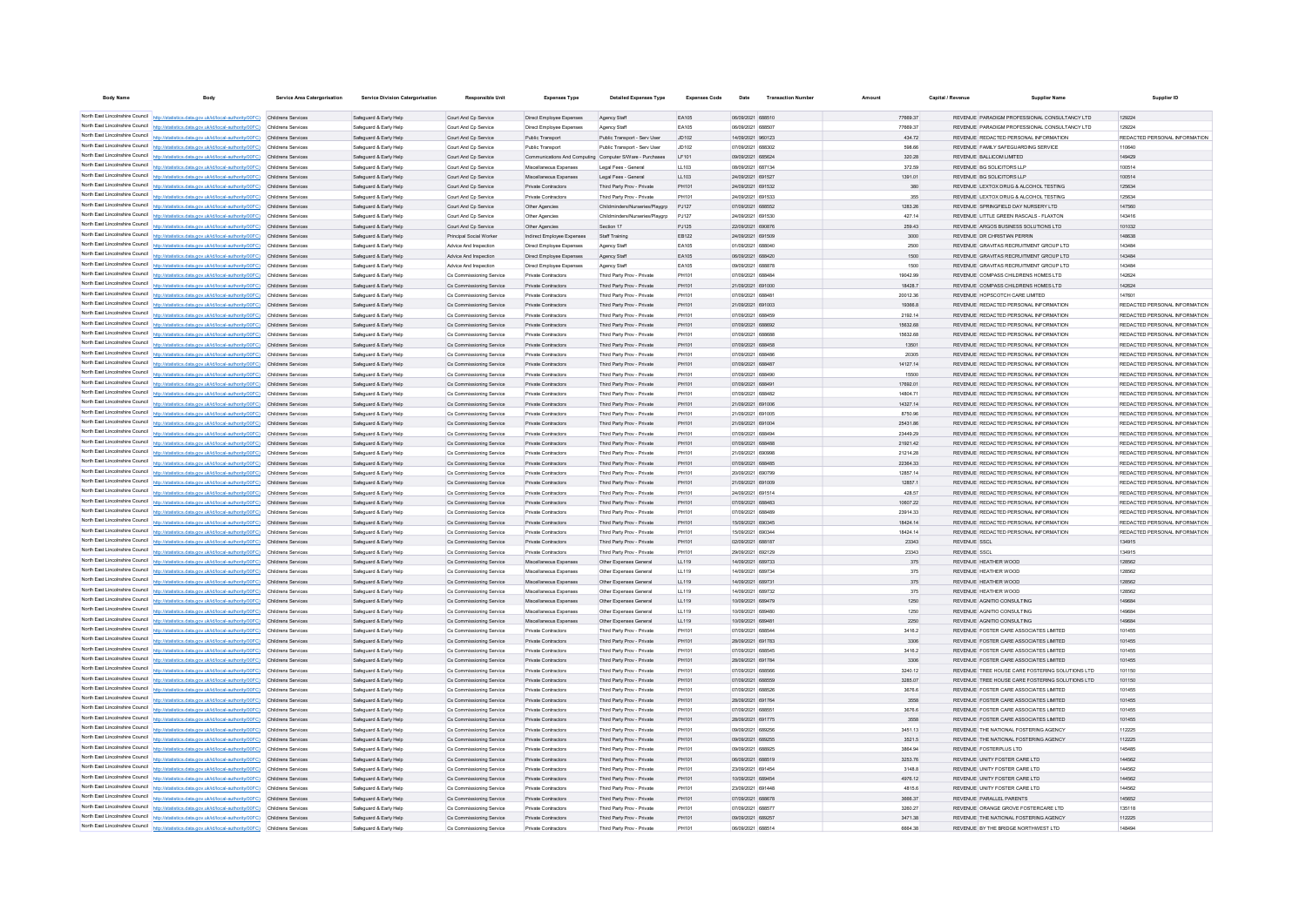| <b>Body Name</b>                |                                                                                                                                                                                                                        | <b>Service Area Catergorisation</b>             | <b>Service Division Catergorisation</b>          | Responsible Unit                                 | <b>Expenses Type</b>                                   | <b>Detailed Expenses Type</b>                                                | <b>Expenses Code</b> |                                        |                   | Capital / Revenue   | <b>Supplier Nam</b>                                                           | Supplier ID                   |
|---------------------------------|------------------------------------------------------------------------------------------------------------------------------------------------------------------------------------------------------------------------|-------------------------------------------------|--------------------------------------------------|--------------------------------------------------|--------------------------------------------------------|------------------------------------------------------------------------------|----------------------|----------------------------------------|-------------------|---------------------|-------------------------------------------------------------------------------|-------------------------------|
|                                 |                                                                                                                                                                                                                        |                                                 |                                                  | Court And Co Service                             |                                                        |                                                                              | EA105                | 06/09/2021 688510                      | 77669.37          |                     | REVENUE PARADIGM PROFESSIONAL CONSULTANCY LTD                                 |                               |
|                                 | North East Lincolnshire Council http://statistics.data.gov.uk/id/local-authority/00FC) Childrens Services                                                                                                              |                                                 | Safeguard & Early Help                           |                                                  | Direct Employee Expenses                               | Agency Staff                                                                 |                      |                                        |                   |                     |                                                                               | 129224                        |
|                                 | North East Lincolnshire Council http://statistics.data.gov.uk/id/local-authority/00FC)                                                                                                                                 | Childrens Services                              | Safeguard & Early Help                           | Court And Cp Service                             | Direct Employee Expenses                               | Agency Staff                                                                 | EA105                | 06/09/2021 688507                      | 77669.37          |                     | REVENUE PARADIGM PROFESSIONAL CONSULTANCY LTD                                 | 129224                        |
|                                 | North East Lincolnshire Council http://statistics.data.gov.uk/id/local-authority/00FC)                                                                                                                                 | Childrens Services                              | Safeguard & Early Help                           | Court And Cp Service                             | Public Transport                                       | Public Transport - Serv User                                                 | JD102                | 14/09/2021 960123                      | 434.72            |                     | REVENUE REDACTED PERSONAL INFORMATION                                         | REDACTED PERSONAL INFORMATION |
|                                 | North East Lincolnshire Council http://statistics.data.gov.uk/id/local-authority/00FC) Childrens Services<br>North East Lincolnshire Council http://statistics.data.gov.uk/id/local-authority/00FC).                   |                                                 | Safeguard & Early Help                           | Court And Co Service                             | Public Transport                                       | Public Transport - Serv User                                                 | JD102                | 07/09/2021 688302                      | 598.66            |                     | REVENUE FAMILY SAFEGUARDING SERVICE                                           | 110640                        |
|                                 |                                                                                                                                                                                                                        | Childrens Services                              | Safeguard & Early Help                           | Court And Co Service                             |                                                        | Communications And Computing Computer S/Ware - Purchases LF101               |                      | 09/09/2021 685624                      | 320.28            |                     | REVENUE BALLICOM LIMITED                                                      | 149429                        |
|                                 | North East Lincolnshire Council http://statistics.data.gov.uk/id/local-authority/00FC) Childrens Services<br>North East Lincolnshire Council http://statistics.data.gov.uk/id/local-authority/00FC) Childrens Services |                                                 | Safeguard & Early Help                           | Court And Co Service                             | Miscellaneous Expenses                                 | Legal Fees - General                                                         | LL103                | 08/09/2021 687134                      | 372.59            |                     | REVENUE BG SOLICITORS LLP                                                     | 100514<br>100514              |
|                                 | North East Lincolnshire Council http://statistics.data.gov.uk/id/local-authority/00FC).                                                                                                                                |                                                 | Safeguard & Early Help                           | Court And Co Service                             | Miscellaneous Expenses                                 | Legal Fees - General                                                         | LL103                | 24/09/2021 691527                      | 1391.01           |                     | REVENUE BG SOLICITORS LLP                                                     |                               |
|                                 |                                                                                                                                                                                                                        | Childrens Services                              | Safeguard & Early Help                           | Court And Co Service                             | Private Contractors                                    | Third Party Prov - Private                                                   | PH101                | 24/09/2021 691532                      | 380               |                     | REVENUE LEXTOX DRUG & ALCOHOL TESTING                                         | 125634                        |
|                                 | North East Lincolnshire Council http://statistics.data.gov.uk/id/local-authority/00FC) Childrens Services<br>North East Lincolnshire Council http://statistics.data.gov.uk/id/local-authority/00FC).                   |                                                 | Safeguard & Early Help                           | Court And Co Service                             | Private Contractors                                    | Third Party Prov - Private                                                   | PH101                | 24/09/2021 691533                      | 355               |                     | REVENUE LEXTOX DRUG & ALCOHOL TESTING                                         | 125634                        |
|                                 | North East Lincolnshire Council http://statistics.data.gov.uk/id/local-authority/00FC)                                                                                                                                 | <b>Childrens Services</b><br>Childrens Services | Safeguard & Early Help<br>Safeguard & Early Help | Court And Co Service<br>Court And Co Service     | Other Agencies<br>Other Agencies                       | Childminders/Nurseries/Playarp PJ127<br>Childminders/Nurseries/Playgrp PJ127 |                      | 07/09/2021 688552<br>24/09/2021 691530 | 1283.26<br>427.14 |                     | REVENUE SPRINGFIELD DAY NURSERY LTD<br>REVENUE LITTLE GREEN RASCALS - FLAXTON | 147560<br>143416              |
|                                 | North East Lincolnshire Council http://statistics.data.gov.uk/id/local-authority/00FC)                                                                                                                                 | Childrens Services                              |                                                  |                                                  |                                                        | Section 17                                                                   |                      | 22/09/2021 690876                      |                   |                     | REVENUE ARGOS BUSINESS SOLUTIONS LTD                                          | 101032                        |
|                                 | North East Lincolnshire Council http://statistics.data.gov.uk/id/local-authority/00FC)                                                                                                                                 | Childrens Services                              | Safeguard & Early Help                           | Court And Cp Service                             | Other Agencies                                         |                                                                              | PJ125                |                                        | 259.43            |                     | REVENUE DR CHRISTIAN PERRIN                                                   | 148638                        |
|                                 | North East Lincolnshire Council http://statistics.data.gov.uk/id/local-authority/00FC)                                                                                                                                 | Childrens Services                              | Safeguard & Early Help<br>Safeguard & Early Help | Principal Social Worker<br>Advice And Inspection | Indirect Employee Expenses<br>Direct Employee Expenses | Staff Training<br>Agency Staff                                               | EB122<br>EA105       | 24/09/2021 691509<br>01/09/2021 688040 | 3000<br>2500      |                     | REVENUE GRAVITAS RECRUITMENT GROUP LTD                                        | 143484                        |
|                                 | North East Lincolnshire Council http://statistics.data.gov.uk/id/local-authority/00FC)                                                                                                                                 | Childrens Services                              | Safeguard & Early Help                           | Advice And Inspection                            | Direct Employee Expenses                               | Agency Staff                                                                 | EA105                | 06/09/2021 688420                      | 1500              |                     | REVENUE GRAVITAS RECRUITMENT GROUP LTD                                        | 143484                        |
|                                 | North East Lincolnshire Council http://statistics.data.gov.uk/id/local-authority/00FC)                                                                                                                                 | Childrens Services                              | Safeguard & Early Help                           | Advice And Inspection                            | Direct Employee Expenses                               | Agency Staff                                                                 | EA105                | 09/09/2021 688878                      | 1500              |                     | REVENUE GRAVITAS RECRUITMENT GROUP LTD                                        | 143484                        |
|                                 | North East Lincolnshire Council http://statistics.data.gov.uk/id/local-authority/00FC)                                                                                                                                 | Childrens Services                              | Safeguard & Early Help                           | Cs Commissioning Service                         | Private Contractors                                    | Third Party Prov - Private                                                   | PH101                | 07/09/2021 688484                      | 19042.99          |                     | REVENUE COMPASS CHILDRENS HOMES LTD                                           | 142624                        |
|                                 | North East Lincolnshire Council http://statistics.data.gov.uk/id/local-authority/00FC)                                                                                                                                 | <b>Childrens Services</b>                       |                                                  | Cs Commissioning Service                         | Private Contractors                                    | Third Party Prov - Private                                                   | PH101                | 21/09/2021 691000                      | 18428.7           |                     | REVENUE COMPASS CHILDRENS HOMES LTD                                           | 142624                        |
|                                 | North East Lincolnshire Council http://statistics.data.gov.uk/id/local-authority/00FC)                                                                                                                                 | Childrens Services                              | Safeguard & Early Help<br>Safeguard & Early Help | Cs Commissioning Service                         | Private Contractors                                    | Third Party Prov - Private                                                   | PH101                | 07/09/2021 688481                      | 20012.36          |                     | REVENUE HOPSCOTCH CARE LIMITED                                                | 147601                        |
|                                 | North East Lincolnshire Council http://statistics.data.gov.uk/id/local-authority/00FC)                                                                                                                                 | <b>Childrens Services</b>                       | Safeguard & Early Help                           | Cs Commissioning Service                         | Private Contractors                                    | Third Party Prov - Private                                                   | PH101                | 21/09/2021 691003                      | 19366.8           |                     | REVENUE REDACTED PERSONAL INFORMATION                                         | REDACTED PERSONAL INFORMATION |
|                                 | North East Lincolnshire Council http://statistics.data.gov.uk/id/local-authority/00FC)                                                                                                                                 | Childrens Services                              | Safeguard & Early Help                           | Cs Commissioning Service                         | <b>Private Contractors</b>                             | Third Party Prov - Private                                                   | PH101                | 07/09/2021 688459                      | 2192.14           |                     | REVENUE REDACTED PERSONAL INFORMATION                                         | REDACTED PERSONAL INFORMATION |
|                                 | North East Lincolnshire Council http://statistics.data.gov.uk/id/local-authority/00FC)                                                                                                                                 | <b>Childrens Services</b>                       | Safeguard & Early Help                           | Cs Commissioning Service                         | Private Contractors                                    | Third Party Prov - Private                                                   | PH101                | 07/09/2021 688692                      | 15632.68          |                     | REVENUE REDACTED PERSONAL INFORMATION                                         | REDACTED PERSONAL INFORMATION |
|                                 | North East Lincolnshire Council http://statistics.data.gov.uk/id/local-authority/00FC) Childrens Services                                                                                                              |                                                 | Safeguard & Early Help                           | Cs Commissioning Service                         | Private Contractors                                    | Third Party Prov - Private                                                   | PH101                | 07/09/2021 688688                      | 15632.68          |                     | REVENUE REDACTED PERSONAL INFORMATION                                         | REDACTED PERSONAL INFORMATION |
|                                 | North East Lincolnshire Council http://statistics.data.gov.uk/id/local-authority/00FC) Childrens Services                                                                                                              |                                                 | Safeguard & Early Help                           | Cs Commissioning Service                         | Private Contractors                                    | Third Party Prov - Private                                                   | PH101                | 07/09/2021 688458                      | 13501             |                     | REVENUE REDACTED PERSONAL INFORMATION                                         | REDACTED PERSONAL INFORMATION |
|                                 | North East Lincolnshire Council http://statistics.data.gov.uk/id/local-authority/00FC) Childrens Services                                                                                                              |                                                 | Safeguard & Early Help                           | Cs Commissioning Service                         | Private Contractors                                    | Third Party Prov - Private                                                   | PH101                | 07/09/2021 688486                      | 20305             |                     | REVENUE REDACTED PERSONAL INFORMATION                                         | REDACTED PERSONAL INFORMATION |
|                                 | North East Lincolnshire Council http://statistics.data.gov.uk/id/local-authority/00FC) Childrens Services                                                                                                              |                                                 | Safeguard & Early Help                           | Cs Commissioning Service                         | Private Contractors                                    | Third Party Prov - Private                                                   | PH101                | 07/09/2021 688487                      | 14127.14          |                     | REVENUE REDACTED PERSONAL INFORMATION                                         | REDACTED PERSONAL INFORMATION |
|                                 | North East Lincolnshire Council http://statistics.data.gov.uk/id/local-authority/00FC) Childrens Services                                                                                                              |                                                 | Safeguard & Early Help                           | Cs Commissioning Service                         | Private Contractors                                    | Third Party Prov - Private                                                   | PH101                | 07/09/2021 688490                      | 15500             |                     | REVENUE REDACTED PERSONAL INFORMATION                                         | REDACTED PERSONAL INFORMATION |
|                                 | North East Lincolnshire Council http://statistics.data.gov.uk/id/local-authority/00FC) Childrens Services                                                                                                              |                                                 |                                                  | Cs Commissioning Service                         | Private Contractors                                    | Third Party Prov - Private                                                   | PH101                | 07/09/2021 688491                      | 17692.01          |                     | REVENUE REDACTED PERSONAL INFORMATION                                         | REDACTED PERSONAL INFORMATION |
|                                 | North East Lincolnshire Council http://statistics.data.gov.uk/id/local-authority/00FC) Childrens Services                                                                                                              |                                                 | Safeguard & Early Help<br>Safeguard & Early Help | Cs Commissioning Service                         | Private Contractors                                    | Third Party Prov - Private                                                   | PH101                | 07/09/2021 688482                      | 14804.71          |                     | REVENUE REDACTED PERSONAL INFORMATION                                         | REDACTED PERSONAL INFORMATION |
|                                 | North East Lincolnshire Council http://statistics.data.gov.uk/id/local-authority/00FC) Childrens Services                                                                                                              |                                                 | Safeguard & Early Help                           | Cs Commissioning Service                         | Private Contractors                                    | Third Party Prov - Private                                                   | PH101                | 21/09/2021 691006                      | 14327.14          |                     | REVENUE REDACTED PERSONAL INFORMATION                                         | REDACTED PERSONAL INFORMATION |
|                                 | North East Lincolnshire Council http://statistics.data.gov.uk/id/local-authority/00FC) Childrens Services                                                                                                              |                                                 | Safeguard & Early Help                           | Cs Commissioning Service                         | Private Contractors                                    | Third Party Prov - Private                                                   | PH101                | 21/09/2021 691005                      | 8750.96           |                     | REVENUE REDACTED PERSONAL INFORMATION                                         | REDACTED PERSONAL INFORMATION |
|                                 | North East Lincolnshire Council http://statistics.data.gov.uk/id/local-authority/00FC) Childrens Services                                                                                                              |                                                 | Safeguard & Early Help                           | Cs Commissioning Service                         | Private Contractors                                    | Third Party Prov - Private                                                   | PH101                | 21/09/2021 691004                      | 25431.86          |                     | REVENUE REDACTED PERSONAL INFORMATION                                         | REDACTED PERSONAL INFORMATION |
|                                 | North East Lincolnshire Council http://statistics.data.gov.uk/id/local-authority/00FC) Childrens Services                                                                                                              |                                                 | Safeguard & Early Help                           | Cs Commissioning Service                         | Private Contractors                                    | Third Party Prov - Private                                                   | PH101                | 07/09/2021 688494                      | 23449.29          |                     | REVENUE REDACTED PERSONAL INFORMATION                                         | REDACTED PERSONAL INFORMATION |
|                                 | North East Lincolnshire Council http://statistics.data.gov.uk/id/local-authority/00FC) Childrens Services                                                                                                              |                                                 | Safeguard & Early Help                           | Cs Commissioning Service                         | Private Contractors                                    | Third Party Prov - Private                                                   | PH101                | 07/09/2021 688488                      | 21921.42          |                     | REVENUE REDACTED PERSONAL INFORMATION                                         | REDACTED PERSONAL INFORMATION |
|                                 | North East Lincolnshire Council http://statistics.data.gov.uk/id/local-authority/00FC) Childrens Services                                                                                                              |                                                 | Safeguard & Early Help                           | Cs Commissioning Service                         | Private Contractors                                    | Third Party Prov - Private                                                   | PH101                | 21/09/2021 690996                      | 21214.28          |                     | REVENUE REDACTED PERSONAL INFORMATION                                         | REDACTED PERSONAL INFORMATION |
|                                 | North East Lincolnshire Council http://statistics.data.gov.uk/id/local-authority/00FC) Childrens Services                                                                                                              |                                                 | Safeguard & Early Help                           | Cs Commissioning Service                         | Private Contractors                                    | Third Party Prov - Private                                                   | PH101                | 07/09/2021 688485                      | 22364.33          |                     | REVENUE REDACTED PERSONAL INFORMATION                                         | REDACTED PERSONAL INFORMATION |
|                                 | North East Lincolnshire Council http://statistics.data.gov.uk/id/local-authority/00FC) Childrens Services                                                                                                              |                                                 | Safeguard & Early Help                           | Cs Commissioning Service                         | Private Contractors                                    | Third Party Prov - Private                                                   | PH101                | 20/09/2021 690799                      | 12857.14          |                     | REVENUE REDACTED PERSONAL INFORMATION                                         | REDACTED PERSONAL INFORMATION |
|                                 | North East Lincolnshire Council http://statistics.data.gov.uk/id/local-authority/00FC) Childrens Services                                                                                                              |                                                 | Safeguard & Early Help                           | Cs Commissioning Service                         | Private Contractors                                    | Third Party Prov - Private                                                   | PH101                | 21/09/2021 691009                      | 12857.1           |                     | REVENUE REDACTED PERSONAL INFORMATION                                         | REDACTED PERSONAL INFORMATION |
|                                 | North East Lincolnshire Council http://statistics.data.gov.uk/id/local-authority/00FC) Childrens Services                                                                                                              |                                                 | Safeguard & Early Help                           | Cs Commissioning Service                         | Private Contractors                                    | Third Party Prov - Private                                                   | PH101                | 24/09/2021 691514                      | 428.57            |                     | REVENUE REDACTED PERSONAL INFORMATION                                         | REDACTED PERSONAL INFORMATION |
|                                 | North East Lincolnshire Council http://statistics.data.gov.uk/id/local-authority/00FC) Childrens Services                                                                                                              |                                                 | Safeguard & Early Help                           | Cs Commissioning Service                         | Private Contractors                                    | Third Party Prov - Private                                                   | PH101                | 07/09/2021 688483                      | 10607.22          |                     | REVENUE REDACTED PERSONAL INFORMATION                                         | REDACTED PERSONAL INFORMATION |
|                                 | North East Lincolnshire Council http://statistics.data.gov.uk/id/local-authority/00FC) Childrens Services                                                                                                              |                                                 | Safeguard & Early Help                           | Cs Commissioning Service                         | Private Contractors                                    | Third Party Prov - Private                                                   | PH101                | 07/09/2021 688489                      | 23914.33          |                     | REVENUE REDACTED PERSONAL INFORMATION                                         | REDACTED PERSONAL INFORMATION |
|                                 | North East Lincolnshire Council http://statistics.data.gov.uk/id/local-authority/00FC) Childrens Services                                                                                                              |                                                 | Safeguard & Early Help                           | Cs Commissioning Service                         | Private Contractors                                    | Third Party Prov - Private                                                   | PH101                | 15/09/2021 690345                      | 18424.14          |                     | REVENUE REDACTED PERSONAL INFORMATION                                         | REDACTED PERSONAL INFORMATION |
|                                 | North East Lincolnshire Council http://statistics.data.gov.uk/id/local-authority/00FC) Childrens Services                                                                                                              |                                                 | Safeguard & Early Help                           | Cs Commissioning Service                         | Private Contractors                                    | Third Party Prov - Private                                                   | PH101                | 15/09/2021 690344                      | 18424 14          |                     | REVENUE REDACTED PERSONAL INFORMATION                                         | REDACTED PERSONAL INFORMATION |
|                                 | North East Lincolnshire Council http://statistics.data.gov.uk/id/local-authority/00FC)                                                                                                                                 | Childrens Service                               | Safeguard & Early Help                           | Cs Commissioning Service                         | Private Contractors                                    | Third Party Prov - Private                                                   | PH101                | 02/09/2021 688187                      | 23343             | REVENUE SSCL        |                                                                               | 134915                        |
|                                 | North East Lincolnshire Council http://statistics.data.gov.uk/id/local-authority/00FC)                                                                                                                                 | Childrens Service                               | Safeguard & Early Help                           | Cs Commissioning Service                         | <b>Private Contractors</b>                             | Third Party Prov - Private                                                   | PH101                | 29/09/2021 692129                      | 23343             | <b>REVENUE SSCL</b> |                                                                               | 134915                        |
|                                 | North East Lincolnshire Council http://statistics.data.gov.uk/id/local-authority/00FC)                                                                                                                                 | Childrens Service                               | Safeguard & Early Help                           | Cs Commissioning Service                         | Miscellaneous Expenses                                 | Other Expenses General                                                       | LL119                | 14/09/2021 689733                      | 375               |                     | REVENUE HEATHER WOOD                                                          | 128562                        |
|                                 | North East Lincolnshire Council http://statistics.data.gov.uk/id/local-authority/00FC)                                                                                                                                 | Childrens Service                               | Safeguard & Early Help                           | Cs Commissioning Service                         | Miscellaneous Expenses                                 | Other Expenses General                                                       | LL119                | 14/09/2021 689734                      | 375               |                     | REVENUE HEATHER WOOD                                                          | 128562                        |
|                                 | North East Lincolnshire Council http://statistics.data.gov.uk/id/local-authority/00FC)                                                                                                                                 | Childrens Services                              | Safeguard & Early Help                           | Cs Commissioning Service                         | Miscellaneous Expenses                                 | Other Expenses General                                                       | LL119                | 14/09/2021 689731                      | 375               |                     | REVENUE HEATHER WOOD                                                          | 128562                        |
|                                 | North East Lincolnshire Council http://statistics.data.gov.uk/id/local-authority/00FC)                                                                                                                                 | Childrens Service                               | Safeguard & Early Help                           | Cs Commissioning Service                         | Miscellaneous Expenses                                 | Other Expenses General                                                       | LL119                | 14/09/2021 689732                      | 375               |                     | REVENUE HEATHER WOOD                                                          | 128562                        |
|                                 | North East Lincolnshire Council http://statistics.data.gov.uk/id/local-authority/00FC)                                                                                                                                 | Childrens Services                              | Safeguard & Early Help                           | Cs Commissioning Service                         | Miscellaneous Expenses                                 | Other Expenses General                                                       | LL119                | 10/09/2021 689479                      | 1250              |                     | REVENUE AGNITIO CONSULTING                                                    | 149684                        |
|                                 | North East Lincolnshire Council http://statistics.data.gov.uk/id/local-authority/00FC)                                                                                                                                 | Childrens Service                               | Safeguard & Early Help                           | Cs Commissioning Service                         | Miscellaneous Expense                                  | Other Expenses General                                                       | LL119                | 10/09/2021 689480                      | 1250              |                     | REVENUE AGNITIO CONSULTING                                                    | 149684                        |
|                                 | North East Lincolnshire Council http://statistics.data.gov.uk/id/local-authority/00FC)                                                                                                                                 | Childrens Services                              | Safeguard & Early Help                           | Cs Commissioning Service                         | Miscellaneous Expenses                                 | Other Expenses General                                                       | LL119                | 10/09/2021 689481                      | 2250              |                     | REVENUE AGNITIO CONSULTING                                                    | 149684                        |
|                                 | North East Lincolnshire Council http://statistics.data.gov.uk/id/local-authority/00FC)                                                                                                                                 | Childrens Service                               | Safeguard & Early Help                           | Cs Commissioning Service                         | Private Contractors                                    | Third Party Prov - Private                                                   | PH101                | 07/09/2021 68854                       | 3416.2            |                     | REVENUE FOSTER CARE ASSOCIATES LIMITED                                        | 101455                        |
|                                 | North East Lincolnshire Council http://statistics.data.gov.uk/id/local-authority/00FC)                                                                                                                                 | Childrens Service                               | Safeguard & Early Help                           | Cs Commissioning Service                         | Private Contractors                                    | Third Party Prov - Private                                                   | PH101                | 28/09/2021 691783                      | 3306              |                     | REVENUE FOSTER CARE ASSOCIATES LIMITED                                        | 101455                        |
|                                 | North East Lincolnshire Council http://statistics.data.gov.uk/id/local-authority/00FC)                                                                                                                                 | Childrens Service                               | Safeguard & Early Help                           | Cs Commissioning Service                         | <b>Private Contractors</b>                             | Third Party Prov - Private                                                   | PH101                | 07/09/2021 688545                      | 3416.2            |                     | REVENUE FOSTER CARE ASSOCIATES LIMITED                                        | 101455                        |
|                                 | North East Lincolnshire Council http://statistics.data.gov.uk/id/local-authority/00FC)                                                                                                                                 | Childrens Service                               | Safeguard & Early Help                           | Cs Commissioning Service                         | Private Contractors                                    | Third Party Prov - Private                                                   | PH101                | 28/09/2021 691784                      | 3306              |                     | REVENUE FOSTER CARE ASSOCIATES LIMITED                                        | 101455                        |
|                                 | North East Lincolnshire Council http://statistics.data.gov.uk/id/local-authority/00FC)                                                                                                                                 | Childrens Service                               | Safeguard & Early Help                           | Cs Commissioning Service                         | <b>Private Contractors</b>                             | Third Party Prov - Private                                                   | PH101                | 07/09/2021 688566                      | 3240.12           |                     | REVENUE TREE HOUSE CARE FOSTERING SOLUTIONS LTD                               | 101150                        |
|                                 | North East Lincolnshire Council http://statistics.data.gov.uk/id/local-authority/00FC)                                                                                                                                 | Childrens Services                              | Safeguard & Early Help                           | Cs Commissioning Service                         | Private Contractors                                    | Third Party Prov - Private                                                   | PH101                | 07/09/2021 688559                      | 3285.07           |                     | REVENUE TREE HOUSE CARE FOSTERING SOLUTIONS LTD                               | 101150                        |
|                                 | North East Lincolnshire Council http://statistics.data.gov.uk/id/local-authority/00FC)                                                                                                                                 | Childrens Service                               | Safeguard & Early Help                           | Cs Commissioning Service                         | Private Contractors                                    | Third Party Prov - Private                                                   | PH101                | 07/09/2021 688526                      | 3676.6            |                     | REVENUE FOSTER CARE ASSOCIATES LIMITED                                        | 101455                        |
| North East Lincolnshire Council | http://statistics.data.gov.uk/id/local-authority/00FC)                                                                                                                                                                 | Childrens Services                              | Safeguard & Early Help                           | Cs Commissioning Service                         | Private Contractors                                    | Third Party Prov - Private                                                   | PH101                | 28/09/2021 691764                      | 3558              |                     | REVENUE FOSTER CARE ASSOCIATES LIMITED                                        | 101455                        |
|                                 | North East Lincolnshire Council http://statistics.data.gov.uk/id/local-authority/00FC)                                                                                                                                 | Childrens Services                              | Safeguard & Early Help                           | Cs Commissioning Service                         | Private Contractors                                    | Third Party Prov - Private                                                   | PH101                | 07/09/2021 688551                      | 3676.6            |                     | REVENUE FOSTER CARE ASSOCIATES LIMITED                                        | 101455                        |
| North East Lincolnshire Council | http://statistics.data.gov.uk/id/local-authority/00FC)                                                                                                                                                                 | Childrens Services                              | Safeguard & Early Help                           | Cs Commissioning Service                         | Private Contractors                                    | Third Party Prov - Private                                                   | PH101                | 28/09/2021 691775                      | 3558              |                     | REVENUE FOSTER CARE ASSOCIATES LIMITED                                        | 101455                        |
| North East Lincolnshire Council | http://statistics.data.gov.uk/id/local-authority/00FC)                                                                                                                                                                 | Childrens Service                               | Safeguard & Early Help                           | Cs Commissioning Service                         | Private Contractors                                    | Third Party Prov - Private                                                   | PH101                | 09/09/2021 689256                      | 3451.13           |                     | REVENUE THE NATIONAL FOSTERING AGENCY                                         | 112225                        |
| North East Lincolnshire Council | http://statistics.data.gov.uk/id/local-authority/00FC)                                                                                                                                                                 | Childrens Services                              | Safeguard & Early Help                           | Cs Commissioning Service                         | Private Contractors                                    | Third Party Prov - Private                                                   | PH101                | 09/09/2021 689255                      | 3521.5            |                     | REVENUE THE NATIONAL FOSTERING AGENCY                                         | 112225                        |
| North East Lincolnshire Council | http://statistics.data.gov.uk/id/local-authority/00FC)                                                                                                                                                                 | Childrens Services                              | Safeguard & Early Help                           | Cs Commissioning Service                         | <b>Private Contractors</b>                             | Third Party Prov - Private                                                   | PH101                | 09/09/2021 688929                      | 3864.94           |                     | REVENUE FOSTERPLUS LTD                                                        | 145485                        |
| North East Lincolnshire Council | http://statistics.data.gov.uk/id/local-authority/00FC)                                                                                                                                                                 | <b>Childrens Services</b>                       | Safeguard & Early Help                           | Cs Commissioning Service                         | Private Contractors                                    | Third Party Prov - Private                                                   | PH101                | 06/09/2021 688519                      | 3253.76           |                     | REVENUE UNITY FOSTER CARE LTD                                                 | 144562                        |
|                                 | North East Lincolnshire Council http://statistics.data.gov.uk/id/local-authority/00FC)                                                                                                                                 | Childrens Services                              | Safeguard & Early Help                           | Cs Commissioning Service                         | <b>Private Contractors</b>                             | Third Party Prov - Private                                                   | PH101                | 23/09/2021 691454                      | 3148.8            |                     | REVENUE UNITY FOSTER CARE LTD                                                 | 144562                        |
|                                 | North East Lincolnshire Council http://statistics.data.gov.uk/id/local-authority/00FC)                                                                                                                                 | Childrens Services                              | Safeguard & Early Help                           | Cs Commissioning Service                         | Private Contractors                                    | Third Party Prov - Private                                                   | PH101                | 10/09/2021 689454                      | 4976.12           |                     | REVENUE UNITY FOSTER CARE LTD                                                 | 144562                        |
|                                 | North East Lincolnshire Council http://statistics.data.gov.uk/id/local-authority/00FC)                                                                                                                                 | Childrens Service                               | Safeguard & Early Help                           | Cs Commissioning Service                         | Private Contractors                                    | Third Party Prov - Private                                                   | PH101                | 23/09/2021 691448                      | 4815.6            |                     | REVENUE UNITY FOSTER CARE LTD                                                 | 144562                        |
|                                 | North East Lincolnshire Council http://statistics.data.gov.uk/id/local-authority/00FC)                                                                                                                                 | Childrens Service                               | Safeguard & Early Help                           | Cs Commissioning Service                         | Private Contractors                                    | Third Party Prov - Private                                                   | PH101                | 07/09/2021 688678                      | 3666.37           |                     | REVENUE PARALLEL PARENTS                                                      | 145652                        |
|                                 | North East Lincolnshire Council http://statistics.data.gov.uk/id/local-authority/00FC)                                                                                                                                 | Childrens Service                               | Safeguard & Early Help                           | Cs Commissioning Service                         | Private Contractors                                    | Third Party Prov - Private                                                   | PH101                | 07/09/2021 688577                      | 3260.27           |                     | REVENUE ORANGE GROVE FOSTERCARE LTD                                           | 135118                        |
|                                 | North East Lincolnshire Council http://statistics.data.gov.uk/id/local-authority/00FC)                                                                                                                                 | <b>Childrens Services</b>                       | Safeguard & Early Help                           | Cs Commissioning Service                         | Private Contractors                                    | Third Party Prov - Private                                                   | PH101                | 09/09/2021 689257                      | 3471.38           |                     | REVENUE THE NATIONAL FOSTERING AGENCY                                         | 112225                        |
| North East Lincolnshire Council | http://statistics.data.gov.uk/id/local-authority/00FC)                                                                                                                                                                 | Childrens Services                              | Safeguard & Early Help                           | Cs Commissioning Service                         | Private Contractors                                    | Third Party Prov - Private                                                   | PH101                | 06/09/2021 688514                      | 6664.38           |                     | REVENUE BY THE BRIDGE NORTHWEST LTD                                           | 148494                        |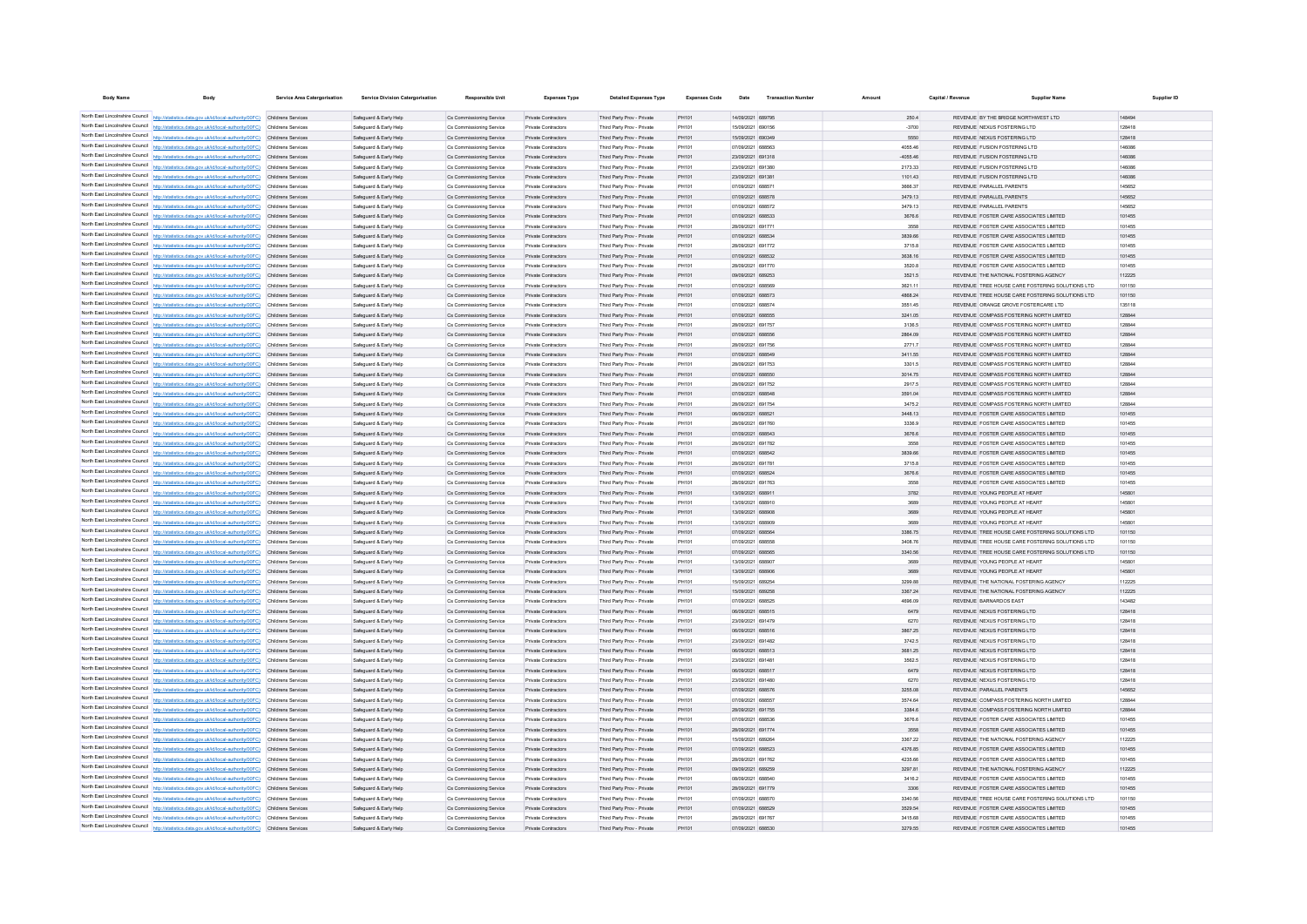| <b>Body Name</b> |                                                                                                                                                                                                      | <b>Service Area Catergorisation</b>      | <b>Service Division Catergorisation</b> | Responsible Unit         | <b>Expenses Type</b>                       | <b>Detailed Expenses Type</b> | <b>Expenses Code</b> |                                        |                    | Capital / Revenue | <b>Supplier Name</b>                                               | Supplier ID      |
|------------------|------------------------------------------------------------------------------------------------------------------------------------------------------------------------------------------------------|------------------------------------------|-----------------------------------------|--------------------------|--------------------------------------------|-------------------------------|----------------------|----------------------------------------|--------------------|-------------------|--------------------------------------------------------------------|------------------|
|                  |                                                                                                                                                                                                      |                                          |                                         | Cs Commissioning Service | Private Contractors                        |                               |                      | 14/09/2021 689795                      | 250.4              |                   | REVENUE BY THE BRIDGE NORTHWEST LTD                                | 148494           |
|                  | North East Lincolnshire Council http://statistics.data.gov.uk/id/local-authority/00FC) Childrens Services                                                                                            |                                          | Safeguard & Early Help                  |                          |                                            | Third Party Prov - Private    | PH101                |                                        |                    |                   |                                                                    |                  |
|                  | North East Lincolnshire Council http://statistics.data.gov.uk/id/local-authority/00FC)                                                                                                               | Childrens Services                       | Safeguard & Early Help                  | Cs Commissioning Service | Private Contractors                        | Third Party Prov - Private    | PH101                | 15/09/2021 690156                      | $-3700$            |                   | REVENUE NEXUS FOSTERING LTD                                        | 128418           |
|                  | North East Lincolnshire Council http://statistics.data.gov.uk/id/local-authority/00FC)                                                                                                               | Childrens Services                       | Safeguard & Early Help                  | Cs Commissioning Service | Private Contractors                        | Third Party Prov - Private    | PH101                | 15/09/2021 690349                      | 5550               |                   | REVENUE NEXUS FOSTERING LTD                                        | 128418           |
|                  | North East Lincolnshire Council http://statistics.data.gov.uk/id/local-authority/00FC) Childrens Services<br>North East Lincolnshire Council http://statistics.data.gov.uk/id/local-authority/00FC). |                                          | Safeguard & Early Help                  | Cs Commissioning Service | Private Contractors                        | Third Party Prov - Private    | PH101                | 07/09/2021 688563                      | 4055.46            |                   | REVENUE FUSION FOSTERING LTD                                       | 146086           |
|                  |                                                                                                                                                                                                      | Childrens Services                       | Safeguard & Early Help                  | Cs Commissioning Service | Private Contractors                        | Third Party Prov - Private    | PH101                | 23/09/2021 691318                      | $-4055.46$         |                   | REVENUE FUSION FOSTERING LTD                                       | 146086           |
|                  | North East Lincolnshire Council http://statistics.data.gov.uk/id/local-authority/00FC) Childrens Services<br>North East Lincolnshire Council http://statistics.data.gov.uk/id/local-authority/00FC)  |                                          | Safeguard & Early Help                  | Cs Commissioning Service | Private Contractors                        | Third Party Prov - Private    | PH101                | 23/09/2021 691380                      | 2173.33            |                   | REVENUE FUSION FOSTERING LTD                                       | 146086           |
|                  |                                                                                                                                                                                                      | Childrens Services                       | Safeguard & Early Help                  | Cs Commissioning Service | Private Contractors                        | Third Party Prov - Private    | PH101                | 23/09/2021 691381                      | 1101.43            |                   | REVENUE FUSION FOSTERING LTD                                       | 146086           |
|                  | North East Lincolnshire Council http://statistics.data.gov.uk/id/local-authority/00FC) Childrens Services<br>North East Lincolnshire Council http://statistics.data.gov.uk/id/local-authority/00FC)  |                                          | Safeguard & Early Help                  | Cs Commissioning Service | Private Contractors                        | Third Party Prov - Private    | PH101                | 07/09/2021 688571                      | 3666.37            |                   | REVENUE PARALLEL PARENTS                                           | 145652           |
|                  |                                                                                                                                                                                                      | <b>Childrens Services</b>                | Safeguard & Early Help                  | Cs Commissioning Service | Private Contractors                        | Third Party Prov - Private    | PH101                | 07/09/2021 688578                      | 3479.13            |                   | REVENUE PARALLEL PARENTS                                           | 145652           |
|                  | North East Lincolnshire Council http://statistics.data.gov.uk/id/local-authority/00FC) Childrens Services<br>North East Lincolnshire Council http://statistics.data.gov.uk/id/local-authority/00FC)  |                                          | Safeguard & Early Help                  | Cs Commissioning Service | Private Contractors<br>Private Contractors | Third Party Prov - Private    | PH101                | 07/09/2021 688572<br>07/09/2021 688533 | 3479.13            |                   | REVENUE PARALLEL PARENTS<br>REVENUE FOSTER CARE ASSOCIATES LIMITED | 145652<br>101455 |
|                  | North East Lincolnshire Council http://statistics.data.gov.uk/id/local-authority/00FC)                                                                                                               | Childrens Services<br>Childrens Services | Safeguard & Early Help                  | Cs Commissioning Service | Private Contractors                        | Third Party Prov - Private    | PH101<br>PH101       | 28/09/2021 691771                      | 3676.6             |                   | REVENUE FOSTER CARE ASSOCIATES LIMITED                             | 101455           |
|                  | North East Lincolnshire Council http://statistics.data.gov.uk/id/local-authority/00FC)                                                                                                               | Childrens Services                       | Safeguard & Early Help                  | Cs Commissioning Service | Private Contractors                        | Third Party Prov - Private    |                      | 07/09/2021 688534                      | 3558               |                   |                                                                    | 101455           |
|                  | North East Lincolnshire Council http://statistics.data.gov.uk/id/local-authority/00FC)                                                                                                               |                                          | Safeguard & Early Help                  | Cs Commissioning Service | Private Contractors                        | Third Party Prov - Private    | PH101                | 28/09/2021 691772                      | 3839.66            |                   | REVENUE FOSTER CARE ASSOCIATES LIMITED                             | 101455           |
|                  |                                                                                                                                                                                                      | Childrens Services                       | Safeguard & Early Help                  | Cs Commissioning Service |                                            | Third Party Prov - Private    | PH101                |                                        | 3715.8             |                   | REVENUE FOSTER CARE ASSOCIATES LIMITED                             | 101455           |
|                  | North East Lincolnshire Council http://statistics.data.gov.uk/id/local-authority/00FC)                                                                                                               | Childrens Services                       | Safeguard & Early Help                  | Cs Commissioning Service | Private Contractors                        | Third Party Prov - Private    | PH101                | 07/09/2021 688532                      | 3638.16            |                   | REVENUE FOSTER CARE ASSOCIATES LIMITED                             | 101455           |
|                  | North East Lincolnshire Council http://statistics.data.gov.uk/id/local-authority/00FC)                                                                                                               | Childrens Services                       | Safeguard & Early Help                  | Cs Commissioning Service | Private Contractors                        | Third Party Prov - Private    | PH101                | 28/09/2021 691770                      | 3520.8             |                   | REVENUE FOSTER CARE ASSOCIATES LIMITED                             |                  |
|                  | North East Lincolnshire Council http://statistics.data.gov.uk/id/local-authority/00FC)                                                                                                               | <b>Childrens Services</b>                | Safeguard & Early Help                  | Cs Commissioning Service | Private Contractors                        | Third Party Prov - Private    | PH101                | 09/09/2021 689253                      | 3521.5             |                   | REVENUE THE NATIONAL FOSTERING AGENCY                              | 112225           |
|                  | North East Lincolnshire Council http://statistics.data.gov.uk/id/local-authority/00FC)                                                                                                               | Childrens Services                       | Safeguard & Early Help                  | Cs Commissioning Service | Private Contractors                        | Third Party Prov - Private    | PH101                | 07/09/2021 688569                      | 3621.11            |                   | REVENUE TREE HOUSE CARE FOSTERING SOLUTIONS LTD                    | 101150           |
|                  | North East Lincolnshire Council http://statistics.data.gov.uk/id/local-authority/00FC)                                                                                                               | Childrens Services                       | Safeguard & Early Help                  | Cs Commissioning Service | Private Contractors                        | Third Party Prov - Private    | PH101                | 07/09/2021 688573                      | 4868.24            |                   | REVENUE TREE HOUSE CARE FOSTERING SOLUTIONS LTD                    | 101150           |
|                  | North East Lincolnshire Council http://statistics.data.gov.uk/id/local-authority/00FC)<br>North East Lincolnshire Council http://statistics.data.gov.uk/id/local-authority/00FC)                     | Childrens Services                       | Safeguard & Early Held                  | Cs Commissioning Service | Private Contractors                        | Third Party Prov - Private    | PH101                | 07/09/2021 688574                      | 3551.45<br>3241.05 |                   | REVENUE ORANGE GROVE FOSTERCARE LTD                                | 135118           |
|                  | North East Lincolnshire Council http://statistics.data.gov.uk/id/local-authority/00FC) Childrens Services                                                                                            | Childrens Services                       | Safeguard & Early Help                  | Cs Commissioning Service | Private Contractors                        | Third Party Prov - Private    | PH101                | 07/09/2021 688555                      |                    |                   | REVENUE COMPASS FOSTERING NORTH LIMITED                            | 128844           |
|                  |                                                                                                                                                                                                      |                                          | Safeguard & Early Held                  | Cs Commissioning Service | Private Contractors                        | Third Party Prov - Private    | PH101                | 28/09/2021 691757                      | 3136.5             |                   | REVENUE COMPASS FOSTERING NORTH LIMITED                            | 128844           |
|                  | North East Lincolnshire Council http://statistics.data.gov.uk/id/local-authority/00FC) Childrens Services                                                                                            |                                          | Safeguard & Early Help                  | Cs Commissioning Service | Private Contractors                        | Third Party Prov - Private    | PH101                | 07/09/2021 688556                      | 2864.09            |                   | REVENUE COMPASS FOSTERING NORTH LIMITED.                           | 128844           |
|                  | North East Lincolnshire Council http://statistics.data.gov.uk/id/local-authority/00FC) Childrens Services                                                                                            |                                          | Safequard & Early Held                  | Cs Commissioning Service | Private Contractors                        | Third Party Prov - Private    | PH101                | 28/09/2021 691756                      | 27717              |                   | REVENUE COMPASS FOSTERING NORTH LIMITED.                           | 128844           |
|                  | North East Lincolnshire Council http://statistics.data.gov.uk/id/local-authority/00FC) Childrens Services                                                                                            |                                          | Safeguard & Early Help                  | Cs Commissioning Service | Private Contractors                        | Third Party Prov - Private    | PH101                | 07/09/2021 688549                      | 3411.55            |                   | REVENUE COMPASS FOSTERING NORTH LIMITED.                           | 128844           |
|                  | North East Lincolnshire Council http://statistics.data.gov.uk/id/local-authority/00FC) Childrens Services                                                                                            |                                          | Safeguard & Early Held                  | Cs Commissioning Service | Private Contractors                        | Third Party Prov - Private    | PH101                | 28/09/2021 691753                      | 3301.5             |                   | REVENUE COMPASS FOSTERING NORTH LIMITED.                           | 128844           |
|                  | North East Lincolnshire Council http://statistics.data.gov.uk/id/local-authority/00FC) Childrens Services                                                                                            |                                          | Safeguard & Early Held                  | Cs Commissioning Service | Private Contractors                        | Third Party Prov - Private    | PH101                | 07/09/2021 688550                      | 3014.75            |                   | REVENUE COMPASS FOSTERING NORTH LIMITED.                           | 128844           |
|                  | North East Lincolnshire Council http://statistics.data.gov.uk/id/local-authority/00FC) Childrens Services                                                                                            |                                          | Safeguard & Early Held                  | Cs Commissioning Service | Private Contractors                        | Third Party Prov - Private    | PH101                | 28/09/2021 691752                      | 2917.5             |                   | REVENUE COMPASS FOSTERING NORTH LIMITED                            | 128844           |
|                  | North East Lincolnshire Council http://statistics.data.gov.uk/id/local-authority/00FC) Childrens Services                                                                                            |                                          | Safeguard & Early Help                  | Cs Commissioning Service | Private Contractors                        | Third Party Prov - Private    | PH101                | 07/09/2021 688548                      | 3591.04            |                   | REVENUE COMPASS FOSTERING NORTH LIMITED                            | 128844           |
|                  | North East Lincolnshire Council http://statistics.data.gov.uk/id/local-authority/00FC) Childrens Services                                                                                            |                                          | Safeguard & Early Help                  | Cs Commissioning Service | Private Contractors                        | Third Party Prov - Private    | PH101                | 28/09/2021 691754                      | 3475.2             |                   | REVENUE COMPASS FOSTERING NORTH LIMITED                            | 128844           |
|                  | North East Lincolnshire Council http://statistics.data.gov.uk/id/local-authority/00FC)                                                                                                               | Childrens Services                       | Safeguard & Early Help                  | Cs Commissioning Service | Private Contractors                        | Third Party Prov - Private    | PH101                | 06/09/2021 688521                      | 3448.13            |                   | REVENUE FOSTER CARE ASSOCIATES LIMITED                             | 101455           |
|                  | North East Lincolnshire Council http://statistics.data.gov.uk/id/local-authority/00FC) Childrens Services                                                                                            |                                          | Safeguard & Early Help                  | Cs Commissioning Service | Private Contractors                        | Third Party Prov - Private    | PH101                | 28/09/2021 691760                      | 3336.9             |                   | REVENUE FOSTER CARE ASSOCIATES LIMITED                             | 101455           |
|                  | North East Lincolnshire Council http://statistics.data.gov.uk/id/local-authority/00FC).                                                                                                              | Childrens Services                       | Safeguard & Early Help                  | Cs Commissioning Service | Private Contractors                        | Third Party Prov - Private    | PH101                | 07/09/2021 688543                      | 3676.6             |                   | REVENUE FOSTER CARE ASSOCIATES LIMITED                             | 101455           |
|                  | North East Lincolnshire Council http://statistics.data.gov.uk/id/local-authority/00FC) Childrens Services                                                                                            |                                          | Safeguard & Early Help                  | Cs Commissioning Service | Private Contractors                        | Third Party Prov - Private    | PH101                | 28/09/2021 691782                      | 3558               |                   | REVENUE FOSTER CARE ASSOCIATES LIMITED                             | 101455           |
|                  | North East Lincolnshire Council http://statistics.data.gov.uk/id/local-authority/00FC) Childrens Services                                                                                            |                                          | Safeguard & Early Help                  | Cs Commissioning Service | Private Contractors                        | Third Party Prov - Private    | PH101                | 07/09/2021 688542                      | 3839.66            |                   | REVENUE FOSTER CARE ASSOCIATES LIMITED                             | 101455           |
|                  | North East Lincolnshire Council http://statistics.data.gov.uk/id/local-authority/00FC) Childrens Services                                                                                            |                                          | Safeguard & Early Help                  | Cs Commissioning Service | Private Contractors                        | Third Party Prov - Private    | PH101                | 28/09/2021 691781                      | 3715.8             |                   | REVENUE FOSTER CARE ASSOCIATES LIMITED                             | 101455           |
|                  | North East Lincolnshire Council   http://statistics.data.gov.uk/id/local-authority/00FC)   Childrens Services                                                                                        |                                          | Safeguard & Early Help                  | Cs Commissioning Service | Private Contractors                        | Third Party Prov - Private    | PH101                | 07/09/2021 688524                      | 3676.6             |                   | REVENUE FOSTER CARE ASSOCIATES LIMITED                             | 101455           |
|                  | North East Lincolnshire Council http://statistics.data.gov.uk/id/local-authority/00FC) Childrens Services                                                                                            |                                          | Safeguard & Early Help                  | Cs Commissioning Service | Private Contractors                        | Third Party Prov - Private    | PH101                | 28/09/2021 691763                      | 3558               |                   | REVENUE FOSTER CARE ASSOCIATES LIMITED                             | 101455           |
|                  | North East Lincolnshire Council http://statistics.data.gov.uk/id/local-authority/00FC) Childrens Services                                                                                            |                                          | Safeguard & Early Help                  | Cs Commissioning Service | Private Contractors                        | Third Party Prov - Private    | PH101                | 13/09/2021 688911                      | 3782               |                   | REVENUE YOUNG PEOPLE AT HEART                                      | 145801           |
|                  | North East Lincolnshire Council http://statistics.data.gov.uk/id/local-authority/00FC) Childrens Services                                                                                            |                                          | Safeguard & Early Help                  | Cs Commissioning Service | Private Contractors                        | Third Party Prov - Private    | PH101                | 13/09/2021 688910                      | 3689               |                   | REVENUE YOUNG PEOPLE AT HEART                                      | 145801           |
|                  | North East Lincolnshire Council http://statistics.data.gov.uk/id/local-authority/00FC) Childrens Services                                                                                            |                                          | Safeguard & Early Help                  | Cs Commissioning Service | Private Contractors                        | Third Party Prov - Private    | PH101                | 13/09/2021 688908                      | 3689               |                   | REVENUE YOUNG PEOPLE AT HEART                                      | 145801           |
|                  | North East Lincolnshire Council http://statistics.data.gov.uk/id/local-authority/00FC) Childrens Services                                                                                            |                                          | Safeguard & Early Help                  | Cs Commissioning Service | Private Contractors                        | Third Party Prov - Private    | PH101                | 13/09/2021 688909                      | 3689               |                   | REVENUE YOUNG PEOPLE AT HEART                                      | 145801           |
|                  | North East Lincolnshire Council http://statistics.data.gov.uk/id/local-authority/00FC)                                                                                                               | Childrens Services                       | Safeguard & Early Help                  | Cs Commissioning Service | Private Contractors                        | Third Party Prov - Private    | PH101                | 07/09/2021 688564                      | 3386.75            |                   | REVENUE TREE HOUSE CARE FOSTERING SOLUTIONS LTD                    | 101150           |
|                  | North East Lincolnshire Council http://statistics.data.gov.uk/id/local-authority/00FC)                                                                                                               | Childrens Service                        | Safeguard & Early Help                  | Cs Commissioning Service | Private Contractors                        | Third Party Prov - Private    | PH101                | 07/09/2021 688558                      | 3408.76            |                   | REVENUE TREE HOUSE CARE FOSTERING SOLUTIONS LTD.                   | 101150           |
|                  | North East Lincolnshire Council http://statistics.data.gov.uk/id/local-authority/00FC)                                                                                                               | Childrens Services                       | Safeguard & Early Help                  | Cs Commissioning Service | Private Contractors                        | Third Party Prov - Private    | PH101                | 07/09/2021 688565                      | 3340.56            |                   | REVENUE TREE HOUSE CARE FOSTERING SOLUTIONS LTD                    | 101150           |
|                  | North East Lincolnshire Council http://statistics.data.gov.uk/id/local-authority/00FC)                                                                                                               | Childrens Service                        | Safeguard & Early Help                  | Cs Commissioning Service | Private Contractors                        | Third Party Prov - Private    | PH101                | 13/09/2021 688907                      | 3689               |                   | REVENUE YOUNG PEOPLE AT HEART                                      | 145801           |
|                  | North East Lincolnshire Council http://statistics.data.gov.uk/id/local-authority/00FC)                                                                                                               | Childrens Service                        | Safeguard & Early Help                  | Cs Commissioning Service | Private Contractors                        | Third Party Prov - Private    | PH101                | 13/09/2021 688906                      | 3689               |                   | REVENUE YOUNG PEOPLE AT HEART                                      | 145801           |
|                  | North East Lincolnshire Council http://statistics.data.gov.uk/id/local-authority/00FC)                                                                                                               | Childrens Service                        | Safeguard & Early Help                  | Cs Commissioning Service | Private Contractors                        | Third Party Prov - Private    | PH101                | 15/09/2021 689254                      | 3299.88            |                   | REVENUE THE NATIONAL FOSTERING AGENCY                              | 112225           |
|                  | North East Lincolnshire Council http://statistics.data.gov.uk/id/local-authority/00FC)                                                                                                               | Childrens Services                       | Safeguard & Early Help                  | Cs Commissioning Service | Private Contractors                        | Third Party Prov - Private    | PH101                | 15/09/2021 689258                      | 3367.24            |                   | REVENUE THE NATIONAL FOSTERING AGENCY                              | 112225           |
|                  | North East Lincolnshire Council http://statistics.data.gov.uk/id/local-authority/00FC)                                                                                                               | Childrens Services                       | Safeguard & Early Help                  | Cs Commissioning Service | Private Contractors                        | Third Party Prov - Private    | PH101                | 07/09/2021 688525                      | 4696.09            |                   | REVENUE BARNARDOS EAST                                             | 143482           |
|                  | North East Lincolnshire Council http://statistics.data.gov.uk/id/local-authority/00FC)                                                                                                               | Childrens Services                       | Safeguard & Early Help                  | Cs Commissioning Service | Private Contractors                        | Third Party Prov - Private    | PH101                | 06/09/2021 688515                      | 6479               |                   | REVENUE NEXUS FOSTERING LTD                                        | 128418           |
|                  | North East Lincolnshire Council http://statistics.data.gov.uk/id/local-authority/00FC)                                                                                                               | Childrens Services                       | Safeguard & Early Help                  | Cs Commissioning Service | Private Contractors                        | Third Party Prov - Private    | PH101                | 23/09/2021 691479                      | 6270               |                   | REVENUE NEXUS FOSTERING LTD                                        | 128418           |
|                  | North East Lincolnshire Council http://statistics.data.gov.uk/id/local-authority/00FC)                                                                                                               | Childrens Services                       | Safeguard & Early Help                  | Cs Commissioning Service | Private Contractors                        | Third Party Prov - Private    | PH101                | 06/09/2021 688516                      | 3867.25            |                   | REVENUE NEXUS FOSTERING LTD                                        | 128418           |
|                  | North East Lincolnshire Council http://statistics.data.gov.uk/id/local-authority/00FC)                                                                                                               | Childrens Service                        | Safeguard & Early Help                  | Cs Commissioning Service | Private Contractors                        | Third Party Prov - Private    | PH101                | 23/09/2021 691482                      | 3742.5             |                   | REVENUE NEXUS FOSTERING LTD                                        | 128418           |
|                  | North East Lincolnshire Council http://statistics.data.gov.uk/id/local-authority/00FC)                                                                                                               | Childrens Services                       | Safeguard & Early Help                  | Cs Commissioning Service | Private Contractors                        | Third Party Prov - Private    | PH101                | 06/09/2021 688513                      | 3681.25            |                   | REVENUE NEXUS FOSTERING LTD                                        | 128418           |
|                  | North East Lincolnshire Council http://statistics.data.gov.uk/id/local-authority/00FC)                                                                                                               | Childrens Service                        | Safeguard & Early Help                  | Cs Commissioning Service | Private Contractors                        | Third Party Prov - Private    | PH101                | 23/09/2021 691481                      | 3562.5             |                   | REVENUE NEXUS FOSTERING LTD                                        | 128418           |
|                  | North East Lincolnshire Council http://statistics.data.gov.uk/id/local-authority/00FC)                                                                                                               | <b>Childrens Services</b>                | Safeguard & Early Help                  | Cs Commissioning Service | Private Contractors                        | Third Party Prov - Private    | PH101                | 06/09/2021 688517                      | 6479               |                   | REVENUE NEXUS FOSTERING LTD                                        | 128418           |
|                  | North East Lincolnshire Council http://statistics.data.gov.uk/id/local-authority/00FC)                                                                                                               | Childrens Services                       | Safeguard & Early Help                  | Cs Commissioning Service | Private Contractors                        | Third Party Prov - Private    | PH101                | 23/09/2021 691480                      | 6270               |                   | REVENUE NEXUS FOSTERING LTD                                        | 128418           |
|                  | North East Lincolnshire Council http://statistics.data.gov.uk/id/local-authority/00FC)                                                                                                               | <b>Childrens Services</b>                | Safeguard & Early Help                  | Cs Commissioning Service | Private Contractors                        | Third Party Prov - Private    | PH101                | 07/09/2021 688576                      | 3255.08            |                   | REVENUE PARALLEL PARENTS                                           | 145652           |
|                  | North East Lincolnshire Council http://statistics.data.gov.uk/id/local-authority/00FC)                                                                                                               | Childrens Services                       | Safeguard & Early Help                  | Cs Commissioning Service | Private Contractors                        | Third Party Prov - Private    | PH101                | 07/09/2021 68855                       | 3574.64            |                   | REVENUE COMPASS FOSTERING NORTH LIMITED                            | 128844           |
|                  | North East Lincolnshire Council http://statistics.data.gov.uk/id/local-authority/00FC)                                                                                                               | <b>Childrens Services</b>                | Safeguard & Early Help                  | Cs Commissioning Service | Private Contractors                        | Third Party Prov - Private    | PH101                | 28/09/2021 691755                      | 3384.6             |                   | REVENUE COMPASS FOSTERING NORTH LIMITED                            | 128844           |
|                  | North East Lincolnshire Council http://statistics.data.gov.uk/id/local-authority/00FC)                                                                                                               | Childrens Services                       | Safeguard & Early Help                  | Cs Commissioning Service | Private Contractors                        | Third Party Prov - Private    | PH101                | 07/09/2021 688536                      | 3676.6             |                   | REVENUE FOSTER CARE ASSOCIATES LIMITED                             | 101455           |
|                  | North East Lincolnshire Council http://statistics.data.gov.uk/id/local-authority/00FC)                                                                                                               | Childrens Services                       | Safeguard & Early Held                  | Cs Commissioning Service | <b>Private Contractors</b>                 | Third Party Prov - Private    | PH101                | 28/09/2021 691774                      | 3558               |                   | REVENUE FOSTER CARE ASSOCIATES LIMITED                             | 101455           |
|                  | North East Lincolnshire Council http://statistics.data.gov.uk/id/local-authority/00FC)                                                                                                               | Childrens Services                       | Safeguard & Early Held                  | Cs Commissioning Service | Private Contractors                        | Third Party Prov - Private    | PH101                | 15/09/2021 689264                      | 3367.22            |                   | REVENUE THE NATIONAL FOSTERING AGENCY                              | 112225           |
|                  | North East Lincolnshire Council http://statistics.data.gov.uk/id/local-authority/00FC)                                                                                                               | <b>Childrens Services</b>                | Safeguard & Early Held                  | Cs Commissioning Service | <b>Private Contractors</b>                 | Third Party Prov - Private    | PH101                | 07/09/2021 688523                      | 4376.85            |                   | REVENUE FOSTER CARE ASSOCIATES LIMITED                             | 101455           |
|                  | North East Lincolnshire Council http://statistics.data.gov.uk/id/local-authority/00FC).                                                                                                              | Childrens Services                       | Safeguard & Early Held                  | Cs Commissioning Service | <b>Private Contractors</b>                 | Third Party Prov - Private    | PH101                | 28/09/2021 691762                      | 4235.66            |                   | REVENUE FOSTER CARE ASSOCIATES LIMITED                             | 101455           |
|                  | North East Lincolnshire Council http://statistics.data.gov.uk/id/local-authority/00FC)                                                                                                               | <b>Childrens Services</b>                | Safeguard & Early Help                  | Cs Commissioning Service | <b>Private Contractors</b>                 | Third Party Prov - Private    | PH101                | 09/09/2021 689259                      | 3297.81            |                   | REVENUE THE NATIONAL FOSTERING AGENCY                              | 112225           |
|                  | North East Lincolnshire Council http://statistics.data.gov.uk/id/local-authority/00FC)                                                                                                               | Childrens Services                       | Safeguard & Early Help                  | Cs Commissioning Service | Private Contractors                        | Third Party Prov - Private    | PH101                | 08/09/2021 688540                      | 3416.2             |                   | REVENUE FOSTER CARE ASSOCIATES LIMITED                             | 101455           |
|                  | North East Lincolnshire Council http://statistics.data.gov.uk/id/local-authority/00FC)                                                                                                               | <b>Childrens Services</b>                | Safeguard & Early Help                  | Cs Commissioning Service | Private Contractors                        | Third Party Prov - Private    | PH101                | 28/09/2021 691779                      | 3306               |                   | REVENUE FOSTER CARE ASSOCIATES LIMITED                             | 101455           |
|                  | North East Lincolnshire Council http://statistics.data.gov.uk/id/local-authority/00FC)                                                                                                               | Childrens Service                        | Safeguard & Early Help                  | Cs Commissioning Service | Private Contractors                        | Third Party Prov - Private    | PH101                | 07/09/2021 688570                      | 3340.56            |                   | REVENUE TREE HOUSE CARE FOSTERING SOLUTIONS LTD                    | 101150           |
|                  | North East Lincolnshire Council http://statistics.data.gov.uk/id/local-authority/00FC)                                                                                                               | Childrens Services                       | Safeguard & Early Help                  | Cs Commissioning Service | Private Contractors                        | Third Party Prov - Private    | PH101                | 07/09/2021 688529                      | 3529.54            |                   | REVENUE FOSTER CARE ASSOCIATES LIMITED                             | 101455           |
|                  | North East Lincolnshire Council http://statistics.data.gov.uk/id/local-authority/00FC)                                                                                                               | Childrens Services                       | Safeguard & Early Help                  | Cs Commissioning Service | Private Contractors                        | Third Party Prov - Private    | PH101                | 28/09/2021 691767                      | 3415.68            |                   | REVENUE FOSTER CARE ASSOCIATES UMITED                              | 101455           |
|                  | North East Lincolnshire Council   http://statistics.data.gov.uk/id/local-authority/00FC)                                                                                                             | <b>Childrens Services</b>                | Safeguard & Early Help                  | Cs Commissioning Service | Private Contractors                        | Third Party Prov - Private    | PH101                | 07/09/2021 688530                      | 3279.55            |                   | REVENUE FOSTER CARE ASSOCIATES LIMITED.                            | 101455           |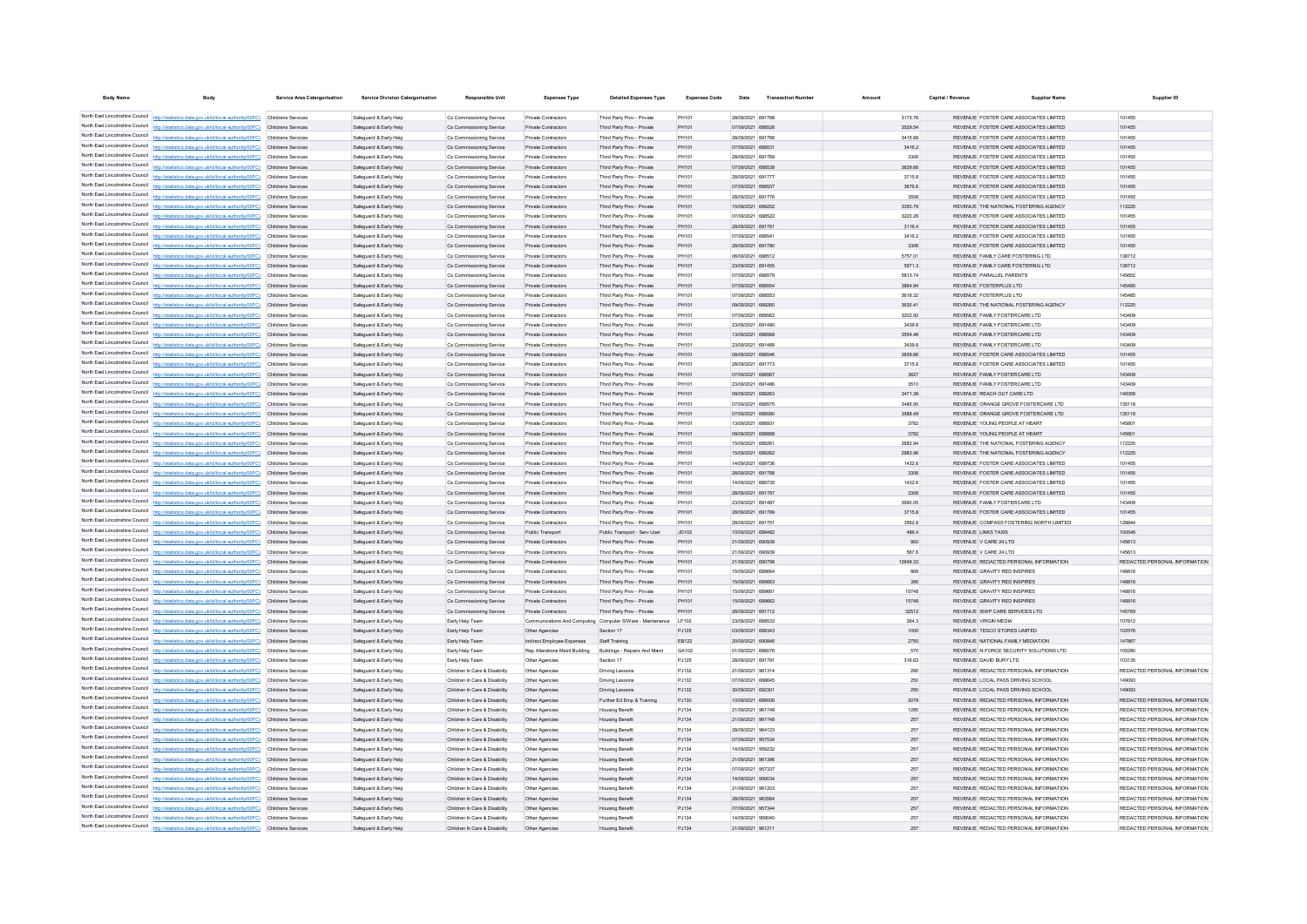| <b>Body Name</b>                                                   | Body                                                                                                                                                                                                                   | <b>Service Area Catergorisation</b>            | <b>Service Division Catergorisation</b>          | <b>Responsible Unit</b>                                        | <b>Expenses Type</b>                              | <b>Detailed Expenses Type</b>                              | <b>Expenses Code</b> | Date                                   | <b>Transaction Number</b> | Amount             | Capital / Revenue | <b>Supplier Name</b>                                                             | Supplier ID                                                    |
|--------------------------------------------------------------------|------------------------------------------------------------------------------------------------------------------------------------------------------------------------------------------------------------------------|------------------------------------------------|--------------------------------------------------|----------------------------------------------------------------|---------------------------------------------------|------------------------------------------------------------|----------------------|----------------------------------------|---------------------------|--------------------|-------------------|----------------------------------------------------------------------------------|----------------------------------------------------------------|
|                                                                    |                                                                                                                                                                                                                        |                                                |                                                  |                                                                |                                                   |                                                            |                      |                                        |                           |                    |                   |                                                                                  |                                                                |
|                                                                    | North East Lincolnshire Council http://statistics.data.gov.uk/id/local-authority/00FC) Childrens Services<br>North East Lincolnshire Council http://statistics.data.gov.uk/id/local-authority/00FC) Childrens Services |                                                | Safeguard & Early Help                           | Cs Commissioning Service<br>Cs Commissioning Service           | Private Contractors                               | Third Party Prov - Private                                 | PH101<br>PH101       | 28/09/2021 691768<br>07/09/2021 688528 |                           | 3173.76<br>3529.54 |                   | REVENUE FOSTER CARE ASSOCIATES LIMITED<br>REVENUE FOSTER CARE ASSOCIATES LIMITED | 101455<br>101455                                               |
|                                                                    | North East Lincolnshire Council http://statistics.data.gov.uk/id/local-authority/00FC) Childrens Services                                                                                                              |                                                | Safeguard & Early Help<br>Safeguard & Early Help | Cs Commissioning Service                                       | Private Contractors<br><b>Private Contractors</b> | Third Party Prov - Private<br>Third Party Prov - Private   | PH101                | 28/09/2021 691766                      |                           | 3415.68            |                   | REVENUE FOSTER CARE ASSOCIATES LIMITED                                           | 101455                                                         |
|                                                                    | North East Lincolnshire Council http://statistics.data.gov.uk/id/local-authority/00FC) Childrens Services                                                                                                              |                                                | Safeguard & Early Help                           | Cs Commissioning Service                                       | Private Contractors                               | Third Party Prov - Private                                 | PH101                | 07/09/2021 688531                      |                           | 3416.2             |                   | REVENUE FOSTER CARE ASSOCIATES LIMITED                                           | 101455                                                         |
|                                                                    | North East Lincolnshire Council http://statistics.data.gov.uk/id/local-authority/00FC) Childrens Services                                                                                                              |                                                | Safeguard & Early Help                           | Cs Commissioning Service                                       | Private Contractors                               | Third Party Prov - Private                                 | PH101                | 28/09/2021 691769                      |                           | 3306               |                   | REVENUE FOSTER CARE ASSOCIATES LIMITED                                           | 101455                                                         |
|                                                                    | North East Lincolnshire Council http://statistics.data.gov.uk/id/local-authority/00FC) Childrens Services                                                                                                              |                                                | Safeguard & Early Help                           | Cs Commissioning Service                                       | Private Contractors                               | Third Party Prov - Private                                 | PH101                | 07/09/2021 688538                      |                           | 3839.66            |                   | REVENUE FOSTER CARE ASSOCIATES LIMITED.                                          | 101455                                                         |
|                                                                    | North East Lincolnshire Council http://statistics.data.gov.uk/id/local-authority/00FC) Childrens Services                                                                                                              |                                                | Safeguard & Early Help                           | Cs Commissioning Service                                       | Private Contractors                               | Third Party Prov - Private                                 | PH101                | 28/09/2021 691777                      |                           | 3715.8             |                   | REVENUE FOSTER CARE ASSOCIATES LIMITED                                           | 101455                                                         |
|                                                                    | North East Lincolnshire Council http://statistics.data.gov.uk/id/local-authority/00FC) Childrens Services                                                                                                              |                                                | Safeguard & Early Help                           | Cs Commissioning Service                                       | Private Contractors                               | Third Party Prov - Private                                 | PH101                | 07/09/2021 688537                      |                           | 3676.6             |                   | REVENUE FOSTER CARE ASSOCIATES LIMITED.                                          | 101455                                                         |
|                                                                    | North East Lincolnshire Council http://statistics.data.gov.uk/id/local-authority/00FC) Childrens Services                                                                                                              |                                                | Safeguard & Early Help                           | Cs Commissioning Service                                       | Private Contractors                               | Third Party Prov - Private                                 | PH101                | 28/09/2021 691776                      |                           | 3558               |                   | REVENUE FOSTER CARE ASSOCIATES LIMITED                                           | 101455                                                         |
|                                                                    | North East Lincolnshire Council http://statistics.data.gov.uk/id/local-authority/00FC) Childrens Services                                                                                                              |                                                | Safeguard & Early Help                           | Cs Commissioning Service                                       | Private Contractors                               | Third Party Prov - Private                                 | PH101                | 15/09/2021 689252                      |                           | 3350.79            |                   | REVENUE THE NATIONAL FOSTERING AGENCY.                                           | 112225                                                         |
|                                                                    | North East Lincolnshire Council http://statistics.data.gov.uk/id/local-authority/00FC) Childrens Services                                                                                                              |                                                | Safeguard & Early Help                           | Cs Commissioning Service                                       | Private Contractors                               | Third Party Prov - Private                                 | PH101                | 07/09/2021 688522                      |                           | 3220.28            |                   | REVENUE FOSTER CARE ASSOCIATES LIMITED                                           | 101455                                                         |
|                                                                    | North East Lincolnshire Council http://statistics.data.gov.uk/id/local-authority/00FC)                                                                                                                                 | <b>Childrens Services</b>                      | Safeguard & Early Help                           | Cs Commissioning Service                                       | Private Contractors                               | Third Party Prov - Private                                 | PH101                | 28/09/2021 691761                      |                           | 3116.4             |                   | REVENUE FOSTER CARE ASSOCIATES LIMITED                                           | 101455                                                         |
|                                                                    | North East Lincolnshire Council http://statistics.data.gov.uk/id/local-authority/00FC)                                                                                                                                 | Childrens Services                             | Safeguard & Early Help                           | Cs Commissioning Service                                       | Private Contractors                               | Third Party Prov - Private                                 | PH101                | 07/09/2021 688541                      |                           | 3416.2             |                   | REVENUE FOSTER CARE ASSOCIATES LIMITED                                           | 101455                                                         |
|                                                                    | North East Lincolnshire Council http://statistics.data.gov.uk/id/local-authority/00FC)<br>North East Lincolnshire Council http://statistics.data.gov.uk/id/local-authority/00FC) Childrens Services                    | <b>Childrens Services</b>                      | Safeguard & Early Help                           | Cs Commissioning Service<br>Cs Commissioning Service           | Private Contractors<br><b>Private Contractors</b> | Third Party Prov - Private<br>Third Party Prov - Private   | PH101<br>PH101       | 28/09/2021 691780<br>06/09/2021 688512 |                           | 3306<br>5757.01    |                   | REVENUE FOSTER CARE ASSOCIATES LIMITED<br>REVENUE FAMILY CARE FOSTERING LTD      | 101455<br>138712                                               |
|                                                                    | North East Lincolnshire Council http://statistics.data.gov.uk/id/local-authority/00FC) Childrens Services                                                                                                              |                                                | Safeguard & Early Help<br>Safeguard & Early Help | Cs Commissioning Service                                       | Private Contractors                               | Third Party Prov - Private                                 | PH101                | 23/09/2021 691455                      |                           | 5571.3             |                   | REVENUE FAMILY CARE FOSTERING LTD.                                               | 138712                                                         |
|                                                                    | North East Lincolnshire Council http://statistics.data.gov.uk/id/local-authority/00FC) Childrens Services                                                                                                              |                                                | Safeguard & Early Help                           | Cs Commissioning Service                                       | Private Contractors                               | Third Party Prov - Private                                 | PH101                | 07/09/2021 688579                      |                           | 581374             |                   | REVENUE PARALLEL PARENTS                                                         | 145652                                                         |
|                                                                    | North East Lincolnshire Council http://statistics.data.gov.uk/id/local-authority/00FC) Childrens Services                                                                                                              |                                                | Safeguard & Early Help                           | Cs Commissioning Service                                       | Private Contractors                               | Third Party Prov - Private                                 | PH101                | 07/09/2021 688554                      |                           | 3864.94            |                   | REVENUE FOSTERPLUS LTD                                                           | 145485                                                         |
|                                                                    | North East Lincolnshire Council http://statistics.data.gov.uk/id/local-authority/00FC) Childrens Services                                                                                                              |                                                | Safeguard & Early Help                           | Cs Commissioning Service                                       | Private Contractors                               | Third Party Prov - Private                                 | PH101                | 07/09/2021 688553                      |                           | 3618.32            |                   | REVENUE FOSTERPLUS LTD                                                           | 145485                                                         |
|                                                                    | North East Lincolnshire Council http://statistics.data.gov.uk/id/local-authority/00FC) Childrens Services                                                                                                              |                                                | Safeguard & Early Help                           | Cs Commissioning Service                                       | Private Contractors                               | Third Party Prov - Private                                 | PH101                | 09/09/2021 689260                      |                           | 3630.41            |                   | REVENUE THE NATIONAL FOSTERING AGENCY                                            | 112225                                                         |
|                                                                    | North East Lincolnshire Council http://statistics.data.gov.uk/id/local-authority/00FC) Childrens Services                                                                                                              |                                                | Safeguard & Early Help                           | Cs Commissioning Service                                       | Private Contractors                               | Third Party Prov - Private                                 | PH101                | 07/09/2021 688562                      |                           | 3202.92            |                   | REVENUE FAMILY FOSTERCARE LTD                                                    | 143409                                                         |
|                                                                    | North East Lincolnshire Council http://statistics.data.gov.uk/id/local-authority/00FC) Childrens Services                                                                                                              |                                                | Safeguard & Early Help                           | Cs Commissioning Service                                       | Private Contractors                               | Third Party Prov - Private                                 | PH101                | 23/09/2021 691490                      |                           | 3439.8             |                   | REVENUE FAMILY FOSTERCARE LTD                                                    | 143409                                                         |
|                                                                    | North East Lincolnshire Council http://statistics.data.gov.uk/id/local-authority/00FC) Childrens Services                                                                                                              |                                                | Safeguard & Early Help                           | Cs Commissioning Service                                       | Private Contractors                               | Third Party Prov - Private                                 | PH101                | 13/09/2021 688568                      |                           | 3554.46            |                   | REVENUE FAMILY FOSTERCARE LTD                                                    | 143409                                                         |
|                                                                    | North East Lincolnshire Council http://statistics.data.gov.uk/id/local-authority/00FC) Childrens Services                                                                                                              |                                                | Safeguard & Early Help                           | Cs Commissioning Service                                       | Private Contractors                               | Third Party Prov - Private                                 | PH101                | 23/09/2021 691489                      |                           | 3439.8             |                   | REVENUE FAMILY FOSTERCARE LTD                                                    | 143409                                                         |
|                                                                    | North East Lincolnshire Council http://statistics.data.gov.uk/id/local-authority/00FC)                                                                                                                                 | Childrens Services                             | Safeguard & Early Help                           | Cs Commissioning Service                                       | Private Contractors                               | Third Party Prov - Private                                 | PH101                | 08/09/2021 688546                      |                           | 3839.66            |                   | REVENUE FOSTER CARE ASSOCIATES LIMITED                                           | 101455                                                         |
|                                                                    | North East Lincolnshire Council http://statistics.data.gov.uk/id/local-authority/00FC)                                                                                                                                 | Childrens Service                              | Safeguard & Early Help                           | Cs Commissioning Service                                       | Private Contractors                               | Third Party Prov - Private                                 | PH101                | 28/09/2021 691773                      |                           | 3715.8             |                   | REVENUE FOSTER CARE ASSOCIATES LIMITED                                           | 101455                                                         |
|                                                                    | North East Lincolnshire Council http://statistics.data.gov.uk/id/local-authority/00FC)<br>North East Lincolnshire Council http://statistics.data.gov.uk/id/local-authority/00FC)                                       | Childrens Service                              | Safeguard & Early Help                           | Cs Commissioning Service                                       | Private Contractors                               | Third Party Prov - Private                                 | PH101<br>PH101       | 07/09/2021 688567<br>23/09/2021 691486 |                           | 3627               |                   | REVENUE FAMILY FOSTERCARE LTD                                                    | 143409<br>143409                                               |
|                                                                    | North East Lincolnshire Council http://statistics.data.gov.uk/id/local-authority/00FC)                                                                                                                                 | Childrens Service<br>Childrens Service         | Safeguard & Early Help<br>Safeguard & Early Help | Cs Commissioning Service<br>Cs Commissioning Service           | Private Contractors<br>Private Contractors        | Third Party Prov - Private<br>Third Party Prov - Private   | PH101                | 09/09/2021 689263                      |                           | 3510<br>3471.38    |                   | REVENUE FAMILY FOSTERCARE LTD<br>REVENUE REACH OUT CARE LTD                      | 149358                                                         |
|                                                                    | North East Lincolnshire Council http://statistics.data.gov.uk/id/local-authority/00FC)                                                                                                                                 | Childrens Service                              | Safeguard & Early Help                           | Cs Commissioning Service                                       | Private Contractors                               | Third Party Prov - Private                                 | PH101                | 07/09/2021 688575                      |                           | 3485.95            |                   | REVENUE ORANGE GROVE FOSTERCARE LTD                                              | 135118                                                         |
|                                                                    | North East Lincolnshire Council http://statistics.data.gov.uk/id/local-authority/00FC)                                                                                                                                 | Childrens Service                              | Safeguard & Early Help                           | Cs Commissioning Service                                       | Private Contractors                               | Third Party Prov - Private                                 | PH101                | 07/09/2021 688580                      |                           | 3588.49            |                   | REVENUE ORANGE GROVE FOSTERCARE LTD                                              | 135118                                                         |
|                                                                    | North East Lincolnshire Council http://statistics.data.gov.uk/id/local-authority/00FC)                                                                                                                                 | Childrens Services                             | Safeguard & Early Help                           | Cs Commissioning Service                                       | Private Contractors                               | Third Party Prov - Private                                 | PH101                | 13/09/2021 68893                       |                           | 3782               |                   | REVENUE YOUNG PEOPLE AT HEART                                                    | 145801                                                         |
|                                                                    | North East Lincolnshire Council http://statistics.data.gov.uk/id/local-authority/00FC)                                                                                                                                 | Childrens Service                              | Safeguard & Early Help                           | Cs Commissioning Service                                       | Private Contractors                               | Third Party Prov - Private                                 | PH101                | 09/09/2021 688888                      |                           | 3782               |                   | REVENUE YOUNG PEOPLE AT HEART                                                    | 145801                                                         |
|                                                                    | North East Lincolnshire Council   http://statistics.data.gov.uk/id/local-authority/00FC)                                                                                                                               | Childrens Services                             | Safeguard & Early Help                           | Cs Commissioning Service                                       | Private Contractors                               | Third Party Prov - Private                                 | PH101                | 15/09/2021 68926                       |                           | 2682.94            |                   | REVENUE THE NATIONAL FOSTERING AGENCY                                            | 112225                                                         |
|                                                                    | North East Lincolnshire Council http://statistics.data.gov.uk/id/local-authority/00FC).                                                                                                                                | Childrens Services                             | Safeguard & Early Help                           | Cs Commissioning Service                                       | Private Contractors                               | Third Party Prov - Private                                 | PH101                | 15/09/2021 689262                      |                           | 2983.96            |                   | REVENUE THE NATIONAL FOSTERING AGENCY                                            | 112225                                                         |
|                                                                    | North East Lincolnshire Council http://statistics.data.gov.uk/id/local-authority/00FC).                                                                                                                                | Childrens Services                             | Safeguard & Early Help                           | Cs Commissioning Service                                       | Private Contractors                               | Third Party Prov - Private                                 | PH101                | 14/09/2021 689736                      |                           | 1432.6             |                   | REVENUE FOSTER CARE ASSOCIATES LIMITED                                           | 101455                                                         |
|                                                                    | North East Lincolnshire Council http://statistics.data.gov.uk/id/local-authority/00FC).                                                                                                                                | Childrens Services                             | Safeguard & Early Help                           | Cs Commissioning Service                                       | Private Contractors                               | Third Party Prov - Private                                 | PH101                | 28/09/2021 691788                      |                           | 3306               |                   | REVENUE FOSTER CARE ASSOCIATES LIMITED                                           | 101455                                                         |
|                                                                    | North East Lincolnshire Council http://statistics.data.gov.uk/id/local-authority/00FC).                                                                                                                                | Childrens Services                             | Safeguard & Early Help                           | Cs Commissioning Service                                       | Private Contractors                               | Third Party Prov - Private                                 | PH101                | 4/09/2021 689735                       |                           | 1432.6             |                   | REVENUE FOSTER CARE ASSOCIATES LIMITED                                           | 101455                                                         |
|                                                                    | North East Lincolnshire Council http://statistics.data.gov.uk/id/local-authority/00FC)<br>North East Lincolnshire Council   http://statistics.data.gov.uk/id/local-authority/00FC)                                     | <b>Childrens Services</b><br>Childrens Service | Safeguard & Early Help<br>Safeguard & Early Help | Cs Commissioning Service<br>Cs Commissioning Service           | Private Contractors<br>Private Contractors        | Third Party Prov - Private<br>Third Party Prov - Private   | PH101<br>PH101       | 28/09/2021 691787<br>23/09/2021 691487 |                           | 3306<br>3690.05    |                   | REVENUE FOSTER CARE ASSOCIATES LIMITED<br>REVENUE FAMILY FOSTERCARE LTD          | 101455<br>143409                                               |
|                                                                    | North East Lincolnshire Council http://statistics.data.gov.uk/id/local-authority/00FC)                                                                                                                                 | Childrens Service                              | Safeguard & Early Help                           | Cs Commissioning Service                                       | Private Contractors                               | Third Party Prov - Private                                 | PH101                | 28/09/2021 691789                      |                           | 3715.8             |                   | REVENUE FOSTER CARE ASSOCIATES LIMITED                                           | 101455                                                         |
|                                                                    | North East Lincolnshire Council http://statistics.data.gov.uk/id/local-authority/00FC)                                                                                                                                 | Childrens Service                              | Safeguard & Early Help                           | Cs Commissioning Service                                       | Private Contractors                               | Third Party Prov - Private                                 | PH101                | 28/09/2021 691751                      |                           | 3562.8             |                   | REVENUE COMPASS FOSTERING NORTH LIMITED                                          | 128844                                                         |
|                                                                    | North East Lincolnshire Council http://statistics.data.gov.uk/id/local-authority/00FC)                                                                                                                                 | Childrens Service                              | Safeguard & Early Help                           | Cs Commissioning Service                                       | Public Transport                                  | Public Transport - Serv Use                                | JD102                | 10/09/2021 689482                      |                           | 486.4              |                   | <b>REVENUE LINKS TAXIS</b>                                                       | 100546                                                         |
|                                                                    | North East Lincolnshire Council http://statistics.data.gov.uk/id/local-authority/00FC)                                                                                                                                 | Childrens Services                             | Safeguard & Early Help                           | Cs Commissioning Service                                       | Private Contractors                               | Third Party Prov - Private                                 | PH101                | 21/09/2021 690939                      |                           | 900                |                   | REVENUE V CARE 24 LTD                                                            | 145613                                                         |
|                                                                    | North East Lincolnshire Council http://statistics.data.gov.uk/id/local-authority/00FC)                                                                                                                                 | Childrens Service                              | Safeguard & Early Help                           | Cs Commissioning Service                                       | Private Contractors                               | Third Party Prov - Private                                 | PH101                | 21/09/2021 690939                      |                           | 567.6              |                   | REVENUE V CARE 24 LTD                                                            | 145613                                                         |
|                                                                    | North East Lincolnshire Council http://statistics.data.gov.uk/id/local-authority/00FC)                                                                                                                                 | Childrens Services                             | Safeguard & Early Help                           | Cs Commissioning Service                                       | Private Contractors                               | Third Party Prov - Private                                 | PH101                | 21/09/2021 690798                      |                           | 12649.33           |                   | REVENUE REDACTED PERSONAL INFORMATION                                            | REDACTED PERSONAL INFORMATION                                  |
|                                                                    | North East Lincolnshire Council http://statistics.data.gov.uk/id/local-authority/00FC)                                                                                                                                 | Childrens Services                             | Safeguard & Early Help                           | Cs Commissioning Service                                       | Private Contractors                               | Third Party Prov - Private                                 | PH101                | 15/09/2021 689664                      |                           | 869                |                   | REVENUE GRAVITY RED INSPIRES                                                     | 148816                                                         |
|                                                                    | North East Lincolnshire Council http://statistics.data.gov.uk/id/local-authority/00FC)                                                                                                                                 | Childrens Services                             | Safeguard & Early Help                           | Cs Commissioning Service                                       | Private Contractors                               | Third Party Prov - Private                                 | PH101                | 15/09/2021 689663                      |                           | 395                |                   | REVENUE GRAVITY RED INSPIRES                                                     | 148816                                                         |
|                                                                    | North East Lincolnshire Council http://statistics.data.gov.uk/id/local-authority/00FC)                                                                                                                                 | Childrens Service                              | Safeguard & Early Help                           | Cs Commissioning Service                                       | Private Contractors                               | Third Party Prov - Private                                 | PH101                | 15/09/2021 68966                       |                           | 15748              |                   | REVENUE GRAVITY RED INSPIRES                                                     | 148816                                                         |
|                                                                    | North East Lincolnshire Council http://statistics.data.gov.uk/id/local-authority/00FC)<br>North East Lincolnshire Council http://statistics.data.gov.uk/id/local-authority/00FC)                                       | Childrens Service<br>Childrens Service         | Safeguard & Early Help<br>Safeguard & Early Help | Cs Commissioning Service<br>Cs Commissioning Service           | Private Contractors<br>Private Contractors        | Third Party Prov - Private<br>Third Party Prov - Private   | PH101<br>PH101       | 5/09/2021 689662<br>28/09/2021 691712  |                           | 15748<br>32512     |                   | REVENUE GRAVITY RED INSPIRES<br>REVENUE ISWP CARE SERVICES LTD                   | 148816<br>145769                                               |
|                                                                    | North East Lincolnshire Council http://statistics.data.gov.uk/id/local-authority/00FC)                                                                                                                                 | Childrens Service                              | Safeguard & Early Help                           | Early Help Team                                                |                                                   | Communications And Computing Computer S/Ware - Maintenance | LF102                | 23/09/2021 689533                      |                           | 264.3              |                   | REVENUE VIRGIN MEDI                                                              | 107612                                                         |
|                                                                    | North East Lincolnshire Council http://statistics.data.gov.uk/id/local-authority/00FC)                                                                                                                                 | Childrens Service                              | Safeguard & Early Help                           | Early Help Team                                                | Other Agencies                                    | Section 17                                                 | PJ125                | 03/09/2021 688343                      |                           | 1000               |                   | REVENUE TESCO STORES LIMITED                                                     | 102576                                                         |
|                                                                    | North East Lincolnshire Council http://statistics.data.gov.uk/id/local-authority/00FC)                                                                                                                                 | Childrens Service                              | Safeguard & Early Help                           | Early Help Team                                                | Indirect Employee Expenses                        | Staff Training                                             | EB122                | 20/09/2021 690846                      |                           | 2750               |                   | REVENUE NATIONAL FAMILY MEDIATION                                                | 147867                                                         |
|                                                                    | North East Lincolnshire Council http://statistics.data.gov.uk/id/local-authority/00FC)                                                                                                                                 | Childrens Service                              | Safeguard & Early Help                           | Early Help Team                                                | Rep Alterations Maint Building                    | Buildings - Repairs And Maint                              | GA102                | 01/09/2021 688076                      |                           | 570                |                   | REVENUE N-FORCE SECURITY SOLUTIONS LTD                                           | 105280                                                         |
|                                                                    | North East Lincolnshire Council http://statistics.data.gov.uk/id/local-authority/00FC)                                                                                                                                 | Childrens Service                              | Safeguard & Early Help                           | Early Help Team                                                | Other Agencies                                    | Section 17                                                 | PJ125                | 28/09/2021 691791                      |                           | 316.62             |                   | REVENUE DAVID BURY LTD                                                           | 103135                                                         |
|                                                                    | North East Lincolnshire Council http://statistics.data.gov.uk/id/local-authority/00FC)                                                                                                                                 | Childrens Services                             | Safeguard & Early Help                           | Children In Care & Disability                                  | Other Agencies                                    | Driving Lessons                                            | PJ132                | 21/09/2021 961314                      |                           | 290                |                   | REVENUE REDACTED PERSONAL INFORMATION                                            | REDACTED PERSONAL INFORMATION                                  |
| North East Lincolnshire Council                                    | http://statistics.data.gov.uk/id/local-authority/00FC)                                                                                                                                                                 | Childrens Service                              | Safeguard & Early Help                           | Children In Care & Disability                                  | Other Agencies                                    | <b>Driving Lessons</b>                                     | PJ132                | 07/09/2021 688645                      |                           | 250                |                   | REVENUE LOCAL PASS DRIVING SCHOOL                                                | 149093                                                         |
|                                                                    | North East Lincolnshire Council http://statistics.data.gov.uk/id/local-authority/00FC)                                                                                                                                 | Childrens Services                             | Safeguard & Early Help                           | Children In Care & Disability                                  | Other Agencies                                    | <b>Driving Lessons</b>                                     | PJ132                | 30/09/2021 692301                      |                           | 250                |                   | REVENUE LOCAL PASS DRIVING SCHOOL                                                | 149093                                                         |
| North East Lincolnshire Council<br>North East Lincolnshire Council | http://statistics.data.gov.uk/id/local-authority/00FC)                                                                                                                                                                 | Childrens Services                             | Safeguard & Early Help                           | Children In Care & Disability                                  | Other Agencies                                    | Further Ed Emp & Training                                  | PJ130                | 10/09/2021 689006                      |                           | 2079               |                   | REVENUE REDACTED PERSONAL INFORMATION                                            | REDACTED PERSONAL INFORMATION                                  |
| North East Lincolnshire Council                                    | http://statistics.data.gov.uk/id/local-authority/00FC)                                                                                                                                                                 | Childrens Services                             | Safeguard & Early Help                           | Children In Care & Disability                                  | Other Agencie                                     | <b>Housing Benefit</b>                                     | PJ134                | 21/09/2021 961748                      |                           | 1285               |                   | REVENUE REDACTED PERSONAL INFORMATION                                            | REDACTED PERSONAL INFORMATION                                  |
| North East Lincolnshire Council                                    | http://statistics.data.gov.uk/id/local-authority/00FC)                                                                                                                                                                 | Childrens Services                             | Safeguard & Early Help                           | Children In Care & Disability                                  | Other Agencies                                    | <b>Housing Benefit</b>                                     | PJ134                | 21/09/2021 961748                      |                           | 257                |                   | REVENUE REDACTED PERSONAL INFORMATION                                            | REDACTED PERSONAL INFORMATION                                  |
| North East Lincolnshire Council                                    | http://statistics.data.gov.uk/id/local-authority/00FC)<br>http://statistics.data.gov.uk/id/local-authority/00FC)                                                                                                       | Childrens Services                             | Safeguard & Early Help                           | Children In Care & Disability                                  | Other Agencie                                     | <b>Housing Benefit</b>                                     | PJ134                | 28/09/2021 964123                      |                           | 257<br>257         |                   | REVENUE REDACTED PERSONAL INFORMATION                                            | REDACTED PERSONAL INFORMATION                                  |
| North East Lincolnshire Council                                    | http://statistics.data.gov.uk/id/local-authority/00FC)                                                                                                                                                                 | Childrens Services<br>Childrens Services       | Safeguard & Early Help<br>Safeguard & Early Help | Children In Care & Disability<br>Children In Care & Disability | Other Agencies<br>Other Agencie                   | <b>Housing Benefit</b><br><b>Housing Benefit</b>           | PJ134<br>PJ134       | 07/09/2021 957534<br>14/09/2021 959232 |                           | 257                |                   | REVENUE REDACTED PERSONAL INFORMATION<br>REVENUE REDACTED PERSONAL INFORMATION   | REDACTED PERSONAL INFORMATION<br>REDACTED PERSONAL INFORMATION |
| North East Lincolnshire Council                                    | http://statistics.data.gov.uk/id/local-authority/00FC)                                                                                                                                                                 | <b>Childrens Services</b>                      | Safeguard & Early Help                           | Children In Care & Disability                                  | Other Agencies                                    | <b>Housing Benefit</b>                                     | PJ134                | 21/09/2021 961396                      |                           | 257                |                   | REVENUE REDACTED PERSONAL INFORMATION                                            | REDACTED PERSONAL INFORMATION                                  |
| North East Lincolnshire Council                                    | http://statistics.data.gov.uk/id/local-authority/00FC)                                                                                                                                                                 | Childrens Services                             | Safeguard & Early Help                           | Children In Care & Disability                                  | Other Agencie                                     | <b>Housing Benefit</b>                                     | PJ134                | 07/09/2021 957337                      |                           | 257                |                   | REVENUE REDACTED PERSONAL INFORMATION                                            | REDACTED PERSONAL INFORMATION                                  |
|                                                                    | North East Lincolnshire Council http://statistics.data.gov.uk/id/local-authority/00FC)                                                                                                                                 | Childrens Services                             | Safeguard & Early Help                           | Children In Care & Disability                                  | Other Agencies                                    | <b>Housing Benefit</b>                                     | PJ134                | 14/09/2021 959034                      |                           | 257                |                   | REVENUE REDACTED PERSONAL INFORMATION                                            | REDACTED PERSONAL INFORMATION                                  |
|                                                                    | North East Lincolnshire Council http://statistics.data.gov.uk/id/local-authority/00FC)                                                                                                                                 | Childrens Services                             | Safeguard & Early Help                           | Children In Care & Disability                                  | Other Agencie                                     | <b>Housing Benefi</b>                                      | PJ134                | 21/09/2021 961203                      |                           | 257                |                   | REVENUE REDACTED PERSONAL INFORMATION                                            | REDACTED PERSONAL INFORMATION                                  |
|                                                                    | North East Lincolnshire Council http://statistics.data.gov.uk/id/local-authority/00FC)                                                                                                                                 | Childrens Services                             | Safeguard & Early Help                           | Children In Care & Disability                                  | Other Agencies                                    | <b>Housing Benefit</b>                                     | PJ134                | 28/09/2021 963584                      |                           | 257                |                   | REVENUE REDACTED PERSONAL INFORMATION                                            | REDACTED PERSONAL INFORMATION                                  |
|                                                                    | North East Lincolnshire Council http://statistics.data.gov.uk/id/local-authority/00FC)                                                                                                                                 | Childrens Services                             | Safeguard & Early Help                           | Children In Care & Disability                                  | Other Agencies                                    | <b>Housing Benefit</b>                                     | PJ134                | 07/09/2021 957344                      |                           | 257                |                   | REVENUE REDACTED PERSONAL INFORMATION                                            | REDACTED PERSONAL INFORMATION                                  |
|                                                                    | North East Lincolnshire Council http://statistics.data.gov.uk/id/local-authority/00FC)                                                                                                                                 | Childrens Services                             | Safeguard & Early Help                           | Children In Care & Disability                                  | Other Agencies                                    | <b>Housing Benefi</b>                                      | P.1134               | 14/09/2021 959040                      |                           | 257                |                   | REVENUE REDACTED PERSONAL INFORMATION                                            | REDACTED PERSONAL INFORMATION                                  |
| North East Lincolnshire Council                                    | http://statistics.data.gov.uk/id/local-authority/00FC)                                                                                                                                                                 | Childrens Services                             | Safeguard & Early Help                           | Children In Care & Disability                                  | Other Agencies                                    | <b>Housing Benefit</b>                                     | P.1134               | 21/09/2021 961211                      |                           | 257                |                   | REVENUE REDACTED PERSONAL INFORMATION                                            | REDACTED PERSONAL INFORMATION                                  |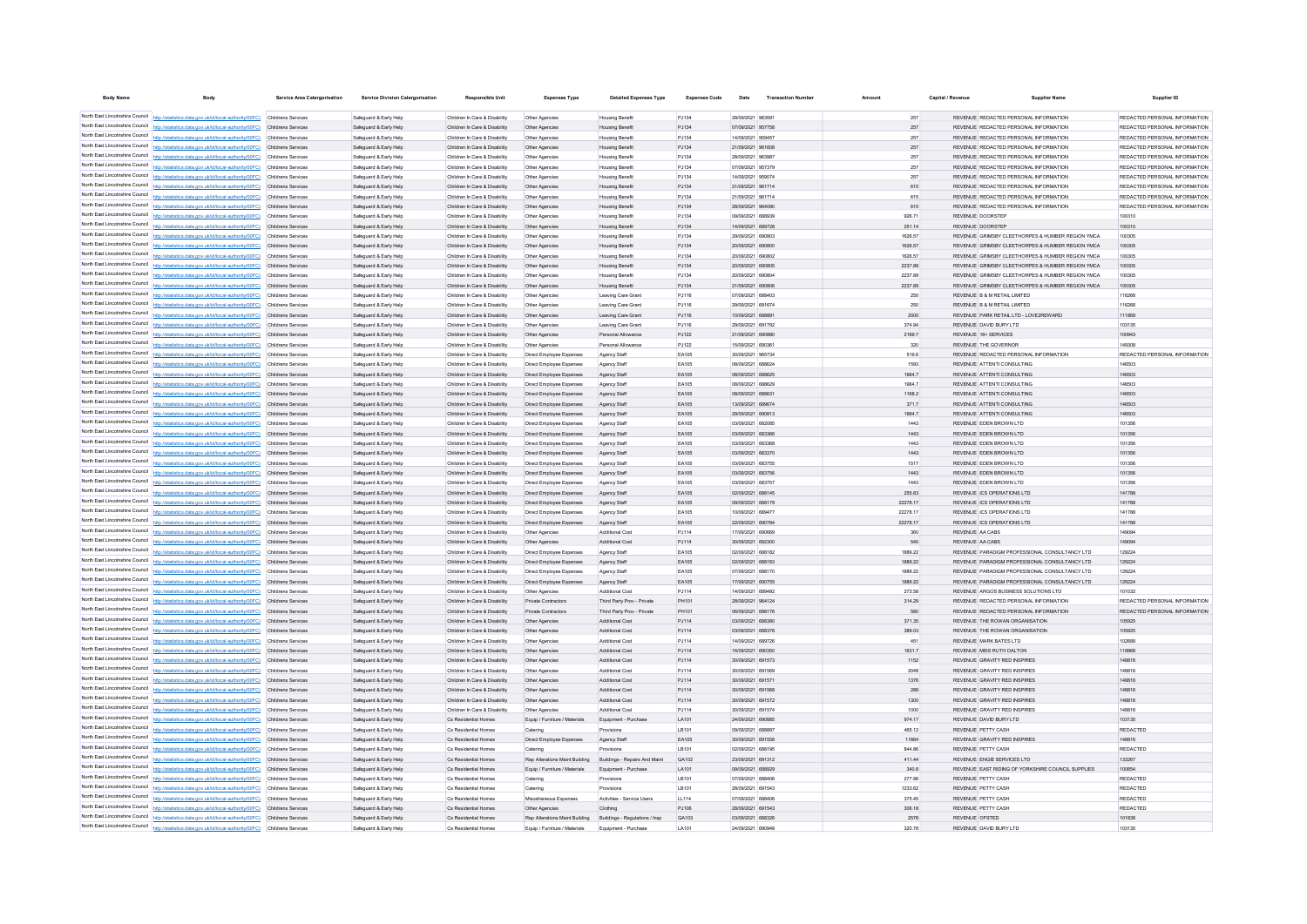| <b>Body Name</b> | Body                                                                                                          | Service Area Catergorisation | <b>Service Division Catergorisation</b> | Responsible Unit              | <b>Expenses Type</b>                                          | <b>Detailed Expenses Type</b>   | <b>Expenses Code</b> | Date              | <b>Transaction Number</b> |          | Capital / Revenue | <b>Supplier Nam</b>                               | Supplier ID                   |
|------------------|---------------------------------------------------------------------------------------------------------------|------------------------------|-----------------------------------------|-------------------------------|---------------------------------------------------------------|---------------------------------|----------------------|-------------------|---------------------------|----------|-------------------|---------------------------------------------------|-------------------------------|
|                  |                                                                                                               |                              |                                         |                               |                                                               |                                 |                      |                   |                           |          |                   |                                                   |                               |
|                  | North East Lincolnshire Council http://statistics.data.gov.uk/id/local-authority/00FC) Childrens Services     |                              | Safequard & Early Help                  | Children In Care & Disability | Other Agencies                                                | <b>Housing Benefit</b>          | PJ134                | 28/09/2021 963591 |                           | 257      |                   | REVENUE REDACTED PERSONAL INFORMATION             | REDACTED PERSONAL INFORMATION |
|                  | North East Lincolnshire Council http://statistics.data.gov.uk/id/local-authority/00FC)                        | Childrens Services           | Safeguard & Early Help                  | Children In Care & Disability | Other Agencies                                                | <b>Housing Benefit</b>          | PJ134                | 07/09/2021 957758 |                           | 257      |                   | REVENUE REDACTED PERSONAL INFORMATION             | REDACTED PERSONAL INFORMATION |
|                  | North East Lincolnshire Council http://statistics.data.gov.uk/id/local-authority/00FC) Childrens Services     |                              | Safeguard & Early Help                  | Children In Care & Disability | Other Agencies                                                | <b>Housing Benefit</b>          | PJ134                | 14/09/2021 959457 |                           | 257      |                   | REVENUE REDACTED PERSONAL INFORMATION             | REDACTED PERSONAL INFORMATION |
|                  | North East Lincolnshire Council http://statistics.data.gov.uk/id/local-authority/00FC)                        | Childrens Services           | Safeguard & Early Help                  | Children In Care & Disability | Other Agencies                                                | <b>Housing Benefit</b>          | PJ134                | 21/09/2021 961608 |                           | 257      |                   | REVENUE REDACTED PERSONAL INFORMATION             | REDACTED PERSONAL INFORMATION |
|                  | North East Lincolnshire Council   http://statistics.data.gov.uk/id/local-authority/00FC)   Childrens Services |                              | Safeguard & Early Help                  | Children In Care & Disability | Other Agencies                                                | <b>Housing Benefit</b>          | PJ134                | 28/09/2021 963987 |                           | 257      |                   | REVENUE REDACTED PERSONAL INFORMATION             | REDACTED PERSONAL INFORMATION |
|                  | North East Lincolnshire Council   http://statistics.data.gov.uk/id/local-authority/00FC)   Childrens Services |                              | Safeguard & Early Help                  | Children In Care & Disability | Other Agencies                                                | <b>Housing Benefit</b>          | PJ134                | 07/09/2021 957379 |                           | 257      |                   | REVENUE REDACTED PERSONAL INFORMATION             | REDACTED PERSONAL INFORMATION |
|                  | North East Lincolnshire Council http://statistics.data.gov.uk/id/local-authority/00FC) Childrens Services     |                              | Safeguard & Early Help                  | Children In Care & Disability | Other Agencies                                                | <b>Housing Benefit</b>          | P.1134               | 14/09/2021 959074 |                           | 257      |                   | REVENUE REDACTED PERSONAL INFORMATION             | REDACTED PERSONAL INFORMATION |
|                  | North East Lincolnshire Council   http://statistics.data.gov.uk/id/local-authority/00FC)                      | Childrens Services           | Safeguard & Early Help                  | Children In Care & Disability | Other Agencies                                                | <b>Housing Benefit</b>          | P.1134               | 21/09/2021 961714 |                           | 615      |                   | REVENUE REDACTED PERSONAL INFORMATION             | REDACTED PERSONAL INFORMATION |
|                  | North East Lincolnshire Council   http://statistics.data.gov.uk/id/local-authority/00FC)                      | Childrens Services           | Safeguard & Early Help                  | Children In Care & Disability | Other Agencies                                                | <b>Housing Benefit</b>          | P.1134               | 21/09/2021 961714 |                           | 615      |                   | REVENUE REDACTED PERSONAL INFORMATION             | REDACTED PERSONAL INFORMATION |
|                  | North East Lincolnshire Council http://statistics.data.gov.uk/id/local-authority/00FC)                        | Childrens Services           | Safeguard & Early Help                  | Children In Care & Disability | Other Agencies                                                | <b>Housing Benefit</b>          | P.1134               | 28/09/2021 964090 |                           | 615      |                   | REVENUE REDACTED PERSONAL INFORMATION             | REDACTED PERSONAL INFORMATION |
|                  | North East Lincolnshire Council http://statistics.data.gov.uk/id/local-authority/00FC)                        | Childrens Services           | Safeguard & Early Help                  | Children In Care & Disability | Other Agencies                                                | <b>Housing Benefit</b>          | PJ134                | 09/09/2021 688939 |                           | 926.71   |                   | REVENUE DOORSTEP                                  | 100310                        |
|                  | North East Lincolnshire Council http://statistics.data.gov.uk/id/local-authority/00FC)                        | Childrens Services           | Safeguard & Early Help                  | Children In Care & Disability | Other Agencies                                                | <b>Housing Benefit</b>          | PJ134                | 14/09/2021 689728 |                           | 251.14   |                   | REVENUE DOORSTEP                                  | 100310                        |
|                  | North East Lincolnshire Council http://statistics.data.gov.uk/id/local-authority/00FC)                        | Childrens Services           | Safeguard & Early Help                  | Children In Care & Disability | Other Agencies                                                | <b>Housing Benefit</b>          | PJ134                | 29/09/2021 690803 |                           | 1626.57  |                   | REVENUE GRIMSBY CLEETHORPES & HUMBER REGION YMCA  | 100305                        |
|                  | North East Lincolnshire Council http://statistics.data.gov.uk/id/local-authority/00FC)                        | <b>Childrens Services</b>    | Safeguard & Early Help                  | Children In Care & Disability | Other Agencies                                                | <b>Housing Benefit</b>          | PJ134                | 20/09/2021 690800 |                           | 1626.57  |                   | REVENUE GRIMSBY CLEETHORPES & HUMBER REGION YMCA  | 100305                        |
|                  | North East Lincolnshire Council http://statistics.data.gov.uk/id/local-authority/00FC)                        | Childrens Services           | Safeguard & Early Help                  | Children In Care & Disability | Other Agencies                                                | <b>Housing Benefit</b>          | PJ134                | 20/09/2021 690802 |                           | 1626.57  |                   | REVENUE GRIMSBY CLEETHORPES & HUMBER REGION YMCA  | 100305                        |
|                  | North East Lincolnshire Council http://statistics.data.gov.uk/id/local-authority/00FC)                        | <b>Childrens Services</b>    | Safeguard & Early Help                  | Children In Care & Disability | Other Agencies                                                | <b>Housing Benefit</b>          | PJ134                | 20/09/2021 690805 |                           | 2237.89  |                   | REVENUE GRIMSBY CLEETHORPES & HUMBER REGION YMCA  | 100305                        |
|                  | North East Lincolnshire Council http://statistics.data.gov.uk/id/local-authority/00FC)                        | Childrens Services           | Safeguard & Early Help                  | Children In Care & Disability | Other Agencies                                                | <b>Housing Benefit</b>          | PJ134                | 20/09/2021 690804 |                           | 2237.89  |                   | REVENUE GRIMSBY CLEETHORPES & HUMBER REGION YMCA  | 100305                        |
|                  | North East Lincolnshire Council http://statistics.data.gov.uk/id/local-authority/00FC)                        | <b>Childrens Services</b>    | Safeguard & Early Help                  | Children In Care & Disability | Other Agencies                                                | <b>Housing Benefit</b>          | PJ134                | 21/09/2021 690806 |                           | 2237.89  |                   | REVENUE GRIMSBY CLEETHORPES & HUMBER REGION YMCA  | 100305                        |
|                  | North East Lincolnshire Council http://statistics.data.gov.uk/id/local-authority/00FC)                        | Childrens Services           | Safeguard & Early Help                  | Children In Care & Disability | Other Agencies                                                | Leaving Care Grant              | PJ116                | 07/09/2021 688403 |                           | 250      |                   | REVENUE B & M RETAIL LIMITED                      | 116266                        |
|                  | North East Lincolnshire Council http://statistics.data.gov.uk/id/local-authority/00FC)                        | Childrens Services           | Safeguard & Early Help                  | Children In Care & Disability | Other Agencies                                                |                                 | PJ116                | 29/09/2021 691674 |                           | 250      |                   | REVENUE B & M RETAIL LIMITED                      | 116266                        |
|                  | North East Lincolnshire Council http://statistics.data.gov.uk/id/local-authority/00FC)                        |                              |                                         |                               |                                                               | Leaving Care Grant              |                      |                   |                           |          |                   | REVENUE PARK RETAIL LTD - LOVE2REWARD             |                               |
|                  |                                                                                                               | <b>Childrens Services</b>    | Safeguard & Early Help                  | Children In Care & Disability | Other Agencies                                                | Leaving Care Grant              | PJ116                | 10/09/2021 688891 |                           | 2000     |                   |                                                   | 111869                        |
|                  | North East Lincolnshire Council http://statistics.data.gov.uk/id/local-authority/00FC) Childrens Services     |                              | Safeguard & Early Help                  | Children In Care & Disability | Other Agencies                                                | Leaving Care Grant              | P.I116               | 29/09/2021 691792 |                           | 374 94   |                   | REVENUE DAVID BURY LTD                            | 103135                        |
|                  | North East Lincolnshire Council http://statistics.data.gov.uk/id/local-authority/00FC)                        | Childrens Services           | Safeguard & Early Help                  | Children In Care & Disability | Other Agencies                                                | Personal Allowance              | PJ122                | 21/09/2021 690880 |                           | 2169.7   |                   | REVENUE 16+ SERVICES                              | 100943                        |
|                  | North East Lincolnshire Council http://statistics.data.gov.uk/id/local-authority/00FC) Childrens Services     |                              | Safeguard & Early Help                  | Children In Care & Disability | Other Agencies                                                | Personal Allowance              | P.1122               | 15/09/2021 690361 |                           | 320      |                   | REVENUE THE GOVERNOR                              | 149308                        |
|                  | North East Lincolnshire Council http://statistics.data.gov.uk/id/local-authority/00FC) Childrens Services     |                              | Safeguard & Early Help                  | Children In Care & Disability | Direct Employee Expenses                                      | Agency Staff                    | EA105                | 30/09/2021 965734 |                           | 519.6    |                   | REVENUE REDACTED PERSONAL INFORMATION             | REDACTED PERSONAL INFORMATION |
|                  | North East Lincolnshire Council http://statistics.data.gov.uk/id/local-authority/00FC) Childrens Services     |                              | Safeguard & Early Help                  | Children In Care & Disability | Direct Employee Expenses                                      | Agency Staff                    | EA105                | 08/09/2021 688624 |                           | 1593     |                   | REVENUE ATTENTI CONSULTING                        | 146503                        |
|                  | North East Lincolnshire Council http://statistics.data.gov.uk/id/local-authority/00FC) Childrens Services     |                              | Safeguard & Early Help                  | Children In Care & Disability | Direct Employee Expenses                                      | Agency Staff                    | EA105                | 08/09/2021 688625 |                           | 1964.7   |                   | REVENUE ATTENTICONSULTING                         | 146503                        |
|                  | North East Lincolnshire Council http://statistics.data.gov.uk/id/local-authority/00FC) Childrens Services     |                              | Safeguard & Early Help                  | Children In Care & Disability | Direct Employee Expenses                                      | Agency Staff                    | EA105                | 08/09/2021 688629 |                           | 1964.7   |                   | REVENUE ATTENTI CONSULTING                        | 146503                        |
|                  | North East Lincolnshire Council http://statistics.data.gov.uk/id/local-authority/00FC) Childrens Services     |                              | Safeguard & Early Help                  | Children In Care & Disability | Direct Employee Expenses                                      | Agency Staff                    | EA105                | 08/09/2021 688631 |                           | 1168.2   |                   | REVENUE ATTENTI CONSULTING                        | 146503                        |
|                  | North East Lincolnshire Council http://statistics.data.gov.uk/id/local-authority/00FC) Childrens Services     |                              | Safeguard & Early Help                  | Children In Care & Disability | Direct Employee Expenses                                      | Agency Staff                    | EA105                | 13/09/2021 689674 |                           | 371.7    |                   | REVENUE ATTENTI CONSULTING                        | 146503                        |
|                  | North East Lincolnshire Council http://statistics.data.gov.uk/id/local-authority/00FC) Childrens Services     |                              | Safeguard & Early Help                  | Children In Care & Disability | Direct Employee Expenses                                      | Agency Staff                    | EA105                | 29/09/2021 690813 |                           | 1964.7   |                   | REVENUE ATTENTI CONSULTING                        | 146503                        |
|                  | North East Lincolnshire Council http://statistics.data.gov.uk/id/local-authority/00FC) Childrens Services     |                              | Safeguard & Early Help                  | Children In Care & Disability | Direct Employee Expenses                                      | Agency Staff                    | EA105                | 03/09/2021 682085 |                           | 1443     |                   | REVENUE EDEN BROWN LTD                            | 101356                        |
|                  | North East Lincolnshire Council http://statistics.data.gov.uk/id/local-authority/00FC) Childrens Services     |                              | Safeguard & Early Help                  | Children In Care & Disability | Direct Employee Expenses                                      | Agency Staff                    | EA105                | 03/09/2021 683366 |                           | 1443     |                   | REVENUE EDEN BROWN LTD                            | 101356                        |
|                  | North East Lincolnshire Council http://statistics.data.gov.uk/id/local-authority/00FC) Childrens Services     |                              | Safeguard & Early Help                  | Children In Care & Disability | Direct Employee Expenses                                      | Agency Staff                    | EA105                | 03/09/2021 683368 |                           | 1443     |                   | REVENUE EDEN BROWN LTD                            | 101356                        |
|                  | North East Lincolnshire Council http://statistics.data.gov.uk/id/local-authority/00FC) Childrens Services     |                              | Safeguard & Early Help                  | Children In Care & Disability | Direct Employee Expenses                                      | Agency Staff                    | EA105                | 03/09/2021 683370 |                           | 1443     |                   | REVENUE EDEN BROWN LTD                            | 101356                        |
|                  | North East Lincolnshire Council http://statistics.data.gov.uk/id/local-authority/00FC) Childrens Services     |                              | Safeguard & Early Help                  | Children In Care & Disability | Direct Employee Expenses                                      | Agency Staff                    | EA105                | 03/09/2021 683755 |                           | 1517     |                   | REVENUE EDEN BROWN LTD                            | 101356                        |
|                  | North East Lincolnshire Council http://statistics.data.gov.uk/id/local-authority/00FC) Childrens Services     |                              | Safeguard & Early Help                  | Children In Care & Disability | Direct Employee Expenses                                      | Agency Staff                    | EA105                | 03/09/2021 683756 |                           | 1443     |                   | REVENUE EDEN BROWN LTD                            | 101356                        |
|                  | North East Lincolnshire Council http://statistics.data.gov.uk/id/local-authority/00FC) Childrens Services     |                              | Safeguard & Early Help                  | Children In Care & Disability | Direct Employee Expenses                                      | Agency Staff                    | EA105                | 03/09/2021 683757 |                           | 1443     |                   | REVENUE FDEN BROWN LTD                            | 101356                        |
|                  | North East Lincolnshire Council http://statistics.data.gov.uk/id/local-authority/00FC)                        | Childrens Services           | Safeguard & Early Help                  | Children In Care & Disability | Direct Employee Expenses                                      | Agency Staff                    | <b>FA105</b>         | 02/09/2021 688145 |                           | 255.83   |                   | REVENUE ICS OPERATIONS LTD                        | 141788                        |
|                  | North East Lincolnshire Council http://statistics.data.gov.uk/id/local-authority/00FC)                        | Childrens Services           | Safeguard & Early Help                  | Children In Care & Disability | Direct Employee Expenses                                      | Agency Staff                    | EA105                | 09/09/2021 688179 |                           | 22278 17 |                   | REVENUE ICS OPERATIONS LTD                        | 141788                        |
|                  | North East Lincolnshire Council http://statistics.data.gov.uk/id/local-authority/00FC) Childrens Services     |                              | Safeguard & Early Help                  | Children In Care & Disability | Direct Employee Expenses                                      | Agency Staff                    | <b>FA105</b>         | 10/09/2021 689477 |                           | 22278 17 |                   | REVENUE ICS OPERATIONS LTD                        | 141788                        |
|                  | North East Lincolnshire Council http://statistics.data.gov.uk/id/local-authority/00FC) Childrens Services     |                              |                                         | Children In Care & Disability |                                                               |                                 | EA105                | 22/09/2021 690784 |                           | 22278.17 |                   | REVENUE ICS OPERATIONS LTD                        | 141788                        |
|                  | North East Lincolnshire Council http://statistics.data.gov.uk/id/local-authority/00FC) Childrens Services     |                              | Safeguard & Early Help                  | Children In Care & Disability | Direct Employee Expenses                                      | Agency Staff<br>Additional Cost | P.1114               | 17/09/2021 690669 |                           |          |                   | REVENUE AA CARS                                   | 149094                        |
|                  |                                                                                                               |                              | Safeguard & Early Help                  |                               | Other Agencies                                                |                                 |                      |                   |                           | 360      |                   |                                                   |                               |
|                  | North East Lincolnshire Council http://statistics.data.gov.uk/id/local-authority/00FC) Childrens Services     |                              | Safeguard & Early Help                  | Children In Care & Disability | Other Agencies                                                | Additional Cost                 | PJ114                | 30/09/2021 692300 |                           | 540      |                   | REVENUE AA CARS                                   | 149094                        |
|                  | North East Lincolnshire Council http://statistics.data.gov.uk/id/local-authority/00FC) Childrens Services     |                              | Safeguard & Early Help                  | Children In Care & Disability | Direct Employee Expenses                                      | Agency Staff                    | <b>FA105</b>         | 02/09/2021 688182 |                           | 1889.22  |                   | REVENUE PARADIGM PROFESSIONAL CONSULTANCY LTD.    | 129224                        |
|                  | North East Lincolnshire Council http://statistics.data.gov.uk/id/local-authority/00FC) Childrens Services     |                              | Safeguard & Early Help                  | Children In Care & Disability | Direct Employee Expenses                                      | Agency Staff                    | EA105                | 02/09/2021 688183 |                           | 1889.22  |                   | REVENUE PARADIGM PROFESSIONAL CONSULTANCY LTD     | 129224                        |
|                  | North East Lincolnshire Council http://statistics.data.gov.uk/id/local-authority/00FC) Childrens Services     |                              | Safeguard & Early Help                  | Children In Care & Disability | Direct Employee Expenses                                      | Agency Staff                    | EA105                | 07/09/2021 688170 |                           | 1889.22  |                   | REVENUE PARADIGM PROFESSIONAL CONSULTANCY LTD     | 129224                        |
|                  | North East Lincolnshire Council http://statistics.data.gov.uk/id/local-authority/00FC)                        | Childrens Services           | Safeguard & Early Help                  | Children In Care & Disability | Direct Employee Expenses                                      | Agency Staff                    | EA105                | 17/09/2021 690755 |                           | 1889.22  |                   | REVENUE PARADIGM PROFESSIONAL CONSULTANCY LTD     | 129224                        |
|                  | North East Lincolnshire Council http://statistics.data.gov.uk/id/local-authority/00FC) Childrens Services     |                              | Safeguard & Early Help                  | Children In Care & Disability | Other Agencies                                                | Additional Cost                 | PJ114                | 14/09/2021 689492 |                           | 273.58   |                   | REVENUE ARGOS BUSINESS SOLUTIONS LTD              | 101032                        |
|                  | North East Lincolnshire Council http://statistics.data.gov.uk/id/local-authority/00FC)                        | Childrens Services           | Safeguard & Early Help                  | Children In Care & Disability | Private Contractors                                           | Third Party Prov - Private      | PH101                | 28/09/2021 964124 |                           | 314.29   |                   | REVENUE REDACTED PERSONAL INFORMATION             | REDACTED PERSONAL INFORMATION |
|                  | North East Lincolnshire Council http://statistics.data.gov.uk/id/local-authority/00FC)                        | Childrens Service            | Safeguard & Early Help                  | Children In Care & Disability | Private Contractors                                           | Third Party Prov - Private      | PH101                | 06/09/2021 688176 |                           | 580      |                   | REVENUE REDACTED PERSONAL INFORMATION             | REDACTED PERSONAL INFORMATION |
|                  | North East Lincolnshire Council http://statistics.data.gov.uk/id/local-authority/00FC)                        | Childrens Service            | Safeguard & Early Help                  | Children In Care & Disability | Other Agencies                                                | Additional Cost                 | PJ114                | 03/09/2021 688380 |                           | 371.35   |                   | REVENUE THE ROWAN ORGANISATION                    | 105925                        |
|                  | North East Lincolnshire Council http://statistics.data.gov.uk/id/local-authority/00FC)                        | Childrens Service            | Safeguard & Early Help                  | Children In Care & Disability | Other Agencies                                                | Additional Cost                 | PJ114                | 03/09/2021 688378 |                           | 389.03   |                   | REVENUE THE ROWAN ORGANISATION                    | 105925                        |
|                  | North East Lincolnshire Council http://statistics.data.gov.uk/id/local-authority/00FC)                        | Childrens Service            | Safeguard & Early Help                  | Children In Care & Disability | Other Agencies                                                | Additional Cost                 | P.1114               | 14/09/2021 689726 |                           | 451      |                   | REVENUE MARK BATES I TD                           | 102688                        |
|                  | North East Lincolnshire Council http://statistics.data.gov.uk/id/local-authority/00FC)                        | Childrens Service            | Safeguard & Early Help                  | Children In Care & Disability | Other Agencie                                                 | Additional Cost                 | PJ114                | 16/09/2021 690350 |                           | 1631.7   |                   | REVENUE MISS RUTH DALTON                          | 118968                        |
|                  | North East Lincolnshire Council http://statistics.data.gov.uk/id/local-authority/00FC)                        | Childrens Service            | Safeguard & Early Help                  | Children In Care & Disability | Other Agencies                                                | Additional Cost                 | PJ114                | 30/09/2021 691573 |                           | 1152     |                   | REVENUE GRAVITY RED INSPIRES                      | 148816                        |
|                  | North East Lincolnshire Council http://statistics.data.gov.uk/id/local-authority/00FC)                        | Childrens Service            | Safeguard & Early Help                  | Children In Care & Disability | Other Agencie                                                 | Additional Cost                 | PJ114                | 30/09/2021 691569 |                           | 2048     |                   | REVENUE GRAVITY RED INSPIRES                      | 148816                        |
|                  | North East Lincolnshire Council http://statistics.data.gov.uk/id/local-authority/00FC)                        | Childrens Service            | Safeguard & Early Help                  | Children In Care & Disability | Other Agencie                                                 | Additional Cost                 | PJ114                | 30/09/2021 691571 |                           | 1376     |                   | REVENUE GRAVITY RED INSPIRES                      | 148816                        |
|                  | North East Lincolnshire Council http://statistics.data.gov.uk/id/local-authority/00FC)                        | Childrens Service            | Safeguard & Early Help                  | Children In Care & Disability | Other Agencie                                                 | Additional Cost                 | PJ114                | 30/09/2021 691568 |                           | 288      |                   | REVENUE GRAVITY RED INSPIRES                      | 148816                        |
|                  | North East Lincolnshire Council http://statistics.data.gov.uk/id/local-authority/00FC)                        | Childrens Service            | Safeguard & Early Help                  | Children In Care & Disability | Other Agencies                                                | Additional Cost                 | PJ114                | 30/09/2021 691572 |                           | 1300     |                   | REVENUE GRAVITY RED INSPIRES                      | 148816                        |
|                  | North East Lincolnshire Council http://statistics.data.gov.uk/id/local-authority/00FC)                        |                              |                                         |                               |                                                               |                                 |                      |                   |                           |          |                   |                                                   | 148816                        |
|                  | North East Lincolnshire Council http://statistics.data.gov.uk/id/local-authority/00FC)                        | Childrens Services           | Safeguard & Early Help                  | Children In Care & Disability | Other Agencie                                                 | Additional Cost                 | PJ114                | 30/09/2021 691574 |                           | 1000     |                   | REVENUE GRAVITY RED INSPIRES                      |                               |
|                  |                                                                                                               | Childrens Service            | Safeguard & Early Help                  | Cs Residential Homes          | Equip / Furniture / Materials                                 | Equipment - Purchase            | LA101                | 24/09/2021 690885 |                           | 974.17   |                   | REVENUE DAVID BURY LTD                            | 103135                        |
|                  | North East Lincolnshire Council http://statistics.data.gov.uk/id/local-authority/00FC)                        | Childrens Services           | Safeguard & Early Help                  | Cs Residential Homes          | Catering                                                      | Provisions                      | LB101                | 09/09/2021 688897 |                           | 465.12   |                   | REVENUE PETTY CASH                                | REDACTED                      |
|                  | North East Lincolnshire Council http://statistics.data.gov.uk/id/local-authority/00FC)                        | Childrens Service            | Safeguard & Early Help                  | Cs Residential Homes          | Direct Employee Expenses                                      | Agency Staff                    | EA105                | 30/09/2021 691558 |                           | 11664    |                   | REVENUE GRAVITY RED INSPIRES                      | 148816                        |
|                  | North East Lincolnshire Council http://statistics.data.gov.uk/id/local-authority/00FC).                       | Childrens Services           | Safeguard & Early Help                  | Cs Residential Homes          | Catering                                                      | Provisions                      | LB101                | 02/09/2021 688195 |                           | 844.86   |                   | REVENUE PETTY CASH                                | REDACTED                      |
|                  | North East Lincolnshire Council http://statistics.data.gov.uk/id/local-authority/00FC).                       | Childrens Services           | Safeguard & Early Help                  | Cs Residential Homes          | Rep Alterations Maint Building                                | Buildings - Repairs And Maint   | GA102                | 23/09/2021 691312 |                           | 411.44   |                   | REVENUE ENGIE SERVICES LTD                        | 133267                        |
|                  | North East Lincolnshire Council http://statistics.data.gov.uk/id/local-authority/00FC).                       |                              | Safeguard & Early Help                  | Cs Residential Homes          | Equip / Furniture / Materials                                 | Equipment - Purchase            | LA101                | 09/09/2021 688929 |                           | 340.8    |                   | REVENUE EAST RIDING OF YORKSHIRE COUNCIL SUPPLIES | 100654                        |
|                  | North East Lincolnshire Council http://statistics.data.gov.uk/id/local-authority/00FC) Childrens Services     |                              | Safeguard & Early Help                  | Cs Residential Homes          | Catering                                                      | Provisions                      | LB101                | 07/09/2021 688406 |                           | 277.86   |                   | REVENUE PETTY CASH                                | <b>REDACTED</b>               |
|                  | North East Lincolnshire Council   http://statistics.data.gov.uk/id/local-authority/00FC)                      | Childrens Service            | Safeguard & Early Help                  | Cs Residential Homes          | Catering                                                      | Provisions                      | LB101                | 28/09/2021 691543 |                           | 1233.62  |                   | REVENUE PETTY CASH                                | <b>REDACTED</b>               |
|                  | North East Lincolnshire Council http://statistics.data.gov.uk/id/local-authority/00FC)                        | Childrens Service            | Safeguard & Early Help                  | Cs Residential Homer          | Miscellaneous Expenses                                        | Activities - Service Users      | LL114                | 07/09/2021 688406 |                           | 375.45   |                   | REVENUE PETTY CASH                                | <b>REDACTED</b>               |
|                  | North East Lincolnshire Council http://statistics.data.gov.uk/id/local-authority/00FC)                        | Childrens Service            | Safeguard & Early Help                  | Cs Residential Homes          | Other Agencie                                                 | Clothing                        | PJ106                | 28/09/2021 691543 |                           | 306.18   |                   | REVENUE PETTY CASH                                | <b>REDACTED</b>               |
|                  | North East Lincolnshire Council http://statistics.data.gov.uk/id/local-authority/00FC) Childrens Services     |                              | Safeguard & Early Help                  | Cs Residential Homes          | Rep Alterations Maint Building Buildings - Regulations / Insp |                                 | GA103                | 03/09/2021 688326 |                           | 2578     |                   | REVENUE OFSTED                                    | 101836                        |
|                  | North East Lincolnshire Council http://statistics.data.gov.uk/id/local-authority/00FC) Childrens Services     |                              | Safeguard & Early Help                  | Cs Residential Homes          | Equip / Furniture / Materials                                 | Equipment - Purchas             | <b>LA101</b>         | 24/09/2021 690948 |                           | 320.78   |                   | REVENUE DAVID BURY LTD                            | 103135                        |
|                  |                                                                                                               |                              |                                         |                               |                                                               |                                 |                      |                   |                           |          |                   |                                                   |                               |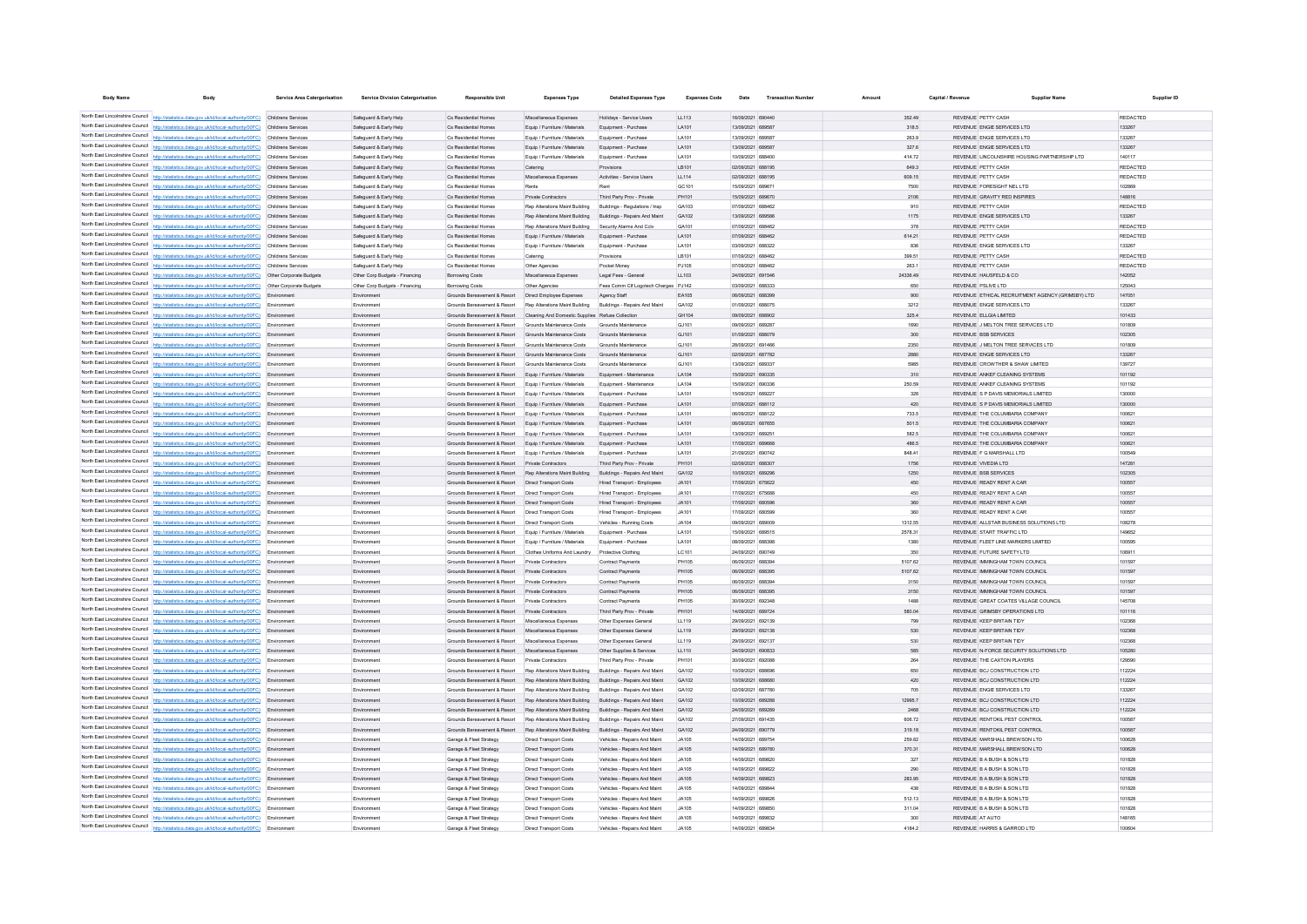| <b>Body Name</b>                |                                                                                                                | Service Area Catergorisation | <b>Service Division Catergorisation</b> | <b>Responsible Unit</b>                                                       | <b>Expenses Type</b>                                          | <b>Detailed Expenses Type</b>        | <b>Expenses Code</b> |                   | <b>Transaction Num</b> |          | Capital / Revenue | <b>Supplier Name</b>                             |                 | Supplier ID |
|---------------------------------|----------------------------------------------------------------------------------------------------------------|------------------------------|-----------------------------------------|-------------------------------------------------------------------------------|---------------------------------------------------------------|--------------------------------------|----------------------|-------------------|------------------------|----------|-------------------|--------------------------------------------------|-----------------|-------------|
|                                 |                                                                                                                |                              |                                         |                                                                               |                                                               |                                      |                      |                   |                        |          |                   |                                                  |                 |             |
|                                 | North East Lincolnshire Council http://statistics.data.gov.uk/id/local-authority/00FC) Childrens Services      |                              | Safeguard & Early Help                  | Cs Residential Homes                                                          | Miscellaneous Expenses                                        | Holidays - Service Users             | LL113                | 16/09/2021 690440 |                        | 352.49   |                   | REVENUE PETTY CASH                               | REDACTED        |             |
|                                 | North East Lincolnshire Council http://statistics.data.gov.uk/id/local-authority/00FC)                         | Childrens Services           | Safeguard & Early Help                  | Cs Residential Homes                                                          | Equip / Furniture / Materials Equipment - Purchase            |                                      | LA101                | 13/09/2021 689587 |                        | 318.5    |                   | REVENUE ENGIE SERVICES LTD                       | 133267          |             |
|                                 | North East Lincolnshire Council http://statistics.data.gov.uk/id/local-authority/00FC) Childrens Services      |                              | Safeguard & Early Help                  | Cs Residential Homes                                                          | Equip / Furniture / Materials                                 | Equipment - Purchase                 | LA101                | 13/09/2021 689587 |                        | 263.9    |                   | REVENUE ENGIE SERVICES LTD                       | 133267          |             |
|                                 | North East Lincolnshire Council http://statistics.data.gov.uk/id/local-authority/00FC) Childrens Services      |                              | Safeguard & Early Help                  | Cs Residential Homes                                                          | Equip / Furniture / Materials                                 | Equipment - Purchase                 | LA101                | 13/09/2021 689587 |                        | 327.6    |                   | REVENUE ENGIE SERVICES LTD                       | 133267          |             |
|                                 | North East Lincolnshire Council http://statistics.data.gov.uk/id/local-authority/00FC) Childrens Services      |                              | Safeguard & Early Help                  | Cs Residential Homes                                                          | Equip / Furniture / Materials                                 | Equipment - Purchase                 | LA101                | 10/09/2021 688400 |                        | 414.72   |                   | REVENUE LINCOLNSHIRE HOUSING PARTNERSHIP LTD     | 140117          |             |
|                                 | North East Lincolnshire Council http://statistics.data.gov.uk/id/local-authority/00FC) Childrens Services      |                              | Safeguard & Early Help                  | Cs Residential Homes                                                          | Catering                                                      | Provisions                           | LB101                | 02/09/2021 688195 |                        | 649.3    |                   | REVENUE PETTY CASH                               | REDACTED        |             |
| North East Lincolnshire Council | http://statistics.data.gov.uk/id/local-authority/00FC)                                                         | <b>Childrens Services</b>    | Safeguard & Early Help                  | Cs Residential Homes                                                          | Miscellaneous Expenses                                        | Activities - Service Users           | LL114                | 02/09/2021 688195 |                        | 609.15   |                   | REVENUE PETTY CASH                               | <b>REDACTED</b> |             |
| North East Lincolnshire Council | http://statistics.data.gov.uk/id/local-authority/00FC) Childrens Services                                      |                              | Safeguard & Early Help                  | Cs Residential Homes                                                          | Rents                                                         | Rent                                 | GC101                | 15/09/2021 689671 |                        | 7500     |                   | REVENUE FORESIGHT NEL LTD                        | 102869          |             |
|                                 | North East Lincolnshire Council http://statistics.data.gov.uk/id/local-authority/00FC)                         | <b>Childrens Services</b>    | Safeguard & Early Help                  | Cs Residential Homes                                                          | Private Contractors                                           | Third Party Prov - Private           | PH101                | 15/09/2021 689670 |                        | 2106     |                   | REVENUE GRAVITY RED INSPIRES                     | 148816          |             |
|                                 | North East Lincolnshire Council http://statistics.data.gov.uk/id/local-authority/00FC) Childrens Services      |                              | Safeguard & Early Help                  | Cs Residential Homes                                                          | Rep Alterations Maint Building Buildings - Regulations / Insp |                                      | GA103                | 07/09/2021 688462 |                        | 910      |                   | REVENUE PETTY CASH                               | REDACTED        |             |
|                                 | North East Lincolnshire Council http://statistics.data.gov.uk/id/local-authority/00FC)                         | Childrens Services           | Safeguard & Early Help                  | Cs Residential Homes                                                          | Rep Alterations Maint Building Buildings - Repairs And Maint  |                                      | GA102                | 13/09/2021 689586 |                        | 1175     |                   | REVENUE ENGIE SERVICES LTD                       | 133267          |             |
|                                 | North East Lincolnshire Council http://statistics.data.gov.uk/id/local-authority/00FC)                         | Childrens Services           | Safeguard & Early Help                  | Cs Residential Homes                                                          | Rep Alterations Maint Building Security Alarms And Cctv       |                                      | GA101                | 07/09/2021 688462 |                        | 378      |                   | REVENUE PETTY CASH                               | REDACTED        |             |
|                                 | North East Lincolnshire Council http://statistics.data.gov.uk/id/local-authority/00FC)                         | Childrens Services           | Safeguard & Early Help                  | Cs Residential Homes                                                          | Equip / Furniture / Materials                                 | Equipment - Purchase                 | LA101                | 07/09/2021 688462 |                        | 614.21   |                   | REVENUE PETTY CASH                               | <b>REDACTED</b> |             |
|                                 | North East Lincolnshire Council http://statistics.data.gov.uk/id/local-authority/00FC)                         | Childrens Services           | Safeguard & Early Help                  | Cs Residential Homes                                                          | Equip / Furniture / Materials                                 | Equipment - Purchase                 | LA101                | 03/09/2021 688322 |                        | 836      |                   | REVENUE ENGIE SERVICES LTD                       | 133267          |             |
|                                 | North East Lincolnshire Council http://statistics.data.gov.uk/id/local-authority/00FC)                         | Childrens Services           | Safeguard & Early Held                  | Cs Residential Homes                                                          | Catering                                                      | Provisions                           | LB101                | 07/09/2021 688462 |                        | 399.51   |                   | REVENUE PETTY CASH                               | <b>REDACTED</b> |             |
|                                 | North East Lincolnshire Council http://statistics.data.gov.uk/id/local-authority/00FC)                         | Childrens Services           | Safeguard & Early Held                  | Cs Residential Homes                                                          | Other Agencies                                                | Pocket Money                         | PJ105                | 07/09/2021 688462 |                        | 263.1    |                   | REVENUE PETTY CASH                               | <b>REDACTED</b> |             |
|                                 | North East Lincolnshire Council http://statistics.data.gov.uk/id/local-authority/00FC)                         | Other Corporate Budgets      | Other Corp Budgets - Financing          | Borrowing Costs                                                               | Miscellaneous Expenses                                        | Legal Fees - General                 | LL103                | 24/09/2021 691546 |                        | 24336.49 |                   | REVENUE HAUSFELD & CO.                           | 142052          |             |
|                                 | North East Lincolnshire Council http://statistics.data.gov.uk/id/local-authority/00FC) Other Corporate Budgets |                              | Other Corp Budgets - Financing          | Borrowing Costs                                                               | Other Agencies                                                | Fees Comm Clf Logotech Charges PJ142 |                      | 03/09/2021 688333 |                        | 650      |                   | REVENUE PSLIVE LTD                               | 125043          |             |
|                                 | North East Lincolnshire Council http://statistics.data.gov.uk/id/local-authority/00FC)                         | Environment                  | Environment                             | Grounds Bereavement & Resort  Direct Employee Expenses                        |                                                               | Agency Staff                         | EA105                | 06/09/2021 688399 |                        | 900      |                   | REVENUE ETHICAL RECRUITMENT AGENCY (GRIMSBY) LTD | 147051          |             |
|                                 | North East Lincolnshire Council http://statistics.data.gov.uk/id/local-authority/00FC)                         | Environment                  | Environment                             | Grounds Bereavement & Resort                                                  | Rep Alterations Maint Building Buildings - Repairs And Maint  |                                      | GA102                | 01/09/2021 688075 |                        | 3212     |                   | REVENUE ENGIE SERVICES LTD                       | 133267          |             |
|                                 | North East Lincolnshire Council http://statistics.data.gov.uk/id/local-authority/00FC)                         | Environment                  | Environment                             | Grounds Bereavement & Resort Cleaning And Domestic Supplies Refuse Collection |                                                               |                                      | GH104                | 09/09/2021 688902 |                        | 325.4    |                   | REVENUE ELLGIA LIMITED                           | 101433          |             |
|                                 | North East Lincolnshire Council http://statistics.data.gov.uk/id/local-authority/00FC) Environment             |                              | Environment                             | Grounds Bereavement & Resort                                                  | Grounds Maintenance Costs                                     | Grounds Maintenance                  | GJ101                | 09/09/2021 689287 |                        | 1690     |                   | REVENUE J MELTON TREE SERVICES LTD               | 101809          |             |
|                                 | North East Lincolnshire Council http://statistics.data.gov.uk/id/local-authority/00FC) Environment             |                              | Environment                             | Grounds Bereavement & Resort Grounds Maintenance Costs                        |                                                               | Grounds Maintenance                  | G.1101               | 01/09/2021 688079 |                        | 300      |                   | REVENUE BSB SERVICES                             | 102305          |             |
|                                 | North East Lincolnshire Council http://statistics.data.gov.uk/id/local-authority/00FC) Environment             |                              | Environment                             | Grounds Bereavement & Resort Grounds Maintenance Costs                        |                                                               | Grounds Maintenance                  | G.1101               | 28/09/2021 691466 |                        | 2350     |                   | REVENUE J MELTON TREE SERVICES LTD.              | 101809          |             |
|                                 | North East Lincolnshire Council http://statistics.data.gov.uk/id/local-authority/00FC) Environment             |                              | Environment                             | Grounds Bereavement & Resort Grounds Maintenance Costs                        |                                                               | Grounds Maintenance                  | G.1101               | 02/09/2021 687782 |                        | 2880     |                   | REVENUE ENGIE SERVICES LTD                       | 133267          |             |
|                                 | North East Lincolnshire Council http://statistics.data.gov.uk/id/local-authority/00FC) Environment             |                              | Environment                             | Grounds Bereavement & Resort Grounds Maintenance Costs                        |                                                               | Grounds Maintenance                  | G.1101               | 13/09/2021 689337 |                        | 5985     |                   | REVENUE CROWTHER & SHAW LIMITED.                 | 139727          |             |
|                                 | North East Lincolnshire Council http://statistics.data.gov.uk/id/local-authority/00FC)                         |                              |                                         |                                                                               |                                                               |                                      |                      |                   |                        |          |                   |                                                  |                 |             |
|                                 |                                                                                                                | Environment                  | Environment                             | Grounds Bereavement & Resort Equip / Furniture / Materials                    |                                                               | Foujoment - Maintenance              | LA104                | 15/09/2021 690335 |                        | 310      |                   | REVENUE ANKEE CLEANING SYSTEMS                   | 101192          |             |
|                                 | North East Lincolnshire Council http://statistics.data.gov.uk/id/local-authority/00FC) Environment             |                              | Environment                             | Grounds Bereavement & Resort Equip / Furniture / Materials                    |                                                               | Foujoment - Maintenance              | 1 A104               | 15/09/2021 690336 |                        | 250.59   |                   | REVENUE ANKEE CLEANING SYSTEMS                   | 101192          |             |
|                                 | North East Lincolnshire Council http://statistics.data.gov.uk/id/local-authority/00FC) Environment             |                              | Environmen                              | Grounds Bereavement & Resort Equip / Furniture / Materials                    |                                                               | Foulnment - Purchase                 | LA101                | 15/09/2021 689227 |                        | 328      |                   | REVENUE S P DAVIS MEMORIALS LIMITED              | 130000          |             |
|                                 | North East Lincolnshire Council http://statistics.data.gov.uk/id/local-authority/00FC)                         | Environment                  | Environmen                              | Grounds Bereavement & Resort Equip / Furniture / Materials                    |                                                               | Equipment - Purchase                 | LA101                | 07/09/2021 688112 |                        | 420      |                   | REVENUE S P DAVIS MEMORIALS LIMITED              | 130000          |             |
|                                 | North East Lincolnshire Council http://statistics.data.gov.uk/id/local-authority/00FC)                         | Environment                  | Environmen                              | Grounds Bereavement & Resort Equip / Furniture / Materials                    |                                                               | Equipment - Purchase                 | LA101                | 06/09/2021 688122 |                        | 733.5    |                   | REVENUE THE COLUMBARIA COMPANY                   | 100621          |             |
|                                 | North East Lincolnshire Council http://statistics.data.gov.uk/id/local-authority/00FC)                         | Environment                  | Environmen                              | Grounds Bereavement & Resort Equip / Furniture / Materials                    |                                                               | Equipment - Purchase                 | LA101                | 06/09/2021 687655 |                        | 501.5    |                   | REVENUE THE COLUMBARIA COMPANY                   | 100621          |             |
|                                 | North East Lincolnshire Council   http://statistics.data.gov.uk/id/local-authority/00FC)                       |                              | Environmen                              | Grounds Bereavement & Resort Equip / Furniture / Materials                    |                                                               | Equipment - Purchase                 | LA101                | 13/09/2021 689251 |                        | 582.5    |                   | REVENUE THE COLUMBARIA COMPANY                   | 100621          |             |
|                                 | North East Lincolnshire Council http://statistics.data.gov.uk/id/local-authority/00FC).                        |                              | Environmen                              | Grounds Bereavement & Resort Equip / Furniture / Materials                    |                                                               | Equipment - Purchase                 | LA101                | 17/09/2021 689668 |                        | 486.5    |                   | REVENUE THE COLUMBARIA COMPANY                   | 100621          |             |
|                                 | North East Lincolnshire Council http://statistics.data.gov.uk/id/local-authority/00FC) Environment             |                              | Environmen                              | Grounds Bereavement & Resort                                                  | Equip / Furniture / Materials                                 | Equipment - Purchase                 | LA101                | 21/09/2021 690742 |                        | 848.41   |                   | REVENUE F G MARSHALL LTD                         | 100549          |             |
|                                 | North East Lincolnshire Council http://statistics.data.gov.uk/id/local-authority/00FC)                         |                              | Environmen                              | Grounds Bereavement & Resort                                                  | Private Contractors                                           | Third Party Prov - Private           | PH101                | 02/09/2021 688307 |                        | 1756     |                   | REVENUE VIVEDIA LTD                              | 147281          |             |
|                                 | North East Lincolnshire Council http://statistics.data.gov.uk/id/local-authority/00FC)                         |                              | Environmen                              | Grounds Bereavement & Resort                                                  | Rep Alterations Maint Building                                | Buildings - Repairs And Maint        | GA102                | 10/09/2021 689296 |                        | 1250     |                   | REVENUE BSB SERVICES                             | 102305          |             |
|                                 | North East Lincolnshire Council http://statistics.data.gov.uk/id/local-authority/00FC)                         |                              | Environmen                              | Grounds Bereavement & Resort   Direct Transport Costs                         |                                                               | Hired Transport - Employees          | JA101                | 17/09/2021 675622 |                        | 450      |                   | REVENUE READY RENT A CAR                         | 100557          |             |
|                                 | North East Lincolnshire Council http://statistics.data.gov.uk/id/local-authority/00FC) Environment             |                              | Environment                             | Grounds Bereavement & Resort Direct Transport Costs                           |                                                               | Hired Transport - Employees          | <b>JA101</b>         | 17/09/2021 675688 |                        | 450      |                   | REVENUE READY RENT A CAR                         | 100557          |             |
|                                 | North East Lincolnshire Council http://statistics.data.gov.uk/id/local-authority/00FC)                         | Environment                  | Environmen                              | Grounds Bereavement & Resort   Direct Transport Costs                         |                                                               | Hired Transport - Employees          | JA101                | 17/09/2021 680596 |                        | 360      |                   | REVENUE READY RENT A CAR                         | 100557          |             |
|                                 | North East Lincolnshire Council http://statistics.data.gov.uk/id/local-authority/00FC)                         | Environment                  | Environmen                              | Grounds Bereavement & Resort  Direct Transport Costs                          |                                                               | <b>Hired Transport - Employees</b>   | JA101                | 17/09/2021 680599 |                        | 360      |                   | REVENUE READY RENT A CAR                         | 100557          |             |
|                                 | North East Lincolnshire Council http://statistics.data.gov.uk/id/local-authority/00FC)                         | Environment                  | Environmen                              | Grounds Bereavement & Resort Direct Transport Costs                           |                                                               | Vehicles - Running Costs             | IAA104               | 09/09/2021 689009 |                        | 1312.55  |                   | REVENUE ALLSTAR BUSINESS SOLUTIONS LTD           | 108278          |             |
|                                 | North East Lincolnshire Council http://statistics.data.gov.uk/id/local-authority/00FC)                         | Environment                  | Environmen                              | Grounds Bereavement & Resort Equip / Furniture / Materials                    |                                                               | Equipment - Purchase                 | LA101                | 15/09/2021 689515 |                        | 2578.31  |                   | REVENUE START TRAFFIC LTD                        | 149652          |             |
|                                 | North East Lincolnshire Council http://statistics.data.gov.uk/id/local-authority/00FC)                         | Environment                  | Environmen                              | Grounds Bereavement & Resort Equip / Furniture / Materials                    |                                                               | Equipment - Purchase                 | LA101                | 08/09/2021 688398 |                        | 1380     |                   | REVENUE FLEET LINE MARKERS LIMITED               | 100595          |             |
|                                 | North East Lincolnshire Council http://statistics.data.gov.uk/id/local-authority/00FC)                         |                              | Environmen                              | Grounds Bereavement & Resort                                                  | Clothes Uniforms And Laundry                                  | Protective Clothing                  | LC101                | 24/09/2021 690749 |                        | 350      |                   | REVENUE FUTURE SAFETY LTD                        | 106911          |             |
|                                 | North East Lincolnshire Council http://statistics.data.gov.uk/id/local-authority/00FC)                         |                              | Environmen                              | Grounds Bereavement & Resort                                                  | Private Contractors                                           | Contract Payments                    | PH105                | 06/09/2021 688394 |                        | 5107.62  |                   | REVENUE IMMINGHAM TOWN COUNCIL                   | 101597          |             |
|                                 | North East Lincolnshire Council http://statistics.data.gov.uk/id/local-authority/00FC)                         |                              | Environmen                              | Grounds Bereavement & Resort                                                  | Private Contractors                                           | Contract Payments                    | PH105                | 06/09/2021 688395 |                        | 5107.62  |                   | REVENUE IMMINGHAM TOWN COUNCIL                   | 101597          |             |
|                                 | North East Lincolnshire Council http://statistics.data.gov.uk/id/local-authority/00FC)                         |                              | Environmen                              | Grounds Bereavement & Resort                                                  | Private Contractors                                           | Contract Payments                    | PH105                | 06/09/2021 688394 |                        | 3150     |                   | REVENUE IMMINGHAM TOWN COUNCIL                   | 101597          |             |
|                                 | North East Lincolnshire Council http://statistics.data.gov.uk/id/local-authority/00FC)                         |                              | Environmen                              | Grounds Bereavement & Resort                                                  | Private Contractors                                           | Contract Payments                    | PH105                | 06/09/2021 688395 |                        | 3150     |                   | REVENUE IMMINGHAM TOWN COUNCIL                   | 101597          |             |
|                                 | North East Lincolnshire Council http://statistics.data.gov.uk/id/local-authority/00FC)                         |                              | Environmen                              | Grounds Bereavement & Resort                                                  | Private Contractors                                           | Contract Payments                    | PH105                | 30/09/2021 692348 |                        | 1488     |                   | REVENUE GREAT COATES VILLAGE COUNCI              | 145708          |             |
|                                 | North East Lincolnshire Council http://statistics.data.gov.uk/id/local-authority/00FC)                         |                              | Environmen                              | Grounds Bereavement & Resort                                                  | Private Contractors                                           | Third Party Prov - Private           | PH101                | 14/09/2021 689724 |                        | 580.04   |                   | REVENUE GRIMSBY OPERATIONS LTD                   | 101116          |             |
|                                 | North East Lincolnshire Council http://statistics.data.gov.uk/id/local-authority/00FC)                         |                              | Environmen                              | Grounds Bereavement & Resort                                                  | Miscellaneous Expenses                                        | Other Expenses Genera                | LL119                | 29/09/2021 692139 |                        | 799      |                   | REVENUE KEEP BRITAIN TIDY                        | 102368          |             |
|                                 | North East Lincolnshire Council http://statistics.data.gov.uk/id/local-authority/00FC)                         |                              | Environmen                              | Grounds Bereavement & Resort                                                  | Miscellaneous Expenses                                        | Other Expenses General               | LL119                | 29/09/2021 692138 |                        | 530      |                   | REVENUE KEEP BRITAIN TIDY                        | 102368          |             |
|                                 | North East Lincolnshire Council http://statistics.data.gov.uk/id/local-authority/00FC)                         |                              | Environmen                              | Grounds Bereavement & Resort                                                  | Miscellaneous Expenses                                        | Other Expenses Genera                | LL119                | 29/09/2021 692137 |                        | 530      |                   | REVENUE KEEP BRITAIN TIDY                        | 102368          |             |
|                                 | North East Lincolnshire Council http://statistics.data.gov.uk/id/local-authority/00FC)                         |                              | Environmen                              | Grounds Bereavement & Resort                                                  | Miscellaneous Expenses                                        | Other Supplies & Services            | LL110                | 24/09/2021 690833 |                        | 585      |                   | REVENUE N-FORCE SECURITY SOLUTIONS LTD           | 105280          |             |
|                                 | North East Lincolnshire Council http://statistics.data.gov.uk/id/local-authority/00FC)                         |                              |                                         | Grounds Bereavement & Resort                                                  |                                                               | Third Party Prov - Private           | PH101                | 30/09/2021 692088 |                        | 264      |                   | REVENUE THE CAXTON PLAYERS                       | 129590          |             |
|                                 |                                                                                                                | Environment                  | Environmen                              |                                                                               | Private Contractors                                           |                                      |                      |                   |                        |          |                   |                                                  |                 |             |
|                                 | North East Lincolnshire Council http://statistics.data.gov.uk/id/local-authority/00FC)                         | Environmen                   | Environmen                              | Grounds Bereavement & Resort                                                  | Rep Alterations Maint Building                                | Buildings - Repairs And Maint        | GA102                | 10/09/2021 688696 |                        | 650      |                   | REVENUE BCJ CONSTRUCTION LTD                     | 112224          |             |
|                                 | North East Lincolnshire Council http://statistics.data.gov.uk/id/local-authority/00FC)                         | Environment                  | Environmen                              | Grounds Bereavement & Resort                                                  | Rep Alterations Maint Building                                | Buildings - Repairs And Maint        | GA102                | 10/09/2021 688680 |                        | 420      |                   | REVENUE BCJ CONSTRUCTION LTD                     | 112224          |             |
|                                 | North East Lincolnshire Council http://statistics.data.gov.uk/id/local-authority/00FC)                         | Environmen                   | Environmen                              | Grounds Bereavement & Resort                                                  | Rep Alterations Maint Building                                | Buildings - Repairs And Maint        | GA102                | 02/09/2021 687780 |                        | 705      |                   | REVENUE ENGIE SERVICES LTD                       | 133267          |             |
| North East Lincolnshire Council | North East Lincolnshire Council http://statistics.data.gov.uk/id/local-authority/00FC)                         | Environment                  | Environmen                              | Grounds Bereavement & Resort                                                  | Rep Alterations Maint Building                                | Buildings - Repairs And Maint        | GA102                | 10/09/2021 689288 |                        | 12995.7  |                   | REVENUE BCJ CONSTRUCTION LTD                     | 112224          |             |
|                                 | http://statistics.data.gov.uk/id/local-authority/00FC)                                                         | Environment                  | Environmen                              | Grounds Bereavement & Resort Rep Alterations Maint Building                   |                                                               | Buildings - Repairs And Maint        | GA102                | 24/09/2021 689289 |                        | 2468     |                   | REVENUE BCJ CONSTRUCTION LTD                     | 112224          |             |
| North East Lincolnshire Council | http://statistics.data.gov.uk/id/local-authority/00FC)                                                         | Environment                  | Environmen                              | Grounds Bereavement & Resort Rep Alterations Maint Building                   |                                                               | Buildings - Repairs And Maint        | GA102                | 27/09/2021 691435 |                        | 606.72   |                   | REVENUE RENTOKIL PEST CONTROL                    | 100587          |             |
| North East Lincolnshire Council | http://statistics.data.gov.uk/id/local-authority/00FC)                                                         | Environment                  | Environmen                              | Grounds Bereavement & Resort Rep Alterations Maint Building                   |                                                               | Buildings - Repairs And Maint        | GA102                | 24/09/2021 690779 |                        | 319.18   |                   | REVENUE RENTOKIL PEST CONTROL                    | 100587          |             |
| North East Lincolnshire Council | http://statistics.data.gov.uk/id/local-authority/00FC)                                                         | Environment                  | Environmen                              | Garage & Fleet Strategy                                                       | <b>Direct Transport Costs</b>                                 | Vehicles - Repairs And Maint         | <b>JA105</b>         | 14/09/2021 689754 |                        | 259.82   |                   | REVENUE MARSHALL BREWSON LTD                     | 100628          |             |
| North East Lincolnshire Council | http://statistics.data.gov.uk/id/local-authority/00FC)                                                         | Environment                  | Environmen                              | Garage & Fleet Strategy                                                       | <b>Direct Transport Costs</b>                                 | Vehicles - Repairs And Maint         | JA105                | 14/09/2021 689780 |                        | 370.31   |                   | REVENUE MARSHALL BREWSON LTD                     | 100628          |             |
| North East Lincolnshire Council | http://statistics.data.gov.uk/id/local-authority/00FC)                                                         | Environment                  | Environmen                              | Garage & Fleet Strategy                                                       | <b>Direct Transport Costs</b>                                 | Vehicles - Repairs And Maint         | JA105                | 14/09/2021 689820 |                        | 327      |                   | REVENUE B A BUSH & SON LTD                       | 101828          |             |
| North East Lincolnshire Council | http://statistics.data.gov.uk/id/local-authority/00FC)                                                         | Environment                  | Environmen                              | Garage & Fleet Strategy                                                       | <b>Direct Transport Costs</b>                                 | Vehicles - Repairs And Maint         | JA105                | 14/09/2021 689822 |                        | 290      |                   | REVENUE B A BUSH & SON LTD                       | 101828          |             |
|                                 | North East Lincolnshire Council http://statistics.data.gov.uk/id/local-authority/00FC)                         | Environment                  | Environmen                              | Garage & Fleet Strategy                                                       | Direct Transport Costs                                        | Vehicles - Repairs And Maint         | JA105                | 14/09/2021 689823 |                        | 283.95   |                   | REVENUE B A BUSH & SON LTD                       | 101828          |             |
|                                 | North East Lincolnshire Council http://statistics.data.gov.uk/id/local-authority/00FC)                         | Environment                  | Environmen                              | Garage & Fleet Strategy                                                       | Direct Transport Costs                                        | Vehicles - Repairs And Maint         | JA105                | 14/09/2021 689844 |                        | 438      |                   | REVENUE B A BUSH & SON LTD                       | 101828          |             |
|                                 | North East Lincolnshire Council http://statistics.data.gov.uk/id/local-authority/00FC)                         | Environment                  | Environmen                              | Garage & Fleet Strategy                                                       | Direct Transport Costs                                        | Vehicles - Repairs And Maint         | <b>JA105</b>         | 14/09/2021 689826 |                        | 512.13   |                   | REVENUE B A BUSH & SON LTD                       | 101828          |             |
|                                 | North East Lincolnshire Council http://statistics.data.gov.uk/id/local-authority/00FC)                         | Environment                  | Environmen                              | Garage & Fleet Strategy                                                       | Direct Transport Costs                                        | Vehicles - Repairs And Maint         | <b>JA105</b>         | 14/09/2021 689850 |                        | 311.04   |                   | REVENUE B A BUSH & SON LTD                       | 101828          |             |
|                                 | North East Lincolnshire Council http://statistics.data.gov.uk/id/local-authority/00FC)                         | Environment                  | Environmen                              | Garage & Fleet Strategy                                                       | <b>Direct Transport Costs</b>                                 | Vehicles - Repairs And Maint         | <b>JA105</b>         | 14/09/2021 689832 |                        | 300      |                   | REVENUE AT AUTO                                  | 148165          |             |
|                                 | North East Lincolnshire Council   http://statistics.data.gov.uk/id/local-authority/00FC)                       | Environment                  | Environmen                              | Garage & Fleet Strategy                                                       | <b>Direct Transport Costs</b>                                 | Vehicles - Repairs And Maint         | <b>JA105</b>         | 14/09/2021 689834 |                        | 4184.2   |                   | REVENUE HARRIS & GARROD LTD                      | 100604          |             |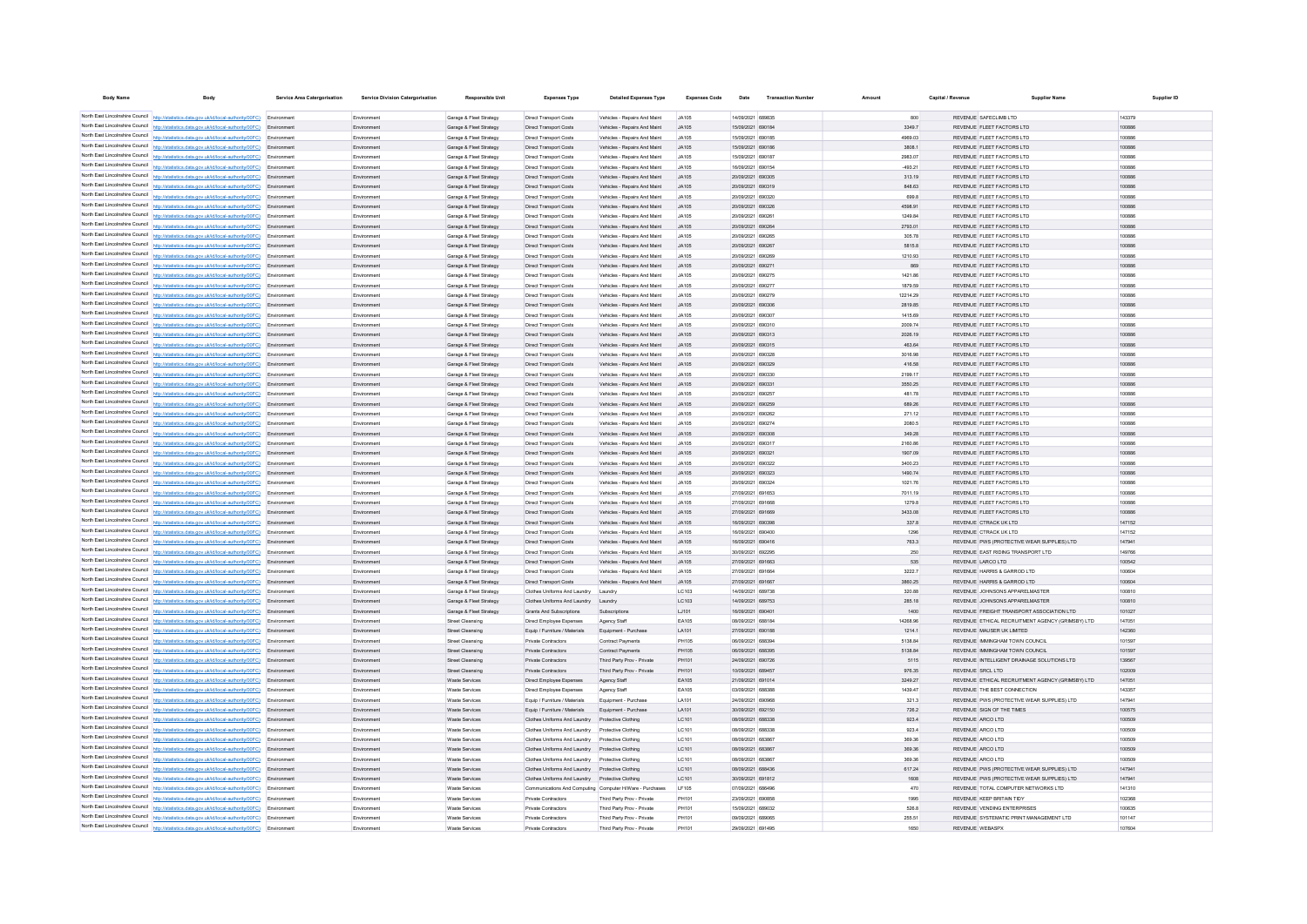| <b>Body Name</b>                | <b>Body</b>                                                                                        | Service Area Catergorisation | <b>Service Division Catergorisation</b> | <b>Responsible Unit</b>                     | <b>Expenses Type</b>                                     | <b>Detailed Expenses Type</b> | <b>Expenses Code</b> | Date              | <b>Transaction Number</b> | Amount | Capital / Revenue |                                                  | <b>Supplier Name</b> | Supplier ID |
|---------------------------------|----------------------------------------------------------------------------------------------------|------------------------------|-----------------------------------------|---------------------------------------------|----------------------------------------------------------|-------------------------------|----------------------|-------------------|---------------------------|--------|-------------------|--------------------------------------------------|----------------------|-------------|
|                                 |                                                                                                    |                              |                                         |                                             |                                                          |                               |                      |                   |                           |        |                   |                                                  |                      |             |
|                                 | North East Lincolnshire Council http://statistics.data.gov.uk/id/local-authority/00FC) Environment |                              | Environment                             | Garage & Fleet Strategy                     | <b>Direct Transport Costs</b>                            | Vehicles - Repairs And Maint  | JA105                | 14/09/2021 689835 |                           |        | 800               | REVENUE SAFECLIMB LTD                            |                      | 143379      |
|                                 | North East Lincolnshire Council http://statistics.data.gov.uk/id/local-authority/00FC)             | Environment                  | Environment                             | Garage & Fleet Strategy                     | <b>Direct Transport Costs</b>                            | Vehicles - Repairs And Maint  | JA105                | 15/09/2021 690184 |                           |        | 3349.7            | REVENUE FLEET FACTORS LTD                        |                      | 100886      |
|                                 | North East Lincolnshire Council http://statistics.data.gov.uk/id/local-authority/00FC) Environment |                              | Environment                             | Garage & Fleet Strategy                     | <b>Direct Transport Costs</b>                            | Vehicles - Repairs And Maint  | JA105                | 15/09/2021 690185 |                           |        | 4969.03           | REVENUE FLEET FACTORS LTD                        |                      | 100886      |
| North East Lincolnshire Council | http://statistics.data.gov.uk/id/local-authority/00FC)                                             | Environment                  | Environment                             | Garage & Fleet Strategy                     | <b>Direct Transport Costs</b>                            | Vehicles - Repairs And Maint  | JA105                | 15/09/2021 690186 |                           |        | 3808.1            | REVENUE FLEET FACTORS LTD                        |                      | 100886      |
|                                 | North East Lincolnshire Council http://statistics.data.gov.uk/id/local-authority/00FC)             | Environment                  | Environment                             | Garage & Fleet Strategy                     | Direct Transport Costs                                   | Vehicles - Renairs And Maint  | <b>JA105</b>         | 15/09/2021 690187 |                           |        | 2983.07           | REVENUE FLEET FACTORS LTD                        |                      | 100886      |
| North East Lincolnshire Council | http://statistics.data.onv.uk/id/local-authority/00EC) Fnvironment                                 |                              | Environment                             | Garage & Fleet Strategy                     | Direct Transport Costs                                   | Vehicles - Renairs And Maint  | <b>JA105</b>         | 16/09/2021 690154 |                           |        | $-493.21$         | REVENUE FLEET FACTORS LTD                        |                      | 100886      |
| North East Lincolnshire Council | http://statistics.data.gov.uk/id/local-authority/00EC)                                             | Environment                  | Environment                             | Garage & Fleet Strategy                     | <b>Direct Transport Costs</b>                            | Vehicles - Repairs And Maint  | <b>JA105</b>         | 20/09/2021 690305 |                           |        | 313.19            | REVENUE FLEET FACTORS LTD                        |                      | 100886      |
| North East Lincolnshire Council | http://statistics.data.gov.uk/id/local-authority/00EC)                                             | Environment                  | Environmen                              | Garage & Fleet Strategy                     | Direct Transport Costs                                   | Vehicles - Repairs And Maint  | <b>JA105</b>         | 20/09/2021 690319 |                           |        | 848.63            | REVENUE FLEET FACTORS LTD                        |                      | 100886      |
| North East Lincolnshire Council | http://statistics.data.gov.uk/id/local-authority/00EC)                                             | Environment                  | Environment                             | Garage & Fleet Strategy                     | <b>Direct Transport Costs</b>                            | Vehicles - Repairs And Maint  | <b>JA105</b>         | 20/09/2021 690320 |                           |        | 699.8             | REVENUE FLEET FACTORS LTD                        |                      | 100886      |
|                                 | North East Lincolnshire Council http://statistics.data.gov.uk/id/local-authority/00FC)             | Environment                  | Environment                             | Garage & Fleet Strategy                     | <b>Direct Transport Costs</b>                            | Vehicles - Repairs And Maint  | <b>JA105</b>         | 20/09/2021 690326 |                           |        | 4598.91           | REVENUE FLEET FACTORS LTD                        |                      | 100886      |
|                                 | North East Lincolnshire Council http://statistics.data.gov.uk/id/local-authority/00FC) Environment |                              | Environment                             | Garage & Fleet Strategy                     | <b>Direct Transport Costs</b>                            | Vehicles - Repairs And Maint  | JA105                | 20/09/2021 690261 |                           |        | 1249.84           | REVENUE FLEET FACTORS LTD                        |                      | 100886      |
|                                 | North East Lincolnshire Council http://statistics.data.gov.uk/id/local-authority/00FC)             | Environment                  | Environment                             | Garage & Fleet Strategy                     | <b>Direct Transport Costs</b>                            | Vehicles - Repairs And Maint  | JA105                | 20/09/2021 690264 |                           |        | 2793.01           | REVENUE FLEET FACTORS LTD                        |                      | 100886      |
|                                 | North East Lincolnshire Council http://statistics.data.gov.uk/id/local-authority/00FC) Environment |                              | Environment                             | Garage & Fleet Strategy                     | <b>Direct Transport Costs</b>                            | Vehicles - Repairs And Maint  | JA105                | 20/09/2021 690265 |                           |        | 305.78            | REVENUE FLEET FACTORS LTD                        |                      | 100886      |
|                                 | North East Lincolnshire Council http://statistics.data.gov.uk/id/local-authority/00FC)             | Environment                  | Environment                             | Garage & Fleet Strategy                     | <b>Direct Transport Costs</b>                            | Vehicles - Repairs And Maint  | JA105                | 20/09/2021 690267 |                           |        | 5815.8            | REVENUE FLEET FACTORS LTD                        |                      | 100886      |
|                                 | North East Lincolnshire Council http://statistics.data.gov.uk/id/local-authority/00FC) Environment |                              | Environment                             | Garage & Fleet Strategy                     | <b>Direct Transport Costs</b>                            | Vehicles - Repairs And Maint  | JA105                | 20/09/2021 690269 |                           |        | 1210.93           | REVENUE FLEET FACTORS LTD                        |                      | 100886      |
|                                 | North East Lincolnshire Council http://statistics.data.gov.uk/id/local-authority/00FC)             | Environment                  | Environment                             | Garage & Fleet Strategy                     | <b>Direct Transport Costs</b>                            | Vehicles - Repairs And Maint  | <b>JA105</b>         | 20/09/2021 690271 |                           |        | 869               | REVENUE FLEET FACTORS LTD                        |                      | 100886      |
|                                 | North East Lincolnshire Council http://statistics.data.gov.uk/id/local-authority/00FC) Environment |                              | Environment                             | Garage & Fleet Strategy                     | Direct Transport Costs                                   | Vehicles - Renairs And Maint  | <b>JA105</b>         | 20/09/2021 690275 |                           |        | 1421.86           | REVENUE FLEET FACTORS LTD                        |                      | 100886      |
|                                 | North East Lincolnshire Council http://statistics.data.gov.uk/id/local-authority/00FC)             | Environment                  | Environment                             | Garage & Fleet Strategy                     | <b>Direct Transport Costs</b>                            | Vehicles - Repairs And Maint  | <b>JA105</b>         | 20/09/2021 690277 |                           |        | 1879.59           | REVENUE FLEET FACTORS LTD                        |                      | 100886      |
|                                 | North East Lincolnshire Council http://statistics.data.gov.uk/id/local-authority/00FC) Environment |                              | Environment                             | Garage & Fleet Strategy                     | <b>Direct Transport Costs</b>                            | Vehicles - Renairs And Maint  | <b>JA105</b>         | 20/09/2021 690279 |                           |        | 12214.29          | REVENUE FLEET FACTORS LTD                        |                      | 100886      |
|                                 | North East Lincolnshire Council http://statistics.data.gov.uk/id/local-authority/00FC)             | Environment                  | Environment                             | Garage & Fleet Strategy                     | <b>Direct Transport Costs</b>                            | Vehicles - Repairs And Maint  | <b>JA105</b>         | 20/09/2021 690306 |                           |        | 2819.85           | REVENUE FLEET FACTORS LTD                        |                      | 100886      |
|                                 | North East Lincolnshire Council http://statistics.data.gov.uk/id/local-authority/00FC)             | Environment                  | Environment                             | Garage & Fleet Strategy                     | <b>Direct Transport Costs</b>                            | Vehicles - Repairs And Maint  | <b>JA105</b>         | 20/09/2021 690307 |                           |        | 1415.69           | REVENUE FLEET FACTORS LTD                        |                      | 100886      |
|                                 | North East Lincolnshire Council http://statistics.data.gov.uk/id/local-authority/00FC)             | Environment                  | Environment                             | Garage & Fleet Strategy                     | <b>Direct Transport Costs</b>                            | Vehicles - Repairs And Maint  | <b>JA105</b>         | 20/09/2021 690310 |                           |        | 2009.74           | REVENUE FLEET FACTORS LTD                        |                      | 100886      |
|                                 | North East Lincolnshire Council http://statistics.data.gov.uk/id/local-authority/00FC)             | Environment                  | Environmen                              |                                             | <b>Direct Transport Costs</b>                            | Vehicles - Repairs And Maint  | JA105                | 20/09/2021 690313 |                           |        | 2026.19           | REVENUE FLEET FACTORS LTD                        |                      | 100886      |
|                                 | North East Lincolnshire Council http://statistics.data.gov.uk/id/local-authority/00FC)             | Environment                  |                                         | Garage & Fleet Strategy                     |                                                          |                               | JA105                | 20/09/2021 690315 |                           |        | 463.64            |                                                  |                      | 100886      |
|                                 |                                                                                                    |                              | Environmen                              | Garage & Fleet Strategy                     | Direct Transport Costs                                   | Vehicles - Repairs And Maint  |                      |                   |                           |        |                   | REVENUE FLEET FACTORS LTD                        |                      |             |
|                                 | North East Lincolnshire Council http://statistics.data.gov.uk/id/local-authority/00FC)             | Environment                  | Environmen                              | Garage & Fleet Strategy                     | <b>Direct Transport Costs</b>                            | Vehicles - Repairs And Maint  | JA105                | 20/09/2021 690328 |                           |        | 3016.98           | REVENUE FLEET FACTORS LTD                        |                      | 100886      |
|                                 | North East Lincolnshire Council http://statistics.data.gov.uk/id/local-authority/00FC)             |                              | Environmen                              | Garage & Fleet Strategy                     | Direct Transport Costs                                   | Vehicles - Repairs And Maint  | JA105                | 20/09/2021 690329 |                           |        | 416.58            | REVENUE FLEET FACTORS LTD                        |                      | 100886      |
|                                 | North East Lincolnshire Council http://statistics.data.gov.uk/id/local-authority/00FC)             |                              | Environmen                              | Garage & Fleet Strategy                     | <b>Direct Transport Costs</b>                            | Vehicles - Repairs And Maint  | JA105                | 20/09/2021 690330 |                           |        | 2199.17           | REVENUE FLEET FACTORS LTD                        |                      | 100886      |
|                                 | North East Lincolnshire Council http://statistics.data.gov.uk/id/local-authority/00FC)             |                              | Environmen                              | Garage & Fleet Strategy                     | <b>Direct Transport Costs</b>                            | Vehicles - Repairs And Maint  | JA105                | 20/09/2021 690331 |                           |        | 3550.25           | REVENUE FLEET FACTORS LTD                        |                      | 100886      |
|                                 | North East Lincolnshire Council http://statistics.data.gov.uk/id/local-authority/00FC)             |                              | Environmen                              | Garage & Fleet Strategy                     | <b>Direct Transport Costs</b>                            | Vehicles - Repairs And Maint  | JA105                | 20/09/2021 690257 |                           |        | 481.78            | REVENUE FLEET FACTORS LTD                        |                      | 100886      |
|                                 | North East Lincolnshire Council http://statistics.data.gov.uk/id/local-authority/00FC)             |                              | Environmen                              | Garage & Fleet Strategy                     | <b>Direct Transport Costs</b>                            | Vehicles - Repairs And Maint  | JA105                | 20/09/2021 690259 |                           |        | 689.26            | REVENUE FLEET FACTORS LTD                        |                      | 100886      |
|                                 | North East Lincolnshire Council http://statistics.data.gov.uk/id/local-authority/00FC)             |                              | Environmen                              | Garage & Fleet Strategy                     | <b>Direct Transport Costs</b>                            | Vehicles - Repairs And Maint  | JA105                | 20/09/2021 690262 |                           |        | 271.12            | REVENUE FLEET FACTORS LTD                        |                      | 100886      |
|                                 | North East Lincolnshire Council http://statistics.data.gov.uk/id/local-authority/00FC)             |                              | Environmen                              | Garage & Fleet Strategy                     | <b>Direct Transport Costs</b>                            | Vehicles - Repairs And Main   | JA105                | 20/09/2021 690274 |                           |        | 2080.5            | REVENUE FLEET FACTORS LTD                        |                      | 100886      |
|                                 | North East Lincolnshire Council http://statistics.data.gov.uk/id/local-authority/00FC)             |                              | Environmen                              | Garage & Fleet Strategy                     | <b>Direct Transport Costs</b>                            | Vehicles - Repairs And Maint  | JA105                | 20/09/2021 690308 |                           |        | 349.28            | REVENUE FLEET FACTORS LTD                        |                      | 100886      |
|                                 | North East Lincolnshire Council http://statistics.data.gov.uk/id/local-authority/00FC)             |                              | Environmen                              | Garage & Fleet Strategy                     | <b>Direct Transport Costs</b>                            | Vehicles - Repairs And Main   | JA105                | 20/09/2021 690317 |                           |        | 2160.86           | REVENUE FLEET FACTORS LTD                        |                      | 100886      |
|                                 | North East Lincolnshire Council   http://statistics.data.gov.uk/id/local-authority/00FC)           |                              | Environmen                              | Garage & Fleet Strategy                     | <b>Direct Transport Costs</b>                            | Vehicles - Repairs And Maint  | JA105                | 20/09/2021 690321 |                           |        | 1907.09           | REVENUE FLEET FACTORS LTD                        |                      | 100886      |
|                                 | North East Lincolnshire Council   http://statistics.data.gov.uk/id/local-authority/00FC)           |                              | Environmen                              | Garage & Fleet Strategy                     | <b>Direct Transport Costs</b>                            | Vehicles - Repairs And Main   | JA105                | 20/09/2021 690322 |                           |        | 3400.23           | REVENUE FLEET FACTORS LTD                        |                      | 100886      |
|                                 | North East Lincolnshire Council   http://statistics.data.gov.uk/id/local-authority/00FC)           |                              | Environmen                              | Garage & Fleet Strategy                     | <b>Direct Transport Costs</b>                            | Vehicles - Repairs And Maint  | JA105                | 20/09/2021 690323 |                           |        | 1490.74           | REVENUE FLEET FACTORS LTD                        |                      | 100886      |
|                                 | North East Lincolnshire Council http://statistics.data.gov.uk/id/local-authority/00FC)             |                              | Environmen                              | Garage & Fleet Strategy                     | <b>Direct Transport Costs</b>                            | Vehicles - Repairs And Maint  | JA105                | 20/09/2021 690324 |                           |        | 1021.76           | REVENUE FLEET FACTORS LTD                        |                      | 100886      |
|                                 | North East Lincolnshire Council http://statistics.data.gov.uk/id/local-authority/00FC)             |                              | Environmen                              | Garage & Fleet Strategy                     | <b>Direct Transport Costs</b>                            | Vehicles - Repairs And Maint  | JA105                | 27/09/2021 691653 |                           |        | 7011.19           | REVENUE FLEET FACTORS LTD                        |                      | 100886      |
|                                 | North East Lincolnshire Council http://statistics.data.gov.uk/id/local-authority/00FC)             |                              | Environmen                              | Garage & Fleet Strategy                     | <b>Direct Transport Costs</b>                            | Vehicles - Repairs And Maint  | <b>JA105</b>         | 27/09/2021 691668 |                           |        | 1279.8            | REVENUE FLEET FACTORS LTD                        |                      | 100886      |
|                                 | North East Lincolnshire Council   http://statistics.data.gov.uk/id/local-authority/00FC)           |                              | Environmen                              | Garage & Fleet Strategy                     | <b>Direct Transport Costs</b>                            | Vehicles - Repairs And Maint  | JA105                | 27/09/2021 691669 |                           |        | 3433.08           | REVENUE FLEET FACTORS LTD                        |                      | 100886      |
|                                 | North East Lincolnshire Council http://statistics.data.gov.uk/id/local-authority/00FC)             |                              | Environmen                              | Garage & Fleet Strategy                     | <b>Direct Transport Costs</b>                            | Vehicles - Repairs And Maint  | JA105                | 16/09/2021 690396 |                           |        | 337.8             | REVENUE CTRACK UK LTD                            |                      | 147152      |
|                                 | North East Lincolnshire Council http://statistics.data.gov.uk/id/local-authority/00FC)             |                              | Environmen                              | Garage & Fleet Strategy                     | <b>Direct Transport Costs</b>                            | Vehicles - Repairs And Main   | JA105                | 16/09/2021 690400 |                           |        | 1296              | REVENUE CTRACK UK LTD                            |                      | 147152      |
|                                 | North East Lincolnshire Council http://statistics.data.gov.uk/id/local-authority/00FC)             |                              | Environmen                              | Garage & Fleet Strategy                     | <b>Direct Transport Costs</b>                            | Vehicles - Repairs And Maint  | JA105                | 16/09/2021 690416 |                           |        | 763.3             | REVENUE PWS (PROTECTIVE WEAR SUPPLIES) LTD       |                      | 147941      |
|                                 | North East Lincolnshire Council http://statistics.data.gov.uk/id/local-authority/00FC)             |                              | Environmen                              | Garage & Fleet Strategy                     | Direct Transport Costs                                   | Vehicles - Repairs And Main   | JA105                | 30/09/2021 692295 |                           |        | 250               | REVENUE EAST RIDING TRANSPORT LTD                |                      | 149766      |
|                                 | North East Lincolnshire Council http://statistics.data.gov.uk/id/local-authority/00FC)             |                              | Environmen                              | Garage & Fleet Strategy                     | <b>Direct Transport Costs</b>                            | Vehicles - Repairs And Maint  | JA105                | 27/09/2021 691663 |                           |        | 535               | REVENUE LARCO LTD                                |                      | 100542      |
|                                 | North East Lincolnshire Council http://statistics.data.gov.uk/id/local-authority/00FC)             |                              | Environmen                              | Garage & Fleet Strategy                     | Direct Transport Costs                                   | Vehicles - Repairs And Main   | JA105                | 27/09/2021 691664 |                           |        | 3222.7            | REVENUE HARRIS & GARROD LTD                      |                      | 100604      |
|                                 | North East Lincolnshire Council http://statistics.data.gov.uk/id/local-authority/00FC)             |                              | Environmen                              | Garage & Fleet Strategy                     | <b>Direct Transport Costs</b>                            | Vehicles - Repairs And Maint  | JA105                | 27/09/2021 691667 |                           |        | 3860.25           | REVENUE HARRIS & GARROD LTD                      |                      | 100604      |
|                                 | North East Lincolnshire Council http://statistics.data.gov.uk/id/local-authority/00FC)             |                              | Environmen                              | Garage & Fleet Strategy                     | Clothes Uniforms And Laundry                             | Laundry                       | LC103                | 14/09/2021 689738 |                           |        | 320.88            | REVENUE JOHNSONS APPARELMASTER                   |                      | 100810      |
|                                 | North East Lincolnshire Council http://statistics.data.gov.uk/id/local-authority/00FC)             |                              | Environmen                              |                                             | Clothes Uniforms And Laundry                             | Laundry                       | LC103                | 14/09/2021 689753 |                           |        | 285.18            | REVENUE JOHNSONS APPARELMASTER                   |                      | 100810      |
|                                 | North East Lincolnshire Council http://statistics.data.gov.uk/id/local-authority/00FC)             |                              | Environmen                              | Garage & Fleet Strategy                     | Grants And Subscriptions                                 | Subscriptions                 | LJ101                | 16/09/2021 690401 |                           |        | 1400              | REVENUE FREIGHT TRANSPORT ASSOCIATION LTD        |                      | 101027      |
|                                 |                                                                                                    |                              |                                         | Garage & Fleet Strategy<br>Street Cleansing |                                                          |                               | EA105                | 08/09/2021 688184 |                           |        | 14268.96          | REVENUE ETHICAL RECRUITMENT AGENCY (GRIMSBY) LTD |                      | 147051      |
|                                 | North East Lincolnshire Council http://statistics.data.gov.uk/id/local-authority/00FC)             |                              | Environmen                              |                                             | Direct Employee Expenses                                 | Agency Staff                  |                      |                   |                           |        |                   |                                                  |                      |             |
|                                 | North East Lincolnshire Council http://statistics.data.gov.uk/id/local-authority/00FC)             | Environment                  | Environmen                              | <b>Street Cleansing</b>                     | Equip / Furniture / Materials                            | Equipment - Purchase          | LA101                | 27/09/2021 690188 |                           |        | 1214.1            | REVENUE MAUSER UK LIMITED                        |                      | 142360      |
| North East Lincolnshire Council | North East Lincolnshire Council http://statistics.data.gov.uk/id/local-authority/00FC)             | Environmen                   | Environmen                              | <b>Street Cleansing</b>                     | Private Contractors                                      | <b>Contract Payments</b>      | <b>PH105</b>         | 06/09/2021 68839  |                           |        | 5138.84           | REVENUE IMMINGHAM TOWN COUNCIL                   |                      | 101597      |
| North East Lincolnshire Council | http://statistics.data.gov.uk/id/local-authority/00FC)                                             | Environment                  | Environmen                              | <b>Street Cleansing</b>                     | Private Contractors                                      | Contract Payments             | PH105                | 06/09/2021 688395 |                           |        | 5138.84           | REVENUE IMMINGHAM TOWN COUNCIL                   |                      | 101597      |
| North East Lincolnshire Council | http://statistics.data.gov.uk/id/local-authority/00FC)                                             | Environment                  | Environmen                              | <b>Street Cleansing</b>                     | Private Contractors                                      | Third Party Prov - Private    | PH101                | 24/09/2021 690726 |                           |        | 5115              | REVENUE INTELLIGENT DRAINAGE SOLUTIONS LTD       |                      | 139567      |
|                                 | http://statistics.data.gov.uk/id/local-authority/00FC)                                             | Environment                  | Environmen                              | <b>Street Cleansing</b>                     | Private Contractors                                      | Third Party Prov - Private    | PH101                | 10/09/2021 689457 |                           |        | 976.35            | REVENUE SRCL LTD                                 |                      | 102009      |
| North East Lincolnshire Council | http://statistics.data.gov.uk/id/local-authority/00FC)                                             | Environment                  | Environmen                              | <b>Waste Services</b>                       | Direct Employee Expenses                                 | Agency Staff                  | EA105                | 21/09/2021 691014 |                           |        | 3249.27           | REVENUE ETHICAL RECRUITMENT AGENCY (GRIMSBY) LTD |                      | 147051      |
| North East Lincolnshire Council | http://statistics.data.gov.uk/id/local-authority/00FC)                                             | Environment                  | Environmen                              | <b>Waste Services</b>                       | Direct Employee Expenses                                 | Agency Staff                  | EA105                | 03/09/2021 688388 |                           |        | 1439.47           | REVENUE THE BEST CONNECTION                      |                      | 143357      |
| North East Lincolnshire Council | http://statistics.data.gov.uk/id/local-authority/00FC)                                             | Environment                  | Environmen                              | <b>Waste Services</b>                       | Equip / Furniture / Materials                            | Equipment - Purchase          | LA101                | 24/09/2021 690968 |                           |        | 321.3             | REVENUE PWS (PROTECTIVE WEAR SUPPLIES) LTD       |                      | 147941      |
| North East Lincolnshire Council | http://statistics.data.gov.uk/id/local-authority/00FC)                                             | Environment                  | Environmen                              | <b>Waste Services</b>                       | Equip / Furniture / Materials                            | Equipment - Purchase          | LA101                | 30/09/2021 692150 |                           |        | 726.2             | REVENUE SIGN OF THE TIMES                        |                      | 100575      |
| North East Lincolnshire Council | http://statistics.data.gov.uk/id/local-authority/00FC)                                             | Environment                  | Environmen                              | <b>Waste Services</b>                       | Clothes Uniforms And Laundry                             | Protective Clothing           | LC101                | 08/09/2021 688338 |                           |        | 923.4             | REVENUE ARCO LTD                                 |                      | 100509      |
| North East Lincolnshire Council | http://statistics.data.gov.uk/id/local-authority/00FC)                                             | Environment                  | Environmen                              | <b>Waste Services</b>                       | Clothes Uniforms And Laundry                             | Protective Clothing           | LC101                | 08/09/2021 688338 |                           |        | 923.4             | REVENUE ARCO LTD                                 |                      | 100509      |
| North East Lincolnshire Council | http://statistics.data.gov.uk/id/local-authority/00FC)                                             | Environment                  | Environmen                              | <b>Waste Services</b>                       | Clothes Uniforms And Laundry                             | Protective Clothing           | LC101                | 08/09/2021 683867 |                           |        | 369.36            | REVENUE ARCO LTD                                 |                      | 100509      |
| North East Lincolnshire Council | http://statistics.data.gov.uk/id/local-authority/00FC)                                             | Environment                  | Environment                             | <b>Waste Services</b>                       | Clothes Uniforms And Laundry                             | Protective Clothing           | LC101                | 08/09/2021 683867 |                           |        | 369.36            | REVENUE ARCO LTD                                 |                      | 100509      |
| North East Lincolnshire Council | http://statistics.data.gov.uk/id/local-authority/00FC)                                             | Environment                  | Environmen                              | <b>Waste Services</b>                       | Clothes Uniforms And Laundry                             | Protective Clothing           | LC101                | 08/09/2021 683867 |                           |        | 369.36            | REVENUE ARCO LTD                                 |                      | 100509      |
| North East Lincolnshire Council | http://statistics.data.gov.uk/id/local-authority/00FC)                                             | Environment                  | Environment                             | <b>Waste Services</b>                       | Clothes Uniforms And Laundry                             | Protective Clothing           | LC101                | 08/09/2021 688436 |                           |        | 617.24            | REVENUE PWS (PROTECTIVE WEAR SUPPLIES) LTD       |                      | 147941      |
| North East Lincolnshire Council | http://statistics.data.gov.uk/id/local-authority/00FC)                                             | Environment                  | Environmen                              | <b>Waste Services</b>                       | Clothes Uniforms And Laundry Protective Clothing         |                               | LC101                | 30/09/2021 691812 |                           |        | 1608              | REVENUE PWS (PROTECTIVE WEAR SUPPLIES) LTD       |                      | 147941      |
| North East Lincolnshire Council | http://statistics.data.gov.uk/id/local-authority/00FC)                                             | Environment                  | Environmen                              | <b>Waste Services</b>                       | Communications And Computing Computer H/Ware - Purchases |                               | LF105                | 07/09/2021 686496 |                           |        | 470               | REVENUE TOTAL COMPUTER NETWORKS LTD              |                      | 141310      |
| North East Lincolnshire Council | http://statistics.data.gov.uk/id/local-authority/00FC)                                             | Environment                  | Environmen                              | <b>Waste Service</b>                        | Private Contractors                                      | Third Party Prov - Private    | PH101                | 23/09/2021 690858 |                           |        | 1995              | REVENUE KEEP BRITAIN TIDY                        |                      | 102368      |
| North East Lincolnshire Council | http://statistics.data.gov.uk/id/local-authority/00FC)                                             | Environment                  | Environmen                              | <b>Waste Service</b>                        | Private Contractors                                      | Third Party Prov - Private    | PH101                | 15/09/2021 689032 |                           |        | 526.8             | REVENUE VENDING ENTERPRISES                      |                      | 100635      |
|                                 | North East Lincolnshire Council http://statistics.data.gov.uk/id/local-authority/00FC)             | Environment                  | Environmen                              | Waste Services                              | Private Contractors                                      | Third Party Prov - Private    | PH101                | 09/09/2021 689065 |                           |        | 255.51            | REVENUE SYSTEMATIC PRINT MANAGEMENT LTD          |                      | 101147      |
| North East Lincolnshire Council | http://statistics.data.gov.uk/id/local-authority/00FC)                                             | Environment                  | Environmen                              | <b>Waste Service</b>                        | Private Contractors                                      | Third Party Prov - Private    | PH101                | 29/09/2021 691495 |                           |        | 1650              | REVENUE WERASPX                                  |                      | 107604      |
|                                 |                                                                                                    |                              |                                         |                                             |                                                          |                               |                      |                   |                           |        |                   |                                                  |                      |             |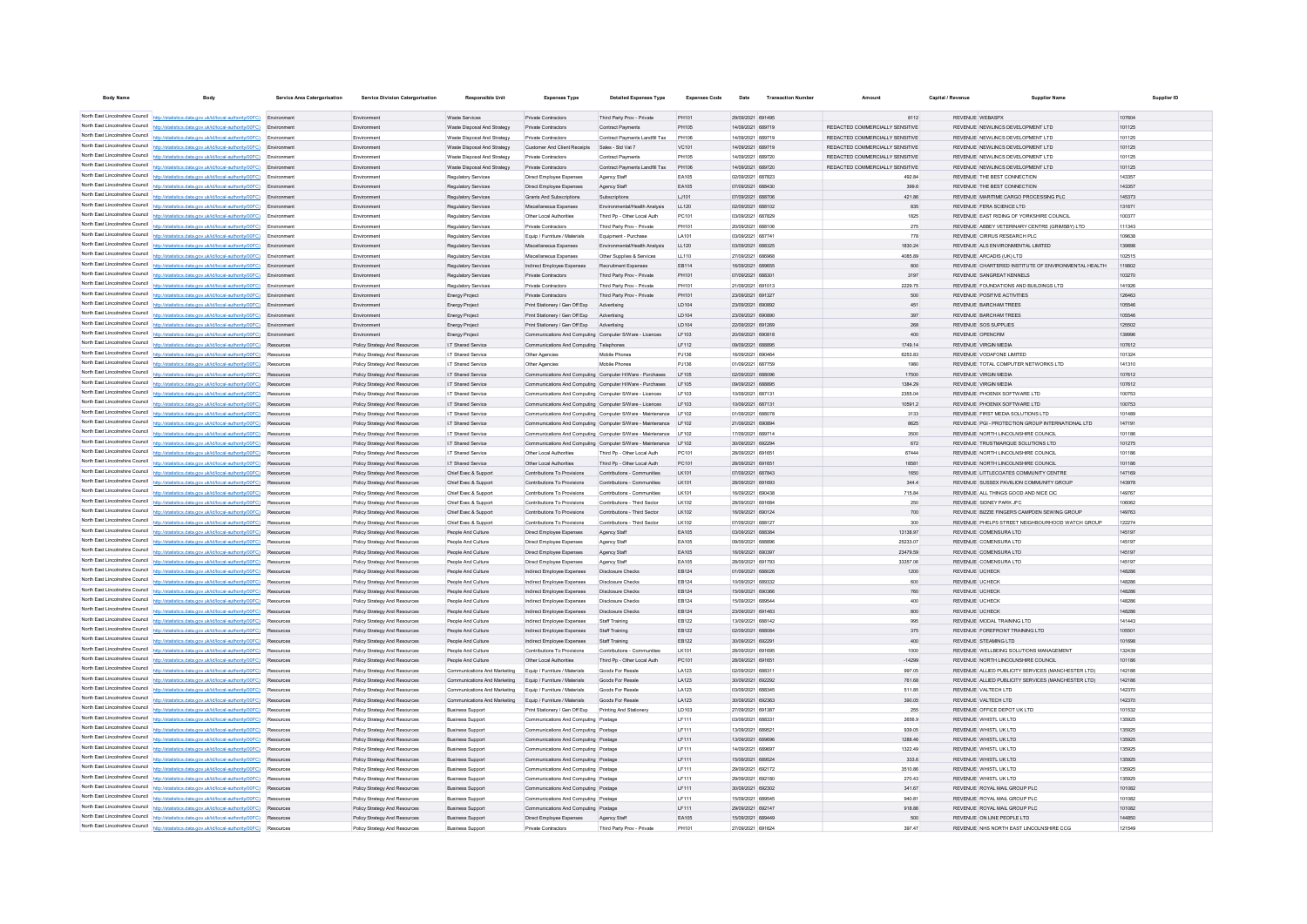| <b>Body Name</b>                | <b>Body</b>                                                                                        | Service Area Catergorisation | <b>Service Division Catergorisation</b> | <b>Responsible Unit</b>                                    | <b>Expenses Type</b>                                     | <b>Detailed Expenses Type</b>                                    | <b>Expenses Code</b> | Date              | <b>Transaction Number</b> | Amount                          | Capital / Revenue | <b>Supplier Name</b>                                 | Supplier ID |  |
|---------------------------------|----------------------------------------------------------------------------------------------------|------------------------------|-----------------------------------------|------------------------------------------------------------|----------------------------------------------------------|------------------------------------------------------------------|----------------------|-------------------|---------------------------|---------------------------------|-------------------|------------------------------------------------------|-------------|--|
|                                 |                                                                                                    |                              |                                         |                                                            |                                                          |                                                                  |                      |                   |                           |                                 |                   |                                                      |             |  |
|                                 | North East Lincolnshire Council http://statistics.data.gov.uk/id/local-authority/00FC) Environment |                              | Environment                             | <b>Waste Services</b>                                      | Private Contractors                                      | Third Party Prov - Private                                       | PH101                | 29/09/2021 691495 |                           | 8112                            |                   | REVENUE WEBASPX                                      | 107604      |  |
|                                 | North East Lincolnshire Council http://statistics.data.gov.uk/id/local-authority/00FC)             | Environment                  | Environment                             | Waste Disposal And Strategy                                | Private Contractors                                      | Contract Payments                                                | PH105                | 14/09/2021 689719 |                           | REDACTED COMMERCIALLY SENSITIVE |                   | REVENUE NEWLINCS DEVELOPMENT LTD                     | 101125      |  |
|                                 | North East Lincolnshire Council http://statistics.data.gov.uk/id/local-authority/00FC) Environment |                              | Environment                             | Waste Disposal And Strategy                                | Private Contractors                                      | Contract Payments Landfill Tax                                   | PH106                | 14/09/2021 689719 |                           | REDACTED COMMERCIALLY SENSITIVE |                   | REVENUE NEWLINCS DEVELOPMENT LTD                     | 101125      |  |
|                                 | North East Lincolnshire Council http://statistics.data.gov.uk/id/local-authority/00FC)             | Environment                  | Environment                             | Waste Disposal And Strategy                                | Customer And Client Receipts                             | Sales - Std Vat 7                                                | VC101                | 14/09/2021 689719 |                           | REDACTED COMMERCIALLY SENSITIVE |                   | REVENUE NEWLINCS DEVELOPMENT LTD                     | 101125      |  |
|                                 | North East Lincolnshire Council http://statistics.data.gov.uk/id/local-authority/00FC) Environment |                              | Environment                             | Waste Disposal And Strategy                                | Private Contractors                                      | Contract Payments                                                | <b>PH105</b>         | 14/09/2021 689720 |                           | REDACTED COMMERCIALLY SENSITIVE |                   | REVENUE NEWLINGS DEVELOPMENT LTD.                    | 101125      |  |
|                                 | North East Lincolnshire Council   http://statistics.data.gov.uk/id/local-authority/00FC)           | Environment                  | Environment                             | Waste Disnosal And Strategy                                | Private Contractors                                      | Contract Payments Landfill Tax PH106                             |                      | 14/09/2021 689720 |                           | REDACTED COMMERCIALLY SENSITIVE |                   | REVENUE NEWLINGS DEVELOPMENT LTD.                    | 101125      |  |
|                                 | North East Lincolnshire Council http://statistics.data.gov.uk/id/local-authority/00FC) Environment |                              | Environment                             | Regulatory Services                                        | Direct Employee Expenses                                 | Anency Staff                                                     | <b>FA105</b>         | 02/09/2021 687823 |                           | 492.84                          |                   | REVENUE THE REST CONNECTION                          | 143357      |  |
|                                 | North East Lincolnshire Council http://statistics.data.gov.uk/id/local-authority/00FC)             | Environment                  | Environment                             | Regulatory Services                                        | Direct Employee Expenses                                 | Agency Staff                                                     | FA105                | 07/09/2021 688430 |                           | 399.6                           |                   | REVENUE THE REST CONNECTION                          | 143357      |  |
|                                 | North East Lincolnshire Council http://statistics.data.gov.uk/id/local-authority/00FC)             | Environment                  | Environment                             | Regulatory Services                                        | Grants And Subscriptions                                 | Subscriptions                                                    | LJ101                | 07/09/2021 688706 |                           | 421.86                          |                   | REVENUE MARITIME CARGO PROCESSING PLC                | 145373      |  |
|                                 | North East Lincolnshire Council http://statistics.data.gov.uk/id/local-authority/00FC)             | Environment                  | Environmen                              | Regulatory Services                                        | Miscellaneous Expenses                                   | Fnvironmental/Health Analysis                                    | 11120                | 02/09/2021 688102 |                           | 835                             |                   | REVENUE FERA SCIENCE LTD                             | 131671      |  |
|                                 | North East Lincolnshire Council http://statistics.data.gov.uk/id/local-authority/00FC) Environment |                              | Environment                             | Regulatory Services                                        | Other Local Authorities                                  | Third Po - Other Local Auth                                      | PC101                | 03/09/2021 687829 |                           | 1825                            |                   | REVENUE EAST RIDING OF YORKSHIRE COUNCIL             | 100377      |  |
|                                 | North East Lincolnshire Council http://statistics.data.gov.uk/id/local-authority/00FC)             | Environment                  | Environment                             | Regulatory Services                                        | Private Contractors                                      | Third Party Prov - Private                                       | PH101                | 20/09/2021 688106 |                           | 275                             |                   | REVENUE ABBEY VETERINARY CENTRE (GRIMSBY) LTD        | 111343      |  |
|                                 | North East Lincolnshire Council http://statistics.data.gov.uk/id/local-authority/00FC) Environment |                              | Environment                             | Regulatory Services                                        | Equip / Furniture / Materials                            | Equipment - Purchase                                             | LA101                | 03/09/2021 687741 |                           | 778                             |                   | REVENUE CIRRUS RESEARCH PLC                          | 109638      |  |
|                                 | North East Lincolnshire Council http://statistics.data.gov.uk/id/local-authority/00FC)             | Environment                  | Environment                             | Regulatory Services                                        | Miscellaneous Expenses                                   | Environmental/Health Analysis                                    | LL120                | 03/09/2021 688325 |                           | 1830.24                         |                   | REVENUE ALS ENVIRONMENTAL LIMITED                    | 139898      |  |
|                                 | North East Lincolnshire Council http://statistics.data.gov.uk/id/local-authority/00FC) Environment |                              | Environment                             | Regulatory Services                                        | Miscellaneous Expenses                                   | Other Supplies & Services                                        | LL110                | 27/09/2021 686968 |                           | 4085.89                         |                   | REVENUE ARCADIS (UK) LTD                             | 102515      |  |
|                                 | North East Lincolnshire Council http://statistics.data.gov.uk/id/local-authority/00FC)             | Environment                  | Environment                             | Regulatory Services                                        | Indirect Employee Expenses                               | <b>Recruitment Expenses</b>                                      | FR114                | 16/09/2021 689655 |                           | 800                             |                   | REVENUE CHARTERED INSTITUTE OF ENVIRONMENTAL HEALTH. | 119802      |  |
|                                 | North East Lincolnshire Council http://statistics.data.gov.uk/id/local-authority/00FC)             | Environment                  | Environment                             | Regulatory Services                                        | Private Contractors                                      | Third Party Prov - Private                                       | PH101                | 07/09/2021 688301 |                           | 3197                            |                   | REVENUE SANGREAT KENNELS                             | 103270      |  |
|                                 | North East Lincolnshire Council http://statistics.data.gov.uk/id/local-authority/00FC) Environment |                              | Environment                             | Regulatory Services                                        | Private Contractors                                      | Third Party Prov - Private                                       | PH101                | 21/09/2021 691013 |                           | 2229.75                         |                   | REVENUE FOUNDATIONS AND BUILDINGS LTD.               | 141926      |  |
|                                 | North East Lincolnshire Council http://statistics.data.gov.uk/id/local-authority/00FC)             | Environment                  | Environment                             | Energy Project                                             | Private Contractors                                      | Third Party Prov - Private                                       | PH101                | 23/09/2021 691327 |                           | 500                             |                   | REVENUE POSITIVE ACTIVITIES                          | 126463      |  |
|                                 | North East Lincolnshire Council http://statistics.data.gov.uk/id/local-authority/00FC)             | Environment                  | Environment                             | Energy Project                                             | Print Stationery / Gen Off Exp                           | Advertising                                                      | 1 D104               | 23/09/2021 690892 |                           | 451                             |                   | REVENUE BARCHAM TREES                                | 105546      |  |
|                                 | North East Lincolnshire Council http://statistics.data.gov.uk/id/local-authority/00FC)             | Environment                  | Environment                             | Energy Project                                             | Print Stationery / Gen Off Exp                           | Advertising                                                      | 1 D104               | 23/09/2021 690890 |                           | 397                             |                   | REVENUE BARCHAM TREES                                | 105546      |  |
|                                 | North East Lincolnshire Council http://statistics.data.gov.uk/id/local-authority/00FC)             | Environment                  | Environment                             | Energy Project                                             | Print Stationery / Gen Off Exp                           | Advertising                                                      | 1 D104               | 22/09/2021 691269 |                           | 268                             |                   | REVENUE SOS SUPPLIES                                 | 125502      |  |
|                                 | North East Lincolnshire Council http://statistics.data.gov.uk/id/local-authority/00FC)             | Environment                  | Environment                             |                                                            | Communications And Computing Computer S/Ware - Licences  |                                                                  | LF103                | 20/09/2021 690818 |                           | 400                             |                   | <b>REVENUE OPENCRM</b>                               | 139996      |  |
|                                 | North East Lincolnshire Council http://statistics.data.gov.uk/id/local-authority/00FC)             | Resources                    |                                         | Energy Project                                             |                                                          |                                                                  |                      | 09/09/2021 688895 |                           |                                 |                   | <b>REVENUE VIRGIN MEDIA</b>                          | 107612      |  |
|                                 |                                                                                                    |                              | Policy Strategy And Resources           | I.T Shared Service                                         | Communications And Computing Telephones                  |                                                                  | LF112                |                   |                           | 1749.14                         |                   |                                                      | 101324      |  |
|                                 | North East Lincolnshire Council http://statistics.data.gov.uk/id/local-authority/00FC)             | Resource                     | Policy Strategy And Resources           | I.T Shared Service                                         | Other Agencies                                           | Mobile Phones                                                    | PJ136                | 16/09/2021 690464 |                           | 6253.83                         |                   | REVENUE VODAFONE LIMITED                             |             |  |
|                                 | North East Lincolnshire Council http://statistics.data.gov.uk/id/local-authority/00FC)             | <b>Percurse</b>              | Policy Strategy And Resources           | I.T Shared Service                                         | Other Agencies                                           | Mobile Dhones                                                    | PJ136                | 01/09/2021 687759 |                           | 1980                            |                   | REVENUE TOTAL COMPUTER NETWORKS LTD                  | 141310      |  |
|                                 | North East Lincolnshire Council http://statistics.data.gov.uk/id/local-authority/00FC)             |                              | Policy Strategy And Resources           | I.T Shared Service                                         | Communications And Computing Computer H/Ware - Purchases |                                                                  | LF105                | 02/09/2021 688096 |                           | 17500                           |                   | <b>REVENUE VIRGIN MEDIA</b>                          | 107612      |  |
|                                 | North East Lincolnshire Council http://statistics.data.gov.uk/id/local-authority/00FC)             |                              | Policy Strategy And Resources           | I.T Shared Service                                         | Communications And Computing Computer H/Ware - Purchases |                                                                  | LF105                | 09/09/2021 688895 |                           | 1384.29                         |                   | <b>REVENUE VIRGIN MEDIA</b>                          | 107612      |  |
|                                 | North East Lincolnshire Council http://statistics.data.gov.uk/id/local-authority/00FC)             |                              | Policy Strategy And Resources           | I.T Shared Service                                         | Communications And Computing Computer S/Ware - Licences  |                                                                  | LF103                | 10/09/2021 687131 |                           | 2355.04                         |                   | REVENUE PHOENIX SOFTWARE LTD                         | 100753      |  |
|                                 | North East Lincolnshire Council http://statistics.data.gov.uk/id/local-authority/00FC)             |                              | Policy Strategy And Resources           | I.T Shared Service                                         | Communications And Computing Computer S/Ware - Licences  |                                                                  | LF103                | 10/09/2021 687131 |                           | 10591.2                         |                   | REVENUE PHOENIX SOFTWARE LTD                         | 100753      |  |
|                                 | North East Lincolnshire Council http://statistics.data.gov.uk/id/local-authority/00FC)             |                              | Policy Strategy And Resources           | I.T Shared Service                                         |                                                          | Communications And Computing Computer S/Ware - Maintenance LF102 |                      | 01/09/2021 688078 |                           | 3133                            |                   | REVENUE FIRST MEDIA SOLUTIONS LTD                    | 101489      |  |
|                                 | North East Lincolnshire Council http://statistics.data.gov.uk/id/local-authority/00FC)             |                              | Policy Strategy And Resources           | I.T Shared Service                                         |                                                          | Communications And Computing Computer S/Ware - Maintenance LF102 |                      | 21/09/2021 690894 |                           | 8625                            |                   | REVENUE PGI - PROTECTION GROUP INTERNATIONAL LTD     | 147191      |  |
|                                 | North East Lincolnshire Council http://statistics.data.gov.uk/id/local-authority/00FC)             |                              | Policy Strategy And Resources           | I.T Shared Servic                                          |                                                          | Communications And Computing Computer S/Ware - Maintenance LF102 |                      | 17/09/2021 689714 |                           | 3500                            |                   | REVENUE NORTH LINCOLNSHIRE COUNCI                    | 101186      |  |
|                                 | North East Lincolnshire Council http://statistics.data.gov.uk/id/local-authority/00FC)             |                              | Policy Strategy And Resources           | I.T Shared Service                                         |                                                          | Communications And Computing Computer S/Ware - Maintenance LF102 |                      | 30/09/2021 692294 |                           | 672                             |                   | REVENUE TRUSTMARQUE SOLUTIONS LTD                    | 101275      |  |
|                                 | North East Lincolnshire Council http://statistics.data.gov.uk/id/local-authority/00FC).            |                              | Policy Strategy And Resources           | I.T Shared Servic                                          | Other Local Authorities                                  | Third Pp - Other Local Auth                                      | PC101                | 28/09/2021 69165  |                           | 67444                           |                   | REVENUE NORTH LINCOLNSHIRE COUNCI                    | 101186      |  |
|                                 | North East Lincolnshire Council   http://statistics.data.gov.uk/id/local-authority/00FC)           |                              | Policy Strategy And Resources           | I.T Shared Service                                         | Other Local Authorities                                  | Third Pp - Other Local Auth                                      | PC101                | 28/09/2021 691651 |                           | 18581                           |                   | REVENUE NORTH LINCOLNSHIRE COUNCIL                   | 101186      |  |
|                                 | North East Lincolnshire Council   http://statistics.data.gov.uk/id/local-authority/00FC)           |                              | Policy Strategy And Resources           | Chief Exec & Suppor                                        | Contributions To Provisions                              | Contributions - Communities                                      | LK101                | 07/09/2021 687843 |                           | 1650                            |                   | REVENUE LITTLECOATES COMMUNITY CENTRE                | 147169      |  |
|                                 | North East Lincolnshire Council   http://statistics.data.gov.uk/id/local-authority/00FC)           |                              | Policy Strategy And Resources           | Chief Exec & Suppor                                        | Contributions To Provisions                              | Contributions - Communities                                      | LK101                | 28/09/2021 691693 |                           | 344.4                           |                   | REVENUE SUSSEX PAVILION COMMUNITY GROUP              | 143978      |  |
|                                 | North East Lincolnshire Council http://statistics.data.gov.uk/id/local-authority/00FC)             | Resource                     | Policy Strategy And Resources           | Chief Exec & Suppor                                        | Contributions To Provisions                              | Contributions - Communities                                      | LK101                | 16/09/2021 690438 |                           | 715.84                          |                   | REVENUE ALL THINGS GOOD AND NICE CIC                 | 149767      |  |
|                                 | North East Lincolnshire Council http://statistics.data.gov.uk/id/local-authority/00FC)             |                              | Policy Strategy And Resources           | Chief Exec & Support                                       | Contributions To Provisions                              | Contributions - Third Sector                                     | LK102                | 28/09/2021 691684 |                           | 250                             |                   | REVENUE SIDNEY PARK JEC                              | 108082      |  |
|                                 | North East Lincolnshire Council http://statistics.data.gov.uk/id/local-authority/00FC)             |                              | Policy Strategy And Resources           | Chief Exec & Suppor                                        | Contributions To Provisions                              | Contributions - Third Sector                                     | LK102                | 16/09/2021 690124 |                           | 700                             |                   | REVENUE BIZZIE FINGERS CAMPDEN SEWING GROUP          | 149763      |  |
|                                 | North East Lincolnshire Council http://statistics.data.gov.uk/id/local-authority/00FC)             |                              | Policy Strategy And Resources           | Chief Exec & Suppor                                        | Contributions To Provisions                              | Contributions - Third Sector                                     | LK102                | 07/09/2021 688127 |                           | 300                             |                   | REVENUE PHELPS STREET NEIGHBOURHOOD WATCH GROUP      | 122274      |  |
|                                 | North East Lincolnshire Council http://statistics.data.gov.uk/id/local-authority/00FC)             |                              | Policy Strategy And Resources           | People And Culture                                         | Direct Employee Expenses                                 | Agency Staff                                                     | EA105                | 03/09/2021 688384 |                           | 13138.97                        |                   | REVENUE COMENSURA LTD                                | 145197      |  |
|                                 | North East Lincolnshire Council http://statistics.data.gov.uk/id/local-authority/00FC)             |                              | Policy Strategy And Resources           | People And Culture                                         | Direct Employee Expenses                                 | Agency Staff                                                     | EA105                | 09/09/2021 688896 |                           | 25233.07                        |                   | REVENUE COMENSURA LTD                                | 145197      |  |
|                                 | North East Lincolnshire Council http://statistics.data.gov.uk/id/local-authority/00FC)             |                              | Policy Strategy And Resources           | People And Culture                                         | Direct Employee Expenses                                 | Agency Staff                                                     | EA105                | 16/09/2021 690397 |                           | 23479.59                        |                   | REVENUE COMENSURA LTD                                | 145197      |  |
|                                 | North East Lincolnshire Council http://statistics.data.gov.uk/id/local-authority/00FC)             |                              | Policy Strategy And Resources           | People And Culture                                         | Direct Employee Expenses                                 | Agency Staff                                                     | EA105                | 28/09/2021 691793 |                           | 33357.06                        |                   | REVENUE COMENSURA LTD                                | 145197      |  |
|                                 | North East Lincolnshire Council http://statistics.data.gov.uk/id/local-authority/00FC)             |                              | Policy Strategy And Resources           | People And Culture                                         | Indirect Employee Expenses                               | <b>Disclosure Checks</b>                                         | EB124                | 01/09/2021 688026 |                           | 1200                            |                   | REVENUE UCHECK                                       | 148286      |  |
|                                 | North East Lincolnshire Council http://statistics.data.gov.uk/id/local-authority/00FC)             |                              | Policy Strategy And Resources           | People And Culture                                         | Indirect Employee Expenses                               | Disclosure Checks                                                | EB124                | 10/09/2021 689332 |                           | 600                             |                   | REVENUE UCHECK                                       | 148286      |  |
|                                 | North East Lincolnshire Council http://statistics.data.gov.uk/id/local-authority/00FC)             |                              |                                         | People And Culture                                         | Indirect Employee Expenses                               | <b>Disclosure Checks</b>                                         | EB124                | 15/09/2021 690366 |                           | 760                             |                   | REVENUE UCHECK                                       | 148286      |  |
|                                 | North East Lincolnshire Council http://statistics.data.gov.uk/id/local-authority/00FC)             |                              | Policy Strategy And Resources           | People And Culture                                         | Indirect Employee Expenses                               | Disclosure Checks                                                | EB124                | 15/09/2021 68954  |                           | 400                             |                   | REVENUE UCHECH                                       | 148286      |  |
|                                 | North East Lincolnshire Council http://statistics.data.gov.uk/id/local-authority/00FC)             |                              | Policy Strategy And Resources           | People And Culture                                         |                                                          | <b>Disclosure Checks</b>                                         | EB124                | 23/09/2021 691463 |                           | 800                             |                   | REVENUE UCHECK                                       | 148286      |  |
|                                 |                                                                                                    | Resourcer                    | Policy Strategy And Resources           |                                                            | Indirect Employee Expenses                               |                                                                  |                      |                   |                           |                                 |                   |                                                      |             |  |
|                                 | North East Lincolnshire Council http://statistics.data.gov.uk/id/local-authority/00FC)             | Resource                     | Policy Strategy And Resources           | People And Culture                                         | Indirect Employee Expenses                               | Staff Training                                                   | EB122                | 13/09/2021 688142 |                           | 995                             |                   | REVENUE MODAL TRAINING LTD                           | 141443      |  |
|                                 | North East Lincolnshire Council http://statistics.data.gov.uk/id/local-authority/00FC)             | Resourcer                    | Policy Strategy And Resources           | People And Culture                                         | Indirect Employee Expenses                               | Staff Training                                                   | EB122                | 02/09/2021 688084 |                           | 375                             |                   | REVENUE FOREFRONT TRAINING LTD                       | 105501      |  |
| North East Lincolnshire Council | North East Lincolnshire Council http://statistics.data.gov.uk/id/local-authority/00FC)             | Resourcer                    | Policy Strategy And Resources           | People And Culture                                         | Indirect Employee Expenses                               | Staff Training                                                   | EB122                | 30/09/2021 692291 |                           | 400                             |                   | REVENUE STEAMING LTD                                 | 101698      |  |
| North East Lincolnshire Council | http://statistics.data.gov.uk/id/local-authority/00FC)                                             | Resource                     | Policy Strategy And Resources           | People And Culture                                         | Contributions To Provisions                              | Contributions - Communities                                      | LK101                | 28/09/2021 691695 |                           | 1000                            |                   | REVENUE WELLBEING SOLUTIONS MANAGEMENT               | 132439      |  |
| North East Lincolnshire Council | http://statistics.data.gov.uk/id/local-authority/00FC)                                             | Resources                    | Policy Strategy And Resources           | People And Culture                                         | Other Local Authorities                                  | Third Pp - Other Local Auth                                      | PC101                | 28/09/2021 691651 |                           | $-14299$                        |                   | REVENUE NORTH LINCOLNSHIRE COUNCIL                   | 101186      |  |
|                                 | http://statistics.data.gov.uk/id/local-authority/00FC)                                             | Resource                     | Policy Strategy And Resources           | Communications And Marketing                               | Equip / Furniture / Materials                            | Goods For Resale                                                 | LA123                | 02/09/2021 68831  |                           | 997.05                          |                   | REVENUE ALLIED PUBLICITY SERVICES (MANCHESTER LTD)   | 142186      |  |
| North East Lincolnshire Council | http://statistics.data.gov.uk/id/local-authority/00FC)                                             | Resource                     | Policy Strategy And Resources           | Communications And Marketing                               | Equip / Furniture / Materials                            | Goods For Resale                                                 | LA123                | 30/09/2021 692292 |                           | 761.68                          |                   | REVENUE ALLIED PUBLICITY SERVICES (MANCHESTER LTD)   | 142186      |  |
| North East Lincolnshire Council | http://statistics.data.gov.uk/id/local-authority/00FC)                                             | Resource                     | Policy Strategy And Resources           | Communications And Marketing Equip / Furniture / Materials |                                                          | Goods For Resale                                                 | LA123                | 03/09/2021 688345 |                           | 511.85                          |                   | REVENUE VALTECH LTD                                  | 142370      |  |
| North East Lincolnshire Council | http://statistics.data.gov.uk/id/local-authority/00FC)                                             | Resources                    | Policy Strategy And Resources           | Communications And Marketing Equip / Furniture / Materials |                                                          | Goods For Resale                                                 | LA123                | 30/09/2021 692363 |                           | 390.05                          |                   | REVENUE VALTECH LTD                                  | 142370      |  |
| North East Lincolnshire Council | http://statistics.data.gov.uk/id/local-authority/00FC)                                             | Resource                     | Policy Strategy And Resources           | <b>Business Support</b>                                    | Print Stationery / Gen Off Exp                           | Printing And Stationery                                          | LD103                | 27/09/2021 691387 |                           | 255                             |                   | REVENUE OFFICE DEPOT UK LTD                          | 101532      |  |
| North East Lincolnshire Council | http://statistics.data.gov.uk/id/local-authority/00FC)                                             | Resource                     | Policy Strategy And Resources           | <b>Business Support</b>                                    | Communications And Computing Postage                     |                                                                  | LF111                | 03/09/2021 688331 |                           | 2656.9                          |                   | REVENUE WHISTL UK LTD                                | 135925      |  |
| North East Lincolnshire Council | http://statistics.data.gov.uk/id/local-authority/00FC)                                             | Resource                     | Policy Strategy And Resources           | <b>Business Support</b>                                    | Communications And Computing Postage                     |                                                                  | LF111                | 13/09/2021 689521 |                           | 939.05                          |                   | REVENUE WHISTL UK LTD                                | 135925      |  |
| North East Lincolnshire Council | http://statistics.data.gov.uk/id/local-authority/00FC)                                             | Resources                    | Policy Strategy And Resources           | <b>Business Support</b>                                    | Communications And Computing Postage                     |                                                                  | LF111                | 13/09/2021 689696 |                           | 1288.46                         |                   | REVENUE WHISTL UK LTD                                | 135925      |  |
| North East Lincolnshire Council | http://statistics.data.gov.uk/id/local-authority/00FC)                                             | Resource                     | Policy Strategy And Resources           | <b>Business Support</b>                                    | Communications And Computing Postage                     |                                                                  | LF111                | 14/09/2021 689697 |                           | 1322.49                         |                   | REVENUE WHISTL UK LTD                                | 135925      |  |
| North East Lincolnshire Council | http://statistics.data.gov.uk/id/local-authority/00FC)                                             | Resources                    | Policy Strategy And Resources           | <b>Business Support</b>                                    | Communications And Computing Postage                     |                                                                  | LF111                | 15/09/2021 689524 |                           | 333.6                           |                   | REVENUE WHISTL UK LTD                                | 135925      |  |
| North East Lincolnshire Council | http://statistics.data.gov.uk/id/local-authority/00FC)                                             | Resource                     | Policy Strategy And Resources           | <b>Business Support</b>                                    | Communications And Computing Postage                     |                                                                  | LF111                | 29/09/2021 692172 |                           | 3510.86                         |                   | REVENUE WHISTL UK LTD                                | 135925      |  |
| North East Lincolnshire Council | http://statistics.data.gov.uk/id/local-authority/00FC)                                             | Resource                     | Policy Strategy And Resources           | <b>Business Support</b>                                    | Communications And Computing Postage                     |                                                                  | LF111                | 29/09/2021 692180 |                           | 270.43                          |                   | REVENUE WHISTL UK LTD                                | 135925      |  |
|                                 | North East Lincolnshire Council http://statistics.data.gov.uk/id/local-authority/00FC)             | Resource                     | Policy Strategy And Resources           | <b>Business Support</b>                                    | Communications And Computing Postage                     |                                                                  | LF111                | 30/09/2021 692302 |                           | 341.67                          |                   | REVENUE ROYAL MAIL GROUP PLC                         | 101082      |  |
| North East Lincolnshire Council | http://statistics.data.gov.uk/id/local-authority/00FC)                                             | Resource                     | Policy Strategy And Resources           | <b>Business Support</b>                                    | Communications And Computing Postage                     |                                                                  | LF111                | 15/09/2021 689545 |                           | 940.81                          |                   | REVENUE ROYAL MAIL GROUP PLC                         | 101082      |  |
|                                 | North East Lincolnshire Council http://statistics.data.gov.uk/id/local-authority/00FC)             | Resources                    | Policy Strategy And Resources           | <b>Business Support</b>                                    | Communications And Computing Postage                     |                                                                  | LF111                | 29/09/2021 692147 |                           | 918.86                          |                   | REVENUE ROYAL MAIL GROUP PLC                         | 101082      |  |
|                                 | North East Lincolnshire Council http://statistics.data.gov.uk/id/local-authority/00FC)             | Resources                    | Policy Strategy And Resources           | <b>Business Support</b>                                    | Direct Employee Expenses Agency Staff                    |                                                                  | EA105                | 15/09/2021 689449 |                           | 500                             |                   | REVENUE ON LINE PEOPLE LTD                           | 144850      |  |
| North East Lincolnshire Council | http://statistics.data.gov.uk/id/local-authority/00FC)                                             | Resource                     | Policy Strategy And Resources           | <b>Business Support</b>                                    | Private Contractors                                      | Third Party Prov - Private                                       | PH101                | 27/09/2021 691624 |                           | 397.47                          |                   | REVENUE NHS NORTH EAST LINCOLNSHIRE CCG              | 121549      |  |
|                                 |                                                                                                    |                              |                                         |                                                            |                                                          |                                                                  |                      |                   |                           |                                 |                   |                                                      |             |  |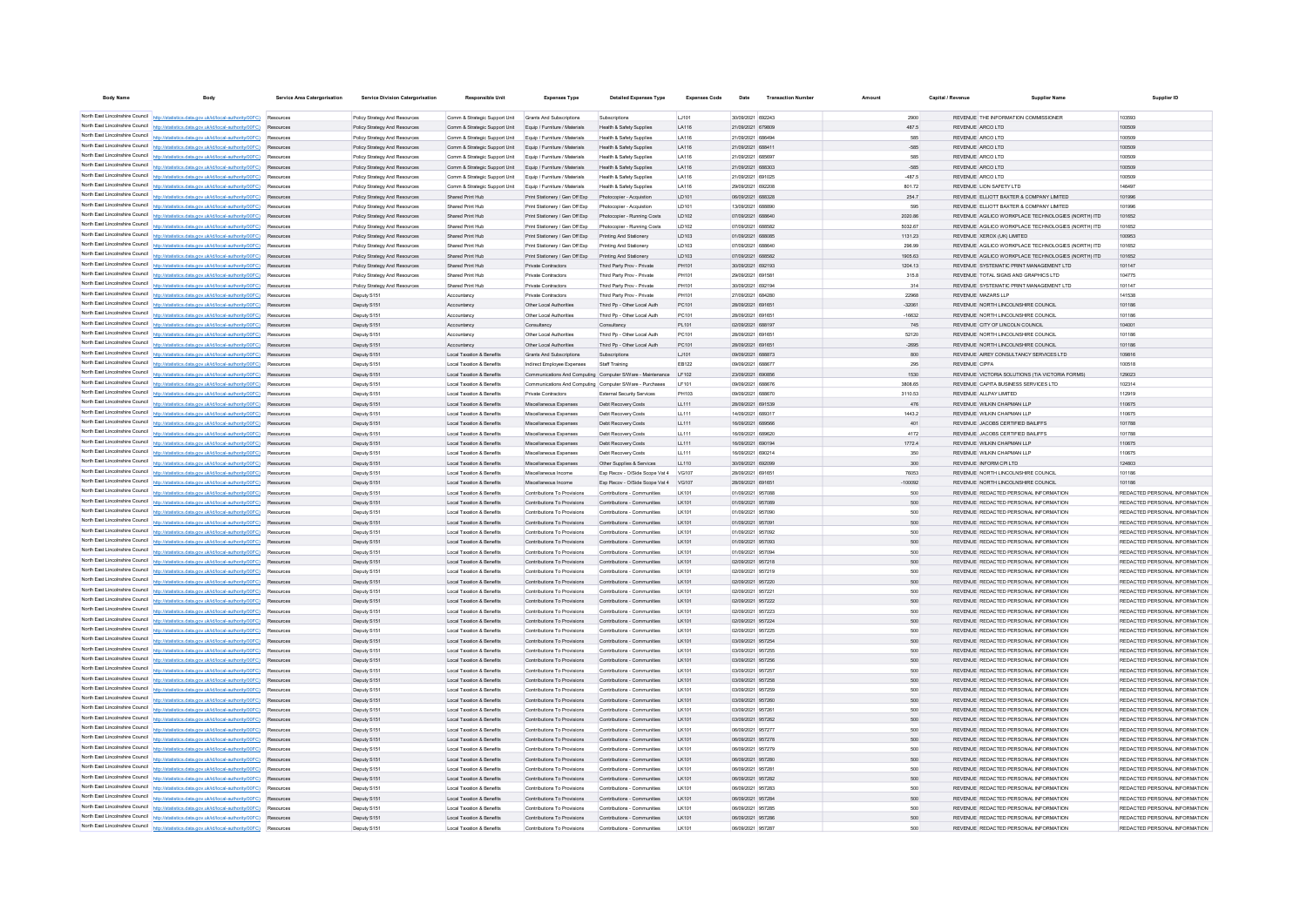| <b>Body Name</b>                                                   |                                                                                                                                                                                  | <b>Service Area Catergorisation</b> | <b>Service Division Catergorisation</b>                        | <b>Responsible Uni</b>                                      | <b>Expenses Type</b>                                                                     | <b>Detailed Expenses Type</b>                                    | <b>Expenses Code</b>         |                                        |                   | Capital / Revenue | Supplier Name                                                                                            | Supplier ID                                                    |
|--------------------------------------------------------------------|----------------------------------------------------------------------------------------------------------------------------------------------------------------------------------|-------------------------------------|----------------------------------------------------------------|-------------------------------------------------------------|------------------------------------------------------------------------------------------|------------------------------------------------------------------|------------------------------|----------------------------------------|-------------------|-------------------|----------------------------------------------------------------------------------------------------------|----------------------------------------------------------------|
|                                                                    | North East Lincolnshire Council http://statistics.data.gov.uk/id/local-authority/00FC) Resources                                                                                 |                                     | Policy Strategy And Resources                                  | Comm & Strategic Support Unit Grants And Subscriptions      |                                                                                          | Subscriptions                                                    | LJ101                        | 30/09/2021 692243                      | 2900              |                   | REVENUE THE INFORMATION COMMISSIONER                                                                     | 103593                                                         |
|                                                                    | North East Lincolnshire Council http://statistics.data.gov.uk/id/local-authority/00FC)                                                                                           | Resources                           | Policy Strategy And Resources                                  | Comm & Strategic Support Unit                               | Equip / Furniture / Materials                                                            | Health & Safety Supplies                                         | LA116                        | 21/09/2021 679809                      | 487.5             |                   | REVENUE ARCO LTD                                                                                         | 100509                                                         |
|                                                                    | North East Lincolnshire Council http://statistics.data.gov.uk/id/local-authority/00FC)                                                                                           | Resources                           | Policy Strategy And Resources                                  | Comm & Strategic Support Unit                               | Fouin / Furniture / Materials                                                            | Health & Safety Sunnlies                                         | <b>LA116</b>                 | 21/09/2021 686494                      | 585               |                   | REVENUE ARCO LTD                                                                                         | 100509                                                         |
|                                                                    | North East Lincolnshire Council http://statistics.data.gov.uk/id/local-authority/00FC).                                                                                          | Resources                           | Policy Strategy And Resources                                  | Comm & Strategic Support Unit Equip / Furniture / Materials |                                                                                          | Health & Safety Sunnlies                                         | LA116                        | 21/09/2021 688411                      | $-585$            |                   | REVENUE ARCO LTD                                                                                         | 100509                                                         |
|                                                                    | North East Lincolnshire Council http://statistics.data.gov.uk/id/local-authority/00FC).                                                                                          | Resources                           | Policy Strategy And Resources                                  | Comm & Strategic Support Unit                               | Equip / Furniture / Materials                                                            | Health & Safety Sunnlies                                         | LA116                        | 21/09/2021 685697                      | 585               |                   | REVENUE ARCO LTD                                                                                         | 100509                                                         |
| North East Lincolnshire Council                                    | http://statistics.data.gov.uk/id/local-authority/00FC)                                                                                                                           | Resources                           | Policy Strategy And Resources                                  | Comm & Strategic Support Unit                               | Equip / Furniture / Materials                                                            | Health & Safety Supplies                                         | LA116                        | 21/09/2021 688303                      | $-585$            |                   | REVENUE ARCO LTD                                                                                         | 100509                                                         |
| North East Lincolnshire Council                                    | http://statistics.data.gov.uk/id/local-authority/00FC)                                                                                                                           | Resources                           | Policy Strategy And Resources                                  | Comm & Strategic Support Unit                               | Equip / Furniture / Materials                                                            | Health & Safety Supplies                                         | LA116                        | 21/09/2021 691025                      | $-487.5$          |                   | REVENUE ARCO LTD                                                                                         | 100509                                                         |
| North East Lincolnshire Council                                    | http://statistics.data.gov.uk/id/local-authority/00FC) Resources                                                                                                                 |                                     | Policy Strategy And Resources                                  | Comm & Strategic Support Unit                               | Equip / Furniture / Materials                                                            | Health & Safety Supplies                                         | LA116                        | 29/09/2021 692208                      | 801.72            |                   | REVENUE LION SAFETY LTD                                                                                  | 146497                                                         |
| North East Lincolnshire Council                                    | http://statistics.data.gov.uk/id/local-authority/00FC)                                                                                                                           | Resources                           | Policy Strategy And Resources                                  | Shared Print Hub                                            | Print Stationery / Gen Off Exp Photocopier - Acquistion                                  |                                                                  | LD101                        | 06/09/2021 688328                      | 254.7             |                   | REVENUE ELLIOTT BAXTER & COMPANY LIMITED                                                                 | 101996                                                         |
|                                                                    | North East Lincolnshire Council http://statistics.data.gov.uk/id/local-authority/00FC)                                                                                           | Resources                           | Policy Strategy And Resources                                  | Shared Print Hub                                            | Print Stationery / Gen Off Exp                                                           | Photocopier - Acquistion                                         | LD101                        | 13/09/2021 688890                      | 595               |                   | REVENUE ELLIOTT BAXTER & COMPANY LIMITED                                                                 | 101996                                                         |
|                                                                    | North East Lincolnshire Council http://statistics.data.gov.uk/id/local-authority/00FC)                                                                                           | Resources                           | Policy Strategy And Resources                                  | Shared Print Hub                                            | Print Stationery / Gen Off Exp Photocopier - Running Costs                               |                                                                  | LD102                        | 07/09/2021 688640                      | 2020.86           |                   | REVENUE AGILICO WORKPLACE TECHNOLOGIES (NORTH) ITD                                                       | 101652                                                         |
|                                                                    | North East Lincolnshire Council http://statistics.data.gov.uk/id/local-authority/00FC)                                                                                           | Resources                           | Policy Strategy And Resources                                  | Shared Print Hub                                            | Print Stationery / Gen Off Exp                                                           | Photocopier - Running Costs                                      | LD102                        | 07/09/2021 688582                      | 5032.67           |                   | REVENUE AGILICO WORKPLACE TECHNOLOGIES (NORTH) ITD                                                       | 101652                                                         |
|                                                                    | North East Lincolnshire Council http://statistics.data.gov.uk/id/local-authority/00FC)                                                                                           | Resources                           | Policy Strategy And Resources                                  | Shared Print Hub                                            | Print Stationery / Gen Off Exp Printing And Stationery                                   |                                                                  | LD103                        | 01/09/2021 688085                      | 1131.23           |                   | REVENUE XEROX (UK) LIMITED                                                                               | 100953<br>101652                                               |
|                                                                    | North East Lincolnshire Council http://statistics.data.gov.uk/id/local-authority/00FC)<br>North East Lincolnshire Council http://statistics.data.gov.uk/id/local-authority/00FC) | Resources<br>Resources              | Policy Strategy And Resources<br>Policy Strategy And Resources | Shared Print Hub<br>Shared Print Hub                        | Print Stationery / Gen Off Exp<br>Print Stationery / Gen Off Exp Printing And Stationery | Printing And Stationery                                          | LD103<br>LD103               | 07/09/2021 688640<br>07/09/2021 688582 | 296.99<br>1905.63 |                   | REVENUE AGILICO WORKPLACE TECHNOLOGIES (NORTH) ITD<br>REVENUE AGILICO WORKPLACE TECHNOLOGIES (NORTH) ITD | 101652                                                         |
|                                                                    | North East Lincolnshire Council http://statistics.data.gov.uk/id/local-authority/00FC)                                                                                           | Resources                           | Policy Strategy And Resources                                  | Shared Print Hub                                            | Private Contractors                                                                      | Third Party Prov - Private                                       | PH101                        | 30/09/2021 692193                      | 1204.13           |                   | REVENUE SYSTEMATIC PRINT MANAGEMENT LTD                                                                  | 101147                                                         |
|                                                                    | North East Lincolnshire Council http://statistics.data.gov.uk/id/local-authority/00FC)                                                                                           | Resources                           | Policy Strategy And Resources                                  | Shared Print Hub                                            | Private Contractors                                                                      | Third Party Prov - Private                                       | PH101                        | 29/09/2021 691581                      | 315.8             |                   | REVENUE TOTAL SIGNS AND GRAPHICS LTD                                                                     | 104775                                                         |
|                                                                    | North East Lincolnshire Council http://statistics.data.gov.uk/id/local-authority/00FC)                                                                                           | Resources                           | Policy Strategy And Resources                                  | Shared Print Hub                                            | <b>Private Contractors</b>                                                               | Third Party Prov - Private                                       | PH101                        | 30/09/2021 692194                      | 314               |                   | REVENUE SYSTEMATIC PRINT MANAGEMENT LTD                                                                  | 101147                                                         |
|                                                                    | North East Lincolnshire Council http://statistics.data.gov.uk/id/local-authority/00FC)                                                                                           | Resources                           | Deputy S151                                                    | Accountancy                                                 | <b>Private Contractors</b>                                                               | Third Party Prov - Private                                       | PH101                        | 27/09/2021 684280                      | 22968             |                   | REVENUE MAZARS LLP                                                                                       | 141538                                                         |
|                                                                    | North East Lincolnshire Council http://statistics.data.gov.uk/id/local-authority/00FC)                                                                                           | Resources                           | Deputy S151                                                    | Accountancy                                                 | Other Local Authorities                                                                  | Third Pp - Other Local Auth                                      | PC101                        | 28/09/2021 691651                      | $-32061$          |                   | REVENUE NORTH LINCOLNSHIRE COUNCIL                                                                       | 101186                                                         |
|                                                                    | North East Lincolnshire Council http://statistics.data.gov.uk/id/local-authority/00FC) Resources                                                                                 |                                     | Deputy S151                                                    | Accountancy                                                 | Other Local Authorities                                                                  | Third Po - Other Local Auth                                      | PC101                        | 28/09/2021 691651                      | $-16632$          |                   | REVENUE NORTH LINCOLNSHIRE COUNCIL                                                                       | 101186                                                         |
|                                                                    | North East Lincolnshire Council http://statistics.data.gov.uk/id/local-authority/00FC)                                                                                           | Resources                           | Deputy S151                                                    | Accountancy                                                 | Consultancy                                                                              | Consultancy                                                      | PL101                        | 02/09/2021 688197                      | 745               |                   | REVENUE CITY OF LINCOLN COUNCIL.                                                                         | 104001                                                         |
|                                                                    | North East Lincolnshire Council http://statistics.data.gov.uk/id/local-authority/00FC) Resources                                                                                 |                                     | Deputy S151                                                    | Accountancy                                                 | Other Local Authorities                                                                  | Third Po - Other Local Auth                                      | PC101                        | 28/09/2021 691651                      | 52120             |                   | REVENUE NORTH LINCOLNSHIRE COUNCIL                                                                       | 101186                                                         |
|                                                                    | North East Lincolnshire Council http://statistics.data.gov.uk/id/local-authority/00FC)                                                                                           | Resources                           | Deputy S151                                                    | Accountancy                                                 | Other Local Authorities                                                                  | Third Po - Other Local Auth                                      | PC101                        | 28/09/2021 691651                      | $-2695$           |                   | REVENUE NORTH LINCOLNSHIRE COUNCIL                                                                       | 101186                                                         |
|                                                                    | North East Lincolnshire Council http://statistics.data.gov.uk/id/local-authority/00FC)                                                                                           | Resources                           | Deputy S151                                                    | Local Taxation & Benefits                                   | Grants And Subscriptions                                                                 | Subscriptions                                                    | 1.1101                       | 09/09/2021 688873                      | 800               |                   | REVENUE AIREY CONSULTANCY SERVICES LTD                                                                   | 109816                                                         |
|                                                                    | North East Lincolnshire Council http://statistics.data.gov.uk/id/local-authority/00FC)                                                                                           | Resources                           | Deputy S151                                                    | Local Taxation & Benefits                                   | Indirect Employee Expenses                                                               | Staff Training                                                   | FR122                        | 09/09/2021 688677                      | 295               | REVENUE CIPEA     |                                                                                                          | 100518                                                         |
|                                                                    | North East Lincolnshire Council http://statistics.data.gov.uk/id/local-authority/00FC)                                                                                           | Resources                           | Deputy S151                                                    | Local Taxation & Benefits                                   |                                                                                          | Communications And Computing Computer S/Ware - Maintenance LF102 |                              | 23/09/2021 690856                      | 1530              |                   | REVENUE VICTORIA SOLUTIONS (T/A VICTORIA FORMS)                                                          | 129023                                                         |
|                                                                    | North East Lincolnshire Council http://statistics.data.gov.uk/id/local-authority/00FC)                                                                                           | Resources                           | Deputy S151                                                    | Local Taxation & Benefits                                   | Communications And Computing Computer S/Ware - Purchases                                 |                                                                  | LF101                        | 09/09/2021 688676                      | 3808.65           |                   | REVENUE CAPITA BUSINESS SERVICES LTD                                                                     | 102314                                                         |
|                                                                    | North East Lincolnshire Council http://statistics.data.gov.uk/id/local-authority/00FC)                                                                                           | Resource                            | Deputy S151                                                    | Local Taxation & Benefits                                   | Private Contractors                                                                      | <b>External Security Services</b>                                | PH103                        | 09/09/2021 688670                      | 3110.53           |                   | REVENUE ALLPAY LIMITED                                                                                   | 112919                                                         |
|                                                                    | North East Lincolnshire Council http://statistics.data.gov.uk/id/local-authority/00FC)                                                                                           |                                     | Deputy S151                                                    | Local Taxation & Benefits                                   | Miscellaneous Expenses                                                                   | Debt Recovery Costs                                              | LL111                        | 28/09/2021 691539                      | 476               |                   | REVENUE WILKIN CHAPMAN LLP                                                                               | 110675                                                         |
|                                                                    | North East Lincolnshire Council http://statistics.data.gov.uk/id/local-authority/00FC)<br>North East Lincolnshire Council http://statistics.data.gov.uk/id/local-authority/00FC) |                                     | Deputy S151<br>Deputy S151                                     | Local Taxation & Benefits<br>Local Taxation & Benefits      | Miscellaneous Expenser<br>Miscellaneous Expenses                                         | Debt Recovery Costs<br>Debt Recovery Costs                       | LL111<br>LL111               | 14/09/2021 689317<br>16/09/2021 689566 | 1443.2<br>401     |                   | REVENUE WILKIN CHAPMAN LLP<br>REVENUE JACOBS CERTIFIED BALIFFS                                           | 110675<br>101788                                               |
|                                                                    | North East Lincolnshire Council http://statistics.data.gov.uk/id/local-authority/00FC)                                                                                           |                                     | Deputy S151                                                    | Local Taxation & Benefits                                   | Miscellaneous Expenser                                                                   | Debt Recovery Costs                                              | LL111                        | 16/09/2021 689620                      | 4172              |                   | REVENUE JACOBS CERTIFIED BALIFFS                                                                         | 101788                                                         |
|                                                                    | North East Lincolnshire Council http://statistics.data.gov.uk/id/local-authority/00FC)                                                                                           |                                     | Deputy S151                                                    | Local Taxation & Benefits                                   | Miscellaneous Expenses                                                                   | Debt Recovery Costs                                              | LL111                        | 16/09/2021 690194                      | 1772.4            |                   | REVENUE WILKIN CHAPMAN LLF                                                                               | 110675                                                         |
|                                                                    | North East Lincolnshire Council http://statistics.data.gov.uk/id/local-authority/00FC)                                                                                           |                                     | Deputy S15                                                     | Local Taxation & Benefits                                   | Miscellaneous Expenser                                                                   | Debt Recovery Costs                                              | LL111                        | 16/09/2021 690214                      | 350               |                   | REVENUE WILKIN CHAPMAN LLP                                                                               | 110675                                                         |
|                                                                    | North East Lincolnshire Council http://statistics.data.gov.uk/id/local-authority/00FC)                                                                                           |                                     | Deputy S151                                                    | Local Taxation & Benefits                                   | Miscellaneous Expenses                                                                   | Other Supplies & Services                                        | LL110                        | 30/09/2021 692099                      | 300               |                   | REVENUE INFORM CPI LTD                                                                                   | 124803                                                         |
|                                                                    | North East Lincolnshire Council http://statistics.data.gov.uk/id/local-authority/00FC).                                                                                          |                                     | Deputy S15                                                     | Local Taxation & Benefits                                   | Miscellaneous Income                                                                     | Exp Recov - O/Side Scope Vat 4 VG107                             |                              | 28/09/2021 69165                       | 76053             |                   | REVENUE NORTH LINCOLNSHIRE COUNCIL                                                                       | 101186                                                         |
|                                                                    | North East Lincolnshire Council http://statistics.data.gov.uk/id/local-authority/00FC)                                                                                           |                                     | Deputy S151                                                    | Local Taxation & Benefits                                   | Miscellaneous Income                                                                     | Exp Recov - O/Side Scope Vat 4 VG107                             |                              | 28/09/2021 691651                      | 100092            |                   | REVENUE NORTH LINCOLNSHIRE COUNCIL                                                                       | 101186                                                         |
|                                                                    | North East Lincolnshire Council http://statistics.data.gov.uk/id/local-authority/00FC)                                                                                           | Resources                           | Deputy S151                                                    | Local Taxation & Benefits                                   | Contributions To Provisions                                                              | Contributions - Communities                                      | <b>IK101</b>                 | 01/09/2021 957088                      | 500               |                   | REVENUE REDACTED PERSONAL INFORMATION                                                                    | REDACTED PERSONAL INFORMATION                                  |
|                                                                    | North East Lincolnshire Council http://statistics.data.gov.uk/id/local-authority/00FC)                                                                                           |                                     | Deputy S151                                                    | Local Taxation & Benefits                                   | Contributions To Provisions                                                              | Contributions - Communities                                      | LK101                        | 01/09/2021 957089                      | 500               |                   | REVENUE REDACTED PERSONAL INFORMATION                                                                    | REDACTED PERSONAL INFORMATION                                  |
|                                                                    | North East Lincolnshire Council http://statistics.data.gov.uk/id/local-authority/00FC)                                                                                           |                                     | Deputy S151                                                    | Local Taxation & Benefits                                   | Contributions To Provisions                                                              | Contributions - Communities                                      | LK101                        | 01/09/2021 957090                      | 500               |                   | REVENUE REDACTED PERSONAL INFORMATION                                                                    | REDACTED PERSONAL INFORMATION                                  |
|                                                                    | North East Lincolnshire Council http://statistics.data.gov.uk/id/local-authority/00FC)                                                                                           |                                     | Deputy S151                                                    | Local Taxation & Benefits                                   | Contributions To Provisions                                                              | Contributions - Communities                                      | LK101                        | 01/09/2021 957091                      | 500               |                   | REVENUE REDACTED PERSONAL INFORMATION                                                                    | REDACTED PERSONAL INFORMATION                                  |
|                                                                    | North East Lincolnshire Council http://statistics.data.gov.uk/id/local-authority/00FC)                                                                                           |                                     | Deputy S15                                                     | Local Taxation & Benefits                                   | Contributions To Provisions                                                              | Contributions - Communities                                      | LK101                        | 01/09/2021 957092                      | 500               |                   | REVENUE REDACTED PERSONAL INFORMATION                                                                    | REDACTED PERSONAL INFORMATION                                  |
|                                                                    | North East Lincolnshire Council http://statistics.data.gov.uk/id/local-authority/00FC)<br>North East Lincolnshire Council http://statistics.data.gov.uk/id/local-authority/00FC) |                                     | Deputy S151<br>Deputy S15                                      | Local Taxation & Benefits<br>Local Taxation & Benefits      | Contributions To Provisions<br>Contributions To Provisions                               | Contributions - Communities<br>Contributions - Communities       | LK101<br>LK101               | 01/09/2021 957093<br>01/09/2021 957094 | 500<br>500        |                   | REVENUE REDACTED PERSONAL INFORMATION<br>REVENUE REDACTED PERSONAL INFORMATION                           | REDACTED PERSONAL INFORMATION<br>REDACTED PERSONAL INFORMATION |
|                                                                    | North East Lincolnshire Council http://statistics.data.gov.uk/id/local-authority/00FC)                                                                                           |                                     | Deputy S151                                                    | Local Taxation & Benefits                                   | Contributions To Provisions                                                              | Contributions - Communities                                      | <b>LK101</b>                 | 02/09/2021 957218                      | 500               |                   | REVENUE REDACTED PERSONAL INFORMATION                                                                    | REDACTED PERSONAL INFORMATION                                  |
|                                                                    | North East Lincolnshire Council http://statistics.data.gov.uk/id/local-authority/00FC)                                                                                           |                                     | Deputy S151                                                    | Local Taxation & Benefit                                    | Contributions To Provisions                                                              | Contributions - Communities                                      | LK101                        | 02/09/2021 957219                      | 500               |                   | REVENUE REDACTED PERSONAL INFORMATION                                                                    | REDACTED PERSONAL INFORMATION                                  |
|                                                                    | North East Lincolnshire Council http://statistics.data.gov.uk/id/local-authority/00FC)                                                                                           |                                     | Deputy S151                                                    | Local Taxation & Benefits                                   | Contributions To Provisions                                                              | Contributions - Communities                                      | LK101                        | 02/09/2021 957220                      | 500               |                   | REVENUE REDACTED PERSONAL INFORMATION                                                                    | REDACTED PERSONAL INFORMATION                                  |
|                                                                    | North East Lincolnshire Council http://statistics.data.gov.uk/id/local-authority/00FC)                                                                                           | Resource                            | Deputy S151                                                    | Local Taxation & Benefit                                    | <b>Contributions To Provisions</b>                                                       | Contributions - Communities                                      | LK101                        | 02/09/2021 95722                       | 500               |                   | REVENUE REDACTED PERSONAL INFORMATION                                                                    | REDACTED PERSONAL INFORMATION                                  |
|                                                                    | North East Lincolnshire Council http://statistics.data.gov.uk/id/local-authority/00FC)                                                                                           | Resources                           | Deputy S151                                                    | Local Taxation & Benefits                                   | Contributions To Provisions                                                              | Contributions - Communities                                      | LK101                        | 02/09/2021 957222                      | 500               |                   | REVENUE REDACTED PERSONAL INFORMATION                                                                    | REDACTED PERSONAL INFORMATION                                  |
|                                                                    | North East Lincolnshire Council http://statistics.data.gov.uk/id/local-authority/00FC)                                                                                           | Resource                            | Deputy S151                                                    | Local Taxation & Benefits                                   | Contributions To Provisions                                                              | Contributions - Communities                                      | LK101                        | 02/09/2021 957223                      | 500               |                   | REVENUE REDACTED PERSONAL INFORMATION                                                                    | REDACTED PERSONAL INFORMATION                                  |
|                                                                    | North East Lincolnshire Council http://statistics.data.gov.uk/id/local-authority/00FC)                                                                                           | Resources                           | Deputy S151                                                    | Local Taxation & Benefits                                   | Contributions To Provisions                                                              | Contributions - Communities                                      | LK101                        | 02/09/2021 957224                      | 500               |                   | REVENUE REDACTED PERSONAL INFORMATION                                                                    | REDACTED PERSONAL INFORMATION                                  |
| North East Lincolnshire Council                                    | http://statistics.data.gov.uk/id/local-authority/00FC)                                                                                                                           | Resource                            | Deputy S15                                                     | Local Taxation & Benefits                                   | Contributions To Provisions                                                              | Contributions - Communities                                      | LK101                        | 02/09/2021 957225                      | 500               |                   | REVENUE REDACTED PERSONAL INFORMATION                                                                    | REDACTED PERSONAL INFORMATION                                  |
| North East Lincolnshire Council                                    | http://statistics.data.gov.uk/id/local-authority/00FC)                                                                                                                           | Resources                           | Deputy S151                                                    | Local Taxation & Benefits                                   | Contributions To Provisions                                                              | Contributions - Communities                                      | LK101                        | 03/09/2021 957254                      | 500               |                   | REVENUE REDACTED PERSONAL INFORMATION                                                                    | REDACTED PERSONAL INFORMATION                                  |
| North East Lincolnshire Council                                    | http://statistics.data.gov.uk/id/local-authority/00FC)                                                                                                                           | Resource                            | Deputy S15                                                     | Local Taxation & Benefits                                   | Contributions To Provisions                                                              | Contributions - Communities                                      | <b>LK101</b>                 | 03/09/2021 957255                      | 500               |                   | REVENUE REDACTED PERSONAL INFORMATION                                                                    | REDACTED PERSONAL INFORMATION                                  |
| North East Lincolnshire Council<br>North East Lincolnshire Council | http://statistics.data.gov.uk/id/local-authority/00FC)                                                                                                                           | Resources                           | Deputy S151                                                    | Local Taxation & Benefits                                   | Contributions To Provisions                                                              | Contributions - Communities                                      | LK101                        | 03/09/2021 957256                      | 500               |                   | REVENUE REDACTED PERSONAL INFORMATION                                                                    | REDACTED PERSONAL INFORMATION                                  |
| North East Lincolnshire Council                                    | http://statistics.data.gov.uk/id/local-authority/00FC)                                                                                                                           | Resource                            | Deputy S15                                                     | Local Taxation & Benefits                                   | Contributions To Provisions                                                              | Contributions - Communities                                      | <b>LK101</b>                 | 03/09/2021 95725                       | 500               |                   | REVENUE REDACTED PERSONAL INFORMATION                                                                    | REDACTED PERSONAL INFORMATION                                  |
| North East Lincolnshire Council                                    | http://statistics.data.gov.uk/id/local-authority/00FC)                                                                                                                           | Resources                           | Deputy S151                                                    | Local Taxation & Benefits                                   | Contributions To Provisions                                                              | Contributions - Communities                                      | LK101                        | 03/09/2021 957258                      | 500               |                   | REVENUE REDACTED PERSONAL INFORMATION                                                                    | REDACTED PERSONAL INFORMATION                                  |
| North East Lincolnshire Council                                    | http://statistics.data.gov.uk/id/local-authority/00FC)<br>http://statistics.data.gov.uk/id/local-authority/00FC)                                                                 | Resources                           | Deputy S15                                                     | Local Taxation & Benefits                                   | Contributions To Provisions                                                              | Contributions - Communities                                      | LK101<br>LK101               | 03/09/2021 957259                      | 500<br>500        |                   | REVENUE REDACTED PERSONAL INFORMATION                                                                    | REDACTED PERSONAL INFORMATION                                  |
| North East Lincolnshire Council                                    | http://statistics.data.gov.uk/id/local-authority/00FC)                                                                                                                           | Resources<br>Resources              | Deputy S151<br>Deputy S15                                      | Local Taxation & Benefits<br>Local Taxation & Benefits      | Contributions To Provisions<br>Contributions To Provisions                               | Contributions - Communities<br>Contributions - Communities       | LK101                        | 03/09/2021 957260<br>03/09/2021 95726  | 500               |                   | REVENUE REDACTED PERSONAL INFORMATION<br>REVENUE REDACTED PERSONAL INFORMATION                           | REDACTED PERSONAL INFORMATION<br>REDACTED PERSONAL INFORMATION |
| North East Lincolnshire Council                                    | http://statistics.data.gov.uk/id/local-authority/00FC)                                                                                                                           | Resources                           | Deputy S151                                                    | Local Taxation & Benefits                                   | Contributions To Provisions                                                              | Contributions - Communities                                      | LK101                        | 03/09/2021 957262                      | 500               |                   | REVENUE REDACTED PERSONAL INFORMATION                                                                    | REDACTED PERSONAL INFORMATION                                  |
| North East Lincolnshire Council                                    | http://statistics.data.gov.uk/id/local-authority/00FC)                                                                                                                           | Resources                           | Deputy S15                                                     | Local Taxation & Benefits                                   | Contributions To Provisions                                                              | Contributions - Communities                                      | LK101                        | 06/09/2021 957277                      | 500               |                   | REVENUE REDACTED PERSONAL INFORMATION                                                                    | REDACTED PERSONAL INFORMATION                                  |
| North East Lincolnshire Council                                    | http://statistics.data.gov.uk/id/local-authority/00EC)                                                                                                                           | Resources                           | Deputy S151                                                    | Local Taxation & Benefits                                   | Contributions To Provisions                                                              | Contributions - Communities                                      | I K101                       | 06/09/2021 957278                      | 500               |                   | REVENUE REDACTED PERSONAL INFORMATION                                                                    | REDACTED PERSONAL INFORMATION                                  |
| North East Lincolnshire Council                                    | http://statistics.data.gov.uk/id/local-authority/00EC)                                                                                                                           | Resources                           | Deputy S15                                                     | Local Taxation & Benefits                                   | Contributions To Provisions                                                              | Contributions - Communities                                      | <b>IK101</b>                 | 06/09/2021 957279                      | 500               |                   | REVENUE REDACTED PERSONAL INFORMATION                                                                    | REDACTED PERSONAL INFORMATION                                  |
| North East Lincolnshire Council                                    | http://statistics.data.gov.uk/id/local-authority/00EC)                                                                                                                           | Resources                           | Deputy S151                                                    | Local Taxation & Benefits                                   | Contributions To Provisions                                                              | Contributions - Communities                                      | <b>IK101</b>                 | 06/09/2021 957280                      | 500               |                   | REVENUE REDACTED PERSONAL INFORMATION                                                                    | REDACTED PERSONAL INFORMATION                                  |
| North East Lincolnshire Council                                    | http://statistics.data.gov.uk/id/local-authority/00EC)                                                                                                                           | Resources                           | Deputy S15                                                     | Local Taxation & Benefits                                   | Contributions To Provisions                                                              | Contributions - Communities                                      | <b>IK101</b>                 | 06/09/2021 957281                      | 500               |                   | REVENUE REDACTED PERSONAL INFORMATION                                                                    | REDACTED PERSONAL INFORMATION                                  |
| North East Lincolnshire Council                                    | http://statistics.data.gov.uk/id/local-authority/00FC)                                                                                                                           | Resources                           | Deputy S151                                                    | Local Taxation & Benefits                                   | Contributions To Provisions                                                              | Contributions - Communities                                      | LK101                        | 06/09/2021 957282                      | 500               |                   | REVENUE REDACTED PERSONAL INFORMATION                                                                    | REDACTED PERSONAL INFORMATION                                  |
| North East Lincolnshire Council                                    | http://statistics.data.gov.uk/id/local-authority/00FC)                                                                                                                           | Resources                           | Deputy S15                                                     | Local Taxation & Benefits                                   | Contributions To Provisions                                                              | Contributions - Communities                                      | LK101                        | 06/09/2021 957283                      | 500               |                   | REVENUE REDACTED PERSONAL INFORMATION                                                                    | REDACTED PERSONAL INFORMATION                                  |
| North East Lincolnshire Council                                    | http://statistics.data.gov.uk/id/local-authority/00FC)                                                                                                                           | Resources                           | Deputy S151                                                    | Local Taxation & Benefits                                   | Contributions To Provisions                                                              | Contributions - Communities                                      | LK101                        | 06/09/2021 957284                      | 500               |                   | REVENUE REDACTED PERSONAL INFORMATION                                                                    | REDACTED PERSONAL INFORMATION                                  |
|                                                                    | North East Lincolnshire Council http://statistics.data.gov.uk/id/local-authority/00FC)                                                                                           | Resources                           | Deputy S15                                                     | Local Taxation & Benefits                                   | Contributions To Provisions                                                              | Contributions - Communities                                      | <b>LK101</b>                 | 06/09/2021 957285                      | 500               |                   | REVENUE REDACTED PERSONAL INFORMATION                                                                    | REDACTED PERSONAL INFORMATION                                  |
| North East Lincolnshire Council                                    | North East Lincolnshire Council http://statistics.data.gov.uk/id/local-authority/00FC)                                                                                           | Resources                           | Deputy S151                                                    | Local Taxation & Benefits<br>Local Taxation & Benefits      | Contributions To Provisions<br>Contributions To Provisions                               | Contributions - Communities<br>Contributions - Communities       | <b>IK101</b><br><b>LK101</b> | 06/09/2021 957286<br>06/09/2021 957287 | 500<br>500        |                   | REVENUE REDACTED PERSONAL INFORMATION<br>REVENUE REDACTED PERSONAL INFORMATION                           | REDACTED PERSONAL INFORMATION<br>REDACTED PERSONAL INFORMATION |
|                                                                    | http://statistics.data.gov.uk/id/local-authority/00FC)                                                                                                                           | Resource                            | Deputy S15                                                     |                                                             |                                                                                          |                                                                  |                              |                                        |                   |                   |                                                                                                          |                                                                |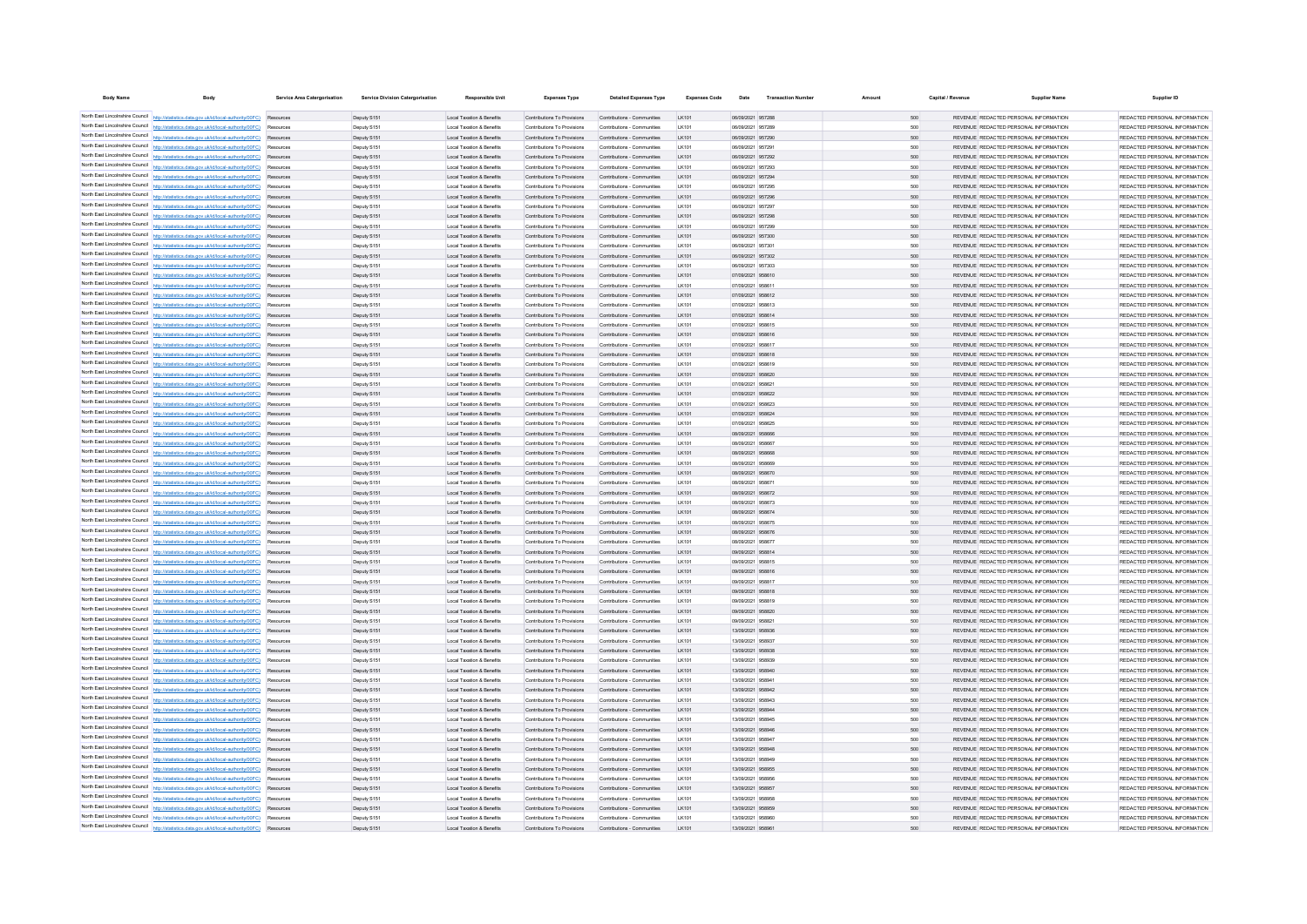| <b>Body Name</b>                                                   | <b>Body</b>                                                                                                                                                                                | Service Area Catergorisation | <b>Service Division Catergorisation</b> | <b>Responsible Unit</b>                                | <b>Expenses Type</b>                                       | <b>Detailed Expenses Type</b>                                 | <b>Expenses Code</b>         | Date                                   | <b>Transaction Number</b> | Amount | Capital / Revenue |                                                                                | <b>Supplier Name</b> | Supplier ID                                                    |
|--------------------------------------------------------------------|--------------------------------------------------------------------------------------------------------------------------------------------------------------------------------------------|------------------------------|-----------------------------------------|--------------------------------------------------------|------------------------------------------------------------|---------------------------------------------------------------|------------------------------|----------------------------------------|---------------------------|--------|-------------------|--------------------------------------------------------------------------------|----------------------|----------------------------------------------------------------|
|                                                                    | North East Lincolnshire Council http://statistics.data.gov.uk/id/local-authority/00FC)                                                                                                     | Resources                    | Deputy S151                             | Local Taxation & Benefits                              |                                                            | Contributions To Provisions Contributions - Communities LK101 |                              | 06/09/2021 957288                      |                           |        | 500               | REVENUE REDACTED PERSONAL INFORMATION                                          |                      | REDACTED PERSONAL INFORMATION                                  |
|                                                                    | North East Lincolnshire Council http://statistics.data.gov.uk/id/local-authority/00FC)                                                                                                     | Resources                    | Deputy S151                             | Local Taxation & Benefits                              | Contributions To Provisions                                | Contributions - Communities                                   | LK101                        | 06/09/2021 957289                      |                           |        | 500               | REVENUE REDACTED PERSONAL INFORMATION                                          |                      | REDACTED PERSONAL INFORMATION                                  |
|                                                                    | North East Lincolnshire Council http://statistics.data.gov.uk/id/local-authority/00FC)                                                                                                     | Resources                    | Deputy S151                             | Local Taxation & Benefits                              | Contributions To Provisions                                | Contributions - Communities                                   | LK101                        | 06/09/2021 957290                      |                           |        | 500               | REVENUE REDACTED PERSONAL INFORMATION                                          |                      | REDACTED PERSONAL INFORMATION                                  |
|                                                                    | North East Lincolnshire Council http://statistics.data.gov.uk/id/local-authority/00FC) Resources                                                                                           |                              | Deputy S151                             | Local Taxation & Benefits                              | Contributions To Provisions                                | Contributions - Communities                                   | <b>IK101</b>                 | 06/09/2021 957291                      |                           |        | 500               | REVENUE REDACTED PERSONAL INFORMATION                                          |                      | REDACTED PERSONAL INFORMATION                                  |
| North East Lincolnshire Council                                    | http://statistics.data.gov.uk/id/local-authority/DDEC)                                                                                                                                     | <b>RepAIR</b>                | Deputy S151                             | Local Taxation & Benefits                              | Contributions To Provisions                                | Contributions - Communities                                   | <b>IK101</b>                 | 06/09/2021 957292                      |                           |        | 500               | REVENUE REDACTED PERSONAL INFORMATION                                          |                      | REDACTED PERSONAL INFORMATION                                  |
| North East Lincolnshire Council<br>North East Lincolnshire Council | http://statistics.data.gov.uk/id/local-authority/00ECL Resources                                                                                                                           |                              | Deputy S151                             | Local Taxation & Benefits                              | Contributions To Provisions                                | Contributions - Communities                                   | <b>IK101</b>                 | 06/09/2021 957293                      |                           |        | 500               | REVENUE REDACTED PERSONAL INFORMATION                                          |                      | REDACTED PERSONAL INFORMATION                                  |
| North East Lincolnshire Council                                    | http://statistics.data.gov.uk/id/local-authority/DDEC)<br>http://statistics.data.gov.uk/id/local-authority/00EC) Resources                                                                 | <b>Permitted</b>             | Deputy S151<br>Deputy S151              | Local Taxation & Benefits<br>Local Taxation & Benefits | Contributions To Provisions<br>Contributions To Provisions | Contributions - Communities<br>Contributions - Communities    | <b>IK101</b><br><b>IK101</b> | 06/09/2021 957294<br>06/09/2021 957295 |                           |        | 500<br>500        | REVENUE REDACTED PERSONAL INFORMATION<br>REVENUE REDACTED PERSONAL INFORMATION |                      | REDACTED PERSONAL INFORMATION<br>REDACTED PERSONAL INFORMATION |
| North East Lincolnshire Council                                    | http://statistics.data.gov.uk/id/local-authority/00EC)                                                                                                                                     | Resources                    | Deputy S151                             | Local Taxation & Benefits                              | Contributions To Provisions                                | Contributions - Communities                                   | <b>IK101</b>                 | 06/09/2021 957296                      |                           |        | 500               | REVENUE REDACTED PERSONAL INFORMATION                                          |                      | REDACTED PERSONAL INFORMATION                                  |
| North East Lincolnshire Council                                    | http://statistics.data.gov.uk/id/local-authority/00EC) Resources                                                                                                                           |                              | Deputy S151                             | Local Taxation & Benefits                              | Contributions To Provisions                                | Contributions - Communities                                   | LK101                        | 06/09/2021 957297                      |                           |        | 500               | REVENUE REDACTED PERSONAL INFORMATION                                          |                      | REDACTED PERSONAL INFORMATION                                  |
|                                                                    | North East Lincolnshire Council http://statistics.data.gov.uk/id/local-authority/00FC)                                                                                                     | Resources                    | Deputy S151                             | Local Taxation & Benefits                              | Contributions To Provisions                                | Contributions - Communities                                   | LK101                        | 06/09/2021 957298                      |                           |        | 500               | REVENUE REDACTED PERSONAL INFORMATION                                          |                      | REDACTED PERSONAL INFORMATION                                  |
|                                                                    | North East Lincolnshire Council http://statistics.data.gov.uk/id/local-authority/00FC) Resources                                                                                           |                              | Deputy S151                             | Local Taxation & Benefits                              | Contributions To Provisions                                | Contributions - Communities                                   | LK101                        | 06/09/2021 957299                      |                           |        | 500               | REVENUE REDACTED PERSONAL INFORMATION                                          |                      | REDACTED PERSONAL INFORMATION                                  |
|                                                                    | North East Lincolnshire Council http://statistics.data.gov.uk/id/local-authority/00FC)                                                                                                     | <b>Report Follow</b>         | Deputy S151                             | Local Taxation & Benefits                              | Contributions To Provisions                                | Contributions - Communities                                   | LK101                        | 06/09/2021 957300                      |                           |        | 500               | REVENUE REDACTED PERSONAL INFORMATION                                          |                      | REDACTED PERSONAL INFORMATION                                  |
|                                                                    | North East Lincolnshire Council http://statistics.data.gov.uk/id/local-authority/00FC) Resources                                                                                           |                              | Deputy S151                             | Local Taxation & Benefits                              | Contributions To Provisions                                | Contributions - Communities                                   | LK101                        | 06/09/2021 957301                      |                           |        | 500               | REVENUE REDACTED PERSONAL INFORMATION                                          |                      | REDACTED PERSONAL INFORMATION                                  |
|                                                                    | North East Lincolnshire Council http://statistics.data.gov.uk/id/local-authority/00FC)<br>North East Lincolnshire Council http://statistics.data.gov.uk/id/local-authority/00FC) Resources | Resources                    | Deputy S151<br>Deputy S151              | Local Taxation & Benefits<br>Local Taxation & Benefits | Contributions To Provisions<br>Contributions To Provisions | Contributions - Communities<br>Contributions - Communities    | <b>IK101</b><br><b>IK101</b> | 06/09/2021 957302<br>06/09/2021 957303 |                           |        | 500<br>500        | REVENUE REDACTED PERSONAL INFORMATION<br>REVENUE REDACTED PERSONAL INFORMATION |                      | REDACTED PERSONAL INFORMATION<br>REDACTED PERSONAL INFORMATION |
|                                                                    | North East Lincolnshire Council http://statistics.data.gov.uk/id/local-authority/00FC)                                                                                                     | Resources                    | Deputy S151                             | Local Taxation & Benefits                              | Contributions To Provisions                                | Contributions - Communities                                   | <b>IK101</b>                 | 07/09/2021 958610                      |                           |        | 500               | REVENUE REDACTED PERSONAL INFORMATION                                          |                      | REDACTED PERSONAL INFORMATION                                  |
|                                                                    | North East Lincolnshire Council http://statistics.data.gov.uk/id/local-authority/00FC) Resources                                                                                           |                              | Deputy S151                             | Local Taxation & Benefits                              | Contributions To Provisions                                | Contributions - Communities                                   | <b>IK101</b>                 | 07/09/2021 958611                      |                           |        | 500               | REVENUE REDACTED PERSONAL INFORMATION                                          |                      | REDACTED PERSONAL INFORMATION                                  |
|                                                                    | North East Lincolnshire Council http://statistics.data.gov.uk/id/local-authority/00FC)                                                                                                     | Resources                    | Deputy S151                             | Local Taxation & Benefits                              | Contributions To Provisions                                | Contributions - Communities                                   | <b>IK101</b>                 | 07/09/2021 958612                      |                           |        | 500               | REVENUE REDACTED PERSONAL INFORMATION                                          |                      | REDACTED PERSONAL INFORMATION                                  |
|                                                                    | North East Lincolnshire Council http://statistics.data.gov.uk/id/local-authority/00FC)                                                                                                     | Resources                    | Deputy S151                             | Local Taxation & Benefits                              | Contributions To Provisions                                | Contributions - Communities                                   | LK101                        | 07/09/2021 958613                      |                           |        | 500               | REVENUE REDACTED PERSONAL INFORMATION                                          |                      | REDACTED PERSONAL INFORMATION                                  |
|                                                                    | North East Lincolnshire Council http://statistics.data.gov.uk/id/local-authority/00FC)                                                                                                     |                              | Deputy S151                             | Local Taxation & Benefits                              | Contributions To Provisions                                | Contributions - Communities                                   | LK101                        | 07/09/2021 958614                      |                           |        | 500               | REVENUE REDACTED PERSONAL INFORMATION                                          |                      | REDACTED PERSONAL INFORMATION                                  |
|                                                                    | North East Lincolnshire Council http://statistics.data.gov.uk/id/local-authority/00FC)<br>North East Lincolnshire Council http://statistics.data.gov.uk/id/local-authority/00FC)           | Resources                    | Deputy S151<br>Deputy S151              | Local Taxation & Benefits<br>Local Taxation & Benefits | Contributions To Provisions<br>Contributions To Provisions | Contributions - Communities<br>Contributions - Communities    | 1 K101<br><b>IK101</b>       | 07/09/2021 958615<br>07/09/2021 958616 |                           |        | 500<br>500        | REVENUE REDACTED PERSONAL INFORMATION<br>REVENUE REDACTED PERSONAL INFORMATION |                      | REDACTED PERSONAL INFORMATION<br>REDACTED PERSONAL INFORMATION |
|                                                                    | North East Lincolnshire Council http://statistics.data.gov.uk/id/local-authority/00FC)                                                                                                     | <b>Report Follow</b>         | Deputy S151                             | Local Taxation & Benefits                              | Contributione To Provisione                                | Contributions - Communities                                   | 1 K101                       | 07/09/2021 958617                      |                           |        | 500               | REVENUE REDACTED PERSONAL INFORMATION                                          |                      | REDACTED PERSONAL INFORMATION                                  |
|                                                                    | North East Lincolnshire Council http://statistics.data.gov.uk/id/local-authority/00FC)                                                                                                     |                              | Deputy S151                             | Local Taxation & Benefits                              | Contributions To Provisions                                | Contributions - Communities                                   | LK101                        | 07/09/2021 958618                      |                           |        | 500               | REVENUE REDACTED PERSONAL INFORMATION                                          |                      | REDACTED PERSONAL INFORMATION                                  |
|                                                                    | North East Lincolnshire Council http://statistics.data.gov.uk/id/local-authority/00FC)                                                                                                     | Resources                    | Deputy S151                             | Local Taxation & Benefits                              | Contributions To Provisions                                | Contributions - Communities                                   | 1 K101                       | 07/09/2021 958619                      |                           |        | 500               | REVENUE REDACTED PERSONAL INFORMATION                                          |                      | REDACTED PERSONAL INFORMATION                                  |
|                                                                    | North East Lincolnshire Council http://statistics.data.gov.uk/id/local-authority/00FC)                                                                                                     |                              | Deputy S151                             | Local Taxation & Benefits                              | Contributions To Provisions                                | Contributions - Communities                                   | LK101                        | 07/09/2021 958620                      |                           |        | 500               | REVENUE REDACTED PERSONAL INFORMATION                                          |                      | REDACTED PERSONAL INFORMATION                                  |
|                                                                    | North East Lincolnshire Council http://statistics.data.gov.uk/id/local-authority/00FC)                                                                                                     |                              | Deputy S151                             | Local Taxation & Benefits                              | Contributions To Provisions                                | Contributions - Communities                                   | LK101                        | 07/09/2021 958621                      |                           |        | 500               | REVENUE REDACTED PERSONAL INFORMATION                                          |                      | REDACTED PERSONAL INFORMATION                                  |
|                                                                    | North East Lincolnshire Council http://statistics.data.gov.uk/id/local-authority/00FC)                                                                                                     |                              | Deputy S151                             | Local Taxation & Benefits                              | Contributions To Provisions                                | Contributions - Communities                                   | LK101                        | 07/09/2021 958622                      |                           |        | 500               | REVENUE REDACTED PERSONAL INFORMATION                                          |                      | REDACTED PERSONAL INFORMATION                                  |
|                                                                    | North East Lincolnshire Council http://statistics.data.gov.uk/id/local-authority/00FC)<br>North East Lincolnshire Council http://statistics.data.gov.uk/id/local-authority/00FC)           |                              | Deputy S15<br>Deputy S151               | Local Taxation & Benefits<br>Local Taxation & Benefits | Contributions To Provisions<br>Contributions To Provisions | Contributions - Communities<br>Contributions - Communities    | LK101<br>LK101               | 07/09/2021 958623<br>07/09/2021 958624 |                           |        | 500<br>500        | REVENUE REDACTED PERSONAL INFORMATION<br>REVENUE REDACTED PERSONAL INFORMATION |                      | REDACTED PERSONAL INFORMATION<br>REDACTED PERSONAL INFORMATION |
|                                                                    | North East Lincolnshire Council http://statistics.data.gov.uk/id/local-authority/00FC)                                                                                                     |                              | Deputy S15                              | Local Taxation & Benefits                              | Contributions To Provisions                                | Contributions - Communities                                   | LK101                        | 07/09/2021 958625                      |                           |        | 500               | REVENUE REDACTED PERSONAL INFORMATION                                          |                      | REDACTED PERSONAL INFORMATION                                  |
|                                                                    | North East Lincolnshire Council   http://statistics.data.gov.uk/id/local-authority/00FC)                                                                                                   |                              | Deputy S151                             | Local Taxation & Benefits                              | Contributions To Provisions                                | Contributions - Communities                                   | LK101                        | 08/09/2021 958666                      |                           |        | 500               | REVENUE REDACTED PERSONAL INFORMATION                                          |                      | REDACTED PERSONAL INFORMATION                                  |
|                                                                    | North East Lincolnshire Council http://statistics.data.gov.uk/id/local-authority/00FC)                                                                                                     |                              | Deputy S15                              | Local Taxation & Benefits                              | Contributions To Provisions                                | Contributions - Communities                                   | LK101                        | 08/09/2021 958667                      |                           |        | 500               | REVENUE REDACTED PERSONAL INFORMATION                                          |                      | REDACTED PERSONAL INFORMATION                                  |
|                                                                    | North East Lincolnshire Council http://statistics.data.gov.uk/id/local-authority/00FC)                                                                                                     |                              | Deputy S151                             | Local Taxation & Benefits                              | Contributions To Provisions                                | Contributions - Communities                                   | LK101                        | 08/09/2021 958668                      |                           |        | 500               | REVENUE REDACTED PERSONAL INFORMATION                                          |                      | REDACTED PERSONAL INFORMATION                                  |
| North East Lincolnshire Council                                    | North East Lincolnshire Council http://statistics.data.gov.uk/id/local-authority/00FC)                                                                                                     | Resource                     | Deputy S151                             | Local Taxation & Benefits                              | Contributions To Provisions                                | Contributions - Communities                                   | LK101                        | 08/09/2021 958669                      |                           |        | 500               | REVENUE REDACTED PERSONAL INFORMATION                                          |                      | REDACTED PERSONAL INFORMATION                                  |
| North East Lincolnshire Council                                    | http://statistics.data.gov.uk/id/local-authority/00FC)                                                                                                                                     |                              | Deputy S151                             | Local Taxation & Benefits                              | Contributions To Provisions                                | Contributions - Communities                                   | LK101                        | 08/09/2021 958670                      |                           |        | 500               | REVENUE REDACTED PERSONAL INFORMATION                                          |                      | REDACTED PERSONAL INFORMATION                                  |
|                                                                    | http://statistics.data.gov.uk/id/local-authority/00FC)<br>North East Lincolnshire Council http://statistics.data.gov.uk/id/local-authority/00FC)                                           | Resource                     | Deputy S15<br>Deputy S151               | Local Taxation & Benefits<br>Local Taxation & Benefits | Contributions To Provisions<br>Contributions To Provisions | Contributions - Communities<br>Contributions - Communities    | LK101<br>LK101               | 08/09/2021 95867<br>08/09/2021 958672  |                           |        | 500<br>500        | REVENUE REDACTED PERSONAL INFORMATION<br>REVENUE REDACTED PERSONAL INFORMATION |                      | REDACTED PERSONAL INFORMATION<br>REDACTED PERSONAL INFORMATION |
|                                                                    | North East Lincolnshire Council http://statistics.data.gov.uk/id/local-authority/00FC)                                                                                                     |                              | Deputy S151                             | Local Taxation & Benefits                              | Contributions To Provisions                                | Contributions - Communities                                   | LK101                        | 08/09/2021 958673                      |                           |        | 500               | REVENUE REDACTED PERSONAL INFORMATION                                          |                      | REDACTED PERSONAL INFORMATION                                  |
|                                                                    | North East Lincolnshire Council http://statistics.data.gov.uk/id/local-authority/00FC)                                                                                                     |                              | Deputy S151                             | Local Taxation & Benefits                              | Contributions To Provisions                                | Contributions - Communities                                   | LK101                        | 08/09/2021 958674                      |                           |        | 500               | REVENUE REDACTED PERSONAL INFORMATION                                          |                      | REDACTED PERSONAL INFORMATION                                  |
|                                                                    | North East Lincolnshire Council http://statistics.data.gov.uk/id/local-authority/00FC)                                                                                                     |                              | Deputy S15                              | Local Taxation & Benefits                              | Contributions To Provisions                                | Contributions - Communities                                   | LK101                        | 08/09/2021 958675                      |                           |        | 500               | REVENUE REDACTED PERSONAL INFORMATION                                          |                      | REDACTED PERSONAL INFORMATION                                  |
|                                                                    | North East Lincolnshire Council http://statistics.data.gov.uk/id/local-authority/00FC)                                                                                                     |                              | Deputy S151                             | Local Taxation & Benefits                              | Contributions To Provisions                                | Contributions - Communities                                   | LK101                        | 08/09/2021 958676                      |                           |        | 500               | REVENUE REDACTED PERSONAL INFORMATION                                          |                      | REDACTED PERSONAL INFORMATION                                  |
|                                                                    | North East Lincolnshire Council http://statistics.data.gov.uk/id/local-authority/00FC)                                                                                                     |                              | Deputy S15                              | Local Taxation & Benefits                              | Contributions To Provisions                                | Contributions - Communities                                   | 1 K101                       | 08/09/2021 958677                      |                           |        | 500               | REVENUE REDACTED PERSONAL INFORMATION                                          |                      | REDACTED PERSONAL INFORMATION                                  |
|                                                                    | North East Lincolnshire Council http://statistics.data.gov.uk/id/local-authority/00FC)<br>North East Lincolnshire Council http://statistics.data.gov.uk/id/local-authority/00FC)           |                              | Deputy S151<br>Deputy S151              | Local Taxation & Benefits<br>Local Taxation & Benefit  | Contributions To Provisions<br>Contributions To Provisions | Contributions - Communities<br>Contributions - Communities    | LK101<br>LK101               | 09/09/2021 958814<br>09/09/2021 958815 |                           |        | 500<br>500        | REVENUE REDACTED PERSONAL INFORMATION<br>REVENUE REDACTED PERSONAL INFORMATION |                      | REDACTED PERSONAL INFORMATION<br>REDACTED PERSONAL INFORMATION |
|                                                                    | North East Lincolnshire Council http://statistics.data.gov.uk/id/local-authority/00FC)                                                                                                     | Resources                    | Deputy S151                             | Local Taxation & Benefits                              | Contributions To Provisions                                | Contributions - Communities                                   | LK101                        | 09/09/2021 958816                      |                           |        | 500               | REVENUE REDACTED PERSONAL INFORMATION                                          |                      | REDACTED PERSONAL INFORMATION                                  |
|                                                                    | North East Lincolnshire Council http://statistics.data.gov.uk/id/local-authority/00FC)                                                                                                     | Resource                     | Deputy S151                             | Local Taxation & Benefits                              | Contributions To Provisions                                | Contributions - Communities                                   | LK101                        | 09/09/2021 958817                      |                           |        | 500               | REVENUE REDACTED PERSONAL INFORMATION                                          |                      | REDACTED PERSONAL INFORMATION                                  |
|                                                                    | North East Lincolnshire Council http://statistics.data.gov.uk/id/local-authority/00FC)                                                                                                     | Resources                    | Deputy S151                             | Local Taxation & Benefits                              | Contributions To Provisions                                | Contributions - Communities                                   | LK101                        | 09/09/2021 958818                      |                           |        | 500               | REVENUE REDACTED PERSONAL INFORMATION                                          |                      | REDACTED PERSONAL INFORMATION                                  |
|                                                                    | North East Lincolnshire Council http://statistics.data.gov.uk/id/local-authority/00FC)                                                                                                     | Resource                     | Deputy S151                             | Local Taxation & Benefits                              | Contributions To Provisions                                | Contributions - Communities                                   | LK101                        | 09/09/2021 958819                      |                           |        | 500               | REVENUE REDACTED PERSONAL INFORMATION                                          |                      | REDACTED PERSONAL INFORMATION                                  |
| North East Lincolnshire Council                                    | http://statistics.data.gov.uk/id/local-authority/00FC)                                                                                                                                     | Resources                    | Deputy S151                             | Local Taxation & Benefits                              | Contributions To Provisions                                | Contributions - Communities                                   | LK101                        | 09/09/2021 958820                      |                           |        | 500               | REVENUE REDACTED PERSONAL INFORMATION                                          |                      | REDACTED PERSONAL INFORMATION                                  |
| North East Lincolnshire Council                                    | North East Lincolnshire Council http://statistics.data.gov.uk/id/local-authority/00FC)<br>http://statistics.data.gov.uk/id/local-authority/00FC)                                           | Resource<br>Resources        | Deputy S15<br>Deputy S151               | Local Taxation & Benefits<br>Local Taxation & Benefits | Contributions To Provisions<br>Contributions To Provisions | Contributions - Communities<br>Contributions - Communities    | LK101<br>LK101               | 09/09/2021 958821<br>13/09/2021 958936 |                           |        | 500<br>500        | REVENUE REDACTED PERSONAL INFORMATION<br>REVENUE REDACTED PERSONAL INFORMATION |                      | REDACTED PERSONAL INFORMATION<br>REDACTED PERSONAL INFORMATION |
| North East Lincolnshire Council                                    | http://statistics.data.gov.uk/id/local-authority/00FC)                                                                                                                                     | Resources                    | Deputy S15                              | Local Taxation & Benefits                              | Contributions To Provisions                                | Contributions - Communities                                   | LK101                        | 13/09/2021 958937                      |                           |        | 500               | REVENUE REDACTED PERSONAL INFORMATION                                          |                      | REDACTED PERSONAL INFORMATION                                  |
| North East Lincolnshire Council                                    | http://statistics.data.gov.uk/id/local-authority/00FC)                                                                                                                                     | Resources                    | Deputy S151                             | Local Taxation & Benefits                              | Contributions To Provisions                                | Contributions - Communities                                   | LK101                        | 13/09/2021 958938                      |                           |        | 500               | REVENUE REDACTED PERSONAL INFORMATION                                          |                      | REDACTED PERSONAL INFORMATION                                  |
| North East Lincolnshire Council                                    | http://statistics.data.gov.uk/id/local-authority/00FC)                                                                                                                                     | Resources                    | Deputy S15                              | Local Taxation & Benefits                              | Contributions To Provisions                                | Contributions - Communities                                   | 1 K101                       | 13/09/2021 958939                      |                           |        | 500               | REVENUE REDACTED PERSONAL INFORMATION                                          |                      | REDACTED PERSONAL INFORMATION                                  |
| North East Lincolnshire Council                                    | http://statistics.data.gov.uk/id/local-authority/00FC)                                                                                                                                     | Resources                    | Deputy S151                             | Local Taxation & Benefits                              | Contributions To Provisions                                | Contributions - Communities                                   | LK101                        | 13/09/2021 958940                      |                           |        | 500               | REVENUE REDACTED PERSONAL INFORMATION                                          |                      | REDACTED PERSONAL INFORMATION                                  |
| North East Lincolnshire Council<br>North East Lincolnshire Council | http://statistics.data.gov.uk/id/local-authority/00FC)                                                                                                                                     | Resources                    | Deputy S15                              | Local Taxation & Benefits                              | Contributions To Provisions                                | Contributions - Communities                                   | LK101                        | 13/09/2021 958941                      |                           |        | 500               | REVENUE REDACTED PERSONAL INFORMATION                                          |                      | REDACTED PERSONAL INFORMATION                                  |
| North East Lincolnshire Council                                    | http://statistics.data.gov.uk/id/local-authority/00FC)<br>http://statistics.data.gov.uk/id/local-authority/00FC)                                                                           | Resources<br>Resources       | Deputy S151<br>Deputy S15               | Local Taxation & Benefits<br>Local Taxation & Benefits | Contributions To Provisions<br>Contributions To Provisions | Contributions - Communities<br>Contributions - Communities    | LK101<br>LK101               | 13/09/2021 958942<br>13/09/2021 958943 |                           |        | 500<br>500        | REVENUE REDACTED PERSONAL INFORMATION<br>REVENUE REDACTED PERSONAL INFORMATION |                      | REDACTED PERSONAL INFORMATION<br>REDACTED PERSONAL INFORMATION |
| North East Lincolnshire Council                                    | http://statistics.data.gov.uk/id/local-authority/00FC)                                                                                                                                     | Resources                    | Deputy S151                             | Local Taxation & Benefits                              | Contributions To Provisions                                | Contributions - Communities                                   | LK101                        | 13/09/2021 958944                      |                           |        | 500               | REVENUE REDACTED PERSONAL INFORMATION                                          |                      | REDACTED PERSONAL INFORMATION                                  |
| North East Lincolnshire Council                                    | http://statistics.data.gov.uk/id/local-authority/00FC)                                                                                                                                     | Resources                    | Deputy S151                             | Local Taxation & Benefits                              | Contributions To Provisions                                | Contributions - Communities                                   | LK101                        | 13/09/2021 958945                      |                           |        | 500               | REVENUE REDACTED PERSONAL INFORMATION                                          |                      | REDACTED PERSONAL INFORMATION                                  |
| North East Lincolnshire Council                                    | http://statistics.data.gov.uk/id/local-authority/00EC)                                                                                                                                     | Resources                    | Deputy S151                             | Local Taxation & Benefits                              | Contributions To Provisions                                | Contributions - Communities                                   | <b>IK101</b>                 | 13/09/2021 958946                      |                           |        | 500               | REVENUE REDACTED PERSONAL INFORMATION                                          |                      | REDACTED PERSONAL INFORMATION                                  |
| North East Lincolnshire Council                                    | http://statistics.data.gov.uk/id/local-authority/00EC)                                                                                                                                     | Resources                    | Deputy S151                             | Local Taxation & Benefits                              | Contributions To Provisions                                | Contributions - Communities                                   | 1 K101                       | 13/09/2021 958947                      |                           |        | 500               | REVENUE REDACTED PERSONAL INFORMATION                                          |                      | REDACTED PERSONAL INFORMATION                                  |
| North East Lincolnshire Council<br>North East Lincolnshire Council | http://statistics.data.gov.uk/id/local-authority/00EC)                                                                                                                                     | Resources                    | Deputy S151                             | Local Taxation & Benefits                              | Contributions To Provisions                                | Contributions - Communities                                   | <b>IK101</b>                 | 13/09/2021 958948                      |                           |        | 500               | REVENUE REDACTED PERSONAL INFORMATION                                          |                      | REDACTED PERSONAL INFORMATION                                  |
| North East Lincolnshire Council                                    | http://statistics.data.gov.uk/id/local-authority/00EC)<br>http://statistics.data.gov.uk/id/local-authority/00EC)                                                                           | Resource                     | Deputy S151                             | Local Taxation & Benefits                              | Contributions To Provisions                                | Contributions - Communities<br>Contributions - Communities    | 1 K101<br><b>IK101</b>       | 13/09/2021 958949<br>13/09/2021 958955 |                           |        | 500               | REVENUE REDACTED PERSONAL INFORMATION<br>REVENUE REDACTED PERSONAL INFORMATION |                      | REDACTED PERSONAL INFORMATION<br>REDACTED PERSONAL INFORMATION |
| North East Lincolnshire Council                                    | http://statistics.data.gov.uk/id/local-authority/00FC)                                                                                                                                     | Resources<br>Resources       | Deputy S151<br>Deputy S151              | Local Taxation & Benefits<br>Local Taxation & Benefits | Contributions To Provisions<br>Contributions To Provisions | Contributions - Communities                                   | LK101                        | 13/09/2021 958956                      |                           |        | 500<br>500        | REVENUE REDACTED PERSONAL INFORMATION                                          |                      | REDACTED PERSONAL INFORMATION                                  |
| North East Lincolnshire Council                                    | http://statistics.data.gov.uk/id/local-authority/00FC)                                                                                                                                     | Resources                    | Deputy S151                             | Local Taxation & Benefits                              | Contributions To Provisions                                | Contributions - Communities                                   | LK101                        | 13/09/2021 958957                      |                           |        | 500               | REVENUE REDACTED PERSONAL INFORMATION                                          |                      | REDACTED PERSONAL INFORMATION                                  |
|                                                                    | North East Lincolnshire Council http://statistics.data.gov.uk/id/local-authority/00FC)                                                                                                     | Resources                    | Deputy S151                             | Local Taxation & Benefits                              | Contributions To Provisions                                | Contributions - Communities                                   | LK101                        | 13/09/2021 958958                      |                           |        | 500               | REVENUE REDACTED PERSONAL INFORMATION                                          |                      | REDACTED PERSONAL INFORMATION                                  |
|                                                                    | North East Lincolnshire Council http://statistics.data.gov.uk/id/local-authority/00FC)                                                                                                     | Resources                    | Deputy S151                             | Local Taxation & Benefits                              | Contributions To Provisions                                | Contributions - Communities                                   | LK101                        | 13/09/2021 958959                      |                           |        | 500               | REVENUE REDACTED PERSONAL INFORMATION                                          |                      | REDACTED PERSONAL INFORMATION                                  |
| North East Lincolnshire Council                                    | North East Lincolnshire Council http://statistics.data.gov.uk/id/local-authority/00FC)                                                                                                     | Resources                    | Deputy S151                             | Local Taxation & Benefits                              | Contributions To Provisions                                | Contributions - Communities                                   | 18101                        | 13/09/2021 958980                      |                           |        | 500               | REVENUE REDACTED PERSONAL INFORMATION                                          |                      | REDACTED PERSONAL INFORMATION                                  |
|                                                                    | http://statistics.data.gov.uk/id/local-authority/00FC)                                                                                                                                     |                              | Deputy S151                             | Local Taxation & Benefits                              | Contributions To Provisions                                | Contributions - Communities                                   | I K101                       | 13/09/2021 958961                      |                           |        | 500               | REVENUE REDACTED PERSONAL INFORMATION                                          |                      | REDACTED PERSONAL INFORMATION                                  |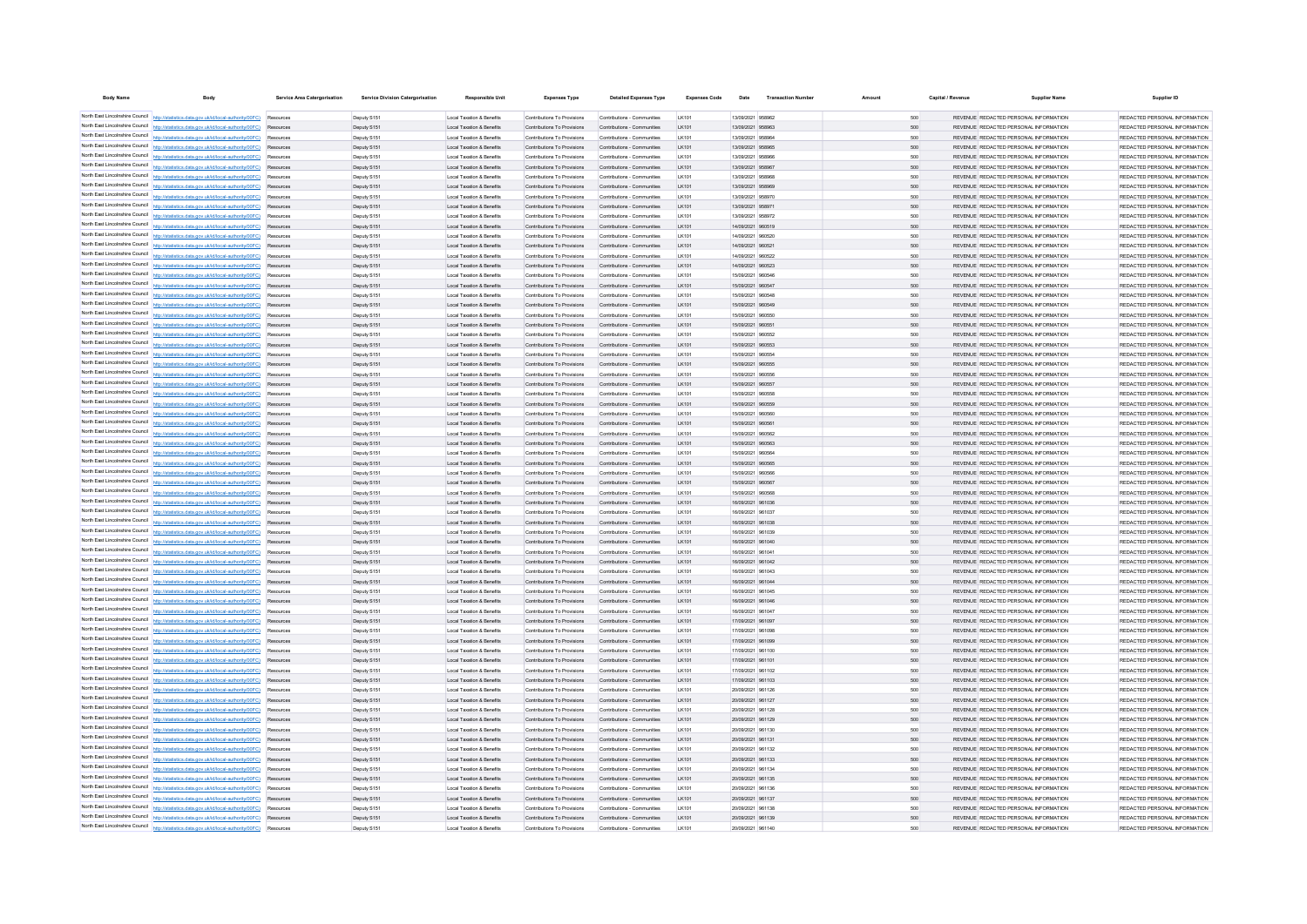| <b>Body Name</b>                                                   | <b>Body</b>                                                                                                                                                                                | Service Area Catergorisation | <b>Service Division Catergorisation</b> | <b>Responsible Unit</b>                                | <b>Expenses Type</b>                                       | <b>Detailed Expenses Type</b>                              | <b>Expenses Code</b>   | Date                                   | <b>Transaction Number</b> | Amount | Capital / Revenue |                                                                                | <b>Supplier Name</b> | Supplier ID                                                    |
|--------------------------------------------------------------------|--------------------------------------------------------------------------------------------------------------------------------------------------------------------------------------------|------------------------------|-----------------------------------------|--------------------------------------------------------|------------------------------------------------------------|------------------------------------------------------------|------------------------|----------------------------------------|---------------------------|--------|-------------------|--------------------------------------------------------------------------------|----------------------|----------------------------------------------------------------|
|                                                                    | North East Lincolnshire Council http://statistics.data.gov.uk/id/local-authority/00FC) Resources                                                                                           |                              | Deputy S151                             | Local Taxation & Benefits                              | Contributions To Provisions                                | Contributions - Communities                                | LK101                  | 13/09/2021 958962                      |                           |        | 500               | REVENUE REDACTED PERSONAL INFORMATION                                          |                      | REDACTED PERSONAL INFORMATION                                  |
|                                                                    | North East Lincolnshire Council http://statistics.data.gov.uk/id/local-authority/00FC)                                                                                                     | Resources                    | Deputy S151                             | Local Taxation & Benefits                              | Contributions To Provisions                                | Contributions - Communities                                | LK101                  | 13/09/2021 958963                      |                           |        | 500               | REVENUE REDACTED PERSONAL INFORMATION                                          |                      | REDACTED PERSONAL INFORMATION                                  |
|                                                                    | North East Lincolnshire Council http://statistics.data.gov.uk/id/local-authority/00FC) Resources                                                                                           |                              | Deputy S151                             | Local Taxation & Benefits                              | Contributions To Provisions                                | Contributions - Communities                                | LK101                  | 13/09/2021 958964                      |                           |        | 500               | REVENUE REDACTED PERSONAL INFORMATION                                          |                      | REDACTED PERSONAL INFORMATION                                  |
| North East Lincolnshire Council                                    | http://statistics.data.gov.uk/id/local-authority/DDEC)                                                                                                                                     | <b>RepAIR</b>                | Deputy S151                             | Local Taxation & Benefits                              | Contributions To Provisions                                | Contributions - Communities                                | EK101                  | 13/09/2021 958965                      |                           |        | 500               | REVENUE REDACTED PERSONAL INFORMATION                                          |                      | REDACTED PERSONAL INFORMATION                                  |
| North East Lincolnshire Council                                    | http://statistics.data.gov.uk/id/local-authority/00ECL Resources                                                                                                                           |                              | Deputy S151                             | Local Taxation & Benefits                              | Contributions To Provisions                                | Contributions - Communities                                | <b>IK101</b>           | 13/09/2021 958966                      |                           |        | 500               | REVENUE REDACTED PERSONAL INFORMATION                                          |                      | REDACTED PERSONAL INFORMATION                                  |
| North East Lincolnshire Council                                    | http://statistics.data.gov.uk/id/local-authority/DDEC)                                                                                                                                     | <b>RepAIR</b>                | Deputy S151                             | Local Taxation & Benefits                              | Contributions To Provisions                                | Contributions - Communities                                | <b>IK101</b>           | 13/09/2021 958967                      |                           |        | 500               | REVENUE REDACTED PERSONAL INFORMATION                                          |                      | REDACTED PERSONAL INFORMATION                                  |
| North East Lincolnshire Council                                    | http://statistics.data.gov.uk/id/local-authority/00EC) Resources                                                                                                                           |                              | Deputy S151                             | Local Taxation & Benefits                              | Contributions To Provisions                                | Contributions - Communities                                | <b>IK101</b>           | 13/09/2021 958968                      |                           |        | 500               | REVENUE REDACTED PERSONAL INFORMATION                                          |                      | REDACTED PERSONAL INFORMATION                                  |
| North East Lincolnshire Council                                    | http://statistics.data.gov.uk/id/local-authority/DDEC)                                                                                                                                     | <b>Peeruree</b>              | Deputy S151                             | Local Taxation & Benefits                              | Contributions To Provisions                                | Contributions - Communities                                | <b>IK101</b>           | 13/09/2021 958969                      |                           |        | 500               | REVENUE REDACTED PERSONAL INFORMATION                                          |                      | REDACTED PERSONAL INFORMATION                                  |
| North East Lincolnshire Council                                    | http://statistics.data.gov.uk/id/local-authority/00EC) Resources                                                                                                                           |                              | Deputy S151                             | Local Taxation & Benefits                              | Contributions To Provisions                                | Contributions - Communities                                | <b>IK101</b>           | 13/09/2021 958970                      |                           |        | 500               | REVENUE REDACTED PERSONAL INFORMATION                                          |                      | REDACTED PERSONAL INFORMATION                                  |
| North East Lincolnshire Council                                    | http://statistics.data.gov.uk/id/local-authority/DDEC)                                                                                                                                     | Resources                    | Deputy S151                             | Local Taxation & Benefits                              | Contributions To Provisions                                | Contributions - Communities                                | <b>IK101</b>           | 13/09/2021 958971                      |                           |        | 500               | REVENUE REDACTED PERSONAL INFORMATION                                          |                      | REDACTED PERSONAL INFORMATION                                  |
|                                                                    | North East Lincolnshire Council http://statistics.data.gov.uk/id/local-authority/00FC) Resources                                                                                           |                              | Deputy S151                             | Local Taxation & Benefits                              | Contributions To Provisions                                | Contributions - Communities                                | LK101                  | 13/09/2021 958972                      |                           |        | 500               | REVENUE REDACTED PERSONAL INFORMATION                                          |                      | REDACTED PERSONAL INFORMATION                                  |
|                                                                    | North East Lincolnshire Council http://statistics.data.gov.uk/id/local-authority/00FC)                                                                                                     | Resources                    | Deputy S151                             | Local Taxation & Benefits                              | Contributions To Provisions                                | Contributions - Communities                                | LK101                  | 14/09/2021 960519                      |                           |        | 500               | REVENUE REDACTED PERSONAL INFORMATION                                          |                      | REDACTED PERSONAL INFORMATION                                  |
|                                                                    | North East Lincolnshire Council http://statistics.data.gov.uk/id/local-authority/00FC) Resources                                                                                           |                              | Deputy S151                             | Local Taxation & Benefits                              | Contributions To Provisions                                | Contributions - Communities                                | LK101                  | 14/09/2021 960520                      |                           |        | 500               | REVENUE REDACTED PERSONAL INFORMATION                                          |                      | REDACTED PERSONAL INFORMATION                                  |
|                                                                    | North East Lincolnshire Council http://statistics.data.gov.uk/id/local-authority/00FC)                                                                                                     | Resources                    | Deputy S151                             | Local Taxation & Benefits                              | Contributions To Provisions                                | Contributions - Communities                                | <b>IK101</b>           | 14/09/2021 960521                      |                           |        | 500               | REVENUE REDACTED PERSONAL INFORMATION                                          |                      | REDACTED PERSONAL INFORMATION                                  |
|                                                                    | North East Lincolnshire Council http://statistics.data.gov.uk/id/local-authority/00FC) Resources                                                                                           |                              | Deputy S151                             | Local Taxation & Benefits                              | Contributions To Provisions                                | Contributions - Communities                                | <b>IK101</b>           | 14/09/2021 960522                      |                           |        | 500               | REVENUE REDACTED PERSONAL INFORMATION                                          |                      | REDACTED PERSONAL INFORMATION                                  |
|                                                                    | North East Lincolnshire Council http://statistics.data.gov.uk/id/local-authority/00FC)<br>North East Lincolnshire Council http://statistics.data.gov.uk/id/local-authority/00FC) Resources | Resources                    | Deputy S151                             | Local Taxation & Benefits                              | Contributions To Provisions                                | Contributions - Communities                                | <b>IK101</b>           | 14/09/2021 960523                      |                           |        | 500               | REVENUE REDACTED PERSONAL INFORMATION                                          |                      | REDACTED PERSONAL INFORMATION                                  |
|                                                                    | North East Lincolnshire Council http://statistics.data.gov.uk/id/local-authority/00FC)                                                                                                     | Resources                    | Deputy S151                             | Local Taxation & Benefits<br>Local Taxation & Benefits | Contributions To Provisions<br>Contributions To Provisions | Contributions - Communities<br>Contributions - Communities | 1 K101<br><b>IK101</b> | 15/09/2021 960546<br>15/09/2021 960547 |                           |        | 500<br>500        | REVENUE REDACTED PERSONAL INFORMATION<br>REVENUE REDACTED PERSONAL INFORMATION |                      | REDACTED PERSONAL INFORMATION<br>REDACTED PERSONAL INFORMATION |
|                                                                    | North East Lincolnshire Council http://statistics.data.gov.uk/id/local-authority/00FC)                                                                                                     | Resources                    | Deputy S151<br>Deputy S151              | Local Taxation & Benefits                              | Contributions To Provisions                                | Contributions - Communities                                | 1 K101                 | 15/09/2021 960548                      |                           |        | 500               | REVENUE REDACTED PERSONAL INFORMATION                                          |                      | REDACTED PERSONAL INFORMATION                                  |
|                                                                    | North East Lincolnshire Council http://statistics.data.gov.uk/id/local-authority/00FC)                                                                                                     | Resources                    | Deputy S151                             | Local Taxation & Benefits                              | Contributions To Provisions                                | Contributions - Communities                                | LK101                  | 15/09/2021 960549                      |                           |        | 500               | REVENUE REDACTED PERSONAL INFORMATION                                          |                      | REDACTED PERSONAL INFORMATION                                  |
|                                                                    | North East Lincolnshire Council http://statistics.data.gov.uk/id/local-authority/00FC)                                                                                                     | Resources                    | Deputy S151                             | Local Taxation & Benefits                              | Contributions To Provisions                                | Contributions - Communities                                | 1 K101                 | 15/09/2021 960550                      |                           |        | 500               | REVENUE REDACTED PERSONAL INFORMATION                                          |                      | REDACTED PERSONAL INFORMATION                                  |
|                                                                    | North East Lincolnshire Council http://statistics.data.gov.uk/id/local-authority/00FC)                                                                                                     | Resources                    | Deputy S151                             | Local Taxation & Benefits                              | Contributions To Provisions                                | Contributions - Communities                                | LK101                  | 15/09/2021 960551                      |                           |        | 500               | REVENUE REDACTED PERSONAL INFORMATION                                          |                      | REDACTED PERSONAL INFORMATION                                  |
|                                                                    | North East Lincolnshire Council http://statistics.data.gov.uk/id/local-authority/00FC)                                                                                                     | Resources                    | Deputy S151                             | Local Taxation & Benefits                              | Contributions To Provisions                                | Contributions - Communities                                | 1 K101                 | 15/09/2021 960552                      |                           |        | 500               | REVENUE REDACTED PERSONAL INFORMATION                                          |                      | REDACTED PERSONAL INFORMATION                                  |
|                                                                    | North East Lincolnshire Council http://statistics.data.gov.uk/id/local-authority/00FC)                                                                                                     | <b>Report Follow</b>         | Deputy S151                             | Local Taxation & Benefits                              | Contributions To Provisions                                | Contributions - Communities                                | LK101                  | 15/09/2021 960553                      |                           |        | 500               | REVENUE REDACTED PERSONAL INFORMATION                                          |                      | REDACTED PERSONAL INFORMATION                                  |
|                                                                    | North East Lincolnshire Council http://statistics.data.gov.uk/id/local-authority/00FC)                                                                                                     | Resources                    | Deputy S151                             | Local Taxation & Benefits                              | Contributions To Provisions                                | Contributions - Communities                                | 1 K101                 | 15/09/2021 960554                      |                           |        | 500               | REVENUE REDACTED PERSONAL INFORMATION                                          |                      | REDACTED PERSONAL INFORMATION                                  |
|                                                                    | North East Lincolnshire Council http://statistics.data.gov.uk/id/local-authority/00FC)                                                                                                     | Resources                    | Deputy S151                             | Local Taxation & Benefits                              | Contributions To Provisions                                | Contributions - Communities                                | LK101                  | 15/09/2021 960555                      |                           |        | 500               | REVENUE REDACTED PERSONAL INFORMATION                                          |                      | REDACTED PERSONAL INFORMATION                                  |
|                                                                    | North East Lincolnshire Council http://statistics.data.gov.uk/id/local-authority/00FC)                                                                                                     | Resources                    | Deputy S151                             | Local Taxation & Benefits                              | Contributions To Provisions                                | Contributions - Communities                                | LK101                  | 15/09/2021 960556                      |                           |        | 500               | REVENUE REDACTED PERSONAL INFORMATION                                          |                      | REDACTED PERSONAL INFORMATION                                  |
|                                                                    | North East Lincolnshire Council http://statistics.data.gov.uk/id/local-authority/00FC)                                                                                                     |                              | Deputy S151                             | Local Taxation & Benefits                              | Contributions To Provisions                                | Contributions - Communities                                | LK101                  | 15/09/2021 960557                      |                           |        | 500               | REVENUE REDACTED PERSONAL INFORMATION                                          |                      | REDACTED PERSONAL INFORMATION                                  |
|                                                                    | North East Lincolnshire Council http://statistics.data.gov.uk/id/local-authority/00FC)                                                                                                     |                              | Deputy S151                             | Local Taxation & Benefits                              | Contributions To Provisions                                | Contributions - Communities                                | LK101                  | 15/09/2021 960558                      |                           |        | 500               | REVENUE REDACTED PERSONAL INFORMATION                                          |                      | REDACTED PERSONAL INFORMATION                                  |
|                                                                    | North East Lincolnshire Council http://statistics.data.gov.uk/id/local-authority/00FC)                                                                                                     |                              | Deputy S151                             | Local Taxation & Benefits                              | Contributions To Provisions                                | Contributions - Communities                                | LK101                  | 15/09/2021 960559                      |                           |        | 500               | REVENUE REDACTED PERSONAL INFORMATION                                          |                      | REDACTED PERSONAL INFORMATION                                  |
|                                                                    | North East Lincolnshire Council http://statistics.data.gov.uk/id/local-authority/00FC)                                                                                                     |                              | Deputy S15                              | Local Taxation & Benefits                              | Contributions To Provisions                                | Contributions - Communities                                | LK101                  | 15/09/2021 960560                      |                           |        | 500               | REVENUE REDACTED PERSONAL INFORMATION                                          |                      | REDACTED PERSONAL INFORMATION                                  |
| North East Lincolnshire Council                                    | North East Lincolnshire Council http://statistics.data.gov.uk/id/local-authority/00FC)                                                                                                     |                              | Deputy S151                             | Local Taxation & Benefits                              | Contributions To Provisions                                | Contributions - Communities                                | LK101                  | 15/09/2021 960561                      |                           |        | 500               | REVENUE REDACTED PERSONAL INFORMATION                                          |                      | REDACTED PERSONAL INFORMATION                                  |
|                                                                    | http://statistics.data.gov.uk/id/local-authority/00EC)                                                                                                                                     |                              | Deputy S15                              | Local Taxation & Benefits                              | Contributions To Provisions                                | Contributions - Communities                                | LK101                  | 15/09/2021 960562                      |                           |        | 500               | REVENUE REDACTED PERSONAL INFORMATION                                          |                      | REDACTED PERSONAL INFORMATION                                  |
|                                                                    | North East Lincolnshire Council http://statistics.data.gov.uk/id/local-authority/00FC)                                                                                                     |                              | Deputy S151                             | Local Taxation & Benefits                              | Contributions To Provisions                                | Contributions - Communities                                | LK101                  | 15/09/2021 960563                      |                           |        | 500               | REVENUE REDACTED PERSONAL INFORMATION                                          |                      | REDACTED PERSONAL INFORMATION                                  |
|                                                                    | North East Lincolnshire Council http://statistics.data.gov.uk/id/local-authority/00FC)                                                                                                     |                              | Deputy S15                              | Local Taxation & Benefits                              | Contributions To Provisions                                | Contributions - Communities                                | LK101                  | 15/09/2021 960564                      |                           |        | 500               | REVENUE REDACTED PERSONAL INFORMATION                                          |                      | REDACTED PERSONAL INFORMATION                                  |
| North East Lincolnshire Council                                    | North East Lincolnshire Council http://statistics.data.gov.uk/id/local-authority/00FC)                                                                                                     |                              | Deputy S151                             | Local Taxation & Benefits                              | Contributions To Provisions                                | Contributions - Communities                                | LK101                  | 15/09/2021 960565                      |                           |        | 500               | REVENUE REDACTED PERSONAL INFORMATION                                          |                      | REDACTED PERSONAL INFORMATION                                  |
| North East Lincolnshire Council                                    | http://statistics.data.gov.uk/id/local-authority/00FC)<br>http://statistics.data.gov.uk/id/local-authority/00FC)                                                                           | Resource<br>Resources        | Deputy S151<br>Deputy S151              | Local Taxation & Benefits<br>Local Taxation & Benefits | Contributions To Provisions<br>Contributions To Provisions | Contributions - Communities<br>Contributions - Communities | LK101<br>LK101         | 15/09/2021 960566<br>15/09/2021 960567 |                           |        | 500<br>500        | REVENUE REDACTED PERSONAL INFORMATION<br>REVENUE REDACTED PERSONAL INFORMATION |                      | REDACTED PERSONAL INFORMATION<br>REDACTED PERSONAL INFORMATION |
|                                                                    | North East Lincolnshire Council http://statistics.data.gov.uk/id/local-authority/00FC)                                                                                                     |                              | Deputy S151                             | Local Taxation & Benefits                              | Contributions To Provisions                                | Contributions - Communities                                | LK101                  | 15/09/2021 960568                      |                           |        | 500               | REVENUE REDACTED PERSONAL INFORMATION                                          |                      | REDACTED PERSONAL INFORMATION                                  |
|                                                                    | North East Lincolnshire Council http://statistics.data.gov.uk/id/local-authority/00FC)                                                                                                     |                              | Deputy S151                             | Local Taxation & Benefits                              | Contributions To Provisions                                | Contributions - Communities                                | LK101                  | 16/09/2021 961036                      |                           |        | 500               | REVENUE REDACTED PERSONAL INFORMATION                                          |                      | REDACTED PERSONAL INFORMATION                                  |
|                                                                    | North East Lincolnshire Council http://statistics.data.gov.uk/id/local-authority/00FC)                                                                                                     |                              | Deputy S15                              | Local Taxation & Benefits                              | Contributions To Provisions                                | Contributions - Communities                                | LK101                  | 16/09/2021 961037                      |                           |        | 500               | REVENUE REDACTED PERSONAL INFORMATION                                          |                      | REDACTED PERSONAL INFORMATION                                  |
|                                                                    | North East Lincolnshire Council http://statistics.data.gov.uk/id/local-authority/00FC)                                                                                                     |                              | Deputy S151                             | Local Taxation & Benefits                              | Contributions To Provisions                                | Contributions - Communities                                | LK101                  | 16/09/2021 961038                      |                           |        | 500               | REVENUE REDACTED PERSONAL INFORMATION                                          |                      | REDACTED PERSONAL INFORMATION                                  |
|                                                                    | North East Lincolnshire Council http://statistics.data.gov.uk/id/local-authority/00FC)                                                                                                     |                              | Deputy S15                              | Local Taxation & Benefits                              | Contributions To Provisions                                | Contributions - Communities                                | 1 K101                 | 16/09/2021 961039                      |                           |        | 500               | REVENUE REDACTED PERSONAL INFORMATION                                          |                      | REDACTED PERSONAL INFORMATION                                  |
|                                                                    | North East Lincolnshire Council http://statistics.data.gov.uk/id/local-authority/00FC)                                                                                                     |                              | Deputy S151                             | Local Taxation & Benefits                              | Contributions To Provisions                                | Contributions - Communities                                | LK101                  | 16/09/2021 961040                      |                           |        | 500               | REVENUE REDACTED PERSONAL INFORMATION                                          |                      | REDACTED PERSONAL INFORMATION                                  |
|                                                                    | North East Lincolnshire Council http://statistics.data.gov.uk/id/local-authority/00FC)                                                                                                     |                              | Deputy S151                             | Local Taxation & Benefits                              | Contributions To Provisions                                | Contributions - Communities                                | LK101                  | 16/09/2021 96104                       |                           |        | 500               | REVENUE REDACTED PERSONAL INFORMATION                                          |                      | REDACTED PERSONAL INFORMATION                                  |
|                                                                    | North East Lincolnshire Council http://statistics.data.gov.uk/id/local-authority/00FC)                                                                                                     |                              | Deputy S151                             | Local Taxation & Benefits                              | Contributions To Provisions                                | Contributions - Communities                                | LK101                  | 16/09/2021 961042                      |                           |        | 500               | REVENUE REDACTED PERSONAL INFORMATION                                          |                      | REDACTED PERSONAL INFORMATION                                  |
|                                                                    | North East Lincolnshire Council http://statistics.data.gov.uk/id/local-authority/00FC)                                                                                                     | Resource                     | Deputy S151                             | Local Taxation & Benefit                               | Contributions To Provisions                                | Contributions - Communities                                | LK101                  | 16/09/2021 961043                      |                           |        | 500               | REVENUE REDACTED PERSONAL INFORMATION                                          |                      | REDACTED PERSONAL INFORMATION                                  |
|                                                                    | North East Lincolnshire Council http://statistics.data.gov.uk/id/local-authority/00FC)                                                                                                     | Resources                    | Deputy S151                             | Local Taxation & Benefits                              | Contributions To Provisions                                | Contributions - Communities                                | LK101                  | 16/09/2021 961044                      |                           |        | 500               | REVENUE REDACTED PERSONAL INFORMATION                                          |                      | REDACTED PERSONAL INFORMATION                                  |
|                                                                    | North East Lincolnshire Council http://statistics.data.gov.uk/id/local-authority/00FC)                                                                                                     | Resource                     | Deputy S15                              | Local Taxation & Benefits                              | Contributions To Provisions                                | Contributions - Communities                                | LK101                  | 16/09/2021 961045                      |                           |        | 500               | REVENUE REDACTED PERSONAL INFORMATION                                          |                      | REDACTED PERSONAL INFORMATION                                  |
| North East Lincolnshire Council                                    | North East Lincolnshire Council http://statistics.data.gov.uk/id/local-authority/00FC)                                                                                                     | Resources                    | Deputy S151                             | Local Taxation & Benefits                              | Contributions To Provisions                                | Contributions - Communities                                | LK101                  | 16/09/2021 961046                      |                           |        | 500               | REVENUE REDACTED PERSONAL INFORMATION                                          |                      | REDACTED PERSONAL INFORMATION                                  |
|                                                                    | http://statistics.data.gov.uk/id/local-authority/00FC)                                                                                                                                     | Resource                     | Deputy S15                              | Local Taxation & Benefits                              | Contributions To Provisions                                | Contributions - Communities                                | LK101                  | 16/09/2021 96104                       |                           |        | 500               | REVENUE REDACTED PERSONAL INFORMATION                                          |                      | REDACTED PERSONAL INFORMATION                                  |
| North East Lincolnshire Council                                    | North East Lincolnshire Council http://statistics.data.gov.uk/id/local-authority/00FC)                                                                                                     | Resources                    | Deputy S151                             | Local Taxation & Benefits                              | Contributions To Provisions                                | Contributions - Communities                                | LK101                  | 17/09/2021 961097                      |                           |        | 500               | REVENUE REDACTED PERSONAL INFORMATION                                          |                      | REDACTED PERSONAL INFORMATION                                  |
| North East Lincolnshire Council                                    | http://statistics.data.gov.uk/id/local-authority/00FC)<br>http://statistics.data.gov.uk/id/local-authority/00FC)                                                                           | Resource                     | Deputy S15                              | Local Taxation & Benefits                              | Contributions To Provisions<br>Contributions To Provisions | Contributions - Communities                                | <b>LK101</b><br>LK101  | 17/09/2021 961098                      |                           |        | 500<br>500        | REVENUE REDACTED PERSONAL INFORMATION                                          |                      | REDACTED PERSONAL INFORMATION                                  |
| North East Lincolnshire Council                                    | http://statistics.data.gov.uk/id/local-authority/00FC)                                                                                                                                     | Resources<br>Resource        | Deputy S151<br>Deputy S15               | Local Taxation & Benefits<br>Local Taxation & Benefits | Contributions To Provisions                                | Contributions - Communities<br>Contributions - Communities | LK101                  | 17/09/2021 961099<br>17/09/2021 961100 |                           |        | 500               | REVENUE REDACTED PERSONAL INFORMATION<br>REVENUE REDACTED PERSONAL INFORMATION |                      | REDACTED PERSONAL INFORMATION<br>REDACTED PERSONAL INFORMATION |
| North East Lincolnshire Council                                    | http://statistics.data.gov.uk/id/local-authority/00FC)                                                                                                                                     | Resources                    | Deputy S151                             | Local Taxation & Benefits                              | Contributions To Provisions                                | Contributions - Communities                                | LK101                  | 17/09/2021 961101                      |                           |        | 500               | REVENUE REDACTED PERSONAL INFORMATION                                          |                      | REDACTED PERSONAL INFORMATION                                  |
| North East Lincolnshire Council                                    | http://statistics.data.gov.uk/id/local-authority/00FC)                                                                                                                                     | Resources                    | Deputy S15                              | Local Taxation & Benefits                              | Contributions To Provisions                                | Contributions - Communities                                | LK101                  | 17/09/2021 961102                      |                           |        | 500               | REVENUE REDACTED PERSONAL INFORMATION                                          |                      | REDACTED PERSONAL INFORMATION                                  |
| North East Lincolnshire Council                                    | http://statistics.data.gov.uk/id/local-authority/00FC)                                                                                                                                     | Resources                    | Deputy S151                             | Local Taxation & Benefits                              | Contributions To Provisions                                | Contributions - Communities                                | LK101                  | 17/09/2021 961103                      |                           |        | 500               | REVENUE REDACTED PERSONAL INFORMATION                                          |                      | REDACTED PERSONAL INFORMATION                                  |
| North East Lincolnshire Council                                    | http://statistics.data.gov.uk/id/local-authority/00FC)                                                                                                                                     | Resources                    | Deputy S15                              | Local Taxation & Benefits                              | Contributions To Provisions                                | Contributions - Communities                                | LK101                  | 20/09/2021 961126                      |                           |        | 500               | REVENUE REDACTED PERSONAL INFORMATION                                          |                      | REDACTED PERSONAL INFORMATION                                  |
| North Fast Lincolnshire Council                                    | http://statistics.data.gov.uk/id/local-authority/00FC)                                                                                                                                     | Resources                    | Deputy S151                             | Local Taxation & Benefits                              | Contributions To Provisions                                | Contributions - Communities                                | LK101                  | 20/09/2021 961127                      |                           |        | 500               | REVENUE REDACTED PERSONAL INFORMATION                                          |                      | REDACTED PERSONAL INFORMATION                                  |
| North East Lincolnshire Council                                    | http://statistics.data.gov.uk/id/local-authority/00FC)                                                                                                                                     | Resources                    | Deputy S15                              | Local Taxation & Benefits                              | Contributions To Provisions                                | Contributions - Communities                                | LK101                  | 20/09/2021 961128                      |                           |        | 500               | REVENUE REDACTED PERSONAL INFORMATION                                          |                      | REDACTED PERSONAL INFORMATION                                  |
| North East Lincolnshire Council                                    | http://statistics.data.gov.uk/id/local-authority/00FC)                                                                                                                                     | Resources                    | Deputy S151                             | Local Taxation & Benefits                              | Contributions To Provisions                                | Contributions - Communities                                | LK101                  | 20/09/2021 961129                      |                           |        | 500               | REVENUE REDACTED PERSONAL INFORMATION                                          |                      | REDACTED PERSONAL INFORMATION                                  |
| North East Lincolnshire Council                                    | http://statistics.data.gov.uk/id/local-authority/00EC)                                                                                                                                     | Resources                    | Deputy S151                             | Local Taxation & Benefits                              | Contributions To Provisions                                | Contributions - Communities                                | 1 K101                 | 20/09/2021 961130                      |                           |        | 500               | REVENUE REDACTED PERSONAL INFORMATION                                          |                      | REDACTED PERSONAL INFORMATION                                  |
| North East Lincolnshire Council                                    | http://statistics.data.gov.uk/id/local-authority/00EC)                                                                                                                                     | Resources                    | Deputy S151                             | Local Taxation & Benefits                              | Contributions To Provisions                                | Contributions - Communities                                | <b>IK101</b>           | 20/09/2021 961131                      |                           |        | 500               | REVENUE REDACTED PERSONAL INFORMATION                                          |                      | REDACTED PERSONAL INFORMATION                                  |
| North East Lincolnshire Council                                    | http://statistics.data.gov.uk/id/local-authority/00EC)                                                                                                                                     | Resources                    | Deputy S151                             | Local Taxation & Benefits                              | Contributions To Provisions                                | Contributions - Communities                                | 1 K101                 | 20/09/2021 961132                      |                           |        | 500               | REVENUE REDACTED PERSONAL INFORMATION                                          |                      | REDACTED PERSONAL INFORMATION                                  |
| North East Lincolnshire Council                                    | http://statistics.data.gov.uk/id/local-authority/00EC)                                                                                                                                     | Resources                    | Deputy S151                             | Local Taxation & Benefits                              | Contributions To Provisions                                | Contributions - Communities                                | <b>IK101</b>           | 20/09/2021 961133                      |                           |        | 500               | REVENUE REDACTED PERSONAL INFORMATION                                          |                      | REDACTED PERSONAL INFORMATION                                  |
| North East Lincolnshire Council                                    | http://statistics.data.gov.uk/id/local-authority/00EC)                                                                                                                                     | Resources                    | Deputy S151                             | Local Taxation & Benefits                              | Contributions To Provisions                                | Contributions - Communities                                | 1 K101                 | 20/09/2021 961134                      |                           |        | 500               | REVENUE REDACTED PERSONAL INFORMATION                                          |                      | REDACTED PERSONAL INFORMATION                                  |
| North East Lincolnshire Council                                    | http://statistics.data.gov.uk/id/local-authority/00FC)                                                                                                                                     | Resources                    | Deputy S151                             | Local Taxation & Benefits                              | Contributions To Provisions                                | Contributions - Communities                                | LK101                  | 20/09/2021 961135                      |                           |        | 500               | REVENUE REDACTED PERSONAL INFORMATION                                          |                      | REDACTED PERSONAL INFORMATION                                  |
| North East Lincolnshire Council<br>North East Lincolnshire Council | http://statistics.data.gov.uk/id/local-authority/00FC)                                                                                                                                     | Resources                    | Deputy S151                             | Local Taxation & Benefits                              | Contributions To Provisions                                | Contributions - Communities                                | LK101                  | 20/09/2021 961136                      |                           |        | 500               | REVENUE REDACTED PERSONAL INFORMATION                                          |                      | REDACTED PERSONAL INFORMATION                                  |
|                                                                    | http://statistics.data.gov.uk/id/local-authority/00FC)<br>North East Lincolnshire Council http://statistics.data.gov.uk/id/local-authority/00FC)                                           | Resources<br>Resources       | Deputy S151                             | Local Taxation & Benefits<br>Local Taxation & Benefits | Contributions To Provisions<br>Contributions To Provisions | Contributions - Communities<br>Contributions - Communities | LK101<br>LICTOR        | 20/09/2021 961137<br>20/09/2021 961138 |                           |        | 500<br>500        | REVENUE REDACTED PERSONAL INFORMATION<br>REVENUE REDACTED PERSONAL INFORMATION |                      | REDACTED PERSONAL INFORMATION<br>REDACTED PERSONAL INFORMATION |
|                                                                    | North East Lincolnshire Council http://statistics.data.gov.uk/id/local-authority/00FC)                                                                                                     | Resources                    | Deputy S15<br>Deputy S151               | Local Taxation & Benefits                              | Contributions To Provisions                                | Contributions - Communities                                | <b>IK101</b>           | 20/09/2021 961139                      |                           |        | 500               | REVENUE REDACTED PERSONAL INFORMATION                                          |                      | REDACTED PERSONAL INFORMATION                                  |
| North East Lincolnshire Council                                    | http://statistics.data.gov.uk/id/local-authority/00FC)                                                                                                                                     | <b>Permitte</b>              | Deputy S151                             | Local Taxation & Benefits                              | Contributions To Provisions                                | Contributions - Communities                                | 110101                 | 20/09/2021 961140                      |                           |        | 500               | REVENUE REDACTED PERSONAL INFORMATION                                          |                      | REDACTED PERSONAL INFORMATION                                  |
|                                                                    |                                                                                                                                                                                            |                              |                                         |                                                        |                                                            |                                                            |                        |                                        |                           |        |                   |                                                                                |                      |                                                                |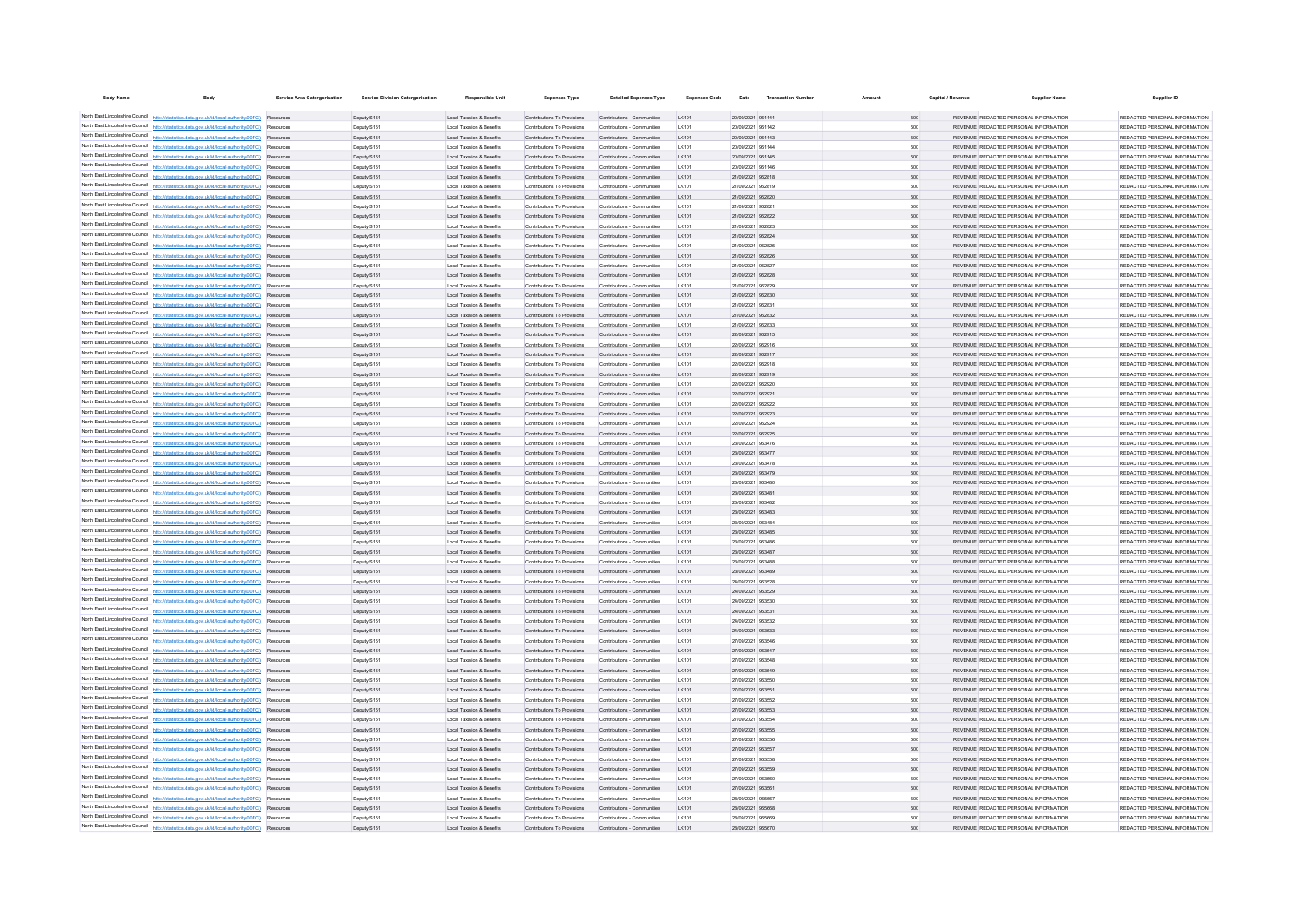| <b>Body Name</b>                                                   |                                                                                                                                                                                  | Service Area Catergorisation | <b>Service Division Catergorisation</b> | <b>Responsible Unit</b>                                | <b>Expenses Type</b>                                       | <b>Detailed Expenses Type</b>                                 | <b>Expenses Code</b> | Date                                   | <b>Transaction Number</b> | Amount | Capital / Revenue | Supplier Name                                                                  | Supplier ID                                                    |
|--------------------------------------------------------------------|----------------------------------------------------------------------------------------------------------------------------------------------------------------------------------|------------------------------|-----------------------------------------|--------------------------------------------------------|------------------------------------------------------------|---------------------------------------------------------------|----------------------|----------------------------------------|---------------------------|--------|-------------------|--------------------------------------------------------------------------------|----------------------------------------------------------------|
|                                                                    | North East Lincolnshire Council http://statistics.data.gov.uk/id/local-authority/00FC) Resources                                                                                 |                              | Deputy S151                             |                                                        |                                                            | Contributions To Provisions Contributions - Communities LK101 |                      | 20/09/2021 961141                      |                           |        | 500               | REVENUE REDACTED PERSONAL INFORMATION                                          | REDACTED PERSONAL INFORMATION                                  |
|                                                                    | North East Lincolnshire Council http://statistics.data.gov.uk/id/local-authority/00FC)                                                                                           | Resources                    | Deputy S151                             | Local Taxation & Benefits<br>Local Taxation & Benefits | Contributions To Provisions                                | Contributions - Communities                                   | LK101                | 20/09/2021 961142                      |                           |        | 500               | REVENUE REDACTED PERSONAL INFORMATION                                          | REDACTED PERSONAL INFORMATION                                  |
|                                                                    | North East Lincolnshire Council http://statistics.data.gov.uk/id/local-authority/00FC)                                                                                           | Resources                    | Deputy S151                             | Local Taxation & Benefits                              | Contributions To Provisions                                | Contributions - Communities                                   | LK101                | 20/09/2021 961143                      |                           |        | 500               | REVENUE REDACTED PERSONAL INFORMATION                                          | REDACTED PERSONAL INFORMATION                                  |
|                                                                    | North East Lincolnshire Council http://statistics.data.gov.uk/id/local-authority/00FC)                                                                                           | Resources                    | Deputy S151                             | Local Taxation & Benefits                              | Contributions To Provisions                                | Contributions - Communities                                   | <b>IK101</b>         | 20/09/2021 961144                      |                           |        | 500               | REVENUE REDACTED PERSONAL INFORMATION                                          | REDACTED PERSONAL INFORMATION                                  |
| North East Lincolnshire Council                                    | http://statistics.data.gov.uk/id/local-authority/00EC)                                                                                                                           | <b>Peerumee</b>              | Deputy S151                             | Local Taxation & Benefits                              | Contributions To Provisions                                | Contributions - Communities                                   | I K101               | 20/09/2021 961145                      |                           |        | 500               | REVENUE REDACTED PERSONAL INFORMATION                                          | REDACTED PERSONAL INFORMATION                                  |
| North East Lincolnshire Council                                    | http://statistics.data.gov.uk/id/local-authority/00EC)                                                                                                                           | Resources                    | Deputy S151                             | Local Taxation & Benefits                              | Contributions To Provisions                                | Contributions - Communities                                   | <b>IK101</b>         | 20/09/2021 961146                      |                           |        | 500               | REVENUE REDACTED PERSONAL INFORMATION                                          | REDACTED PERSONAL INFORMATION                                  |
| North East Lincolnshire Council                                    | http://statistics.data.gov.uk/id/local-authority/00EC)                                                                                                                           | Peerumer                     | Deputy S151                             | Local Taxation & Benefits                              | Contributions To Provisions                                | Contributions - Communities                                   | LK101                | 21/09/2021 962818                      |                           |        | 500               | REVENUE REDACTED PERSONAL INFORMATION                                          | REDACTED PERSONAL INFORMATION                                  |
| North East Lincolnshire Council                                    | http://statistics.data.gov.uk/id/local-authority/00EC)                                                                                                                           | Resource                     | Deputy S151                             | Local Taxation & Benefits                              | Contributions To Provisions                                | Contributions - Communities                                   | I K101               | 21/09/2021 962819                      |                           |        | 500               | REVENUE REDACTED PERSONAL INFORMATION                                          | REDACTED PERSONAL INFORMATION                                  |
| North East Lincolnshire Council                                    | http://statistics.data.gov.uk/id/local-authority/00EC)                                                                                                                           | Peerumer                     | Deputy S151                             | Local Taxation & Benefits                              | Contributions To Provisions                                | Contributions - Communities                                   | LK101                | 21/09/2021 962820                      |                           |        | 500               | REVENUE REDACTED PERSONAL INFORMATION                                          | REDACTED PERSONAL INFORMATION                                  |
|                                                                    | North East Lincolnshire Council http://statistics.data.gov.uk/id/local-authority/00FC)                                                                                           | Resources                    | Deputy S151                             | Local Taxation & Benefits                              | Contributions To Provisions                                | Contributions - Communities                                   | LK101                | 21/09/2021 962821                      |                           |        | 500               | REVENUE REDACTED PERSONAL INFORMATION                                          | REDACTED PERSONAL INFORMATION                                  |
|                                                                    | North East Lincolnshire Council http://statistics.data.gov.uk/id/local-authority/00FC)                                                                                           | Resources                    | Deputy S151                             | Local Taxation & Benefits                              | Contributions To Provisions                                | Contributions - Communities                                   | LK101                | 21/09/2021 962822                      |                           |        | 500               | REVENUE REDACTED PERSONAL INFORMATION                                          | REDACTED PERSONAL INFORMATION                                  |
|                                                                    | North East Lincolnshire Council http://statistics.data.gov.uk/id/local-authority/00FC)                                                                                           | Resources                    | Deputy S151                             | Local Taxation & Benefits                              | Contributions To Provisions                                | Contributions - Communities                                   | LK101                | 21/09/2021 962823                      |                           |        | 500               | REVENUE REDACTED PERSONAL INFORMATION                                          | REDACTED PERSONAL INFORMATION                                  |
|                                                                    | North East Lincolnshire Council http://statistics.data.gov.uk/id/local-authority/00FC)                                                                                           | Resources                    | Deputy S151                             | Local Taxation & Benefits                              | Contributions To Provisions                                | Contributions - Communities                                   | LK101                | 21/09/2021 962824                      |                           |        | 500               | REVENUE REDACTED PERSONAL INFORMATION                                          | REDACTED PERSONAL INFORMATION                                  |
|                                                                    | North East Lincolnshire Council http://statistics.data.gov.uk/id/local-authority/00FC)<br>North East Lincolnshire Council http://statistics.data.gov.uk/id/local-authority/00FC) | Resources                    | Deputy S151                             | Local Taxation & Benefits<br>Local Taxation & Benefits | Contributions To Provisions<br>Contributions To Provisions | Contributions - Communities<br>Contributions - Communities    | 1 K101<br>I K101     | 21/09/2021 962825<br>21/09/2021 962826 |                           |        | 500<br>500        | REVENUE REDACTED PERSONAL INFORMATION<br>REVENUE REDACTED PERSONAL INFORMATION | REDACTED PERSONAL INFORMATION<br>REDACTED PERSONAL INFORMATION |
|                                                                    | North East Lincolnshire Council http://statistics.data.gov.uk/id/local-authority/00FC)                                                                                           | Resources<br>Resources       | Deputy S151<br>Deputy S151              | Local Taxation & Benefits                              | Contributions To Provisions                                | Contributions - Communities                                   | I K101               | 21/09/2021 962827                      |                           |        | 500               | REVENUE REDACTED PERSONAL INFORMATION                                          | REDACTED PERSONAL INFORMATION                                  |
|                                                                    | North East Lincolnshire Council http://statistics.data.gov.uk/id/local-authority/00FC)                                                                                           | Resources                    | Deputy S151                             | Local Taxation & Benefits                              | Contributions To Provisions                                | Contributions - Communities                                   | LK101                | 21/09/2021 962828                      |                           |        | 500               | REVENUE REDACTED PERSONAL INFORMATION                                          | REDACTED PERSONAL INFORMATION                                  |
|                                                                    | North East Lincolnshire Council http://statistics.data.gov.uk/id/local-authority/00FC)                                                                                           | Resources                    | Deputy S151                             | Local Taxation & Benefits                              | Contributions To Provisions                                | Contributions - Communities                                   | I K101               | 21/09/2021 962829                      |                           |        | 500               | REVENUE REDACTED PERSONAL INFORMATION                                          | REDACTED PERSONAL INFORMATION                                  |
|                                                                    | North East Lincolnshire Council http://statistics.data.gov.uk/id/local-authority/00FC)                                                                                           | Resources                    | Deputy S151                             | Local Taxation & Benefits                              | Contributions To Provisions                                | Contributions - Communities                                   | LK101                | 21/09/2021 962830                      |                           |        | 500               | REVENUE REDACTED PERSONAL INFORMATION                                          | REDACTED PERSONAL INFORMATION                                  |
|                                                                    | North East Lincolnshire Council http://statistics.data.gov.uk/id/local-authority/00FC)                                                                                           | Resource                     | Deputy S151                             | Local Taxation & Benefits                              | Contributions To Provisions                                | Contributions - Communities                                   | 1 K101               | 21/09/2021 962831                      |                           |        | 500               | REVENUE REDACTED PERSONAL INFORMATION                                          | REDACTED PERSONAL INFORMATION                                  |
|                                                                    | North East Lincolnshire Council http://statistics.data.gov.uk/id/local-authority/00FC)                                                                                           |                              | Deputy S151                             | Local Taxation & Benefits                              | Contributions To Provisions                                | Contributions - Communities                                   | LK101                | 21/09/2021 962832                      |                           |        | 500               | REVENUE REDACTED PERSONAL INFORMATION                                          | REDACTED PERSONAL INFORMATION                                  |
|                                                                    | North East Lincolnshire Council http://statistics.data.gov.uk/id/local-authority/00FC)                                                                                           | Resource                     | Deputy S151                             | Local Taxation & Benefits                              | Contributions To Provisions                                | Contributions - Communities                                   | LK101                | 21/09/2021 962833                      |                           |        | 500               | REVENUE REDACTED PERSONAL INFORMATION                                          | REDACTED PERSONAL INFORMATION                                  |
|                                                                    | North East Lincolnshire Council   http://statistics.data.gov.uk/id/local-authority/00FC)                                                                                         |                              | Deputy S151                             | Local Taxation & Benefits                              | Contributions To Provisions                                | Contributions - Communities                                   | LK101                | 22/09/2021 962915                      |                           |        | 500               | REVENUE REDACTED PERSONAL INFORMATION                                          | REDACTED PERSONAL INFORMATION                                  |
|                                                                    | North East Lincolnshire Council http://statistics.data.gov.uk/id/local-authority/00FC)                                                                                           |                              | Deputy S151                             | Local Taxation & Benefits                              | Contributions To Provisions                                | Contributions - Communities                                   | 1 K101               | 22/09/2021 962916                      |                           |        | 500               | REVENUE REDACTED PERSONAL INFORMATION                                          | REDACTED PERSONAL INFORMATION                                  |
|                                                                    | North East Lincolnshire Council http://statistics.data.gov.uk/id/local-authority/00FC)                                                                                           |                              | Deputy S151                             | Local Taxation & Benefits                              | Contributions To Provisions                                | Contributions - Communities                                   | LK101                | 22/09/2021 962917                      |                           |        | 500               | REVENUE REDACTED PERSONAL INFORMATION                                          | REDACTED PERSONAL INFORMATION                                  |
|                                                                    | North East Lincolnshire Council http://statistics.data.gov.uk/id/local-authority/00FC)                                                                                           |                              | Deputy S151                             | Local Taxation & Benefits                              | Contributions To Provisions                                | Contributions - Communities                                   | LK101                | 22/09/2021 962918                      |                           |        | 500               | REVENUE REDACTED PERSONAL INFORMATION                                          | REDACTED PERSONAL INFORMATION                                  |
|                                                                    | North East Lincolnshire Council http://statistics.data.gov.uk/id/local-authority/00FC)                                                                                           |                              | Deputy S151                             | Local Taxation & Benefits                              | Contributions To Provisions                                | Contributions - Communities                                   | LK101                | 22/09/2021 962919                      |                           |        | 500               | REVENUE REDACTED PERSONAL INFORMATION                                          | REDACTED PERSONAL INFORMATION                                  |
|                                                                    | North East Lincolnshire Council http://statistics.data.gov.uk/id/local-authority/00FC)                                                                                           |                              | Deputy S151                             | Local Taxation & Benefits                              | Contributions To Provisions                                | Contributions - Communities                                   | LK101                | 22/09/2021 962920                      |                           |        | 500               | REVENUE REDACTED PERSONAL INFORMATION                                          | REDACTED PERSONAL INFORMATION                                  |
|                                                                    | North East Lincolnshire Council http://statistics.data.gov.uk/id/local-authority/00FC)                                                                                           |                              | Deputy S151                             | Local Taxation & Benefits                              | Contributions To Provisions                                | Contributions - Communities                                   | LK101                | 22/09/2021 962921                      |                           |        | 500               | REVENUE REDACTED PERSONAL INFORMATION                                          | REDACTED PERSONAL INFORMATION                                  |
|                                                                    | North East Lincolnshire Council http://statistics.data.gov.uk/id/local-authority/00FC)<br>North East Lincolnshire Council http://statistics.data.gov.uk/id/local-authority/00FC) |                              | Deputy S151<br>Deputy S151              | Local Taxation & Benefits<br>Local Taxation & Benefits | Contributions To Provisions<br>Contributions To Provisions | Contributions - Communities<br>Contributions - Communities    | LK101<br>LK101       | 22/09/2021 962922<br>22/09/2021 962923 |                           |        | 500<br>500        | REVENUE REDACTED PERSONAL INFORMATION<br>REVENUE REDACTED PERSONAL INFORMATION | REDACTED PERSONAL INFORMATION<br>REDACTED PERSONAL INFORMATION |
|                                                                    | North East Lincolnshire Council http://statistics.data.gov.uk/id/local-authority/00FC)                                                                                           |                              | Deputy S151                             | Local Taxation & Benefits                              | Contributions To Provisions                                | Contributions - Communities                                   | LK101                | 22/09/2021 96292                       |                           |        | 500               | REVENUE REDACTED PERSONAL INFORMATION                                          | REDACTED PERSONAL INFORMATION                                  |
| North East Lincolnshire Council                                    | http://statistics.data.gov.uk/id/local-authority/00EC)                                                                                                                           |                              | Deputy S151                             | Local Taxation & Benefits                              | Contributions To Provisions                                | Contributions - Communities                                   | LK101                | 22/09/2021 962925                      |                           |        | 500               | REVENUE REDACTED PERSONAL INFORMATION                                          | REDACTED PERSONAL INFORMATION                                  |
|                                                                    | North East Lincolnshire Council   http://statistics.data.gov.uk/id/local-authority/00FC)                                                                                         |                              | Deputy S151                             | Local Taxation & Benefits                              | Contributions To Provisions                                | Contributions - Communities                                   | LK101                | 23/09/2021 96347                       |                           |        | 500               | REVENUE REDACTED PERSONAL INFORMATION                                          | REDACTED PERSONAL INFORMATION                                  |
|                                                                    | North East Lincolnshire Council   http://statistics.data.gov.uk/id/local-authority/00FC)                                                                                         |                              | Deputy S151                             | Local Taxation & Benefits                              | Contributions To Provisions                                | Contributions - Communities                                   | LK101                | 23/09/2021 963477                      |                           |        | 500               | REVENUE REDACTED PERSONAL INFORMATION                                          | REDACTED PERSONAL INFORMATION                                  |
|                                                                    | North East Lincolnshire Council http://statistics.data.gov.uk/id/local-authority/00FC)                                                                                           |                              | Deputy S151                             | Local Taxation & Benefits                              | Contributions To Provisions                                | Contributions - Communities                                   | LK101                | 23/09/2021 96347                       |                           |        | 500               | REVENUE REDACTED PERSONAL INFORMATION                                          | REDACTED PERSONAL INFORMATION                                  |
| North East Lincolnshire Council                                    | http://statistics.data.gov.uk/id/local-authority/00FC)                                                                                                                           |                              | Deputy S151                             | Local Taxation & Benefits                              | Contributions To Provisions                                | Contributions - Communities                                   | LK101                | 23/09/2021 963479                      |                           |        | 500               | REVENUE REDACTED PERSONAL INFORMATION                                          | REDACTED PERSONAL INFORMATION                                  |
| North East Lincolnshire Council                                    | http://statistics.data.gov.uk/id/local-authority/00FC)                                                                                                                           | Resource                     | Deputy S151                             | Local Taxation & Benefits                              | Contributions To Provisions                                | Contributions - Communities                                   | LK101                | 23/09/2021 963480                      |                           |        | 500               | REVENUE REDACTED PERSONAL INFORMATION                                          | REDACTED PERSONAL INFORMATION                                  |
|                                                                    | North East Lincolnshire Council   http://statistics.data.gov.uk/id/local-authority/00FC)                                                                                         |                              | Deputy S151                             | Local Taxation & Benefits                              | Contributions To Provisions                                | Contributions - Communities                                   | LK101                | 23/09/2021 963481                      |                           |        | 500               | REVENUE REDACTED PERSONAL INFORMATION                                          | REDACTED PERSONAL INFORMATION                                  |
|                                                                    | North East Lincolnshire Council http://statistics.data.gov.uk/id/local-authority/00FC)                                                                                           |                              | Deputy S151                             | Local Taxation & Benefits                              | Contributions To Provisions                                | Contributions - Communities                                   | LK101                | 23/09/2021 963482                      |                           |        | 500               | REVENUE REDACTED PERSONAL INFORMATION                                          | REDACTED PERSONAL INFORMATION                                  |
|                                                                    | North East Lincolnshire Council http://statistics.data.gov.uk/id/local-authority/00FC)                                                                                           |                              | Deputy S151                             | Local Taxation & Benefits                              | Contributions To Provisions                                | Contributions - Communities                                   | LK101                | 23/09/2021 963483                      |                           |        | 500               | REVENUE REDACTED PERSONAL INFORMATION                                          | REDACTED PERSONAL INFORMATION                                  |
|                                                                    | North East Lincolnshire Council http://statistics.data.gov.uk/id/local-authority/00FC)                                                                                           |                              | Deputy S151                             | Local Taxation & Benefits                              | Contributions To Provisions                                | Contributions - Communities                                   | LK101                | 23/09/2021 96348                       |                           |        | 500               | REVENUE REDACTED PERSONAL INFORMATION                                          | REDACTED PERSONAL INFORMATION                                  |
|                                                                    | North East Lincolnshire Council http://statistics.data.gov.uk/id/local-authority/00FC)<br>North East Lincolnshire Council http://statistics.data.gov.uk/id/local-authority/00FC) |                              | Deputy S151<br>Deputy S151              | Local Taxation & Benefits<br>Local Taxation & Benefits | Contributions To Provisions<br>Contributions To Provisions | Contributions - Communities<br>Contributions - Communities    | LK101<br>LK101       | 23/09/2021 963485<br>23/09/2021 96348  |                           |        | 500<br>500        | REVENUE REDACTED PERSONAL INFORMATION<br>REVENUE REDACTED PERSONAL INFORMATION | REDACTED PERSONAL INFORMATION<br>REDACTED PERSONAL INFORMATION |
|                                                                    | North East Lincolnshire Council http://statistics.data.gov.uk/id/local-authority/00FC)                                                                                           |                              | Deputy S151                             | Local Taxation & Benefits                              | Contributions To Provisions                                | Contributions - Communities                                   | LK101                | 23/09/2021 963487                      |                           |        | 500               | REVENUE REDACTED PERSONAL INFORMATION                                          | REDACTED PERSONAL INFORMATION                                  |
|                                                                    | North East Lincolnshire Council http://statistics.data.gov.uk/id/local-authority/00FC)                                                                                           |                              | Deputy S151                             | Local Taxation & Benefits                              | Contributions To Provisions                                | Contributions - Communities                                   | LK101                | 23/09/2021 96348                       |                           |        | 500               | REVENUE REDACTED PERSONAL INFORMATION                                          | REDACTED PERSONAL INFORMATION                                  |
|                                                                    | North East Lincolnshire Council http://statistics.data.gov.uk/id/local-authority/00FC)                                                                                           |                              | Deputy S151                             | Local Taxation & Benefits                              | Contributions To Provisions                                | Contributions - Communities                                   | LK101                | 23/09/2021 963489                      |                           |        | 500               | REVENUE REDACTED PERSONAL INFORMATION                                          | REDACTED PERSONAL INFORMATION                                  |
|                                                                    | North East Lincolnshire Council http://statistics.data.gov.uk/id/local-authority/00FC)                                                                                           |                              | Deputy S151                             | Local Taxation & Benefits                              | Contributions To Provisions                                | Contributions - Communities                                   | LK101                | 24/09/2021 96352                       |                           |        | 500               | REVENUE REDACTED PERSONAL INFORMATION                                          | REDACTED PERSONAL INFORMATION                                  |
|                                                                    | North East Lincolnshire Council http://statistics.data.gov.uk/id/local-authority/00FC)                                                                                           | Resources                    | Deputy S151                             | Local Taxation & Benefits                              | Contributions To Provisions                                | Contributions - Communities                                   | LK101                | 24/09/2021 963529                      |                           |        | 500               | REVENUE REDACTED PERSONAL INFORMATION                                          | REDACTED PERSONAL INFORMATION                                  |
|                                                                    | North East Lincolnshire Council http://statistics.data.gov.uk/id/local-authority/00FC)                                                                                           | Resource                     | Deputy S151                             | Local Taxation & Benefits                              | Contributions To Provisions                                | Contributions - Communities                                   | LK101                | 24/09/2021 963530                      |                           |        | 500               | REVENUE REDACTED PERSONAL INFORMATION                                          | REDACTED PERSONAL INFORMATION                                  |
|                                                                    | North East Lincolnshire Council http://statistics.data.gov.uk/id/local-authority/00FC)                                                                                           | Resources                    | Deputy S151                             | Local Taxation & Benefits                              | Contributions To Provisions                                | Contributions - Communities                                   | LK101                | 24/09/2021 963531                      |                           |        | 500               | REVENUE REDACTED PERSONAL INFORMATION                                          | REDACTED PERSONAL INFORMATION                                  |
|                                                                    | North East Lincolnshire Council http://statistics.data.gov.uk/id/local-authority/00FC)                                                                                           | Resource                     | Deputy S151                             | Local Taxation & Benefits                              | Contributions To Provisions                                | Contributions - Communities                                   | LK101                | 24/09/2021 963532                      |                           |        | 500               | REVENUE REDACTED PERSONAL INFORMATION                                          | REDACTED PERSONAL INFORMATION                                  |
| North East Lincolnshire Council                                    | http://statistics.data.gov.uk/id/local-authority/00FC)                                                                                                                           | Resources                    | Deputy S151                             | Local Taxation & Benefits                              | Contributions To Provisions                                | Contributions - Communities                                   | LK101                | 24/09/2021 963533                      |                           |        | 500               | REVENUE REDACTED PERSONAL INFORMATION                                          | REDACTED PERSONAL INFORMATION                                  |
| North East Lincolnshire Council<br>North East Lincolnshire Council | http://statistics.data.gov.uk/id/local-authority/00FC)                                                                                                                           | Resource                     | Deputy S151                             | Local Taxation & Benefits                              | Contributions To Provisions                                | Contributions - Communities                                   | LK101                | 27/09/2021 963546                      |                           |        | 500               | REVENUE REDACTED PERSONAL INFORMATION                                          | REDACTED PERSONAL INFORMATION                                  |
| North East Lincolnshire Council                                    | http://statistics.data.gov.uk/id/local-authority/00FC)                                                                                                                           | Resources                    | Deputy S151                             | Local Taxation & Benefits                              | Contributions To Provisions                                | Contributions - Communities                                   | LK101                | 27/09/2021 963547                      |                           |        | 500               | REVENUE REDACTED PERSONAL INFORMATION                                          | REDACTED PERSONAL INFORMATION                                  |
| North East Lincolnshire Council                                    | http://statistics.data.gov.uk/id/local-authority/00FC)                                                                                                                           | Resource                     | Deputy S151                             | Local Taxation & Benefits                              | Contributions To Provisions                                | Contributions - Communities                                   | LK101                | 27/09/2021 963548                      |                           |        | 500               | REVENUE REDACTED PERSONAL INFORMATION                                          | REDACTED PERSONAL INFORMATION                                  |
| North East Lincolnshire Council                                    | http://statistics.data.gov.uk/id/local-authority/00FC)<br>http://statistics.data.gov.uk/id/local-authority/00FC)                                                                 | Resources                    | Deputy S151                             | Local Taxation & Benefits                              | Contributions To Provisions<br>Contributions To Provisions | Contributions - Communities<br>Contributions - Communities    | LK101<br>LK101       | 27/09/2021 963549                      |                           |        | 500<br>500        | REVENUE REDACTED PERSONAL INFORMATION                                          | REDACTED PERSONAL INFORMATION<br>REDACTED PERSONAL INFORMATION |
| North East Lincolnshire Council                                    | http://statistics.data.gov.uk/id/local-authority/00FC)                                                                                                                           | Resource<br>Resources        | Deputy S151<br>Deputy S151              | Local Taxation & Benefits<br>Local Taxation & Benefits | Contributions To Provisions                                | Contributions - Communities                                   | LK101                | 27/09/2021 963550<br>27/09/2021 963551 |                           |        | 500               | REVENUE REDACTED PERSONAL INFORMATION<br>REVENUE REDACTED PERSONAL INFORMATION | REDACTED PERSONAL INFORMATION                                  |
| North Fast Lincolnshire Council                                    | http://statistics.data.gov.uk/id/local-authority/00FC)                                                                                                                           | Resource                     | Deputy S151                             | Local Taxation & Benefits                              | Contributions To Provisions                                | Contributions - Communities                                   | LK101                | 27/09/2021 963552                      |                           |        | 500               | REVENUE REDACTED PERSONAL INFORMATION                                          | REDACTED PERSONAL INFORMATION                                  |
| North Fast Lincolnshire Council                                    | http://statistics.data.gov.uk/id/local-authority/00FC)                                                                                                                           | Resources                    | Deputy S151                             | Local Taxation & Benefits                              | Contributions To Provisions                                | Contributions - Communities                                   | LK101                | 27/09/2021 963553                      |                           |        | 500               | REVENUE REDACTED PERSONAL INFORMATION                                          | REDACTED PERSONAL INFORMATION                                  |
| North Fast Lincolnshire Council                                    | http://statistics.data.gov.uk/id/local-authority/00FC)                                                                                                                           | Resource                     | Deputy S151                             | Local Taxation & Benefits                              | Contributions To Provisions                                | Contributions - Communities                                   | LK101                | 27/09/2021 963554                      |                           |        | 500               | REVENUE REDACTED PERSONAL INFORMATION                                          | REDACTED PERSONAL INFORMATION                                  |
| North East Lincolnshire Council                                    | http://statistics.data.gov.uk/id/local-authority/DDEC)                                                                                                                           | Resources                    | Deputy S151                             | Local Taxation & Benefits                              | Contributions To Provisions                                | Contributions - Communities                                   | <b>IK101</b>         | 27/09/2021 963555                      |                           |        | 500               | REVENUE REDACTED PERSONAL INFORMATION                                          | REDACTED PERSONAL INFORMATION                                  |
| North East Lincolnshire Council                                    | http://statistics.data.gov.uk/id/local-authority/DDEC)                                                                                                                           | Resource                     | Deputy S151                             | Local Taxation & Benefits                              | Contributions To Provisions                                | Contributions - Communities                                   | <b>IK101</b>         | 27/09/2021 963556                      |                           |        | 500               | REVENUE REDACTED PERSONAL INFORMATION                                          | REDACTED PERSONAL INFORMATION                                  |
| North East Lincolnshire Council                                    | http://statistics.data.gov.uk/id/local-authority/00EC)                                                                                                                           | Resources                    | Deputy S151                             | Local Taxation & Benefits                              | Contributions To Provisions                                | Contributions - Communities                                   | <b>IK101</b>         | 27/09/2021 963557                      |                           |        | 500               | REVENUE REDACTED PERSONAL INFORMATION                                          | REDACTED PERSONAL INFORMATION                                  |
| North East Lincolnshire Council                                    | http://statistics.data.gov.uk/id/local-authority/00EC)                                                                                                                           | Resource                     | Deputy S151                             | Local Taxation & Benefits                              | Contributions To Provisions                                | Contributions - Communities                                   | <b>IK101</b>         | 27/09/2021 963558                      |                           |        | 500               | REVENUE REDACTED PERSONAL INFORMATION                                          | REDACTED PERSONAL INFORMATION                                  |
| North East Lincolnshire Council<br>North East Lincolnshire Council | http://statistics.data.gov.uk/id/local-authority/00EC)                                                                                                                           | Resources                    | Deputy S151                             | Local Taxation & Benefits                              | Contributions To Provisions                                | Contributions - Communities                                   | <b>IK101</b>         | 27/09/2021 963559                      |                           |        | 500               | REVENUE REDACTED PERSONAL INFORMATION                                          | REDACTED PERSONAL INFORMATION                                  |
| North East Lincolnshire Council                                    | http://statistics.data.gov.uk/id/local-authority/00FC)                                                                                                                           | Resource                     | Deputy S151                             | Local Taxation & Benefits                              | Contributions To Provisions                                | Contributions - Communities                                   | LK101                | 27/09/2021 963560                      |                           |        | 500               | REVENUE REDACTED PERSONAL INFORMATION                                          | REDACTED PERSONAL INFORMATION                                  |
|                                                                    | http://statistics.data.gov.uk/id/local-authority/00FC)<br>North East Lincolnshire Council http://statistics.data.gov.uk/id/local-authority/00FC)                                 | Resources                    | Deputy S151                             | Local Taxation & Benefits                              | Contributions To Provisions                                | Contributions - Communities                                   | LK101<br>LK101       | 27/09/2021 963561                      |                           |        | 500               | REVENUE REDACTED PERSONAL INFORMATION                                          | REDACTED PERSONAL INFORMATION                                  |
|                                                                    | North East Lincolnshire Council http://statistics.data.gov.uk/id/local-authority/00FC)                                                                                           | Resource<br>Resources        | Deputy S151<br>Deputy S151              | Local Taxation & Benefits<br>Local Taxation & Benefits | Contributions To Provisions<br>Contributions To Provisions | Contributions - Communities<br>Contributions - Communities    | LK101                | 28/09/2021 96566<br>28/09/2021 965668  |                           |        | 500<br>500        | REVENUE REDACTED PERSONAL INFORMATION<br>REVENUE REDACTED PERSONAL INFORMATION | REDACTED PERSONAL INFORMATION<br>REDACTED PERSONAL INFORMATION |
|                                                                    | North East Lincolnshire Council http://statistics.data.gov.uk/id/local-authority/00FC)                                                                                           | Resource                     | Deputy S151                             | Local Taxation & Benefits                              | Contributions To Provisions                                | Contributions - Communities                                   | LICTOR.              | 28/09/2021 965669                      |                           |        | 500               | REVENUE REDACTED PERSONAL INFORMATION                                          | REDACTED PERSONAL INFORMATION                                  |
| North East Lincolnshire Council                                    | http://statistics.data.gov.uk/id/local-authority/00FC)                                                                                                                           |                              | Deputy S151                             | Local Taxation & Benefits                              | Contributions To Provisions                                | Contributions - Communities                                   | I K101               | 28/09/2021 965670                      |                           |        | 500               | REVENUE REDACTED PERSONAL INFORMATION                                          | REDACTED PERSONAL INFORMATION                                  |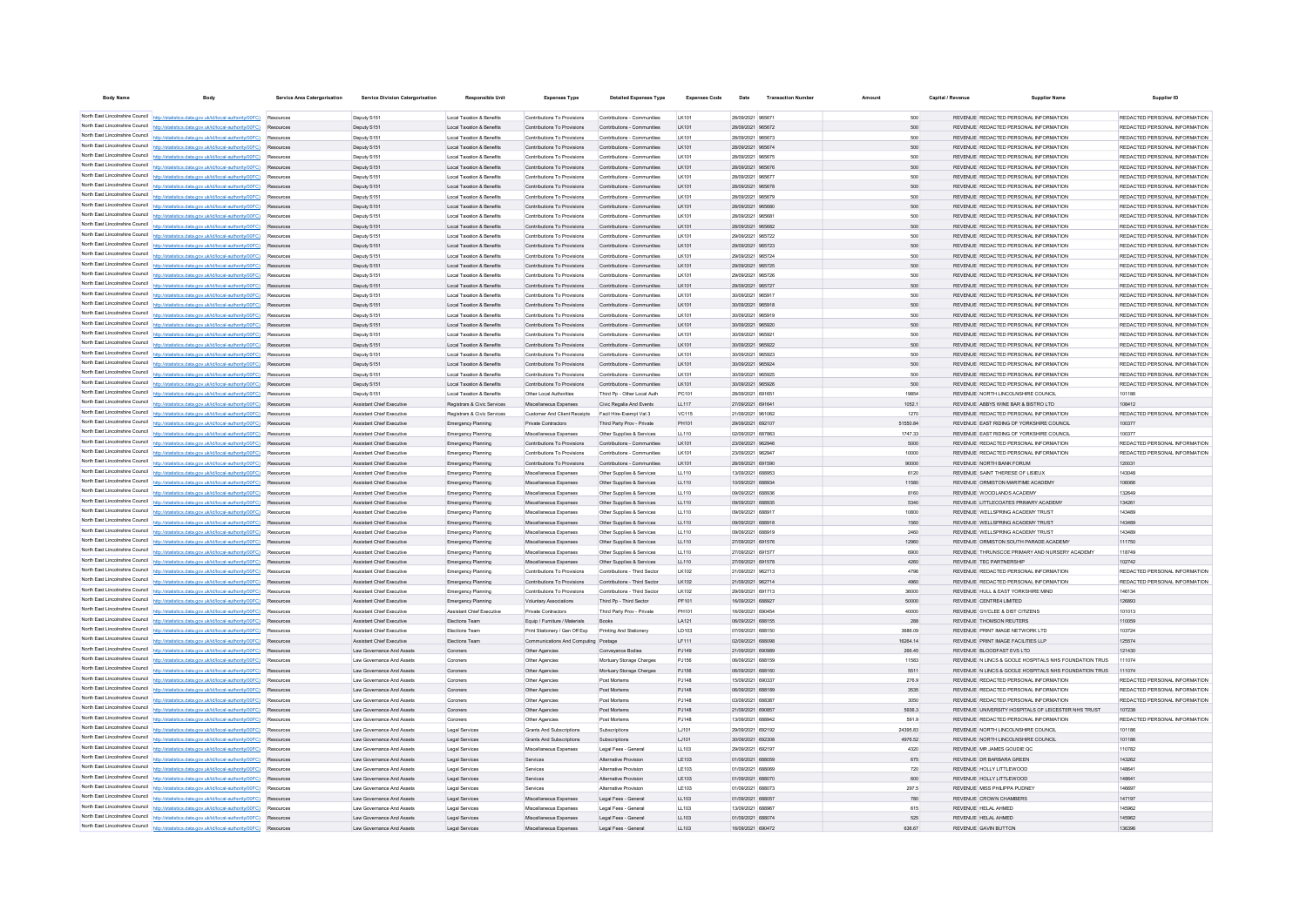| <b>Body Name</b>                |                                                                                                                                                                                                      | <b>Service Area Catergorisation</b> | <b>Service Division Catergorisation</b>                              | <b>Responsible Uni</b>                                 | <b>Expenses Type</b>                                       | <b>Detailed Expenses Type</b>                              | <b>Expenses Code</b> |                                        |                 | Capital / Revenue | <b>Supplier Name</b>                                                                         | Supplier ID                                                    |
|---------------------------------|------------------------------------------------------------------------------------------------------------------------------------------------------------------------------------------------------|-------------------------------------|----------------------------------------------------------------------|--------------------------------------------------------|------------------------------------------------------------|------------------------------------------------------------|----------------------|----------------------------------------|-----------------|-------------------|----------------------------------------------------------------------------------------------|----------------------------------------------------------------|
|                                 | North East Lincolnshire Council http://statistics.data.gov.uk/id/local-authority/00FC) Resources                                                                                                     |                                     | Deputy S151                                                          | Local Taxation & Benefits                              | Contributions To Provisions                                | Contributions - Communities                                | LK101                | 28/09/2021 965671                      | 500             |                   | REVENUE REDACTED PERSONAL INFORMATION                                                        | REDACTED PERSONAL INFORMATION                                  |
| North East Lincolnshire Council | http://statistics.data.gov.uk/id/local-authority/00FC)                                                                                                                                               | Resources                           | Deputy S151                                                          | Local Taxation & Benefits                              | Contributions To Provisions                                | Contributions - Communities                                | LK101                | 28/09/2021 965672                      | 500             |                   | REVENUE REDACTED PERSONAL INFORMATION                                                        | REDACTED PERSONAL INFORMATION                                  |
| North East Lincolnshire Council | http://statistics.data.gov.uk/id/local-authority/00FC)                                                                                                                                               | Resources                           | Deputy S151                                                          | Local Taxation & Benefits                              | Contributions To Provisions                                | Contributions - Communities                                | LK101                | 28/09/2021 965673                      | 500             |                   | REVENUE REDACTED PERSONAL INFORMATION                                                        | REDACTED PERSONAL INFORMATION                                  |
| North East Lincolnshire Council | http://statistics.data.gov.uk/id/local-authority/00EC)                                                                                                                                               | Resources                           | Deputy S151                                                          | Local Taxation & Benefits                              | Contributions To Provisions                                | Contributions - Communities                                | <b>IK101</b>         | 28/09/2021 965674                      | 500             |                   | REVENUE REDACTED PERSONAL INFORMATION                                                        | REDACTED PERSONAL INFORMATION                                  |
| North East Lincolnshire Council | http://statistics.data.gov.uk/id/local-authority/00FC)                                                                                                                                               | Resources                           | Deputy S151                                                          | Local Taxation & Benefits                              | Contributions To Provisions                                | Contributions - Communities                                | LK101                | 28/09/2021 965675                      | 500             |                   | REVENUE REDACTED PERSONAL INFORMATION                                                        | REDACTED PERSONAL INFORMATION                                  |
| North East Lincolnshire Council | http://statistics.data.gov.uk/id/local-authority/00FC)                                                                                                                                               | Resources                           | Deputy S151                                                          | Local Taxation & Benefits                              | Contributions To Provisions                                | Contributions - Communities                                | LK101                | 28/09/2021 965676                      | 500             |                   | REVENUE REDACTED PERSONAL INFORMATION                                                        | REDACTED PERSONAL INFORMATION                                  |
| North East Lincolnshire Council | http://statistics.data.gov.uk/id/local-authority/00FC)                                                                                                                                               | Resources                           | Deputy S151                                                          | Local Taxation & Benefits                              | Contributions To Provisions                                | Contributions - Communities                                | LK101                | 28/09/2021 965677                      | 500             |                   | REVENUE REDACTED PERSONAL INFORMATION                                                        | REDACTED PERSONAL INFORMATION                                  |
| North East Lincolnshire Council | http://statistics.data.gov.uk/id/local-authority/00FC)                                                                                                                                               | Resources                           | Deputy S151                                                          | Local Taxation & Benefits                              | Contributions To Provisions                                | Contributions - Communities                                | LK101                | 28/09/2021 965678                      | 500             |                   | REVENUE REDACTED PERSONAL INFORMATION                                                        | REDACTED PERSONAL INFORMATION                                  |
| North East Lincolnshire Council | http://statistics.data.gov.uk/id/local-authority/00FC)                                                                                                                                               | Resources                           | Deputy S151                                                          | Local Taxation & Benefits                              | Contributions To Provisions                                | Contributions - Communities                                | LK101                | 28/09/2021 965679                      | 500             |                   | REVENUE REDACTED PERSONAL INFORMATION                                                        | REDACTED PERSONAL INFORMATION                                  |
| North East Lincolnshire Council | http://statistics.data.gov.uk/id/local-authority/00FC)                                                                                                                                               | Resources                           | Deputy S151                                                          | Local Taxation & Benefits                              | Contributions To Provisions                                | Contributions - Communities                                | LK101                | 28/09/2021 965680                      | 500             |                   | REVENUE REDACTED PERSONAL INFORMATION                                                        | REDACTED PERSONAL INFORMATION                                  |
|                                 | North East Lincolnshire Council http://statistics.data.gov.uk/id/local-authority/00FC)                                                                                                               | Resources                           | Deputy S151                                                          | Local Taxation & Benefits                              | Contributions To Provisions                                | Contributions - Communities                                | LK101                | 28/09/2021 965681                      | 500             |                   | REVENUE REDACTED PERSONAL INFORMATION                                                        | REDACTED PERSONAL INFORMATION                                  |
|                                 | North East Lincolnshire Council http://statistics.data.gov.uk/id/local-authority/00FC)                                                                                                               | Resources                           | Deputy S151                                                          | Local Taxation & Benefits                              | Contributions To Provisions                                | Contributions - Communities                                | LK101                | 28/09/2021 965682                      | 500             |                   | REVENUE REDACTED PERSONAL INFORMATION                                                        | REDACTED PERSONAL INFORMATION                                  |
|                                 | North East Lincolnshire Council http://statistics.data.gov.uk/id/local-authority/00FC)                                                                                                               | Resources                           | Deputy S151                                                          | Local Taxation & Benefits                              | Contributions To Provisions                                | Contributions - Communities                                | LK101                | 29/09/2021 965722                      | 500             |                   | REVENUE REDACTED PERSONAL INFORMATION                                                        | REDACTED PERSONAL INFORMATION                                  |
|                                 | North East Lincolnshire Council http://statistics.data.gov.uk/id/local-authority/00FC)                                                                                                               | Resources                           | Deputy S151                                                          | Local Taxation & Benefits                              | Contributions To Provisions                                | Contributions - Communities                                | LK101                | 29/09/2021 965723                      | 500             |                   | REVENUE REDACTED PERSONAL INFORMATION                                                        | REDACTED PERSONAL INFORMATION                                  |
|                                 | North East Lincolnshire Council http://statistics.data.gov.uk/id/local-authority/00FC)                                                                                                               | Resources                           | Deputy S151                                                          | Local Taxation & Benefits                              | Contributions To Provisions                                | Contributions - Communities                                | <b>IK101</b>         | 29/09/2021 965724                      | 500             |                   | REVENUE REDACTED PERSONAL INFORMATION                                                        | REDACTED PERSONAL INFORMATION                                  |
|                                 | North East Lincolnshire Council http://statistics.data.gov.uk/id/local-authority/00FC)                                                                                                               | Resources                           | Deputy S151                                                          | Local Taxation & Benefits                              | Contributions To Provisions<br>Contributions To Provisions | Contributions - Communities                                | LK101<br>1 K101      | 29/09/2021 965725<br>29/09/2021 965726 | 500             |                   | REVENUE REDACTED PERSONAL INFORMATION                                                        | REDACTED PERSONAL INFORMATION<br>REDACTED PERSONAL INFORMATION |
|                                 | North East Lincolnshire Council http://statistics.data.gov.uk/id/local-authority/00FC)<br>North East Lincolnshire Council http://statistics.data.gov.uk/id/local-authority/00FC)                     | Resources                           | Deputy S151                                                          | Local Taxation & Benefits                              | Contributions To Provisions                                | Contributions - Communities<br>Contributions - Communities | LK101                | 29/09/2021 965727                      | 500             |                   | REVENUE REDACTED PERSONAL INFORMATION<br>REVENUE REDACTED PERSONAL INFORMATION               | REDACTED PERSONAL INFORMATION                                  |
|                                 | North East Lincolnshire Council http://statistics.data.gov.uk/id/local-authority/00FC)                                                                                                               | Resources<br>Resources              | Deputy S151<br>Deputy S151                                           | Local Taxation & Benefits<br>Local Taxation & Benefits | Contributions To Provisions                                | Contributions - Communities                                | LK101                | 30/09/2021 965917                      | 500<br>500      |                   | REVENUE REDACTED PERSONAL INFORMATION                                                        | REDACTED PERSONAL INFORMATION                                  |
|                                 | North East Lincolnshire Council http://statistics.data.gov.uk/id/local-authority/00FC)                                                                                                               | Resources                           | Deputy S151                                                          | Local Taxation & Benefits                              | Contributions To Provisions                                | Contributions - Communities                                | LK101                | 30/09/2021 965918                      | 500             |                   | REVENUE REDACTED PERSONAL INFORMATION                                                        | REDACTED PERSONAL INFORMATION                                  |
|                                 | North East Lincolnshire Council http://statistics.data.gov.uk/id/local-authority/00FC)                                                                                                               | Resources                           | Deputy S151                                                          | Local Taxation & Benefits                              | Contributions To Provisions                                | Contributions - Communities                                | LK101                | 30/09/2021 965919                      | 500             |                   | REVENUE REDACTED PERSONAL INFORMATION                                                        | REDACTED PERSONAL INFORMATION                                  |
|                                 | North East Lincolnshire Council http://statistics.data.gov.uk/id/local-authority/00FC)                                                                                                               | Resources                           | Deputy S151                                                          | Local Taxation & Benefits                              | Contributions To Provisions                                | Contributions - Communities                                | LK101                | 30/09/2021 965920                      | 500             |                   | REVENUE REDACTED PERSONAL INFORMATION                                                        | REDACTED PERSONAL INFORMATION                                  |
|                                 | North East Lincolnshire Council http://statistics.data.gov.uk/id/local-authority/00FC)                                                                                                               | Resources                           | Deputy S151                                                          | Local Taxation & Benefits                              | Contributions To Provisions                                | Contributions - Communities                                | LK101                | 30/09/2021 965921                      | 500             |                   | REVENUE REDACTED PERSONAL INFORMATION                                                        | REDACTED PERSONAL INFORMATION                                  |
|                                 | North East Lincolnshire Council http://statistics.data.gov.uk/id/local-authority/00FC)                                                                                                               | Resources                           | Deputy S151                                                          | Local Taxation & Benefits                              | Contributions To Provisions                                | Contributions - Communities                                | LK101                | 30/09/2021 965922                      | 500             |                   | REVENUE REDACTED PERSONAL INFORMATION                                                        | REDACTED PERSONAL INFORMATION                                  |
|                                 | North East Lincolnshire Council http://statistics.data.gov.uk/id/local-authority/00FC)                                                                                                               | Resources                           | Deputy S151                                                          | Local Taxation & Benefits                              | Contributions To Provisions                                | Contributions - Communities                                | LK101                | 30/09/2021 965923                      | 500             |                   | REVENUE REDACTED PERSONAL INFORMATION                                                        | REDACTED PERSONAL INFORMATION                                  |
|                                 | North East Lincolnshire Council http://statistics.data.gov.uk/id/local-authority/00FC)                                                                                                               | Resources                           | Deputy S151                                                          | Local Taxation & Benefits                              | Contributions To Provisions                                | Contributions - Communities                                | <b>IK101</b>         | 30/09/2021 965924                      | 500             |                   | REVENUE REDACTED PERSONAL INFORMATION                                                        | REDACTED PERSONAL INFORMATION                                  |
|                                 | North East Lincolnshire Council http://statistics.data.gov.uk/id/local-authority/00FC)                                                                                                               | Resources                           | Deputy S151                                                          | Local Taxation & Benefits                              | Contributions To Provisions                                | Contributions - Communities                                | I K101               | 30/09/2021 965925                      | 500             |                   | REVENUE REDACTED PERSONAL INFORMATION                                                        | REDACTED PERSONAL INFORMATION                                  |
|                                 | North East Lincolnshire Council http://statistics.data.gov.uk/id/local-authority/00FC)                                                                                                               | Resources                           | Deputy S151                                                          | Local Taxation & Benefits                              | Contributions To Provisions                                | Contributions - Communities                                | LK101                | 30/09/2021 965926                      | 500             |                   | REVENUE REDACTED PERSONAL INFORMATION                                                        | REDACTED PERSONAL INFORMATION                                  |
|                                 | North East Lincolnshire Council http://statistics.data.gov.uk/id/local-authority/00FC) Resources                                                                                                     |                                     | Deputy S151                                                          | Local Taxation & Benefits                              | Other Local Authorities                                    | Third Po - Other Local Auth                                | PC101                | 28/09/2021 691651                      | 19854           |                   | REVENUE NORTH LINCOLNSHIRE COUNCIL                                                           | 101186                                                         |
|                                 | North East Lincolnshire Council http://statistics.data.gov.uk/id/local-authority/00FC)                                                                                                               | Resources                           | <b>Assistant Chief Executive</b>                                     | Registrars & Civic Services                            | Miscellaneous Expenses                                     | Civic Regalia And Events                                   | LL117                | 27/09/2021 691641                      | 1052.1          |                   | REVENUE ARRYS WINE BAR & BISTRO LTD.                                                         | 108412                                                         |
|                                 | North East Lincolnshire Council http://statistics.data.gov.uk/id/local-authority/00FC) Resources                                                                                                     |                                     | <b>Assistant Chief Executive</b>                                     | Registrars & Civic Services                            | Customer And Client Receipts Facil Hire-Fremnt Vat 3       |                                                            | <b>VC115</b>         | 21/09/2021 961062                      | 1270            |                   | REVENUE REDACTED PERSONAL INFORMATION                                                        | REDACTED PERSONAL INFORMATION                                  |
|                                 | North East Lincolnshire Council http://statistics.data.gov.uk/id/local-authority/00FC)                                                                                                               | Resources                           | <b>Assistant Chief Executive</b>                                     | Emergency Planning                                     | Private Contractors                                        | Third Party Prov - Private                                 | PH101                | 29/09/2021 692107                      | 51550.84        |                   | REVENUE EAST RIDING OF YORKSHIRE COUNCIL                                                     | 100377                                                         |
|                                 | North East Lincolnshire Council http://statistics.data.gov.uk/id/local-authority/00FC)                                                                                                               | Resources                           | <b>Assistant Chief Executive</b>                                     | Emergency Planning                                     | Miscellaneous Expenses                                     | Other Supplies & Services                                  | LL110                | 02/09/2021 687863                      | 1747.33         |                   | REVENUE EAST RIDING OF YORKSHIRE COUNCIL                                                     | 100377                                                         |
|                                 | North East Lincolnshire Council http://statistics.data.gov.uk/id/local-authority/00FC)                                                                                                               | Resources                           | <b>Assistant Chief Executive</b>                                     | Emergency Planning                                     | Contributions To Provisions                                | Contributions - Communities                                | LK101                | 23/09/2021 962946                      | 5000            |                   | REVENUE REDACTED PERSONAL INFORMATION                                                        | REDACTED PERSONAL INFORMATION                                  |
|                                 | North East Lincolnshire Council http://statistics.data.gov.uk/id/local-authority/00FC)                                                                                                               | Resource                            | <b>Assistant Chief Executive</b>                                     | Emergency Planning                                     | Contributions To Provisions                                | Contributions - Communities                                | LK101                | 23/09/2021 962947                      | 10000           |                   | REVENUE REDACTED PERSONAL INFORMATION                                                        | REDACTED PERSONAL INFORMATION                                  |
|                                 | North East Lincolnshire Council http://statistics.data.gov.uk/id/local-authority/00FC).                                                                                                              | Resources                           | Assistant Chief Executive                                            | Emergency Planning                                     | Contributions To Provisions                                | Contributions - Communities                                | LK101                | 28/09/2021 691590                      | 90000           |                   | REVENUE NORTH BANK FORUM                                                                     | 120031                                                         |
|                                 | North East Lincolnshire Council http://statistics.data.gov.uk/id/local-authority/00FC).                                                                                                              |                                     | Assistant Chief Executive                                            | Emergency Planning                                     | Miscellaneous Expenses                                     | Other Supplies & Services                                  | LL110                | 13/09/2021 688953                      | 6120            |                   | REVENUE SAINT THERESE OF LISIEUX                                                             | 143048                                                         |
|                                 | North East Lincolnshire Council http://statistics.data.gov.uk/id/local-authority/00FC).                                                                                                              |                                     | <b>Assistant Chief Executive</b>                                     | Emergency Planning                                     | Miscellaneous Expenses                                     | Other Supplies & Services                                  | LL110                | 10/09/2021 688934                      | 11580           |                   | REVENUE ORMISTON MARITIME ACADEMY                                                            | 106066                                                         |
|                                 | North East Lincolnshire Council http://statistics.data.gov.uk/id/local-authority/00FC) Resources<br>North East Lincolnshire Council http://statistics.data.gov.uk/id/local-authority/00FC) Resources |                                     | <b>Assistant Chief Executive</b><br><b>Assistant Chief Executive</b> | Emergency Planning                                     | Miscellaneous Expenses<br>Miscellaneous Expenses           | Other Sunnlies & Services                                  | 11110                | 09/09/2021 688936<br>09/09/2021 688935 | 8160            |                   | REVENUE WOODLANDS ACADEMY<br>REVENUE LITTLECOATES PRIMARY ACADEMY                            | 132649<br>134261                                               |
|                                 | North East Lincolnshire Council http://statistics.data.gov.uk/id/local-authority/00FC) Resources                                                                                                     |                                     | <b>Assistant Chief Executive</b>                                     | Emergency Planning                                     | Miscellaneous Expenses                                     | Other Supplies & Services<br>Other Sunnlies & Services     | LL110<br>11110       | 09/09/2021 688917                      | 5340<br>10800   |                   | REVENUE WELLSPRING ACADEMY TRUST                                                             | 143489                                                         |
|                                 | North East Lincolnshire Council http://statistics.data.gov.uk/id/local-authority/00FC)                                                                                                               | Resources                           | <b>Assistant Chief Executive</b>                                     | Emergency Planning                                     | Miscellaneous Expenses                                     | Other Supplies & Services                                  | LL110                | 09/09/2021 688918                      | 1560            |                   | REVENUE WELLSPRING ACADEMY TRUST                                                             | 143489                                                         |
|                                 | North East Lincolnshire Council http://statistics.data.gov.uk/id/local-authority/00FC) Resources                                                                                                     |                                     | <b>Assistant Chief Executive</b>                                     | Emergency Planning<br>Emergency Planning               | Miscellaneous Expenses                                     | Other Sunnlies & Services                                  | 11110                | 09/09/2021 688919                      | 2460            |                   | REVENUE, WELLSPRING ACADEMY TRUST                                                            | 143489                                                         |
|                                 | North East Lincolnshire Council http://statistics.data.gov.uk/id/local-authority/00FC)                                                                                                               | Resources                           | <b>Assistant Chief Executive</b>                                     | Emergency Planning                                     | Miscellaneous Expenses                                     | Other Supplies & Services                                  | LL110                | 27/09/2021 691576                      | 12960           |                   | REVENUE ORMISTON SOUTH PARADE ACADEMY                                                        | 111750                                                         |
|                                 | North East Lincolnshire Council http://statistics.data.gov.uk/id/local-authority/00FC)                                                                                                               | Resources                           | <b>Assistant Chief Executive</b>                                     | Emergency Planning                                     | Miscellaneous Expenses                                     | Other Supplies & Services                                  | LL110                | 27/09/2021 691577                      | 6900            |                   | REVENUE THRUNSCOF PRIMARY AND NURSERY ACADEMY                                                | 118749                                                         |
|                                 | North East Lincolnshire Council http://statistics.data.gov.uk/id/local-authority/00FC)                                                                                                               |                                     | Assistant Chief Executive                                            | Emergency Planning                                     | Miscellaneous Expenses                                     | Other Supplies & Services                                  | LL110                | 27/09/2021 691578                      | 4260            |                   | REVENUE TEC PARTNERSHIP                                                                      | 102742                                                         |
|                                 | North East Lincolnshire Council http://statistics.data.gov.uk/id/local-authority/00FC)                                                                                                               | Resource                            | <b>Assistant Chief Executive</b>                                     | Emergency Planning                                     | Contributions To Provisions                                | Contributions - Third Sector                               | LK102                | 21/09/2021 962713                      | 4796            |                   | REVENUE REDACTED PERSONAL INFORMATION                                                        | REDACTED PERSONAL INFORMATION                                  |
|                                 | North East Lincolnshire Council http://statistics.data.gov.uk/id/local-authority/00FC)                                                                                                               |                                     | Assistant Chief Executive                                            | Emergency Planning                                     | Contributions To Provisions                                | Contributions - Third Sector                               | LK102                | 21/09/2021 962714                      | 4960            |                   | REVENUE REDACTED PERSONAL INFORMATION                                                        | REDACTED PERSONAL INFORMATION                                  |
|                                 | North East Lincolnshire Council http://statistics.data.gov.uk/id/local-authority/00FC)                                                                                                               |                                     | <b>Assistant Chief Executive</b>                                     | Emergency Planning                                     | Contributions To Provisions                                | Contributions - Third Sector                               | 1 K102               | 29/09/2021 691713                      | 36000           |                   | REVENUE HULL & FAST YORKSHIRE MINE                                                           | 146134                                                         |
|                                 | North East Lincolnshire Council   http://statistics.data.gov.uk/id/local-authority/00FC)                                                                                                             |                                     | <b>Assistant Chief Executive</b>                                     | Emergency Planning                                     | Voluntary Associations                                     | Third Pp - Third Sector                                    | PF101                | 16/09/2021 688927                      | 50000           |                   | REVENUE CENTRE4 LIMITED                                                                      | 126893                                                         |
|                                 | North East Lincolnshire Council http://statistics.data.gov.uk/id/local-authority/00FC)                                                                                                               |                                     | Assistant Chief Executive                                            | Assistant Chief Executive                              | Private Contractors                                        | Third Party Prov - Private                                 | PH101                | 16/09/2021 690454                      | 40000           |                   | REVENUE GY/CLEE & DIST CITIZENS                                                              | 101013                                                         |
|                                 | North East Lincolnshire Council http://statistics.data.gov.uk/id/local-authority/00FC)                                                                                                               |                                     | <b>Assistant Chief Executive</b>                                     | Elections Tean                                         | Equip / Furniture / Materials                              | Books                                                      | LA121                | 06/09/2021 688155                      | 288             |                   | <b>REVENUE THOMSON REUTERS</b>                                                               | 110059                                                         |
|                                 | North East Lincolnshire Council http://statistics.data.gov.uk/id/local-authority/00FC)                                                                                                               |                                     | Assistant Chief Executive                                            | Elections Tear                                         | Print Stationery / Gen Off Exp                             | Printing And Stationery                                    | LD103                | 07/09/2021 688150                      | 3686.09         |                   | REVENUE PRINT IMAGE NETWORK LTD                                                              | 103724                                                         |
|                                 | North East Lincolnshire Council http://statistics.data.gov.uk/id/local-authority/00FC)                                                                                                               |                                     | <b>Assistant Chief Executive</b>                                     | Elections Tear                                         | Communications And Computing Postage                       |                                                            | LF111                | 02/09/2021 688098                      | 16264.14        |                   | REVENUE PRINT IMAGE FACILITIES LLP                                                           | 125574                                                         |
|                                 | North East Lincolnshire Council http://statistics.data.gov.uk/id/local-authority/00FC)                                                                                                               |                                     | Law Governance And Assets                                            | Coroners                                               | Other Agencies                                             | Conveyance Bodies                                          | PJ149                | 21/09/2021 690989                      | 266.45          |                   | REVENUE BLOODFAST EVS LTD                                                                    | 121430                                                         |
|                                 | North East Lincolnshire Council http://statistics.data.gov.uk/id/local-authority/00FC)                                                                                                               |                                     | Law Governance And Assets                                            | Coroner                                                | Other Agencie                                              | Mortuary Storage Charges                                   | PJ156                | 06/09/2021 688159                      | 11583           |                   | REVENUE N LINCS & GOOLE HOSPITALS NHS FOUNDATION TRUS                                        | 111074                                                         |
|                                 | North East Lincolnshire Council http://statistics.data.gov.uk/id/local-authority/00FC)                                                                                                               |                                     | Law Governance And Assets                                            | Coroners                                               | Other Agencies                                             | Mortuary Storage Charges                                   | PJ156                | 06/09/2021 688160                      | 5511            |                   | REVENUE N LINCS & GOOLE HOSPITALS NHS FOUNDATION TRUS                                        | 111074                                                         |
|                                 | North East Lincolnshire Council http://statistics.data.gov.uk/id/local-authority/00FC)                                                                                                               |                                     | Law Governance And Assets                                            | Coroners                                               | Other Agencie                                              | Post Mortems                                               | PJ148                | 15/09/2021 69033                       | 276.9           |                   | REVENUE REDACTED PERSONAL INFORMATION                                                        | REDACTED PERSONAL INFORMATION                                  |
|                                 | North East Lincolnshire Council http://statistics.data.gov.uk/id/local-authority/00FC)                                                                                                               |                                     | Law Governance And Assets                                            | Coroners                                               | Other Agencies                                             | Post Mortems                                               | PJ148                | 06/09/2021 688189                      | 3535            |                   | REVENUE REDACTED PERSONAL INFORMATION                                                        | REDACTED PERSONAL INFORMATION                                  |
|                                 | North East Lincolnshire Council http://statistics.data.gov.uk/id/local-authority/00FC)                                                                                                               |                                     | Law Governance And Asset                                             | Coroners                                               | Other Agencie                                              | Post Mortems                                               | PJ148                | 03/09/2021 68838                       | 3050            |                   | REVENUE REDACTED PERSONAL INFORMATION                                                        | REDACTED PERSONAL INFORMATION                                  |
|                                 | North East Lincolnshire Council http://statistics.data.gov.uk/id/local-authority/00FC)<br>North East Lincolnshire Council http://statistics.data.gov.uk/id/local-authority/00FC)                     |                                     | Law Governance And Assets<br>Law Governance And Assets               | Coroners<br>Coroners                                   | Other Agencies<br>Other Agencies                           | Post Mortems<br>Post Mortems                               | PJ148<br>PJ148       | 21/09/2021 690857<br>13/09/2021 688942 | 5936.3<br>591.9 |                   | REVENUE UNIVERSITY HOSPITALS OF LEICESTER NHS TRUST<br>REVENUE REDACTED PERSONAL INFORMATION | 107238<br>REDACTED PERSONAL INFORMATION                        |
|                                 | North East Lincolnshire Council http://statistics.data.gov.uk/id/local-authority/00FC)                                                                                                               |                                     | Law Governance And Assets                                            | Legal Services                                         | Grants And Subscriptions                                   | Subscriptions                                              | LJ101                | 29/09/2021 692192                      | 24395.83        |                   | REVENUE NORTH LINCOLNSHIRE COUNCIL                                                           | 101186                                                         |
|                                 | North East Lincolnshire Council http://statistics.data.gov.uk/id/local-authority/00FC)                                                                                                               |                                     | Law Governance And Assets                                            | Legal Services                                         | Grants And Subscriptions                                   | Subscriptions                                              | LJ101                | 30/09/2021 692308                      | 4976.52         |                   | REVENUE NORTH LINCOLNSHIRE COUNCIL                                                           | 101186                                                         |
|                                 | North East Lincolnshire Council http://statistics.data.gov.uk/id/local-authority/00FC)                                                                                                               | Resource                            | Law Governance And Assets                                            | Legal Services                                         | Miscellaneous Expenses                                     | Legal Fees - General                                       | LL103                | 29/09/2021 69219                       | 4320            |                   | REVENUE MR JAMES GOUDIE QC                                                                   | 110782                                                         |
|                                 | North East Lincolnshire Council http://statistics.data.gov.uk/id/local-authority/00FC)                                                                                                               | Resources                           | Law Governance And Assets                                            | Legal Services                                         | Services                                                   | Alternative Provision                                      | LE103                | 01/09/2021 688059                      | 675             |                   | REVENUE DR BARBARA GREEN                                                                     | 143262                                                         |
| North East Lincolnshire Council | http://statistics.data.gov.uk/id/local-authority/00FC)                                                                                                                                               | Resource                            | Law Governance And Assets                                            | Legal Services                                         | Services                                                   | Alternative Provision                                      | LE103                | 01/09/2021 688069                      | 720             |                   | REVENUE HOLLY LITTLEWOOD                                                                     | 148641                                                         |
|                                 | North East Lincolnshire Council http://statistics.data.gov.uk/id/local-authority/00FC)                                                                                                               |                                     | Law Governance And Assets                                            | Legal Services                                         | Services                                                   | Alternative Provision                                      | LE103                | 01/09/2021 688070                      | 600             |                   | REVENUE HOLLY LITTLEWOOD                                                                     | 148641                                                         |
|                                 | North East Lincolnshire Council http://statistics.data.gov.uk/id/local-authority/00FC)                                                                                                               |                                     | Law Governance And Asset                                             | Legal Service                                          | Services                                                   | Alternative Provision                                      | LE103                | 01/09/2021 688073                      | 297.5           |                   | REVENUE MISS PHILIPPA PUDNEY                                                                 | 146697                                                         |
|                                 | North East Lincolnshire Council http://statistics.data.gov.uk/id/local-authority/00FC)                                                                                                               |                                     | Law Governance And Assets                                            | Legal Services                                         | Miscellaneous Expenses                                     | Legal Fees - Genera                                        | LL103                | 01/09/2021 688057                      | 780             |                   | REVENUE CROWN CHAMBER                                                                        | 147197                                                         |
|                                 | North East Lincolnshire Council http://statistics.data.gov.uk/id/local-authority/00FC)                                                                                                               |                                     | Law Governance And Asset                                             | Legal Service                                          | Miscellaneous Expense                                      | Legal Fees - Genera                                        | LL103                | 13/09/2021 68896                       | 615             |                   | REVENUE HELAL AHMED                                                                          | 145962                                                         |
|                                 | North East Lincolnshire Council http://statistics.data.gov.uk/id/local-authority/00FC)                                                                                                               |                                     | Law Governance And Assets                                            | Legal Services                                         | Miscellaneous Expenses                                     | Legal Fees - General                                       | LL103                | 01/09/2021 688074                      | 525             |                   | REVENUE HELAL AHMED                                                                          | 145962                                                         |
|                                 | North East Lincolnshire Council   http://statistics.data.gov.uk/id/local-authority/00FC)                                                                                                             |                                     | Law Governance And Assets                                            | Legal Service                                          | Miscellaneous Expenses                                     | Legal Fees - General                                       | LL103                | 16/09/2021 690472                      | 636.67          |                   | REVENUE GAVIN BUTTON                                                                         | 136396                                                         |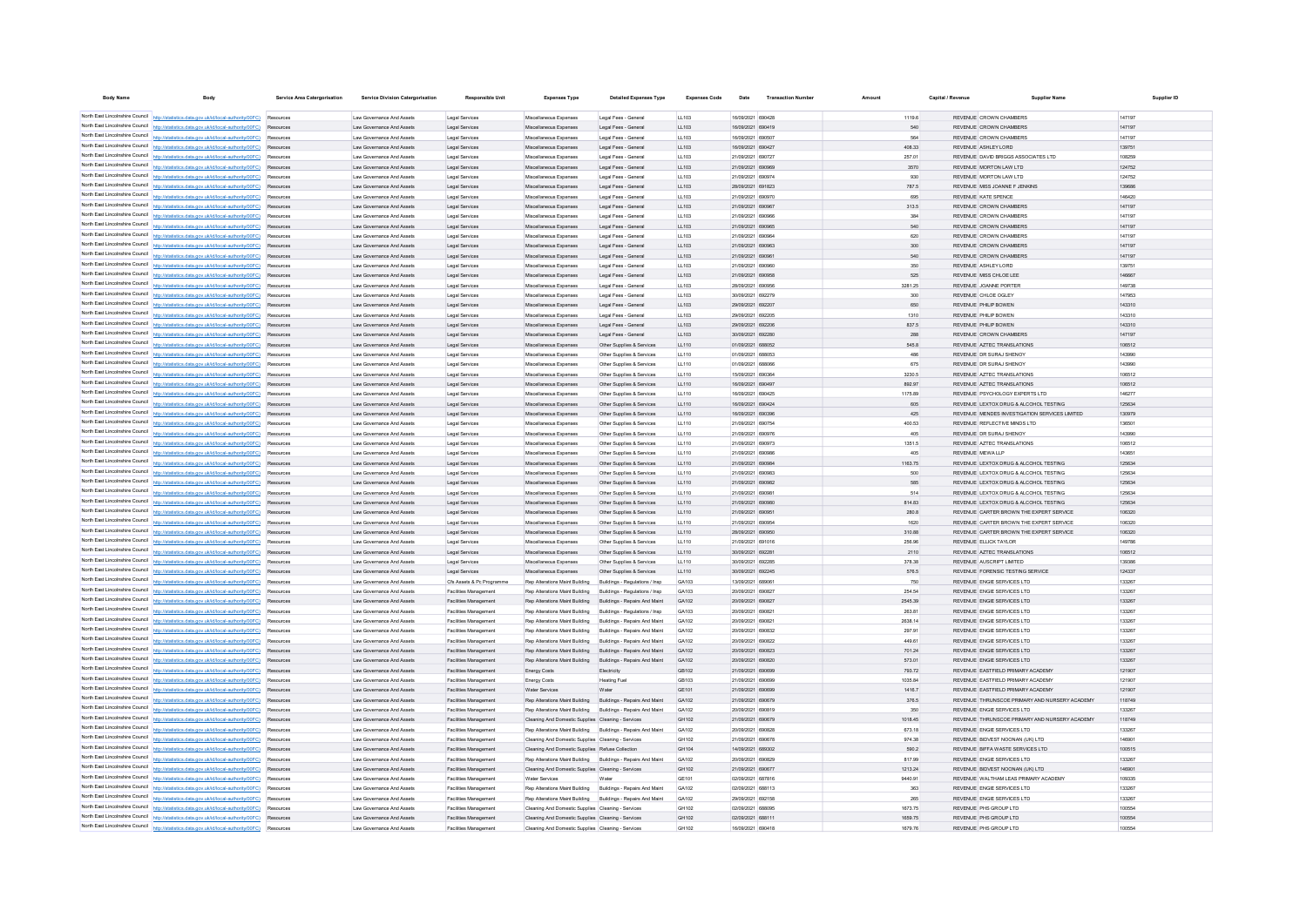| <b>Body Name</b> | Body                                                                                               | Service Area Catergorisation | <b>Service Division Catergorisation</b> | <b>Responsible Unit</b>   | <b>Expenses Type</b>                                         | <b>Detailed Expenses Type</b>   | <b>Expenses Code</b> | Date              | <b>Transaction Number</b> | Amount | Capital / Revenue |                                               | <b>Supplier Name</b>                                    | Supplier ID |
|------------------|----------------------------------------------------------------------------------------------------|------------------------------|-----------------------------------------|---------------------------|--------------------------------------------------------------|---------------------------------|----------------------|-------------------|---------------------------|--------|-------------------|-----------------------------------------------|---------------------------------------------------------|-------------|
|                  |                                                                                                    |                              |                                         |                           |                                                              |                                 |                      |                   |                           |        |                   |                                               |                                                         |             |
|                  | North East Lincolnshire Council http://statistics.data.gov.uk/id/local-authority/00FC) Resources   |                              | Law Governance And Assets               | Legal Services            | Miscellaneous Expenses                                       | Legal Fees - General            | LL103                | 16/09/2021 690428 |                           |        | 1119.6            | REVENUE CROWN CHAMRERS                        | 147197                                                  |             |
|                  | North East Lincolnshire Council http://statistics.data.gov.uk/id/local-authority/00FC)             |                              | Law Governance And Assets               | Legal Services            | Miscellaneous Expenses                                       | Legal Fees - General            | LL103                | 16/09/2021 690419 |                           |        | 540               | REVENUE CROWN CHAMBERS                        | 147197                                                  |             |
|                  | North East Lincolnshire Council http://statistics.data.gov.uk/id/local-authority/00FC) Resources   |                              | Law Governance And Assets               | Legal Services            | Miscellaneous Expenses                                       | Legal Fees - General            | LL103                | 16/09/2021 690507 |                           |        | 564               | REVENUE CROWN CHAMBERS                        | 147197                                                  |             |
|                  | North East Lincolnshire Council http://statistics.data.gov.uk/id/local-authority/00FC)             | Resources                    | Law Governance And Assets               | Legal Services            | Miscellaneous Expenses                                       | Legal Fees - General            | LL103                | 16/09/2021 690427 |                           |        | 408.33            | REVENUE ASHLEY LORD                           | 139751                                                  |             |
|                  | North East Lincolnshire Council http://statistics.data.gov.uk/id/local-authority/00FC).            | Resources                    | Law Governance And Assets               | Legal Services            | Miscellaneous Expenses                                       | Legal Fees - General            | LL103                | 21/09/2021 690727 |                           |        | 257.01            | REVENUE DAVID BRIGGS ASSOCIATES LTD           | 108259                                                  |             |
|                  | North East Lincolnshire Council   http://statistics.data.gov.uk/id/local-authority/00FC)           | Resources                    | Law Governance And Assets               | Legal Services            | Miscellaneous Expenses                                       | Legal Fees - General            | LL103                | 21/09/2021 690969 |                           |        | 3570              | REVENUE MORTON LAW LTD                        | 124752                                                  |             |
|                  | North East Lincolnshire Council   http://statistics.data.gov.uk/id/local-authority/00FC) Resources |                              | Law Governance And Assets               | Legal Services            | Miscellaneous Expenses                                       | Legal Fees - General            | LL103                | 21/09/2021 690974 |                           |        | 930               | REVENUE MORTON LAW LTD                        | 124752                                                  |             |
|                  | North East Lincolnshire Council http://statistics.data.gov.uk/id/local-authority/00FC).            | Resources                    | Law Governance And Assets               | Legal Services            | Miscellaneous Expenses                                       | Legal Fees - General            | LL103                | 28/09/2021 691823 |                           |        | 787.5             | REVENUE MISS JOANNE F JENKINS                 | 139686                                                  |             |
|                  | North East Lincolnshire Council   http://statistics.data.gov.uk/id/local-authority/00FC) Resources |                              | Law Governance And Assets               | Legal Service             | Miscellaneous Expenses                                       | Legal Fees - General            | LL103                | 21/09/2021 690970 |                           |        | 695               | REVENUE KATE SPENCE                           | 146420                                                  |             |
|                  | North East Lincolnshire Council http://statistics.data.gov.uk/id/local-authority/00FC).            | Resources                    | Law Governance And Assets               | Legal Service             | Miscellaneous Expenses                                       | Legal Fees - General            | LL103                | 21/09/2021 690967 |                           |        | 313.5             | REVENUE CROWN CHAMBERS                        | 147197                                                  |             |
|                  | North East Lincolnshire Council http://statistics.data.gov.uk/id/local-authority/00FC) Resources   |                              | Law Governance And Assets               | Legal Services            | Miscellaneous Expenses                                       | Legal Fees - General            | 11103                | 21/09/2021 690966 |                           |        | 384               | REVENUE CROWN CHAMBERS                        | 147197                                                  |             |
|                  | North East Lincolnshire Council http://statistics.data.gov.uk/id/local-authority/00FC) Resources   |                              | I aw Governance And Assets              | Legal Services            | Miscellaneous Expenses                                       | Legal Fees - General            | LL103                | 21/09/2021 690965 |                           |        | 540               | REVENUE CROWN CHAMBERS                        | 147197                                                  |             |
|                  | North East Lincolnshire Council http://statistics.data.gov.uk/id/local-authority/00FC) Resources   |                              | Law Governance And Assets               | Legal Services            | Miscellaneous Expenses                                       | Legal Fees - General            | 11103                | 21/09/2021 690964 |                           |        | 620               | REVENUE CROWN CHAMBERS                        | 147197                                                  |             |
|                  | North East Lincolnshire Council http://statistics.data.gov.uk/id/local-authority/00FC) Resources   |                              | I aw Governance And Assets              | Legal Services            | Miscellaneous Expenses                                       | Legal Fees - General            | LL103                | 21/09/2021 690963 |                           |        | 300               | REVENUE CROWN CHAMBERS                        | 147197                                                  |             |
|                  | North East Lincolnshire Council http://statistics.data.gov.uk/id/local-authority/00FC) Resources   |                              | I aw Governance And Assets              | Legal Services            | Miscellaneous Expenses                                       | Legal Fees - General            | LL103                | 21/09/2021 690961 |                           |        | 540               | REVENUE CROWN CHAMBERS                        | 147197                                                  |             |
|                  | North East Lincolnshire Council http://statistics.data.gov.uk/id/local-authority/00FC) Resources   |                              | Law Governance And Assets               | Legal Services            | Miscellaneous Expenses                                       | Legal Fees - General            | LL103                | 21/09/2021 690960 |                           |        | 350               | REVENUE ASHLEY LORD                           | 139751                                                  |             |
|                  | North East Lincolnshire Council http://statistics.data.gov.uk/id/local-authority/00FC)             | Resources                    | Law Governance And Assets               | Legal Services            | Miscellaneous Expenses                                       | Legal Fees - General            | LL103                | 21/09/2021 690958 |                           |        | 525               | REVENUE MISS CHLOE LEE                        | 146667                                                  |             |
|                  | North East Lincolnshire Council http://statistics.data.gov.uk/id/local-authority/00FC)             | Resources                    | Law Governance And Assets               | Legal Services            | Miscellaneous Expenses                                       | Legal Fees - General            | LL103                | 28/09/2021 690956 |                           |        | 3281.25           | REVENUE JOANNE PORTER                         | 149738                                                  |             |
|                  | North East Lincolnshire Council http://statistics.data.gov.uk/id/local-authority/00FC)             | Resources                    | Law Governance And Assets               | Legal Services            | Miscellaneous Expenses                                       | Legal Fees - General            | LL103                | 30/09/2021 692279 |                           |        | 300               | REVENUE CHLOE OGLEY                           | 147953                                                  |             |
|                  | North East Lincolnshire Council http://statistics.data.gov.uk/id/local-authority/00FC)             | Resources                    | Law Governance And Assets               | Legal Services            | Miscellaneous Expenses                                       | Legal Fees - General            | LL103                | 29/09/2021 692207 |                           |        | 650               | REVENUE PHILIP BOWEN                          | 143310                                                  |             |
|                  | North East Lincolnshire Council http://statistics.data.gov.uk/id/local-authority/00FC)             | Resources                    | Law Governance And Assets               | Legal Service             | Miscellaneous Expenses                                       | Legal Fees - General            | LL103                | 29/09/2021 692205 |                           |        | 1310              | REVENUE PHILIP BOWEN                          | 143310                                                  |             |
|                  | North East Lincolnshire Council http://statistics.data.gov.uk/id/local-authority/00FC)             | Resources                    | Law Governance And Assets               | Legal Services            | Miscellaneous Expenses                                       | Legal Fees - General            | LL103                | 29/09/2021 692206 |                           |        | 837.5             | REVENUE PHILIP BOWEN                          | 143310                                                  |             |
|                  | North East Lincolnshire Council http://statistics.data.gov.uk/id/local-authority/00FC)             | Resources                    | Law Governance And Assets               |                           |                                                              | Legal Fees - General            | LL103                | 30/09/2021 692280 |                           |        |                   | REVENUE CROWN CHAMBERS                        | 147197                                                  |             |
|                  | North East Lincolnshire Council http://statistics.data.gov.uk/id/local-authority/00FC)             | Resources                    | Law Governance And Assets               | Legal Services            | Miscellaneous Expenses                                       |                                 |                      |                   |                           |        | 288               | REVENUE AZTEC TRANSLATIONS                    |                                                         |             |
|                  |                                                                                                    |                              |                                         | Legal Service             | Miscellaneous Expenses                                       | Other Supplies & Services       | LL110                | 01/09/2021 688052 |                           |        | 545.8             |                                               | 106512                                                  |             |
|                  | North East Lincolnshire Council http://statistics.data.gov.uk/id/local-authority/00FC)             | Resources                    | Law Governance And Assets               | Legal Services            | Miscellaneous Expenses                                       | Other Supplies & Services       | LL110                | 01/09/2021 688053 |                           |        | 486               | REVENUE DR SURAJ SHENOY                       | 143990                                                  |             |
|                  | North East Lincolnshire Council http://statistics.data.gov.uk/id/local-authority/00FC)             | Resources                    | Law Governance And Assets               | Legal Service             | Miscellaneous Expenses                                       | Other Supplies & Services       | LL110                | 01/09/2021 688066 |                           |        | 675               | REVENUE DR SURAJ SHENOY                       | 143990                                                  |             |
|                  | North East Lincolnshire Council http://statistics.data.gov.uk/id/local-authority/00FC)             |                              | Law Governance And Assets               | Legal Services            | Miscellaneous Expenses                                       | Other Supplies & Services       | LL110                | 15/09/2021 690364 |                           |        | 3230.5            | REVENUE AZTEC TRANSLATIONS                    | 106512                                                  |             |
|                  | North East Lincolnshire Council http://statistics.data.gov.uk/id/local-authority/00FC)             |                              | Law Governance And Assets               | Legal Service             | Miscellaneous Expenses                                       | Other Supplies & Services       | LL110                | 16/09/2021 690497 |                           |        | 892.97            | REVENUE AZTEC TRANSLATIONS                    | 106512                                                  |             |
|                  | North East Lincolnshire Council http://statistics.data.gov.uk/id/local-authority/00FC)             | Resources                    | Law Governance And Assets               | Legal Service             | Miscellaneous Expenses                                       | Other Supplies & Services       | LL110                | 16/09/2021 690425 |                           |        | 1175.89           | REVENUE PSYCHOLOGY EXPERTS LTD                | 146277                                                  |             |
|                  | North East Lincolnshire Council http://statistics.data.gov.uk/id/local-authority/00FC)             |                              | Law Governance And Assets               | Legal Service             | Miscellaneous Expenses                                       | Other Supplies & Services       | LL110                | 16/09/2021 690424 |                           |        | 605               | REVENUE LEXTOX DRUG & ALCOHOL TESTING         | 125634                                                  |             |
|                  | North East Lincolnshire Council http://statistics.data.gov.uk/id/local-authority/00FC)             |                              | Law Governance And Assets               | Legal Service             | Miscellaneous Expenses                                       | Other Supplies & Services       | LL110                | 16/09/2021 690396 |                           |        | 425               | REVENUE MENDES INVESTIGATION SERVICES LIMITED | 130979                                                  |             |
|                  | North East Lincolnshire Council http://statistics.data.gov.uk/id/local-authority/00FC)             |                              | Law Governance And Assets               | Legal Service             | Miscellaneous Expenses                                       | Other Supplies & Services       | LL110                | 21/09/2021 690754 |                           |        | 400.53            | REVENUE REFLECTIVE MINDS LTD                  | 136501                                                  |             |
|                  | North East Lincolnshire Council http://statistics.data.gov.uk/id/local-authority/00FC)             |                              | Law Governance And Assets               | Legal Services            | Miscellaneous Expenses                                       | Other Supplies & Services       | LL110                | 21/09/2021 690976 |                           |        | 405               | REVENUE DR SURAJ SHENOY                       | 143990                                                  |             |
|                  | North East Lincolnshire Council http://statistics.data.gov.uk/id/local-authority/00FC)             |                              | Law Governance And Assets               | Legal Services            | Miscellaneous Expenses                                       | Other Supplies & Services       | LL110                | 21/09/2021 690973 |                           |        | 1351.5            | REVENUE AZTEC TRANSLATIONS                    | 106512                                                  |             |
|                  | North East Lincolnshire Council http://statistics.data.gov.uk/id/local-authority/00FC)             |                              | Law Governance And Asset                | Legal Service             | Miscellaneous Expenses                                       | Other Supplies & Services       | LL110                | 21/09/2021 690986 |                           |        | 405               | REVENUE MEWA LLP                              | 143651                                                  |             |
|                  | North East Lincolnshire Council http://statistics.data.gov.uk/id/local-authority/00FC).            |                              | Law Governance And Assets               | Legal Services            | Miscellaneous Expenses                                       | Other Supplies & Services       | LL110                | 21/09/2021 690984 |                           |        | 1163.75           | REVENUE LEXTOX DRUG & ALCOHOL TESTING         | 125634                                                  |             |
|                  | North East Lincolnshire Council http://statistics.data.gov.uk/id/local-authority/00FC).            |                              | Law Governance And Asset                | Legal Service             | Miscellaneous Expenses                                       | Other Supplies & Services       | LL110                | 21/09/2021 690983 |                           |        | 500               | REVENUE LEXTOX DRUG & ALCOHOL TESTING         | 125634                                                  |             |
|                  | North East Lincolnshire Council http://statistics.data.gov.uk/id/local-authority/00FC).            |                              | Law Governance And Assets               | Legal Services            | Miscellaneous Expenses                                       | Other Supplies & Services       | LL110                | 21/09/2021 690982 |                           |        | 585               | REVENUE LEXTOX DRUG & ALCOHOL TESTING         | 125634                                                  |             |
|                  | North East Lincolnshire Council http://statistics.data.gov.uk/id/local-authority/00FC)             | Resources                    | Law Governance And Assets               | Legal Services            | Miscellaneous Expenses                                       | Other Supplies & Services       | LL110                | 21/09/2021 690981 |                           |        | 514               | REVENUE LEXTOX DRUG & ALCOHOL TESTING         | 125634                                                  |             |
|                  | North East Lincolnshire Council http://statistics.data.gov.uk/id/local-authority/00FC)             |                              | Law Governance And Assets               | Legal Services            | Miscellaneous Expenser                                       | Other Supplies & Services       | LL110                | 21/09/2021 690980 |                           |        | 814.83            | REVENUE LEXTOX DRUG & ALCOHOL TESTING         | 125634                                                  |             |
|                  | North East Lincolnshire Council http://statistics.data.gov.uk/id/local-authority/00FC)             |                              | Law Governance And Assets               | Legal Service             | Miscellaneous Expenses                                       | Other Supplies & Services       | LL110                | 21/09/2021 690951 |                           |        | 280.8             | REVENUE CARTER BROWN THE EXPERT SERVICE       | 106320                                                  |             |
|                  | North East Lincolnshire Council http://statistics.data.gov.uk/id/local-authority/00FC)             | Resources                    | Law Governance And Assets               | Legal Service             | Miscellaneous Expenses                                       | Other Supplies & Services       | LL110                | 21/09/2021 690954 |                           |        | 1620              | REVENUE CARTER BROWN THE EXPERT SERVICE       | 106320                                                  |             |
|                  | North East Lincolnshire Council http://statistics.data.gov.uk/id/local-authority/00FC)             |                              | Law Governance And Assets               | Legal Service             | Miscellaneous Expenses                                       | Other Supplies & Services       | LL110                | 28/09/2021 690950 |                           |        | 310.88            | REVENUE CARTER BROWN THE EXPERT SERVICE       | 106320                                                  |             |
|                  | North East Lincolnshire Council http://statistics.data.gov.uk/id/local-authority/00FC)             |                              | Law Governance And Assets               | Legal Service             | Miscellaneous Expenses                                       | Other Supplies & Services       | LL110                | 21/09/2021 691016 |                           |        | 256.96            | REVENUE ELLICK TAYLOR                         | 149786                                                  |             |
|                  | North East Lincolnshire Council http://statistics.data.gov.uk/id/local-authority/00FC)             |                              | Law Governance And Assets               | Legal Services            | Miscellaneous Expenses                                       | Other Supplies & Services       | LL110                | 30/09/2021 692281 |                           |        | 2110              | REVENUE AZTEC TRANSLATIONS                    | 106512                                                  |             |
|                  | North East Lincolnshire Council http://statistics.data.gov.uk/id/local-authority/00FC)             |                              | Law Governance And Asset                | Legal Service             | Miscellaneous Expenses                                       | Other Supplies & Services       | LL110                | 30/09/2021 692285 |                           |        | 378.38            | REVENUE AUSCRIPT LIMITED                      | 139386                                                  |             |
|                  | North East Lincolnshire Council http://statistics.data.gov.uk/id/local-authority/00FC)             |                              | Law Governance And Assets               | Legal Services            | Miscellaneous Expenses                                       | Other Supplies & Services       | LL110                | 30/09/2021 692245 |                           |        | 576.5             | REVENUE FORENSIC TESTING SERVICE              | 124337                                                  |             |
|                  | North East Lincolnshire Council http://statistics.data.gov.uk/id/local-authority/00FC)             |                              | Law Governance And Assets               | Cfs Assets & Pc Programme | Rep Alterations Maint Building                               | Buildings - Regulations / Insp. | GA103                | 13/09/2021 689061 |                           |        | 750               | REVENUE ENGIE SERVICES LTD                    | 133267                                                  |             |
|                  | North East Lincolnshire Council http://statistics.data.gov.uk/id/local-authority/00FC)             |                              | Law Governance And Asset                | Facilities Manageme       | Rep Alterations Maint Building                               | Buildings - Regulations / Insp. | GA103                | 20/09/2021 690827 |                           |        | 254.54            | REVENUE ENGIE SERVICES LTD                    | 133267                                                  |             |
|                  | North East Lincolnshire Council http://statistics.data.gov.uk/id/local-authority/00FC)             |                              | Law Governance And Assets               | Facilities Management     | Rep Alterations Maint Building                               | Buildings - Repairs And Maint   | GA102                | 20/09/2021 690827 |                           |        | 2545.39           | REVENUE ENGIE SERVICES LTD                    | 133267                                                  |             |
|                  | North East Lincolnshire Council http://statistics.data.gov.uk/id/local-authority/00FC)             |                              | Law Governance And Asset                | Facilities Management     | Rep Alterations Maint Building                               | Buildings - Regulations / Insp. | GA103                | 20/09/2021 690821 |                           |        | 263.81            | REVENUE ENGIE SERVICES LTD                    | 133267                                                  |             |
|                  | North East Lincolnshire Council http://statistics.data.gov.uk/id/local-authority/00FC)             |                              |                                         |                           |                                                              |                                 |                      |                   |                           |        |                   |                                               |                                                         |             |
|                  |                                                                                                    | Resources                    | Law Governance And Assets               | Facilities Management     | Rep Alterations Maint Building                               | Buildings - Repairs And Maint   | GA102                | 20/09/2021 690821 |                           |        | 2638.14           | REVENUE ENGIE SERVICES LTD                    | 133267                                                  |             |
|                  | North East Lincolnshire Council http://statistics.data.gov.uk/id/local-authority/00FC)             |                              | Law Governance And Assets               | Facilities Management     | Rep Alterations Maint Building                               | Buildings - Repairs And Maint   | GA102                | 20/09/2021 690832 |                           |        | 297.91            | REVENUE ENGIE SERVICES LTD                    | 133267                                                  |             |
|                  | North East Lincolnshire Council http://statistics.data.gov.uk/id/local-authority/00FC)             | Resource                     | Law Governance And Asset                | Facilities Managemen      | Rep Alterations Maint Building                               | Buildings - Repairs And Maint   | GA102                | 20/09/2021 690822 |                           |        | 449.61            | REVENUE ENGIE SERVICES LTD                    | 133267                                                  |             |
|                  | North East Lincolnshire Council http://statistics.data.gov.uk/id/local-authority/00FC)             | Resources                    | Law Governance And Assets               | Facilities Management     | Rep Alterations Maint Building                               | Buildings - Repairs And Maint   | GA102                | 20/09/2021 690823 |                           |        | 701.24            | REVENUE ENGIE SERVICES LTD                    | 133267                                                  |             |
|                  | North East Lincolnshire Council http://statistics.data.gov.uk/id/local-authority/00FC)             | Resources                    | Law Governance And Assets               | Facilities Management     | Rep Alterations Maint Building                               | Buildings - Repairs And Maint   | GA102                | 20/09/2021 690820 |                           |        | 573.01            | REVENUE ENGIE SERVICES LTD                    | 133267                                                  |             |
|                  | North East Lincolnshire Council http://statistics.data.gov.uk/id/local-authority/00FC)             | Resources                    | Law Governance And Assets               | Facilities Management     | Energy Costs                                                 | Electricity                     | GB102                | 21/09/2021 690699 |                           |        | 793.72            | REVENUE EASTFIELD PRIMARY ACADEMY             | 121907                                                  |             |
|                  | North East Lincolnshire Council http://statistics.data.gov.uk/id/local-authority/00FC)             | Resource                     | Law Governance And Assets               | Facilities Managemen      | Energy Costs                                                 | <b>Heating Fuel</b>             | GB103                | 21/09/2021 690699 |                           |        | 1035.84           | REVENUE EASTFIELD PRIMARY ACADEMY             | 121907                                                  |             |
|                  | North East Lincolnshire Council http://statistics.data.gov.uk/id/local-authority/00FC)             | Resources                    | Law Governance And Assets               | Facilities Management     | Water Services                                               | Water                           | GE101                | 21/09/2021 690699 |                           |        | 1416.7            | REVENUE EASTFIELD PRIMARY ACADEMY             | 121907                                                  |             |
|                  | North East Lincolnshire Council http://statistics.data.gov.uk/id/local-authority/00FC)             | Resources                    | Law Governance And Assets               | Facilities Management     | Rep Alterations Maint Building                               | Buildings - Repairs And Maint   | GA102                | 21/09/2021 690679 |                           |        | 376.5             |                                               | REVENUE THRUNSCOE PRIMARY AND NURSERY ACADEMY<br>118749 |             |
|                  | North East Lincolnshire Council http://statistics.data.gov.uk/id/local-authority/00FC)             | Resource                     | Law Governance And Assets               | Facilities Management     | Rep Alterations Maint Building                               | Buildings - Repairs And Maint   | GA102                | 20/09/2021 690819 |                           |        | 350               | REVENUE ENGIE SERVICES LTD                    | 133267                                                  |             |
|                  | North East Lincolnshire Council http://statistics.data.gov.uk/id/local-authority/00FC)             | Resources                    | Law Governance And Assets               | Facilities Management     | Cleaning And Domestic Supplies Cleaning - Services           |                                 | GH102                | 21/09/2021 690679 |                           |        | 1018.45           |                                               | REVENUE THRUNSCOE PRIMARY AND NURSERY ACADEMY<br>118749 |             |
|                  | North East Lincolnshire Council   http://statistics.data.gov.uk/id/local-authority/00FC)           | Resources                    | Law Governance And Assets               | Facilities Management     | Rep Alterations Maint Building Buildings - Repairs And Maint |                                 | GA102                | 20/09/2021 690828 |                           |        | 673.18            | REVENUE ENGIE SERVICES LTD                    | 133267                                                  |             |
|                  | North East Lincolnshire Council http://statistics.data.gov.uk/id/local-authority/00FC)             | Resource                     | Law Governance And Assets               | Facilities Management     | Cleaning And Domestic Supplies Cleaning - Services           |                                 | GH102                | 21/09/2021 690678 |                           |        | 974.38            | REVENUE BIDVEST NOONAN (UK) LTD               | 146901                                                  |             |
|                  | North East Lincolnshire Council http://statistics.data.gov.uk/id/local-authority/00FC)             | Resources                    | Law Governance And Assets               | Facilities Management     | Cleaning And Domestic Supplies Refuse Collection             |                                 | GH104                | 14/09/2021 689302 |                           |        | 590.2             | REVENUE BIFFA WASTE SERVICES LTD              | 100515                                                  |             |
|                  | North East Lincolnshire Council http://statistics.data.gov.uk/id/local-authority/00FC)             | Resources                    | Law Governance And Assets               | Facilities Management     | Rep Alterations Maint Building Buildings - Repairs And Maint |                                 | GA102                | 20/09/2021 690829 |                           |        | 817.99            | REVENUE ENGIE SERVICES LTD                    | 133267                                                  |             |
|                  | North East Lincolnshire Council http://statistics.data.gov.uk/id/local-authority/00FC)             | Resources                    | Law Governance And Assets               | Facilities Management     | Cleaning And Domestic Supplies Cleaning - Services           |                                 | GH102                | 21/09/2021 690677 |                           |        | 1213.24           | REVENUE BIDVEST NOONAN (UK) LTD               | 146901                                                  |             |
|                  | North East Lincolnshire Council http://statistics.data.gov.uk/id/local-authority/00FC)             | Resources                    | Law Governance And Assets               | Facilities Management     | Water Services                                               |                                 | GE101                | 02/09/2021 687816 |                           |        | 9440.91           | REVENUE WALTHAM LEAS PRIMARY ACADEMY          | 109335                                                  |             |
|                  | North East Lincolnshire Council http://statistics.data.gov.uk/id/local-authority/00FC)             |                              | Law Governance And Asset                | Facilities Management     | Rep Alterations Maint Building Buildings - Repairs And Maint |                                 | GA102                | 02/09/2021 688113 |                           |        | 363               | REVENUE ENGIE SERVICES LTD                    | 133267                                                  |             |
|                  | North East Lincolnshire Council http://statistics.data.gov.uk/id/local-authority/00FC)             |                              | Law Governance And Assets               | Facilities Management     | Rep Alterations Maint Building Buildings - Repairs And Maint |                                 | GA102                | 29/09/2021 692158 |                           |        | 265               | REVENUE ENGIE SERVICES LTD                    | 133267                                                  |             |
|                  | North East Lincolnshire Council http://statistics.data.gov.uk/id/local-authority/00FC)             |                              | Law Governance And Asset                | Facilities Managemen      | Cleaning And Domestic Supplies Cleaning - Services           |                                 | GH102                | 02/09/2021 688095 |                           |        | 1673.75           | REVENUE PHS GROUP LTD                         | 100554                                                  |             |
|                  | North East Lincolnshire Council http://statistics.data.gov.uk/id/local-authority/00FC)             | Resources                    | Law Governance And Assets               | Facilities Management     | Cleaning And Domestic Supplies Cleaning - Services           |                                 | GH102                | 02/09/2021 688111 |                           |        | 1659.75           | REVENUE PHS GROUP LTD                         | 100554                                                  |             |
|                  | North East Lincolnshire Council http://statistics.data.gov.uk/id/local-authority/00FC)             |                              | Law Governance And Asset                | Facilities Managemen      | Cleaning And Domestic Supplies Cleaning - Services           |                                 | GH102                | 16/09/2021 690418 |                           |        | 1679.76           | REVENUE PHS GROUP LTD                         | 100554                                                  |             |
|                  |                                                                                                    |                              |                                         |                           |                                                              |                                 |                      |                   |                           |        |                   |                                               |                                                         |             |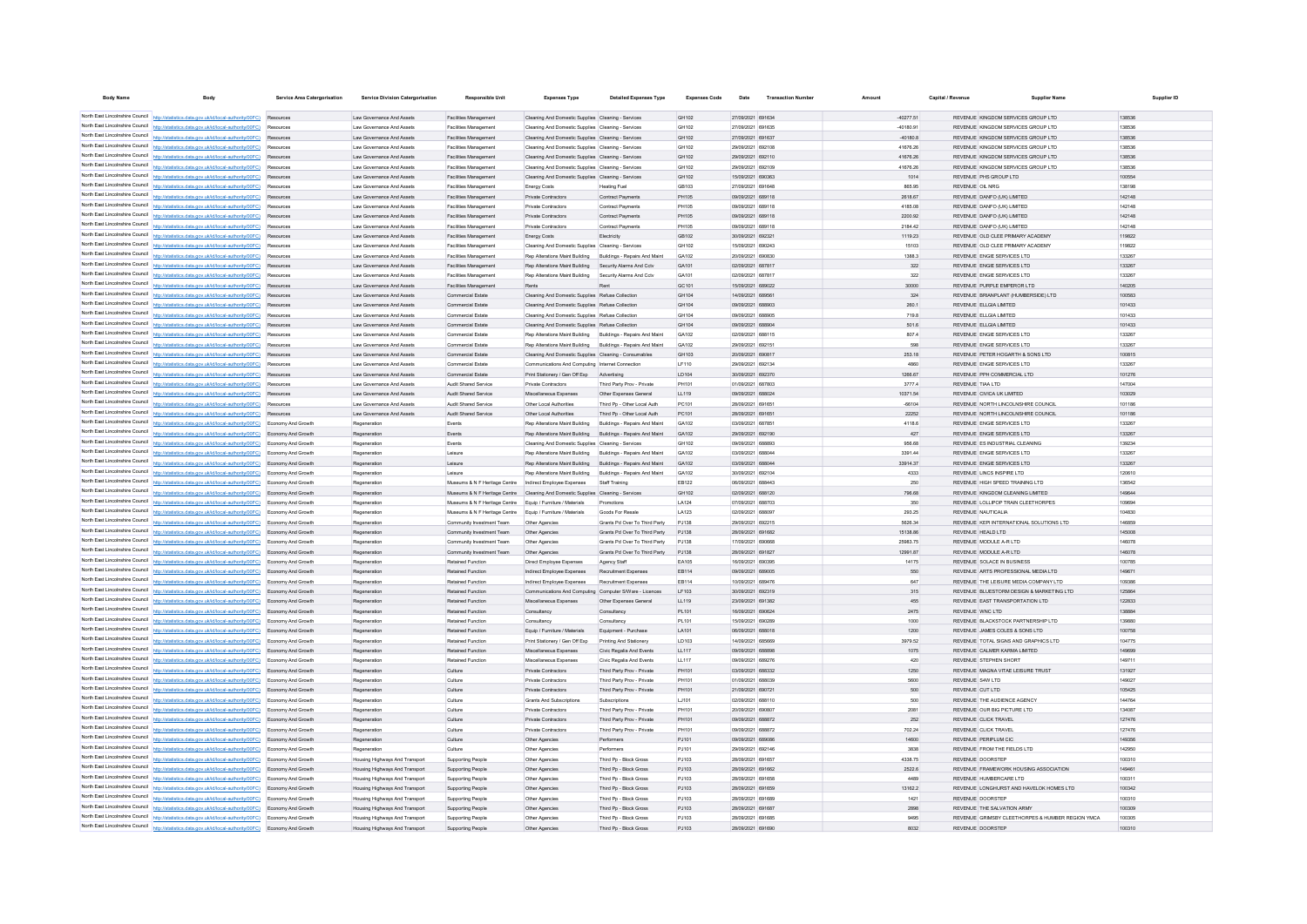| <b>Body Name</b> |                                                                                                           | Service Area Catergorisation | <b>Service Division Catergorisation</b> | <b>Responsible Uni</b>                                                           | <b>Expenses Type</b>                                         | <b>Detailed Expenses Type</b> | <b>Expenses Code</b> |                   | <b>Transaction Numb</b> |             | Capital / Revenue | <b>Supplier Nam</b>                              |        | Supplier ID |
|------------------|-----------------------------------------------------------------------------------------------------------|------------------------------|-----------------------------------------|----------------------------------------------------------------------------------|--------------------------------------------------------------|-------------------------------|----------------------|-------------------|-------------------------|-------------|-------------------|--------------------------------------------------|--------|-------------|
|                  |                                                                                                           |                              |                                         |                                                                                  |                                                              |                               | GH102                | 27/09/2021 691634 |                         | $-40277.51$ |                   | REVENUE KINGDOM SERVICES GROUP LTD               | 138536 |             |
|                  | North East Lincolnshire Council http://statistics.data.gov.uk/id/local-authority/00FC) Resources          |                              | Law Governance And Assets               | Facilities Management                                                            | Cleaning And Domestic Supplies Cleaning - Services           |                               |                      |                   |                         |             |                   |                                                  |        |             |
|                  | North East Lincolnshire Council http://statistics.data.gov.uk/id/local-authority/00FC)                    | Resources                    | Law Governance And Assets               | Facilities Management                                                            | Cleaning And Domestic Supplies Cleaning - Services           |                               | GH102                | 27/09/2021 691635 |                         | $-40180.91$ |                   | REVENUE KINGDOM SERVICES GROUP LTD               | 138536 |             |
|                  | North East Lincolnshire Council http://statistics.data.gov.uk/id/local-authority/00FC)                    | Resources                    | Law Governance And Assets               | Facilities Management                                                            | Cleaning And Domestic Supplies Cleaning - Services           |                               | GH102                | 27/09/2021 691637 |                         | $-40180.8$  |                   | REVENUE KINGDOM SERVICES GROUP LTD               | 138536 |             |
|                  | North East Lincolnshire Council http://statistics.data.gov.uk/id/local-authority/00FC) Resources          |                              | Law Governance And Assets               | <b>Facilities Management</b>                                                     | Cleaning And Domestic Supplies Cleaning - Services           |                               | GH102                | 29/09/2021 692108 |                         | 41676.26    |                   | REVENUE KINGDOM SERVICES GROUP LTD               | 138536 |             |
|                  | North East Lincolnshire Council http://statistics.data.gov.uk/id/local-authority/00FC)                    | Resources                    | Law Governance And Assets               | Facilities Management                                                            | Cleaning And Domestic Supplies Cleaning - Services           |                               | GH102                | 29/09/2021 692110 |                         | 41676.26    |                   | REVENUE KINGDOM SERVICES GROUP LTD               | 138536 |             |
|                  | North East Lincolnshire Council http://statistics.data.gov.uk/id/local-authority/00FC).                   | Resources                    | Law Governance And Assets               | Facilities Management                                                            | Cleaning And Domestic Supplies Cleaning - Services           |                               | GH102                | 29/09/2021 692109 |                         | 41676.26    |                   | REVENUE KINGDOM SERVICES GROUP LTD               | 138536 |             |
|                  | North East Lincolnshire Council http://statistics.data.gov.uk/id/local-authority/00FC)                    | Resources                    | Law Governance And Assets               | Facilities Management                                                            | Cleaning And Domestic Supplies Cleaning - Services           |                               | GH102                | 15/09/2021 690363 |                         | 1014        |                   | REVENUE PHS GROUP LTD                            | 100554 |             |
|                  | North East Lincolnshire Council http://statistics.data.gov.uk/id/local-authority/00FC) Resources          |                              | Law Governance And Assets               | <b>Facilities Management</b>                                                     | Energy Costs                                                 | Heating Fuel                  | GB103                | 27/09/2021 691648 |                         | 865.95      |                   | REVENUE OIL NRG                                  | 138198 |             |
|                  | North East Lincolnshire Council http://statistics.data.gov.uk/id/local-authority/00FC)                    | Resources                    | Law Governance And Assets               | Facilities Management                                                            | Private Contractors                                          | Contract Payments             | PH105                | 09/09/2021 689118 |                         | 2618.67     |                   | REVENUE DANFO (UK) LIMITED                       | 142148 |             |
|                  | North East Lincolnshire Council http://statistics.data.gov.uk/id/local-authority/00FC) Resources          |                              | Law Governance And Assets               | <b>Facilities Management</b>                                                     | Private Contractors                                          | Contract Payments             | PH105                | 09/09/2021 689118 |                         | 4185.08     |                   | REVENUE DANFO (UK) LIMITED                       | 142148 |             |
|                  | North East Lincolnshire Council http://statistics.data.gov.uk/id/local-authority/00FC)                    | Resources                    | Law Governance And Assets               | Facilities Management                                                            | Private Contractors                                          | Contract Payments             | PH105                | 09/09/2021 689118 |                         | 2200.92     |                   | REVENUE DANFO (UK) LIMITED                       | 142148 |             |
|                  | North East Lincolnshire Council http://statistics.data.gov.uk/id/local-authority/00FC)                    | Resources                    | Law Governance And Assets               | Facilities Management                                                            | Private Contractors                                          | Contract Payments             | <b>PH105</b>         | 09/09/2021 689118 |                         | 2184.42     |                   | REVENUE DANFO (UK) LIMITED                       | 142148 |             |
|                  | North East Lincolnshire Council http://statistics.data.gov.uk/id/local-authority/00FC)                    | Resources                    | Law Governance And Assets               | Facilities Management                                                            | Energy Costs                                                 | Electricity                   | GB102                | 30/09/2021 692321 |                         | 1119.23     |                   | REVENUE OLD CLEE PRIMARY ACADEMY                 | 119822 |             |
|                  | North East Lincolnshire Council http://statistics.data.gov.uk/id/local-authority/00FC)                    | Resources                    | Law Governance And Assets               | Facilities Management                                                            | Cleaning And Domestic Supplies Cleaning - Services           |                               | GH102                | 15/09/2021 690243 |                         | 15103       |                   | REVENUE OLD CLEE PRIMARY ACADEMY                 | 119822 |             |
|                  | North East Lincolnshire Council http://statistics.data.gov.uk/id/local-authority/00FC)                    | Resources                    | I aw Governance And Assets              | <b>Facilities Management</b>                                                     | Rep Alterations Maint Building Buildings - Repairs And Maint |                               | GA102                | 20/09/2021 690830 |                         | 1388.3      |                   | REVENUE ENGIE SERVICES LTD                       | 133267 |             |
|                  | North East Lincolnshire Council http://statistics.data.gov.uk/id/local-authority/00FC)                    | Resources                    | Law Governance And Assets               | Facilities Management                                                            | Rep Alterations Maint Building Security Alarms And Ccty      |                               | GA101                | 02/09/2021 687817 |                         | 322         |                   | REVENUE ENGIE SERVICES LTD                       | 133267 |             |
|                  | North East Lincolnshire Council http://statistics.data.gov.uk/id/local-authority/00FC)                    | Resources                    | Law Governance And Assets               | Facilities Management                                                            | Rep Alterations Maint Building Security Alarms And Ccty      |                               | GA101                | 02/09/2021 687817 |                         | 322         |                   | REVENUE ENGIE SERVICES LTD                       | 133267 |             |
|                  | North East Lincolnshire Council http://statistics.data.gov.uk/id/local-authority/00FC)                    | Resources                    | Law Governance And Assets               | Facilities Management                                                            | Rents                                                        | Rent                          | GC101                | 15/09/2021 689022 |                         | 30000       |                   | REVENUE PURPLE EMPEROR LTD                       | 140205 |             |
|                  | North East Lincolnshire Council http://statistics.data.gov.uk/id/local-authority/00FC)                    | Resources                    | Law Governance And Assets               | Commercial Estate                                                                | Cleaning And Domestic Supplies Refuse Collection             |                               | GH104                | 14/09/2021 689561 |                         | 324         |                   | REVENUE BRIANPLANT (HUMBERSIDE) LTD              | 100583 |             |
|                  | North East Lincolnshire Council http://statistics.data.gov.uk/id/local-authority/00FC)                    | Resources                    | Law Governance And Assets               | Commercial Estate                                                                | Cleaning And Domestic Supplies Refuse Collection             |                               | GH104                | 09/09/2021 688903 |                         | 260.1       |                   | REVENUE ELLGIA LIMITED                           | 101433 |             |
|                  | North East Lincolnshire Council http://statistics.data.gov.uk/id/local-authority/00FC)                    | Resources                    | Law Governance And Assets               | Commercial Estate                                                                | Cleaning And Domestic Supplies Refuse Collection             |                               | GH104                | 09/09/2021 688905 |                         | 719.8       |                   | REVENUE ELLGIA LIMITED                           | 101433 |             |
|                  | North East Lincolnshire Council http://statistics.data.gov.uk/id/local-authority/00FC)                    | Resources                    | Law Governance And Assets               | Commercial Estate                                                                | Cleaning And Domestic Supplies Refuse Collection             |                               | GH104                | 09/09/2021 688904 |                         | 501.6       |                   | REVENUE ELLGIA LIMITED                           | 101433 |             |
|                  | North East Lincolnshire Council http://statistics.data.gov.uk/id/local-authority/00FC)                    | Resources                    | Law Governance And Assets               | Commercial Estate                                                                | Rep Alterations Maint Building Buildings - Repairs And Maint |                               | GA102                | 02/09/2021 688115 |                         | 807.4       |                   | REVENUE ENGIE SERVICES LTD                       | 133267 |             |
|                  | North East Lincolnshire Council http://statistics.data.gov.uk/id/local-authority/00FC) Resources          |                              | Law Governance And Assets               | Commercial Estate                                                                | Rep Alterations Maint Building Buildings - Repairs And Maint |                               | GA102                | 29/09/2021 692151 |                         | 598         |                   | REVENUE ENGIE SERVICES LTD                       | 133267 |             |
|                  | North East Lincolnshire Council http://statistics.data.gov.uk/id/local-authority/00FC)                    | Resources                    | Law Governance And Assets               | Commercial Estate                                                                | Cleaning And Domestic Supplies Cleaning - Consumables        |                               | GH103                | 20/09/2021 690817 |                         | 253.18      |                   | REVENUE PETER HOGARTH & SONS LTD                 | 100815 |             |
|                  | North East Lincolnshire Council http://statistics.data.gov.uk/id/local-authority/00FC) Resources          |                              | I aw Governance And Assets              | Commercial Estate                                                                | Communications And Computing Internet Connection             |                               | IF110                | 29/09/2021 692134 |                         | 4860        |                   | REVENUE ENGIE SERVICES LTD                       | 133267 |             |
|                  | North East Lincolnshire Council http://statistics.data.gov.uk/id/local-authority/00FC)                    | Resources                    | I aw Governance And Assets              | Commercial Estate                                                                | Print Stationery / Gen Off Exp Advertising                   |                               | 1 D104               | 30/09/2021 692370 |                         | 1266.67     |                   | REVENUE PPH COMMERCIAL LTD                       | 101276 |             |
|                  | North East Lincolnshire Council http://statistics.data.gov.uk/id/local-authority/00FC) Resources          |                              | I aw Governance And Assets              | <b>Audit Shared Service</b>                                                      | Private Contractors                                          | Third Party Prov - Private    | PH101                | 01/09/2021 687803 |                         | 3777 4      |                   | REVENUE TIAA LTD                                 | 147004 |             |
|                  | North East Lincolnshire Council http://statistics.data.gov.uk/id/local-authority/00FC)                    | Resources                    | I aw Governance And Assets              | Audit Shared Service                                                             | Miscellaneous Expenses                                       | Other Expenses General        | LL119                | 09/09/2021 688024 |                         | 10371.54    |                   | REVENUE CIVICA UK LIMITED                        | 103029 |             |
|                  | North East Lincolnshire Council http://statistics.data.gov.uk/id/local-authority/00FC) Resources          |                              | I aw Governance And Assets              | <b>Audit Shared Service</b>                                                      | Other Local Authorities                                      | Third Po - Other Local Auth   | PC101                | 28/09/2021 691651 |                         | $-66104$    |                   | REVENUE NORTH LINCOLNSHIRE COUNCIL               | 101186 |             |
|                  | North East Lincolnshire Council http://statistics.data.gov.uk/id/local-authority/00FC)                    | Resources                    | Law Governance And Assets               | Audit Shared Service                                                             | Other Local Authorities                                      | Third Pp - Other Local Auth   | PC101                | 28/09/2021 691651 |                         | 22252       |                   | REVENUE NORTH LINCOLNSHIRE COUNCIL               | 101186 |             |
|                  | North East Lincolnshire Council http://statistics.data.gov.uk/id/local-authority/00FC) Economy And Growth |                              | Regeneration                            | Events                                                                           | Rep Alterations Maint Building Buildings - Repairs And Maint |                               | GA102                | 03/09/2021 687851 |                         | 4118.6      |                   | REVENUE ENGIE SERVICES LTD                       | 133267 |             |
|                  | North East Lincolnshire Council http://statistics.data.gov.uk/id/local-authority/00FC) Economy And Growth |                              | Regeneration                            | Events                                                                           | Rep Alterations Maint Building Buildings - Repairs And Maint |                               | GA102                | 29/09/2021 692190 |                         | 427         |                   | REVENUE ENGIE SERVICES LTD                       | 133267 |             |
|                  | North East Lincolnshire Council http://statistics.data.gov.uk/id/local-authority/00FC) Economy And Growth |                              | Regeneration                            | Events                                                                           | Cleaning And Domestic Supplies Cleaning - Services           |                               | GH102                | 09/09/2021 688893 |                         | 956.68      |                   | REVENUE ES INDUSTRIAL CLEANING                   | 139234 |             |
|                  | North East Lincolnshire Council http://statistics.data.gov.uk/id/local-authority/00FC) Economy And Growth |                              | Regeneration                            | Leisure                                                                          | Rep Alterations Maint Building Buildings - Repairs And Maint |                               | GA102                | 03/09/2021 688044 |                         | 3391.44     |                   | REVENUE ENGIE SERVICES LTD                       | 133267 |             |
|                  | North East Lincolnshire Council http://statistics.data.gov.uk/id/local-authority/00FC) Economy And Growth |                              | Regeneration                            | Leisure                                                                          | Rep Alterations Maint Building Buildings - Repairs And Maint |                               | GA102                | 03/09/2021 688044 |                         | 33914.37    |                   | REVENUE ENGIE SERVICES LTD                       | 133267 |             |
|                  | North East Lincolnshire Council http://statistics.data.gov.uk/id/local-authority/00FC) Economy And Growth |                              | Regeneration                            | Leisure                                                                          | Rep Alterations Maint Building Buildings - Repairs And Maint |                               | GA102                | 30/09/2021 692104 |                         | 4333        |                   | REVENUE LINCS INSPIRE LTD                        | 120610 |             |
|                  | North East Lincolnshire Council http://statistics.data.gov.uk/id/local-authority/00FC) Economy And Growth |                              | Regeneration                            | Museums & N F Heritage Centre Indirect Employee Expenses                         |                                                              | Staff Training                | EB122                | 06/09/2021 688443 |                         | 250         |                   | REVENUE HIGH SPEED TRAINING ITD                  | 136542 |             |
|                  | North East Lincolnshire Council http://statistics.data.gov.uk/id/local-authority/00FC) Economy And Growth |                              | Regeneration                            | Museums & N F Heritage Centre Cleaning And Domestic Supplies Cleaning - Services |                                                              |                               | GH102                | 02/09/2021 688120 |                         | 796.68      |                   | REVENUE KINGDOM CLEANING LIMITED                 | 149644 |             |
|                  | North East Lincolnshire Council http://statistics.data.gov.uk/id/local-authority/00FC) Economy And Growth |                              | Regeneration                            | Museums & N F Heritage Centre Equip / Furniture / Materials                      |                                                              | <b>Promotions</b>             | <b>1 A124</b>        | 07/09/2021 688703 |                         | 350         |                   | REVENUE LOLLIPOP TRAIN CLEETHORPES               | 109694 |             |
|                  | North East Lincolnshire Council http://statistics.data.gov.uk/id/local-authority/00FC) Economy And Growth |                              | Regeneration                            | Museums & N F Heritage Centre Equip / Furniture / Materials                      |                                                              | Goods For Resale              | <b>I A123</b>        | 02/09/2021 688097 |                         | 293.25      |                   | REVENUE NAUTICALIA                               | 104830 |             |
|                  | North East Lincolnshire Council http://statistics.data.gov.uk/id/local-authority/00FC) Economy And Growth |                              | Regeneration                            | Community Investment Team                                                        | Other Agencies                                               | Grants Pd Over To Third Party | P.1138               | 29/09/2021 692215 |                         | 5626.34     |                   | REVENUE KEPUNTERNATIONAL SOLUTIONS LTD.          | 146859 |             |
|                  | North East Lincolnshire Council http://statistics.data.gov.uk/id/local-authority/00FC) Economy And Growth |                              | Regeneration                            | Community Investment Team                                                        | Other Agencies                                               | Grants Pd Over To Third Party | PJ138                | 28/09/2021 691682 |                         | 15138.86    |                   | REVENUE HEALD LTD                                | 145008 |             |
|                  | North East Lincolnshire Council http://statistics.data.gov.uk/id/local-authority/00FC) Economy And Growth |                              | Regeneration                            | Community Investment Team                                                        | Other Agencies                                               | Grants Pd Over To Third Party | P.1138               | 17/09/2021 690668 |                         | 25983.75    |                   | REVENUE MODULE A-R LTD                           | 146078 |             |
|                  | North East Lincolnshire Council http://statistics.data.gov.uk/id/local-authority/00FC) Economy And Growth |                              | Regeneration                            | Community Investment Team                                                        | Other Agencies                                               | Grants Pd Over To Third Party | PJ138                | 28/09/2021 691827 |                         | 12991.87    |                   | REVENUE MODULE A-R LTD                           | 146078 |             |
|                  | North East Lincolnshire Council http://statistics.data.gov.uk/id/local-authority/00FC) Economy And Growth |                              | Regeneration                            | Retained Function                                                                | Direct Employee Expenses                                     | Agency Staff                  | EA105                | 16/09/2021 690395 |                         | 14175       |                   | REVENUE SOLACE IN BUSINESS.                      | 100785 |             |
|                  | North East Lincolnshire Council http://statistics.data.gov.uk/id/local-authority/00FC) Economy And Growth |                              | Regeneration                            | Retained Function                                                                | Indirect Employee Expenses                                   | Recruitment Expenses          | EB114                | 09/09/2021 689005 |                         | 550         |                   | REVENUE ARTS PROFESSIONAL MEDIA LTD              | 149671 |             |
|                  | North East Lincolnshire Council http://statistics.data.gov.uk/id/local-authority/00FC) Economy And Growth |                              | Regeneration                            | <b>Retained Function</b>                                                         | Indirect Employee Expenses                                   | <b>Recruitment Expenses</b>   | <b>ER114</b>         | 10/09/2021 689476 |                         | 647         |                   | REVENUE THE LEISURE MEDIA COMPANY LTD            | 109386 |             |
|                  | North East Lincolnshire Council http://statistics.data.gov.uk/id/local-authority/00FC) Economy And Growth |                              | Regeneration                            | Retained Function                                                                | Communications And Computing Computer S/Ware - Licences      |                               | LF103                | 30/09/2021 692319 |                         | 315         |                   | REVENUE BLUESTORM DESIGN & MARKETING LTD         | 125864 |             |
|                  | North East Lincolnshire Council http://statistics.data.gov.uk/id/local-authority/00FC) Economy And Growth |                              | Regeneration                            | Retained Function                                                                | Miscellaneous Expenses                                       | Other Expenses General        | LL119                | 23/09/2021 691382 |                         | 455         |                   | REVENUE EAST TRANSPORTATION LTD                  | 122833 |             |
|                  | North East Lincolnshire Council http://statistics.data.gov.uk/id/local-authority/00FC)                    | Economy And Growth           | Regeneration                            | Retained Function                                                                | Consultancy                                                  | Consultancy                   | PL101                | 16/09/2021 690624 |                         | 2475        |                   | REVENUE WNC LTD                                  | 138884 |             |
|                  | North East Lincolnshire Council http://statistics.data.gov.uk/id/local-authority/00FC)                    | Economy And Growth           | Regeneration                            | Retained Function                                                                | Consultancy                                                  | Consultancy                   | PL101                | 15/09/2021 690289 |                         | 1000        |                   | REVENUE BLACKSTOCK PARTNERSHIP LTD               | 139880 |             |
|                  | North East Lincolnshire Council http://statistics.data.gov.uk/id/local-authority/00FC)                    | Economy And Growth           | Regeneration                            | Retained Function                                                                | Equip / Furniture / Materials                                | Equipment - Purchase          | LA101                | 06/09/2021 688018 |                         | 1200        |                   | REVENUE JAMES COLES & SONS LTD                   | 100758 |             |
|                  | North East Lincolnshire Council http://statistics.data.gov.uk/id/local-authority/00FC)                    | Economy And Growth           | Regeneration                            | Retained Functio                                                                 | Print Stationery / Gen Off Exp                               | Printing And Stationery       | LD103                | 14/09/2021 685669 |                         | 3979.52     |                   | REVENUE TOTAL SIGNS AND GRAPHICS LTD             | 104775 |             |
|                  | North East Lincolnshire Council http://statistics.data.gov.uk/id/local-authority/00FC)                    | Economy And Growth           | Regeneration                            | Retained Function                                                                | Miscellaneous Expenses                                       | Civic Regalia And Events      | LL117                | 09/09/2021 688898 |                         | 1075        |                   | REVENUE CALMER KARMA LIMITED                     | 149699 |             |
|                  | North East Lincolnshire Council http://statistics.data.gov.uk/id/local-authority/00FC)                    | Economy And Growth           | Regeneration                            | Retained Function                                                                | Miscellaneous Expenses                                       | Civic Regalia And Events      | LL117                | 09/09/2021 689276 |                         | 420         |                   | REVENUE STEPHEN SHORT                            | 149711 |             |
|                  | North East Lincolnshire Council http://statistics.data.gov.uk/id/local-authority/00FC)                    | Economy And Growth           | Regeneration                            | Culture                                                                          | Private Contractors                                          | Third Party Prov - Private    | PH101                | 03/09/2021 688332 |                         | 1250        |                   | REVENUE MAGNA VITAE LEISURE TRUST                | 131927 |             |
|                  | North East Lincolnshire Council http://statistics.data.gov.uk/id/local-authority/00FC)                    | Economy And Growth           | Regeneration                            | Culture                                                                          | Private Contractors                                          | Third Party Prov - Private    | PH101                | 01/09/2021 688039 |                         | 5600        |                   | REVENUE S4W LTD                                  | 149027 |             |
|                  | North East Lincolnshire Council http://statistics.data.gov.uk/id/local-authority/00FC)                    | Economy And Growth           | Regeneration                            | Culture                                                                          | Private Contractors                                          | Third Party Prov - Private    | PH101                | 21/09/2021 690721 |                         | 500         |                   | REVENUE CUT LTD                                  | 105425 |             |
|                  | North East Lincolnshire Council http://statistics.data.gov.uk/id/local-authority/00FC)                    | Economy And Growth           | Regeneration                            | Culture                                                                          | Grants And Subscriptions                                     | Subscriptions                 | LJ101                | 02/09/2021 688110 |                         | 500         |                   | REVENUE THE AUDIENCE AGENCY                      | 144764 |             |
|                  | North East Lincolnshire Council http://statistics.data.gov.uk/id/local-authority/00FC)                    | Economy And Growth           | Regeneration                            | Culture                                                                          | Private Contractor                                           | Third Party Prov - Private    | PH101                | 20/09/2021 690807 |                         | 2081        |                   | REVENUE OUR BIG PICTURE LTD                      | 134087 |             |
|                  | North East Lincolnshire Council http://statistics.data.gov.uk/id/local-authority/00FC)                    | Economy And Growth           | Regeneration                            | Culture                                                                          | Private Contractors                                          | Third Party Prov - Private    | PH101                | 09/09/2021 688872 |                         | 252         |                   | REVENUE CLICK TRAVEL                             | 127476 |             |
|                  | North East Lincolnshire Council http://statistics.data.gov.uk/id/local-authority/00FC)                    | Economy And Growth           | Regeneration                            | Culture                                                                          | Private Contractor                                           | Third Party Prov - Private    | PH101                | 09/09/2021 688872 |                         | 702.24      |                   | REVENUE CLICK TRAVEL                             | 127476 |             |
|                  | North East Lincolnshire Council http://statistics.data.gov.uk/id/local-authority/00FC)                    | Economy And Growth           | Regeneration                            | Culture                                                                          | Other Agencies                                               | Performers                    | PJ101                | 09/09/2021 689086 |                         | 14600       |                   | REVENUE PERIPLUM CIC                             | 149356 |             |
|                  | North East Lincolnshire Council http://statistics.data.gov.uk/id/local-authority/00FC) Economy And Growth |                              | Regeneration                            | Culture                                                                          | Other Agencies                                               | Performers                    | PJ101                | 29/09/2021 692146 |                         | 3838        |                   | REVENUE FROM THE FIELDS LTD                      | 142950 |             |
|                  | North East Lincolnshire Council http://statistics.data.gov.uk/id/local-authority/00FC).                   | Economy And Growth           | Housing Highways And Transport          | <b>Supporting People</b>                                                         | Other Agencies                                               | Third Po - Block Gross        | PJ103                | 28/09/2021 691657 |                         | 4338.75     |                   | REVENUE DOORSTEP                                 | 100310 |             |
|                  | North East Lincolnshire Council http://statistics.data.gov.uk/id/local-authority/00FC)                    | Economy And Growth           | Housing Highways And Transport          | Supporting People                                                                | Other Agencies                                               | Third Pp - Block Gross        | PJ103                | 28/09/2021 691662 |                         | 2522.6      |                   | REVENUE FRAMEWORK HOUSING ASSOCIATION            | 149461 |             |
|                  | North East Lincolnshire Council http://statistics.data.gov.uk/id/local-authority/00FC)                    | Economy And Growth           | Housing Highways And Transport          | <b>Supporting People</b>                                                         | Other Agencies                                               | Third Pp - Block Gross        | PJ103                | 28/09/2021 691658 |                         | 4489        |                   | REVENUE HUMBERCARE LTD                           | 100311 |             |
|                  | North East Lincolnshire Council http://statistics.data.gov.uk/id/local-authority/00FC)                    | Economy And Growth           | Housing Highways And Transport          | <b>Supporting People</b>                                                         | Other Agencies                                               | Third Pp - Block Gross        | PJ103                | 28/09/2021 691659 |                         | 13162.2     |                   | REVENUE LONGHURST AND HAVELOK HOMES LTD          | 100342 |             |
|                  | North East Lincolnshire Council http://statistics.data.gov.uk/id/local-authority/00FC)                    | Economy And Growth           | Housing Highways And Transport          | <b>Supporting People</b>                                                         | Other Agencies                                               | Third Pp - Block Gross        | PJ103                | 28/09/2021 691689 |                         | 1421        |                   | REVENUE DOORSTEF                                 | 100310 |             |
|                  | North East Lincolnshire Council http://statistics.data.gov.uk/id/local-authority/00FC)                    | Economy And Growth           | Housing Highways And Transport          | Supporting People                                                                | Other Agencies                                               | Third Po - Block Gross        | PJ103                | 28/09/2021 691687 |                         | 2898        |                   | REVENUE THE SALVATION ARMY                       | 100309 |             |
|                  | North East Lincolnshire Council http://statistics.data.gov.uk/id/local-authority/00FC) Economy And Growth |                              | Housing Highways And Transport          | Supporting People                                                                | Other Agencies                                               | Third Po - Block Gross        | PJ103                | 28/09/2021 691685 |                         | 9495        |                   | REVENUE GRIMSBY CLEETHORPES & HUMBER REGION YMCA | 100305 |             |
|                  | North East Lincolnshire Council http://statistics.data.gov.uk/id/local-authority/00FC) Economy And Growth |                              | Housing Highways And Transport          | Supporting People                                                                | Other Agencies                                               | Third Po - Block Gross        | PJ103                | 28/09/2021 69169  |                         | 8032        |                   | REVENUE DOORSTEE                                 |        |             |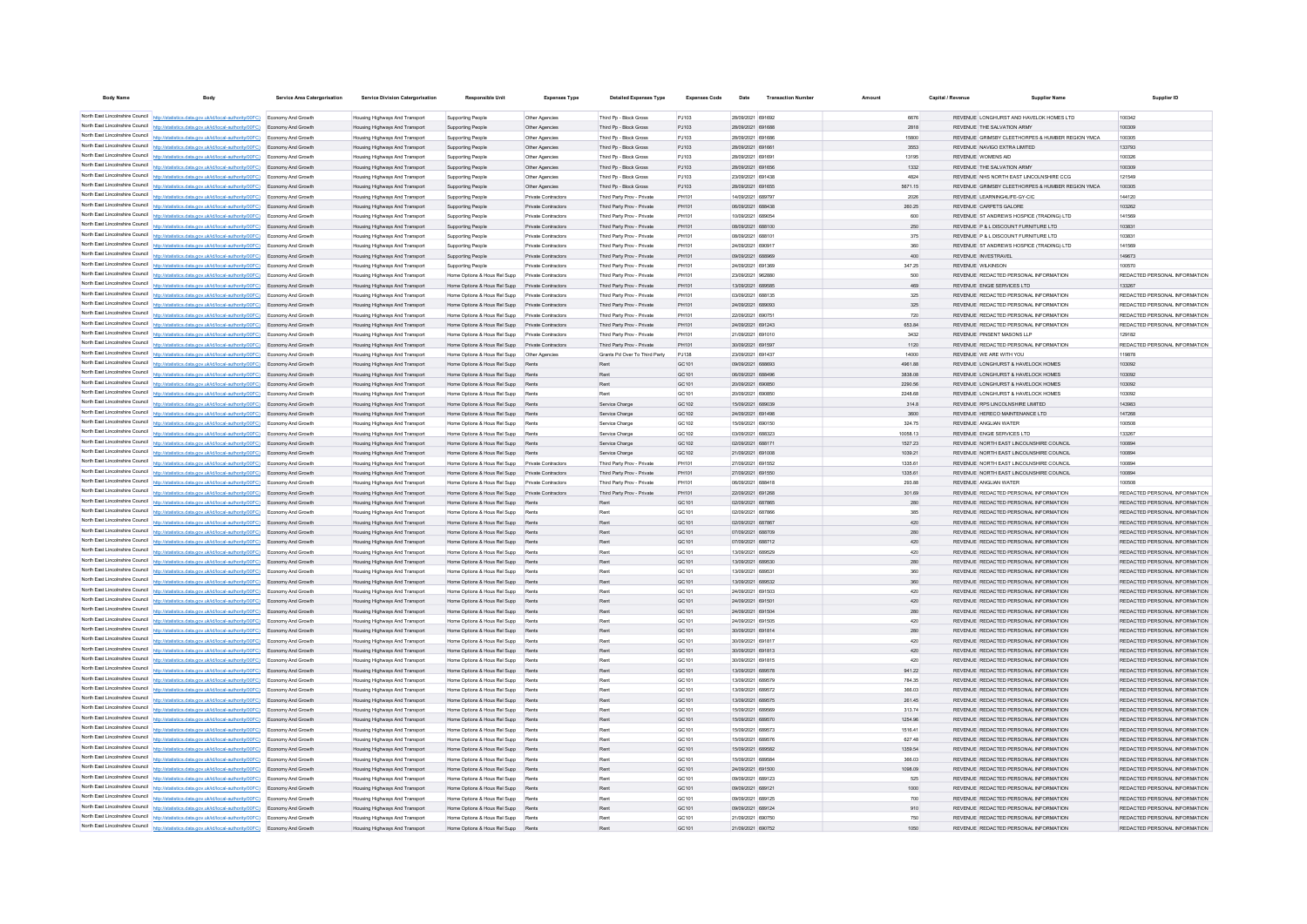| <b>Body Name</b>                                                   | Body                                                                                                                                                                                                                   | Service Area Catergorisation             | <b>Service Division Catergorisation</b>                                | <b>Responsible Unit</b>                                                          | <b>Expenses Type</b>                         | <b>Detailed Expenses Type</b>                            | <b>Expenses Code</b>       | Date                                   | <b>Transaction Number</b> | Amount | Capital / Revenue | <b>Supplier Name</b>                                                             | Supplier ID                                                    |
|--------------------------------------------------------------------|------------------------------------------------------------------------------------------------------------------------------------------------------------------------------------------------------------------------|------------------------------------------|------------------------------------------------------------------------|----------------------------------------------------------------------------------|----------------------------------------------|----------------------------------------------------------|----------------------------|----------------------------------------|---------------------------|--------|-------------------|----------------------------------------------------------------------------------|----------------------------------------------------------------|
|                                                                    | North East Lincolnshire Council http://statistics.data.gov.uk/id/local-authority/00FC) Economy And Growth                                                                                                              |                                          | Housing Highways And Transport                                         | Supporting People                                                                | Other Agencies                               | Third Pp - Block Gross                                   | PJ103                      | 28/09/2021 691692                      |                           |        | 6676              | REVENUE LONGHURST AND HAVELOK HOMES LTD                                          | 100342                                                         |
|                                                                    | North East Lincolnshire Council http://statistics.data.gov.uk/id/local-authority/00FC) Economy And Growth                                                                                                              |                                          | Housing Highways And Transport                                         | Supporting People                                                                | Other Agencies                               | Third Pp - Block Gross                                   | PJ103                      | 28/09/2021 691688                      |                           |        | 2818              | REVENUE THE SALVATION ARMY                                                       | 100309                                                         |
|                                                                    | North East Lincolnshire Council http://statistics.data.gov.uk/id/local-authority/00FC) Economy And Growth                                                                                                              |                                          | Housing Highways And Transport                                         | Supporting People                                                                | Other Agencies                               | Third Pp - Block Gross                                   | PJ103                      | 28/09/2021 691686                      |                           |        | 15800             | REVENUE GRIMSBY CLEETHORPES & HUMBER REGION YMCA                                 | 100305                                                         |
|                                                                    | North East Lincolnshire Council http://statistics.data.gov.uk/id/local-authority/00FC) Economy And Growth                                                                                                              |                                          | Housing Highways And Transport                                         | Supporting People                                                                | Other Agencies                               | Third Pp - Block Gross                                   | P.1103                     | 28/09/2021 691661                      |                           |        | 3553              | REVENUE NAVIGO EXTRA LIMITED                                                     | 133793                                                         |
| North East Lincolnshire Council                                    | http://statistics.data.gov.uk/id/local-authority/DDEC) Fonnomy And Growth                                                                                                                                              |                                          | Housing Highways And Transport                                         | Supporting People                                                                | Other Agencies                               | Third Pp - Block Gross                                   | P.1103                     | 28/09/2021 691691                      |                           |        | 13195             | <b>REVENUE WOMENS AID</b>                                                        | 100326                                                         |
| North East Lincolnshire Council<br>North East Lincolnshire Council | http://statistics.data.gov.uk/id/local-authority/00EC) Fromomy And Growth                                                                                                                                              |                                          | Housing Highways And Transport                                         | Supporting People                                                                | Other Agencies                               | Third Pp - Block Gross                                   | PJ103                      | 28/09/2021 691656                      |                           |        | 1332              | REVENUE THE SALVATION ARMY                                                       | 100309                                                         |
| North East Lincolnshire Council                                    | http://statistics.data.gov.uk/id/local-authority/00ECL Fconomy And Growth                                                                                                                                              |                                          | Housing Highways And Transport                                         | Supporting People                                                                | Other Agencies                               | Third Pp - Block Gross                                   | P.1103                     | 23/09/2021 691438                      |                           |        | 4824              | REVENUE NHS NORTH FAST LINCOLNSHIRE CCG.                                         | 121549                                                         |
| North East Lincolnshire Council                                    | http://statistics.data.gov.uk/id/local-authority/00EC) Fromomy And Growth<br>http://statistics.data.gov.uk/id/local-authority/00FC) Economy And Growth                                                                 |                                          | Housing Highways And Transport<br>Housing Highways And Transport       | Supporting People<br>Supporting People                                           | Other Agencies<br><b>Private Contractors</b> | Third Pp - Block Gross<br>Third Party Prov - Private     | PJ103<br>PH101             | 28/09/2021 691655<br>14/09/2021 689797 |                           |        | 5671.15           | REVENUE GRIMSBY CLEETHORPES & HUMBER REGION YMCA<br>REVENUE LEARNING4LIFE-GY-CIC | 100305<br>144120                                               |
|                                                                    | North East Lincolnshire Council http://statistics.data.gov.uk/id/local-authority/00FC) Economy And Growth                                                                                                              |                                          | Housing Highways And Transport                                         | Supporting People                                                                | Private Contractors                          | Third Party Prov - Private                               | PH101                      | 06/09/2021 688438                      |                           |        | 2026<br>260.25    | REVENUE CARPETS GALORE                                                           | 103262                                                         |
|                                                                    | North East Lincolnshire Council http://statistics.data.gov.uk/id/local-authority/00FC) Economy And Growth                                                                                                              |                                          | Housing Highways And Transport                                         | Supporting People                                                                | Private Contractors                          | Third Party Prov - Private                               | PH101                      | 10/09/2021 689054                      |                           |        | 600               | REVENUE ST ANDREWS HOSPICE (TRADING) LTD                                         | 141569                                                         |
|                                                                    | North East Lincolnshire Council http://statistics.data.gov.uk/id/local-authority/00FC) Economy And Growth                                                                                                              |                                          | Housing Highways And Transport                                         | Supporting People                                                                | Private Contractors                          | Third Party Prov - Private                               | PH101                      | 08/09/2021 688100                      |                           |        | 250               | REVENUE P & L DISCOUNT FURNITURE LTD                                             | 103831                                                         |
|                                                                    | North East Lincolnshire Council http://statistics.data.gov.uk/id/local-authority/00FC) Economy And Growth                                                                                                              |                                          | Housing Highways And Transport                                         | Supporting People                                                                | Private Contractors                          | Third Party Prov - Private                               | PH101                      | 08/09/2021 688101                      |                           |        | 375               | REVENUE P & L DISCOUNT FURNITURE LTD                                             | 103831                                                         |
|                                                                    | North East Lincolnshire Council http://statistics.data.gov.uk/id/local-authority/00FC) Economy And Growth                                                                                                              |                                          | Housing Highways And Transport                                         | Supporting People                                                                | Private Contractors                          | Third Party Prov - Private                               | PH101                      | 24/09/2021 690917                      |                           |        | 360               | REVENUE ST ANDREWS HOSPICE (TRADING) LTD.                                        | 141569                                                         |
|                                                                    | North East Lincolnshire Council http://statistics.data.gov.uk/id/local-authority/00FC) Economy And Growth                                                                                                              |                                          | Housing Highways And Transport                                         | Supporting People                                                                | Private Contractors                          | Third Party Prov - Private                               | PH101                      | 09/09/2021 688969                      |                           |        | 400               | REVENUE INVESTRAVEL                                                              | 149673                                                         |
|                                                                    | North East Lincolnshire Council http://statistics.data.gov.uk/id/local-authority/00FC) Economy And Growth                                                                                                              |                                          | Housing Highways And Transport                                         | Supporting People                                                                | Private Contractors                          | Third Party Prov - Private                               | PH101                      | 24/09/2021 691369                      |                           |        | 347.25            | REVENUE WILKINSON                                                                | 100570                                                         |
|                                                                    | North East Lincolnshire Council http://statistics.data.gov.uk/id/local-authority/00FC) Economy And Growth                                                                                                              |                                          | Housing Highways And Transport                                         | Home Options & Hous Rel Supp Private Contractors                                 |                                              | Third Party Prov - Private                               | PH101                      | 23/09/2021 962880                      |                           |        | 500               | REVENUE REDACTED PERSONAL INFORMATION                                            | REDACTED PERSONAL INFORMATION                                  |
|                                                                    | North East Lincolnshire Council http://statistics.data.gov.uk/id/local-authority/00FC) Economy And Growth<br>North East Lincolnshire Council http://statistics.data.gov.uk/id/local-authority/00FC) Economy And Growth |                                          | Housing Highways And Transport<br>Housing Highways And Transport       | Home Options & Hous Rel Supp Private Contractors<br>Home Options & Hous Rel Supp | Private Contractors                          | Third Party Prov - Private<br>Third Party Prov - Private | PH101<br>PH101             | 13/09/2021 689585<br>03/09/2021 688135 |                           |        | 469<br>325        | REVENUE ENGIE SERVICES LTD<br>REVENUE REDACTED PERSONAL INFORMATION              | 133267<br>REDACTED PERSONAL INFORMATION                        |
|                                                                    | North East Lincolnshire Council http://statistics.data.gov.uk/id/local-authority/00FC) Economy And Growth                                                                                                              |                                          | Housing Highways And Transport                                         | Home Options & Hous Rel Supp                                                     | Private Contractors                          | Third Party Prov - Private                               | PH101                      | 24/09/2021 689093                      |                           |        | 325               | REVENUE REDACTED PERSONAL INFORMATION                                            | REDACTED PERSONAL INFORMATION                                  |
|                                                                    | North East Lincolnshire Council http://statistics.data.gov.uk/id/local-authority/00FC) Economy And Growth                                                                                                              |                                          | Housing Highways And Transport                                         | Home Options & Hous Rel Supp                                                     | Private Contractors                          | Third Party Prov - Private                               | PH101                      | 22/09/2021 690751                      |                           |        | 720               | REVENUE REDACTED PERSONAL INFORMATION                                            | REDACTED PERSONAL INFORMATION                                  |
|                                                                    | North East Lincolnshire Council http://statistics.data.gov.uk/id/local-authority/00FC) Economy And Growth                                                                                                              |                                          | Housing Highways And Transport                                         | Home Options & Hous Rel Supp                                                     | Private Contractors                          | Third Party Prov - Private                               | PH101                      | 24/09/2021 691243                      |                           |        | 653.84            | REVENUE REDACTED PERSONAL INFORMATION                                            | REDACTED PERSONAL INFORMATION                                  |
|                                                                    | North East Lincolnshire Council http://statistics.data.gov.uk/id/local-authority/00FC) Economy And Growth                                                                                                              |                                          | Housing Highways And Transport                                         | Home Options & Hous Rel Supp                                                     | <b>Private Contractors</b>                   | Third Party Prov - Private                               | PH101                      | 21/09/2021 691010                      |                           |        | 3432              | REVENUE PINSENT MASONS LLP                                                       | 129182                                                         |
|                                                                    | North East Lincolnshire Council http://statistics.data.gov.uk/id/local-authority/00FC)                                                                                                                                 | Economy And Growth                       | Housing Highways And Transport                                         | Home Options & Hous Rel Supp                                                     | Private Contractors                          | Third Party Prov - Private                               | PH101                      | 30/09/2021 691597                      |                           |        | 1120              | REVENUE REDACTED PERSONAL INFORMATION                                            | REDACTED PERSONAL INFORMATION                                  |
|                                                                    | North East Lincolnshire Council http://statistics.data.gov.uk/id/local-authority/00FC)                                                                                                                                 | Economy And Growth                       | Housing Highways And Transport                                         | Home Options & Hous Rel Supp                                                     | Other Agencie                                | Grants Pd Over To Third Party                            | PJ138                      | 23/09/2021 691437                      |                           |        | 14000             | REVENUE WE ARE WITH YOU                                                          | 119878                                                         |
| North East Lincolnshire Council                                    | http://statistics.data.gov.uk/id/local-authority/00FC)                                                                                                                                                                 | Economy And Growth                       | Housing Highways And Transport                                         | Home Options & Hous Rel Supp                                                     |                                              |                                                          | GC101                      | 09/09/2021 688693                      |                           |        | 4961.88           | REVENUE LONGHURST & HAVELOCK HOMES                                               | 103092                                                         |
| North East Lincolnshire Council                                    | North East Lincolnshire Council http://statistics.data.gov.uk/id/local-authority/00FC)                                                                                                                                 | Economy And Growth                       | Housing Highways And Transport                                         | Home Options & Hous Rel Supp                                                     |                                              | Rent                                                     | GC101                      | 06/09/2021 688496                      |                           |        | 3838.08           | REVENUE LONGHURST & HAVELOCK HOMES                                               | 103092                                                         |
| North East Lincolnshire Council                                    | http://statistics.data.gov.uk/id/local-authority/00FC)                                                                                                                                                                 | Economy And Growth                       | Housing Highways And Transport                                         | Home Options & Hous Rel Supp                                                     |                                              | Rent                                                     | GC101                      | 20/09/2021 690850                      |                           |        | 2290.56           | REVENUE LONGHURST & HAVELOCK HOMES                                               | 103092                                                         |
| North East Lincolnshire Council                                    | http://statistics.data.gov.uk/id/local-authority/00FC)<br>http://statistics.data.gov.uk/id/local-authority/00FC)                                                                                                       | Economy And Growt<br>Economy And Growth  | Housing Highways And Transpor<br><b>Housing Highways And Transport</b> | Home Options & Hous Rel Supp<br>Home Options & Hous Rel Supp                     |                                              | Service Charge                                           | GC101<br>GC102             | 20/09/2021 690850<br>15/09/2021 689039 |                           |        | 2248.68<br>314.8  | REVENUE LONGHURST & HAVELOCK HOMES<br>REVENUE RPS LINCOLNSHIRE LIMITED           | 103092<br>143983                                               |
| North East Lincolnshire Council                                    | http://statistics.data.gov.uk/id/local-authority/00FC)                                                                                                                                                                 | Economy And Growth                       | Housing Highways And Transport                                         | Home Options & Hous Rel Supp                                                     |                                              | Service Charge                                           | GC102                      | 24/09/2021 691498                      |                           |        | 3600              | REVENUE HERECO MAINTENANCE LTD                                                   | 147268                                                         |
| North East Lincolnshire Council                                    | http://statistics.data.gov.uk/id/local-authority/00FC)                                                                                                                                                                 | Economy And Growth                       | <b>Housing Highways And Transport</b>                                  | Home Options & Hous Rel Supp Rents                                               |                                              | Service Charge                                           | GC102                      | 15/09/2021 690150                      |                           |        | 324.75            | REVENUE ANGLIAN WATER                                                            | 100508                                                         |
| North East Lincolnshire Council                                    | http://statistics.data.gov.uk/id/local-authority/00FC)                                                                                                                                                                 | Economy And Growth                       | Housing Highways And Transport                                         | Home Options & Hous Rel Supp                                                     |                                              | Service Charge                                           | GC102                      | 03/09/2021 688323                      |                           |        | 10058.13          | REVENUE ENGIE SERVICES LTD                                                       | 133267                                                         |
| North East Lincolnshire Council                                    | http://statistics.data.gov.uk/id/local-authority/00FC)                                                                                                                                                                 | Economy And Growth                       | Housing Highways And Transport                                         | Home Options & Hous Rel Supp Rents                                               |                                              | Service Charge                                           | GC102                      | 02/09/2021 688171                      |                           |        | 1527.23           | REVENUE NORTH EAST LINCOLNSHIRE COUNCIL                                          | 100894                                                         |
| North East Lincolnshire Council                                    | http://statistics.data.gov.uk/id/local-authority/00FC)                                                                                                                                                                 | Economy And Growth                       | Housing Highways And Transport                                         | Home Options & Hous Rel Supp Rents                                               |                                              | Service Charge                                           | GC102                      | 21/09/2021 691008                      |                           |        | 1039.21           | REVENUE NORTH EAST LINCOLNSHIRE COUNCIL                                          | 100894                                                         |
| North East Lincolnshire Council                                    | http://statistics.data.gov.uk/id/local-authority/00FC)                                                                                                                                                                 | Economy And Growth                       | Housing Highways And Transpor                                          | Home Options & Hous Rel Supp                                                     | Private Contractors                          | Third Party Prov - Private                               | PH101                      | 27/09/2021 691552                      |                           |        | 1335.61           | REVENUE NORTH EAST LINCOLNSHIRE COUNCIL                                          | 100894                                                         |
| North East Lincolnshire Council                                    | http://statistics.data.gov.uk/id/local-authority/00FC)                                                                                                                                                                 | Economy And Growth                       | Housing Highways And Transport                                         | Home Options & Hous Rel Supp Private Contractors                                 |                                              | Third Party Prov - Private                               | PH101                      | 27/09/2021 691550                      |                           |        | 1335.61           | REVENUE NORTH EAST LINCOLNSHIRE COUNCIL                                          | 100894                                                         |
| North East Lincolnshire Council                                    | http://statistics.data.gov.uk/id/local-authority/00FC)                                                                                                                                                                 | Economy And Growth                       | Housing Highways And Transport                                         | Home Options & Hous Rel Supp                                                     | Private Contractors                          | Third Party Prov - Private                               | PH101                      | 06/09/2021 688418                      |                           |        | 293.88            | REVENUE ANGLIAN WATER                                                            | 100508                                                         |
|                                                                    | North East Lincolnshire Council http://statistics.data.gov.uk/id/local-authority/00FC)<br>North East Lincolnshire Council http://statistics.data.gov.uk/id/local-authority/00FC)                                       | Economy And Growth                       | <b>Housing Highways And Transport</b>                                  | Home Options & Hous Rel Supp                                                     | Private Contractors                          | Third Party Prov - Private                               | PH101                      | 22/09/2021 691268                      |                           |        | 301.69            | REVENUE REDACTED PERSONAL INFORMATION                                            | REDACTED PERSONAL INFORMATION                                  |
|                                                                    | North East Lincolnshire Council http://statistics.data.gov.uk/id/local-authority/00FC)                                                                                                                                 | Economy And Growth<br>Economy And Growt  | Housing Highways And Transport<br>Housing Highways And Transport       | Home Options & Hous Rel Supp<br>Home Options & Hous Rel Supp                     |                                              | Rent                                                     | GC101<br>GC101             | 02/09/2021 687865<br>02/09/2021 687866 |                           |        | 280<br>385        | REVENUE REDACTED PERSONAL INFORMATION<br>REVENUE REDACTED PERSONAL INFORMATION   | REDACTED PERSONAL INFORMATION<br>REDACTED PERSONAL INFORMATION |
|                                                                    | North East Lincolnshire Council http://statistics.data.gov.uk/id/local-authority/00FC)                                                                                                                                 | Economy And Growth                       | Housing Highways And Transport                                         | Home Options & Hous Rel Supp                                                     |                                              | Ren                                                      | GC101                      | 02/09/2021 687867                      |                           |        | 420               | REVENUE REDACTED PERSONAL INFORMATION                                            | REDACTED PERSONAL INFORMATION                                  |
|                                                                    | North East Lincolnshire Council http://statistics.data.gov.uk/id/local-authority/00FC)                                                                                                                                 | Economy And Growth                       | <b>Housing Highways And Transport</b>                                  | Home Options & Hous Rel Supp                                                     |                                              | Ren                                                      | GC101                      | 07/09/2021 688709                      |                           |        | 280               | REVENUE REDACTED PERSONAL INFORMATION                                            | REDACTED PERSONAL INFORMATION                                  |
|                                                                    | North East Lincolnshire Council http://statistics.data.gov.uk/id/local-authority/00FC)                                                                                                                                 | Economy And Growth                       | Housing Highways And Transport                                         | Home Options & Hous Rel Supp Rents                                               |                                              | Rent                                                     | GC101                      | 07/09/2021 688712                      |                           |        | 420               | REVENUE REDACTED PERSONAL INFORMATION                                            | REDACTED PERSONAL INFORMATION                                  |
|                                                                    | North East Lincolnshire Council http://statistics.data.gov.uk/id/local-authority/00FC)                                                                                                                                 | Economy And Growth                       | Housing Highways And Transpor                                          | Home Options & Hous Rel Supp                                                     |                                              |                                                          | GC101                      | 13/09/2021 689529                      |                           |        | 420               | REVENUE REDACTED PERSONAL INFORMATION                                            | REDACTED PERSONAL INFORMATION                                  |
| North East Lincolnshire Council                                    | http://statistics.data.gov.uk/id/local-authority/00FC)                                                                                                                                                                 | Economy And Growth                       | Housing Highways And Transport                                         | Home Options & Hous Rel Supp Rents                                               |                                              | Rent                                                     | GC101                      | 13/09/2021 689530                      |                           |        | 280               | REVENUE REDACTED PERSONAL INFORMATION                                            | REDACTED PERSONAL INFORMATION                                  |
|                                                                    | North East Lincolnshire Council http://statistics.data.gov.uk/id/local-authority/00FC)                                                                                                                                 | Economy And Growth                       | Housing Highways And Transpor                                          | Home Options & Hous Rel Supp                                                     |                                              | Rent                                                     | GC101                      | 13/09/2021 689531                      |                           |        | 360               | REVENUE REDACTED PERSONAL INFORMATION                                            | REDACTED PERSONAL INFORMATION                                  |
| North East Lincolnshire Council                                    | http://statistics.data.gov.uk/id/local-authority/00FC)                                                                                                                                                                 | Economy And Growth                       | Housing Highways And Transport                                         | Home Options & Hous Rel Supp Rents                                               |                                              | Rent                                                     | GC101                      | 13/09/2021 689532                      |                           |        | 360               | REVENUE REDACTED PERSONAL INFORMATION                                            | REDACTED PERSONAL INFORMATION                                  |
| North East Lincolnshire Council<br>North East Lincolnshire Council | http://statistics.data.gov.uk/id/local-authority/00FC)                                                                                                                                                                 | Economy And Growth                       | Housing Highways And Transport                                         | Home Options & Hous Rel Supp Rents                                               |                                              | Rent                                                     | GC101                      | 24/09/2021 691503                      |                           |        | 420               | REVENUE REDACTED PERSONAL INFORMATION                                            | REDACTED PERSONAL INFORMATION                                  |
| North East Lincolnshire Council                                    | http://statistics.data.gov.uk/id/local-authority/00FC)                                                                                                                                                                 | Economy And Growth                       | Housing Highways And Transport                                         | Home Options & Hous Rel Supp Rents                                               |                                              | Rent                                                     | GC101                      | 24/09/2021 691501                      |                           |        | 420               | REVENUE REDACTED PERSONAL INFORMATION                                            | REDACTED PERSONAL INFORMATION                                  |
| North East Lincolnshire Council                                    | http://statistics.data.gov.uk/id/local-authority/00FC)<br>http://statistics.data.gov.uk/id/local-authority/00FC)                                                                                                       | Economy And Growth<br>Economy And Growth | Housing Highways And Transport<br>Housing Highways And Transport       | Home Options & Hous Rel Supp Rents<br>Home Options & Hous Rel Supp Rents         |                                              | Rent<br>Rent                                             | GC101<br>GC101             | 24/09/2021 691504<br>24/09/2021 691505 |                           |        | 280<br>420        | REVENUE REDACTED PERSONAL INFORMATION<br>REVENUE REDACTED PERSONAL INFORMATION   | REDACTED PERSONAL INFORMATION<br>REDACTED PERSONAL INFORMATION |
| North East Lincolnshire Council                                    | http://statistics.data.gov.uk/id/local-authority/00FC)                                                                                                                                                                 | Economy And Growth                       | Housing Highways And Transport                                         | Home Options & Hous Rel Supp Rents                                               |                                              | Rent                                                     | GC101                      | 30/09/2021 691814                      |                           |        | 280               | REVENUE REDACTED PERSONAL INFORMATION                                            | REDACTED PERSONAL INFORMATION                                  |
| North East Lincolnshire Council                                    | http://statistics.data.gov.uk/id/local-authority/00FC)                                                                                                                                                                 | Economy And Growth                       | Housing Highways And Transport                                         | Home Options & Hous Rel Supp Rents                                               |                                              | Rent                                                     | GC101                      | 30/09/2021 691817                      |                           |        | 420               | REVENUE REDACTED PERSONAL INFORMATION                                            | REDACTED PERSONAL INFORMATION                                  |
| North East Lincolnshire Council                                    | http://statistics.data.gov.uk/id/local-authority/00FC)                                                                                                                                                                 | Economy And Growth                       | Housing Highways And Transport                                         | Home Options & Hous Rel Supp Rents                                               |                                              | Rent                                                     | GC101                      | 30/09/2021 691813                      |                           |        | 420               | REVENUE REDACTED PERSONAL INFORMATION                                            | REDACTED PERSONAL INFORMATION                                  |
| North East Lincolnshire Council                                    | http://statistics.data.gov.uk/id/local-authority/00FC)                                                                                                                                                                 | Economy And Growth                       | Housing Highways And Transport                                         | Home Options & Hous Rel Supp Rents                                               |                                              | Rent                                                     | GC101                      | 30/09/2021 691815                      |                           |        | 420               | REVENUE REDACTED PERSONAL INFORMATION                                            | REDACTED PERSONAL INFORMATION                                  |
| North East Lincolnshire Council                                    | http://statistics.data.gov.uk/id/local-authority/00FC)                                                                                                                                                                 | Economy And Growth                       | Housing Highways And Transport                                         | Home Options & Hous Rel Supp Rents                                               |                                              | Rent                                                     | GC101                      | 13/09/2021 689578                      |                           |        | 941.22            | REVENUE REDACTED PERSONAL INFORMATION                                            | REDACTED PERSONAL INFORMATION                                  |
| North East Lincolnshire Council                                    | http://statistics.data.gov.uk/id/local-authority/00FC)                                                                                                                                                                 | Economy And Growth                       | Housing Highways And Transport                                         | Home Options & Hous Rel Supp Rents                                               |                                              | Rent                                                     | GC101                      | 13/09/2021 689579                      |                           |        | 784.35            | REVENUE REDACTED PERSONAL INFORMATION                                            | REDACTED PERSONAL INFORMATION                                  |
| North East Lincolnshire Council                                    | http://statistics.data.gov.uk/id/local-authority/00FC)                                                                                                                                                                 | Economy And Growth                       | Housing Highways And Transport                                         | Home Options & Hous Rel Supp Rents                                               |                                              | Rent                                                     | GC101                      | 13/09/2021 689572                      |                           |        | 366.03            | REVENUE REDACTED PERSONAL INFORMATION                                            | REDACTED PERSONAL INFORMATION                                  |
| North East Lincolnshire Council<br>North East Lincolnshire Council | http://statistics.data.gov.uk/id/local-authority/00FC)                                                                                                                                                                 | Economy And Growth                       | Housing Highways And Transport                                         | Home Options & Hous Rel Supp Rents                                               |                                              | Rent                                                     | GC101                      | 13/09/2021 689575                      |                           |        | 261.45            | REVENUE REDACTED PERSONAL INFORMATION                                            | REDACTED PERSONAL INFORMATION                                  |
| North East Lincolnshire Council                                    | http://statistics.data.gov.uk/id/local-authority/00FC)                                                                                                                                                                 | Economy And Growth                       | Housing Highways And Transport                                         | Home Options & Hous Rel Supp Rents                                               |                                              | Rent                                                     | GC101                      | 15/09/2021 689569                      |                           |        | 313.74            | REVENUE REDACTED PERSONAL INFORMATION                                            | REDACTED PERSONAL INFORMATION                                  |
| North East Lincolnshire Council                                    | http://statistics.data.gov.uk/id/local-authority/00FC)<br>http://statistics.data.gov.uk/id/local-authority/00EC)                                                                                                       | Economy And Growth<br>Fronomy And Growth | Housing Highways And Transport                                         | Home Options & Hous Rel Supp Rents                                               |                                              | Rent<br>Rent                                             | GC101<br>GC <sub>101</sub> | 15/09/2021 689570<br>15/09/2021 689573 |                           |        | 1254.96           | REVENUE REDACTED PERSONAL INFORMATION<br>REVENUE REDACTED PERSONAL INFORMATION   | REDACTED PERSONAL INFORMATION<br>REDACTED PERSONAL INFORMATION |
| North East Lincolnshire Council                                    | http://statistics.data.gov.uk/id/local-authority/00EC)                                                                                                                                                                 | Fronomy And Growth                       | Housing Highways And Transport<br>Housing Highways And Transport       | Home Options & Hous Rel Supp Rents<br>Home Options & Hous Rel Supp Rents         |                                              | Rent                                                     | GC <sub>101</sub>          | 15/09/2021 689576                      |                           |        | 1516.41<br>627.48 | REVENUE REDACTED PERSONAL INFORMATION                                            | REDACTED PERSONAL INFORMATION                                  |
| North East Lincolnshire Council                                    | http://statistics.data.gov.uk/id/local-authority/00EC)                                                                                                                                                                 | Fronomy And Growth                       | Housing Highways And Transport                                         | Home Options & Hous Rel Supp Rents                                               |                                              | Rent                                                     | GC101                      | 15/09/2021 689582                      |                           |        | 1359.54           | REVENUE REDACTED PERSONAL INFORMATION                                            | REDACTED PERSONAL INFORMATION                                  |
| North East Lincolnshire Council                                    | http://statistics.data.gov.uk/id/local-authority/00FC) Economy And Growth                                                                                                                                              |                                          | Housing Highways And Transport                                         | Home Options & Hous Rel Supp Rents                                               |                                              | Rent                                                     | GC101                      | 15/09/2021 689584                      |                           |        | 366.03            | REVENUE REDACTED PERSONAL INFORMATION                                            | REDACTED PERSONAL INFORMATION                                  |
| North East Lincolnshire Council                                    | http://statistics.data.gov.uk/id/local-authority/00FC)                                                                                                                                                                 | Economy And Growth                       | Housing Highways And Transport                                         | Home Options & Hous Rel Supp Rents                                               |                                              | Rent                                                     | GC101                      | 24/09/2021 691500                      |                           |        | 1098.09           | REVENUE REDACTED PERSONAL INFORMATION                                            | REDACTED PERSONAL INFORMATION                                  |
| North East Lincolnshire Council                                    | http://statistics.data.gov.uk/id/local-authority/00FC)                                                                                                                                                                 | Economy And Growth                       | Housing Highways And Transport                                         | Home Options & Hous Rel Supp Rents                                               |                                              | Rent                                                     | GC101                      | 09/09/2021 689123                      |                           |        | 525               | REVENUE REDACTED PERSONAL INFORMATION                                            | REDACTED PERSONAL INFORMATION                                  |
| North East Lincolnshire Council                                    | http://statistics.data.gov.uk/id/local-authority/00FC)                                                                                                                                                                 | Economy And Growth                       | Housing Highways And Transport                                         | Home Options & Hous Rel Supp Rents                                               |                                              | Rent                                                     | GC101                      | 09/09/2021 689121                      |                           |        | 1000              | REVENUE REDACTED PERSONAL INFORMATION                                            | REDACTED PERSONAL INFORMATION                                  |
| North East Lincolnshire Council                                    | http://statistics.data.gov.uk/id/local-authority/00FC)                                                                                                                                                                 | Economy And Growth                       | <b>Housing Highways And Transport</b>                                  | Home Options & Hous Rel Supp Rents                                               |                                              | Rent                                                     | GC101                      | 09/09/2021 689125                      |                           |        | 700               | REVENUE REDACTED PERSONAL INFORMATION                                            | REDACTED PERSONAL INFORMATION                                  |
|                                                                    | North East Lincolnshire Council http://statistics.data.gov.uk/id/local-authority/00FC)                                                                                                                                 | Economy And Growth                       | <b>Housing Highways And Transport</b>                                  | Home Options & Hous Rel Supp Rents                                               |                                              | Rent                                                     | GC101                      | 09/09/2021 689124                      |                           |        | 910               | REVENUE REDACTED PERSONAL INFORMATION                                            | REDACTED PERSONAL INFORMATION                                  |
|                                                                    | North East Lincolnshire Council http://statistics.data.gov.uk/id/local-authority/00FC) Economy And Growth                                                                                                              |                                          | Housing Highways And Transport                                         | Home Options & Hous Rel Supp Rents                                               |                                              | Pent                                                     | GC <sub>101</sub>          | 21/09/2021 690750                      |                           |        | 750               | REVENUE REDACTED PERSONAL INFORMATION                                            | REDACTED PERSONAL INFORMATION                                  |
| North East Lincolnshire Council                                    | http://statistics.data.gov.uk/id/local-authority/00FC)                                                                                                                                                                 | Fronomy And Growth                       | Housing Highways And Transport                                         | Home Options & Hous Rel Supp Rents                                               |                                              | Rent                                                     | GC <sub>101</sub>          | 21/09/2021 690752                      |                           |        | 1050              | REVENUE REDACTED PERSONAL INFORMATION                                            | REDACTED PERSONAL INFORMATION                                  |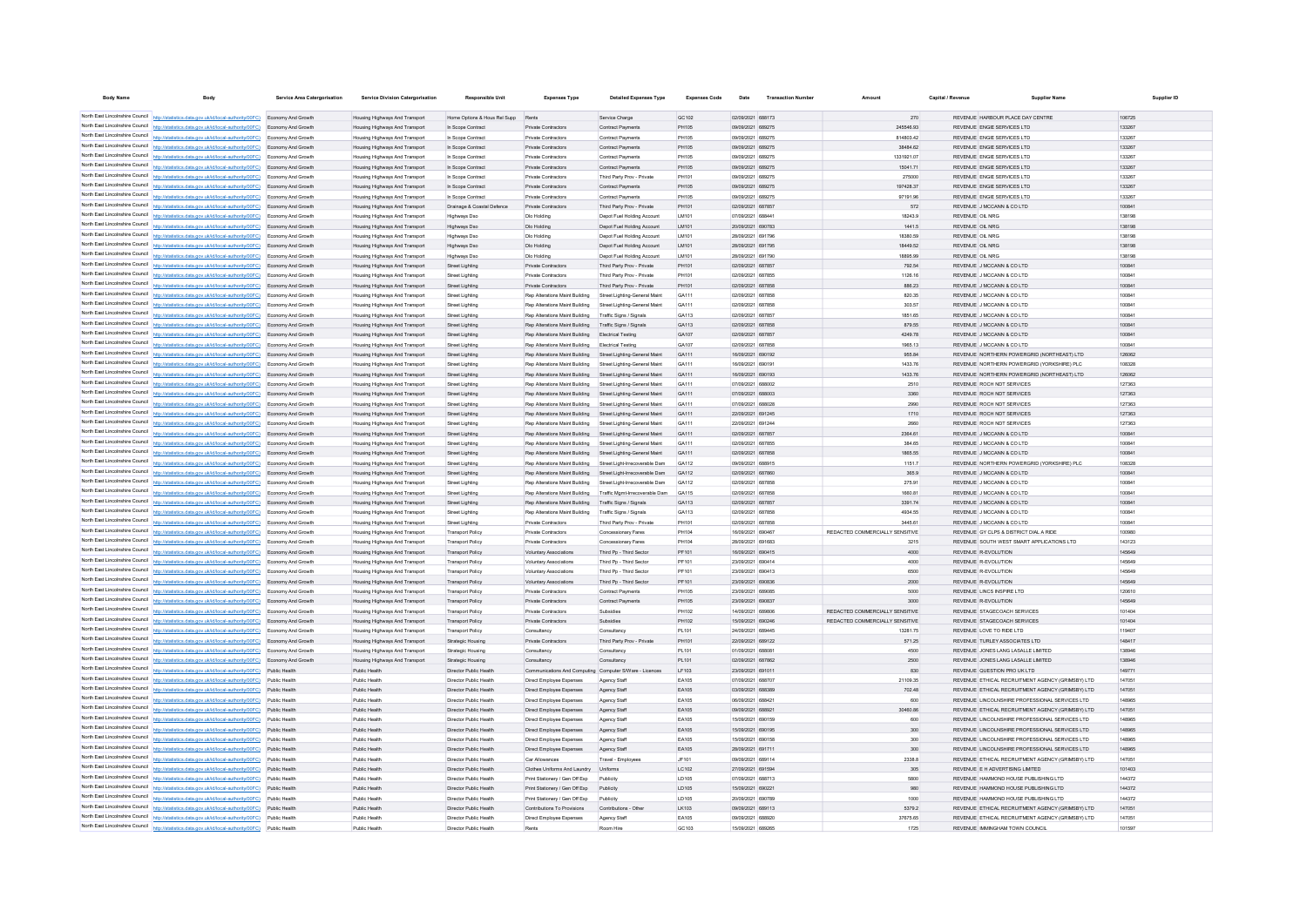| <b>Body Name</b>                |                                                                                                           | <b>Service Area Catergorisation</b> | <b>Service Division Catergorisation</b> | <b>Responsible Un</b>              | <b>Expenses Type</b>                                             | <b>Detailed Expenses Type</b>        | <b>Expenses Code</b> |                                        |                                 | Capital / Revenue |                                                   |        |
|---------------------------------|-----------------------------------------------------------------------------------------------------------|-------------------------------------|-----------------------------------------|------------------------------------|------------------------------------------------------------------|--------------------------------------|----------------------|----------------------------------------|---------------------------------|-------------------|---------------------------------------------------|--------|
|                                 |                                                                                                           |                                     |                                         |                                    |                                                                  |                                      |                      |                                        |                                 |                   |                                                   |        |
|                                 | North East Lincolnshire Council http://statistics.data.gov.uk/id/local-authority/00FC) Economy And Growth |                                     | Housing Highways And Transport          | Home Options & Hous Rel Supp Rents |                                                                  | Service Charge                       | GC102                | 02/09/2021 688173                      | 270                             |                   | REVENUE HARBOUR PLACE DAY CENTRE                  | 106725 |
|                                 | North East Lincolnshire Council http://statistics.data.gov.uk/id/local-authority/00FC) Economy And Growth |                                     | Housing Highways And Transport          | In Scope Contract                  | Private Contractors                                              | Contract Payments                    | <b>PH105</b>         | 09/09/2021 689275                      | 245546.93                       |                   | REVENUE ENGIE SERVICES LTD                        | 133267 |
|                                 | North East Lincolnshire Council http://statistics.data.gov.uk/id/local-authority/00FC) Economy And Growth |                                     | Housing Highways And Transport          | In Scope Contract                  | Private Contractors                                              | Contract Payments                    | PH105                | 09/09/2021 689275                      | 814803.42                       |                   | REVENUE ENGIE SERVICES LTD                        | 133267 |
|                                 | North East Lincolnshire Council http://statistics.data.gov.uk/id/local-authority/00FC) Economy And Growth |                                     | Housing Highways And Transport          | In Scope Contract                  | Private Contractors                                              | Contract Payments                    | PH105                | 09/09/2021 689275                      | 38484.62                        |                   | REVENUE ENGIE SERVICES LTD                        | 133267 |
|                                 | North East Lincolnshire Council http://statistics.data.gov.uk/id/local-authority/00FC) Economy And Growth |                                     | Housing Highways And Transport          | In Scope Contract                  | Private Contractors                                              | Contract Payments                    | PH105                | 09/09/2021 689275                      | 1331921.07                      |                   | REVENUE ENGIE SERVICES LTD                        | 133267 |
| North East Lincolnshire Council | http://statistics.data.gov.uk/id/local-authority/00FC) Economy And Growth                                 |                                     | Housing Highways And Transport          | In Scope Contract                  | Private Contractors                                              | Contract Payments                    | PH105                | 09/09/2021 689275                      | 15041.71                        |                   | REVENUE ENGIE SERVICES LTD                        | 133267 |
| North East Lincolnshire Council | http://statistics.data.gov.uk/id/local-authority/00FC) Economy And Growth                                 |                                     | Housing Highways And Transport          | In Scope Contract                  | Private Contractors                                              | Third Party Prov - Private           | PH101                | 09/09/2021 689275                      | 275000                          |                   | REVENUE ENGIE SERVICES LTD                        | 133267 |
| North East Lincolnshire Council | http://statistics.data.gov.uk/id/local-authority/00FC) Economy And Growth                                 |                                     | Housing Highways And Transport          | In Scope Contract                  | Private Contractors                                              | Contract Payments                    | PH105                | 09/09/2021 689275                      | 197428.37                       |                   | REVENUE ENGIE SERVICES LTD                        | 133267 |
| North East Lincolnshire Council | http://statistics.data.gov.uk/id/local-authority/00FC) Economy And Growth                                 |                                     | Housing Highways And Transport          | In Scope Contract                  | <b>Private Contractors</b>                                       | Contract Payments                    | PH105                | 09/09/2021 689275                      | 97191.96                        |                   | REVENUE ENGIE SERVICES LTD                        | 133267 |
|                                 | North East Lincolnshire Council http://statistics.data.gov.uk/id/local-authority/00FC) Economy And Growth |                                     | Housing Highways And Transport          | Drainage & Coastal Defence         | Private Contractors                                              | Third Party Prov - Private           | PH101                | 02/09/2021 687857                      | 572                             |                   | REVENUE J MCCANN & CO LTD                         | 100841 |
|                                 | North East Lincolnshire Council http://statistics.data.gov.uk/id/local-authority/00FC) Economy And Growth |                                     | Housing Highways And Transport          | Highways Dso                       | Dlo Holding                                                      | Depot Fuel Holding Account           | LM101                | 07/09/2021 688441                      | 18243.9                         |                   | REVENUE OIL NRG                                   | 138198 |
|                                 | North East Lincolnshire Council http://statistics.data.gov.uk/id/local-authority/00FC) Economy And Growth |                                     | Housing Highways And Transport          | <b>Highways Dsc</b>                | Dlo Holding                                                      | Depot Fuel Holding Account           | LM101                | 20/09/2021 690783                      | 1441.5                          |                   | REVENUE OIL NRG                                   | 138198 |
|                                 | North East Lincolnshire Council http://statistics.data.gov.uk/id/local-authority/00FC) Economy And Growth |                                     | Housing Highways And Transport          | <b>Highways Dsc</b>                | Dlo Holding                                                      | Depot Fuel Holding Account           | LM101                | 28/09/2021 691796                      | 18380.59                        |                   | REVENUE OIL NRG                                   | 138198 |
|                                 | North East Lincolnshire Council http://statistics.data.gov.uk/id/local-authority/00FC)                    | Economy And Growth                  | Housing Highways And Transport          | <b>Highways Dsc</b>                | Dlo Holding                                                      | Depot Fuel Holding Account           | LM101                | 28/09/2021 691795                      | 18449.52                        |                   | REVENUE OIL NRG                                   | 138198 |
|                                 | North East Lincolnshire Council http://statistics.data.gov.uk/id/local-authority/00FC)                    | Economy And Growth                  | Housing Highways And Transport          | <b>Highways Dsc</b>                | Dlo Holding                                                      | Depot Fuel Holding Account           | LM101                | 28/09/2021 691790                      | 18895.99                        |                   | REVENUE OIL NRG                                   | 138198 |
|                                 | North East Lincolnshire Council http://statistics.data.gov.uk/id/local-authority/00FC)                    | Economy And Growth                  | Housing Highways And Transport          | Street Lighting                    | Private Contractors                                              | Third Party Prov - Private           | PH101                | 02/09/2021 687857                      | 792.54                          |                   | REVENUE J MCCANN & CO LTD                         | 10084  |
|                                 | North East Lincolnshire Council http://statistics.data.gov.uk/id/local-authority/00FC)                    | Economy And Growth                  | Housing Highways And Transport          | Street Lighting                    | Private Contractors                                              | Third Party Prov - Private           | PH101                | 02/09/2021 687855                      | 1126.16                         |                   | REVENUE J MCCANN & CO LTD                         | 100841 |
|                                 | North East Lincolnshire Council http://statistics.data.gov.uk/id/local-authority/00FC)                    | Economy And Growth                  | Housing Highways And Transport          | Street Lighting                    | Private Contractors                                              | Third Party Prov - Private           | PH101                | 02/09/2021 687858                      | 886.23                          |                   | REVENUE J MCCANN & CO LTD                         | 10084  |
|                                 | North East Lincolnshire Council http://statistics.data.gov.uk/id/local-authority/00FC)                    |                                     |                                         |                                    |                                                                  |                                      | GA111                | 02/09/2021 687858                      |                                 |                   |                                                   | 100841 |
|                                 |                                                                                                           | Economy And Growth                  | Housing Highways And Transport          | Street Lighting                    | Rep Alterations Maint Building                                   | Street Lighting-General Maint        |                      |                                        | 820.35                          |                   | REVENUE J MCCANN & CO LTD                         |        |
|                                 | North East Lincolnshire Council http://statistics.data.gov.uk/id/local-authority/00FC)                    | Economy And Growth                  | Housing Highways And Transport          | Street Lighting                    | Rep Alterations Maint Building                                   | Street Lighting-General Maint        | GA111                | 02/09/2021 687858                      | 303.57                          |                   | REVENUE J MCCANN & CO LTD                         | 10084  |
|                                 | North East Lincolnshire Council http://statistics.data.gov.uk/id/local-authority/00FC)                    | Economy And Growth                  | Housing Highways And Transport          | Street Lighting                    | Rep Alterations Maint Building                                   | Traffic Signs / Signals              | GA113                | 02/09/2021 687857                      | 1851.65                         |                   | REVENUE J MCCANN & CO LTD                         | 100841 |
|                                 | North East Lincolnshire Council http://statistics.data.gov.uk/id/local-authority/00FC)                    | Economy And Growth                  | Housing Highways And Transport          | Street Lighting                    | Rep Alterations Maint Building                                   | Traffic Signs / Signals              | GA113                | 02/09/2021 687858                      | 879.55                          |                   | REVENUE J MCCANN & CO LTD                         | 100841 |
|                                 | North East Lincolnshire Council http://statistics.data.gov.uk/id/local-authority/00FC)                    | Economy And Growth                  | Housing Highways And Transport          | Street Lighting                    | Rep Alterations Maint Building                                   | Flectrical Testing                   | GA107                | 02/09/2021 687857                      | 4249.78                         |                   | REVENUE J MCCANN & CO LTD                         | 100841 |
|                                 | North East Lincolnshire Council http://statistics.data.gov.uk/id/local-authority/00FC)                    | Economy And Growth                  | Housing Highways And Transport          | Street Lighting                    | Rep Alterations Maint Building                                   | <b>Electrical Testing</b>            | GA107                | 02/09/2021 687858                      | 1965.13                         |                   | REVENUE J MCCANN & CO LTD                         | 100841 |
|                                 | North East Lincolnshire Council http://statistics.data.gov.uk/id/local-authority/00FC)                    | Economy And Growth                  | Housing Highways And Transport          | Street Lighting                    | Rep Alterations Maint Building                                   | Street Lighting-General Maint        | GA111                | 16/09/2021 690192                      | 955.84                          |                   | REVENUE NORTHERN POWERGRID (NORTHEAST) LTD        | 126062 |
|                                 | North East Lincolnshire Council http://statistics.data.gov.uk/id/local-authority/00FC)                    | Economy And Growth                  | Housing Highways And Transport          | Street Lighting                    | Rep Alterations Maint Building                                   | Street Lighting-General Maint        | GA111                | 16/09/2021 690191                      | 1433.76                         |                   | REVENUE NORTHERN POWERGRID (YORKSHIRE) PLC        | 108328 |
|                                 | North East Lincolnshire Council http://statistics.data.gov.uk/id/local-authority/00FC)                    | Economy And Growth                  | Housing Highways And Transport          | Street Lighting                    | Rep Alterations Maint Building                                   | Street Lighting-General Maint        | GA111                | 16/09/2021 690193                      | 1433.76                         |                   | REVENUE NORTHERN POWERGRID (NORTHEAST) LTD        | 126062 |
|                                 | North East Lincolnshire Council   http://statistics.data.gov.uk/id/local-authority/00FC)                  | Economy And Growth                  | Housing Highways And Transport          | Street Lighting                    | Rep Alterations Maint Building                                   | Street Lighting-General Maint        | GA111                | 07/09/2021 688002                      | 2510                            |                   | REVENUE ROCH NDT SERVICES                         | 127363 |
|                                 | North East Lincolnshire Council http://statistics.data.gov.uk/id/local-authority/00FC)                    | Economy And Growth                  | Housing Highways And Transport          | Street Lighting                    | Rep Alterations Maint Building                                   | Street Lighting-General Maint        | GA111                | 07/09/2021 688003                      | 3360                            |                   | REVENUE ROCH NDT SERVICES                         | 127363 |
|                                 | North East Lincolnshire Council http://statistics.data.gov.uk/id/local-authority/00FC)                    | Economy And Growth                  | Housing Highways And Transport          | Street Lighting                    | Rep Alterations Maint Building                                   | Street Lighting-General Maint        | GA111                | 07/09/2021 688028                      | 2990                            |                   | REVENUE ROCH NDT SERVICES                         | 127363 |
|                                 | North East Lincolnshire Council http://statistics.data.gov.uk/id/local-authority/00FC)                    | Economy And Growth                  | Housing Highways And Transport          | Street Lighting                    | Rep Alterations Maint Building                                   | Street Lighting-General Maint        | GA111                | 22/09/2021 691245                      | 1710                            |                   | REVENUE ROCH NDT SERVICES                         | 127363 |
|                                 | North East Lincolnshire Council http://statistics.data.gov.uk/id/local-authority/00FC)                    | Economy And Growth                  | Housing Highways And Transport          | Street Lighting                    | Rep Alterations Maint Building                                   | Street Lighting-General Maint        | GA111                | 22/09/2021 691244                      | 2660                            |                   | REVENUE ROCH NDT SERVICES                         | 127363 |
|                                 | North East Lincolnshire Council http://statistics.data.gov.uk/id/local-authority/00FC)                    | Economy And Growth                  | Housing Highways And Transport          | Street Lighting                    | Rep Alterations Maint Building                                   | Street Lighting-General Maint        | GA111                | 02/09/2021 687857                      | 2364.61                         |                   | REVENUE J MCCANN & CO LTD                         | 100841 |
|                                 | North East Lincolnshire Council http://statistics.data.gov.uk/id/local-authority/00FC).                   | Economy And Growth                  | Housing Highways And Transport          | Street Lighting                    | Rep Alterations Maint Building                                   | Street Lighting-General Maint        | GA111                | 02/09/2021 687855                      | 384.65                          |                   | REVENUE J MCCANN & CO LTD                         | 100841 |
|                                 | North East Lincolnshire Council http://statistics.data.gov.uk/id/local-authority/00FC)                    | Economy And Growth                  | Housing Highways And Transport          | Street Lighting                    | Rep Alterations Maint Building                                   | Street Lighting-General Maint        | GA111                | 02/09/2021 687858                      | 1865.55                         |                   | REVENUE J MCCANN & CO LTD                         | 100841 |
|                                 | North East Lincolnshire Council http://statistics.data.gov.uk/id/local-authority/00FC)                    | Economy And Growth                  | Housing Highways And Transport          | Street Lighting                    | Rep Alterations Maint Building                                   | Street Light-Irrecoverable Dam       | GA112                | 09/09/2021 688915                      | 1151.7                          |                   | REVENUE NORTHERN POWERGRID (YORKSHIRE) PLC        | 108328 |
|                                 | North East Lincolnshire Council http://statistics.data.gov.uk/id/local-authority/00FC)                    | Fronomy And Growth                  | Housing Highways And Transport          | Street Lighting                    | Ren Alterations Maint Ruilding                                   | Street Light-Irrecoverable Dam       | GA112                | 02/09/2021 687860                      | 365.9                           |                   | REVENUE J MCCANN & CO LTD                         | 100841 |
|                                 | North East Lincolnshire Council http://statistics.data.gov.uk/id/local-authority/00FC)                    |                                     |                                         |                                    |                                                                  |                                      |                      |                                        |                                 |                   |                                                   |        |
|                                 | North East Lincolnshire Council http://statistics.data.gov.uk/id/local-authority/00FC)                    | Fronomy And Growth                  | Housing Highways And Transport          | Street Lighting                    | Ren Alterations Maint Building<br>Rep Alterations Maint Building | Street Light-Irrecoverable Dam       | GA112                | 02/09/2021 687858<br>02/09/2021 687858 | 275.91                          |                   | REVENUE J MCCANN & CO LTD                         | 100841 |
|                                 |                                                                                                           | Economy And Growth                  | Housing Highways And Transport          | Street Lighting                    |                                                                  | Traffic Mgmt-Irrecoverable Dam GA115 |                      |                                        | 1660.81                         |                   | REVENUE J MCCANN & CO LTD                         | 100841 |
|                                 | North East Lincolnshire Council http://statistics.data.gov.uk/id/local-authority/00FC)                    | Economy And Growth                  | Housing Highways And Transport          | Street Lighting                    | Rep Alterations Maint Building                                   | Traffic Signs / Signals              | GA113                | 02/09/2021 687857                      | 3391.74                         |                   | REVENUE J MCCANN & CO LTD                         | 100841 |
|                                 | North East Lincolnshire Council http://statistics.data.gov.uk/id/local-authority/00FC)                    | Economy And Growth                  | Housing Highways And Transport          | Street Lighting                    | Rep Alterations Maint Building                                   | Traffic Signs / Signals              | GA113                | 02/09/2021 687858                      | 4934.55                         |                   | REVENUE J MCCANN & CO LTD                         | 100841 |
|                                 | North East Lincolnshire Council http://statistics.data.gov.uk/id/local-authority/00FC)                    | Economy And Growth                  | Housing Highways And Transport          | Street Lighting                    | <b>Private Contractors</b>                                       | Third Party Prov - Private           | PH101                | 02/09/2021 687858                      | 3445.61                         |                   | REVENUE J MCCANN & CO LTD                         | 100841 |
|                                 | North East Lincolnshire Council http://statistics.data.gov.uk/id/local-authority/00FC)                    | Economy And Growth                  | Housing Highways And Transport          | <b>Transport Policy</b>            | <b>Private Contractors</b>                                       | Concessionary Fares                  | PH104                | 16/09/2021 690467                      | REDACTED COMMERCIALLY SENSITIVE |                   | REVENUE GY CLPS & DISTRICT DIAL A RIDE            | 100980 |
|                                 | North East Lincolnshire Council http://statistics.data.gov.uk/id/local-authority/00FC)                    | Economy And Growth                  | Housing Highways And Transport          | <b>Transport Policy</b>            | <b>Private Contractors</b>                                       | Concessionary Fares                  | PH104                | 28/09/2021 691683                      | 3215                            |                   | REVENUE SOUTH WEST SMART APPLICATIONS LTD         | 143123 |
|                                 | North East Lincolnshire Council http://statistics.data.gov.uk/id/local-authority/00FC)                    | Economy And Growth                  | Housing Highways And Transport          | <b>Transport Policy</b>            | Voluntary Associations                                           | Third Po - Third Sector              | PF101                | 16/09/2021 690415                      | 4000                            |                   | REVENUE R-EVOLUTION                               | 145649 |
|                                 | North East Lincolnshire Council http://statistics.data.gov.uk/id/local-authority/00FC) Economy And Growth |                                     | Housing Highways And Transport          | <b>Transport Policy</b>            | Voluntary Associations                                           | Third Pp - Third Sector              | PF101                | 23/09/2021 690414                      | 4000                            |                   | REVENUE R-EVOLUTION                               | 145649 |
|                                 | North East Lincolnshire Council http://statistics.data.gov.uk/id/local-authority/00FC)                    | Economy And Growth                  | Housing Highways And Transport          | <b>Transport Policy</b>            | Voluntary Associations                                           | Third Po - Third Sector              | PF101                | 23/09/2021 690413                      | 6500                            |                   | REVENUE R-EVOLUTION                               | 145649 |
|                                 | North East Lincolnshire Council http://statistics.data.gov.uk/id/local-authority/00FC)                    | Economy And Growth                  | Housing Highways And Transport          | <b>Transport Policy</b>            | Voluntary Associations                                           | Third Pp - Third Sector              | PF101                | 23/09/2021 690836                      | 2000                            |                   | REVENUE R-EVOLUTION                               | 145649 |
|                                 | North East Lincolnshire Council http://statistics.data.gov.uk/id/local-authority/00FC) Economy And Growth |                                     | Housing Highways And Transport          | <b>Transport Policy</b>            | Private Contractors                                              | Contract Payments                    | <b>PH105</b>         | 23/09/2021 689085                      | 5000                            |                   | REVENUE LINCS INSPIRE LTD                         | 120610 |
|                                 | North East Lincolnshire Council http://statistics.data.gov.uk/id/local-authority/00FC) Economy And Growth |                                     | Housing Highways And Transport          | <b>Transport Policy</b>            | <b>Private Contractors</b>                                       | Contract Payments                    | PH105                | 23/09/2021 690837                      | 3000                            |                   | REVENUE R-EVOLUTION                               | 145649 |
|                                 | North East Lincolnshire Council http://statistics.data.gov.uk/id/local-authority/00FC) Economy And Growth |                                     | Housing Highways And Transport          | <b>Transport Policy</b>            | Private Contractors                                              | Subsidies                            | PH102                | 14/09/2021 689806                      | REDACTED COMMERCIALLY SENSITIVE |                   | REVENUE STAGECOACH SERVICES                       | 101404 |
|                                 | North East Lincolnshire Council http://statistics.data.gov.uk/id/local-authority/00FC) Economy And Growth |                                     | Housing Highways And Transport          | <b>Transport Policy</b>            | <b>Private Contractors</b>                                       | Subsidies                            | PH102                | 15/09/2021 690246                      | REDACTED COMMERCIALLY SENSITIVE |                   | REVENUE STAGECOACH SERVICES                       | 101404 |
|                                 | North East Lincolnshire Council http://statistics.data.gov.uk/id/local-authority/00FC) Economy And Growth |                                     | Housing Highways And Transport          | <b>Transport Policy</b>            | Consultancy                                                      | Consultancy                          | PI 101               | 24/09/2021 689445                      | 1328175                         |                   | REVENUE LOVE TO RIDE LTD                          | 119407 |
|                                 | North East Lincolnshire Council http://statistics.data.gov.uk/id/local-authority/00FC) Economy And Growth |                                     | Housing Highways And Transport          | Strategic Housing                  | <b>Private Contractors</b>                                       | Third Party Prov - Private           | PH101                | 22/09/2021 689122                      | 571.25                          |                   | REVENUE TURLEY ASSOCIATES LTD.                    | 148417 |
|                                 | North East Lincolnshire Council http://statistics.data.gov.uk/id/local-authority/00FC) Economy And Growth |                                     | Housing Highways And Transport          | Strategic Housing                  | Consultancy                                                      | Consultance                          | PI 101               | 01/09/2021 688081                      | 4500                            |                   | REVENUE JONES LANG LASALLE LIMITED                | 138946 |
|                                 | North East Lincolnshire Council http://statistics.data.gov.uk/id/local-authority/00FC) Economy And Growth |                                     |                                         |                                    | Consultancy                                                      | Consultance                          | PI 101               | 02/09/2021 687862                      |                                 |                   | REVENUE JONES LANG LASALLE LIMITED                | 138946 |
|                                 |                                                                                                           |                                     | Housing Highways And Transport          | Strategic Housing                  |                                                                  |                                      |                      |                                        | 2500                            |                   |                                                   |        |
|                                 | North East Lincolnshire Council http://statistics.data.gov.uk/id/local-authority/00FC) Public Health      |                                     | Public Health                           | Director Public Health             | Communications And Computing Computer S/Ware - Licences          |                                      | LF103                | 23/09/2021 691011                      | 830                             |                   | REVENUE QUESTION PRO UK LTD                       | 149771 |
|                                 | North East Lincolnshire Council http://statistics.data.gov.uk/id/local-authority/00FC) Public Health      |                                     | Public Health                           | Director Public Health             | Direct Employee Expenses                                         | Agency Staff                         | <b>FA105</b>         | 07/09/2021 688707                      | 21109.35                        |                   | REVENUE ETHICAL RECRUITMENT AGENCY (GRIMSRY) LTD. | 147051 |
|                                 | North East Lincolnshire Council http://statistics.data.gov.uk/id/local-authority/00FC) Public Health      |                                     | Public Health                           | Director Public Health             | Direct Employee Expenses                                         | Agency Staff                         | EA105                | 03/09/2021 688389                      | 702.48                          |                   | REVENUE ETHICAL RECRUITMENT AGENCY (GRIMSBY) LTD  | 147051 |
|                                 | North East Lincolnshire Council http://statistics.data.gov.uk/id/local-authority/00FC) Public Health      |                                     | Public Health                           | Director Public Health             | Direct Employee Expenses                                         | Agency Staff                         | EA105                | 06/09/2021 688421                      | 600                             |                   | REVENUE LINCOLNSHIRE PROFESSIONAL SERVICES LTD    | 148965 |
|                                 | North East Lincolnshire Council http://statistics.data.gov.uk/id/local-authority/00FC) Public Health      |                                     | Public Health                           | Director Public Health             | Direct Employee Expenses                                         | Agency Staff                         | EA105                | 09/09/2021 688921                      | 30460.86                        |                   | REVENUE ETHICAL RECRUITMENT AGENCY (GRIMSBY) LTD  | 147051 |
|                                 | North East Lincolnshire Council http://statistics.data.gov.uk/id/local-authority/00FC) Public Health      |                                     | Public Health                           | Director Public Health             | Direct Employee Expenses                                         | Agency Staff                         | EA105                | 15/09/2021 690159                      | 600                             |                   | REVENUE LINCOLNSHIRE PROFESSIONAL SERVICES LTD    | 148965 |
|                                 | North East Lincolnshire Council http://statistics.data.gov.uk/id/local-authority/00FC) Public Health      |                                     | Public Health                           | Director Public Health             | Direct Employee Expenses                                         | Agency Staff                         | EA105                | 15/09/2021 690195                      | 300                             |                   | REVENUE LINCOLNSHIRE PROFESSIONAL SERVICES LTD    | 148965 |
|                                 | North East Lincolnshire Council http://statistics.data.gov.uk/id/local-authority/00FC) Public Health      |                                     | Public Health                           | Director Public Health             | Direct Employee Expenses                                         | Agency Staff                         | EA105                | 15/09/2021 690158                      | 300                             |                   | REVENUE LINCOLNSHIRE PROFESSIONAL SERVICES LTD    | 148965 |
|                                 | North East Lincolnshire Council http://statistics.data.gov.uk/id/local-authority/00FC) Public Health      |                                     | Public Health                           | Director Public Health             | Direct Employee Expenses                                         | Agency Staff                         | EA105                | 28/09/2021 691711                      | 300                             |                   | REVENUE LINCOLNSHIRE PROFESSIONAL SERVICES LTD    | 148965 |
|                                 | North East Lincolnshire Council http://statistics.data.gov.uk/id/local-authority/00FC) Public Health      |                                     | Public Health                           | Director Public Health             | Car Allowances                                                   | Travel - Employee                    | JF101                | 09/09/2021 689114                      | 2338.8                          |                   | REVENUE ETHICAL RECRUITMENT AGENCY (GRIMSBY) LTD  | 147051 |
|                                 | North East Lincolnshire Council http://statistics.data.gov.uk/id/local-authority/00FC) Public Health      |                                     | Public Health                           | Director Public Health             | Clothes Uniforms And Laundry                                     | <b>Liniform</b>                      | LC102                | 27/09/2021 691594                      | 305                             |                   | REVENUE E H ADVERTISING LIMITED                   | 101403 |
|                                 | North East Lincolnshire Council http://statistics.data.gov.uk/id/local-authority/00FC) Public Health      |                                     | Public Health                           | Director Public Health             | Print Stationery / Gen Off Exp                                   | Publicity                            | <b>ID105</b>         | 07/09/2021 688713                      | 5800                            |                   | REVENUE HAMMOND HOUSE PUBLISHING LTD.             | 144372 |
|                                 | North East Lincolnshire Council http://statistics.data.gov.uk/id/local-authority/00FC) Public Health      |                                     | Public Health                           | Director Public Health             | Print Stationery / Gen Off Exp                                   | Publicity                            | <b>ID105</b>         | 15/09/2021 690221                      | 980                             |                   | REVENUE HAMMOND HOUSE PUBLISHING LTD.             | 144372 |
|                                 | North East Lincolnshire Council http://statistics.data.gov.uk/id/local-authority/00FC) Public Health      |                                     | Public Health                           | Director Public Health             | Print Stationery / Gen Off Fxn                                   | Publicity                            | <b>ID105</b>         | 20/09/2021 690789                      | 1000                            |                   | REVENUE HAMMOND HOUSE PUBLISHING LTD.             | 144372 |
|                                 | North East Lincolnshire Council http://statistics.data.gov.uk/id/local-authority/00FC) Public Health      |                                     | Public Health                           | Director Public Health             | Contributions To Provisions                                      | Contributions - Other                | <b>IK103</b>         | 09/09/2021 689113                      | 5379.2                          |                   | REVENUE ETHICAL RECRUITMENT AGENCY (GRIMSRY) LTD. | 147051 |
|                                 | North East Lincolnshire Council http://statistics.data.gov.uk/id/local-authority/00FC) Public Health      |                                     | Public Health                           | Director Public Health             | Direct Employee Expenses                                         | Agency Staff                         | <b>FA105</b>         | 09/09/2021 688920                      | 37675.65                        |                   | REVENUE ETHICAL RECRUITMENT AGENCY (GRIMSRY) LTD. | 147051 |
|                                 | North East Lincolnshire Council http://statistics.data.gov.uk/id/local-authority/00FC) Public Health      |                                     | Public Health                           | Director Public Health             | Rents                                                            | Room Hire                            | GC103                | 15/09/2021 689265                      | 1725                            |                   | REVENUE IMMINGHAM TOWN COUNCIL                    | 101597 |
|                                 |                                                                                                           |                                     |                                         |                                    |                                                                  |                                      |                      |                                        |                                 |                   |                                                   |        |